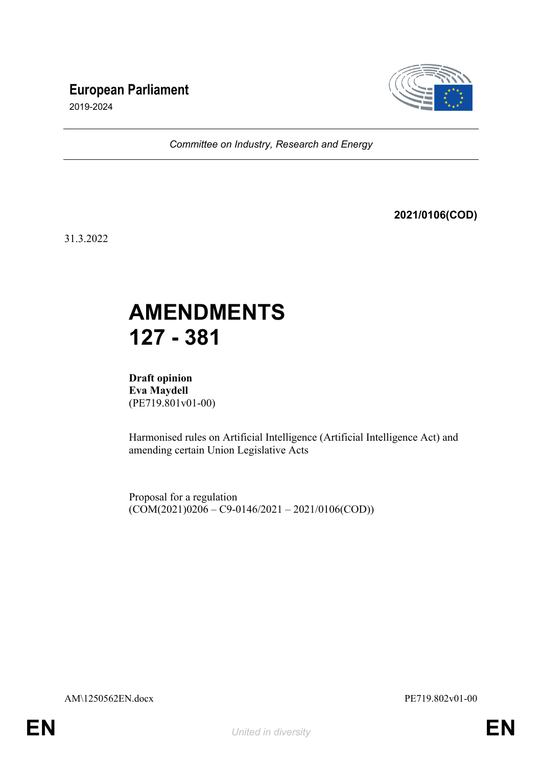## **European Parliament**



2019-2024

*Committee on Industry, Research and Energy*

**2021/0106(COD)**

31.3.2022

# **AMENDMENTS 127 - 381**

**Draft opinion Eva Maydell** (PE719.801v01-00)

Harmonised rules on Artificial Intelligence (Artificial Intelligence Act) and amending certain Union Legislative Acts

Proposal for a regulation  $(COM(2021)0206 - C9 - 0146/2021 - 2021/0106(COD))$ 

AM\1250562EN.docx PE719.802v01-00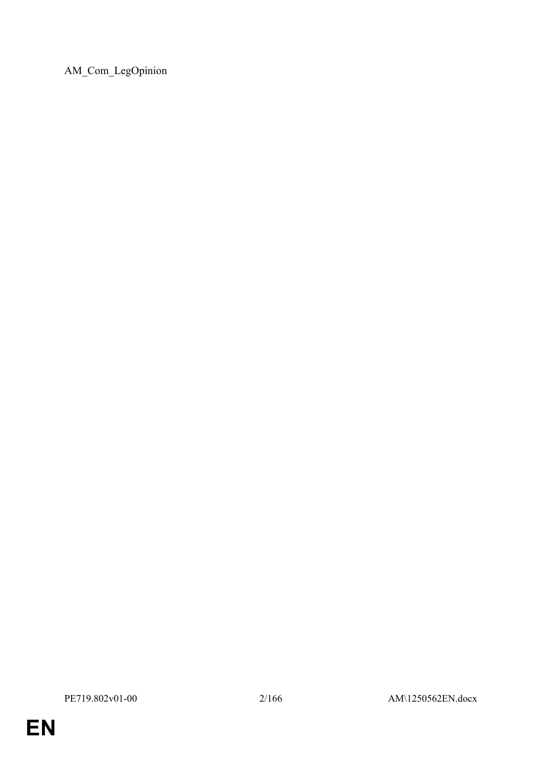AM\_Com\_LegOpinion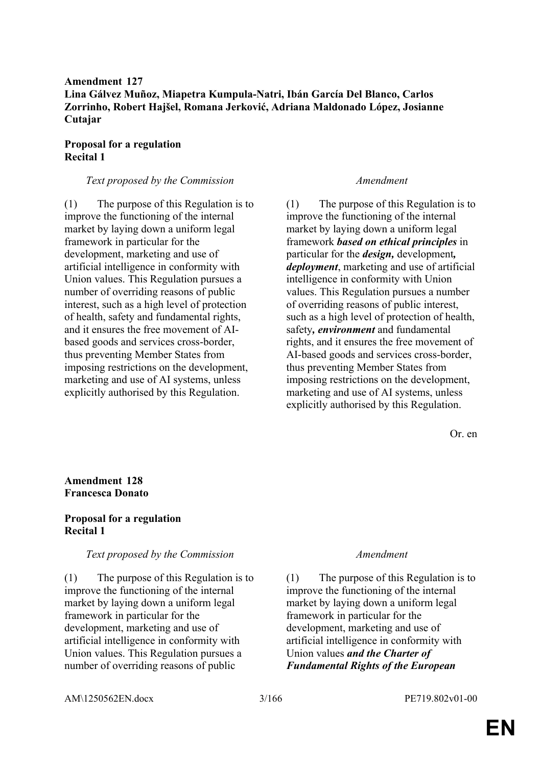## **Amendment 127 Lina Gálvez Muñoz, Miapetra Kumpula-Natri, Ibán García Del Blanco, Carlos Zorrinho, Robert Hajšel, Romana Jerković, Adriana Maldonado López, Josianne Cutajar**

## **Proposal for a regulation Recital 1**

### *Text proposed by the Commission Amendment*

(1) The purpose of this Regulation is to improve the functioning of the internal market by laying down a uniform legal framework in particular for the development, marketing and use of artificial intelligence in conformity with Union values. This Regulation pursues a number of overriding reasons of public interest, such as a high level of protection of health, safety and fundamental rights, and it ensures the free movement of AIbased goods and services cross-border, thus preventing Member States from imposing restrictions on the development, marketing and use of AI systems, unless explicitly authorised by this Regulation.

(1) The purpose of this Regulation is to improve the functioning of the internal market by laying down a uniform legal framework *based on ethical principles* in particular for the *design,* development*, deployment*, marketing and use of artificial intelligence in conformity with Union values. This Regulation pursues a number of overriding reasons of public interest, such as a high level of protection of health, safety*, environment* and fundamental rights, and it ensures the free movement of AI-based goods and services cross-border, thus preventing Member States from imposing restrictions on the development, marketing and use of AI systems, unless explicitly authorised by this Regulation.

Or. en

## **Amendment 128 Francesca Donato**

## **Proposal for a regulation Recital 1**

### *Text proposed by the Commission Amendment*

(1) The purpose of this Regulation is to improve the functioning of the internal market by laying down a uniform legal framework in particular for the development, marketing and use of artificial intelligence in conformity with Union values. This Regulation pursues a number of overriding reasons of public

(1) The purpose of this Regulation is to improve the functioning of the internal market by laying down a uniform legal framework in particular for the development, marketing and use of artificial intelligence in conformity with Union values *and the Charter of Fundamental Rights of the European* 

AM\1250562EN.docx 3/166 PE719.802v01-00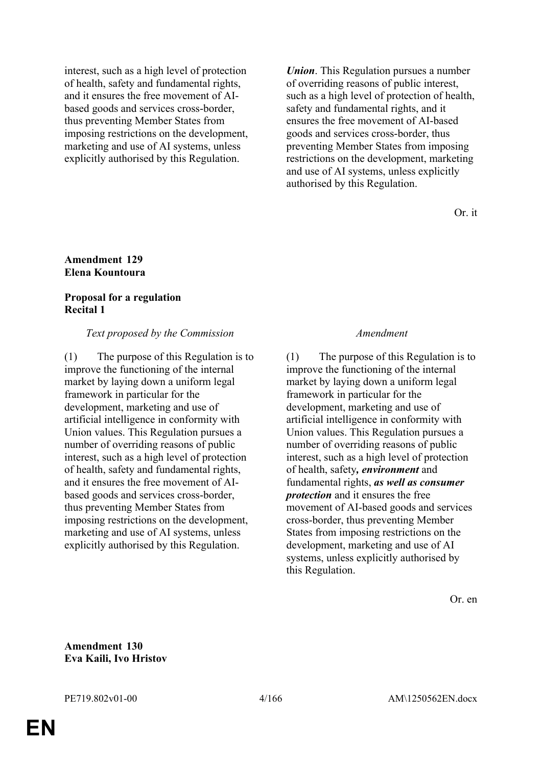interest, such as a high level of protection of health, safety and fundamental rights, and it ensures the free movement of AIbased goods and services cross-border, thus preventing Member States from imposing restrictions on the development, marketing and use of AI systems, unless explicitly authorised by this Regulation.

*Union*. This Regulation pursues a number of overriding reasons of public interest, such as a high level of protection of health, safety and fundamental rights, and it ensures the free movement of AI-based goods and services cross-border, thus preventing Member States from imposing restrictions on the development, marketing and use of AI systems, unless explicitly authorised by this Regulation.

Or. it

#### **Amendment 129 Elena Kountoura**

## **Proposal for a regulation Recital 1**

## *Text proposed by the Commission Amendment*

(1) The purpose of this Regulation is to improve the functioning of the internal market by laying down a uniform legal framework in particular for the development, marketing and use of artificial intelligence in conformity with Union values. This Regulation pursues a number of overriding reasons of public interest, such as a high level of protection of health, safety and fundamental rights, and it ensures the free movement of AIbased goods and services cross-border, thus preventing Member States from imposing restrictions on the development, marketing and use of AI systems, unless explicitly authorised by this Regulation.

(1) The purpose of this Regulation is to improve the functioning of the internal market by laying down a uniform legal framework in particular for the development, marketing and use of artificial intelligence in conformity with Union values. This Regulation pursues a number of overriding reasons of public interest, such as a high level of protection of health, safety*, environment* and fundamental rights, *as well as consumer protection* and it ensures the free movement of AI-based goods and services cross-border, thus preventing Member States from imposing restrictions on the development, marketing and use of AI systems, unless explicitly authorised by this Regulation.

Or. en

**Amendment 130 Eva Kaili, Ivo Hristov**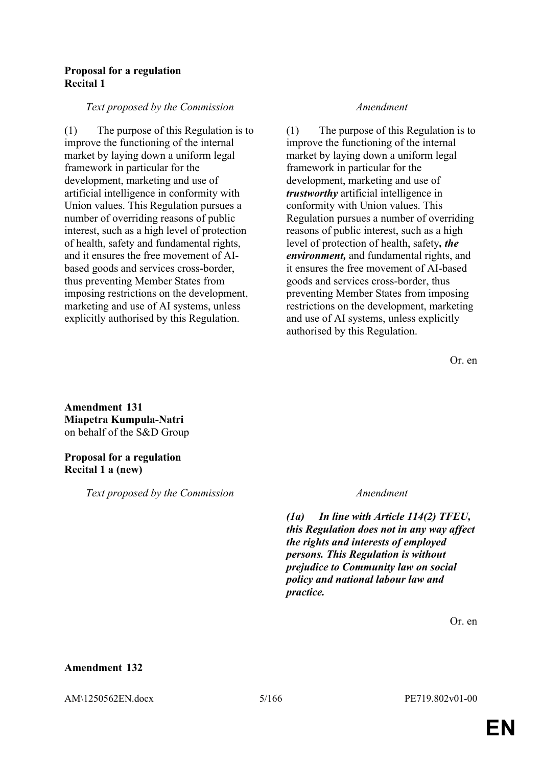## **Proposal for a regulation Recital 1**

### *Text proposed by the Commission Amendment*

(1) The purpose of this Regulation is to improve the functioning of the internal market by laying down a uniform legal framework in particular for the development, marketing and use of artificial intelligence in conformity with Union values. This Regulation pursues a number of overriding reasons of public interest, such as a high level of protection of health, safety and fundamental rights, and it ensures the free movement of AIbased goods and services cross-border, thus preventing Member States from imposing restrictions on the development, marketing and use of AI systems, unless explicitly authorised by this Regulation.

(1) The purpose of this Regulation is to improve the functioning of the internal market by laying down a uniform legal framework in particular for the development, marketing and use of *trustworthy* artificial intelligence in conformity with Union values. This Regulation pursues a number of overriding reasons of public interest, such as a high level of protection of health, safety*, the environment,* and fundamental rights, and it ensures the free movement of AI-based goods and services cross-border, thus preventing Member States from imposing restrictions on the development, marketing and use of AI systems, unless explicitly authorised by this Regulation.

Or. en

**Amendment 131 Miapetra Kumpula-Natri** on behalf of the S&D Group

## **Proposal for a regulation Recital 1 a (new)**

*Text proposed by the Commission Amendment*

*(1a) In line with Article 114(2) TFEU, this Regulation does not in any way affect the rights and interests of employed persons. This Regulation is without prejudice to Community law on social policy and national labour law and practice.*

Or. en

## **Amendment 132**

AM\1250562EN.docx 5/166 PE719.802v01-00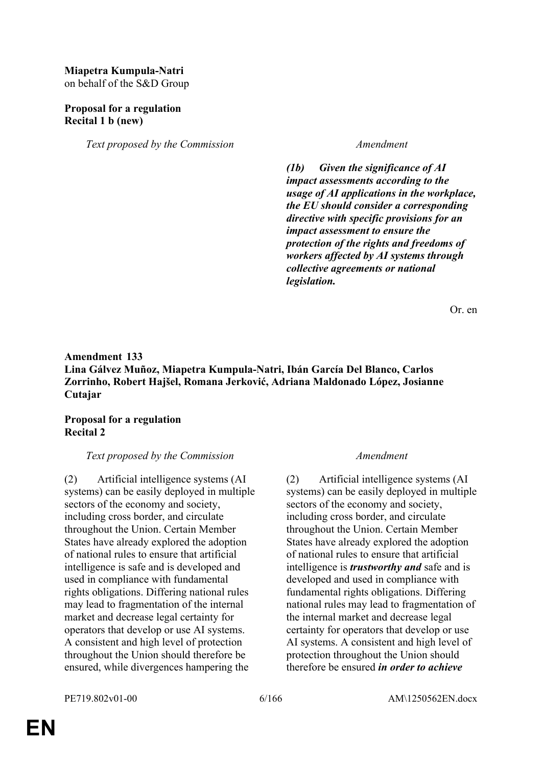## **Miapetra Kumpula-Natri** on behalf of the S&D Group

## **Proposal for a regulation Recital 1 b (new)**

*Text proposed by the Commission Amendment*

*(1b) Given the significance of AI impact assessments according to the usage of AI applications in the workplace, the EU should consider a corresponding directive with specific provisions for an impact assessment to ensure the protection of the rights and freedoms of workers affected by AI systems through collective agreements or national legislation.*

Or. en

## **Amendment 133 Lina Gálvez Muñoz, Miapetra Kumpula-Natri, Ibán García Del Blanco, Carlos Zorrinho, Robert Hajšel, Romana Jerković, Adriana Maldonado López, Josianne Cutajar**

## **Proposal for a regulation Recital 2**

### *Text proposed by the Commission Amendment*

(2) Artificial intelligence systems (AI systems) can be easily deployed in multiple sectors of the economy and society, including cross border, and circulate throughout the Union. Certain Member States have already explored the adoption of national rules to ensure that artificial intelligence is safe and is developed and used in compliance with fundamental rights obligations. Differing national rules may lead to fragmentation of the internal market and decrease legal certainty for operators that develop or use AI systems. A consistent and high level of protection throughout the Union should therefore be ensured, while divergences hampering the

(2) Artificial intelligence systems (AI systems) can be easily deployed in multiple sectors of the economy and society, including cross border, and circulate throughout the Union. Certain Member States have already explored the adoption of national rules to ensure that artificial intelligence is *trustworthy and* safe and is developed and used in compliance with fundamental rights obligations. Differing national rules may lead to fragmentation of the internal market and decrease legal certainty for operators that develop or use AI systems. A consistent and high level of protection throughout the Union should therefore be ensured *in order to achieve*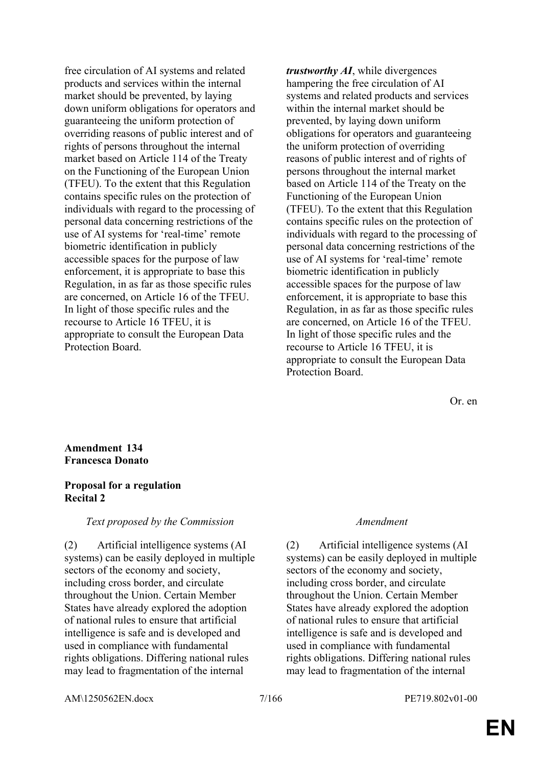free circulation of AI systems and related products and services within the internal market should be prevented, by laying down uniform obligations for operators and guaranteeing the uniform protection of overriding reasons of public interest and of rights of persons throughout the internal market based on Article 114 of the Treaty on the Functioning of the European Union (TFEU). To the extent that this Regulation contains specific rules on the protection of individuals with regard to the processing of personal data concerning restrictions of the use of AI systems for 'real-time' remote biometric identification in publicly accessible spaces for the purpose of law enforcement, it is appropriate to base this Regulation, in as far as those specific rules are concerned, on Article 16 of the TFEU. In light of those specific rules and the recourse to Article 16 TFEU, it is appropriate to consult the European Data Protection Board.

*trustworthy AI*, while divergences hampering the free circulation of AI systems and related products and services within the internal market should be prevented, by laying down uniform obligations for operators and guaranteeing the uniform protection of overriding reasons of public interest and of rights of persons throughout the internal market based on Article 114 of the Treaty on the Functioning of the European Union (TFEU). To the extent that this Regulation contains specific rules on the protection of individuals with regard to the processing of personal data concerning restrictions of the use of AI systems for 'real-time' remote biometric identification in publicly accessible spaces for the purpose of law enforcement, it is appropriate to base this Regulation, in as far as those specific rules are concerned, on Article 16 of the TFEU. In light of those specific rules and the recourse to Article 16 TFEU, it is appropriate to consult the European Data Protection Board.

Or. en

### **Amendment 134 Francesca Donato**

## **Proposal for a regulation Recital 2**

### *Text proposed by the Commission Amendment*

(2) Artificial intelligence systems (AI systems) can be easily deployed in multiple sectors of the economy and society, including cross border, and circulate throughout the Union. Certain Member States have already explored the adoption of national rules to ensure that artificial intelligence is safe and is developed and used in compliance with fundamental rights obligations. Differing national rules may lead to fragmentation of the internal

(2) Artificial intelligence systems (AI systems) can be easily deployed in multiple sectors of the economy and society, including cross border, and circulate throughout the Union. Certain Member States have already explored the adoption of national rules to ensure that artificial intelligence is safe and is developed and used in compliance with fundamental rights obligations. Differing national rules may lead to fragmentation of the internal

AM\1250562EN.docx 7/166 PE719.802v01-00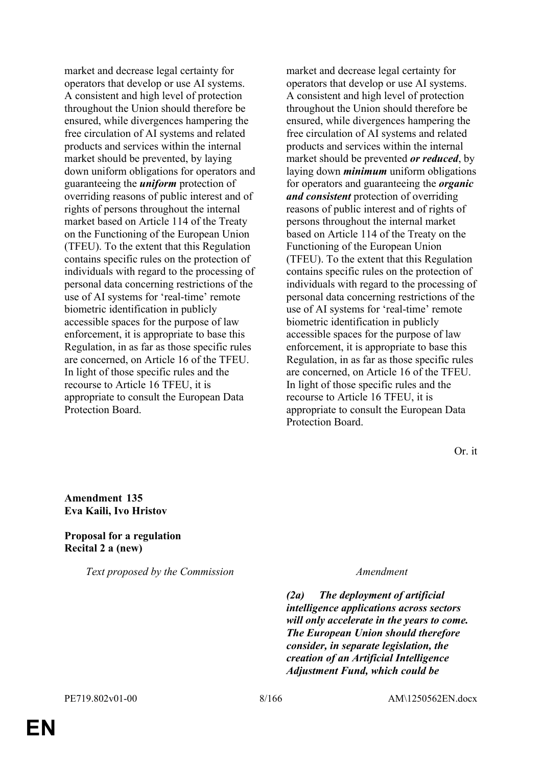market and decrease legal certainty for operators that develop or use AI systems. A consistent and high level of protection throughout the Union should therefore be ensured, while divergences hampering the free circulation of AI systems and related products and services within the internal market should be prevented, by laying down uniform obligations for operators and guaranteeing the *uniform* protection of overriding reasons of public interest and of rights of persons throughout the internal market based on Article 114 of the Treaty on the Functioning of the European Union (TFEU). To the extent that this Regulation contains specific rules on the protection of individuals with regard to the processing of personal data concerning restrictions of the use of AI systems for 'real-time' remote biometric identification in publicly accessible spaces for the purpose of law enforcement, it is appropriate to base this Regulation, in as far as those specific rules are concerned, on Article 16 of the TFEU. In light of those specific rules and the recourse to Article 16 TFEU, it is appropriate to consult the European Data Protection Board.

market and decrease legal certainty for operators that develop or use AI systems. A consistent and high level of protection throughout the Union should therefore be ensured, while divergences hampering the free circulation of AI systems and related products and services within the internal market should be prevented *or reduced*, by laying down *minimum* uniform obligations for operators and guaranteeing the *organic and consistent* protection of overriding reasons of public interest and of rights of persons throughout the internal market based on Article 114 of the Treaty on the Functioning of the European Union (TFEU). To the extent that this Regulation contains specific rules on the protection of individuals with regard to the processing of personal data concerning restrictions of the use of AI systems for 'real-time' remote biometric identification in publicly accessible spaces for the purpose of law enforcement, it is appropriate to base this Regulation, in as far as those specific rules are concerned, on Article 16 of the TFEU. In light of those specific rules and the recourse to Article 16 TFEU, it is appropriate to consult the European Data Protection Board.

Or. it

### **Amendment 135 Eva Kaili, Ivo Hristov**

### **Proposal for a regulation Recital 2 a (new)**

*Text proposed by the Commission Amendment*

*(2a) The deployment of artificial intelligence applications across sectors will only accelerate in the years to come. The European Union should therefore consider, in separate legislation, the creation of an Artificial Intelligence Adjustment Fund, which could be*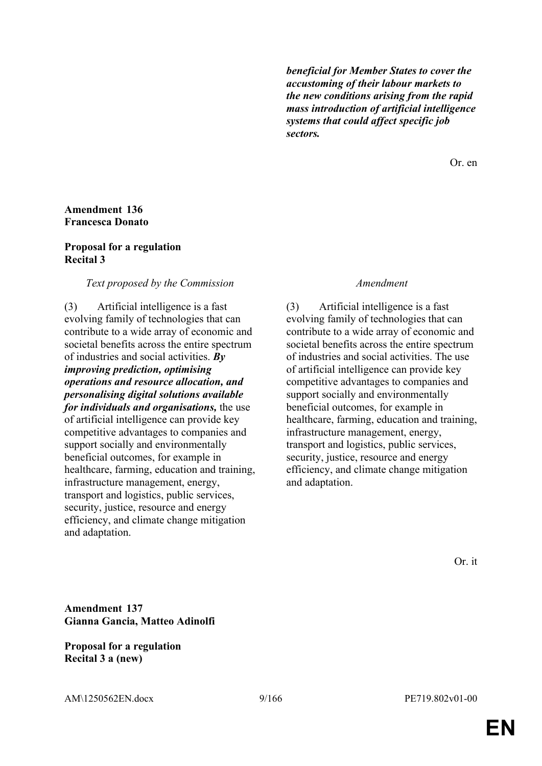*beneficial for Member States to cover the accustoming of their labour markets to the new conditions arising from the rapid mass introduction of artificial intelligence systems that could affect specific job sectors.*

Or. en

### **Amendment 136 Francesca Donato**

#### **Proposal for a regulation Recital 3**

#### *Text proposed by the Commission Amendment*

(3) Artificial intelligence is a fast evolving family of technologies that can contribute to a wide array of economic and societal benefits across the entire spectrum of industries and social activities. *By improving prediction, optimising operations and resource allocation, and personalising digital solutions available for individuals and organisations,* the use of artificial intelligence can provide key competitive advantages to companies and support socially and environmentally beneficial outcomes, for example in healthcare, farming, education and training, infrastructure management, energy, transport and logistics, public services, security, justice, resource and energy efficiency, and climate change mitigation and adaptation.

(3) Artificial intelligence is a fast evolving family of technologies that can contribute to a wide array of economic and societal benefits across the entire spectrum of industries and social activities. The use of artificial intelligence can provide key competitive advantages to companies and support socially and environmentally beneficial outcomes, for example in healthcare, farming, education and training, infrastructure management, energy, transport and logistics, public services, security, justice, resource and energy efficiency, and climate change mitigation and adaptation.

Or. it

**Amendment 137 Gianna Gancia, Matteo Adinolfi**

**Proposal for a regulation Recital 3 a (new)**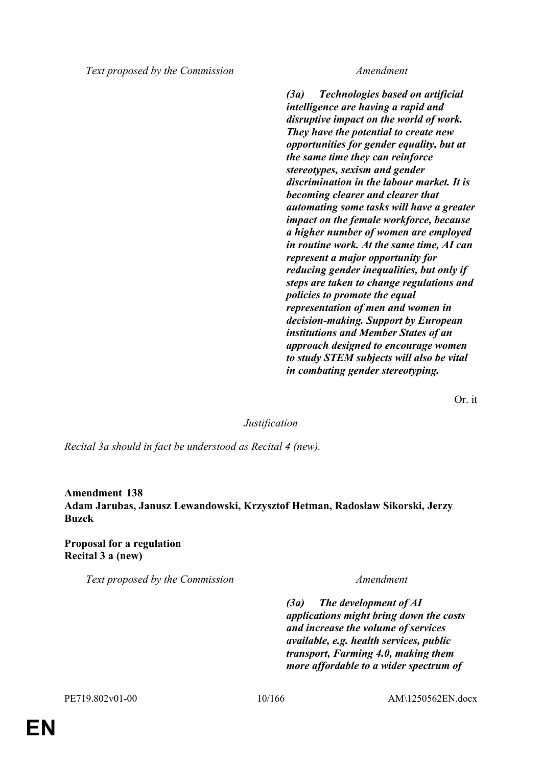*Text proposed by the Commission Amendment*

*(3a) Technologies based on artificial intelligence are having a rapid and disruptive impact on the world of work. They have the potential to create new opportunities for gender equality, but at the same time they can reinforce stereotypes, sexism and gender discrimination in the labour market. It is becoming clearer and clearer that automating some tasks will have a greater impact on the female workforce, because a higher number of women are employed in routine work. At the same time, AI can represent a major opportunity for reducing gender inequalities, but only if steps are taken to change regulations and policies to promote the equal representation of men and women in decision-making. Support by European institutions and Member States of an approach designed to encourage women to study STEM subjects will also be vital in combating gender stereotyping.*

Or. it

### *Justification*

*Recital 3a should in fact be understood as Recital 4 (new).*

**Amendment 138 Adam Jarubas, Janusz Lewandowski, Krzysztof Hetman, Radosław Sikorski, Jerzy Buzek**

**Proposal for a regulation Recital 3 a (new)**

*Text proposed by the Commission Amendment*

*(3a) The development of AI applications might bring down the costs and increase the volume of services available, e.g. health services, public transport, Farming 4.0, making them more affordable to a wider spectrum of*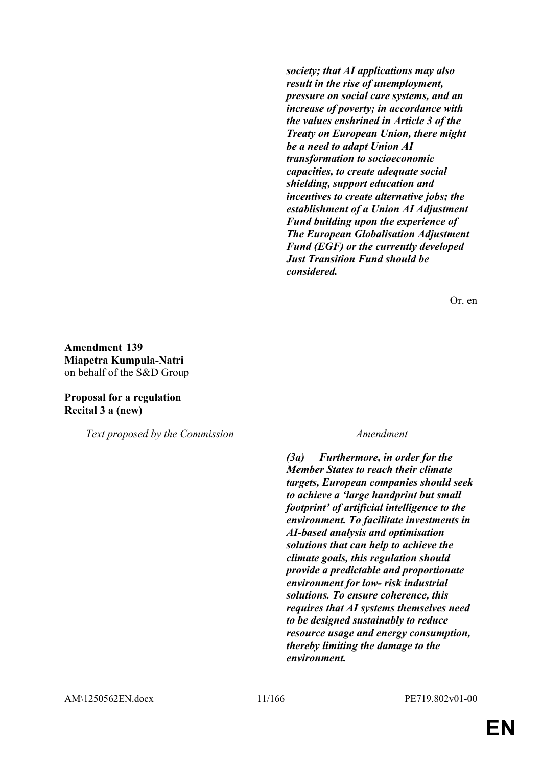*society; that AI applications may also result in the rise of unemployment, pressure on social care systems, and an increase of poverty; in accordance with the values enshrined in Article 3 of the Treaty on European Union, there might be a need to adapt Union AI transformation to socioeconomic capacities, to create adequate social shielding, support education and incentives to create alternative jobs; the establishment of a Union AI Adjustment Fund building upon the experience of The European Globalisation Adjustment Fund (EGF) or the currently developed Just Transition Fund should be considered.*

Or. en

**Amendment 139 Miapetra Kumpula-Natri** on behalf of the S&D Group

## **Proposal for a regulation Recital 3 a (new)**

*Text proposed by the Commission Amendment*

*(3a) Furthermore, in order for the Member States to reach their climate targets, European companies should seek to achieve a 'large handprint but small footprint' of artificial intelligence to the environment. To facilitate investments in AI-based analysis and optimisation solutions that can help to achieve the climate goals, this regulation should provide a predictable and proportionate environment for low- risk industrial solutions. To ensure coherence, this requires that AI systems themselves need to be designed sustainably to reduce resource usage and energy consumption, thereby limiting the damage to the environment.*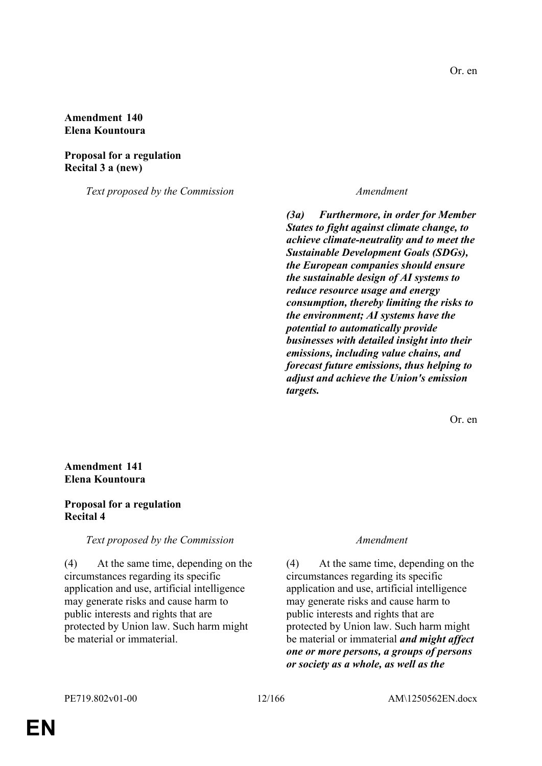### **Amendment 140 Elena Kountoura**

**Proposal for a regulation Recital 3 a (new)**

*Text proposed by the Commission Amendment*

*(3a) Furthermore, in order for Member States to fight against climate change, to achieve climate-neutrality and to meet the Sustainable Development Goals (SDGs), the European companies should ensure the sustainable design of AI systems to reduce resource usage and energy consumption, thereby limiting the risks to the environment; AI systems have the potential to automatically provide businesses with detailed insight into their emissions, including value chains, and forecast future emissions, thus helping to adjust and achieve the Union's emission targets.*

Or. en

## **Amendment 141 Elena Kountoura**

## **Proposal for a regulation Recital 4**

*Text proposed by the Commission Amendment*

(4) At the same time, depending on the circumstances regarding its specific application and use, artificial intelligence may generate risks and cause harm to public interests and rights that are protected by Union law. Such harm might be material or immaterial.

(4) At the same time, depending on the circumstances regarding its specific application and use, artificial intelligence may generate risks and cause harm to public interests and rights that are protected by Union law. Such harm might be material or immaterial *and might affect one or more persons, a groups of persons or society as a whole, as well as the*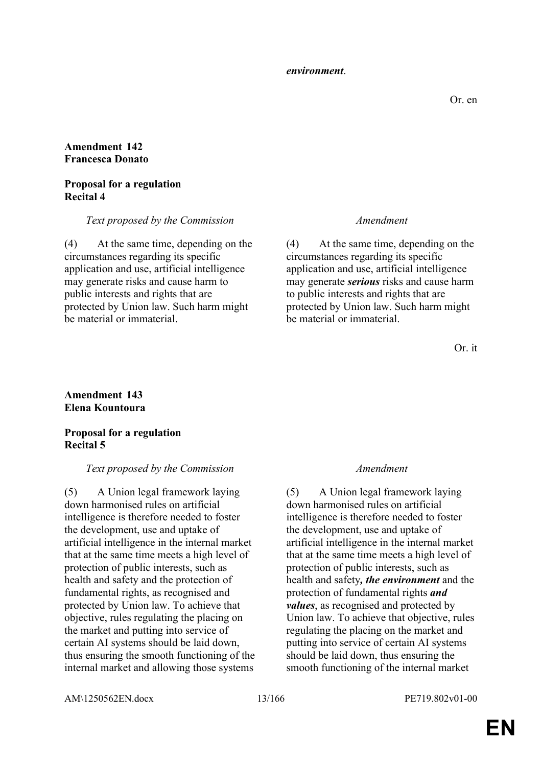#### *environment*.

## **Amendment 142 Francesca Donato**

### **Proposal for a regulation Recital 4**

*Text proposed by the Commission Amendment*

(4) At the same time, depending on the circumstances regarding its specific application and use, artificial intelligence may generate risks and cause harm to public interests and rights that are protected by Union law. Such harm might be material or immaterial.

(4) At the same time, depending on the circumstances regarding its specific application and use, artificial intelligence may generate *serious* risks and cause harm to public interests and rights that are protected by Union law. Such harm might be material or immaterial.

Or. it

## **Amendment 143 Elena Kountoura**

**Proposal for a regulation Recital 5**

#### *Text proposed by the Commission Amendment*

(5) A Union legal framework laying down harmonised rules on artificial intelligence is therefore needed to foster the development, use and uptake of artificial intelligence in the internal market that at the same time meets a high level of protection of public interests, such as health and safety and the protection of fundamental rights, as recognised and protected by Union law. To achieve that objective, rules regulating the placing on the market and putting into service of certain AI systems should be laid down, thus ensuring the smooth functioning of the internal market and allowing those systems

(5) A Union legal framework laying down harmonised rules on artificial intelligence is therefore needed to foster the development, use and uptake of artificial intelligence in the internal market that at the same time meets a high level of protection of public interests, such as health and safety*, the environment* and the protection of fundamental rights *and values*, as recognised and protected by Union law. To achieve that objective, rules regulating the placing on the market and putting into service of certain AI systems should be laid down, thus ensuring the smooth functioning of the internal market

AM\1250562EN.docx 13/166 PE719.802v01-00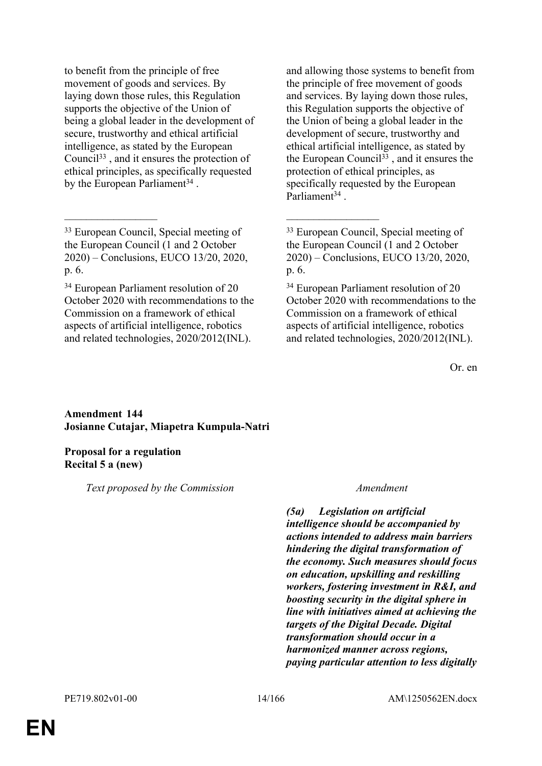to benefit from the principle of free movement of goods and services. By laying down those rules, this Regulation supports the objective of the Union of being a global leader in the development of secure, trustworthy and ethical artificial intelligence, as stated by the European Council<sup>33</sup> , and it ensures the protection of ethical principles, as specifically requested by the European Parliament<sup>34</sup>.

\_\_\_\_\_\_\_\_\_\_\_\_\_\_\_\_\_ \_\_\_\_\_\_\_\_\_\_\_\_\_\_\_\_\_

<sup>34</sup> European Parliament resolution of 20 October 2020 with recommendations to the Commission on a framework of ethical aspects of artificial intelligence, robotics and related technologies, 2020/2012(INL).

and allowing those systems to benefit from the principle of free movement of goods and services. By laying down those rules, this Regulation supports the objective of the Union of being a global leader in the development of secure, trustworthy and ethical artificial intelligence, as stated by the European Council<sup>33</sup>, and it ensures the protection of ethical principles, as specifically requested by the European Parliament<sup>34</sup>.

<sup>34</sup> European Parliament resolution of 20 October 2020 with recommendations to the Commission on a framework of ethical aspects of artificial intelligence, robotics and related technologies, 2020/2012(INL).

Or. en

### **Amendment 144 Josianne Cutajar, Miapetra Kumpula-Natri**

### **Proposal for a regulation Recital 5 a (new)**

*Text proposed by the Commission Amendment*

*(5a) Legislation on artificial intelligence should be accompanied by actions intended to address main barriers hindering the digital transformation of the economy. Such measures should focus on education, upskilling and reskilling workers, fostering investment in R&I, and boosting security in the digital sphere in line with initiatives aimed at achieving the targets of the Digital Decade. Digital transformation should occur in a harmonized manner across regions, paying particular attention to less digitally* 

<sup>33</sup> European Council, Special meeting of the European Council (1 and 2 October 2020) – Conclusions, EUCO 13/20, 2020, p. 6.

<sup>33</sup> European Council, Special meeting of the European Council (1 and 2 October 2020) – Conclusions, EUCO 13/20, 2020, p. 6.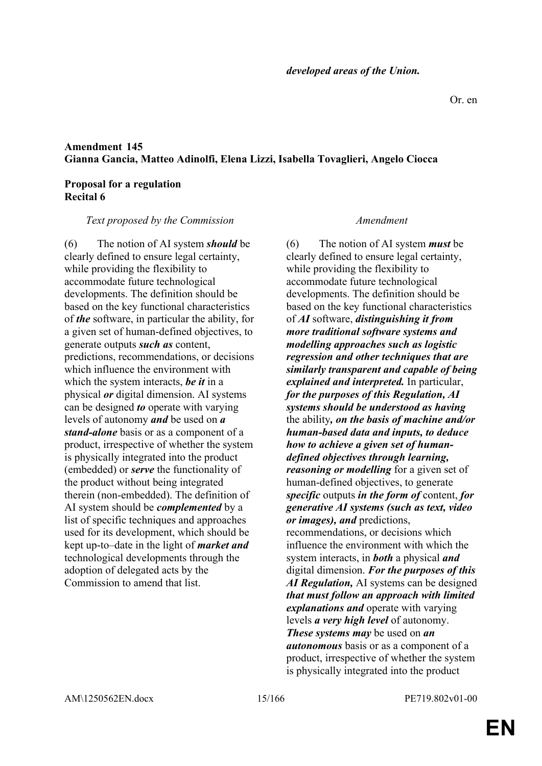## **Amendment 145 Gianna Gancia, Matteo Adinolfi, Elena Lizzi, Isabella Tovaglieri, Angelo Ciocca**

#### **Proposal for a regulation Recital 6**

*Text proposed by the Commission Amendment*

(6) The notion of AI system *should* be clearly defined to ensure legal certainty, while providing the flexibility to accommodate future technological developments. The definition should be based on the key functional characteristics of *the* software, in particular the ability, for a given set of human-defined objectives, to generate outputs *such as* content, predictions, recommendations, or decisions which influence the environment with which the system interacts, *be it* in a physical *or* digital dimension. AI systems can be designed *to* operate with varying levels of autonomy *and* be used on *a stand-alone* basis or as a component of a product, irrespective of whether the system is physically integrated into the product (embedded) or *serve* the functionality of the product without being integrated therein (non-embedded). The definition of AI system should be *complemented* by a list of specific techniques and approaches used for its development, which should be kept up-to–date in the light of *market and* technological developments through the adoption of delegated acts by the Commission to amend that list.

(6) The notion of AI system *must* be clearly defined to ensure legal certainty, while providing the flexibility to accommodate future technological developments. The definition should be based on the key functional characteristics of *AI* software, *distinguishing it from more traditional software systems and modelling approaches such as logistic regression and other techniques that are similarly transparent and capable of being explained and interpreted.* In particular, *for the purposes of this Regulation, AI systems should be understood as having*  the ability*, on the basis of machine and/or human-based data and inputs, to deduce how to achieve a given set of humandefined objectives through learning, reasoning or modelling* for a given set of human-defined objectives, to generate *specific* outputs *in the form of* content, *for generative AI systems (such as text, video or images), and* predictions, recommendations, or decisions which influence the environment with which the system interacts, in *both* a physical *and* digital dimension. *For the purposes of this AI Regulation,* AI systems can be designed *that must follow an approach with limited explanations and* operate with varying levels *a very high level* of autonomy. *These systems may* be used on *an autonomous* basis or as a component of a product, irrespective of whether the system is physically integrated into the product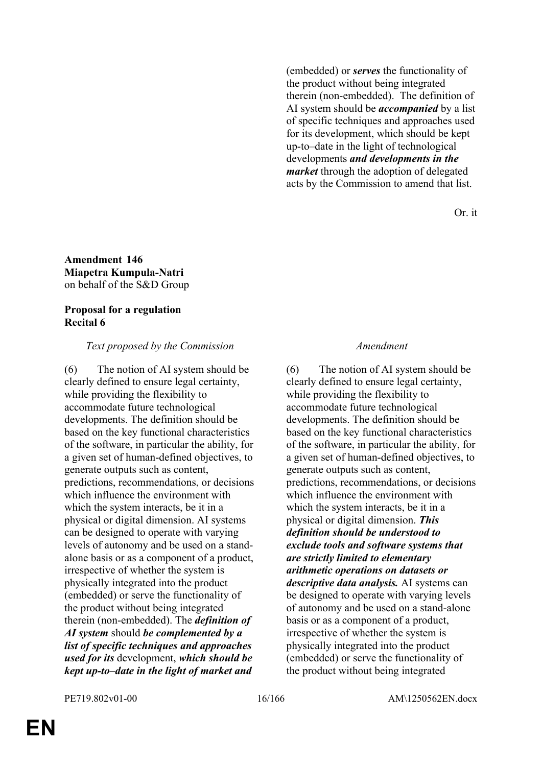(embedded) or *serves* the functionality of the product without being integrated therein (non-embedded). The definition of AI system should be *accompanied* by a list of specific techniques and approaches used for its development, which should be kept up-to–date in the light of technological developments *and developments in the market* through the adoption of delegated acts by the Commission to amend that list.

Or. it

## **Amendment 146 Miapetra Kumpula-Natri** on behalf of the S&D Group

### **Proposal for a regulation Recital 6**

## *Text proposed by the Commission Amendment*

(6) The notion of AI system should be clearly defined to ensure legal certainty, while providing the flexibility to accommodate future technological developments. The definition should be based on the key functional characteristics of the software, in particular the ability, for a given set of human-defined objectives, to generate outputs such as content, predictions, recommendations, or decisions which influence the environment with which the system interacts, be it in a physical or digital dimension. AI systems can be designed to operate with varying levels of autonomy and be used on a standalone basis or as a component of a product, irrespective of whether the system is physically integrated into the product (embedded) or serve the functionality of the product without being integrated therein (non-embedded). The *definition of AI system* should *be complemented by a list of specific techniques and approaches used for its* development, *which should be kept up-to–date in the light of market and* 

(6) The notion of AI system should be clearly defined to ensure legal certainty, while providing the flexibility to accommodate future technological developments. The definition should be based on the key functional characteristics of the software, in particular the ability, for a given set of human-defined objectives, to generate outputs such as content, predictions, recommendations, or decisions which influence the environment with which the system interacts, be it in a physical or digital dimension. *This definition should be understood to exclude tools and software systems that are strictly limited to elementary arithmetic operations on datasets or descriptive data analysis.* AI systems can be designed to operate with varying levels of autonomy and be used on a stand-alone basis or as a component of a product, irrespective of whether the system is physically integrated into the product (embedded) or serve the functionality of the product without being integrated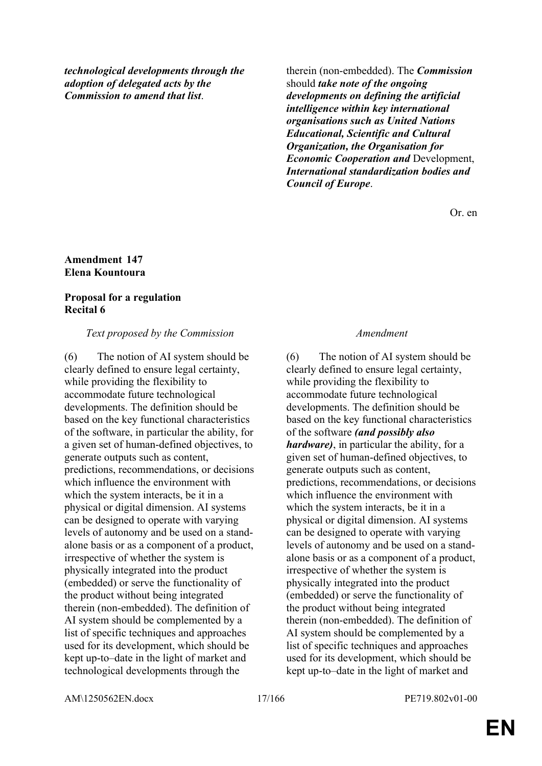*technological developments through the adoption of delegated acts by the Commission to amend that list*.

therein (non-embedded). The *Commission* should *take note of the ongoing developments on defining the artificial intelligence within key international organisations such as United Nations Educational, Scientific and Cultural Organization, the Organisation for Economic Cooperation and* Development, *International standardization bodies and Council of Europe*.

Or. en

#### **Amendment 147 Elena Kountoura**

## **Proposal for a regulation Recital 6**

## *Text proposed by the Commission Amendment*

(6) The notion of AI system should be clearly defined to ensure legal certainty, while providing the flexibility to accommodate future technological developments. The definition should be based on the key functional characteristics of the software, in particular the ability, for a given set of human-defined objectives, to generate outputs such as content, predictions, recommendations, or decisions which influence the environment with which the system interacts, be it in a physical or digital dimension. AI systems can be designed to operate with varying levels of autonomy and be used on a standalone basis or as a component of a product, irrespective of whether the system is physically integrated into the product (embedded) or serve the functionality of the product without being integrated therein (non-embedded). The definition of AI system should be complemented by a list of specific techniques and approaches used for its development, which should be kept up-to–date in the light of market and technological developments through the

(6) The notion of AI system should be clearly defined to ensure legal certainty, while providing the flexibility to accommodate future technological developments. The definition should be based on the key functional characteristics of the software *(and possibly also hardware)*, in particular the ability, for a given set of human-defined objectives, to generate outputs such as content, predictions, recommendations, or decisions which influence the environment with which the system interacts, be it in a physical or digital dimension. AI systems can be designed to operate with varying levels of autonomy and be used on a standalone basis or as a component of a product, irrespective of whether the system is physically integrated into the product (embedded) or serve the functionality of the product without being integrated therein (non-embedded). The definition of AI system should be complemented by a list of specific techniques and approaches used for its development, which should be kept up-to–date in the light of market and

AM\1250562EN.docx 17/166 PE719.802v01-00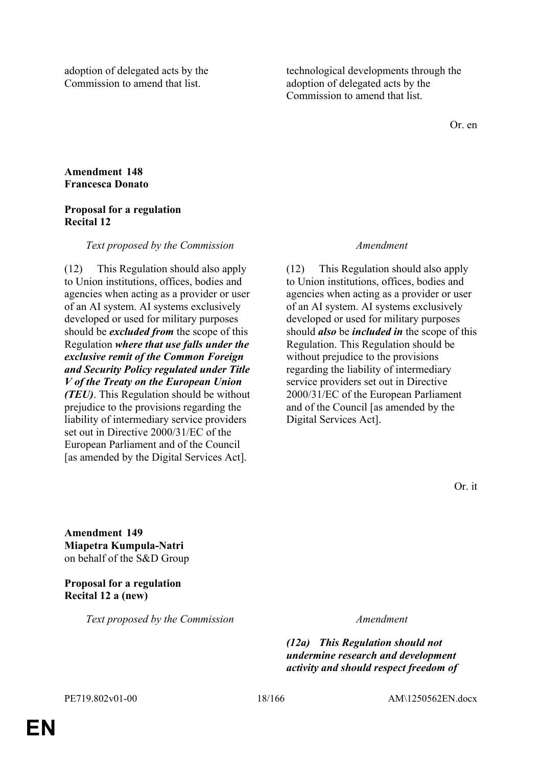adoption of delegated acts by the Commission to amend that list.

technological developments through the adoption of delegated acts by the Commission to amend that list.

Or. en

## **Amendment 148 Francesca Donato**

## **Proposal for a regulation Recital 12**

### *Text proposed by the Commission Amendment*

(12) This Regulation should also apply to Union institutions, offices, bodies and agencies when acting as a provider or user of an AI system. AI systems exclusively developed or used for military purposes should be *excluded from* the scope of this Regulation *where that use falls under the exclusive remit of the Common Foreign and Security Policy regulated under Title V of the Treaty on the European Union (TEU)*. This Regulation should be without prejudice to the provisions regarding the liability of intermediary service providers set out in Directive 2000/31/EC of the European Parliament and of the Council [as amended by the Digital Services Act].

(12) This Regulation should also apply to Union institutions, offices, bodies and agencies when acting as a provider or user of an AI system. AI systems exclusively developed or used for military purposes should *also* be *included in* the scope of this Regulation. This Regulation should be without prejudice to the provisions regarding the liability of intermediary service providers set out in Directive 2000/31/EC of the European Parliament and of the Council [as amended by the Digital Services Act].

**Amendment 149 Miapetra Kumpula-Natri** on behalf of the S&D Group

**Proposal for a regulation Recital 12 a (new)**

*Text proposed by the Commission Amendment*

*(12a) This Regulation should not undermine research and development activity and should respect freedom of*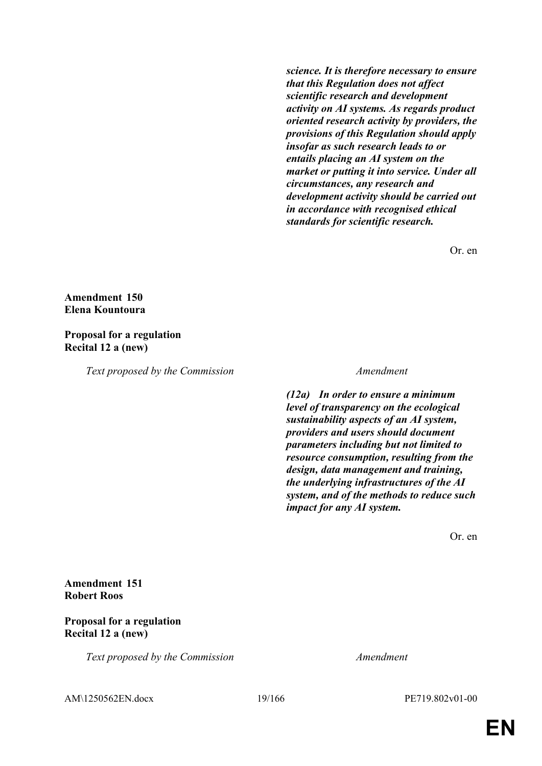*science. It is therefore necessary to ensure that this Regulation does not affect scientific research and development activity on AI systems. As regards product oriented research activity by providers, the provisions of this Regulation should apply insofar as such research leads to or entails placing an AI system on the market or putting it into service. Under all circumstances, any research and development activity should be carried out in accordance with recognised ethical standards for scientific research.*

Or. en

## **Amendment 150 Elena Kountoura**

#### **Proposal for a regulation Recital 12 a (new)**

*Text proposed by the Commission Amendment*

*(12a) In order to ensure a minimum level of transparency on the ecological sustainability aspects of an AI system, providers and users should document parameters including but not limited to resource consumption, resulting from the design, data management and training, the underlying infrastructures of the AI system, and of the methods to reduce such impact for any AI system.*

Or. en

**Amendment 151 Robert Roos**

## **Proposal for a regulation Recital 12 a (new)**

*Text proposed by the Commission Amendment*

AM\1250562EN.docx 19/166 PE719.802v01-00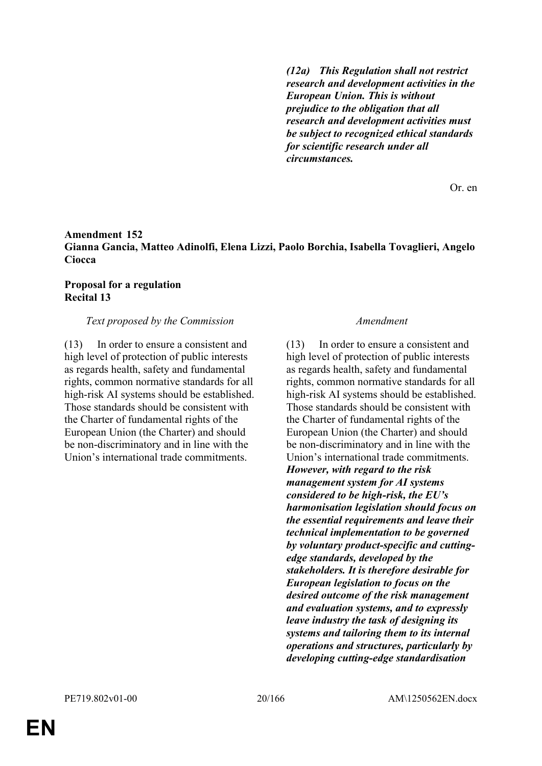*(12a) This Regulation shall not restrict research and development activities in the European Union. This is without prejudice to the obligation that all research and development activities must be subject to recognized ethical standards for scientific research under all circumstances.*

Or. en

## **Amendment 152 Gianna Gancia, Matteo Adinolfi, Elena Lizzi, Paolo Borchia, Isabella Tovaglieri, Angelo Ciocca**

### **Proposal for a regulation Recital 13**

### *Text proposed by the Commission Amendment*

(13) In order to ensure a consistent and high level of protection of public interests as regards health, safety and fundamental rights, common normative standards for all high-risk AI systems should be established. Those standards should be consistent with the Charter of fundamental rights of the European Union (the Charter) and should be non-discriminatory and in line with the Union's international trade commitments.

(13) In order to ensure a consistent and high level of protection of public interests as regards health, safety and fundamental rights, common normative standards for all high-risk AI systems should be established. Those standards should be consistent with the Charter of fundamental rights of the European Union (the Charter) and should be non-discriminatory and in line with the Union's international trade commitments. *However, with regard to the risk management system for AI systems considered to be high-risk, the EU's harmonisation legislation should focus on the essential requirements and leave their technical implementation to be governed by voluntary product-specific and cuttingedge standards, developed by the stakeholders. It is therefore desirable for European legislation to focus on the desired outcome of the risk management and evaluation systems, and to expressly leave industry the task of designing its systems and tailoring them to its internal operations and structures, particularly by developing cutting-edge standardisation* 

**EN**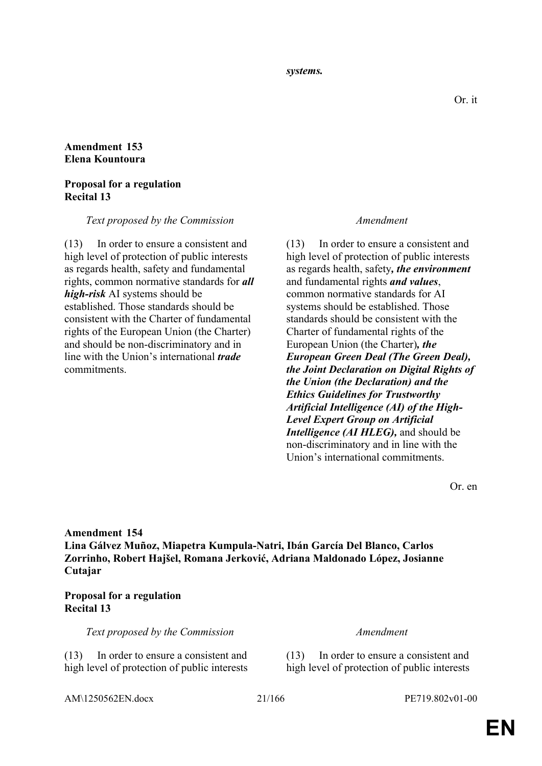*systems.*

## **Amendment 153 Elena Kountoura**

## **Proposal for a regulation Recital 13**

### *Text proposed by the Commission Amendment*

(13) In order to ensure a consistent and high level of protection of public interests as regards health, safety and fundamental rights, common normative standards for *all high-risk* AI systems should be established. Those standards should be consistent with the Charter of fundamental rights of the European Union (the Charter) and should be non-discriminatory and in line with the Union's international *trade* commitments.

(13) In order to ensure a consistent and high level of protection of public interests as regards health, safety*, the environment* and fundamental rights *and values*, common normative standards for AI systems should be established. Those standards should be consistent with the Charter of fundamental rights of the European Union (the Charter)*, the European Green Deal (The Green Deal), the Joint Declaration on Digital Rights of the Union (the Declaration) and the Ethics Guidelines for Trustworthy Artificial Intelligence (AI) of the High-Level Expert Group on Artificial Intelligence (AI HLEG),* and should be non-discriminatory and in line with the Union's international commitments.

Or. en

**Amendment 154 Lina Gálvez Muñoz, Miapetra Kumpula-Natri, Ibán García Del Blanco, Carlos Zorrinho, Robert Hajšel, Romana Jerković, Adriana Maldonado López, Josianne Cutajar**

## **Proposal for a regulation Recital 13**

*Text proposed by the Commission Amendment*

(13) In order to ensure a consistent and high level of protection of public interests

(13) In order to ensure a consistent and high level of protection of public interests

AM\1250562EN.docx 21/166 PE719.802v01-00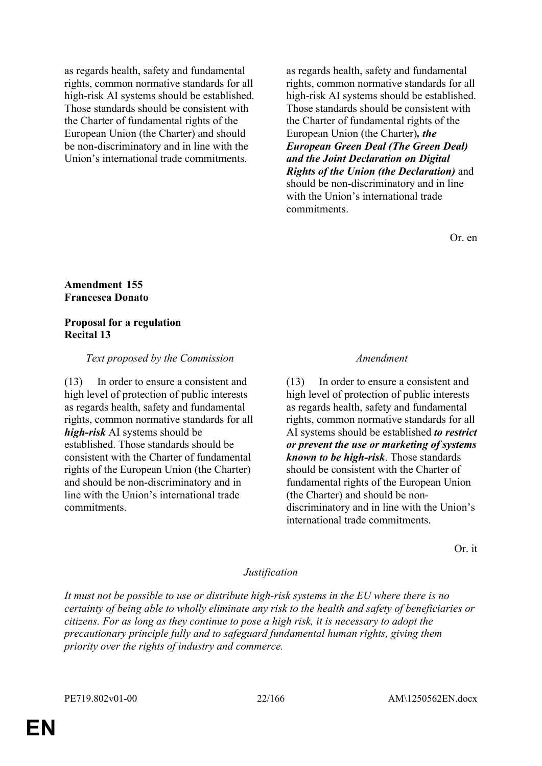as regards health, safety and fundamental rights, common normative standards for all high-risk AI systems should be established. Those standards should be consistent with the Charter of fundamental rights of the European Union (the Charter) and should be non-discriminatory and in line with the Union's international trade commitments.

as regards health, safety and fundamental rights, common normative standards for all high-risk AI systems should be established. Those standards should be consistent with the Charter of fundamental rights of the European Union (the Charter)*, the European Green Deal (The Green Deal) and the Joint Declaration on Digital Rights of the Union (the Declaration)* and should be non-discriminatory and in line with the Union's international trade commitments.

Or. en

#### **Amendment 155 Francesca Donato**

#### **Proposal for a regulation Recital 13**

#### *Text proposed by the Commission Amendment*

(13) In order to ensure a consistent and high level of protection of public interests as regards health, safety and fundamental rights, common normative standards for all *high-risk* AI systems should be established. Those standards should be consistent with the Charter of fundamental rights of the European Union (the Charter) and should be non-discriminatory and in line with the Union's international trade commitments.

(13) In order to ensure a consistent and high level of protection of public interests as regards health, safety and fundamental rights, common normative standards for all AI systems should be established *to restrict or prevent the use or marketing of systems known to be high-risk*. Those standards should be consistent with the Charter of fundamental rights of the European Union (the Charter) and should be nondiscriminatory and in line with the Union's international trade commitments.

Or. it

#### *Justification*

*It must not be possible to use or distribute high-risk systems in the EU where there is no certainty of being able to wholly eliminate any risk to the health and safety of beneficiaries or citizens. For as long as they continue to pose a high risk, it is necessary to adopt the precautionary principle fully and to safeguard fundamental human rights, giving them priority over the rights of industry and commerce.*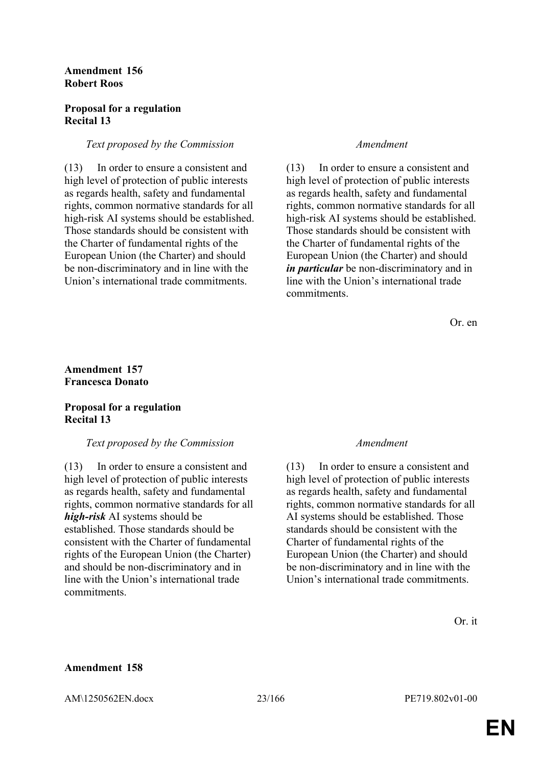### **Amendment 156 Robert Roos**

## **Proposal for a regulation Recital 13**

### *Text proposed by the Commission Amendment*

(13) In order to ensure a consistent and high level of protection of public interests as regards health, safety and fundamental rights, common normative standards for all high-risk AI systems should be established. Those standards should be consistent with the Charter of fundamental rights of the European Union (the Charter) and should be non-discriminatory and in line with the Union's international trade commitments.

(13) In order to ensure a consistent and high level of protection of public interests as regards health, safety and fundamental rights, common normative standards for all high-risk AI systems should be established. Those standards should be consistent with the Charter of fundamental rights of the European Union (the Charter) and should *in particular* be non-discriminatory and in line with the Union's international trade commitments.

Or. en

## **Amendment 157 Francesca Donato**

## **Proposal for a regulation Recital 13**

### *Text proposed by the Commission Amendment*

(13) In order to ensure a consistent and high level of protection of public interests as regards health, safety and fundamental rights, common normative standards for all *high-risk* AI systems should be established. Those standards should be consistent with the Charter of fundamental rights of the European Union (the Charter) and should be non-discriminatory and in line with the Union's international trade commitments.

(13) In order to ensure a consistent and high level of protection of public interests as regards health, safety and fundamental rights, common normative standards for all AI systems should be established. Those standards should be consistent with the Charter of fundamental rights of the European Union (the Charter) and should be non-discriminatory and in line with the Union's international trade commitments.

## **Amendment 158**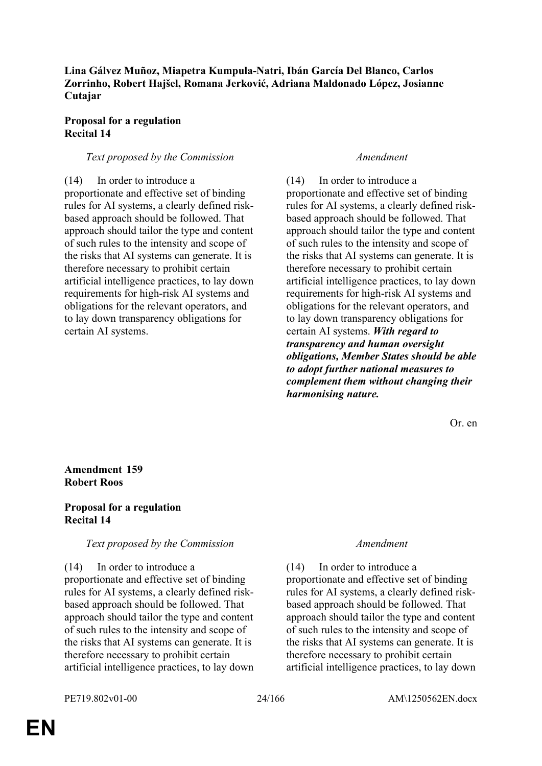## **Lina Gálvez Muñoz, Miapetra Kumpula-Natri, Ibán García Del Blanco, Carlos Zorrinho, Robert Hajšel, Romana Jerković, Adriana Maldonado López, Josianne Cutajar**

### **Proposal for a regulation Recital 14**

### *Text proposed by the Commission Amendment*

(14) In order to introduce a proportionate and effective set of binding rules for AI systems, a clearly defined riskbased approach should be followed. That approach should tailor the type and content of such rules to the intensity and scope of the risks that AI systems can generate. It is therefore necessary to prohibit certain artificial intelligence practices, to lay down requirements for high-risk AI systems and obligations for the relevant operators, and to lay down transparency obligations for certain AI systems.

(14) In order to introduce a proportionate and effective set of binding rules for AI systems, a clearly defined riskbased approach should be followed. That approach should tailor the type and content of such rules to the intensity and scope of the risks that AI systems can generate. It is therefore necessary to prohibit certain artificial intelligence practices, to lay down requirements for high-risk AI systems and obligations for the relevant operators, and to lay down transparency obligations for certain AI systems. *With regard to transparency and human oversight obligations, Member States should be able to adopt further national measures to complement them without changing their harmonising nature.*

Or. en

## **Amendment 159 Robert Roos**

## **Proposal for a regulation Recital 14**

### *Text proposed by the Commission Amendment*

### (14) In order to introduce a

proportionate and effective set of binding rules for AI systems, a clearly defined riskbased approach should be followed. That approach should tailor the type and content of such rules to the intensity and scope of the risks that AI systems can generate. It is therefore necessary to prohibit certain artificial intelligence practices, to lay down

(14) In order to introduce a proportionate and effective set of binding rules for AI systems, a clearly defined riskbased approach should be followed. That approach should tailor the type and content of such rules to the intensity and scope of the risks that AI systems can generate. It is therefore necessary to prohibit certain artificial intelligence practices, to lay down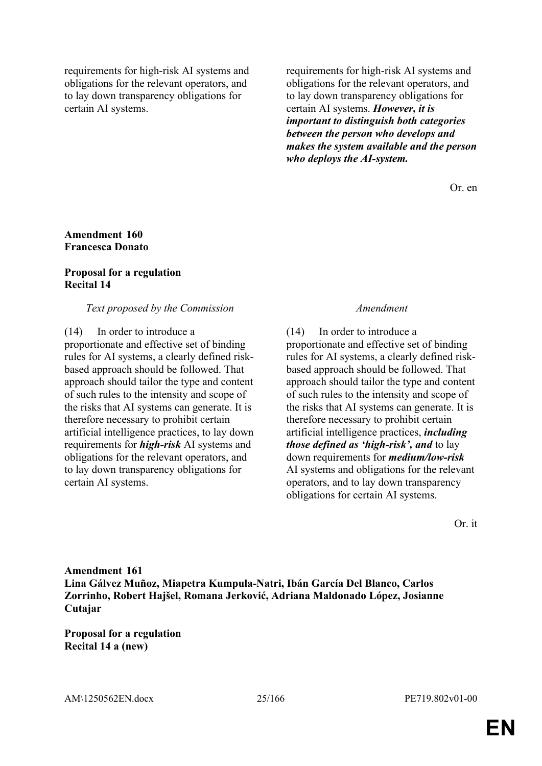requirements for high-risk AI systems and obligations for the relevant operators, and to lay down transparency obligations for certain AI systems.

requirements for high-risk AI systems and obligations for the relevant operators, and to lay down transparency obligations for certain AI systems. *However, it is important to distinguish both categories between the person who develops and makes the system available and the person who deploys the AI-system.*

Or. en

### **Amendment 160 Francesca Donato**

### **Proposal for a regulation Recital 14**

### *Text proposed by the Commission Amendment*

(14) In order to introduce a proportionate and effective set of binding rules for AI systems, a clearly defined riskbased approach should be followed. That approach should tailor the type and content of such rules to the intensity and scope of the risks that AI systems can generate. It is therefore necessary to prohibit certain artificial intelligence practices, to lay down requirements for *high-risk* AI systems and obligations for the relevant operators, and to lay down transparency obligations for certain AI systems.

(14) In order to introduce a proportionate and effective set of binding rules for AI systems, a clearly defined riskbased approach should be followed. That approach should tailor the type and content of such rules to the intensity and scope of the risks that AI systems can generate. It is therefore necessary to prohibit certain artificial intelligence practices, *including those defined as 'high-risk', and* to lay down requirements for *medium/low-risk* AI systems and obligations for the relevant operators, and to lay down transparency obligations for certain AI systems.

Or. it

**Amendment 161 Lina Gálvez Muñoz, Miapetra Kumpula-Natri, Ibán García Del Blanco, Carlos Zorrinho, Robert Hajšel, Romana Jerković, Adriana Maldonado López, Josianne Cutajar**

**Proposal for a regulation Recital 14 a (new)**

AM\1250562EN.docx 25/166 PE719.802v01-00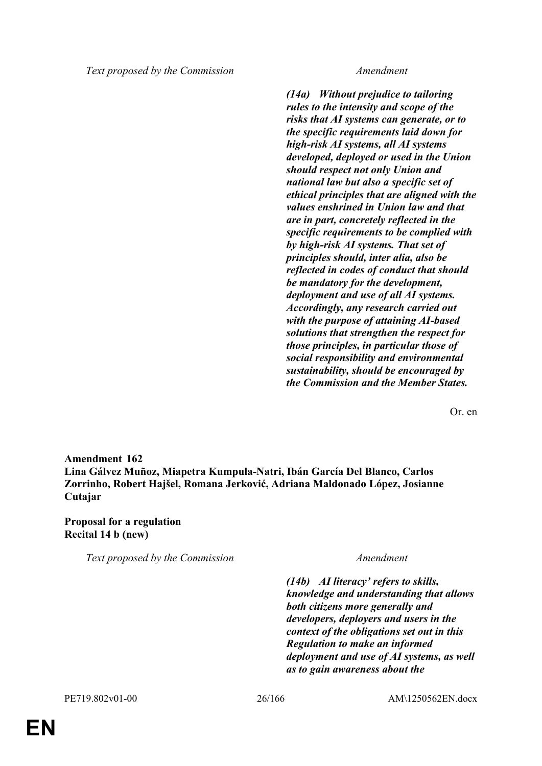*Text proposed by the Commission Amendment*

*(14a) Without prejudice to tailoring rules to the intensity and scope of the risks that AI systems can generate, or to the specific requirements laid down for high-risk AI systems, all AI systems developed, deployed or used in the Union should respect not only Union and national law but also a specific set of ethical principles that are aligned with the values enshrined in Union law and that are in part, concretely reflected in the specific requirements to be complied with by high-risk AI systems. That set of principles should, inter alia, also be reflected in codes of conduct that should be mandatory for the development, deployment and use of all AI systems. Accordingly, any research carried out with the purpose of attaining AI-based solutions that strengthen the respect for those principles, in particular those of social responsibility and environmental sustainability, should be encouraged by the Commission and the Member States.*

Or. en

**Amendment 162 Lina Gálvez Muñoz, Miapetra Kumpula-Natri, Ibán García Del Blanco, Carlos Zorrinho, Robert Hajšel, Romana Jerković, Adriana Maldonado López, Josianne Cutajar**

**Proposal for a regulation Recital 14 b (new)**

*Text proposed by the Commission Amendment*

*(14b) AI literacy' refers to skills, knowledge and understanding that allows both citizens more generally and developers, deployers and users in the context of the obligations set out in this Regulation to make an informed deployment and use of AI systems, as well as to gain awareness about the*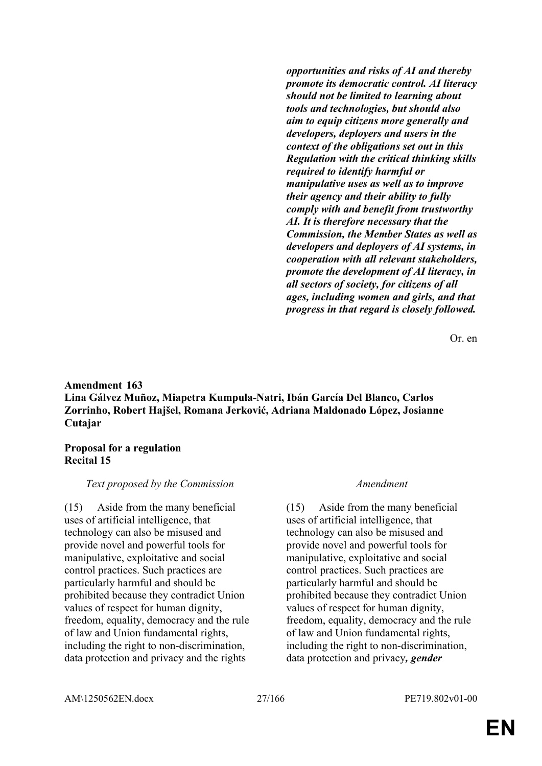*opportunities and risks of AI and thereby promote its democratic control. AI literacy should not be limited to learning about tools and technologies, but should also aim to equip citizens more generally and developers, deployers and users in the context of the obligations set out in this Regulation with the critical thinking skills required to identify harmful or manipulative uses as well as to improve their agency and their ability to fully comply with and benefit from trustworthy AI. It is therefore necessary that the Commission, the Member States as well as developers and deployers of AI systems, in cooperation with all relevant stakeholders, promote the development of AI literacy, in all sectors of society, for citizens of all ages, including women and girls, and that progress in that regard is closely followed.*

Or. en

## **Amendment 163 Lina Gálvez Muñoz, Miapetra Kumpula-Natri, Ibán García Del Blanco, Carlos Zorrinho, Robert Hajšel, Romana Jerković, Adriana Maldonado López, Josianne Cutajar**

### **Proposal for a regulation Recital 15**

## *Text proposed by the Commission Amendment*

(15) Aside from the many beneficial uses of artificial intelligence, that technology can also be misused and provide novel and powerful tools for manipulative, exploitative and social control practices. Such practices are particularly harmful and should be prohibited because they contradict Union values of respect for human dignity, freedom, equality, democracy and the rule of law and Union fundamental rights, including the right to non-discrimination, data protection and privacy and the rights

(15) Aside from the many beneficial uses of artificial intelligence, that technology can also be misused and provide novel and powerful tools for manipulative, exploitative and social control practices. Such practices are particularly harmful and should be prohibited because they contradict Union values of respect for human dignity, freedom, equality, democracy and the rule of law and Union fundamental rights, including the right to non-discrimination, data protection and privacy*, gender*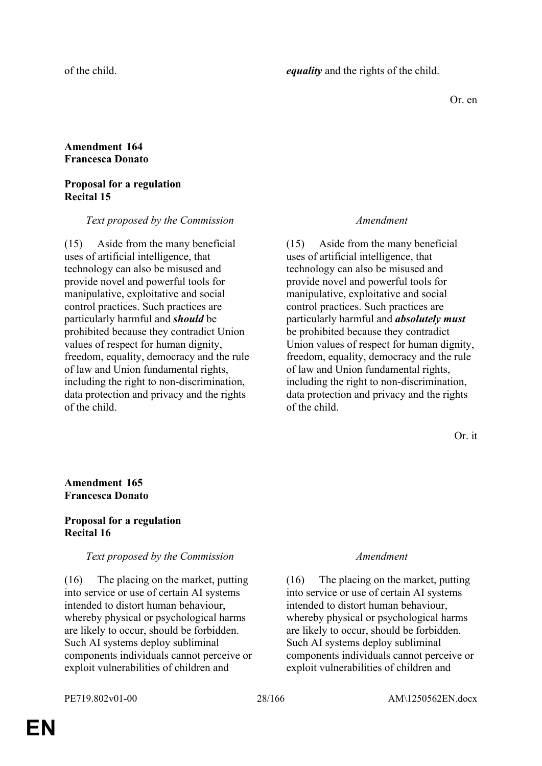Or. en

## **Amendment 164 Francesca Donato**

### **Proposal for a regulation Recital 15**

#### *Text proposed by the Commission Amendment*

(15) Aside from the many beneficial uses of artificial intelligence, that technology can also be misused and provide novel and powerful tools for manipulative, exploitative and social control practices. Such practices are particularly harmful and *should* be prohibited because they contradict Union values of respect for human dignity, freedom, equality, democracy and the rule of law and Union fundamental rights, including the right to non-discrimination, data protection and privacy and the rights of the child.

(15) Aside from the many beneficial uses of artificial intelligence, that technology can also be misused and provide novel and powerful tools for manipulative, exploitative and social control practices. Such practices are particularly harmful and *absolutely must* be prohibited because they contradict Union values of respect for human dignity, freedom, equality, democracy and the rule of law and Union fundamental rights, including the right to non-discrimination, data protection and privacy and the rights of the child.

Or. it

## **Amendment 165 Francesca Donato**

## **Proposal for a regulation Recital 16**

### *Text proposed by the Commission Amendment*

(16) The placing on the market, putting into service or use of certain AI systems intended to distort human behaviour, whereby physical or psychological harms are likely to occur, should be forbidden. Such AI systems deploy subliminal components individuals cannot perceive or exploit vulnerabilities of children and

(16) The placing on the market, putting into service or use of certain AI systems intended to distort human behaviour, whereby physical or psychological harms are likely to occur, should be forbidden. Such AI systems deploy subliminal components individuals cannot perceive or exploit vulnerabilities of children and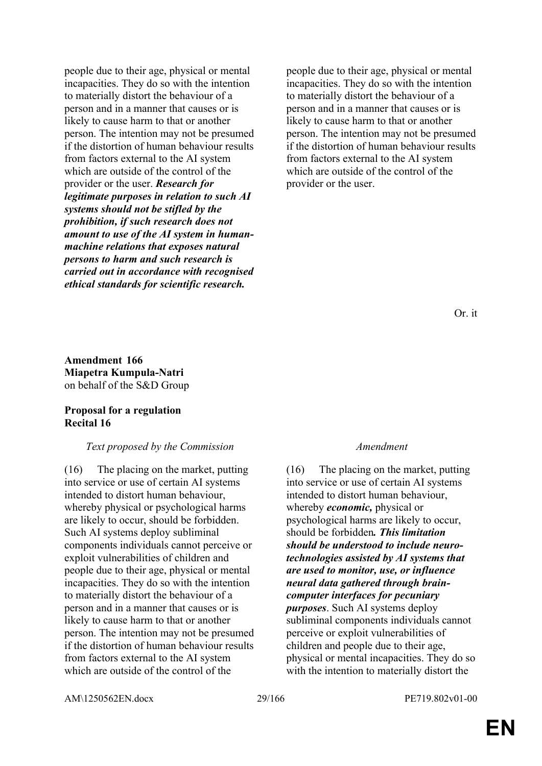people due to their age, physical or mental incapacities. They do so with the intention to materially distort the behaviour of a person and in a manner that causes or is likely to cause harm to that or another person. The intention may not be presumed if the distortion of human behaviour results from factors external to the AI system which are outside of the control of the provider or the user. *Research for legitimate purposes in relation to such AI systems should not be stifled by the prohibition, if such research does not amount to use of the AI system in humanmachine relations that exposes natural persons to harm and such research is carried out in accordance with recognised ethical standards for scientific research.*

people due to their age, physical or mental incapacities. They do so with the intention to materially distort the behaviour of a person and in a manner that causes or is likely to cause harm to that or another person. The intention may not be presumed if the distortion of human behaviour results from factors external to the AI system which are outside of the control of the provider or the user.

Or. it

**Amendment 166 Miapetra Kumpula-Natri** on behalf of the S&D Group

### **Proposal for a regulation Recital 16**

### *Text proposed by the Commission Amendment*

(16) The placing on the market, putting into service or use of certain AI systems intended to distort human behaviour, whereby physical or psychological harms are likely to occur, should be forbidden. Such AI systems deploy subliminal components individuals cannot perceive or exploit vulnerabilities of children and people due to their age, physical or mental incapacities. They do so with the intention to materially distort the behaviour of a person and in a manner that causes or is likely to cause harm to that or another person. The intention may not be presumed if the distortion of human behaviour results from factors external to the AI system which are outside of the control of the

(16) The placing on the market, putting into service or use of certain AI systems intended to distort human behaviour, whereby *economic,* physical or psychological harms are likely to occur, should be forbidden*. This limitation should be understood to include neurotechnologies assisted by AI systems that are used to monitor, use, or influence neural data gathered through braincomputer interfaces for pecuniary purposes*. Such AI systems deploy subliminal components individuals cannot perceive or exploit vulnerabilities of children and people due to their age, physical or mental incapacities. They do so with the intention to materially distort the

AM\1250562EN.docx 29/166 PE719.802v01-00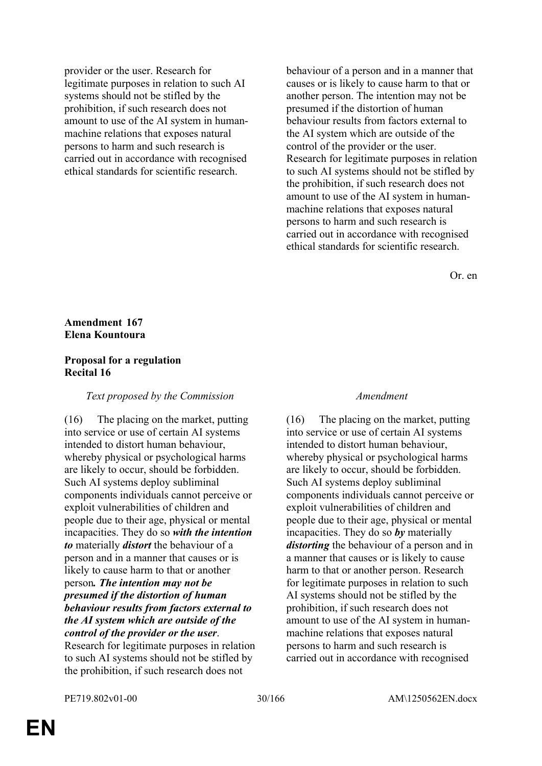provider or the user. Research for legitimate purposes in relation to such AI systems should not be stifled by the prohibition, if such research does not amount to use of the AI system in humanmachine relations that exposes natural persons to harm and such research is carried out in accordance with recognised ethical standards for scientific research.

behaviour of a person and in a manner that causes or is likely to cause harm to that or another person. The intention may not be presumed if the distortion of human behaviour results from factors external to the AI system which are outside of the control of the provider or the user. Research for legitimate purposes in relation to such AI systems should not be stifled by the prohibition, if such research does not amount to use of the AI system in humanmachine relations that exposes natural persons to harm and such research is carried out in accordance with recognised ethical standards for scientific research.

Or. en

## **Amendment 167 Elena Kountoura**

## **Proposal for a regulation Recital 16**

### *Text proposed by the Commission Amendment*

(16) The placing on the market, putting into service or use of certain AI systems intended to distort human behaviour, whereby physical or psychological harms are likely to occur, should be forbidden. Such AI systems deploy subliminal components individuals cannot perceive or exploit vulnerabilities of children and people due to their age, physical or mental incapacities. They do so *with the intention to* materially *distort* the behaviour of a person and in a manner that causes or is likely to cause harm to that or another person*. The intention may not be presumed if the distortion of human behaviour results from factors external to the AI system which are outside of the control of the provider or the user*. Research for legitimate purposes in relation to such AI systems should not be stifled by the prohibition, if such research does not

(16) The placing on the market, putting into service or use of certain AI systems intended to distort human behaviour, whereby physical or psychological harms are likely to occur, should be forbidden. Such AI systems deploy subliminal components individuals cannot perceive or exploit vulnerabilities of children and people due to their age, physical or mental incapacities. They do so *by* materially *distorting* the behaviour of a person and in a manner that causes or is likely to cause harm to that or another person. Research for legitimate purposes in relation to such AI systems should not be stifled by the prohibition, if such research does not amount to use of the AI system in humanmachine relations that exposes natural persons to harm and such research is carried out in accordance with recognised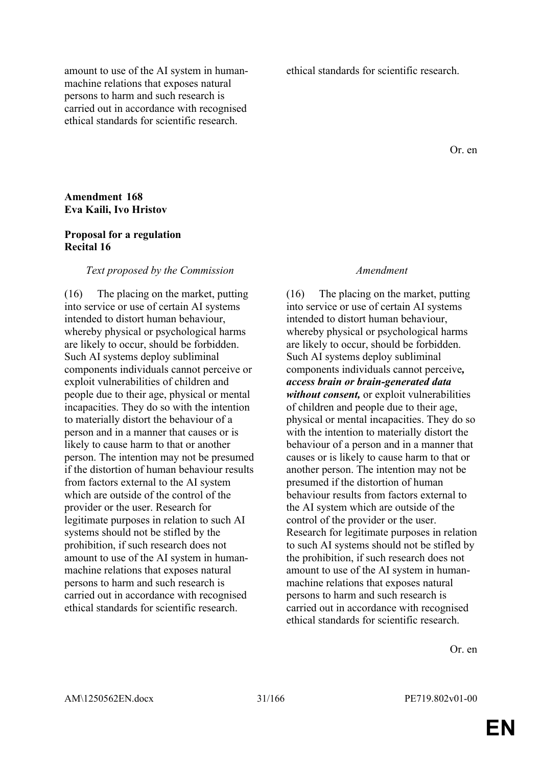amount to use of the AI system in humanmachine relations that exposes natural persons to harm and such research is carried out in accordance with recognised ethical standards for scientific research.

ethical standards for scientific research.

Or. en

### **Amendment 168 Eva Kaili, Ivo Hristov**

### **Proposal for a regulation Recital 16**

#### *Text proposed by the Commission Amendment*

(16) The placing on the market, putting into service or use of certain AI systems intended to distort human behaviour, whereby physical or psychological harms are likely to occur, should be forbidden. Such AI systems deploy subliminal components individuals cannot perceive or exploit vulnerabilities of children and people due to their age, physical or mental incapacities. They do so with the intention to materially distort the behaviour of a person and in a manner that causes or is likely to cause harm to that or another person. The intention may not be presumed if the distortion of human behaviour results from factors external to the AI system which are outside of the control of the provider or the user. Research for legitimate purposes in relation to such AI systems should not be stifled by the prohibition, if such research does not amount to use of the AI system in humanmachine relations that exposes natural persons to harm and such research is carried out in accordance with recognised ethical standards for scientific research.

(16) The placing on the market, putting into service or use of certain AI systems intended to distort human behaviour, whereby physical or psychological harms are likely to occur, should be forbidden. Such AI systems deploy subliminal components individuals cannot perceive*, access brain or brain-generated data without consent,* or exploit vulnerabilities of children and people due to their age, physical or mental incapacities. They do so with the intention to materially distort the behaviour of a person and in a manner that causes or is likely to cause harm to that or another person. The intention may not be presumed if the distortion of human behaviour results from factors external to the AI system which are outside of the control of the provider or the user. Research for legitimate purposes in relation to such AI systems should not be stifled by the prohibition, if such research does not amount to use of the AI system in humanmachine relations that exposes natural persons to harm and such research is carried out in accordance with recognised ethical standards for scientific research.

Or. en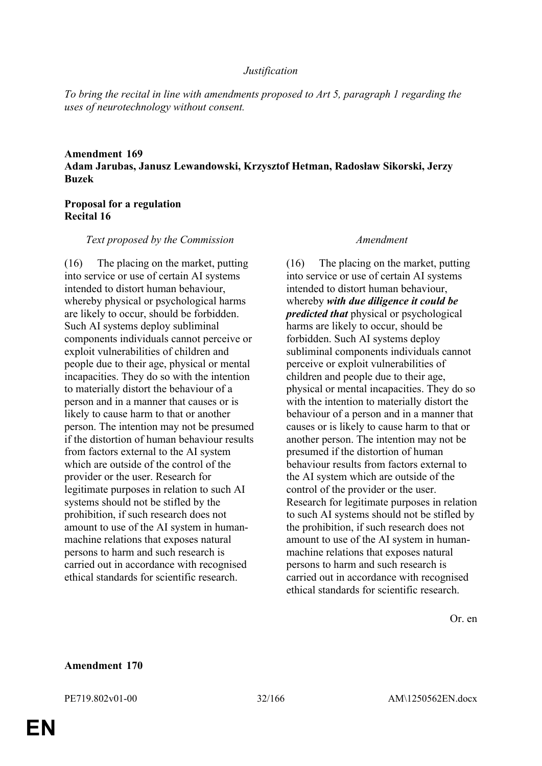#### *Justification*

*To bring the recital in line with amendments proposed to Art 5, paragraph 1 regarding the uses of neurotechnology without consent.*

## **Amendment 169 Adam Jarubas, Janusz Lewandowski, Krzysztof Hetman, Radosław Sikorski, Jerzy Buzek**

## **Proposal for a regulation Recital 16**

#### *Text proposed by the Commission Amendment*

(16) The placing on the market, putting into service or use of certain AI systems intended to distort human behaviour, whereby physical or psychological harms are likely to occur, should be forbidden. Such AI systems deploy subliminal components individuals cannot perceive or exploit vulnerabilities of children and people due to their age, physical or mental incapacities. They do so with the intention to materially distort the behaviour of a person and in a manner that causes or is likely to cause harm to that or another person. The intention may not be presumed if the distortion of human behaviour results from factors external to the AI system which are outside of the control of the provider or the user. Research for legitimate purposes in relation to such AI systems should not be stifled by the prohibition, if such research does not amount to use of the AI system in humanmachine relations that exposes natural persons to harm and such research is carried out in accordance with recognised ethical standards for scientific research.

(16) The placing on the market, putting into service or use of certain AI systems intended to distort human behaviour whereby *with due diligence it could be predicted that* physical or psychological harms are likely to occur, should be forbidden. Such AI systems deploy subliminal components individuals cannot perceive or exploit vulnerabilities of children and people due to their age, physical or mental incapacities. They do so with the intention to materially distort the behaviour of a person and in a manner that causes or is likely to cause harm to that or another person. The intention may not be presumed if the distortion of human behaviour results from factors external to the AI system which are outside of the control of the provider or the user. Research for legitimate purposes in relation to such AI systems should not be stifled by the prohibition, if such research does not amount to use of the AI system in humanmachine relations that exposes natural persons to harm and such research is carried out in accordance with recognised ethical standards for scientific research.

Or. en

#### **Amendment 170**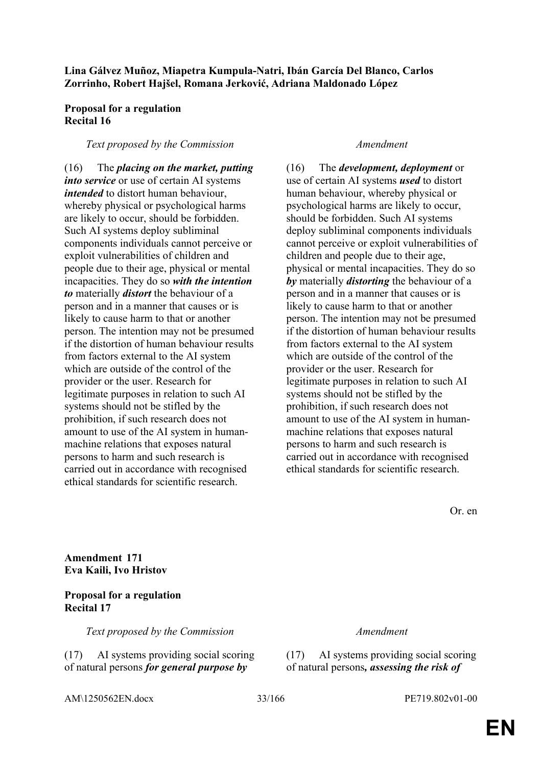## **Lina Gálvez Muñoz, Miapetra Kumpula-Natri, Ibán García Del Blanco, Carlos Zorrinho, Robert Hajšel, Romana Jerković, Adriana Maldonado López**

## **Proposal for a regulation Recital 16**

### *Text proposed by the Commission Amendment*

(16) The *placing on the market, putting into service* or use of certain AI systems *intended* to distort human behaviour, whereby physical or psychological harms are likely to occur, should be forbidden. Such AI systems deploy subliminal components individuals cannot perceive or exploit vulnerabilities of children and people due to their age, physical or mental incapacities. They do so *with the intention to* materially *distort* the behaviour of a person and in a manner that causes or is likely to cause harm to that or another person. The intention may not be presumed if the distortion of human behaviour results from factors external to the AI system which are outside of the control of the provider or the user. Research for legitimate purposes in relation to such AI systems should not be stifled by the prohibition, if such research does not amount to use of the AI system in humanmachine relations that exposes natural persons to harm and such research is carried out in accordance with recognised ethical standards for scientific research.

(16) The *development, deployment* or use of certain AI systems *used* to distort human behaviour, whereby physical or psychological harms are likely to occur, should be forbidden. Such AI systems deploy subliminal components individuals cannot perceive or exploit vulnerabilities of children and people due to their age, physical or mental incapacities. They do so *by* materially *distorting* the behaviour of a person and in a manner that causes or is likely to cause harm to that or another person. The intention may not be presumed if the distortion of human behaviour results from factors external to the AI system which are outside of the control of the provider or the user. Research for legitimate purposes in relation to such AI systems should not be stifled by the prohibition, if such research does not amount to use of the AI system in humanmachine relations that exposes natural persons to harm and such research is carried out in accordance with recognised ethical standards for scientific research.

Or. en

**Amendment 171 Eva Kaili, Ivo Hristov**

## **Proposal for a regulation Recital 17**

*Text proposed by the Commission Amendment*

(17) AI systems providing social scoring of natural persons *for general purpose by* 

(17) AI systems providing social scoring of natural persons*, assessing the risk of* 

AM\1250562EN.docx 33/166 PE719.802v01-00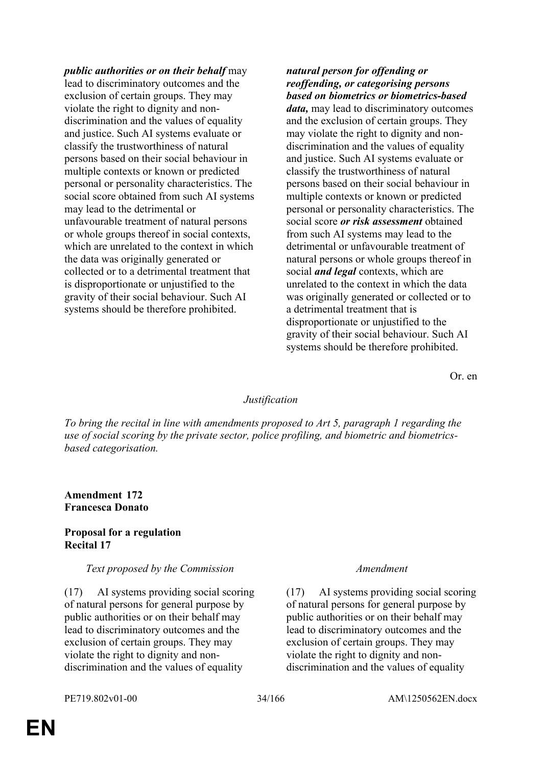*public authorities or on their behalf* may lead to discriminatory outcomes and the exclusion of certain groups. They may violate the right to dignity and nondiscrimination and the values of equality and justice. Such AI systems evaluate or classify the trustworthiness of natural persons based on their social behaviour in multiple contexts or known or predicted personal or personality characteristics. The social score obtained from such AI systems may lead to the detrimental or unfavourable treatment of natural persons or whole groups thereof in social contexts, which are unrelated to the context in which the data was originally generated or collected or to a detrimental treatment that is disproportionate or unjustified to the gravity of their social behaviour. Such AI systems should be therefore prohibited.

## *natural person for offending or reoffending, or categorising persons based on biometrics or biometrics-based*

*data,* may lead to discriminatory outcomes and the exclusion of certain groups. They may violate the right to dignity and nondiscrimination and the values of equality and justice. Such AI systems evaluate or classify the trustworthiness of natural persons based on their social behaviour in multiple contexts or known or predicted personal or personality characteristics. The social score *or risk assessment* obtained from such AI systems may lead to the detrimental or unfavourable treatment of natural persons or whole groups thereof in social *and legal* contexts, which are unrelated to the context in which the data was originally generated or collected or to a detrimental treatment that is disproportionate or unjustified to the gravity of their social behaviour. Such AI systems should be therefore prohibited.

Or. en

## *Justification*

*To bring the recital in line with amendments proposed to Art 5, paragraph 1 regarding the use of social scoring by the private sector, police profiling, and biometric and biometricsbased categorisation.*

## **Amendment 172 Francesca Donato**

### **Proposal for a regulation Recital 17**

### *Text proposed by the Commission Amendment*

(17) AI systems providing social scoring of natural persons for general purpose by public authorities or on their behalf may lead to discriminatory outcomes and the exclusion of certain groups. They may violate the right to dignity and nondiscrimination and the values of equality

(17) AI systems providing social scoring of natural persons for general purpose by public authorities or on their behalf may lead to discriminatory outcomes and the exclusion of certain groups. They may violate the right to dignity and nondiscrimination and the values of equality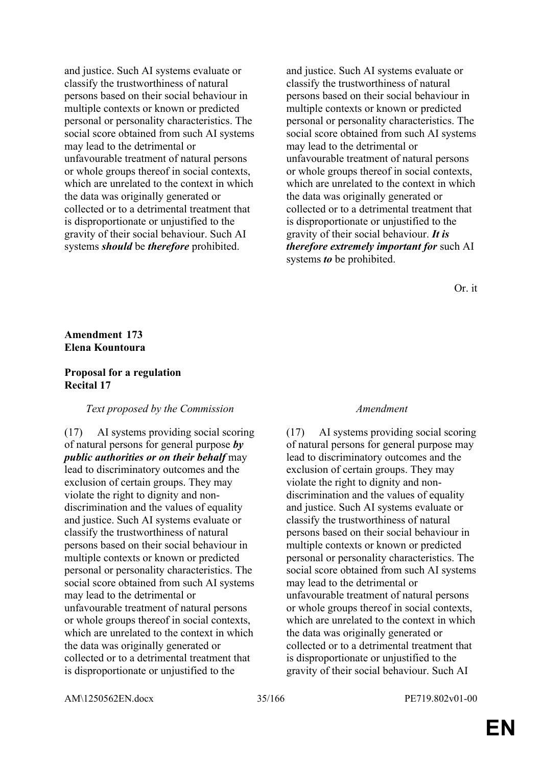and justice. Such AI systems evaluate or classify the trustworthiness of natural persons based on their social behaviour in multiple contexts or known or predicted personal or personality characteristics. The social score obtained from such AI systems may lead to the detrimental or unfavourable treatment of natural persons or whole groups thereof in social contexts, which are unrelated to the context in which the data was originally generated or collected or to a detrimental treatment that is disproportionate or unjustified to the gravity of their social behaviour. Such AI systems *should* be *therefore* prohibited.

and justice. Such AI systems evaluate or classify the trustworthiness of natural persons based on their social behaviour in multiple contexts or known or predicted personal or personality characteristics. The social score obtained from such AI systems may lead to the detrimental or unfavourable treatment of natural persons or whole groups thereof in social contexts, which are unrelated to the context in which the data was originally generated or collected or to a detrimental treatment that is disproportionate or unjustified to the gravity of their social behaviour. *It is therefore extremely important for* such AI systems *to* be prohibited.

Or. it

## **Amendment 173 Elena Kountoura**

### **Proposal for a regulation Recital 17**

### *Text proposed by the Commission Amendment*

(17) AI systems providing social scoring of natural persons for general purpose *by public authorities or on their behalf* may lead to discriminatory outcomes and the exclusion of certain groups. They may violate the right to dignity and nondiscrimination and the values of equality and justice. Such AI systems evaluate or classify the trustworthiness of natural persons based on their social behaviour in multiple contexts or known or predicted personal or personality characteristics. The social score obtained from such AI systems may lead to the detrimental or unfavourable treatment of natural persons or whole groups thereof in social contexts, which are unrelated to the context in which the data was originally generated or collected or to a detrimental treatment that is disproportionate or unjustified to the

(17) AI systems providing social scoring of natural persons for general purpose may lead to discriminatory outcomes and the exclusion of certain groups. They may violate the right to dignity and nondiscrimination and the values of equality and justice. Such AI systems evaluate or classify the trustworthiness of natural persons based on their social behaviour in multiple contexts or known or predicted personal or personality characteristics. The social score obtained from such AI systems may lead to the detrimental or unfavourable treatment of natural persons or whole groups thereof in social contexts, which are unrelated to the context in which the data was originally generated or collected or to a detrimental treatment that is disproportionate or unjustified to the gravity of their social behaviour. Such AI

AM\1250562EN.docx 35/166 PE719.802v01-00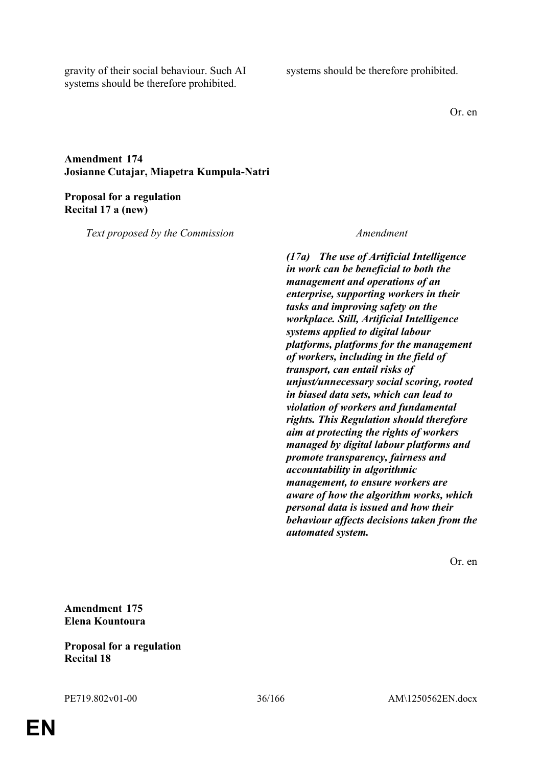gravity of their social behaviour. Such AI systems should be therefore prohibited.

systems should be therefore prohibited.

Or. en

## **Amendment 174 Josianne Cutajar, Miapetra Kumpula-Natri**

## **Proposal for a regulation Recital 17 a (new)**

*Text proposed by the Commission Amendment*

*(17a) The use of Artificial Intelligence in work can be beneficial to both the management and operations of an enterprise, supporting workers in their tasks and improving safety on the workplace. Still, Artificial Intelligence systems applied to digital labour platforms, platforms for the management of workers, including in the field of transport, can entail risks of unjust/unnecessary social scoring, rooted in biased data sets, which can lead to violation of workers and fundamental rights. This Regulation should therefore aim at protecting the rights of workers managed by digital labour platforms and promote transparency, fairness and accountability in algorithmic management, to ensure workers are aware of how the algorithm works, which personal data is issued and how their behaviour affects decisions taken from the automated system.*

Or. en

**Amendment 175 Elena Kountoura**

## **Proposal for a regulation Recital 18**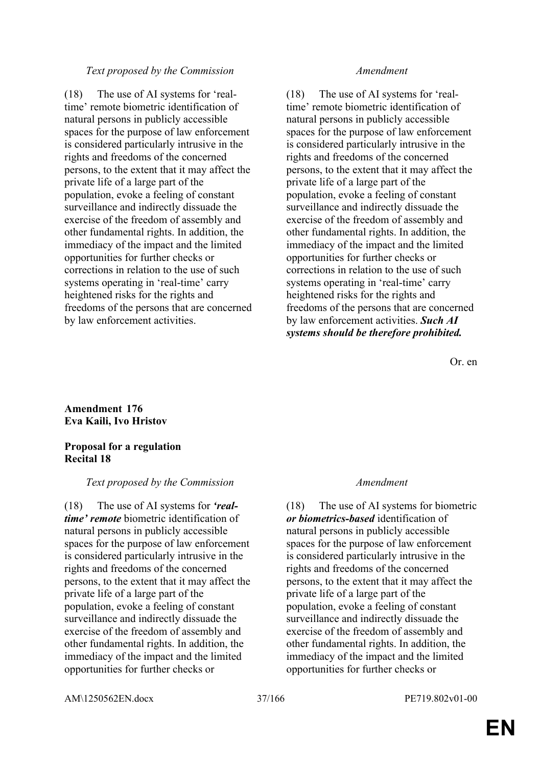## *Text proposed by the Commission Amendment*

(18) The use of AI systems for 'realtime' remote biometric identification of natural persons in publicly accessible spaces for the purpose of law enforcement is considered particularly intrusive in the rights and freedoms of the concerned persons, to the extent that it may affect the private life of a large part of the population, evoke a feeling of constant surveillance and indirectly dissuade the exercise of the freedom of assembly and other fundamental rights. In addition, the immediacy of the impact and the limited opportunities for further checks or corrections in relation to the use of such systems operating in 'real-time' carry heightened risks for the rights and freedoms of the persons that are concerned by law enforcement activities.

(18) The use of AI systems for 'realtime' remote biometric identification of natural persons in publicly accessible spaces for the purpose of law enforcement is considered particularly intrusive in the rights and freedoms of the concerned persons, to the extent that it may affect the private life of a large part of the population, evoke a feeling of constant surveillance and indirectly dissuade the exercise of the freedom of assembly and other fundamental rights. In addition, the immediacy of the impact and the limited opportunities for further checks or corrections in relation to the use of such systems operating in 'real-time' carry heightened risks for the rights and freedoms of the persons that are concerned by law enforcement activities. *Such AI systems should be therefore prohibited.*

Or. en

# **Amendment 176 Eva Kaili, Ivo Hristov**

### **Proposal for a regulation Recital 18**

## *Text proposed by the Commission Amendment*

(18) The use of AI systems for *'realtime' remote* biometric identification of natural persons in publicly accessible spaces for the purpose of law enforcement is considered particularly intrusive in the rights and freedoms of the concerned persons, to the extent that it may affect the private life of a large part of the population, evoke a feeling of constant surveillance and indirectly dissuade the exercise of the freedom of assembly and other fundamental rights. In addition, the immediacy of the impact and the limited opportunities for further checks or

(18) The use of AI systems for biometric *or biometrics-based* identification of natural persons in publicly accessible spaces for the purpose of law enforcement is considered particularly intrusive in the rights and freedoms of the concerned persons, to the extent that it may affect the private life of a large part of the population, evoke a feeling of constant surveillance and indirectly dissuade the exercise of the freedom of assembly and other fundamental rights. In addition, the immediacy of the impact and the limited opportunities for further checks or

AM\1250562EN.docx 37/166 PE719.802v01-00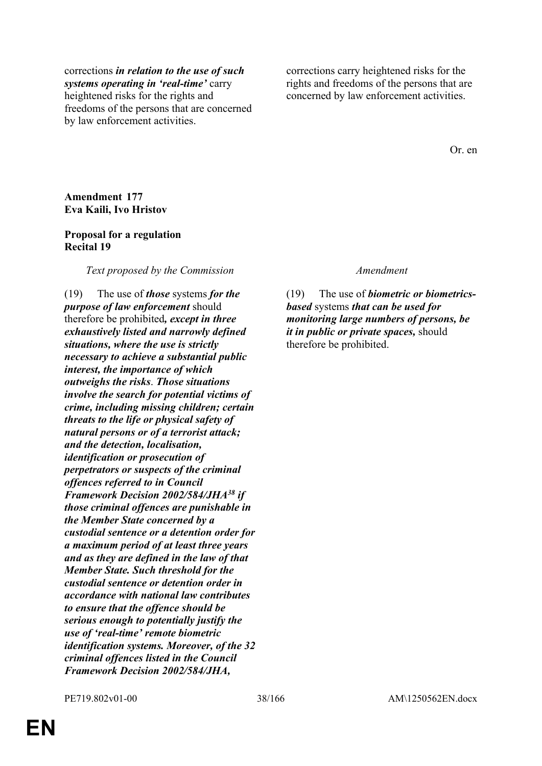corrections *in relation to the use of such systems operating in 'real-time'* carry heightened risks for the rights and freedoms of the persons that are concerned by law enforcement activities.

corrections carry heightened risks for the rights and freedoms of the persons that are concerned by law enforcement activities.

Or. en

## **Amendment 177 Eva Kaili, Ivo Hristov**

### **Proposal for a regulation Recital 19**

### *Text proposed by the Commission Amendment*

(19) The use of *those* systems *for the purpose of law enforcement* should therefore be prohibited*, except in three exhaustively listed and narrowly defined situations, where the use is strictly necessary to achieve a substantial public interest, the importance of which outweighs the risks*. *Those situations involve the search for potential victims of crime, including missing children; certain threats to the life or physical safety of natural persons or of a terrorist attack; and the detection, localisation, identification or prosecution of perpetrators or suspects of the criminal offences referred to in Council Framework Decision 2002/584/JHA<sup>38</sup> if those criminal offences are punishable in the Member State concerned by a custodial sentence or a detention order for a maximum period of at least three years and as they are defined in the law of that Member State. Such threshold for the custodial sentence or detention order in accordance with national law contributes to ensure that the offence should be serious enough to potentially justify the use of 'real-time' remote biometric identification systems. Moreover, of the 32 criminal offences listed in the Council Framework Decision 2002/584/JHA,* 

(19) The use of *biometric or biometricsbased* systems *that can be used for monitoring large numbers of persons, be it in public or private spaces,* should therefore be prohibited.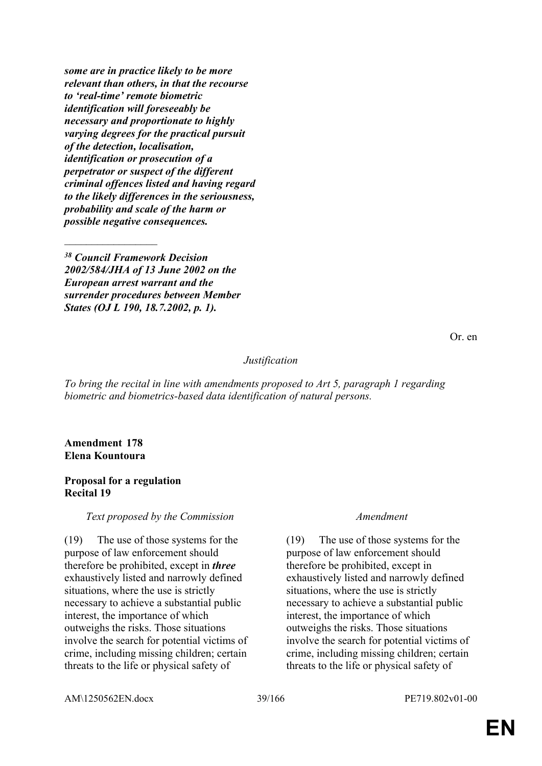*some are in practice likely to be more relevant than others, in that the recourse to 'real-time' remote biometric identification will foreseeably be necessary and proportionate to highly varying degrees for the practical pursuit of the detection, localisation, identification or prosecution of a perpetrator or suspect of the different criminal offences listed and having regard to the likely differences in the seriousness, probability and scale of the harm or possible negative consequences.*

*<sup>38</sup> Council Framework Decision 2002/584/JHA of 13 June 2002 on the European arrest warrant and the surrender procedures between Member States (OJ L 190, 18.7.2002, p. 1).*

*Justification*

*To bring the recital in line with amendments proposed to Art 5, paragraph 1 regarding biometric and biometrics-based data identification of natural persons.*

**Amendment 178 Elena Kountoura**

 $\mathcal{L}_\text{max}$ 

### **Proposal for a regulation Recital 19**

## *Text proposed by the Commission Amendment*

(19) The use of those systems for the purpose of law enforcement should therefore be prohibited, except in *three* exhaustively listed and narrowly defined situations, where the use is strictly necessary to achieve a substantial public interest, the importance of which outweighs the risks. Those situations involve the search for potential victims of crime, including missing children; certain threats to the life or physical safety of

(19) The use of those systems for the purpose of law enforcement should therefore be prohibited, except in exhaustively listed and narrowly defined situations, where the use is strictly necessary to achieve a substantial public interest, the importance of which outweighs the risks. Those situations involve the search for potential victims of crime, including missing children; certain threats to the life or physical safety of

AM\1250562EN.docx 39/166 PE719.802v01-00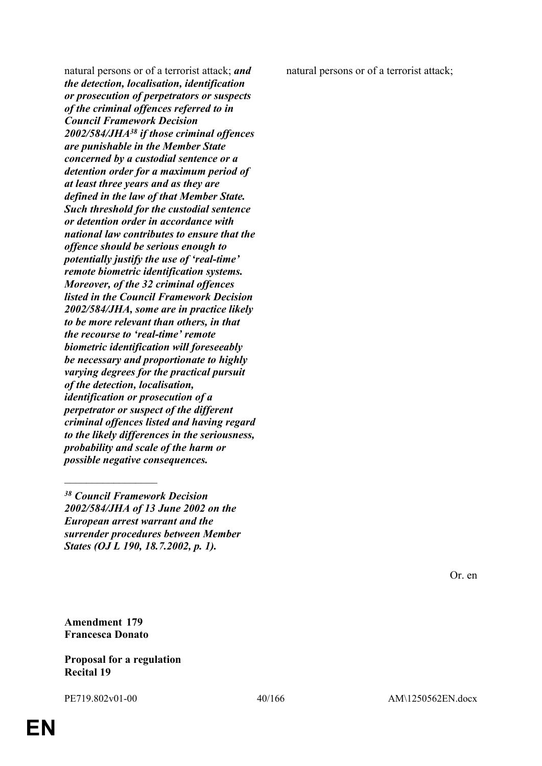natural persons or of a terrorist attack; *and the detection, localisation, identification or prosecution of perpetrators or suspects of the criminal offences referred to in Council Framework Decision 2002/584/JHA<sup>38</sup> if those criminal offences are punishable in the Member State concerned by a custodial sentence or a detention order for a maximum period of at least three years and as they are defined in the law of that Member State. Such threshold for the custodial sentence or detention order in accordance with national law contributes to ensure that the offence should be serious enough to potentially justify the use of 'real-time' remote biometric identification systems. Moreover, of the 32 criminal offences listed in the Council Framework Decision 2002/584/JHA, some are in practice likely to be more relevant than others, in that the recourse to 'real-time' remote biometric identification will foreseeably be necessary and proportionate to highly varying degrees for the practical pursuit of the detection, localisation, identification or prosecution of a perpetrator or suspect of the different criminal offences listed and having regard to the likely differences in the seriousness, probability and scale of the harm or possible negative consequences.*

natural persons or of a terrorist attack;

Or. en

**Amendment 179 Francesca Donato**

 $\frac{1}{2}$ 

# **Proposal for a regulation Recital 19**

*<sup>38</sup> Council Framework Decision 2002/584/JHA of 13 June 2002 on the European arrest warrant and the surrender procedures between Member States (OJ L 190, 18.7.2002, p. 1).*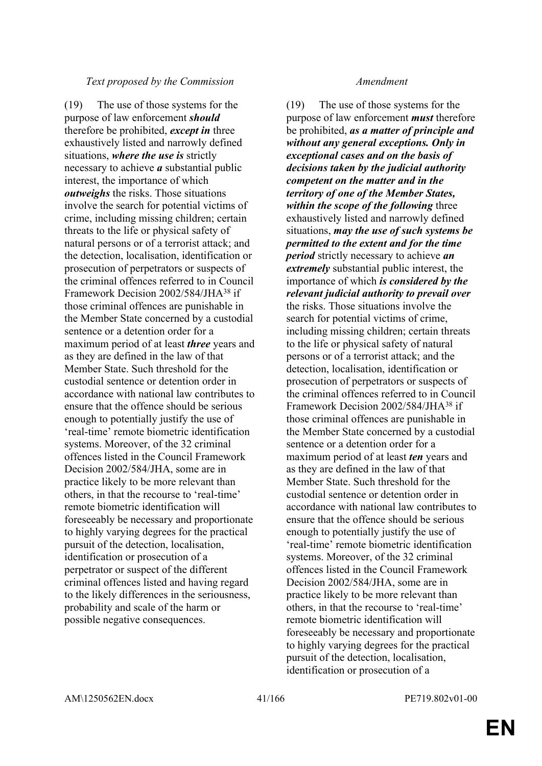## *Text proposed by the Commission Amendment*

(19) The use of those systems for the purpose of law enforcement *should* therefore be prohibited, *except in* three exhaustively listed and narrowly defined situations, *where the use is* strictly necessary to achieve *a* substantial public interest, the importance of which *outweighs* the risks. Those situations involve the search for potential victims of crime, including missing children; certain threats to the life or physical safety of natural persons or of a terrorist attack; and the detection, localisation, identification or prosecution of perpetrators or suspects of the criminal offences referred to in Council Framework Decision 2002/584/JHA<sup>38</sup> if those criminal offences are punishable in the Member State concerned by a custodial sentence or a detention order for a maximum period of at least *three* years and as they are defined in the law of that Member State. Such threshold for the custodial sentence or detention order in accordance with national law contributes to ensure that the offence should be serious enough to potentially justify the use of 'real-time' remote biometric identification systems. Moreover, of the 32 criminal offences listed in the Council Framework Decision 2002/584/JHA, some are in practice likely to be more relevant than others, in that the recourse to 'real-time' remote biometric identification will foreseeably be necessary and proportionate to highly varying degrees for the practical pursuit of the detection, localisation, identification or prosecution of a perpetrator or suspect of the different criminal offences listed and having regard to the likely differences in the seriousness, probability and scale of the harm or possible negative consequences.

(19) The use of those systems for the purpose of law enforcement *must* therefore be prohibited, *as a matter of principle and without any general exceptions. Only in exceptional cases and on the basis of decisions taken by the judicial authority competent on the matter and in the territory of one of the Member States, within the scope of the following* three exhaustively listed and narrowly defined situations, *may the use of such systems be permitted to the extent and for the time period* strictly necessary to achieve *an extremely* substantial public interest, the importance of which *is considered by the relevant judicial authority to prevail over* the risks. Those situations involve the search for potential victims of crime, including missing children; certain threats to the life or physical safety of natural persons or of a terrorist attack; and the detection, localisation, identification or prosecution of perpetrators or suspects of the criminal offences referred to in Council Framework Decision 2002/584/JHA<sup>38</sup> if those criminal offences are punishable in the Member State concerned by a custodial sentence or a detention order for a maximum period of at least *ten* years and as they are defined in the law of that Member State. Such threshold for the custodial sentence or detention order in accordance with national law contributes to ensure that the offence should be serious enough to potentially justify the use of 'real-time' remote biometric identification systems. Moreover, of the 32 criminal offences listed in the Council Framework Decision 2002/584/JHA, some are in practice likely to be more relevant than others, in that the recourse to 'real-time' remote biometric identification will foreseeably be necessary and proportionate to highly varying degrees for the practical pursuit of the detection, localisation, identification or prosecution of a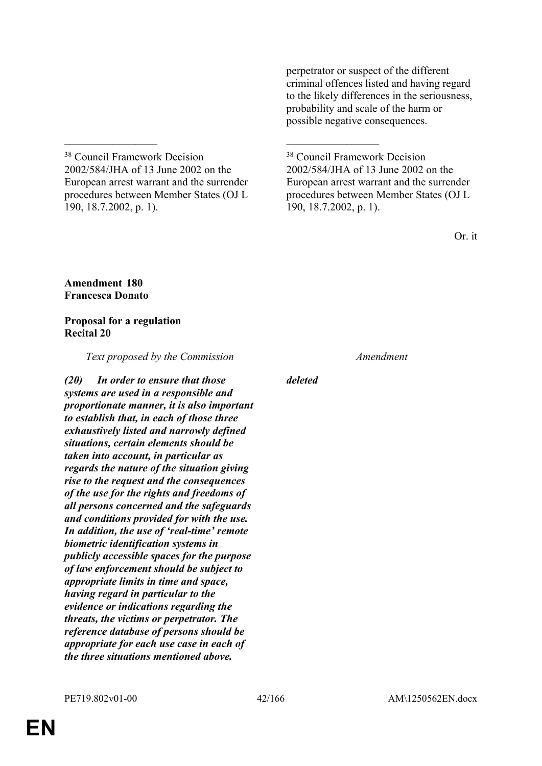perpetrator or suspect of the different criminal offences listed and having regard to the likely differences in the seriousness, probability and scale of the harm or possible negative consequences.

<sup>38</sup> Council Framework Decision 2002/584/JHA of 13 June 2002 on the European arrest warrant and the surrender procedures between Member States (OJ L 190, 18.7.2002, p. 1).

\_\_\_\_\_\_\_\_\_\_\_\_\_\_\_\_\_ \_\_\_\_\_\_\_\_\_\_\_\_\_\_\_\_\_

<sup>38</sup> Council Framework Decision 2002/584/JHA of 13 June 2002 on the European arrest warrant and the surrender procedures between Member States (OJ L 190, 18.7.2002, p. 1).

Or. it

# **Amendment 180 Francesca Donato**

# **Proposal for a regulation Recital 20**

*Text proposed by the Commission Amendment*

*(20) In order to ensure that those systems are used in a responsible and proportionate manner, it is also important to establish that, in each of those three exhaustively listed and narrowly defined situations, certain elements should be taken into account, in particular as regards the nature of the situation giving rise to the request and the consequences of the use for the rights and freedoms of all persons concerned and the safeguards and conditions provided for with the use. In addition, the use of 'real-time' remote biometric identification systems in publicly accessible spaces for the purpose of law enforcement should be subject to appropriate limits in time and space, having regard in particular to the evidence or indications regarding the threats, the victims or perpetrator. The reference database of persons should be appropriate for each use case in each of the three situations mentioned above.*

*deleted*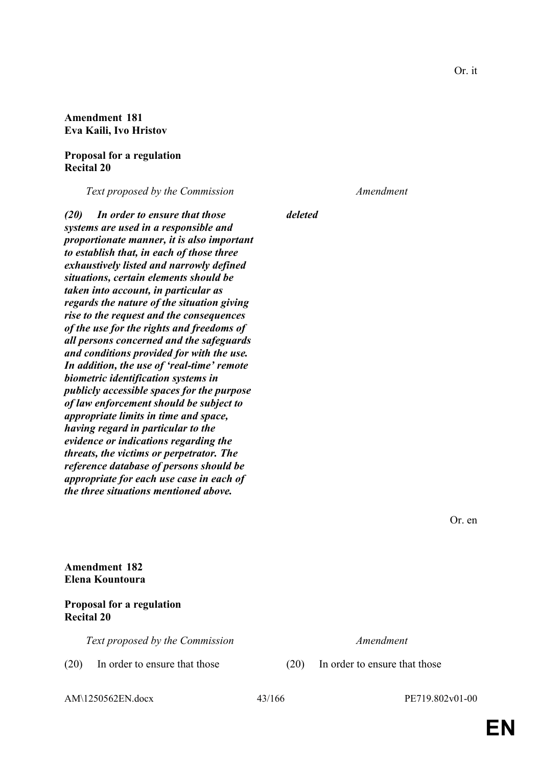# **Amendment 181 Eva Kaili, Ivo Hristov**

### **Proposal for a regulation Recital 20**

*Text proposed by the Commission Amendment*

*(20) In order to ensure that those systems are used in a responsible and proportionate manner, it is also important to establish that, in each of those three exhaustively listed and narrowly defined situations, certain elements should be taken into account, in particular as regards the nature of the situation giving rise to the request and the consequences of the use for the rights and freedoms of all persons concerned and the safeguards and conditions provided for with the use. In addition, the use of 'real-time' remote biometric identification systems in publicly accessible spaces for the purpose of law enforcement should be subject to appropriate limits in time and space, having regard in particular to the evidence or indications regarding the threats, the victims or perpetrator. The reference database of persons should be appropriate for each use case in each of the three situations mentioned above.*

*deleted*

Or. en

**Amendment 182 Elena Kountoura**

**Proposal for a regulation Recital 20**

*Text proposed by the Commission Amendment*

(20) In order to ensure that those (20) In order to ensure that those

AM\1250562EN.docx 43/166 PE719.802v01-00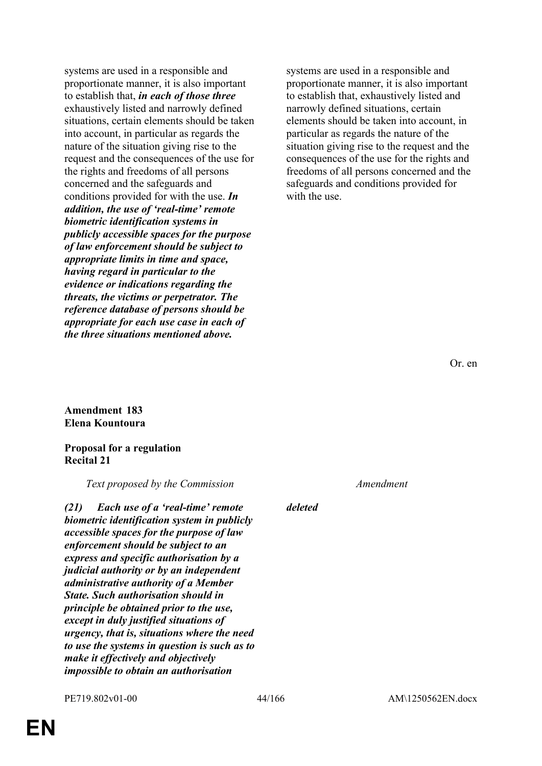systems are used in a responsible and proportionate manner, it is also important to establish that, *in each of those three* exhaustively listed and narrowly defined situations, certain elements should be taken into account, in particular as regards the nature of the situation giving rise to the request and the consequences of the use for the rights and freedoms of all persons concerned and the safeguards and conditions provided for with the use. *In addition, the use of 'real-time' remote biometric identification systems in publicly accessible spaces for the purpose of law enforcement should be subject to appropriate limits in time and space, having regard in particular to the evidence or indications regarding the threats, the victims or perpetrator. The reference database of persons should be appropriate for each use case in each of the three situations mentioned above.*

systems are used in a responsible and proportionate manner, it is also important to establish that, exhaustively listed and narrowly defined situations, certain elements should be taken into account, in particular as regards the nature of the situation giving rise to the request and the consequences of the use for the rights and freedoms of all persons concerned and the safeguards and conditions provided for with the use.

Or. en

### **Amendment 183 Elena Kountoura**

### **Proposal for a regulation Recital 21**

*Text proposed by the Commission Amendment*

*(21) Each use of a 'real-time' remote biometric identification system in publicly accessible spaces for the purpose of law enforcement should be subject to an express and specific authorisation by a judicial authority or by an independent administrative authority of a Member State. Such authorisation should in principle be obtained prior to the use, except in duly justified situations of urgency, that is, situations where the need to use the systems in question is such as to make it effectively and objectively impossible to obtain an authorisation* 

*deleted*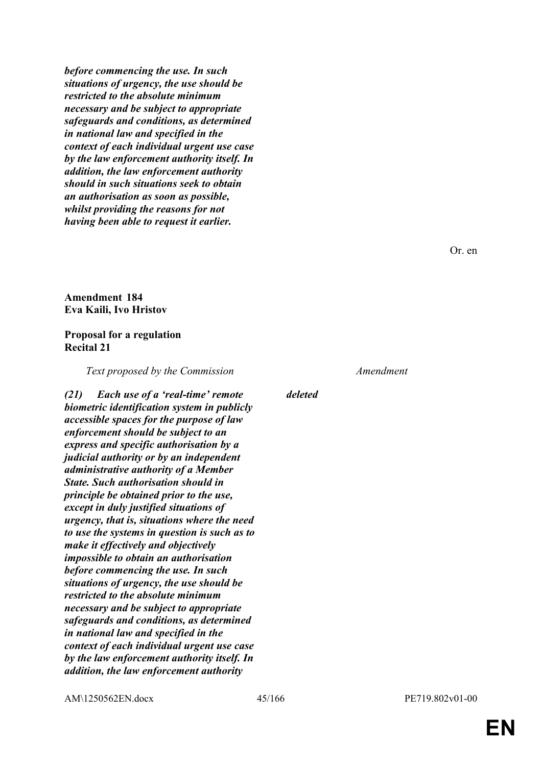*before commencing the use. In such situations of urgency, the use should be restricted to the absolute minimum necessary and be subject to appropriate safeguards and conditions, as determined in national law and specified in the context of each individual urgent use case by the law enforcement authority itself. In addition, the law enforcement authority should in such situations seek to obtain an authorisation as soon as possible, whilst providing the reasons for not having been able to request it earlier.*

Or. en

# **Amendment 184 Eva Kaili, Ivo Hristov**

# **Proposal for a regulation Recital 21**

*Text proposed by the Commission Amendment*

*(21) Each use of a 'real-time' remote biometric identification system in publicly accessible spaces for the purpose of law enforcement should be subject to an express and specific authorisation by a judicial authority or by an independent administrative authority of a Member State. Such authorisation should in principle be obtained prior to the use, except in duly justified situations of urgency, that is, situations where the need to use the systems in question is such as to make it effectively and objectively impossible to obtain an authorisation before commencing the use. In such situations of urgency, the use should be restricted to the absolute minimum necessary and be subject to appropriate safeguards and conditions, as determined in national law and specified in the context of each individual urgent use case by the law enforcement authority itself. In addition, the law enforcement authority* 

*deleted*

AM\1250562EN.docx 45/166 PE719.802v01-00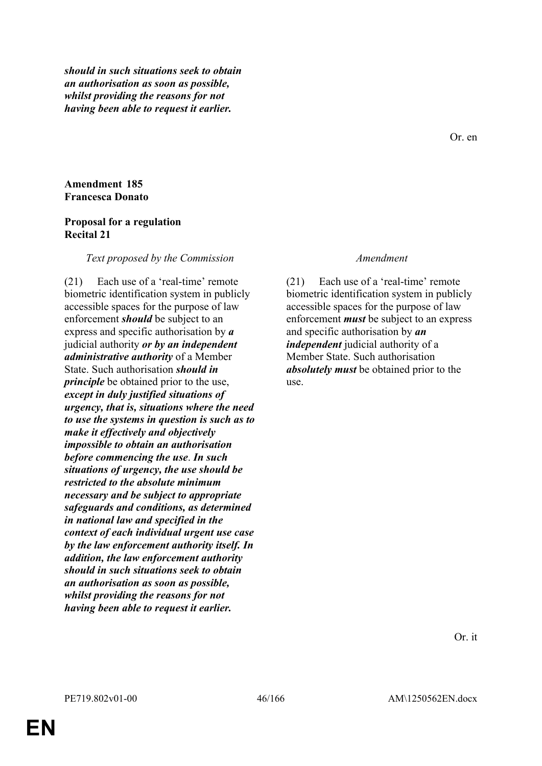*should in such situations seek to obtain an authorisation as soon as possible, whilst providing the reasons for not having been able to request it earlier.*

Or. en

# **Amendment 185 Francesca Donato**

## **Proposal for a regulation Recital 21**

### *Text proposed by the Commission Amendment*

(21) Each use of a 'real-time' remote biometric identification system in publicly accessible spaces for the purpose of law enforcement *should* be subject to an express and specific authorisation by *a* judicial authority *or by an independent administrative authority* of a Member State. Such authorisation *should in principle* be obtained prior to the use, *except in duly justified situations of urgency, that is, situations where the need to use the systems in question is such as to make it effectively and objectively impossible to obtain an authorisation before commencing the use*. *In such situations of urgency, the use should be restricted to the absolute minimum necessary and be subject to appropriate safeguards and conditions, as determined in national law and specified in the context of each individual urgent use case by the law enforcement authority itself. In addition, the law enforcement authority should in such situations seek to obtain an authorisation as soon as possible, whilst providing the reasons for not having been able to request it earlier.*

(21) Each use of a 'real-time' remote biometric identification system in publicly accessible spaces for the purpose of law enforcement *must* be subject to an express and specific authorisation by *an independent* judicial authority of a Member State. Such authorisation *absolutely must* be obtained prior to the use.

Or. it

**EN**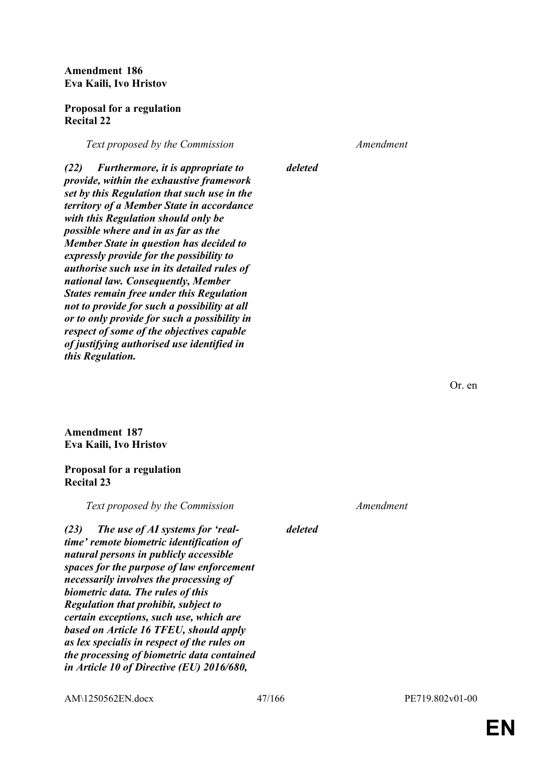**Amendment 186 Eva Kaili, Ivo Hristov**

## **Proposal for a regulation Recital 22**

*Text proposed by the Commission Amendment*

*deleted*

*(22) Furthermore, it is appropriate to provide, within the exhaustive framework set by this Regulation that such use in the territory of a Member State in accordance with this Regulation should only be possible where and in as far as the Member State in question has decided to expressly provide for the possibility to authorise such use in its detailed rules of national law. Consequently, Member States remain free under this Regulation not to provide for such a possibility at all or to only provide for such a possibility in respect of some of the objectives capable of justifying authorised use identified in this Regulation.*

Or. en

**Amendment 187 Eva Kaili, Ivo Hristov**

## **Proposal for a regulation Recital 23**

*Text proposed by the Commission Amendment*

*(23) The use of AI systems for 'realtime' remote biometric identification of natural persons in publicly accessible spaces for the purpose of law enforcement necessarily involves the processing of biometric data. The rules of this Regulation that prohibit, subject to certain exceptions, such use, which are based on Article 16 TFEU, should apply as lex specialis in respect of the rules on the processing of biometric data contained in Article 10 of Directive (EU) 2016/680,* 

*deleted*

AM\1250562EN.docx 47/166 PE719.802v01-00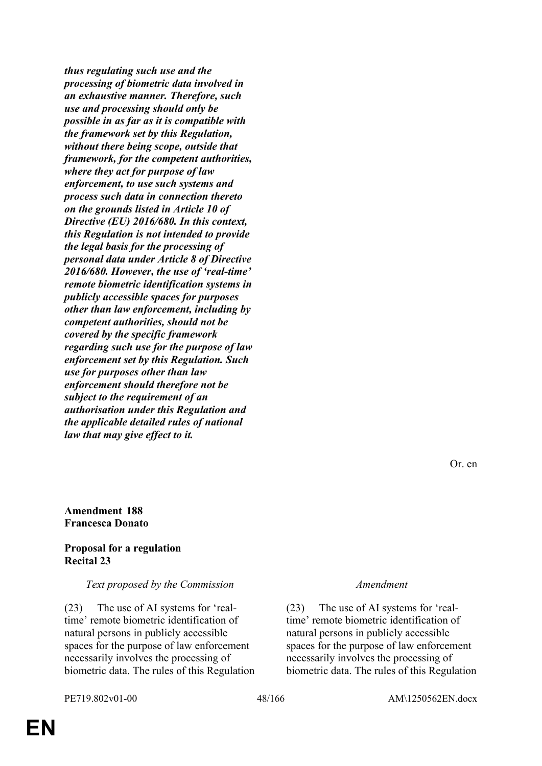*thus regulating such use and the processing of biometric data involved in an exhaustive manner. Therefore, such use and processing should only be possible in as far as it is compatible with the framework set by this Regulation, without there being scope, outside that framework, for the competent authorities, where they act for purpose of law enforcement, to use such systems and process such data in connection thereto on the grounds listed in Article 10 of Directive (EU) 2016/680. In this context, this Regulation is not intended to provide the legal basis for the processing of personal data under Article 8 of Directive 2016/680. However, the use of 'real-time' remote biometric identification systems in publicly accessible spaces for purposes other than law enforcement, including by competent authorities, should not be covered by the specific framework regarding such use for the purpose of law enforcement set by this Regulation. Such use for purposes other than law enforcement should therefore not be subject to the requirement of an authorisation under this Regulation and the applicable detailed rules of national law that may give effect to it.*

Or. en

### **Amendment 188 Francesca Donato**

## **Proposal for a regulation Recital 23**

## *Text proposed by the Commission Amendment*

(23) The use of AI systems for 'realtime' remote biometric identification of natural persons in publicly accessible spaces for the purpose of law enforcement necessarily involves the processing of biometric data. The rules of this Regulation

(23) The use of AI systems for 'realtime' remote biometric identification of natural persons in publicly accessible spaces for the purpose of law enforcement necessarily involves the processing of biometric data. The rules of this Regulation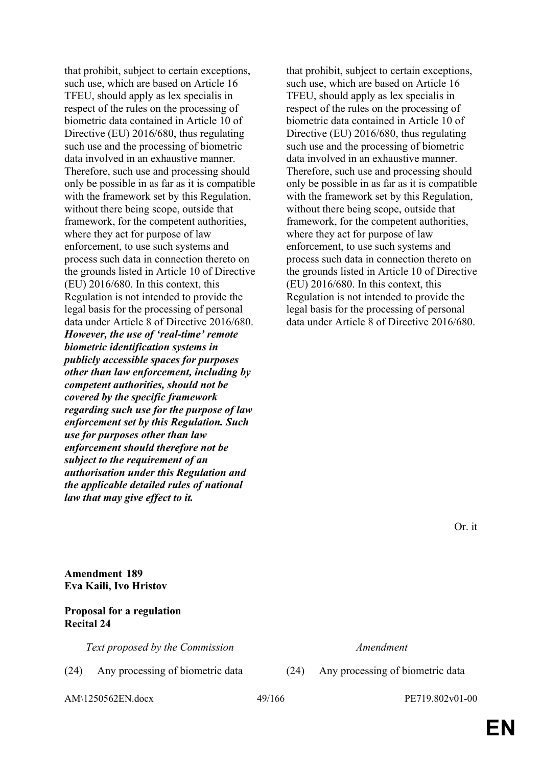that prohibit, subject to certain exceptions, such use, which are based on Article 16 TFEU, should apply as lex specialis in respect of the rules on the processing of biometric data contained in Article 10 of Directive (EU) 2016/680, thus regulating such use and the processing of biometric data involved in an exhaustive manner. Therefore, such use and processing should only be possible in as far as it is compatible with the framework set by this Regulation, without there being scope, outside that framework, for the competent authorities, where they act for purpose of law enforcement, to use such systems and process such data in connection thereto on the grounds listed in Article 10 of Directive (EU) 2016/680. In this context, this Regulation is not intended to provide the legal basis for the processing of personal data under Article 8 of Directive 2016/680. *However, the use of 'real-time' remote biometric identification systems in publicly accessible spaces for purposes other than law enforcement, including by competent authorities, should not be covered by the specific framework regarding such use for the purpose of law enforcement set by this Regulation. Such use for purposes other than law enforcement should therefore not be subject to the requirement of an authorisation under this Regulation and the applicable detailed rules of national law that may give effect to it.*

that prohibit, subject to certain exceptions, such use, which are based on Article 16 TFEU, should apply as lex specialis in respect of the rules on the processing of biometric data contained in Article 10 of Directive (EU) 2016/680, thus regulating such use and the processing of biometric data involved in an exhaustive manner. Therefore, such use and processing should only be possible in as far as it is compatible with the framework set by this Regulation, without there being scope, outside that framework, for the competent authorities, where they act for purpose of law enforcement, to use such systems and process such data in connection thereto on the grounds listed in Article 10 of Directive (EU) 2016/680. In this context, this Regulation is not intended to provide the legal basis for the processing of personal data under Article 8 of Directive 2016/680.

Or. it

**Amendment 189 Eva Kaili, Ivo Hristov**

# **Proposal for a regulation Recital 24**

*Text proposed by the Commission Amendment*

(24) Any processing of biometric data (24) Any processing of biometric data

AM\1250562EN.docx 49/166 PE719.802v01-00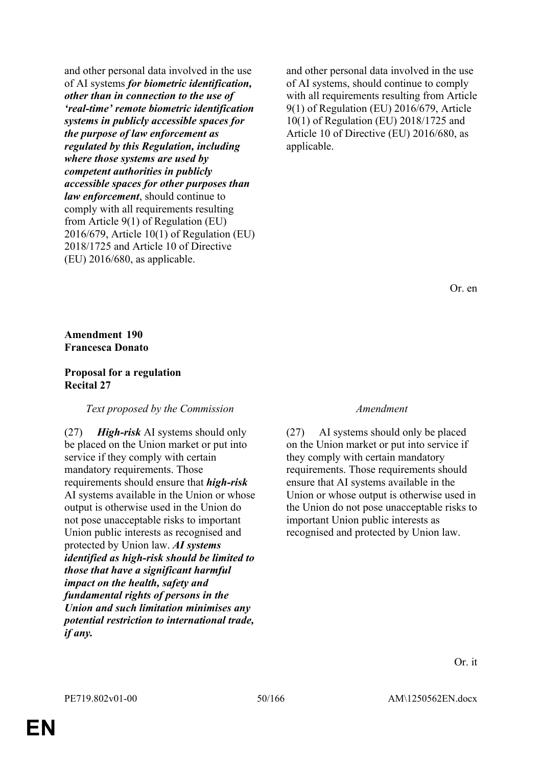and other personal data involved in the use of AI systems *for biometric identification, other than in connection to the use of 'real-time' remote biometric identification systems in publicly accessible spaces for the purpose of law enforcement as regulated by this Regulation, including where those systems are used by competent authorities in publicly accessible spaces for other purposes than law enforcement*, should continue to comply with all requirements resulting from Article 9(1) of Regulation (EU) 2016/679, Article 10(1) of Regulation (EU) 2018/1725 and Article 10 of Directive (EU) 2016/680, as applicable.

and other personal data involved in the use of AI systems, should continue to comply with all requirements resulting from Article 9(1) of Regulation (EU) 2016/679, Article 10(1) of Regulation (EU) 2018/1725 and Article 10 of Directive (EU) 2016/680, as applicable.

Or. en

# **Amendment 190 Francesca Donato**

## **Proposal for a regulation Recital 27**

## *Text proposed by the Commission Amendment*

(27) *High-risk* AI systems should only be placed on the Union market or put into service if they comply with certain mandatory requirements. Those requirements should ensure that *high-risk* AI systems available in the Union or whose output is otherwise used in the Union do not pose unacceptable risks to important Union public interests as recognised and protected by Union law. *AI systems identified as high-risk should be limited to those that have a significant harmful impact on the health, safety and fundamental rights of persons in the Union and such limitation minimises any potential restriction to international trade, if any.*

(27) AI systems should only be placed on the Union market or put into service if they comply with certain mandatory requirements. Those requirements should ensure that AI systems available in the Union or whose output is otherwise used in the Union do not pose unacceptable risks to important Union public interests as recognised and protected by Union law.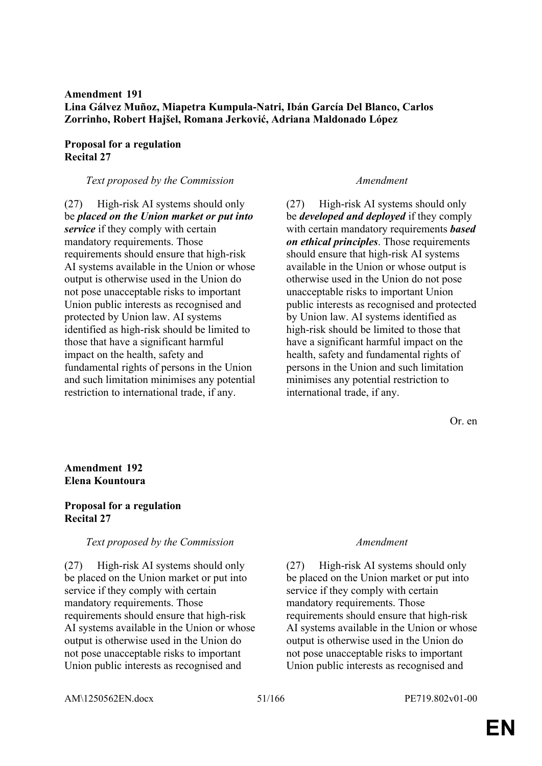# **Amendment 191 Lina Gálvez Muñoz, Miapetra Kumpula-Natri, Ibán García Del Blanco, Carlos Zorrinho, Robert Hajšel, Romana Jerković, Adriana Maldonado López**

# **Proposal for a regulation Recital 27**

# *Text proposed by the Commission Amendment*

(27) High-risk AI systems should only be *placed on the Union market or put into service* if they comply with certain mandatory requirements. Those requirements should ensure that high-risk AI systems available in the Union or whose output is otherwise used in the Union do not pose unacceptable risks to important Union public interests as recognised and protected by Union law. AI systems identified as high-risk should be limited to those that have a significant harmful impact on the health, safety and fundamental rights of persons in the Union and such limitation minimises any potential restriction to international trade, if any.

(27) High-risk AI systems should only be *developed and deployed* if they comply with certain mandatory requirements *based on ethical principles*. Those requirements should ensure that high-risk AI systems available in the Union or whose output is otherwise used in the Union do not pose unacceptable risks to important Union public interests as recognised and protected by Union law. AI systems identified as high-risk should be limited to those that have a significant harmful impact on the health, safety and fundamental rights of persons in the Union and such limitation minimises any potential restriction to international trade, if any.

Or. en

# **Amendment 192 Elena Kountoura**

# **Proposal for a regulation Recital 27**

## *Text proposed by the Commission Amendment*

(27) High-risk AI systems should only be placed on the Union market or put into service if they comply with certain mandatory requirements. Those requirements should ensure that high-risk AI systems available in the Union or whose output is otherwise used in the Union do not pose unacceptable risks to important Union public interests as recognised and

(27) High-risk AI systems should only be placed on the Union market or put into service if they comply with certain mandatory requirements. Those requirements should ensure that high-risk AI systems available in the Union or whose output is otherwise used in the Union do not pose unacceptable risks to important Union public interests as recognised and

AM\1250562EN.docx 51/166 PE719.802v01-00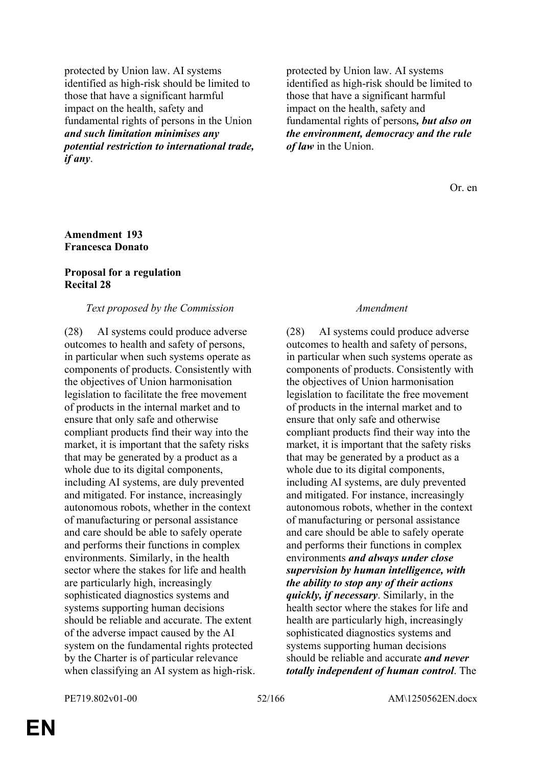protected by Union law. AI systems identified as high-risk should be limited to those that have a significant harmful impact on the health, safety and fundamental rights of persons in the Union *and such limitation minimises any potential restriction to international trade, if any*.

protected by Union law. AI systems identified as high-risk should be limited to those that have a significant harmful impact on the health, safety and fundamental rights of persons*, but also on the environment, democracy and the rule of law* in the Union.

Or. en

# **Amendment 193 Francesca Donato**

# **Proposal for a regulation Recital 28**

# *Text proposed by the Commission Amendment*

(28) AI systems could produce adverse outcomes to health and safety of persons, in particular when such systems operate as components of products. Consistently with the objectives of Union harmonisation legislation to facilitate the free movement of products in the internal market and to ensure that only safe and otherwise compliant products find their way into the market, it is important that the safety risks that may be generated by a product as a whole due to its digital components, including AI systems, are duly prevented and mitigated. For instance, increasingly autonomous robots, whether in the context of manufacturing or personal assistance and care should be able to safely operate and performs their functions in complex environments. Similarly, in the health sector where the stakes for life and health are particularly high, increasingly sophisticated diagnostics systems and systems supporting human decisions should be reliable and accurate. The extent of the adverse impact caused by the AI system on the fundamental rights protected by the Charter is of particular relevance when classifying an AI system as high-risk.

(28) AI systems could produce adverse outcomes to health and safety of persons, in particular when such systems operate as components of products. Consistently with the objectives of Union harmonisation legislation to facilitate the free movement of products in the internal market and to ensure that only safe and otherwise compliant products find their way into the market, it is important that the safety risks that may be generated by a product as a whole due to its digital components, including AI systems, are duly prevented and mitigated. For instance, increasingly autonomous robots, whether in the context of manufacturing or personal assistance and care should be able to safely operate and performs their functions in complex environments *and always under close supervision by human intelligence, with the ability to stop any of their actions quickly, if necessary*. Similarly, in the health sector where the stakes for life and health are particularly high, increasingly sophisticated diagnostics systems and systems supporting human decisions should be reliable and accurate *and never totally independent of human control*. The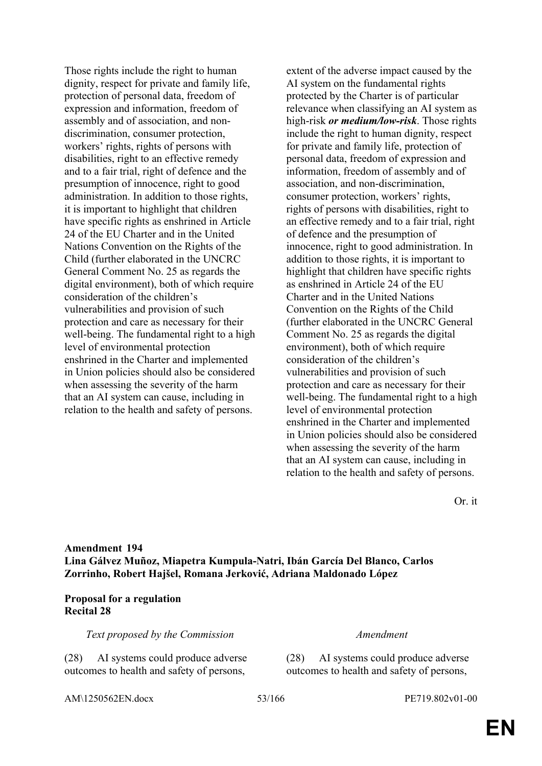Those rights include the right to human dignity, respect for private and family life, protection of personal data, freedom of expression and information, freedom of assembly and of association, and nondiscrimination, consumer protection, workers' rights, rights of persons with disabilities, right to an effective remedy and to a fair trial, right of defence and the presumption of innocence, right to good administration. In addition to those rights, it is important to highlight that children have specific rights as enshrined in Article 24 of the EU Charter and in the United Nations Convention on the Rights of the Child (further elaborated in the UNCRC General Comment No. 25 as regards the digital environment), both of which require consideration of the children's vulnerabilities and provision of such protection and care as necessary for their well-being. The fundamental right to a high level of environmental protection enshrined in the Charter and implemented in Union policies should also be considered when assessing the severity of the harm that an AI system can cause, including in relation to the health and safety of persons.

extent of the adverse impact caused by the AI system on the fundamental rights protected by the Charter is of particular relevance when classifying an AI system as high-risk *or medium/low-risk*. Those rights include the right to human dignity, respect for private and family life, protection of personal data, freedom of expression and information, freedom of assembly and of association, and non-discrimination, consumer protection, workers' rights, rights of persons with disabilities, right to an effective remedy and to a fair trial, right of defence and the presumption of innocence, right to good administration. In addition to those rights, it is important to highlight that children have specific rights as enshrined in Article 24 of the EU Charter and in the United Nations Convention on the Rights of the Child (further elaborated in the UNCRC General Comment No. 25 as regards the digital environment), both of which require consideration of the children's vulnerabilities and provision of such protection and care as necessary for their well-being. The fundamental right to a high level of environmental protection enshrined in the Charter and implemented in Union policies should also be considered when assessing the severity of the harm that an AI system can cause, including in relation to the health and safety of persons.

Or. it

# **Amendment 194 Lina Gálvez Muñoz, Miapetra Kumpula-Natri, Ibán García Del Blanco, Carlos Zorrinho, Robert Hajšel, Romana Jerković, Adriana Maldonado López**

# **Proposal for a regulation Recital 28**

*Text proposed by the Commission Amendment*

(28) AI systems could produce adverse outcomes to health and safety of persons,

(28) AI systems could produce adverse outcomes to health and safety of persons,

AM\1250562EN.docx 53/166 PE719.802v01-00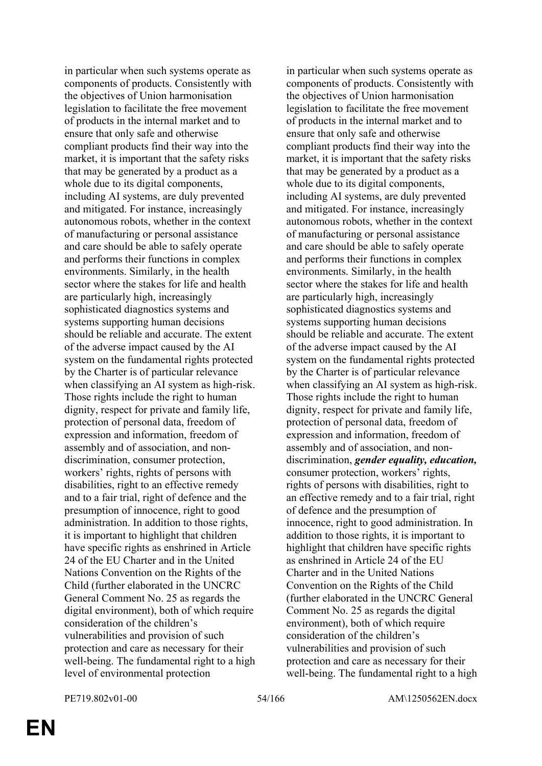in particular when such systems operate as components of products. Consistently with the objectives of Union harmonisation legislation to facilitate the free movement of products in the internal market and to ensure that only safe and otherwise compliant products find their way into the market, it is important that the safety risks that may be generated by a product as a whole due to its digital components, including AI systems, are duly prevented and mitigated. For instance, increasingly autonomous robots, whether in the context of manufacturing or personal assistance and care should be able to safely operate and performs their functions in complex environments. Similarly, in the health sector where the stakes for life and health are particularly high, increasingly sophisticated diagnostics systems and systems supporting human decisions should be reliable and accurate. The extent of the adverse impact caused by the AI system on the fundamental rights protected by the Charter is of particular relevance when classifying an AI system as high-risk. Those rights include the right to human dignity, respect for private and family life, protection of personal data, freedom of expression and information, freedom of assembly and of association, and nondiscrimination, consumer protection, workers' rights, rights of persons with disabilities, right to an effective remedy and to a fair trial, right of defence and the presumption of innocence, right to good administration. In addition to those rights, it is important to highlight that children have specific rights as enshrined in Article 24 of the EU Charter and in the United Nations Convention on the Rights of the Child (further elaborated in the UNCRC General Comment No. 25 as regards the digital environment), both of which require consideration of the children's vulnerabilities and provision of such protection and care as necessary for their well-being. The fundamental right to a high level of environmental protection

in particular when such systems operate as components of products. Consistently with the objectives of Union harmonisation legislation to facilitate the free movement of products in the internal market and to ensure that only safe and otherwise compliant products find their way into the market, it is important that the safety risks that may be generated by a product as a whole due to its digital components, including AI systems, are duly prevented and mitigated. For instance, increasingly autonomous robots, whether in the context of manufacturing or personal assistance and care should be able to safely operate and performs their functions in complex environments. Similarly, in the health sector where the stakes for life and health are particularly high, increasingly sophisticated diagnostics systems and systems supporting human decisions should be reliable and accurate. The extent of the adverse impact caused by the AI system on the fundamental rights protected by the Charter is of particular relevance when classifying an AI system as high-risk. Those rights include the right to human dignity, respect for private and family life, protection of personal data, freedom of expression and information, freedom of assembly and of association, and nondiscrimination, *gender equality, education,* consumer protection, workers' rights, rights of persons with disabilities, right to an effective remedy and to a fair trial, right of defence and the presumption of innocence, right to good administration. In addition to those rights, it is important to highlight that children have specific rights as enshrined in Article 24 of the EU Charter and in the United Nations Convention on the Rights of the Child (further elaborated in the UNCRC General Comment No. 25 as regards the digital environment), both of which require consideration of the children's vulnerabilities and provision of such protection and care as necessary for their well-being. The fundamental right to a high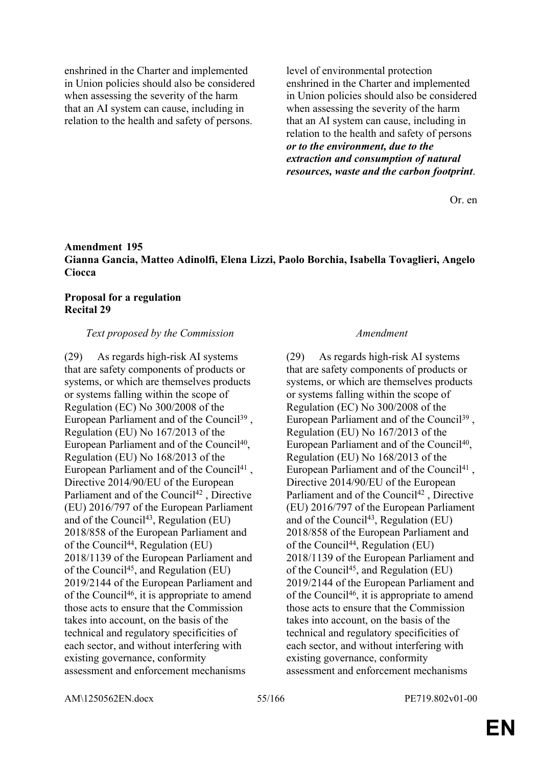enshrined in the Charter and implemented in Union policies should also be considered when assessing the severity of the harm that an AI system can cause, including in relation to the health and safety of persons.

level of environmental protection enshrined in the Charter and implemented in Union policies should also be considered when assessing the severity of the harm that an AI system can cause, including in relation to the health and safety of persons *or to the environment, due to the extraction and consumption of natural resources, waste and the carbon footprint*.

Or. en

# **Amendment 195 Gianna Gancia, Matteo Adinolfi, Elena Lizzi, Paolo Borchia, Isabella Tovaglieri, Angelo Ciocca**

# **Proposal for a regulation Recital 29**

# *Text proposed by the Commission Amendment*

(29) As regards high-risk AI systems that are safety components of products or systems, or which are themselves products or systems falling within the scope of Regulation (EC) No 300/2008 of the European Parliament and of the Council<sup>39</sup>, Regulation (EU) No 167/2013 of the European Parliament and of the Council<sup>40</sup>, Regulation (EU) No 168/2013 of the European Parliament and of the Council<sup>41</sup>, Directive 2014/90/EU of the European Parliament and of the Council<sup>42</sup>, Directive (EU) 2016/797 of the European Parliament and of the Council<sup>43</sup>, Regulation (EU) 2018/858 of the European Parliament and of the Council<sup>44</sup>, Regulation (EU) 2018/1139 of the European Parliament and of the Council<sup>45</sup>, and Regulation (EU) 2019/2144 of the European Parliament and of the Council<sup>46</sup>, it is appropriate to amend those acts to ensure that the Commission takes into account, on the basis of the technical and regulatory specificities of each sector, and without interfering with existing governance, conformity assessment and enforcement mechanisms

(29) As regards high-risk AI systems that are safety components of products or systems, or which are themselves products or systems falling within the scope of Regulation (EC) No 300/2008 of the European Parliament and of the Council<sup>39</sup>, Regulation (EU) No 167/2013 of the European Parliament and of the Council<sup>40</sup>, Regulation (EU) No 168/2013 of the European Parliament and of the Council<sup>41</sup>, Directive 2014/90/EU of the European Parliament and of the Council<sup>42</sup>, Directive (EU) 2016/797 of the European Parliament and of the Council<sup>43</sup>, Regulation (EU) 2018/858 of the European Parliament and of the Council<sup>44</sup>, Regulation (EU) 2018/1139 of the European Parliament and of the Council<sup>45</sup>, and Regulation (EU) 2019/2144 of the European Parliament and of the Council<sup>46</sup>, it is appropriate to amend those acts to ensure that the Commission takes into account, on the basis of the technical and regulatory specificities of each sector, and without interfering with existing governance, conformity assessment and enforcement mechanisms

AM\1250562EN.docx 55/166 PE719.802v01-00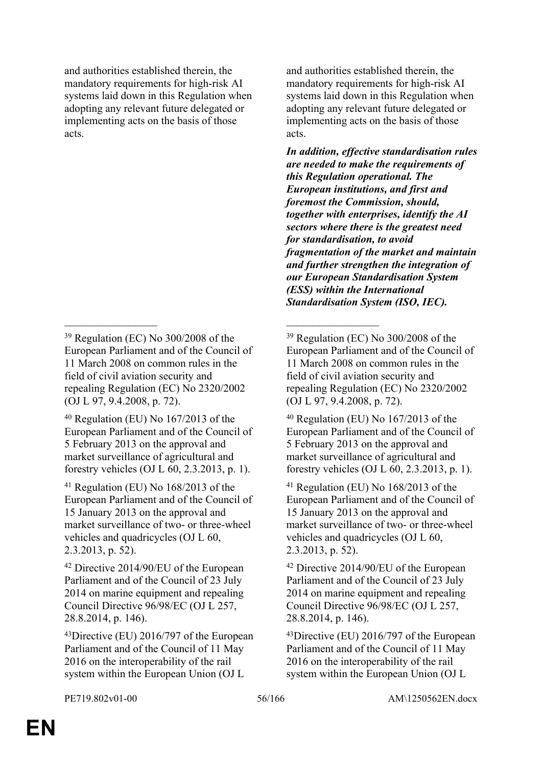and authorities established therein, the mandatory requirements for high-risk AI systems laid down in this Regulation when adopting any relevant future delegated or implementing acts on the basis of those acts.

\_\_\_\_\_\_\_\_\_\_\_\_\_\_\_\_\_ \_\_\_\_\_\_\_\_\_\_\_\_\_\_\_\_\_

and authorities established therein, the mandatory requirements for high-risk AI systems laid down in this Regulation when adopting any relevant future delegated or implementing acts on the basis of those acts.

*In addition, effective standardisation rules are needed to make the requirements of this Regulation operational. The European institutions, and first and foremost the Commission, should, together with enterprises, identify the AI sectors where there is the greatest need for standardisation, to avoid fragmentation of the market and maintain and further strengthen the integration of our European Standardisation System (ESS) within the International Standardisation System (ISO, IEC).*

<sup>39</sup> Regulation (EC) No 300/2008 of the European Parliament and of the Council of 11 March 2008 on common rules in the field of civil aviation security and repealing Regulation (EC) No 2320/2002 (OJ L 97, 9.4.2008, p. 72).

 $40$  Regulation (EU) No  $167/2013$  of the European Parliament and of the Council of 5 February 2013 on the approval and market surveillance of agricultural and forestry vehicles (OJ L 60, 2.3.2013, p. 1).

<sup>41</sup> Regulation (EU) No 168/2013 of the European Parliament and of the Council of 15 January 2013 on the approval and market surveillance of two- or three-wheel vehicles and quadricycles (OJ L 60, 2.3.2013, p. 52).

<sup>42</sup> Directive 2014/90/EU of the European Parliament and of the Council of 23 July 2014 on marine equipment and repealing Council Directive 96/98/EC (OJ L 257, 28.8.2014, p. 146).

<sup>43</sup>Directive (EU) 2016/797 of the European Parliament and of the Council of 11 May 2016 on the interoperability of the rail system within the European Union (OJ L

<sup>39</sup> Regulation (EC) No 300/2008 of the European Parliament and of the Council of 11 March 2008 on common rules in the field of civil aviation security and repealing Regulation (EC) No 2320/2002 (OJ L 97, 9.4.2008, p. 72).

 $40$  Regulation (EU) No 167/2013 of the European Parliament and of the Council of 5 February 2013 on the approval and market surveillance of agricultural and forestry vehicles (OJ L 60, 2.3.2013, p. 1).

<sup>41</sup> Regulation (EU) No 168/2013 of the European Parliament and of the Council of 15 January 2013 on the approval and market surveillance of two- or three-wheel vehicles and quadricycles (OJ L 60, 2.3.2013, p. 52).

<sup>42</sup> Directive 2014/90/EU of the European Parliament and of the Council of 23 July 2014 on marine equipment and repealing Council Directive 96/98/EC (OJ L 257, 28.8.2014, p. 146).

<sup>43</sup>Directive (EU) 2016/797 of the European Parliament and of the Council of 11 May 2016 on the interoperability of the rail system within the European Union (OJ L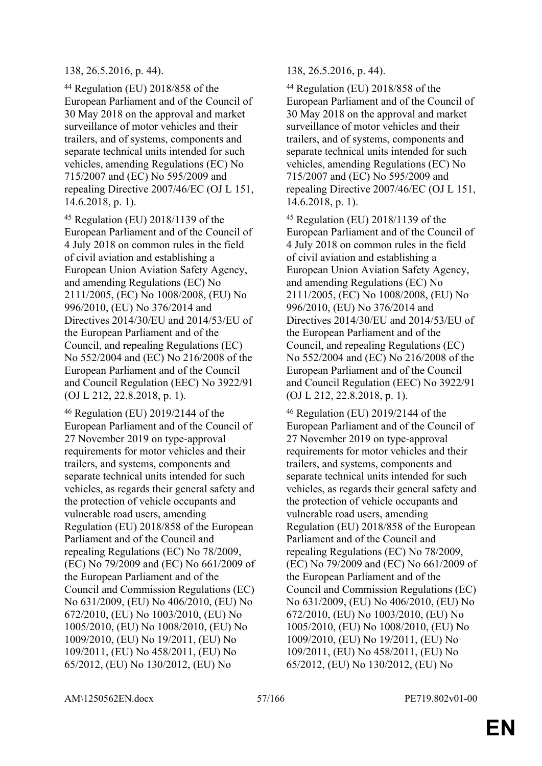# 138, 26.5.2016, p. 44). 138, 26.5.2016, p. 44).

<sup>44</sup> Regulation (EU) 2018/858 of the European Parliament and of the Council of 30 May 2018 on the approval and market surveillance of motor vehicles and their trailers, and of systems, components and separate technical units intended for such vehicles, amending Regulations (EC) No 715/2007 and (EC) No 595/2009 and repealing Directive 2007/46/EC (OJ L 151, 14.6.2018, p. 1).

<sup>45</sup> Regulation (EU) 2018/1139 of the European Parliament and of the Council of 4 July 2018 on common rules in the field of civil aviation and establishing a European Union Aviation Safety Agency, and amending Regulations (EC) No 2111/2005, (EC) No 1008/2008, (EU) No 996/2010, (EU) No 376/2014 and Directives 2014/30/EU and 2014/53/EU of the European Parliament and of the Council, and repealing Regulations (EC) No 552/2004 and (EC) No 216/2008 of the European Parliament and of the Council and Council Regulation (EEC) No 3922/91 (OJ L 212, 22.8.2018, p. 1).

<sup>46</sup> Regulation (EU) 2019/2144 of the European Parliament and of the Council of 27 November 2019 on type-approval requirements for motor vehicles and their trailers, and systems, components and separate technical units intended for such vehicles, as regards their general safety and the protection of vehicle occupants and vulnerable road users, amending Regulation (EU) 2018/858 of the European Parliament and of the Council and repealing Regulations (EC) No 78/2009, (EC) No 79/2009 and (EC) No 661/2009 of the European Parliament and of the Council and Commission Regulations (EC) No 631/2009, (EU) No 406/2010, (EU) No 672/2010, (EU) No 1003/2010, (EU) No 1005/2010, (EU) No 1008/2010, (EU) No 1009/2010, (EU) No 19/2011, (EU) No 109/2011, (EU) No 458/2011, (EU) No 65/2012, (EU) No 130/2012, (EU) No

<sup>44</sup> Regulation (EU) 2018/858 of the European Parliament and of the Council of 30 May 2018 on the approval and market surveillance of motor vehicles and their trailers, and of systems, components and separate technical units intended for such vehicles, amending Regulations (EC) No 715/2007 and (EC) No 595/2009 and repealing Directive 2007/46/EC (OJ L 151, 14.6.2018, p. 1).

<sup>45</sup> Regulation (EU) 2018/1139 of the European Parliament and of the Council of 4 July 2018 on common rules in the field of civil aviation and establishing a European Union Aviation Safety Agency, and amending Regulations (EC) No 2111/2005, (EC) No 1008/2008, (EU) No 996/2010, (EU) No 376/2014 and Directives 2014/30/EU and 2014/53/EU of the European Parliament and of the Council, and repealing Regulations (EC) No 552/2004 and (EC) No 216/2008 of the European Parliament and of the Council and Council Regulation (EEC) No 3922/91 (OJ L 212, 22.8.2018, p. 1).

<sup>46</sup> Regulation (EU) 2019/2144 of the European Parliament and of the Council of 27 November 2019 on type-approval requirements for motor vehicles and their trailers, and systems, components and separate technical units intended for such vehicles, as regards their general safety and the protection of vehicle occupants and vulnerable road users, amending Regulation (EU) 2018/858 of the European Parliament and of the Council and repealing Regulations (EC) No 78/2009, (EC) No 79/2009 and (EC) No 661/2009 of the European Parliament and of the Council and Commission Regulations (EC) No 631/2009, (EU) No 406/2010, (EU) No 672/2010, (EU) No 1003/2010, (EU) No 1005/2010, (EU) No 1008/2010, (EU) No 1009/2010, (EU) No 19/2011, (EU) No 109/2011, (EU) No 458/2011, (EU) No 65/2012, (EU) No 130/2012, (EU) No

AM\1250562EN.docx 57/166 PE719.802v01-00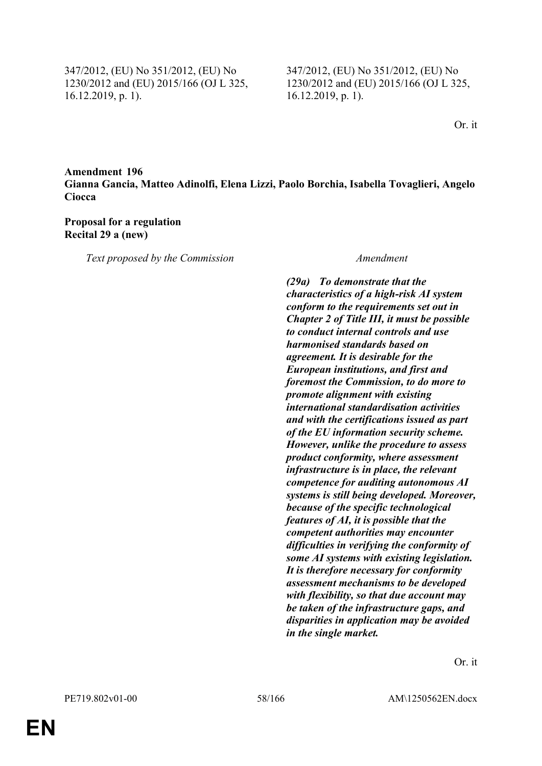347/2012, (EU) No 351/2012, (EU) No 1230/2012 and (EU) 2015/166 (OJ L 325, 16.12.2019, p. 1).

347/2012, (EU) No 351/2012, (EU) No 1230/2012 and (EU) 2015/166 (OJ L 325, 16.12.2019, p. 1).

Or. it

# **Amendment 196 Gianna Gancia, Matteo Adinolfi, Elena Lizzi, Paolo Borchia, Isabella Tovaglieri, Angelo Ciocca**

### **Proposal for a regulation Recital 29 a (new)**

*Text proposed by the Commission Amendment*

*(29a) To demonstrate that the characteristics of a high-risk AI system conform to the requirements set out in Chapter 2 of Title III, it must be possible to conduct internal controls and use harmonised standards based on agreement. It is desirable for the European institutions, and first and foremost the Commission, to do more to promote alignment with existing international standardisation activities and with the certifications issued as part of the EU information security scheme. However, unlike the procedure to assess product conformity, where assessment infrastructure is in place, the relevant competence for auditing autonomous AI systems is still being developed. Moreover, because of the specific technological features of AI, it is possible that the competent authorities may encounter difficulties in verifying the conformity of some AI systems with existing legislation. It is therefore necessary for conformity assessment mechanisms to be developed with flexibility, so that due account may be taken of the infrastructure gaps, and disparities in application may be avoided in the single market.*

Or. it

**EN**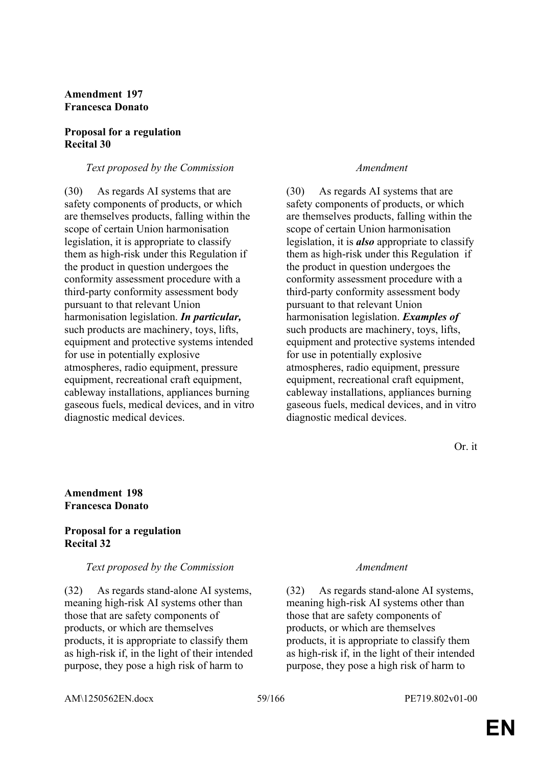# **Amendment 197 Francesca Donato**

## **Proposal for a regulation Recital 30**

## *Text proposed by the Commission Amendment*

(30) As regards AI systems that are safety components of products, or which are themselves products, falling within the scope of certain Union harmonisation legislation, it is appropriate to classify them as high-risk under this Regulation if the product in question undergoes the conformity assessment procedure with a third-party conformity assessment body pursuant to that relevant Union harmonisation legislation. *In particular,* such products are machinery, toys, lifts, equipment and protective systems intended for use in potentially explosive atmospheres, radio equipment, pressure equipment, recreational craft equipment, cableway installations, appliances burning gaseous fuels, medical devices, and in vitro diagnostic medical devices.

(30) As regards AI systems that are safety components of products, or which are themselves products, falling within the scope of certain Union harmonisation legislation, it is *also* appropriate to classify them as high-risk under this Regulation if the product in question undergoes the conformity assessment procedure with a third-party conformity assessment body pursuant to that relevant Union harmonisation legislation. *Examples of* such products are machinery, toys, lifts, equipment and protective systems intended for use in potentially explosive atmospheres, radio equipment, pressure equipment, recreational craft equipment, cableway installations, appliances burning gaseous fuels, medical devices, and in vitro diagnostic medical devices.

Or. it

## **Amendment 198 Francesca Donato**

### **Proposal for a regulation Recital 32**

## *Text proposed by the Commission Amendment*

(32) As regards stand-alone AI systems, meaning high-risk AI systems other than those that are safety components of products, or which are themselves products, it is appropriate to classify them as high-risk if, in the light of their intended purpose, they pose a high risk of harm to

(32) As regards stand-alone AI systems, meaning high-risk AI systems other than those that are safety components of products, or which are themselves products, it is appropriate to classify them as high-risk if, in the light of their intended purpose, they pose a high risk of harm to

AM\1250562EN.docx 59/166 PE719.802v01-00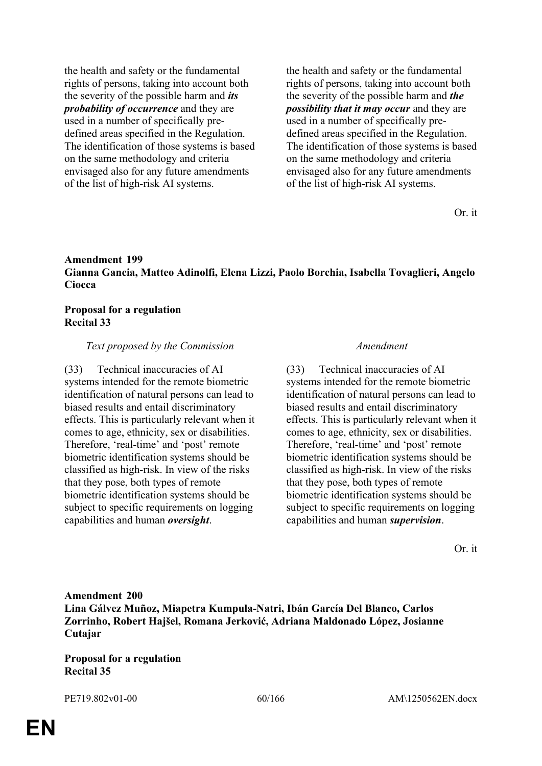the health and safety or the fundamental rights of persons, taking into account both the severity of the possible harm and *its probability of occurrence* and they are used in a number of specifically predefined areas specified in the Regulation. The identification of those systems is based on the same methodology and criteria envisaged also for any future amendments of the list of high-risk AI systems.

the health and safety or the fundamental rights of persons, taking into account both the severity of the possible harm and *the possibility that it may occur* and they are used in a number of specifically predefined areas specified in the Regulation. The identification of those systems is based on the same methodology and criteria envisaged also for any future amendments of the list of high-risk AI systems.

Or. it

# **Amendment 199 Gianna Gancia, Matteo Adinolfi, Elena Lizzi, Paolo Borchia, Isabella Tovaglieri, Angelo Ciocca**

### **Proposal for a regulation Recital 33**

### *Text proposed by the Commission Amendment*

(33) Technical inaccuracies of AI systems intended for the remote biometric identification of natural persons can lead to biased results and entail discriminatory effects. This is particularly relevant when it comes to age, ethnicity, sex or disabilities. Therefore, 'real-time' and 'post' remote biometric identification systems should be classified as high-risk. In view of the risks that they pose, both types of remote biometric identification systems should be subject to specific requirements on logging capabilities and human *oversight*.

(33) Technical inaccuracies of AI systems intended for the remote biometric identification of natural persons can lead to biased results and entail discriminatory effects. This is particularly relevant when it comes to age, ethnicity, sex or disabilities. Therefore, 'real-time' and 'post' remote biometric identification systems should be classified as high-risk. In view of the risks that they pose, both types of remote biometric identification systems should be subject to specific requirements on logging capabilities and human *supervision*.

Or. it

**Amendment 200 Lina Gálvez Muñoz, Miapetra Kumpula-Natri, Ibán García Del Blanco, Carlos Zorrinho, Robert Hajšel, Romana Jerković, Adriana Maldonado López, Josianne Cutajar**

**Proposal for a regulation Recital 35**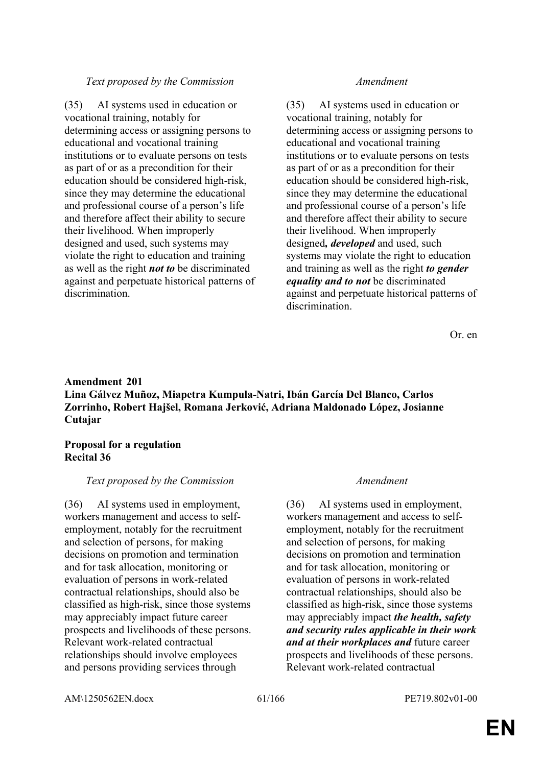# *Text proposed by the Commission Amendment*

(35) AI systems used in education or vocational training, notably for determining access or assigning persons to educational and vocational training institutions or to evaluate persons on tests as part of or as a precondition for their education should be considered high-risk, since they may determine the educational and professional course of a person's life and therefore affect their ability to secure their livelihood. When improperly designed and used, such systems may violate the right to education and training as well as the right *not to* be discriminated against and perpetuate historical patterns of discrimination.

(35) AI systems used in education or vocational training, notably for determining access or assigning persons to educational and vocational training institutions or to evaluate persons on tests as part of or as a precondition for their education should be considered high-risk, since they may determine the educational and professional course of a person's life and therefore affect their ability to secure their livelihood. When improperly designed*, developed* and used, such systems may violate the right to education and training as well as the right *to gender equality and to not* be discriminated against and perpetuate historical patterns of discrimination.

Or. en

# **Amendment 201 Lina Gálvez Muñoz, Miapetra Kumpula-Natri, Ibán García Del Blanco, Carlos Zorrinho, Robert Hajšel, Romana Jerković, Adriana Maldonado López, Josianne Cutajar**

# **Proposal for a regulation Recital 36**

# *Text proposed by the Commission Amendment*

(36) AI systems used in employment, workers management and access to selfemployment, notably for the recruitment and selection of persons, for making decisions on promotion and termination and for task allocation, monitoring or evaluation of persons in work-related contractual relationships, should also be classified as high-risk, since those systems may appreciably impact future career prospects and livelihoods of these persons. Relevant work-related contractual relationships should involve employees and persons providing services through

(36) AI systems used in employment, workers management and access to selfemployment, notably for the recruitment and selection of persons, for making decisions on promotion and termination and for task allocation, monitoring or evaluation of persons in work-related contractual relationships, should also be classified as high-risk, since those systems may appreciably impact *the health, safety and security rules applicable in their work and at their workplaces and* future career prospects and livelihoods of these persons. Relevant work-related contractual

AM\1250562EN.docx 61/166 PE719.802v01-00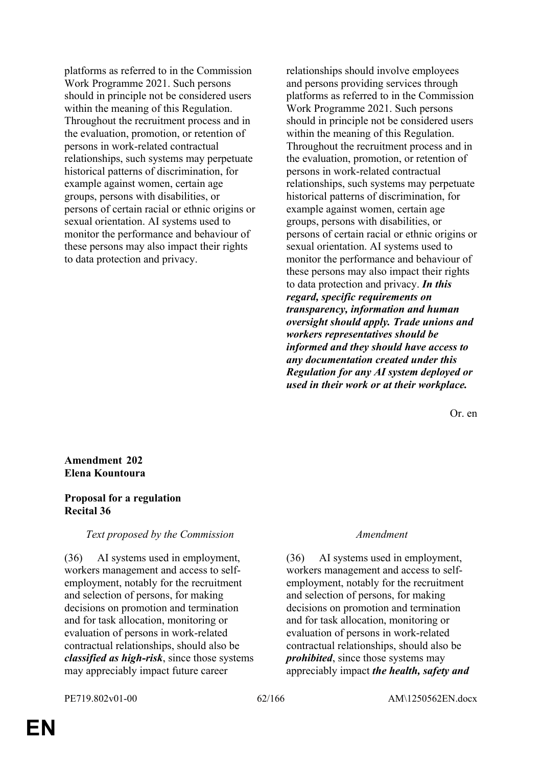platforms as referred to in the Commission Work Programme 2021. Such persons should in principle not be considered users within the meaning of this Regulation. Throughout the recruitment process and in the evaluation, promotion, or retention of persons in work-related contractual relationships, such systems may perpetuate historical patterns of discrimination, for example against women, certain age groups, persons with disabilities, or persons of certain racial or ethnic origins or sexual orientation. AI systems used to monitor the performance and behaviour of these persons may also impact their rights to data protection and privacy.

relationships should involve employees and persons providing services through platforms as referred to in the Commission Work Programme 2021. Such persons should in principle not be considered users within the meaning of this Regulation. Throughout the recruitment process and in the evaluation, promotion, or retention of persons in work-related contractual relationships, such systems may perpetuate historical patterns of discrimination, for example against women, certain age groups, persons with disabilities, or persons of certain racial or ethnic origins or sexual orientation. AI systems used to monitor the performance and behaviour of these persons may also impact their rights to data protection and privacy. *In this regard, specific requirements on transparency, information and human oversight should apply. Trade unions and workers representatives should be informed and they should have access to any documentation created under this Regulation for any AI system deployed or used in their work or at their workplace.*

Or. en

# **Amendment 202 Elena Kountoura**

# **Proposal for a regulation Recital 36**

# *Text proposed by the Commission Amendment*

(36) AI systems used in employment, workers management and access to selfemployment, notably for the recruitment and selection of persons, for making decisions on promotion and termination and for task allocation, monitoring or evaluation of persons in work-related contractual relationships, should also be *classified as high-risk*, since those systems may appreciably impact future career

(36) AI systems used in employment, workers management and access to selfemployment, notably for the recruitment and selection of persons, for making decisions on promotion and termination and for task allocation, monitoring or evaluation of persons in work-related contractual relationships, should also be *prohibited*, since those systems may appreciably impact *the health, safety and*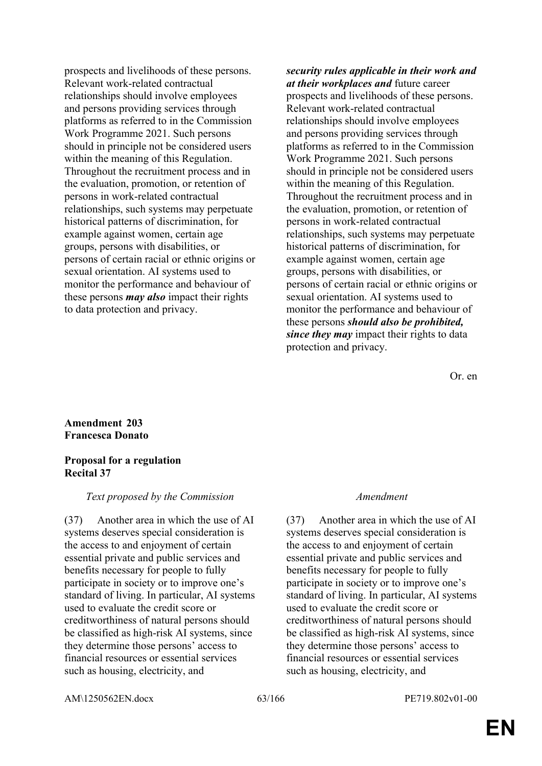prospects and livelihoods of these persons. Relevant work-related contractual relationships should involve employees and persons providing services through platforms as referred to in the Commission Work Programme 2021. Such persons should in principle not be considered users within the meaning of this Regulation. Throughout the recruitment process and in the evaluation, promotion, or retention of persons in work-related contractual relationships, such systems may perpetuate historical patterns of discrimination, for example against women, certain age groups, persons with disabilities, or persons of certain racial or ethnic origins or sexual orientation. AI systems used to monitor the performance and behaviour of these persons *may also* impact their rights to data protection and privacy.

*security rules applicable in their work and at their workplaces and* future career prospects and livelihoods of these persons. Relevant work-related contractual relationships should involve employees and persons providing services through platforms as referred to in the Commission Work Programme 2021. Such persons should in principle not be considered users within the meaning of this Regulation. Throughout the recruitment process and in the evaluation, promotion, or retention of persons in work-related contractual relationships, such systems may perpetuate historical patterns of discrimination, for example against women, certain age groups, persons with disabilities, or persons of certain racial or ethnic origins or sexual orientation. AI systems used to monitor the performance and behaviour of these persons *should also be prohibited, since they may* impact their rights to data protection and privacy.

Or. en

## **Amendment 203 Francesca Donato**

## **Proposal for a regulation Recital 37**

## *Text proposed by the Commission Amendment*

(37) Another area in which the use of AI systems deserves special consideration is the access to and enjoyment of certain essential private and public services and benefits necessary for people to fully participate in society or to improve one's standard of living. In particular, AI systems used to evaluate the credit score or creditworthiness of natural persons should be classified as high-risk AI systems, since they determine those persons' access to financial resources or essential services such as housing, electricity, and

(37) Another area in which the use of AI systems deserves special consideration is the access to and enjoyment of certain essential private and public services and benefits necessary for people to fully participate in society or to improve one's standard of living. In particular, AI systems used to evaluate the credit score or creditworthiness of natural persons should be classified as high-risk AI systems, since they determine those persons' access to financial resources or essential services such as housing, electricity, and

AM\1250562EN.docx 63/166 PE719.802v01-00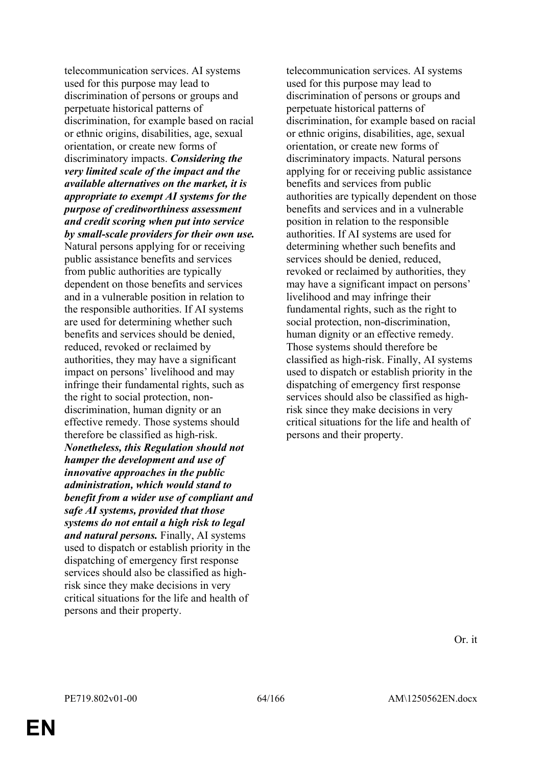telecommunication services. AI systems used for this purpose may lead to discrimination of persons or groups and perpetuate historical patterns of discrimination, for example based on racial or ethnic origins, disabilities, age, sexual orientation, or create new forms of discriminatory impacts. *Considering the very limited scale of the impact and the available alternatives on the market, it is appropriate to exempt AI systems for the purpose of creditworthiness assessment and credit scoring when put into service by small-scale providers for their own use.* Natural persons applying for or receiving public assistance benefits and services from public authorities are typically dependent on those benefits and services and in a vulnerable position in relation to the responsible authorities. If AI systems are used for determining whether such benefits and services should be denied, reduced, revoked or reclaimed by authorities, they may have a significant impact on persons' livelihood and may infringe their fundamental rights, such as the right to social protection, nondiscrimination, human dignity or an effective remedy. Those systems should therefore be classified as high-risk. *Nonetheless, this Regulation should not hamper the development and use of innovative approaches in the public administration, which would stand to benefit from a wider use of compliant and safe AI systems, provided that those systems do not entail a high risk to legal and natural persons.* Finally, AI systems used to dispatch or establish priority in the dispatching of emergency first response services should also be classified as highrisk since they make decisions in very critical situations for the life and health of persons and their property.

telecommunication services. AI systems used for this purpose may lead to discrimination of persons or groups and perpetuate historical patterns of discrimination, for example based on racial or ethnic origins, disabilities, age, sexual orientation, or create new forms of discriminatory impacts. Natural persons applying for or receiving public assistance benefits and services from public authorities are typically dependent on those benefits and services and in a vulnerable position in relation to the responsible authorities. If AI systems are used for determining whether such benefits and services should be denied, reduced, revoked or reclaimed by authorities, they may have a significant impact on persons' livelihood and may infringe their fundamental rights, such as the right to social protection, non-discrimination, human dignity or an effective remedy. Those systems should therefore be classified as high-risk. Finally, AI systems used to dispatch or establish priority in the dispatching of emergency first response services should also be classified as highrisk since they make decisions in very critical situations for the life and health of persons and their property.

Or. it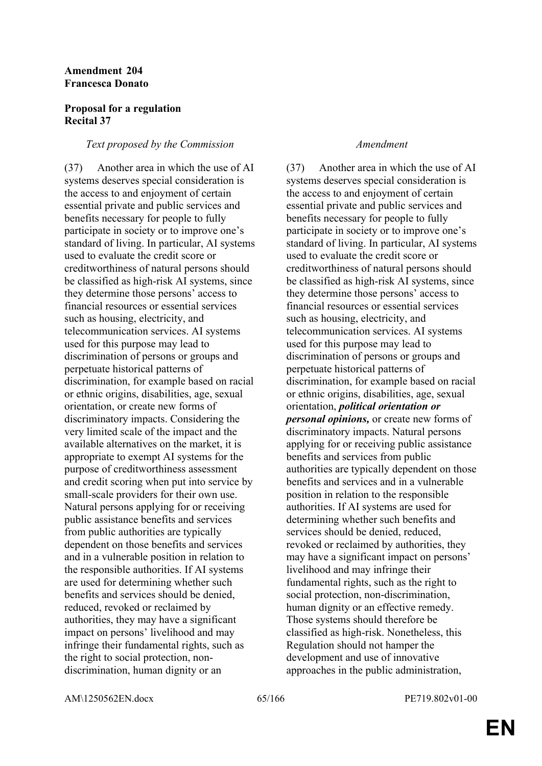## **Amendment 204 Francesca Donato**

# **Proposal for a regulation Recital 37**

# *Text proposed by the Commission Amendment*

(37) Another area in which the use of AI systems deserves special consideration is the access to and enjoyment of certain essential private and public services and benefits necessary for people to fully participate in society or to improve one's standard of living. In particular, AI systems used to evaluate the credit score or creditworthiness of natural persons should be classified as high-risk AI systems, since they determine those persons' access to financial resources or essential services such as housing, electricity, and telecommunication services. AI systems used for this purpose may lead to discrimination of persons or groups and perpetuate historical patterns of discrimination, for example based on racial or ethnic origins, disabilities, age, sexual orientation, or create new forms of discriminatory impacts. Considering the very limited scale of the impact and the available alternatives on the market, it is appropriate to exempt AI systems for the purpose of creditworthiness assessment and credit scoring when put into service by small-scale providers for their own use. Natural persons applying for or receiving public assistance benefits and services from public authorities are typically dependent on those benefits and services and in a vulnerable position in relation to the responsible authorities. If AI systems are used for determining whether such benefits and services should be denied, reduced, revoked or reclaimed by authorities, they may have a significant impact on persons' livelihood and may infringe their fundamental rights, such as the right to social protection, nondiscrimination, human dignity or an

(37) Another area in which the use of AI systems deserves special consideration is the access to and enjoyment of certain essential private and public services and benefits necessary for people to fully participate in society or to improve one's standard of living. In particular, AI systems used to evaluate the credit score or creditworthiness of natural persons should be classified as high-risk AI systems, since they determine those persons' access to financial resources or essential services such as housing, electricity, and telecommunication services. AI systems used for this purpose may lead to discrimination of persons or groups and perpetuate historical patterns of discrimination, for example based on racial or ethnic origins, disabilities, age, sexual orientation, *political orientation or personal opinions,* or create new forms of discriminatory impacts. Natural persons applying for or receiving public assistance benefits and services from public authorities are typically dependent on those benefits and services and in a vulnerable position in relation to the responsible authorities. If AI systems are used for determining whether such benefits and services should be denied, reduced, revoked or reclaimed by authorities, they may have a significant impact on persons' livelihood and may infringe their fundamental rights, such as the right to social protection, non-discrimination, human dignity or an effective remedy. Those systems should therefore be classified as high-risk. Nonetheless, this Regulation should not hamper the development and use of innovative approaches in the public administration,

AM\1250562EN.docx 65/166 PE719.802v01-00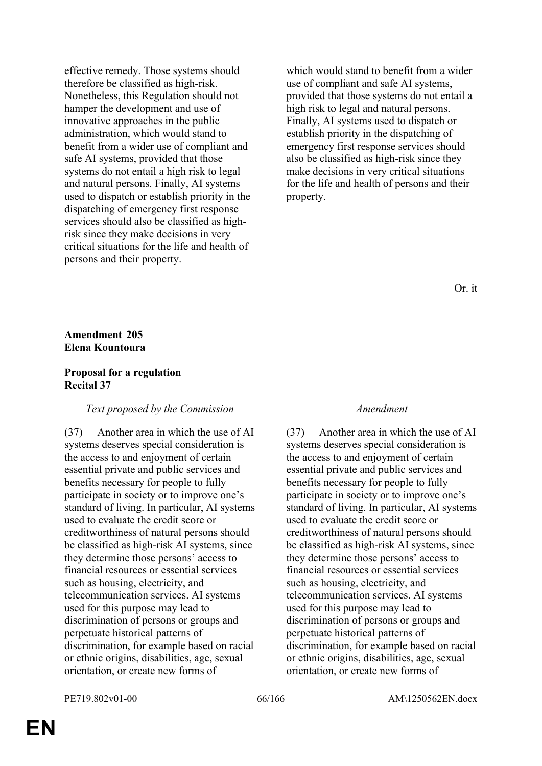effective remedy. Those systems should therefore be classified as high-risk. Nonetheless, this Regulation should not hamper the development and use of innovative approaches in the public administration, which would stand to benefit from a wider use of compliant and safe AI systems, provided that those systems do not entail a high risk to legal and natural persons. Finally, AI systems used to dispatch or establish priority in the dispatching of emergency first response services should also be classified as highrisk since they make decisions in very critical situations for the life and health of persons and their property.

which would stand to benefit from a wider use of compliant and safe AI systems, provided that those systems do not entail a high risk to legal and natural persons. Finally, AI systems used to dispatch or establish priority in the dispatching of emergency first response services should also be classified as high-risk since they make decisions in very critical situations for the life and health of persons and their property.

Or. it

# **Amendment 205 Elena Kountoura**

# **Proposal for a regulation Recital 37**

# *Text proposed by the Commission Amendment*

(37) Another area in which the use of AI systems deserves special consideration is the access to and enjoyment of certain essential private and public services and benefits necessary for people to fully participate in society or to improve one's standard of living. In particular, AI systems used to evaluate the credit score or creditworthiness of natural persons should be classified as high-risk AI systems, since they determine those persons' access to financial resources or essential services such as housing, electricity, and telecommunication services. AI systems used for this purpose may lead to discrimination of persons or groups and perpetuate historical patterns of discrimination, for example based on racial or ethnic origins, disabilities, age, sexual orientation, or create new forms of

(37) Another area in which the use of AI systems deserves special consideration is the access to and enjoyment of certain essential private and public services and benefits necessary for people to fully participate in society or to improve one's standard of living. In particular, AI systems used to evaluate the credit score or creditworthiness of natural persons should be classified as high-risk AI systems, since they determine those persons' access to financial resources or essential services such as housing, electricity, and telecommunication services. AI systems used for this purpose may lead to discrimination of persons or groups and perpetuate historical patterns of discrimination, for example based on racial or ethnic origins, disabilities, age, sexual orientation, or create new forms of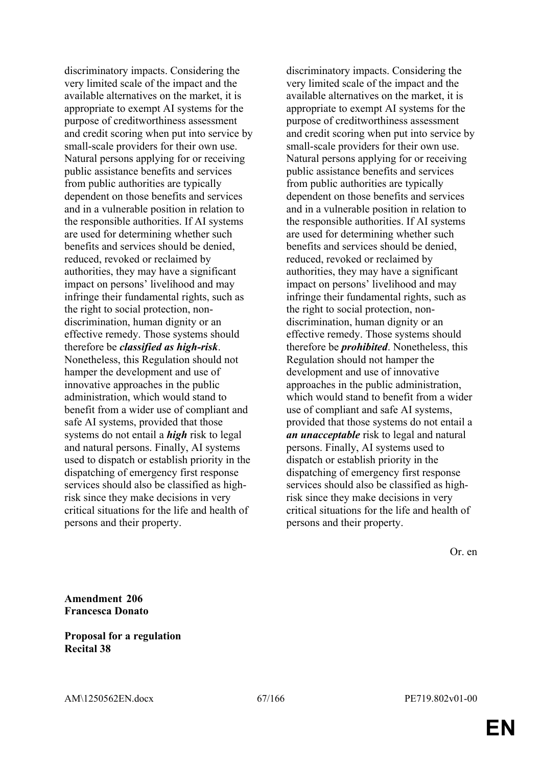discriminatory impacts. Considering the very limited scale of the impact and the available alternatives on the market, it is appropriate to exempt AI systems for the purpose of creditworthiness assessment and credit scoring when put into service by small-scale providers for their own use. Natural persons applying for or receiving public assistance benefits and services from public authorities are typically dependent on those benefits and services and in a vulnerable position in relation to the responsible authorities. If AI systems are used for determining whether such benefits and services should be denied, reduced, revoked or reclaimed by authorities, they may have a significant impact on persons' livelihood and may infringe their fundamental rights, such as the right to social protection, nondiscrimination, human dignity or an effective remedy. Those systems should therefore be *classified as high-risk*. Nonetheless, this Regulation should not hamper the development and use of innovative approaches in the public administration, which would stand to benefit from a wider use of compliant and safe AI systems, provided that those systems do not entail a *high* risk to legal and natural persons. Finally, AI systems used to dispatch or establish priority in the dispatching of emergency first response services should also be classified as highrisk since they make decisions in very critical situations for the life and health of persons and their property.

discriminatory impacts. Considering the very limited scale of the impact and the available alternatives on the market, it is appropriate to exempt AI systems for the purpose of creditworthiness assessment and credit scoring when put into service by small-scale providers for their own use. Natural persons applying for or receiving public assistance benefits and services from public authorities are typically dependent on those benefits and services and in a vulnerable position in relation to the responsible authorities. If AI systems are used for determining whether such benefits and services should be denied, reduced, revoked or reclaimed by authorities, they may have a significant impact on persons' livelihood and may infringe their fundamental rights, such as the right to social protection, nondiscrimination, human dignity or an effective remedy. Those systems should therefore be *prohibited*. Nonetheless, this Regulation should not hamper the development and use of innovative approaches in the public administration, which would stand to benefit from a wider use of compliant and safe AI systems, provided that those systems do not entail a *an unacceptable* risk to legal and natural persons. Finally, AI systems used to dispatch or establish priority in the dispatching of emergency first response services should also be classified as highrisk since they make decisions in very critical situations for the life and health of persons and their property.

Or. en

**Amendment 206 Francesca Donato**

**Proposal for a regulation Recital 38**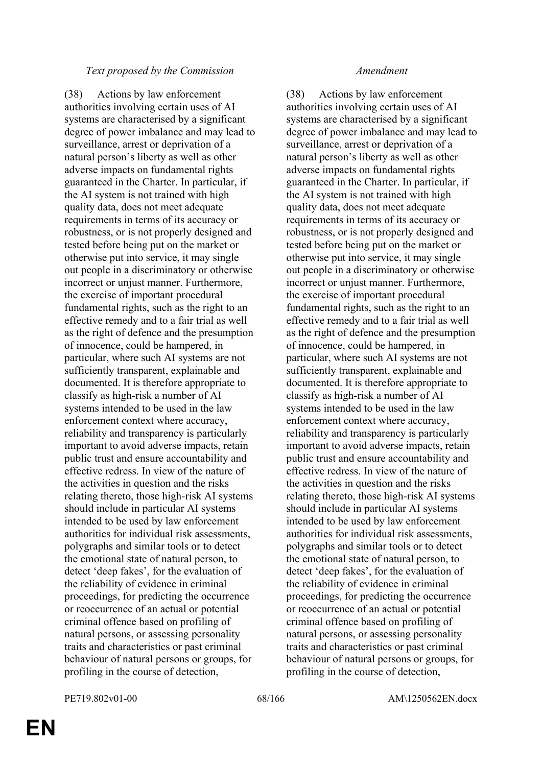# *Text proposed by the Commission Amendment*

(38) Actions by law enforcement authorities involving certain uses of AI systems are characterised by a significant degree of power imbalance and may lead to surveillance, arrest or deprivation of a natural person's liberty as well as other adverse impacts on fundamental rights guaranteed in the Charter. In particular, if the AI system is not trained with high quality data, does not meet adequate requirements in terms of its accuracy or robustness, or is not properly designed and tested before being put on the market or otherwise put into service, it may single out people in a discriminatory or otherwise incorrect or unjust manner. Furthermore, the exercise of important procedural fundamental rights, such as the right to an effective remedy and to a fair trial as well as the right of defence and the presumption of innocence, could be hampered, in particular, where such AI systems are not sufficiently transparent, explainable and documented. It is therefore appropriate to classify as high-risk a number of AI systems intended to be used in the law enforcement context where accuracy, reliability and transparency is particularly important to avoid adverse impacts, retain public trust and ensure accountability and effective redress. In view of the nature of the activities in question and the risks relating thereto, those high-risk AI systems should include in particular AI systems intended to be used by law enforcement authorities for individual risk assessments, polygraphs and similar tools or to detect the emotional state of natural person, to detect 'deep fakes', for the evaluation of the reliability of evidence in criminal proceedings, for predicting the occurrence or reoccurrence of an actual or potential criminal offence based on profiling of natural persons, or assessing personality traits and characteristics or past criminal behaviour of natural persons or groups, for profiling in the course of detection,

(38) Actions by law enforcement authorities involving certain uses of AI systems are characterised by a significant degree of power imbalance and may lead to surveillance, arrest or deprivation of a natural person's liberty as well as other adverse impacts on fundamental rights guaranteed in the Charter. In particular, if the AI system is not trained with high quality data, does not meet adequate requirements in terms of its accuracy or robustness, or is not properly designed and tested before being put on the market or otherwise put into service, it may single out people in a discriminatory or otherwise incorrect or unjust manner. Furthermore, the exercise of important procedural fundamental rights, such as the right to an effective remedy and to a fair trial as well as the right of defence and the presumption of innocence, could be hampered, in particular, where such AI systems are not sufficiently transparent, explainable and documented. It is therefore appropriate to classify as high-risk a number of AI systems intended to be used in the law enforcement context where accuracy, reliability and transparency is particularly important to avoid adverse impacts, retain public trust and ensure accountability and effective redress. In view of the nature of the activities in question and the risks relating thereto, those high-risk AI systems should include in particular AI systems intended to be used by law enforcement authorities for individual risk assessments, polygraphs and similar tools or to detect the emotional state of natural person, to detect 'deep fakes', for the evaluation of the reliability of evidence in criminal proceedings, for predicting the occurrence or reoccurrence of an actual or potential criminal offence based on profiling of natural persons, or assessing personality traits and characteristics or past criminal behaviour of natural persons or groups, for profiling in the course of detection,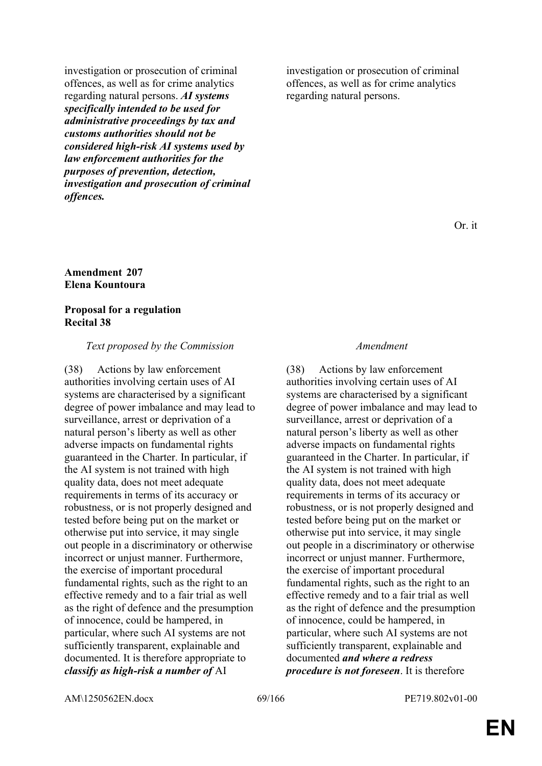investigation or prosecution of criminal offences, as well as for crime analytics regarding natural persons. *AI systems specifically intended to be used for administrative proceedings by tax and customs authorities should not be considered high-risk AI systems used by law enforcement authorities for the purposes of prevention, detection, investigation and prosecution of criminal offences.*

## **Amendment 207 Elena Kountoura**

## **Proposal for a regulation Recital 38**

### *Text proposed by the Commission Amendment*

(38) Actions by law enforcement authorities involving certain uses of AI systems are characterised by a significant degree of power imbalance and may lead to surveillance, arrest or deprivation of a natural person's liberty as well as other adverse impacts on fundamental rights guaranteed in the Charter. In particular, if the AI system is not trained with high quality data, does not meet adequate requirements in terms of its accuracy or robustness, or is not properly designed and tested before being put on the market or otherwise put into service, it may single out people in a discriminatory or otherwise incorrect or unjust manner. Furthermore, the exercise of important procedural fundamental rights, such as the right to an effective remedy and to a fair trial as well as the right of defence and the presumption of innocence, could be hampered, in particular, where such AI systems are not sufficiently transparent, explainable and documented. It is therefore appropriate to *classify as high-risk a number of* AI

investigation or prosecution of criminal offences, as well as for crime analytics regarding natural persons.

Or. it

(38) Actions by law enforcement authorities involving certain uses of AI systems are characterised by a significant degree of power imbalance and may lead to surveillance, arrest or deprivation of a natural person's liberty as well as other adverse impacts on fundamental rights guaranteed in the Charter. In particular, if the AI system is not trained with high quality data, does not meet adequate requirements in terms of its accuracy or robustness, or is not properly designed and tested before being put on the market or otherwise put into service, it may single out people in a discriminatory or otherwise incorrect or unjust manner. Furthermore, the exercise of important procedural fundamental rights, such as the right to an effective remedy and to a fair trial as well as the right of defence and the presumption of innocence, could be hampered, in particular, where such AI systems are not sufficiently transparent, explainable and documented *and where a redress procedure is not foreseen*. It is therefore

AM\1250562EN.docx 69/166 PE719.802v01-00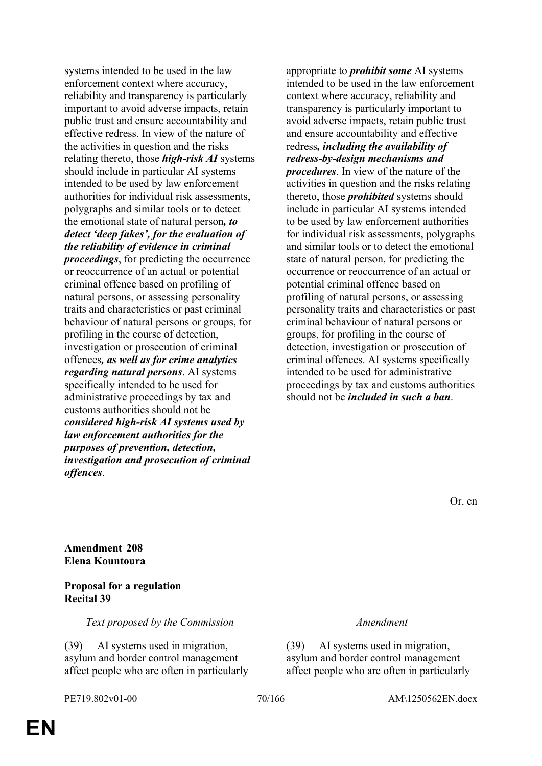systems intended to be used in the law enforcement context where accuracy, reliability and transparency is particularly important to avoid adverse impacts, retain public trust and ensure accountability and effective redress. In view of the nature of the activities in question and the risks relating thereto, those *high-risk AI* systems should include in particular AI systems intended to be used by law enforcement authorities for individual risk assessments, polygraphs and similar tools or to detect the emotional state of natural person*, to detect 'deep fakes', for the evaluation of the reliability of evidence in criminal proceedings*, for predicting the occurrence or reoccurrence of an actual or potential criminal offence based on profiling of natural persons, or assessing personality traits and characteristics or past criminal behaviour of natural persons or groups, for profiling in the course of detection, investigation or prosecution of criminal offences*, as well as for crime analytics regarding natural persons*. AI systems specifically intended to be used for administrative proceedings by tax and customs authorities should not be *considered high-risk AI systems used by law enforcement authorities for the purposes of prevention, detection, investigation and prosecution of criminal offences*.

appropriate to *prohibit some* AI systems intended to be used in the law enforcement context where accuracy, reliability and transparency is particularly important to avoid adverse impacts, retain public trust and ensure accountability and effective redress*, including the availability of redress-by-design mechanisms and procedures*. In view of the nature of the activities in question and the risks relating thereto, those *prohibited* systems should include in particular AI systems intended to be used by law enforcement authorities for individual risk assessments, polygraphs and similar tools or to detect the emotional state of natural person, for predicting the occurrence or reoccurrence of an actual or potential criminal offence based on profiling of natural persons, or assessing personality traits and characteristics or past criminal behaviour of natural persons or groups, for profiling in the course of detection, investigation or prosecution of criminal offences. AI systems specifically intended to be used for administrative proceedings by tax and customs authorities should not be *included in such a ban*.

Or. en

**Amendment 208 Elena Kountoura**

# **Proposal for a regulation Recital 39**

*Text proposed by the Commission Amendment*

(39) AI systems used in migration, asylum and border control management affect people who are often in particularly (39) AI systems used in migration, asylum and border control management affect people who are often in particularly

PE719.802v01-00 70/166 AM\1250562EN.docx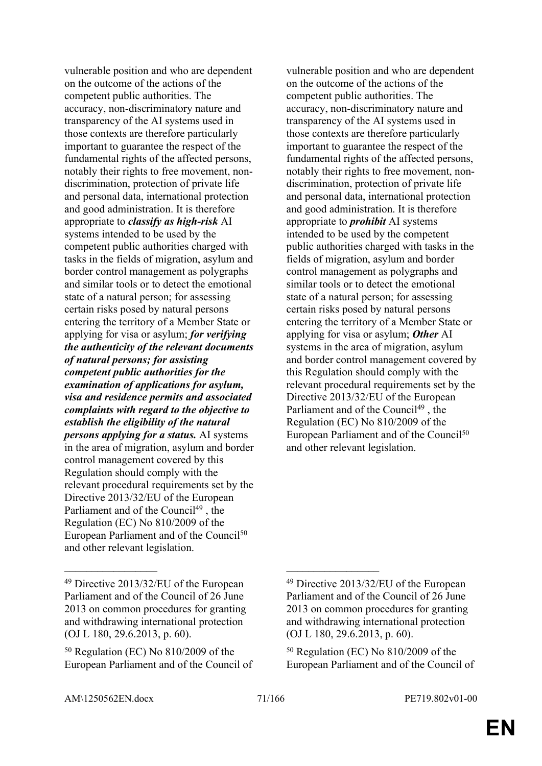vulnerable position and who are dependent on the outcome of the actions of the competent public authorities. The accuracy, non-discriminatory nature and transparency of the AI systems used in those contexts are therefore particularly important to guarantee the respect of the fundamental rights of the affected persons, notably their rights to free movement, nondiscrimination, protection of private life and personal data, international protection and good administration. It is therefore appropriate to *classify as high-risk* AI systems intended to be used by the competent public authorities charged with tasks in the fields of migration, asylum and border control management as polygraphs and similar tools or to detect the emotional state of a natural person; for assessing certain risks posed by natural persons entering the territory of a Member State or applying for visa or asylum; *for verifying the authenticity of the relevant documents of natural persons; for assisting competent public authorities for the examination of applications for asylum, visa and residence permits and associated complaints with regard to the objective to establish the eligibility of the natural persons applying for a status.* AI systems in the area of migration, asylum and border control management covered by this Regulation should comply with the relevant procedural requirements set by the Directive 2013/32/EU of the European Parliament and of the Council<sup>49</sup>, the Regulation (EC) No 810/2009 of the European Parliament and of the Council<sup>50</sup> and other relevant legislation.

 $\mathcal{L}_\text{max}$  and  $\mathcal{L}_\text{max}$  and  $\mathcal{L}_\text{max}$  and  $\mathcal{L}_\text{max}$ 

vulnerable position and who are dependent on the outcome of the actions of the competent public authorities. The accuracy, non-discriminatory nature and transparency of the AI systems used in those contexts are therefore particularly important to guarantee the respect of the fundamental rights of the affected persons, notably their rights to free movement, nondiscrimination, protection of private life and personal data, international protection and good administration. It is therefore appropriate to *prohibit* AI systems intended to be used by the competent public authorities charged with tasks in the fields of migration, asylum and border control management as polygraphs and similar tools or to detect the emotional state of a natural person; for assessing certain risks posed by natural persons entering the territory of a Member State or applying for visa or asylum; *Other* AI systems in the area of migration, asylum and border control management covered by this Regulation should comply with the relevant procedural requirements set by the Directive 2013/32/EU of the European Parliament and of the Council<sup>49</sup>, the Regulation (EC) No 810/2009 of the European Parliament and of the Council<sup>50</sup> and other relevant legislation.

<sup>49</sup> Directive 2013/32/EU of the European Parliament and of the Council of 26 June 2013 on common procedures for granting and withdrawing international protection (OJ L 180, 29.6.2013, p. 60).

 $50$  Regulation (EC) No  $810/2009$  of the European Parliament and of the Council of

<sup>49</sup> Directive 2013/32/EU of the European Parliament and of the Council of 26 June 2013 on common procedures for granting and withdrawing international protection (OJ L 180, 29.6.2013, p. 60).

 $50$  Regulation (EC) No  $810/2009$  of the European Parliament and of the Council of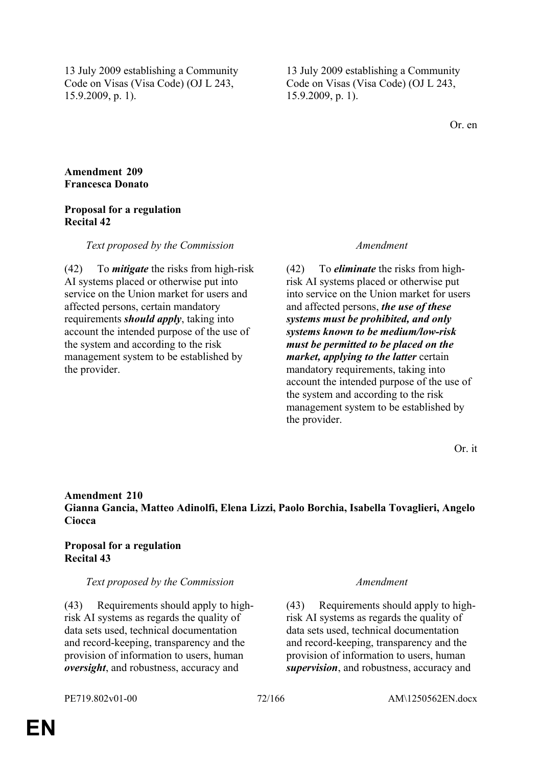13 July 2009 establishing a Community Code on Visas (Visa Code) (OJ L 243, 15.9.2009, p. 1).

13 July 2009 establishing a Community Code on Visas (Visa Code) (OJ L 243, 15.9.2009, p. 1).

Or. en

## **Amendment 209 Francesca Donato**

# **Proposal for a regulation Recital 42**

## *Text proposed by the Commission Amendment*

(42) To *mitigate* the risks from high-risk AI systems placed or otherwise put into service on the Union market for users and affected persons, certain mandatory requirements *should apply*, taking into account the intended purpose of the use of the system and according to the risk management system to be established by the provider.

(42) To *eliminate* the risks from highrisk AI systems placed or otherwise put into service on the Union market for users and affected persons, *the use of these systems must be prohibited, and only systems known to be medium/low-risk must be permitted to be placed on the market, applying to the latter* certain mandatory requirements, taking into account the intended purpose of the use of the system and according to the risk management system to be established by the provider.

Or. it

# **Amendment 210 Gianna Gancia, Matteo Adinolfi, Elena Lizzi, Paolo Borchia, Isabella Tovaglieri, Angelo Ciocca**

# **Proposal for a regulation Recital 43**

## *Text proposed by the Commission Amendment*

(43) Requirements should apply to highrisk AI systems as regards the quality of data sets used, technical documentation and record-keeping, transparency and the provision of information to users, human *oversight*, and robustness, accuracy and

(43) Requirements should apply to highrisk AI systems as regards the quality of data sets used, technical documentation and record-keeping, transparency and the provision of information to users, human *supervision*, and robustness, accuracy and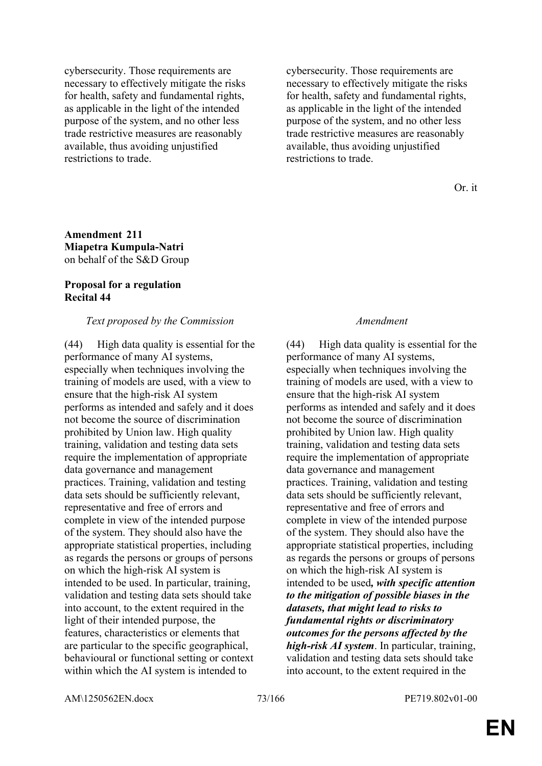cybersecurity. Those requirements are necessary to effectively mitigate the risks for health, safety and fundamental rights, as applicable in the light of the intended purpose of the system, and no other less trade restrictive measures are reasonably available, thus avoiding unjustified restrictions to trade.

cybersecurity. Those requirements are necessary to effectively mitigate the risks for health, safety and fundamental rights, as applicable in the light of the intended purpose of the system, and no other less trade restrictive measures are reasonably available, thus avoiding unjustified restrictions to trade.

Or. it

# **Amendment 211 Miapetra Kumpula-Natri** on behalf of the S&D Group

## **Proposal for a regulation Recital 44**

## *Text proposed by the Commission Amendment*

(44) High data quality is essential for the performance of many AI systems, especially when techniques involving the training of models are used, with a view to ensure that the high-risk AI system performs as intended and safely and it does not become the source of discrimination prohibited by Union law. High quality training, validation and testing data sets require the implementation of appropriate data governance and management practices. Training, validation and testing data sets should be sufficiently relevant, representative and free of errors and complete in view of the intended purpose of the system. They should also have the appropriate statistical properties, including as regards the persons or groups of persons on which the high-risk AI system is intended to be used. In particular, training, validation and testing data sets should take into account, to the extent required in the light of their intended purpose, the features, characteristics or elements that are particular to the specific geographical, behavioural or functional setting or context within which the AI system is intended to

(44) High data quality is essential for the performance of many AI systems, especially when techniques involving the training of models are used, with a view to ensure that the high-risk AI system performs as intended and safely and it does not become the source of discrimination prohibited by Union law. High quality training, validation and testing data sets require the implementation of appropriate data governance and management practices. Training, validation and testing data sets should be sufficiently relevant, representative and free of errors and complete in view of the intended purpose of the system. They should also have the appropriate statistical properties, including as regards the persons or groups of persons on which the high-risk AI system is intended to be used*, with specific attention to the mitigation of possible biases in the datasets, that might lead to risks to fundamental rights or discriminatory outcomes for the persons affected by the high-risk AI system*. In particular, training, validation and testing data sets should take into account, to the extent required in the

AM\1250562EN.docx 73/166 PE719.802v01-00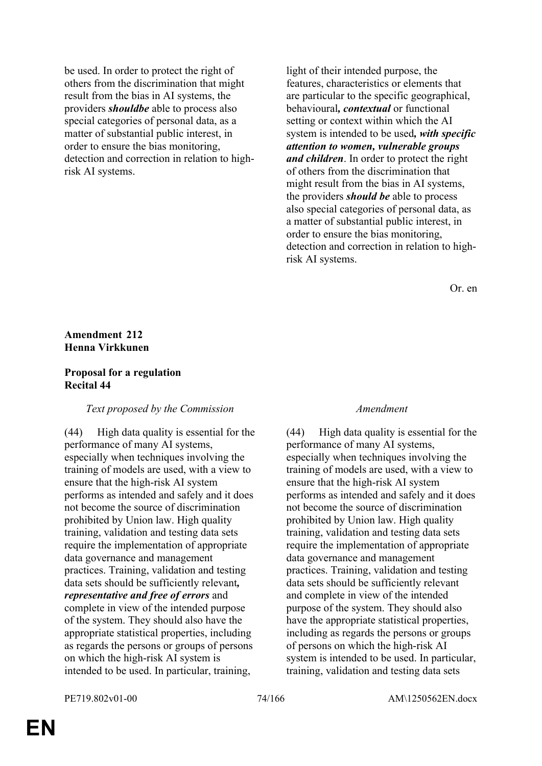be used. In order to protect the right of others from the discrimination that might result from the bias in AI systems, the providers *shouldbe* able to process also special categories of personal data, as a matter of substantial public interest, in order to ensure the bias monitoring, detection and correction in relation to highrisk AI systems.

light of their intended purpose, the features, characteristics or elements that are particular to the specific geographical, behavioural*, contextual* or functional setting or context within which the AI system is intended to be used*, with specific attention to women, vulnerable groups and children*. In order to protect the right of others from the discrimination that might result from the bias in AI systems, the providers *should be* able to process also special categories of personal data, as a matter of substantial public interest, in order to ensure the bias monitoring, detection and correction in relation to highrisk AI systems.

Or. en

# **Amendment 212 Henna Virkkunen**

### **Proposal for a regulation Recital 44**

### *Text proposed by the Commission Amendment*

(44) High data quality is essential for the performance of many AI systems, especially when techniques involving the training of models are used, with a view to ensure that the high-risk AI system performs as intended and safely and it does not become the source of discrimination prohibited by Union law. High quality training, validation and testing data sets require the implementation of appropriate data governance and management practices. Training, validation and testing data sets should be sufficiently relevant*, representative and free of errors* and complete in view of the intended purpose of the system. They should also have the appropriate statistical properties, including as regards the persons or groups of persons on which the high-risk AI system is intended to be used. In particular, training,

(44) High data quality is essential for the performance of many AI systems, especially when techniques involving the training of models are used, with a view to ensure that the high-risk AI system performs as intended and safely and it does not become the source of discrimination prohibited by Union law. High quality training, validation and testing data sets require the implementation of appropriate data governance and management practices. Training, validation and testing data sets should be sufficiently relevant and complete in view of the intended purpose of the system. They should also have the appropriate statistical properties, including as regards the persons or groups of persons on which the high-risk AI system is intended to be used. In particular, training, validation and testing data sets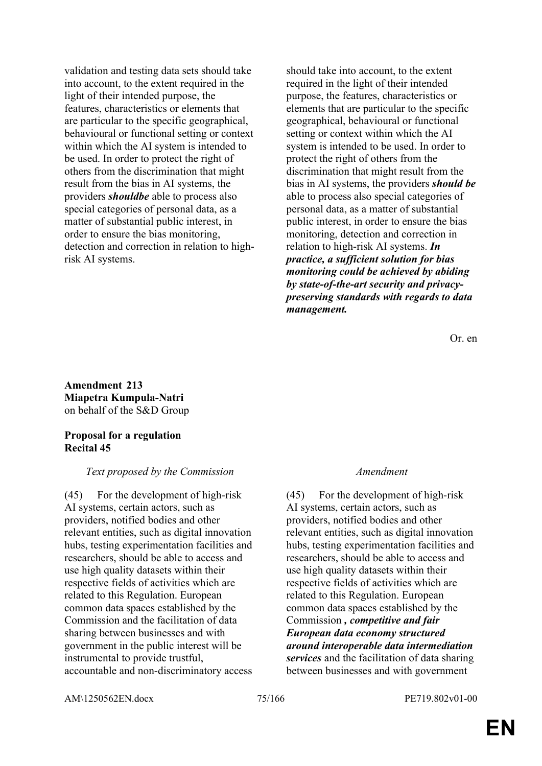validation and testing data sets should take into account, to the extent required in the light of their intended purpose, the features, characteristics or elements that are particular to the specific geographical, behavioural or functional setting or context within which the AI system is intended to be used. In order to protect the right of others from the discrimination that might result from the bias in AI systems, the providers *shouldbe* able to process also special categories of personal data, as a matter of substantial public interest, in order to ensure the bias monitoring, detection and correction in relation to highrisk AI systems.

should take into account, to the extent required in the light of their intended purpose, the features, characteristics or elements that are particular to the specific geographical, behavioural or functional setting or context within which the AI system is intended to be used. In order to protect the right of others from the discrimination that might result from the bias in AI systems, the providers *should be* able to process also special categories of personal data, as a matter of substantial public interest, in order to ensure the bias monitoring, detection and correction in relation to high-risk AI systems. *In practice, a sufficient solution for bias monitoring could be achieved by abiding by state-of-the-art security and privacypreserving standards with regards to data management.*

Or. en

**Amendment 213 Miapetra Kumpula-Natri** on behalf of the S&D Group

## **Proposal for a regulation Recital 45**

# *Text proposed by the Commission Amendment*

(45) For the development of high-risk AI systems, certain actors, such as providers, notified bodies and other relevant entities, such as digital innovation hubs, testing experimentation facilities and researchers, should be able to access and use high quality datasets within their respective fields of activities which are related to this Regulation. European common data spaces established by the Commission and the facilitation of data sharing between businesses and with government in the public interest will be instrumental to provide trustful, accountable and non-discriminatory access

(45) For the development of high-risk AI systems, certain actors, such as providers, notified bodies and other relevant entities, such as digital innovation hubs, testing experimentation facilities and researchers, should be able to access and use high quality datasets within their respective fields of activities which are related to this Regulation. European common data spaces established by the Commission *, competitive and fair European data economy structured around interoperable data intermediation services* and the facilitation of data sharing between businesses and with government

AM\1250562EN.docx 75/166 PE719.802v01-00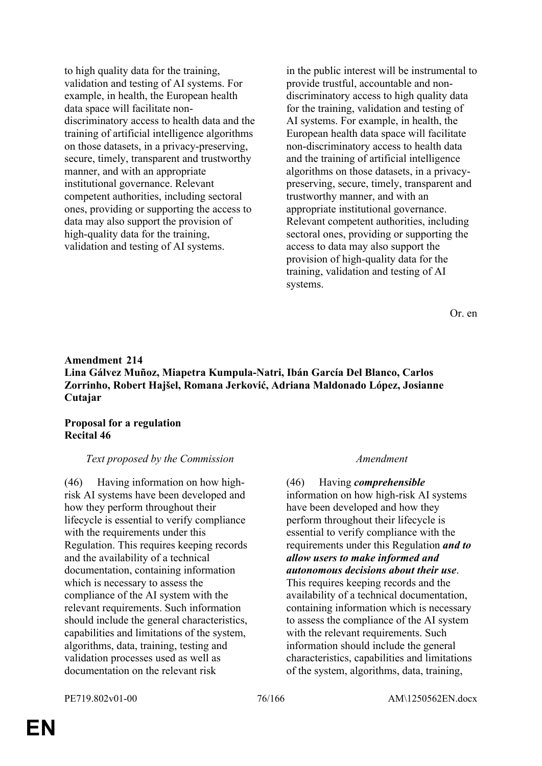to high quality data for the training, validation and testing of AI systems. For example, in health, the European health data space will facilitate nondiscriminatory access to health data and the training of artificial intelligence algorithms on those datasets, in a privacy-preserving, secure, timely, transparent and trustworthy manner, and with an appropriate institutional governance. Relevant competent authorities, including sectoral ones, providing or supporting the access to data may also support the provision of high-quality data for the training, validation and testing of AI systems.

in the public interest will be instrumental to provide trustful, accountable and nondiscriminatory access to high quality data for the training, validation and testing of AI systems. For example, in health, the European health data space will facilitate non-discriminatory access to health data and the training of artificial intelligence algorithms on those datasets, in a privacypreserving, secure, timely, transparent and trustworthy manner, and with an appropriate institutional governance. Relevant competent authorities, including sectoral ones, providing or supporting the access to data may also support the provision of high-quality data for the training, validation and testing of AI systems.

Or. en

# **Amendment 214 Lina Gálvez Muñoz, Miapetra Kumpula-Natri, Ibán García Del Blanco, Carlos Zorrinho, Robert Hajšel, Romana Jerković, Adriana Maldonado López, Josianne Cutajar**

## **Proposal for a regulation Recital 46**

### *Text proposed by the Commission Amendment*

(46) Having information on how highrisk AI systems have been developed and how they perform throughout their lifecycle is essential to verify compliance with the requirements under this Regulation. This requires keeping records and the availability of a technical documentation, containing information which is necessary to assess the compliance of the AI system with the relevant requirements. Such information should include the general characteristics, capabilities and limitations of the system, algorithms, data, training, testing and validation processes used as well as documentation on the relevant risk

(46) Having *comprehensible* information on how high-risk AI systems have been developed and how they perform throughout their lifecycle is essential to verify compliance with the requirements under this Regulation *and to allow users to make informed and autonomous decisions about their use*. This requires keeping records and the availability of a technical documentation, containing information which is necessary to assess the compliance of the AI system with the relevant requirements. Such information should include the general characteristics, capabilities and limitations of the system, algorithms, data, training,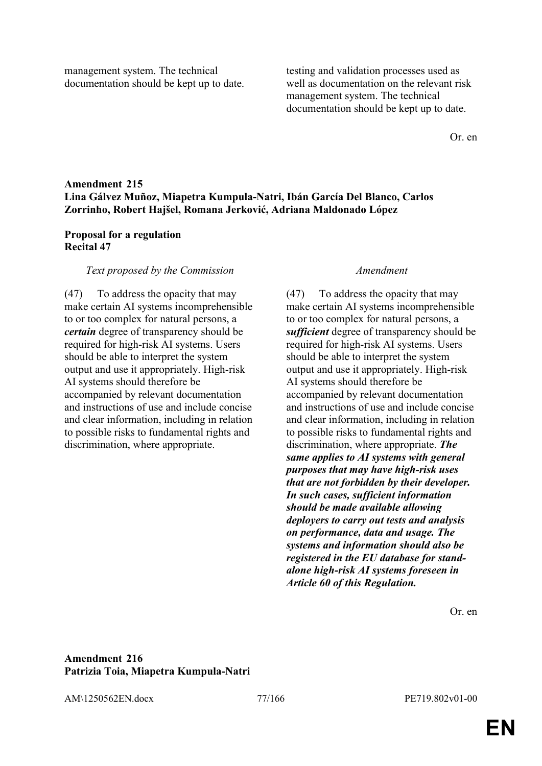management system. The technical documentation should be kept up to date. testing and validation processes used as well as documentation on the relevant risk management system. The technical documentation should be kept up to date.

Or. en

# **Amendment 215 Lina Gálvez Muñoz, Miapetra Kumpula-Natri, Ibán García Del Blanco, Carlos Zorrinho, Robert Hajšel, Romana Jerković, Adriana Maldonado López**

## **Proposal for a regulation Recital 47**

### *Text proposed by the Commission Amendment*

(47) To address the opacity that may make certain AI systems incomprehensible to or too complex for natural persons, a *certain* degree of transparency should be required for high-risk AI systems. Users should be able to interpret the system output and use it appropriately. High-risk AI systems should therefore be accompanied by relevant documentation and instructions of use and include concise and clear information, including in relation to possible risks to fundamental rights and discrimination, where appropriate.

(47) To address the opacity that may make certain AI systems incomprehensible to or too complex for natural persons, a *sufficient* degree of transparency should be required for high-risk AI systems. Users should be able to interpret the system output and use it appropriately. High-risk AI systems should therefore be accompanied by relevant documentation and instructions of use and include concise and clear information, including in relation to possible risks to fundamental rights and discrimination, where appropriate. *The same applies to AI systems with general purposes that may have high-risk uses that are not forbidden by their developer. In such cases, sufficient information should be made available allowing deployers to carry out tests and analysis on performance, data and usage. The systems and information should also be registered in the EU database for standalone high-risk AI systems foreseen in Article 60 of this Regulation.*

Or. en

### **Amendment 216 Patrizia Toia, Miapetra Kumpula-Natri**

AM\1250562EN.docx 77/166 PE719.802v01-00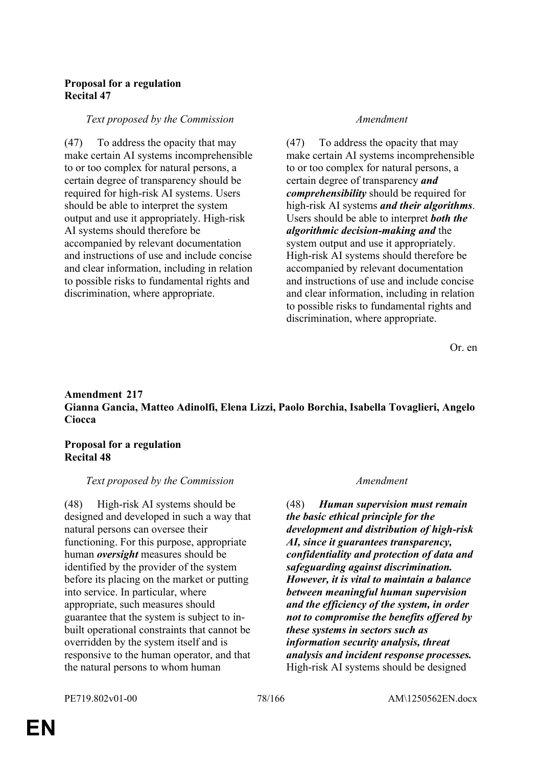# **Proposal for a regulation Recital 47**

### *Text proposed by the Commission Amendment*

(47) To address the opacity that may make certain AI systems incomprehensible to or too complex for natural persons, a certain degree of transparency should be required for high-risk AI systems. Users should be able to interpret the system output and use it appropriately. High-risk AI systems should therefore be accompanied by relevant documentation and instructions of use and include concise and clear information, including in relation to possible risks to fundamental rights and discrimination, where appropriate.

(47) To address the opacity that may make certain AI systems incomprehensible to or too complex for natural persons, a certain degree of transparency *and comprehensibility* should be required for high-risk AI systems *and their algorithms*. Users should be able to interpret *both the algorithmic decision-making and* the system output and use it appropriately. High-risk AI systems should therefore be accompanied by relevant documentation and instructions of use and include concise and clear information, including in relation to possible risks to fundamental rights and discrimination, where appropriate.

Or. en

# **Amendment 217 Gianna Gancia, Matteo Adinolfi, Elena Lizzi, Paolo Borchia, Isabella Tovaglieri, Angelo Ciocca**

## **Proposal for a regulation Recital 48**

### *Text proposed by the Commission Amendment*

(48) High-risk AI systems should be designed and developed in such a way that natural persons can oversee their functioning. For this purpose, appropriate human *oversight* measures should be identified by the provider of the system before its placing on the market or putting into service. In particular, where appropriate, such measures should guarantee that the system is subject to inbuilt operational constraints that cannot be overridden by the system itself and is responsive to the human operator, and that the natural persons to whom human

(48) *Human supervision must remain the basic ethical principle for the development and distribution of high-risk AI, since it guarantees transparency, confidentiality and protection of data and safeguarding against discrimination. However, it is vital to maintain a balance between meaningful human supervision and the efficiency of the system, in order not to compromise the benefits offered by these systems in sectors such as information security analysis, threat analysis and incident response processes.* High-risk AI systems should be designed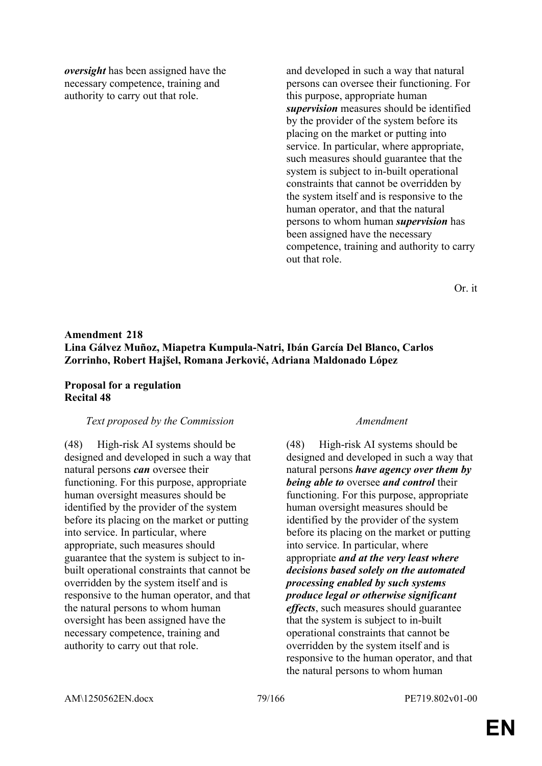*oversight* has been assigned have the necessary competence, training and authority to carry out that role.

and developed in such a way that natural persons can oversee their functioning. For this purpose, appropriate human *supervision* measures should be identified by the provider of the system before its placing on the market or putting into service. In particular, where appropriate, such measures should guarantee that the system is subject to in-built operational constraints that cannot be overridden by the system itself and is responsive to the human operator, and that the natural persons to whom human *supervision* has been assigned have the necessary competence, training and authority to carry out that role.

Or. it

# **Amendment 218 Lina Gálvez Muñoz, Miapetra Kumpula-Natri, Ibán García Del Blanco, Carlos Zorrinho, Robert Hajšel, Romana Jerković, Adriana Maldonado López**

## **Proposal for a regulation Recital 48**

### *Text proposed by the Commission Amendment*

(48) High-risk AI systems should be designed and developed in such a way that natural persons *can* oversee their functioning. For this purpose, appropriate human oversight measures should be identified by the provider of the system before its placing on the market or putting into service. In particular, where appropriate, such measures should guarantee that the system is subject to inbuilt operational constraints that cannot be overridden by the system itself and is responsive to the human operator, and that the natural persons to whom human oversight has been assigned have the necessary competence, training and authority to carry out that role.

(48) High-risk AI systems should be designed and developed in such a way that natural persons *have agency over them by being able to* oversee *and control* their functioning. For this purpose, appropriate human oversight measures should be identified by the provider of the system before its placing on the market or putting into service. In particular, where appropriate *and at the very least where decisions based solely on the automated processing enabled by such systems produce legal or otherwise significant effects*, such measures should guarantee that the system is subject to in-built operational constraints that cannot be overridden by the system itself and is responsive to the human operator, and that the natural persons to whom human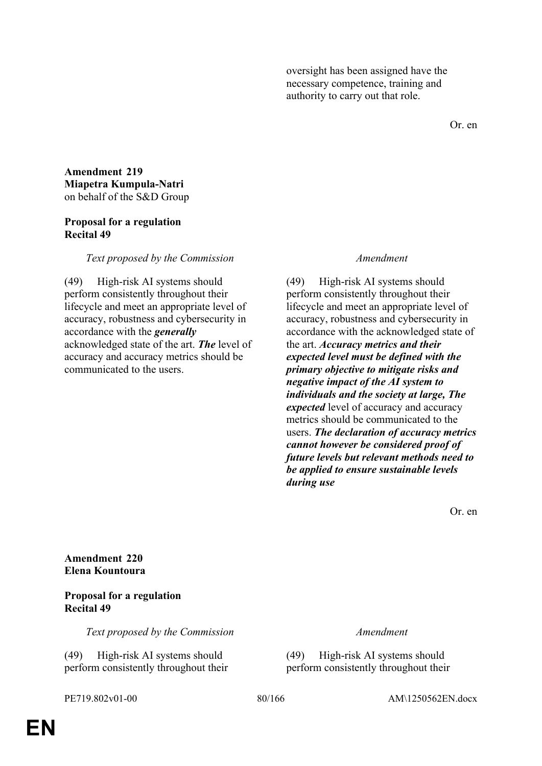oversight has been assigned have the necessary competence, training and authority to carry out that role.

Or. en

**Amendment 219 Miapetra Kumpula-Natri** on behalf of the S&D Group

### **Proposal for a regulation Recital 49**

*Text proposed by the Commission Amendment*

(49) High-risk AI systems should perform consistently throughout their lifecycle and meet an appropriate level of accuracy, robustness and cybersecurity in accordance with the *generally* acknowledged state of the art. *The* level of accuracy and accuracy metrics should be communicated to the users.

(49) High-risk AI systems should perform consistently throughout their lifecycle and meet an appropriate level of accuracy, robustness and cybersecurity in accordance with the acknowledged state of the art. *Accuracy metrics and their expected level must be defined with the primary objective to mitigate risks and negative impact of the AI system to individuals and the society at large, The expected* level of accuracy and accuracy metrics should be communicated to the users. *The declaration of accuracy metrics cannot however be considered proof of future levels but relevant methods need to be applied to ensure sustainable levels during use*

Or. en

**Amendment 220 Elena Kountoura**

## **Proposal for a regulation Recital 49**

*Text proposed by the Commission Amendment*

(49) High-risk AI systems should perform consistently throughout their

(49) High-risk AI systems should perform consistently throughout their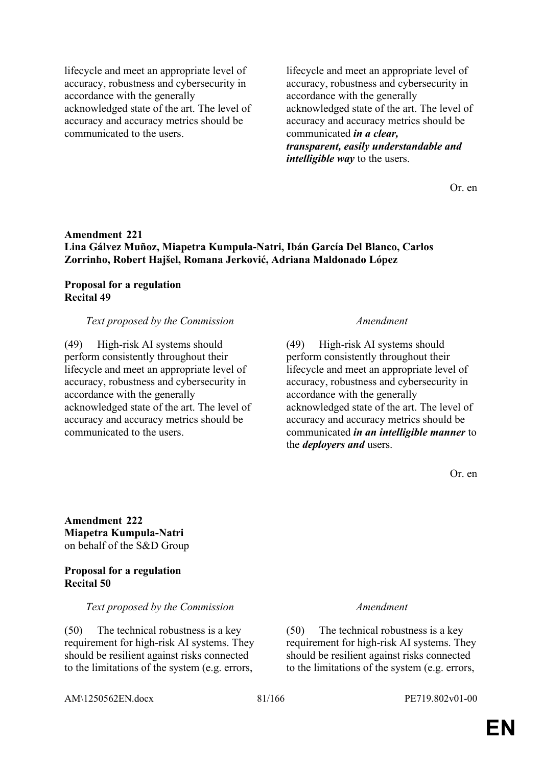lifecycle and meet an appropriate level of accuracy, robustness and cybersecurity in accordance with the generally acknowledged state of the art. The level of accuracy and accuracy metrics should be communicated to the users.

lifecycle and meet an appropriate level of accuracy, robustness and cybersecurity in accordance with the generally acknowledged state of the art. The level of accuracy and accuracy metrics should be communicated *in a clear, transparent, easily understandable and intelligible way* to the users.

Or. en

# **Amendment 221 Lina Gálvez Muñoz, Miapetra Kumpula-Natri, Ibán García Del Blanco, Carlos Zorrinho, Robert Hajšel, Romana Jerković, Adriana Maldonado López**

# **Proposal for a regulation Recital 49**

### *Text proposed by the Commission Amendment*

(49) High-risk AI systems should perform consistently throughout their lifecycle and meet an appropriate level of accuracy, robustness and cybersecurity in accordance with the generally acknowledged state of the art. The level of accuracy and accuracy metrics should be communicated to the users.

(49) High-risk AI systems should perform consistently throughout their lifecycle and meet an appropriate level of accuracy, robustness and cybersecurity in accordance with the generally acknowledged state of the art. The level of accuracy and accuracy metrics should be communicated *in an intelligible manner* to the *deployers and* users.

Or. en

**Amendment 222 Miapetra Kumpula-Natri** on behalf of the S&D Group

### **Proposal for a regulation Recital 50**

### *Text proposed by the Commission Amendment*

(50) The technical robustness is a key requirement for high-risk AI systems. They should be resilient against risks connected to the limitations of the system (e.g. errors,

(50) The technical robustness is a key requirement for high-risk AI systems. They should be resilient against risks connected to the limitations of the system (e.g. errors,

AM\1250562EN.docx 81/166 PE719.802v01-00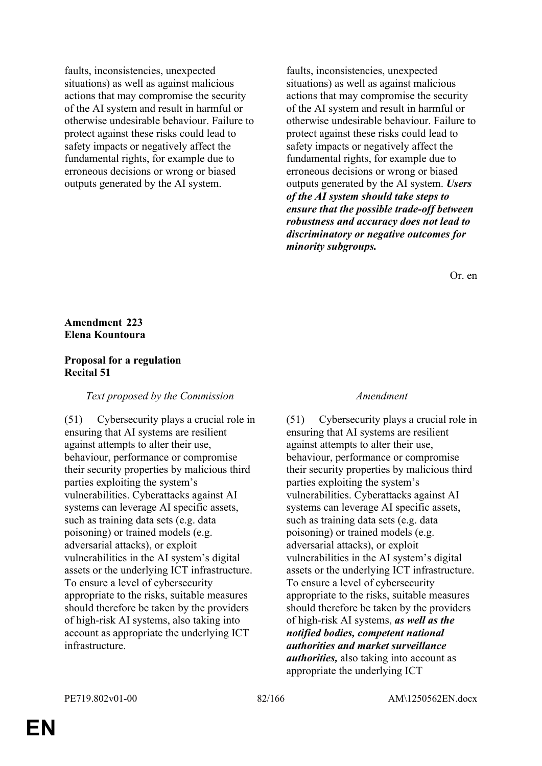faults, inconsistencies, unexpected situations) as well as against malicious actions that may compromise the security of the AI system and result in harmful or otherwise undesirable behaviour. Failure to protect against these risks could lead to safety impacts or negatively affect the fundamental rights, for example due to erroneous decisions or wrong or biased outputs generated by the AI system.

faults, inconsistencies, unexpected situations) as well as against malicious actions that may compromise the security of the AI system and result in harmful or otherwise undesirable behaviour. Failure to protect against these risks could lead to safety impacts or negatively affect the fundamental rights, for example due to erroneous decisions or wrong or biased outputs generated by the AI system. *Users of the AI system should take steps to ensure that the possible trade-off between robustness and accuracy does not lead to discriminatory or negative outcomes for minority subgroups.*

Or. en

## **Amendment 223 Elena Kountoura**

## **Proposal for a regulation Recital 51**

### *Text proposed by the Commission Amendment*

(51) Cybersecurity plays a crucial role in ensuring that AI systems are resilient against attempts to alter their use, behaviour, performance or compromise their security properties by malicious third parties exploiting the system's vulnerabilities. Cyberattacks against AI systems can leverage AI specific assets, such as training data sets (e.g. data poisoning) or trained models (e.g. adversarial attacks), or exploit vulnerabilities in the AI system's digital assets or the underlying ICT infrastructure. To ensure a level of cybersecurity appropriate to the risks, suitable measures should therefore be taken by the providers of high-risk AI systems, also taking into account as appropriate the underlying ICT infrastructure.

(51) Cybersecurity plays a crucial role in ensuring that AI systems are resilient against attempts to alter their use, behaviour, performance or compromise their security properties by malicious third parties exploiting the system's vulnerabilities. Cyberattacks against AI systems can leverage AI specific assets, such as training data sets (e.g. data poisoning) or trained models (e.g. adversarial attacks), or exploit vulnerabilities in the AI system's digital assets or the underlying ICT infrastructure. To ensure a level of cybersecurity appropriate to the risks, suitable measures should therefore be taken by the providers of high-risk AI systems, *as well as the notified bodies, competent national authorities and market surveillance authorities,* also taking into account as appropriate the underlying ICT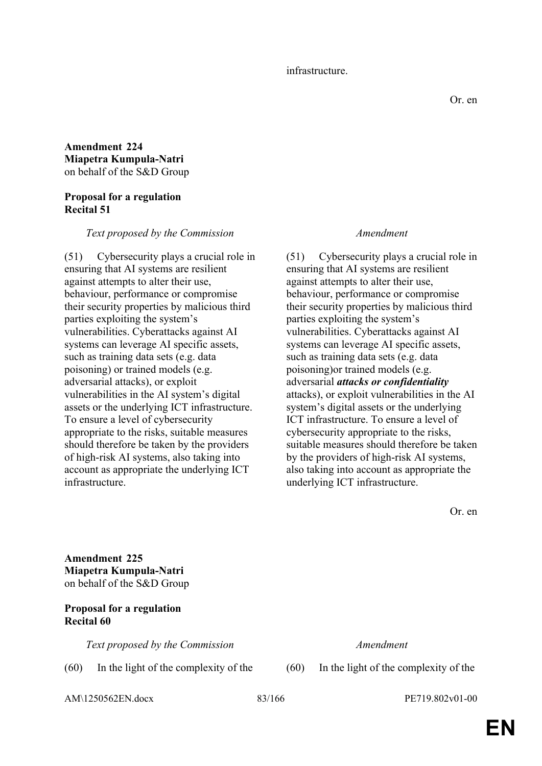### infrastructure.

# **Amendment 224 Miapetra Kumpula-Natri** on behalf of the S&D Group

## **Proposal for a regulation Recital 51**

### *Text proposed by the Commission Amendment*

(51) Cybersecurity plays a crucial role in ensuring that AI systems are resilient against attempts to alter their use, behaviour, performance or compromise their security properties by malicious third parties exploiting the system's vulnerabilities. Cyberattacks against AI systems can leverage AI specific assets, such as training data sets (e.g. data poisoning) or trained models (e.g. adversarial attacks), or exploit vulnerabilities in the AI system's digital assets or the underlying ICT infrastructure. To ensure a level of cybersecurity appropriate to the risks, suitable measures should therefore be taken by the providers of high-risk AI systems, also taking into account as appropriate the underlying ICT infrastructure.

(51) Cybersecurity plays a crucial role in ensuring that AI systems are resilient against attempts to alter their use, behaviour, performance or compromise their security properties by malicious third parties exploiting the system's vulnerabilities. Cyberattacks against AI systems can leverage AI specific assets, such as training data sets (e.g. data poisoning)or trained models (e.g. adversarial *attacks or confidentiality* attacks), or exploit vulnerabilities in the AI system's digital assets or the underlying ICT infrastructure. To ensure a level of cybersecurity appropriate to the risks, suitable measures should therefore be taken by the providers of high-risk AI systems, also taking into account as appropriate the underlying ICT infrastructure.

Or. en

**Amendment 225 Miapetra Kumpula-Natri** on behalf of the S&D Group

# **Proposal for a regulation Recital 60**

*Text proposed by the Commission Amendment*

(60) In the light of the complexity of the (60) In the light of the complexity of the

AM\1250562EN.docx 83/166 PE719.802v01-00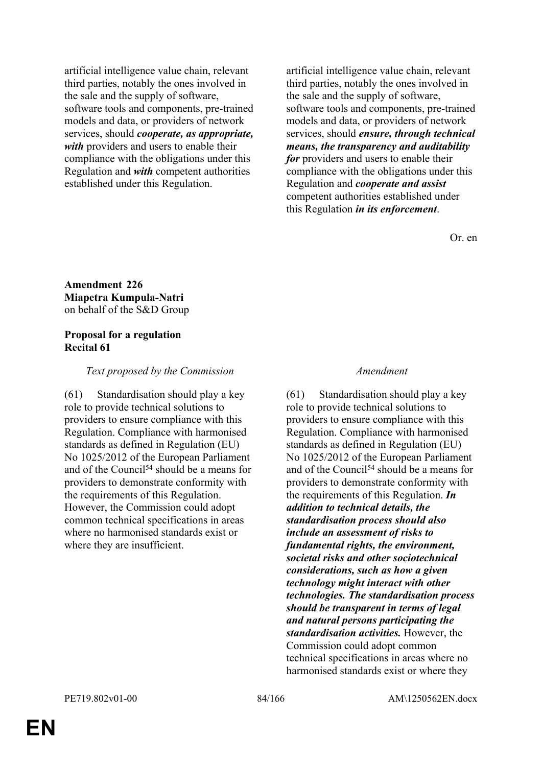artificial intelligence value chain, relevant third parties, notably the ones involved in the sale and the supply of software, software tools and components, pre-trained models and data, or providers of network services, should *cooperate, as appropriate, with* providers and users to enable their compliance with the obligations under this Regulation and *with* competent authorities established under this Regulation.

artificial intelligence value chain, relevant third parties, notably the ones involved in the sale and the supply of software, software tools and components, pre-trained models and data, or providers of network services, should *ensure, through technical means, the transparency and auditability for* providers and users to enable their compliance with the obligations under this Regulation and *cooperate and assist* competent authorities established under this Regulation *in its enforcement*.

Or. en

**Amendment 226 Miapetra Kumpula-Natri** on behalf of the S&D Group

## **Proposal for a regulation Recital 61**

### *Text proposed by the Commission Amendment*

(61) Standardisation should play a key role to provide technical solutions to providers to ensure compliance with this Regulation. Compliance with harmonised standards as defined in Regulation (EU) No 1025/2012 of the European Parliament and of the Council<sup>54</sup> should be a means for providers to demonstrate conformity with the requirements of this Regulation. However, the Commission could adopt common technical specifications in areas where no harmonised standards exist or where they are insufficient.

(61) Standardisation should play a key role to provide technical solutions to providers to ensure compliance with this Regulation. Compliance with harmonised standards as defined in Regulation (EU) No 1025/2012 of the European Parliament and of the Council<sup>54</sup> should be a means for providers to demonstrate conformity with the requirements of this Regulation. *In addition to technical details, the standardisation process should also include an assessment of risks to fundamental rights, the environment, societal risks and other sociotechnical considerations, such as how a given technology might interact with other technologies. The standardisation process should be transparent in terms of legal and natural persons participating the standardisation activities.* However, the Commission could adopt common technical specifications in areas where no harmonised standards exist or where they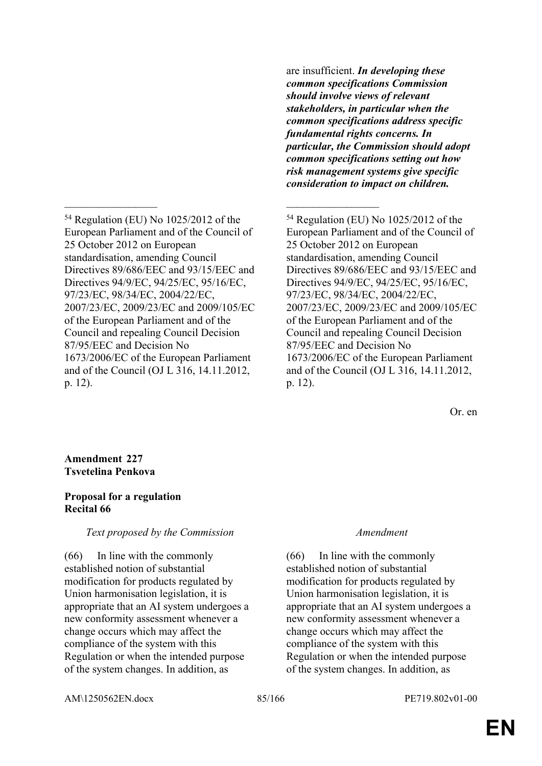<sup>54</sup> Regulation (EU) No 1025/2012 of the European Parliament and of the Council of 25 October 2012 on European standardisation, amending Council Directives 89/686/EEC and 93/15/EEC and Directives 94/9/EC, 94/25/EC, 95/16/EC, 97/23/EC, 98/34/EC, 2004/22/EC, 2007/23/EC, 2009/23/EC and 2009/105/EC of the European Parliament and of the Council and repealing Council Decision 87/95/EEC and Decision No 1673/2006/EC of the European Parliament and of the Council (OJ L 316, 14.11.2012, p. 12).

\_\_\_\_\_\_\_\_\_\_\_\_\_\_\_\_\_ \_\_\_\_\_\_\_\_\_\_\_\_\_\_\_\_\_

are insufficient. *In developing these common specifications Commission should involve views of relevant stakeholders, in particular when the common specifications address specific fundamental rights concerns. In particular, the Commission should adopt common specifications setting out how risk management systems give specific consideration to impact on children.*

<sup>54</sup> Regulation (EU) No 1025/2012 of the European Parliament and of the Council of 25 October 2012 on European standardisation, amending Council Directives 89/686/EEC and 93/15/EEC and Directives 94/9/EC, 94/25/EC, 95/16/EC, 97/23/EC, 98/34/EC, 2004/22/EC, 2007/23/EC, 2009/23/EC and 2009/105/EC of the European Parliament and of the Council and repealing Council Decision 87/95/EEC and Decision No 1673/2006/EC of the European Parliament and of the Council (OJ L 316, 14.11.2012, p. 12).

Or. en

### **Amendment 227 Tsvetelina Penkova**

# **Proposal for a regulation Recital 66**

# *Text proposed by the Commission Amendment*

(66) In line with the commonly established notion of substantial modification for products regulated by Union harmonisation legislation, it is appropriate that an AI system undergoes a new conformity assessment whenever a change occurs which may affect the compliance of the system with this Regulation or when the intended purpose of the system changes. In addition, as

(66) In line with the commonly established notion of substantial modification for products regulated by Union harmonisation legislation, it is appropriate that an AI system undergoes a new conformity assessment whenever a change occurs which may affect the compliance of the system with this Regulation or when the intended purpose of the system changes. In addition, as

AM\1250562EN.docx 85/166 PE719.802v01-00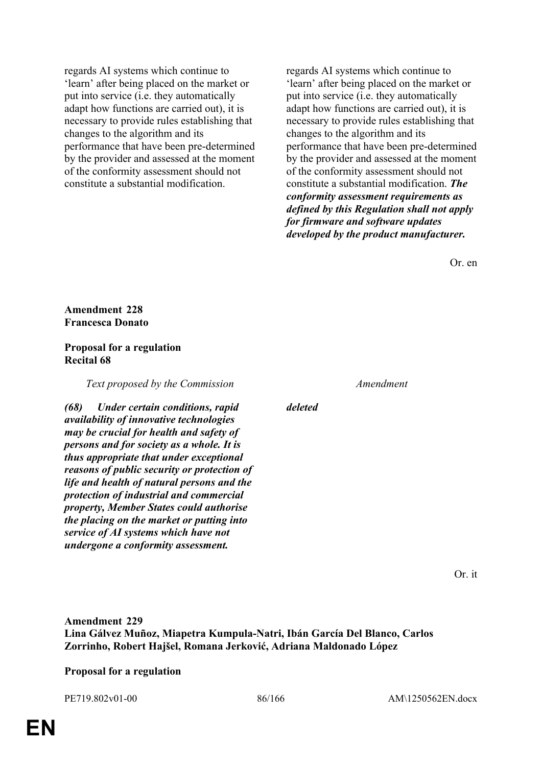regards AI systems which continue to 'learn' after being placed on the market or put into service (i.e. they automatically adapt how functions are carried out), it is necessary to provide rules establishing that changes to the algorithm and its performance that have been pre-determined by the provider and assessed at the moment of the conformity assessment should not constitute a substantial modification.

regards AI systems which continue to 'learn' after being placed on the market or put into service (i.e. they automatically adapt how functions are carried out), it is necessary to provide rules establishing that changes to the algorithm and its performance that have been pre-determined by the provider and assessed at the moment of the conformity assessment should not constitute a substantial modification. *The conformity assessment requirements as defined by this Regulation shall not apply for firmware and software updates developed by the product manufacturer.*

Or. en

**Amendment 228 Francesca Donato**

## **Proposal for a regulation Recital 68**

*Text proposed by the Commission Amendment*

*(68) Under certain conditions, rapid availability of innovative technologies may be crucial for health and safety of persons and for society as a whole. It is thus appropriate that under exceptional reasons of public security or protection of life and health of natural persons and the protection of industrial and commercial property, Member States could authorise the placing on the market or putting into service of AI systems which have not undergone a conformity assessment.*

*deleted*

Or. it

**Amendment 229 Lina Gálvez Muñoz, Miapetra Kumpula-Natri, Ibán García Del Blanco, Carlos Zorrinho, Robert Hajšel, Romana Jerković, Adriana Maldonado López**

# **Proposal for a regulation**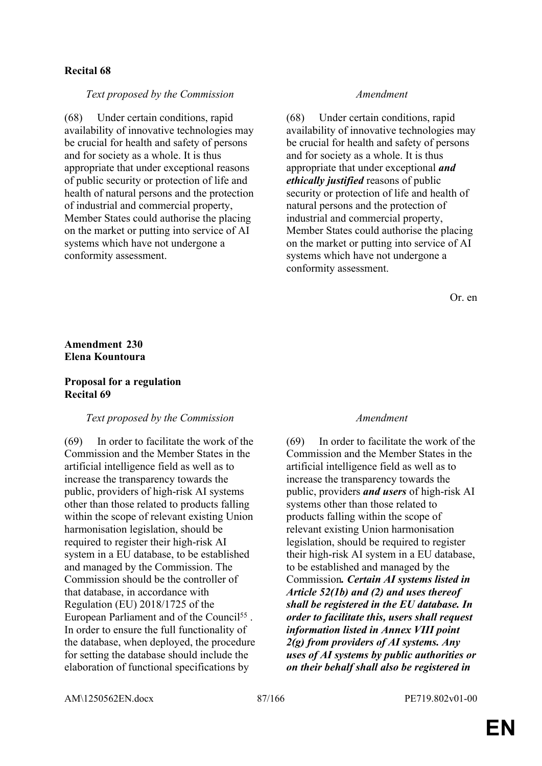## **Recital 68**

### *Text proposed by the Commission Amendment*

(68) Under certain conditions, rapid availability of innovative technologies may be crucial for health and safety of persons and for society as a whole. It is thus appropriate that under exceptional reasons of public security or protection of life and health of natural persons and the protection of industrial and commercial property, Member States could authorise the placing on the market or putting into service of AI systems which have not undergone a conformity assessment.

(68) Under certain conditions, rapid availability of innovative technologies may be crucial for health and safety of persons and for society as a whole. It is thus appropriate that under exceptional *and ethically justified* reasons of public security or protection of life and health of natural persons and the protection of industrial and commercial property, Member States could authorise the placing on the market or putting into service of AI systems which have not undergone a conformity assessment.

Or. en

## **Amendment 230 Elena Kountoura**

### **Proposal for a regulation Recital 69**

### *Text proposed by the Commission Amendment*

(69) In order to facilitate the work of the Commission and the Member States in the artificial intelligence field as well as to increase the transparency towards the public, providers of high-risk AI systems other than those related to products falling within the scope of relevant existing Union harmonisation legislation, should be required to register their high-risk AI system in a EU database, to be established and managed by the Commission. The Commission should be the controller of that database, in accordance with Regulation (EU) 2018/1725 of the European Parliament and of the Council<sup>55</sup>. In order to ensure the full functionality of the database, when deployed, the procedure for setting the database should include the elaboration of functional specifications by

(69) In order to facilitate the work of the Commission and the Member States in the artificial intelligence field as well as to increase the transparency towards the public, providers *and users* of high-risk AI systems other than those related to products falling within the scope of relevant existing Union harmonisation legislation, should be required to register their high-risk AI system in a EU database, to be established and managed by the Commission*. Certain AI systems listed in Article 52(1b) and (2) and uses thereof shall be registered in the EU database. In order to facilitate this, users shall request information listed in Annex VIII point 2(g) from providers of AI systems. Any uses of AI systems by public authorities or on their behalf shall also be registered in* 

AM\1250562EN.docx 87/166 PE719.802v01-00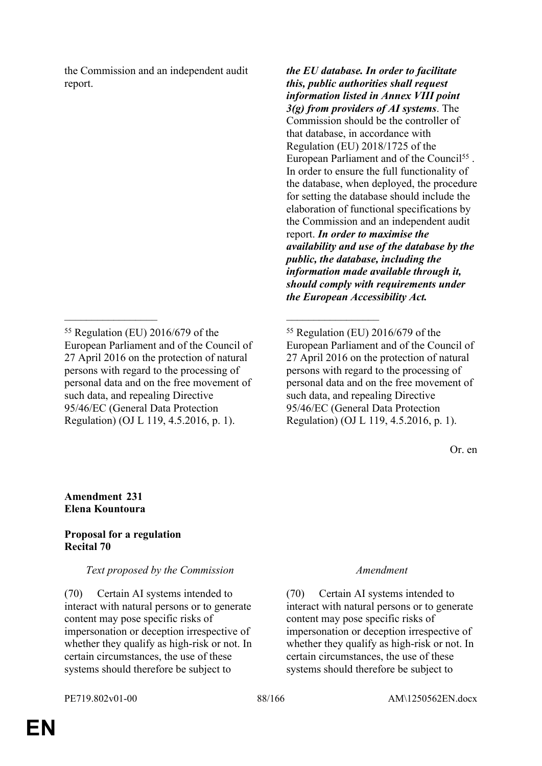the Commission and an independent audit report.

\_\_\_\_\_\_\_\_\_\_\_\_\_\_\_\_\_ \_\_\_\_\_\_\_\_\_\_\_\_\_\_\_\_\_

*the EU database. In order to facilitate this, public authorities shall request information listed in Annex VIII point 3(g) from providers of AI systems*. The Commission should be the controller of that database, in accordance with Regulation (EU) 2018/1725 of the European Parliament and of the Council<sup>55</sup>. In order to ensure the full functionality of the database, when deployed, the procedure for setting the database should include the elaboration of functional specifications by the Commission and an independent audit report. *In order to maximise the availability and use of the database by the public, the database, including the information made available through it, should comply with requirements under the European Accessibility Act.*

<sup>55</sup> Regulation (EU) 2016/679 of the European Parliament and of the Council of 27 April 2016 on the protection of natural persons with regard to the processing of personal data and on the free movement of such data, and repealing Directive 95/46/EC (General Data Protection Regulation) (OJ L 119, 4.5.2016, p. 1).

Or. en

# **Amendment 231 Elena Kountoura**

# **Proposal for a regulation Recital 70**

# *Text proposed by the Commission Amendment*

(70) Certain AI systems intended to interact with natural persons or to generate content may pose specific risks of impersonation or deception irrespective of whether they qualify as high-risk or not. In certain circumstances, the use of these systems should therefore be subject to

(70) Certain AI systems intended to interact with natural persons or to generate content may pose specific risks of impersonation or deception irrespective of whether they qualify as high-risk or not. In certain circumstances, the use of these systems should therefore be subject to

<sup>55</sup> Regulation (EU) 2016/679 of the European Parliament and of the Council of 27 April 2016 on the protection of natural persons with regard to the processing of personal data and on the free movement of such data, and repealing Directive 95/46/EC (General Data Protection Regulation) (OJ L 119, 4.5.2016, p. 1).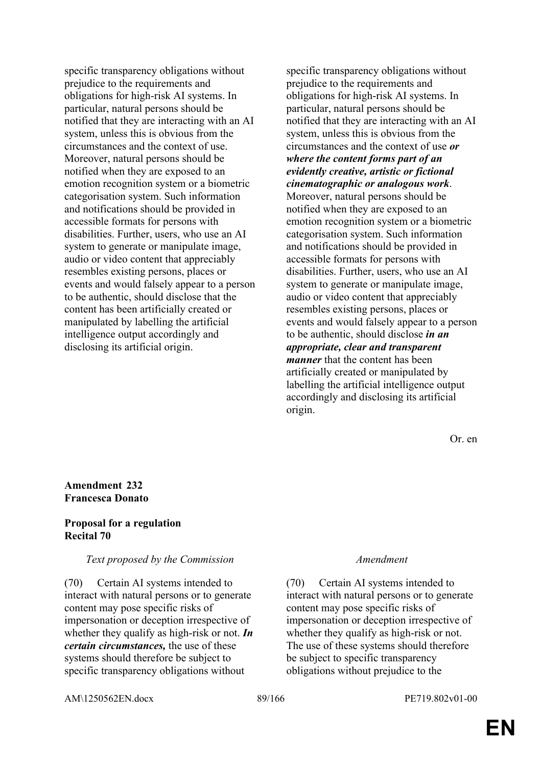specific transparency obligations without prejudice to the requirements and obligations for high-risk AI systems. In particular, natural persons should be notified that they are interacting with an AI system, unless this is obvious from the circumstances and the context of use. Moreover, natural persons should be notified when they are exposed to an emotion recognition system or a biometric categorisation system. Such information and notifications should be provided in accessible formats for persons with disabilities. Further, users, who use an AI system to generate or manipulate image, audio or video content that appreciably resembles existing persons, places or events and would falsely appear to a person to be authentic, should disclose that the content has been artificially created or manipulated by labelling the artificial intelligence output accordingly and disclosing its artificial origin.

specific transparency obligations without prejudice to the requirements and obligations for high-risk AI systems. In particular, natural persons should be notified that they are interacting with an AI system, unless this is obvious from the circumstances and the context of use *or where the content forms part of an evidently creative, artistic or fictional cinematographic or analogous work*. Moreover, natural persons should be notified when they are exposed to an emotion recognition system or a biometric categorisation system. Such information and notifications should be provided in accessible formats for persons with disabilities. Further, users, who use an AI system to generate or manipulate image, audio or video content that appreciably resembles existing persons, places or events and would falsely appear to a person to be authentic, should disclose *in an appropriate, clear and transparent manner* that the content has been artificially created or manipulated by labelling the artificial intelligence output accordingly and disclosing its artificial origin.

Or. en

## **Amendment 232 Francesca Donato**

### **Proposal for a regulation Recital 70**

### *Text proposed by the Commission Amendment*

(70) Certain AI systems intended to interact with natural persons or to generate content may pose specific risks of impersonation or deception irrespective of whether they qualify as high-risk or not. *In certain circumstances,* the use of these systems should therefore be subject to specific transparency obligations without

(70) Certain AI systems intended to interact with natural persons or to generate content may pose specific risks of impersonation or deception irrespective of whether they qualify as high-risk or not. The use of these systems should therefore be subject to specific transparency obligations without prejudice to the

AM\1250562EN.docx 89/166 PE719.802v01-00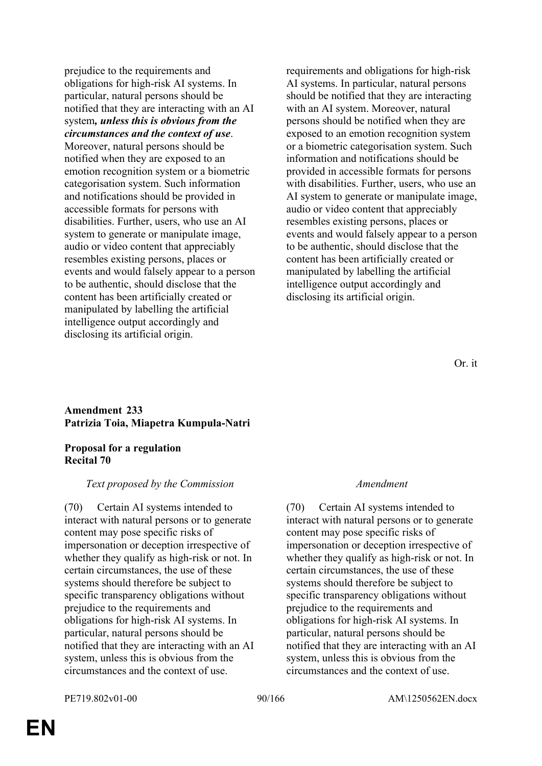prejudice to the requirements and obligations for high-risk AI systems. In particular, natural persons should be notified that they are interacting with an AI system*, unless this is obvious from the circumstances and the context of use*. Moreover, natural persons should be notified when they are exposed to an emotion recognition system or a biometric categorisation system. Such information and notifications should be provided in accessible formats for persons with disabilities. Further, users, who use an AI system to generate or manipulate image, audio or video content that appreciably resembles existing persons, places or events and would falsely appear to a person to be authentic, should disclose that the content has been artificially created or manipulated by labelling the artificial intelligence output accordingly and disclosing its artificial origin.

requirements and obligations for high-risk AI systems. In particular, natural persons should be notified that they are interacting with an AI system. Moreover, natural persons should be notified when they are exposed to an emotion recognition system or a biometric categorisation system. Such information and notifications should be provided in accessible formats for persons with disabilities. Further, users, who use an AI system to generate or manipulate image, audio or video content that appreciably resembles existing persons, places or events and would falsely appear to a person to be authentic, should disclose that the content has been artificially created or manipulated by labelling the artificial intelligence output accordingly and disclosing its artificial origin.

### Or. it

### **Amendment 233 Patrizia Toia, Miapetra Kumpula-Natri**

### **Proposal for a regulation Recital 70**

### *Text proposed by the Commission Amendment*

(70) Certain AI systems intended to interact with natural persons or to generate content may pose specific risks of impersonation or deception irrespective of whether they qualify as high-risk or not. In certain circumstances, the use of these systems should therefore be subject to specific transparency obligations without prejudice to the requirements and obligations for high-risk AI systems. In particular, natural persons should be notified that they are interacting with an AI system, unless this is obvious from the circumstances and the context of use.

(70) Certain AI systems intended to interact with natural persons or to generate content may pose specific risks of impersonation or deception irrespective of whether they qualify as high-risk or not. In certain circumstances, the use of these systems should therefore be subject to specific transparency obligations without prejudice to the requirements and obligations for high-risk AI systems. In particular, natural persons should be notified that they are interacting with an AI system, unless this is obvious from the circumstances and the context of use.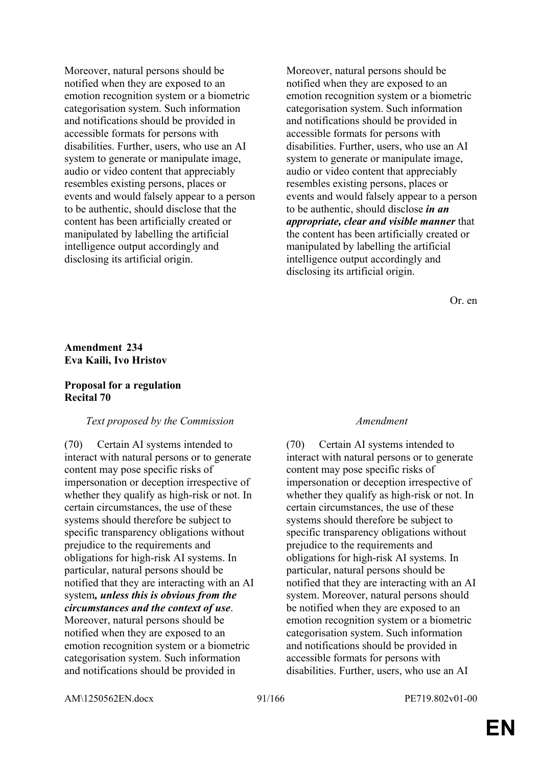Moreover, natural persons should be notified when they are exposed to an emotion recognition system or a biometric categorisation system. Such information and notifications should be provided in accessible formats for persons with disabilities. Further, users, who use an AI system to generate or manipulate image, audio or video content that appreciably resembles existing persons, places or events and would falsely appear to a person to be authentic, should disclose that the content has been artificially created or manipulated by labelling the artificial intelligence output accordingly and disclosing its artificial origin.

Moreover, natural persons should be notified when they are exposed to an emotion recognition system or a biometric categorisation system. Such information and notifications should be provided in accessible formats for persons with disabilities. Further, users, who use an AI system to generate or manipulate image, audio or video content that appreciably resembles existing persons, places or events and would falsely appear to a person to be authentic, should disclose *in an appropriate, clear and visible manner* that the content has been artificially created or manipulated by labelling the artificial intelligence output accordingly and disclosing its artificial origin.

Or. en

## **Amendment 234 Eva Kaili, Ivo Hristov**

### **Proposal for a regulation Recital 70**

### *Text proposed by the Commission Amendment*

(70) Certain AI systems intended to interact with natural persons or to generate content may pose specific risks of impersonation or deception irrespective of whether they qualify as high-risk or not. In certain circumstances, the use of these systems should therefore be subject to specific transparency obligations without prejudice to the requirements and obligations for high-risk AI systems. In particular, natural persons should be notified that they are interacting with an AI system*, unless this is obvious from the circumstances and the context of use*. Moreover, natural persons should be

notified when they are exposed to an emotion recognition system or a biometric categorisation system. Such information and notifications should be provided in

(70) Certain AI systems intended to interact with natural persons or to generate content may pose specific risks of impersonation or deception irrespective of whether they qualify as high-risk or not. In certain circumstances, the use of these systems should therefore be subject to specific transparency obligations without prejudice to the requirements and obligations for high-risk AI systems. In particular, natural persons should be notified that they are interacting with an AI system. Moreover, natural persons should be notified when they are exposed to an emotion recognition system or a biometric categorisation system. Such information and notifications should be provided in accessible formats for persons with disabilities. Further, users, who use an AI

AM\1250562EN.docx 91/166 PE719.802v01-00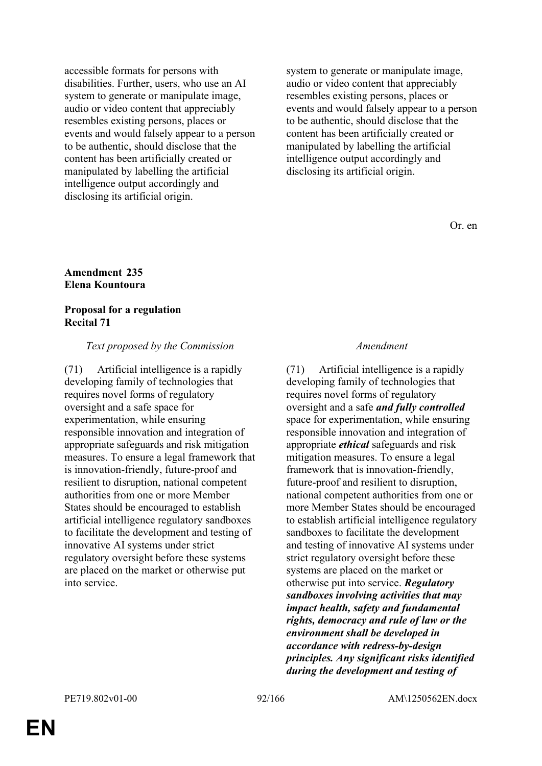accessible formats for persons with disabilities. Further, users, who use an AI system to generate or manipulate image, audio or video content that appreciably resembles existing persons, places or events and would falsely appear to a person to be authentic, should disclose that the content has been artificially created or manipulated by labelling the artificial intelligence output accordingly and disclosing its artificial origin.

system to generate or manipulate image, audio or video content that appreciably resembles existing persons, places or events and would falsely appear to a person to be authentic, should disclose that the content has been artificially created or manipulated by labelling the artificial intelligence output accordingly and disclosing its artificial origin.

Or. en

## **Amendment 235 Elena Kountoura**

### **Proposal for a regulation Recital 71**

### *Text proposed by the Commission Amendment*

(71) Artificial intelligence is a rapidly developing family of technologies that requires novel forms of regulatory oversight and a safe space for experimentation, while ensuring responsible innovation and integration of appropriate safeguards and risk mitigation measures. To ensure a legal framework that is innovation-friendly, future-proof and resilient to disruption, national competent authorities from one or more Member States should be encouraged to establish artificial intelligence regulatory sandboxes to facilitate the development and testing of innovative AI systems under strict regulatory oversight before these systems are placed on the market or otherwise put into service.

(71) Artificial intelligence is a rapidly developing family of technologies that requires novel forms of regulatory oversight and a safe *and fully controlled* space for experimentation, while ensuring responsible innovation and integration of appropriate *ethical* safeguards and risk mitigation measures. To ensure a legal framework that is innovation-friendly, future-proof and resilient to disruption, national competent authorities from one or more Member States should be encouraged to establish artificial intelligence regulatory sandboxes to facilitate the development and testing of innovative AI systems under strict regulatory oversight before these systems are placed on the market or otherwise put into service. *Regulatory sandboxes involving activities that may impact health, safety and fundamental rights, democracy and rule of law or the environment shall be developed in accordance with redress-by-design principles. Any significant risks identified during the development and testing of*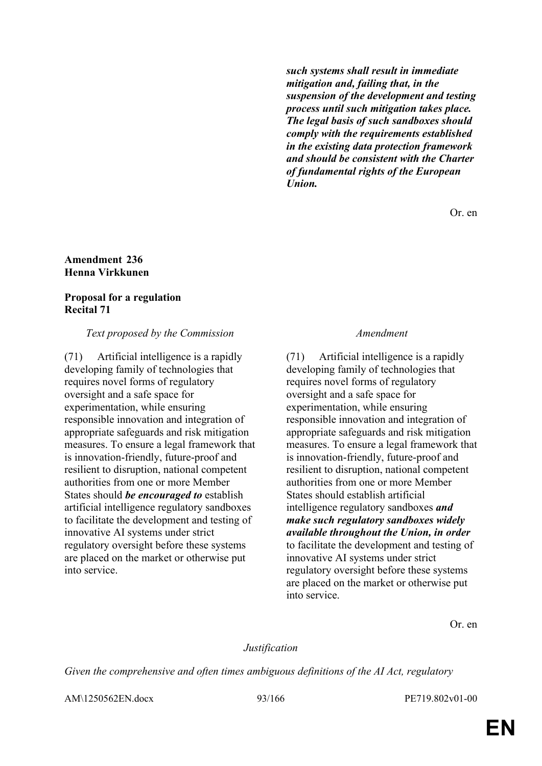*such systems shall result in immediate mitigation and, failing that, in the suspension of the development and testing process until such mitigation takes place. The legal basis of such sandboxes should comply with the requirements established in the existing data protection framework and should be consistent with the Charter of fundamental rights of the European Union.*

Or. en

### **Amendment 236 Henna Virkkunen**

# **Proposal for a regulation Recital 71**

# *Text proposed by the Commission Amendment*

(71) Artificial intelligence is a rapidly developing family of technologies that requires novel forms of regulatory oversight and a safe space for experimentation, while ensuring responsible innovation and integration of appropriate safeguards and risk mitigation measures. To ensure a legal framework that is innovation-friendly, future-proof and resilient to disruption, national competent authorities from one or more Member States should *be encouraged to* establish artificial intelligence regulatory sandboxes to facilitate the development and testing of innovative AI systems under strict regulatory oversight before these systems are placed on the market or otherwise put into service.

(71) Artificial intelligence is a rapidly developing family of technologies that requires novel forms of regulatory oversight and a safe space for experimentation, while ensuring responsible innovation and integration of appropriate safeguards and risk mitigation measures. To ensure a legal framework that is innovation-friendly, future-proof and resilient to disruption, national competent authorities from one or more Member States should establish artificial intelligence regulatory sandboxes *and make such regulatory sandboxes widely available throughout the Union, in order* to facilitate the development and testing of innovative AI systems under strict regulatory oversight before these systems are placed on the market or otherwise put into service.

Or. en

# *Justification*

*Given the comprehensive and often times ambiguous definitions of the AI Act, regulatory* 

AM\1250562EN.docx 93/166 PE719.802v01-00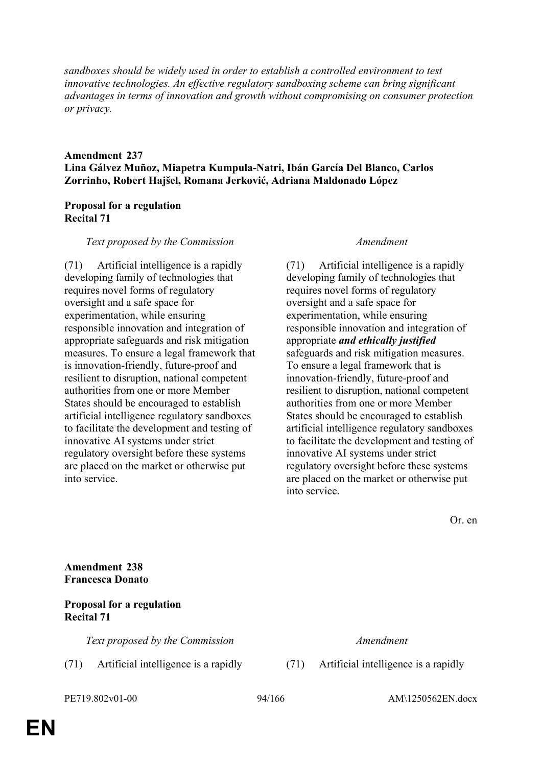*sandboxes should be widely used in order to establish a controlled environment to test innovative technologies. An effective regulatory sandboxing scheme can bring significant advantages in terms of innovation and growth without compromising on consumer protection or privacy.*

# **Amendment 237 Lina Gálvez Muñoz, Miapetra Kumpula-Natri, Ibán García Del Blanco, Carlos Zorrinho, Robert Hajšel, Romana Jerković, Adriana Maldonado López**

# **Proposal for a regulation Recital 71**

## *Text proposed by the Commission Amendment*

(71) Artificial intelligence is a rapidly developing family of technologies that requires novel forms of regulatory oversight and a safe space for experimentation, while ensuring responsible innovation and integration of appropriate safeguards and risk mitigation measures. To ensure a legal framework that is innovation-friendly, future-proof and resilient to disruption, national competent authorities from one or more Member States should be encouraged to establish artificial intelligence regulatory sandboxes to facilitate the development and testing of innovative AI systems under strict regulatory oversight before these systems are placed on the market or otherwise put into service.

(71) Artificial intelligence is a rapidly developing family of technologies that requires novel forms of regulatory oversight and a safe space for experimentation, while ensuring responsible innovation and integration of appropriate *and ethically justified* safeguards and risk mitigation measures. To ensure a legal framework that is innovation-friendly, future-proof and resilient to disruption, national competent authorities from one or more Member States should be encouraged to establish artificial intelligence regulatory sandboxes to facilitate the development and testing of innovative AI systems under strict regulatory oversight before these systems are placed on the market or otherwise put into service.

Or. en

**Amendment 238 Francesca Donato**

# **Proposal for a regulation Recital 71**

*Text proposed by the Commission Amendment*

(71) Artificial intelligence is a rapidly (71) Artificial intelligence is a rapidly

PE719.802v01-00 94/166 AM\1250562EN.docx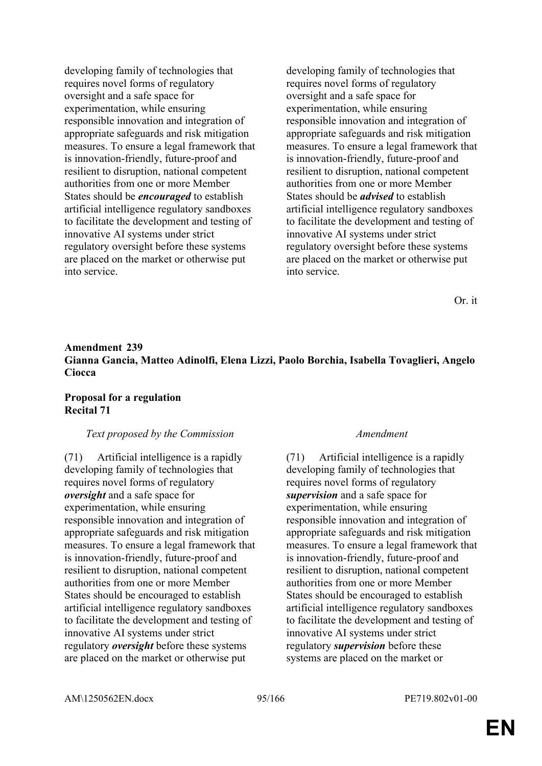developing family of technologies that requires novel forms of regulatory oversight and a safe space for experimentation, while ensuring responsible innovation and integration of appropriate safeguards and risk mitigation measures. To ensure a legal framework that is innovation-friendly, future-proof and resilient to disruption, national competent authorities from one or more Member States should be *encouraged* to establish artificial intelligence regulatory sandboxes to facilitate the development and testing of innovative AI systems under strict regulatory oversight before these systems are placed on the market or otherwise put into service.

developing family of technologies that requires novel forms of regulatory oversight and a safe space for experimentation, while ensuring responsible innovation and integration of appropriate safeguards and risk mitigation measures. To ensure a legal framework that is innovation-friendly, future-proof and resilient to disruption, national competent authorities from one or more Member States should be *advised* to establish artificial intelligence regulatory sandboxes to facilitate the development and testing of innovative AI systems under strict regulatory oversight before these systems are placed on the market or otherwise put into service.

Or. it

# **Amendment 239 Gianna Gancia, Matteo Adinolfi, Elena Lizzi, Paolo Borchia, Isabella Tovaglieri, Angelo Ciocca**

# **Proposal for a regulation Recital 71**

# *Text proposed by the Commission Amendment*

(71) Artificial intelligence is a rapidly developing family of technologies that requires novel forms of regulatory *oversight* and a safe space for experimentation, while ensuring responsible innovation and integration of appropriate safeguards and risk mitigation measures. To ensure a legal framework that is innovation-friendly, future-proof and resilient to disruption, national competent authorities from one or more Member States should be encouraged to establish artificial intelligence regulatory sandboxes to facilitate the development and testing of innovative AI systems under strict regulatory *oversight* before these systems are placed on the market or otherwise put

(71) Artificial intelligence is a rapidly developing family of technologies that requires novel forms of regulatory *supervision* and a safe space for experimentation, while ensuring responsible innovation and integration of appropriate safeguards and risk mitigation measures. To ensure a legal framework that is innovation-friendly, future-proof and resilient to disruption, national competent authorities from one or more Member States should be encouraged to establish artificial intelligence regulatory sandboxes to facilitate the development and testing of innovative AI systems under strict regulatory *supervision* before these systems are placed on the market or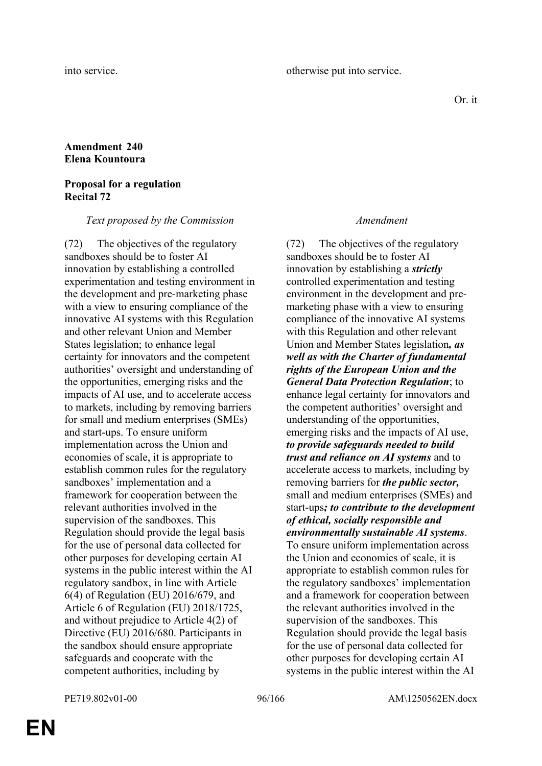Or. it

# **Amendment 240 Elena Kountoura**

### **Proposal for a regulation Recital 72**

### *Text proposed by the Commission Amendment*

(72) The objectives of the regulatory sandboxes should be to foster AI innovation by establishing a controlled experimentation and testing environment in the development and pre-marketing phase with a view to ensuring compliance of the innovative AI systems with this Regulation and other relevant Union and Member States legislation; to enhance legal certainty for innovators and the competent authorities' oversight and understanding of the opportunities, emerging risks and the impacts of AI use, and to accelerate access to markets, including by removing barriers for small and medium enterprises (SMEs) and start-ups. To ensure uniform implementation across the Union and economies of scale, it is appropriate to establish common rules for the regulatory sandboxes' implementation and a framework for cooperation between the relevant authorities involved in the supervision of the sandboxes. This Regulation should provide the legal basis for the use of personal data collected for other purposes for developing certain AI systems in the public interest within the AI regulatory sandbox, in line with Article 6(4) of Regulation (EU) 2016/679, and Article 6 of Regulation (EU) 2018/1725, and without prejudice to Article 4(2) of Directive (EU) 2016/680. Participants in the sandbox should ensure appropriate safeguards and cooperate with the competent authorities, including by

(72) The objectives of the regulatory sandboxes should be to foster AI innovation by establishing a *strictly* controlled experimentation and testing environment in the development and premarketing phase with a view to ensuring compliance of the innovative AI systems with this Regulation and other relevant Union and Member States legislation*, as well as with the Charter of fundamental rights of the European Union and the General Data Protection Regulation*; to enhance legal certainty for innovators and the competent authorities' oversight and understanding of the opportunities, emerging risks and the impacts of AI use, *to provide safeguards needed to build trust and reliance on AI systems* and to accelerate access to markets, including by removing barriers for *the public sector,* small and medium enterprises (SMEs) and start-ups*; to contribute to the development of ethical, socially responsible and environmentally sustainable AI systems*. To ensure uniform implementation across the Union and economies of scale, it is appropriate to establish common rules for the regulatory sandboxes' implementation and a framework for cooperation between the relevant authorities involved in the supervision of the sandboxes. This Regulation should provide the legal basis for the use of personal data collected for other purposes for developing certain AI systems in the public interest within the AI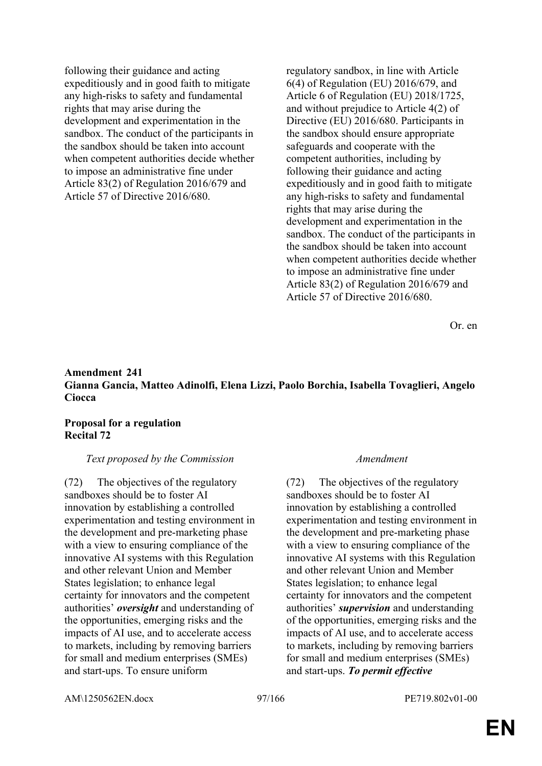following their guidance and acting expeditiously and in good faith to mitigate any high-risks to safety and fundamental rights that may arise during the development and experimentation in the sandbox. The conduct of the participants in the sandbox should be taken into account when competent authorities decide whether to impose an administrative fine under Article 83(2) of Regulation 2016/679 and Article 57 of Directive 2016/680.

regulatory sandbox, in line with Article 6(4) of Regulation (EU) 2016/679, and Article 6 of Regulation (EU) 2018/1725, and without prejudice to Article 4(2) of Directive (EU) 2016/680. Participants in the sandbox should ensure appropriate safeguards and cooperate with the competent authorities, including by following their guidance and acting expeditiously and in good faith to mitigate any high-risks to safety and fundamental rights that may arise during the development and experimentation in the sandbox. The conduct of the participants in the sandbox should be taken into account when competent authorities decide whether to impose an administrative fine under Article 83(2) of Regulation 2016/679 and Article 57 of Directive 2016/680.

Or. en

# **Amendment 241 Gianna Gancia, Matteo Adinolfi, Elena Lizzi, Paolo Borchia, Isabella Tovaglieri, Angelo Ciocca**

## **Proposal for a regulation Recital 72**

### *Text proposed by the Commission Amendment*

(72) The objectives of the regulatory sandboxes should be to foster AI innovation by establishing a controlled experimentation and testing environment in the development and pre-marketing phase with a view to ensuring compliance of the innovative AI systems with this Regulation and other relevant Union and Member States legislation; to enhance legal certainty for innovators and the competent authorities' *oversight* and understanding of the opportunities, emerging risks and the impacts of AI use, and to accelerate access to markets, including by removing barriers for small and medium enterprises (SMEs) and start-ups. To ensure uniform

(72) The objectives of the regulatory sandboxes should be to foster AI innovation by establishing a controlled experimentation and testing environment in the development and pre-marketing phase with a view to ensuring compliance of the innovative AI systems with this Regulation and other relevant Union and Member States legislation; to enhance legal certainty for innovators and the competent authorities' *supervision* and understanding of the opportunities, emerging risks and the impacts of AI use, and to accelerate access to markets, including by removing barriers for small and medium enterprises (SMEs) and start-ups. *To permit effective* 

AM\1250562EN.docx 97/166 PE719.802v01-00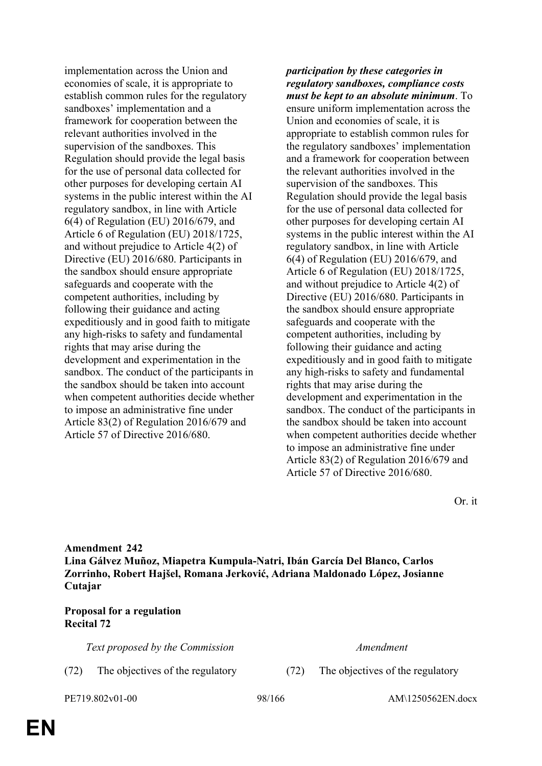implementation across the Union and economies of scale, it is appropriate to establish common rules for the regulatory sandboxes' implementation and a framework for cooperation between the relevant authorities involved in the supervision of the sandboxes. This Regulation should provide the legal basis for the use of personal data collected for other purposes for developing certain AI systems in the public interest within the AI regulatory sandbox, in line with Article 6(4) of Regulation (EU) 2016/679, and Article 6 of Regulation (EU) 2018/1725, and without prejudice to Article 4(2) of Directive (EU) 2016/680. Participants in the sandbox should ensure appropriate safeguards and cooperate with the competent authorities, including by following their guidance and acting expeditiously and in good faith to mitigate any high-risks to safety and fundamental rights that may arise during the development and experimentation in the sandbox. The conduct of the participants in the sandbox should be taken into account when competent authorities decide whether to impose an administrative fine under Article 83(2) of Regulation 2016/679 and Article 57 of Directive 2016/680.

*participation by these categories in regulatory sandboxes, compliance costs must be kept to an absolute minimum*. To ensure uniform implementation across the Union and economies of scale, it is appropriate to establish common rules for the regulatory sandboxes' implementation and a framework for cooperation between the relevant authorities involved in the supervision of the sandboxes. This Regulation should provide the legal basis for the use of personal data collected for other purposes for developing certain AI systems in the public interest within the AI regulatory sandbox, in line with Article 6(4) of Regulation (EU) 2016/679, and Article 6 of Regulation (EU) 2018/1725, and without prejudice to Article 4(2) of Directive (EU) 2016/680. Participants in the sandbox should ensure appropriate safeguards and cooperate with the competent authorities, including by following their guidance and acting expeditiously and in good faith to mitigate any high-risks to safety and fundamental rights that may arise during the development and experimentation in the sandbox. The conduct of the participants in the sandbox should be taken into account when competent authorities decide whether to impose an administrative fine under Article 83(2) of Regulation 2016/679 and Article 57 of Directive 2016/680.

Or. it

**Amendment 242 Lina Gálvez Muñoz, Miapetra Kumpula-Natri, Ibán García Del Blanco, Carlos Zorrinho, Robert Hajšel, Romana Jerković, Adriana Maldonado López, Josianne Cutajar**

# **Proposal for a regulation Recital 72**

*Text proposed by the Commission Amendment*

(72) The objectives of the regulatory (72) The objectives of the regulatory

PE719.802v01-00 98/166 AM\1250562EN.docx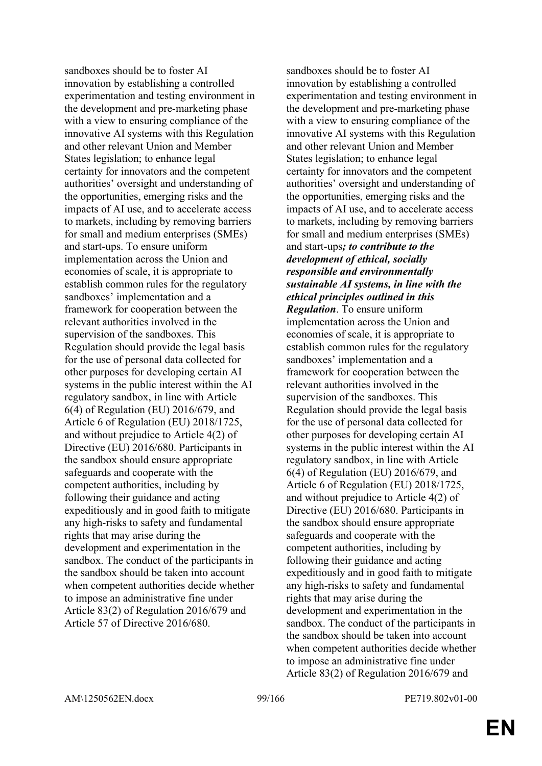sandboxes should be to foster AI innovation by establishing a controlled experimentation and testing environment in the development and pre-marketing phase with a view to ensuring compliance of the innovative AI systems with this Regulation and other relevant Union and Member States legislation; to enhance legal certainty for innovators and the competent authorities' oversight and understanding of the opportunities, emerging risks and the impacts of AI use, and to accelerate access to markets, including by removing barriers for small and medium enterprises (SMEs) and start-ups. To ensure uniform implementation across the Union and economies of scale, it is appropriate to establish common rules for the regulatory sandboxes' implementation and a framework for cooperation between the relevant authorities involved in the supervision of the sandboxes. This Regulation should provide the legal basis for the use of personal data collected for other purposes for developing certain AI systems in the public interest within the AI regulatory sandbox, in line with Article 6(4) of Regulation (EU) 2016/679, and Article 6 of Regulation (EU) 2018/1725, and without prejudice to Article 4(2) of Directive (EU) 2016/680. Participants in the sandbox should ensure appropriate safeguards and cooperate with the competent authorities, including by following their guidance and acting expeditiously and in good faith to mitigate any high-risks to safety and fundamental rights that may arise during the development and experimentation in the sandbox. The conduct of the participants in the sandbox should be taken into account when competent authorities decide whether to impose an administrative fine under Article 83(2) of Regulation 2016/679 and Article 57 of Directive 2016/680.

sandboxes should be to foster AI innovation by establishing a controlled experimentation and testing environment in the development and pre-marketing phase with a view to ensuring compliance of the innovative AI systems with this Regulation and other relevant Union and Member States legislation; to enhance legal certainty for innovators and the competent authorities' oversight and understanding of the opportunities, emerging risks and the impacts of AI use, and to accelerate access to markets, including by removing barriers for small and medium enterprises (SMEs) and start-ups*; to contribute to the development of ethical, socially responsible and environmentally sustainable AI systems, in line with the ethical principles outlined in this Regulation*. To ensure uniform implementation across the Union and economies of scale, it is appropriate to establish common rules for the regulatory sandboxes' implementation and a framework for cooperation between the relevant authorities involved in the supervision of the sandboxes. This Regulation should provide the legal basis for the use of personal data collected for other purposes for developing certain AI systems in the public interest within the AI regulatory sandbox, in line with Article 6(4) of Regulation (EU) 2016/679, and Article 6 of Regulation (EU) 2018/1725, and without prejudice to Article 4(2) of Directive (EU) 2016/680. Participants in the sandbox should ensure appropriate safeguards and cooperate with the competent authorities, including by following their guidance and acting expeditiously and in good faith to mitigate any high-risks to safety and fundamental rights that may arise during the development and experimentation in the sandbox. The conduct of the participants in the sandbox should be taken into account when competent authorities decide whether to impose an administrative fine under Article 83(2) of Regulation 2016/679 and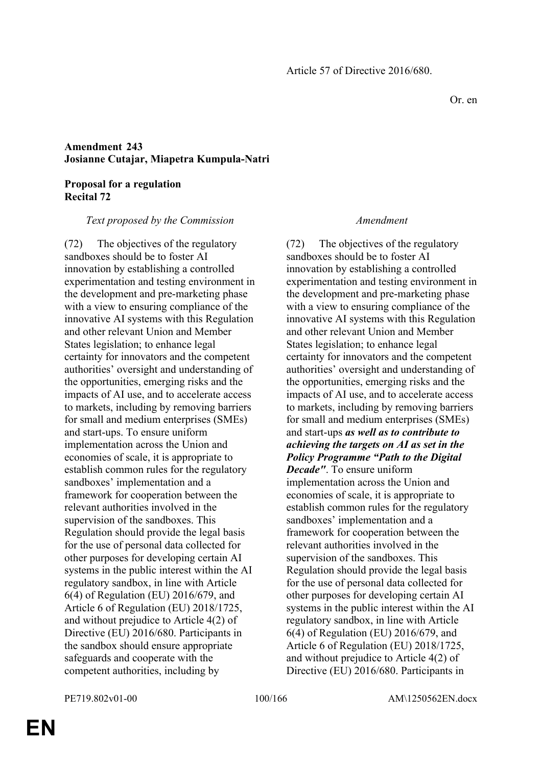# **Amendment 243 Josianne Cutajar, Miapetra Kumpula-Natri**

### **Proposal for a regulation Recital 72**

### *Text proposed by the Commission Amendment*

(72) The objectives of the regulatory sandboxes should be to foster AI innovation by establishing a controlled experimentation and testing environment in the development and pre-marketing phase with a view to ensuring compliance of the innovative AI systems with this Regulation and other relevant Union and Member States legislation; to enhance legal certainty for innovators and the competent authorities' oversight and understanding of the opportunities, emerging risks and the impacts of AI use, and to accelerate access to markets, including by removing barriers for small and medium enterprises (SMEs) and start-ups. To ensure uniform implementation across the Union and economies of scale, it is appropriate to establish common rules for the regulatory sandboxes' implementation and a framework for cooperation between the relevant authorities involved in the supervision of the sandboxes. This Regulation should provide the legal basis for the use of personal data collected for other purposes for developing certain AI systems in the public interest within the AI regulatory sandbox, in line with Article 6(4) of Regulation (EU) 2016/679, and Article 6 of Regulation (EU) 2018/1725, and without prejudice to Article 4(2) of Directive (EU) 2016/680. Participants in the sandbox should ensure appropriate safeguards and cooperate with the competent authorities, including by

(72) The objectives of the regulatory sandboxes should be to foster AI innovation by establishing a controlled experimentation and testing environment in the development and pre-marketing phase with a view to ensuring compliance of the innovative AI systems with this Regulation and other relevant Union and Member States legislation; to enhance legal certainty for innovators and the competent authorities' oversight and understanding of the opportunities, emerging risks and the impacts of AI use, and to accelerate access to markets, including by removing barriers for small and medium enterprises (SMEs) and start-ups *as well as to contribute to achieving the targets on AI as set in the Policy Programme "Path to the Digital Decade"*. To ensure uniform implementation across the Union and economies of scale, it is appropriate to establish common rules for the regulatory sandboxes' implementation and a framework for cooperation between the relevant authorities involved in the supervision of the sandboxes. This Regulation should provide the legal basis for the use of personal data collected for other purposes for developing certain AI systems in the public interest within the AI regulatory sandbox, in line with Article 6(4) of Regulation (EU) 2016/679, and Article 6 of Regulation (EU) 2018/1725, and without prejudice to Article 4(2) of Directive (EU) 2016/680. Participants in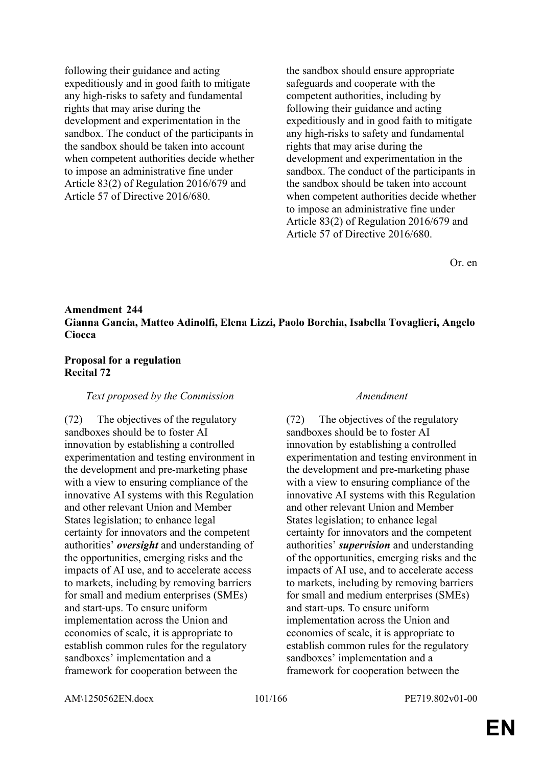following their guidance and acting expeditiously and in good faith to mitigate any high-risks to safety and fundamental rights that may arise during the development and experimentation in the sandbox. The conduct of the participants in the sandbox should be taken into account when competent authorities decide whether to impose an administrative fine under Article 83(2) of Regulation 2016/679 and Article 57 of Directive 2016/680.

the sandbox should ensure appropriate safeguards and cooperate with the competent authorities, including by following their guidance and acting expeditiously and in good faith to mitigate any high-risks to safety and fundamental rights that may arise during the development and experimentation in the sandbox. The conduct of the participants in the sandbox should be taken into account when competent authorities decide whether to impose an administrative fine under Article 83(2) of Regulation 2016/679 and Article 57 of Directive 2016/680.

Or. en

# **Amendment 244 Gianna Gancia, Matteo Adinolfi, Elena Lizzi, Paolo Borchia, Isabella Tovaglieri, Angelo Ciocca**

### **Proposal for a regulation Recital 72**

### *Text proposed by the Commission Amendment*

(72) The objectives of the regulatory sandboxes should be to foster AI innovation by establishing a controlled experimentation and testing environment in the development and pre-marketing phase with a view to ensuring compliance of the innovative AI systems with this Regulation and other relevant Union and Member States legislation; to enhance legal certainty for innovators and the competent authorities' *oversight* and understanding of the opportunities, emerging risks and the impacts of AI use, and to accelerate access to markets, including by removing barriers for small and medium enterprises (SMEs) and start-ups. To ensure uniform implementation across the Union and economies of scale, it is appropriate to establish common rules for the regulatory sandboxes' implementation and a framework for cooperation between the

(72) The objectives of the regulatory sandboxes should be to foster AI innovation by establishing a controlled experimentation and testing environment in the development and pre-marketing phase with a view to ensuring compliance of the innovative AI systems with this Regulation and other relevant Union and Member States legislation; to enhance legal certainty for innovators and the competent authorities' *supervision* and understanding of the opportunities, emerging risks and the impacts of AI use, and to accelerate access to markets, including by removing barriers for small and medium enterprises (SMEs) and start-ups. To ensure uniform implementation across the Union and economies of scale, it is appropriate to establish common rules for the regulatory sandboxes' implementation and a framework for cooperation between the

AM\1250562EN.docx 101/166 PE719.802v01-00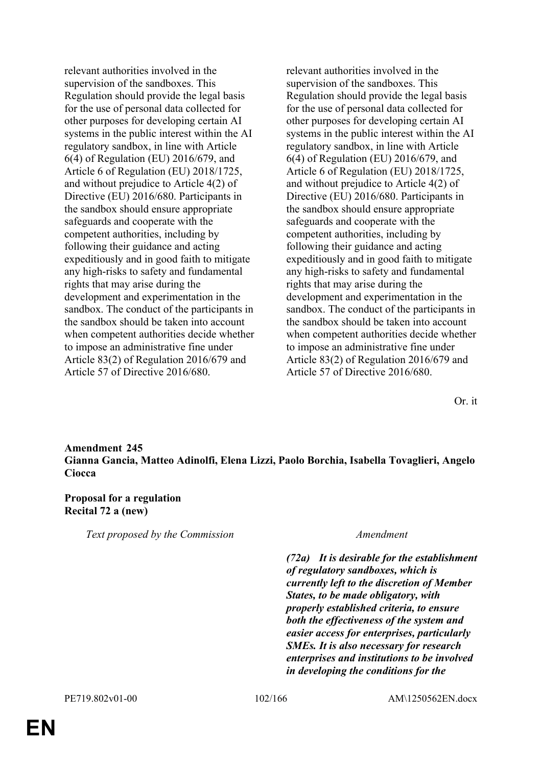relevant authorities involved in the supervision of the sandboxes. This Regulation should provide the legal basis for the use of personal data collected for other purposes for developing certain AI systems in the public interest within the AI regulatory sandbox, in line with Article 6(4) of Regulation (EU) 2016/679, and Article 6 of Regulation (EU) 2018/1725, and without prejudice to Article 4(2) of Directive (EU) 2016/680. Participants in the sandbox should ensure appropriate safeguards and cooperate with the competent authorities, including by following their guidance and acting expeditiously and in good faith to mitigate any high-risks to safety and fundamental rights that may arise during the development and experimentation in the sandbox. The conduct of the participants in the sandbox should be taken into account when competent authorities decide whether to impose an administrative fine under Article 83(2) of Regulation 2016/679 and Article 57 of Directive 2016/680.

relevant authorities involved in the supervision of the sandboxes. This Regulation should provide the legal basis for the use of personal data collected for other purposes for developing certain AI systems in the public interest within the AI regulatory sandbox, in line with Article 6(4) of Regulation (EU) 2016/679, and Article 6 of Regulation (EU) 2018/1725, and without prejudice to Article 4(2) of Directive (EU) 2016/680. Participants in the sandbox should ensure appropriate safeguards and cooperate with the competent authorities, including by following their guidance and acting expeditiously and in good faith to mitigate any high-risks to safety and fundamental rights that may arise during the development and experimentation in the sandbox. The conduct of the participants in the sandbox should be taken into account when competent authorities decide whether to impose an administrative fine under Article 83(2) of Regulation 2016/679 and Article 57 of Directive 2016/680.

Or. it

**Amendment 245 Gianna Gancia, Matteo Adinolfi, Elena Lizzi, Paolo Borchia, Isabella Tovaglieri, Angelo Ciocca**

### **Proposal for a regulation Recital 72 a (new)**

*Text proposed by the Commission Amendment*

*(72a) It is desirable for the establishment of regulatory sandboxes, which is currently left to the discretion of Member States, to be made obligatory, with properly established criteria, to ensure both the effectiveness of the system and easier access for enterprises, particularly SMEs. It is also necessary for research enterprises and institutions to be involved in developing the conditions for the*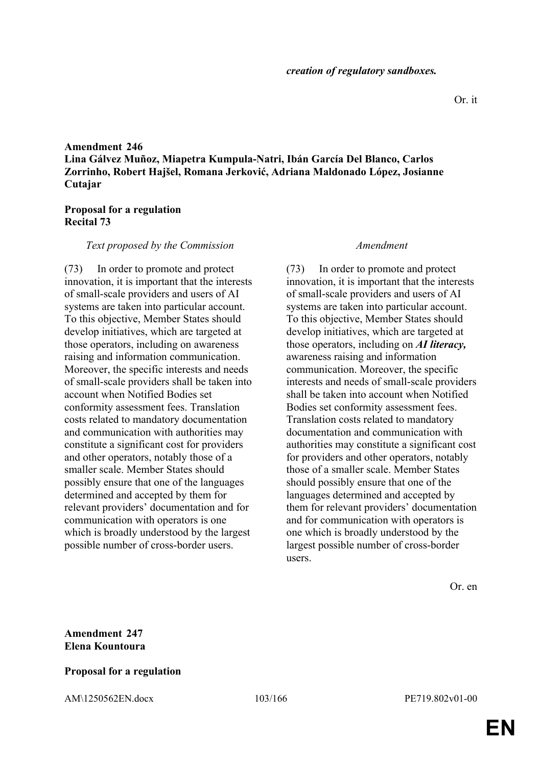# **Amendment 246 Lina Gálvez Muñoz, Miapetra Kumpula-Natri, Ibán García Del Blanco, Carlos Zorrinho, Robert Hajšel, Romana Jerković, Adriana Maldonado López, Josianne Cutajar**

## **Proposal for a regulation Recital 73**

### *Text proposed by the Commission Amendment*

(73) In order to promote and protect innovation, it is important that the interests of small-scale providers and users of AI systems are taken into particular account. To this objective, Member States should develop initiatives, which are targeted at those operators, including on awareness raising and information communication. Moreover, the specific interests and needs of small-scale providers shall be taken into account when Notified Bodies set conformity assessment fees. Translation costs related to mandatory documentation and communication with authorities may constitute a significant cost for providers and other operators, notably those of a smaller scale. Member States should possibly ensure that one of the languages determined and accepted by them for relevant providers' documentation and for communication with operators is one which is broadly understood by the largest possible number of cross-border users.

(73) In order to promote and protect innovation, it is important that the interests of small-scale providers and users of AI systems are taken into particular account. To this objective, Member States should develop initiatives, which are targeted at those operators, including on *AI literacy,* awareness raising and information communication. Moreover, the specific interests and needs of small-scale providers shall be taken into account when Notified Bodies set conformity assessment fees. Translation costs related to mandatory documentation and communication with authorities may constitute a significant cost for providers and other operators, notably those of a smaller scale. Member States should possibly ensure that one of the languages determined and accepted by them for relevant providers' documentation and for communication with operators is one which is broadly understood by the largest possible number of cross-border users.

Or. en

# **Amendment 247 Elena Kountoura**

### **Proposal for a regulation**

AM\1250562EN.docx 103/166 PE719.802v01-00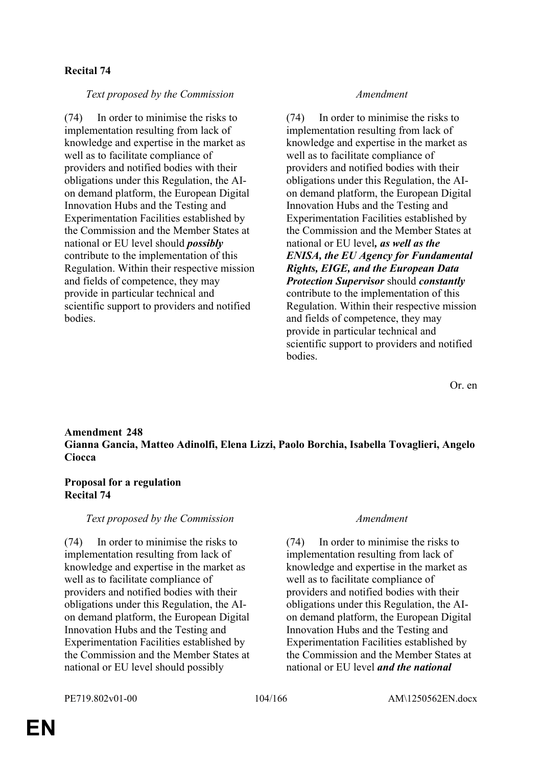# **Recital 74**

# *Text proposed by the Commission Amendment*

(74) In order to minimise the risks to implementation resulting from lack of knowledge and expertise in the market as well as to facilitate compliance of providers and notified bodies with their obligations under this Regulation, the AIon demand platform, the European Digital Innovation Hubs and the Testing and Experimentation Facilities established by the Commission and the Member States at national or EU level should *possibly* contribute to the implementation of this Regulation. Within their respective mission and fields of competence, they may provide in particular technical and scientific support to providers and notified bodies.

(74) In order to minimise the risks to implementation resulting from lack of knowledge and expertise in the market as well as to facilitate compliance of providers and notified bodies with their obligations under this Regulation, the AIon demand platform, the European Digital Innovation Hubs and the Testing and Experimentation Facilities established by the Commission and the Member States at national or EU level*, as well as the ENISA, the EU Agency for Fundamental Rights, EIGE, and the European Data Protection Supervisor* should *constantly* contribute to the implementation of this Regulation. Within their respective mission and fields of competence, they may provide in particular technical and scientific support to providers and notified bodies.

Or. en

### **Amendment 248 Gianna Gancia, Matteo Adinolfi, Elena Lizzi, Paolo Borchia, Isabella Tovaglieri, Angelo Ciocca**

## **Proposal for a regulation Recital 74**

### *Text proposed by the Commission Amendment*

(74) In order to minimise the risks to implementation resulting from lack of knowledge and expertise in the market as well as to facilitate compliance of providers and notified bodies with their obligations under this Regulation, the AIon demand platform, the European Digital Innovation Hubs and the Testing and Experimentation Facilities established by the Commission and the Member States at national or EU level should possibly

(74) In order to minimise the risks to implementation resulting from lack of knowledge and expertise in the market as well as to facilitate compliance of providers and notified bodies with their obligations under this Regulation, the AIon demand platform, the European Digital Innovation Hubs and the Testing and Experimentation Facilities established by the Commission and the Member States at national or EU level *and the national*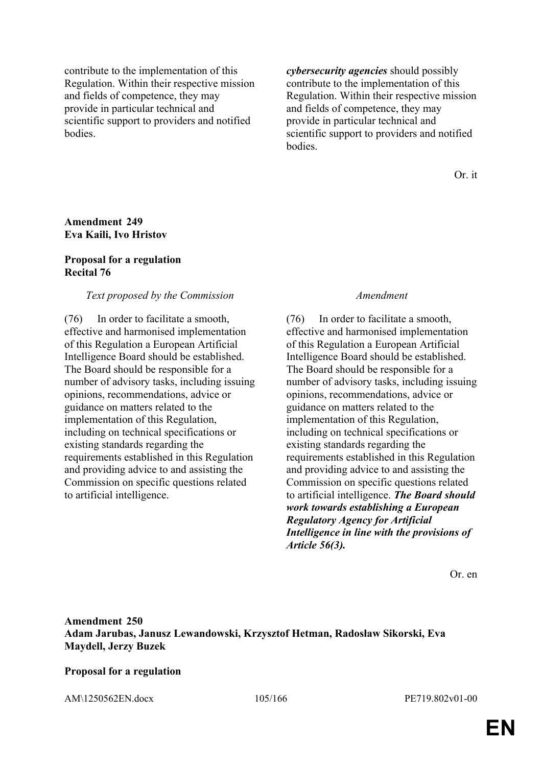contribute to the implementation of this Regulation. Within their respective mission and fields of competence, they may provide in particular technical and scientific support to providers and notified bodies.

*cybersecurity agencies* should possibly contribute to the implementation of this Regulation. Within their respective mission and fields of competence, they may provide in particular technical and scientific support to providers and notified **bodies** 

Or. it

### **Amendment 249 Eva Kaili, Ivo Hristov**

### **Proposal for a regulation Recital 76**

### *Text proposed by the Commission Amendment*

(76) In order to facilitate a smooth, effective and harmonised implementation of this Regulation a European Artificial Intelligence Board should be established. The Board should be responsible for a number of advisory tasks, including issuing opinions, recommendations, advice or guidance on matters related to the implementation of this Regulation, including on technical specifications or existing standards regarding the requirements established in this Regulation and providing advice to and assisting the Commission on specific questions related to artificial intelligence.

(76) In order to facilitate a smooth, effective and harmonised implementation of this Regulation a European Artificial Intelligence Board should be established. The Board should be responsible for a number of advisory tasks, including issuing opinions, recommendations, advice or guidance on matters related to the implementation of this Regulation, including on technical specifications or existing standards regarding the requirements established in this Regulation and providing advice to and assisting the Commission on specific questions related to artificial intelligence. *The Board should work towards establishing a European Regulatory Agency for Artificial Intelligence in line with the provisions of Article 56(3).*

Or. en

**Amendment 250 Adam Jarubas, Janusz Lewandowski, Krzysztof Hetman, Radosław Sikorski, Eva Maydell, Jerzy Buzek**

### **Proposal for a regulation**

AM\1250562EN.docx 105/166 PE719.802v01-00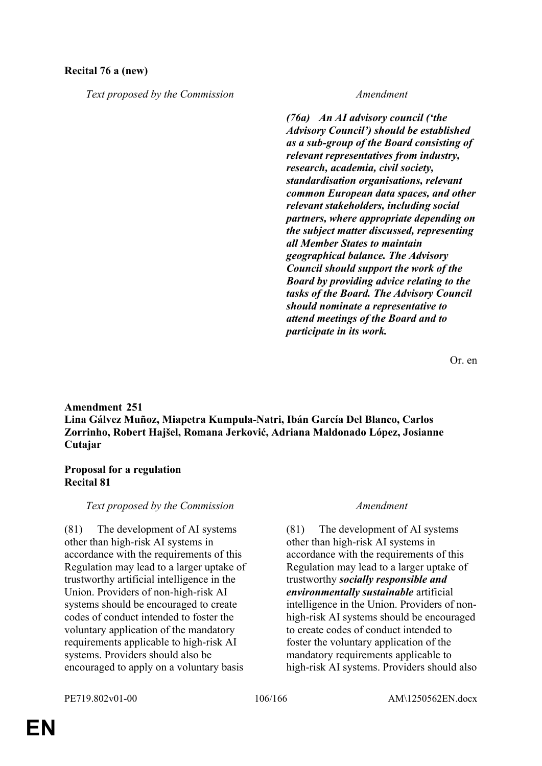# **Recital 76 a (new)**

*Text proposed by the Commission Amendment*

*(76a) An AI advisory council ('the Advisory Council') should be established as a sub-group of the Board consisting of relevant representatives from industry, research, academia, civil society, standardisation organisations, relevant common European data spaces, and other relevant stakeholders, including social partners, where appropriate depending on the subject matter discussed, representing all Member States to maintain geographical balance. The Advisory Council should support the work of the Board by providing advice relating to the tasks of the Board. The Advisory Council should nominate a representative to attend meetings of the Board and to participate in its work.*

Or. en

# **Amendment 251 Lina Gálvez Muñoz, Miapetra Kumpula-Natri, Ibán García Del Blanco, Carlos Zorrinho, Robert Hajšel, Romana Jerković, Adriana Maldonado López, Josianne Cutajar**

### **Proposal for a regulation Recital 81**

### *Text proposed by the Commission Amendment*

(81) The development of AI systems other than high-risk AI systems in accordance with the requirements of this Regulation may lead to a larger uptake of trustworthy artificial intelligence in the Union. Providers of non-high-risk AI systems should be encouraged to create codes of conduct intended to foster the voluntary application of the mandatory requirements applicable to high-risk AI systems. Providers should also be encouraged to apply on a voluntary basis

(81) The development of AI systems other than high-risk AI systems in accordance with the requirements of this Regulation may lead to a larger uptake of trustworthy *socially responsible and environmentally sustainable* artificial intelligence in the Union. Providers of nonhigh-risk AI systems should be encouraged to create codes of conduct intended to foster the voluntary application of the mandatory requirements applicable to high-risk AI systems. Providers should also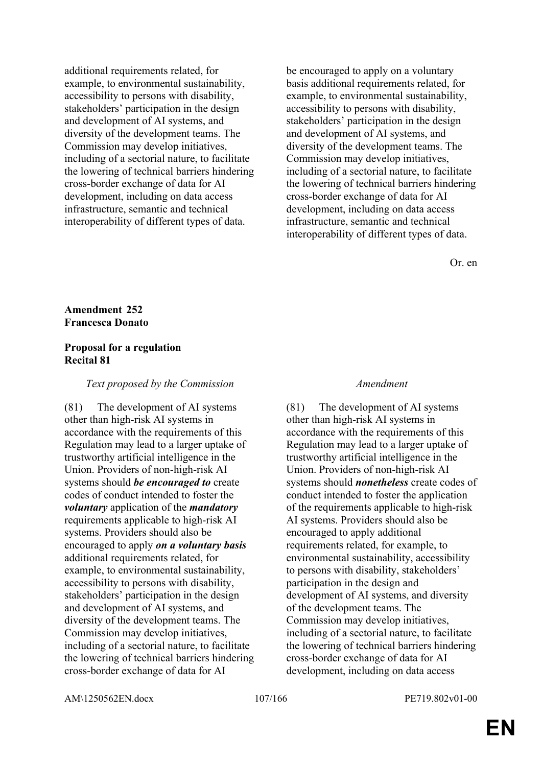additional requirements related, for example, to environmental sustainability, accessibility to persons with disability, stakeholders' participation in the design and development of AI systems, and diversity of the development teams. The Commission may develop initiatives, including of a sectorial nature, to facilitate the lowering of technical barriers hindering cross-border exchange of data for AI development, including on data access infrastructure, semantic and technical interoperability of different types of data.

be encouraged to apply on a voluntary basis additional requirements related, for example, to environmental sustainability, accessibility to persons with disability, stakeholders' participation in the design and development of AI systems, and diversity of the development teams. The Commission may develop initiatives, including of a sectorial nature, to facilitate the lowering of technical barriers hindering cross-border exchange of data for AI development, including on data access infrastructure, semantic and technical interoperability of different types of data.

Or. en

## **Amendment 252 Francesca Donato**

## **Proposal for a regulation Recital 81**

## *Text proposed by the Commission Amendment*

(81) The development of AI systems other than high-risk AI systems in accordance with the requirements of this Regulation may lead to a larger uptake of trustworthy artificial intelligence in the Union. Providers of non-high-risk AI systems should *be encouraged to* create codes of conduct intended to foster the *voluntary* application of the *mandatory* requirements applicable to high-risk AI systems. Providers should also be encouraged to apply *on a voluntary basis* additional requirements related, for example, to environmental sustainability, accessibility to persons with disability, stakeholders' participation in the design and development of AI systems, and diversity of the development teams. The Commission may develop initiatives, including of a sectorial nature, to facilitate the lowering of technical barriers hindering cross-border exchange of data for AI

(81) The development of AI systems other than high-risk AI systems in accordance with the requirements of this Regulation may lead to a larger uptake of trustworthy artificial intelligence in the Union. Providers of non-high-risk AI systems should *nonetheless* create codes of conduct intended to foster the application of the requirements applicable to high-risk AI systems. Providers should also be encouraged to apply additional requirements related, for example, to environmental sustainability, accessibility to persons with disability, stakeholders' participation in the design and development of AI systems, and diversity of the development teams. The Commission may develop initiatives, including of a sectorial nature, to facilitate the lowering of technical barriers hindering cross-border exchange of data for AI development, including on data access

AM\1250562EN.docx 107/166 PE719.802v01-00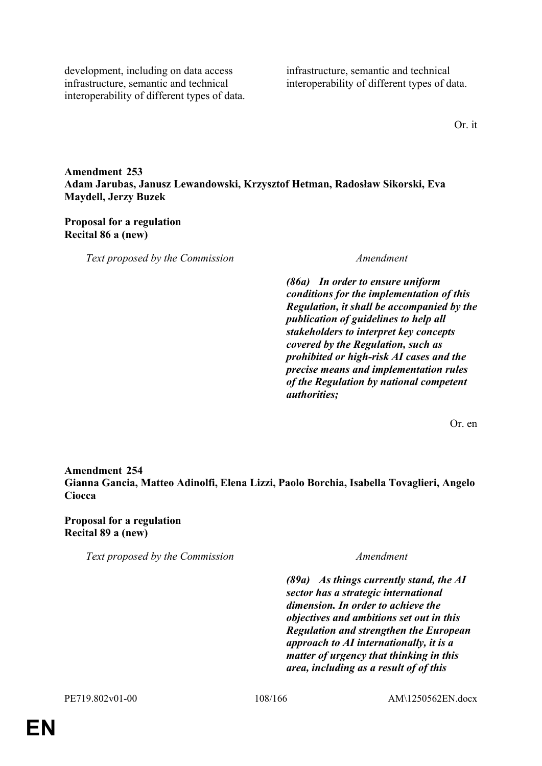development, including on data access infrastructure, semantic and technical interoperability of different types of data. infrastructure, semantic and technical interoperability of different types of data.

Or. it

**Amendment 253 Adam Jarubas, Janusz Lewandowski, Krzysztof Hetman, Radosław Sikorski, Eva Maydell, Jerzy Buzek**

### **Proposal for a regulation Recital 86 a (new)**

*Text proposed by the Commission Amendment*

*(86a) In order to ensure uniform conditions for the implementation of this Regulation, it shall be accompanied by the publication of guidelines to help all stakeholders to interpret key concepts covered by the Regulation, such as prohibited or high-risk AI cases and the precise means and implementation rules of the Regulation by national competent authorities;*

Or. en

# **Amendment 254 Gianna Gancia, Matteo Adinolfi, Elena Lizzi, Paolo Borchia, Isabella Tovaglieri, Angelo Ciocca**

**Proposal for a regulation Recital 89 a (new)**

*Text proposed by the Commission Amendment*

*(89a) As things currently stand, the AI sector has a strategic international dimension. In order to achieve the objectives and ambitions set out in this Regulation and strengthen the European approach to AI internationally, it is a matter of urgency that thinking in this area, including as a result of of this*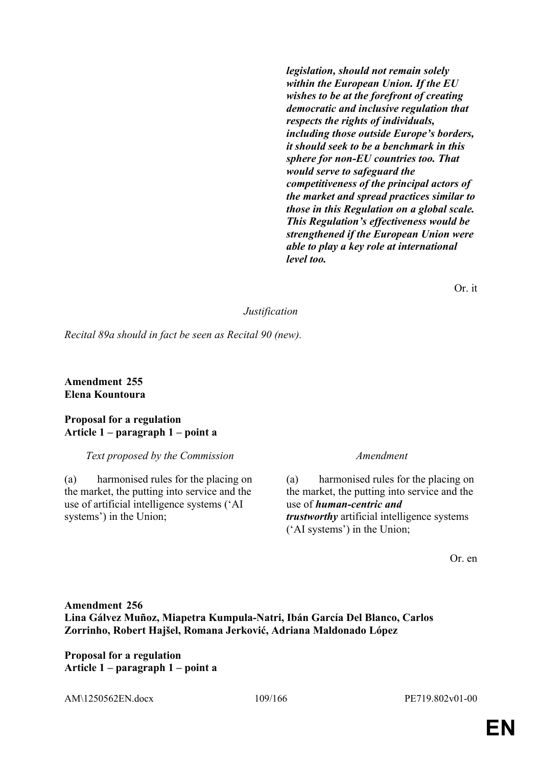*legislation, should not remain solely within the European Union. If the EU wishes to be at the forefront of creating democratic and inclusive regulation that respects the rights of individuals, including those outside Europe's borders, it should seek to be a benchmark in this sphere for non-EU countries too. That would serve to safeguard the competitiveness of the principal actors of the market and spread practices similar to those in this Regulation on a global scale. This Regulation's effectiveness would be strengthened if the European Union were able to play a key role at international level too.*

Or. it

### *Justification*

*Recital 89a should in fact be seen as Recital 90 (new).*

**Amendment 255 Elena Kountoura**

### **Proposal for a regulation Article 1 – paragraph 1 – point a**

*Text proposed by the Commission Amendment*

(a) harmonised rules for the placing on the market, the putting into service and the use of artificial intelligence systems ('AI systems') in the Union;

(a) harmonised rules for the placing on the market, the putting into service and the use of *human-centric and trustworthy* artificial intelligence systems ('AI systems') in the Union;

Or. en

# **Amendment 256 Lina Gálvez Muñoz, Miapetra Kumpula-Natri, Ibán García Del Blanco, Carlos Zorrinho, Robert Hajšel, Romana Jerković, Adriana Maldonado López**

**Proposal for a regulation Article 1 – paragraph 1 – point a**

AM\1250562EN.docx 109/166 PE719.802v01-00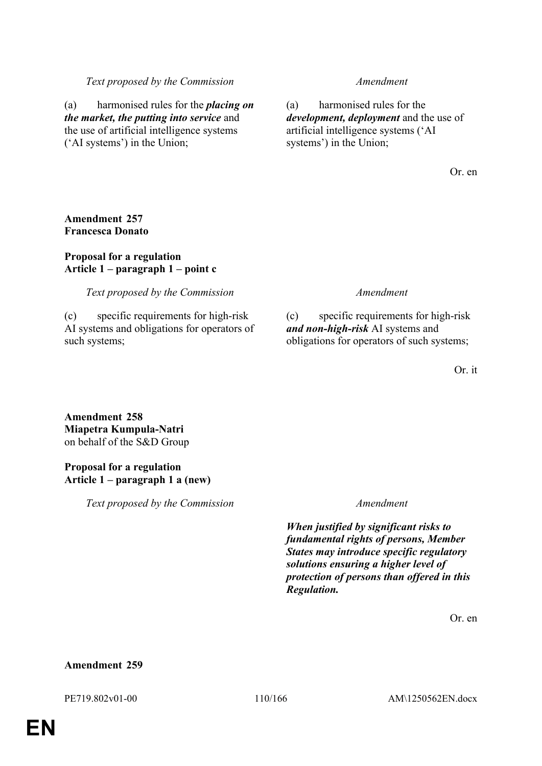### *Text proposed by the Commission Amendment*

(a) harmonised rules for the *placing on the market, the putting into service* and the use of artificial intelligence systems ('AI systems') in the Union;

(a) harmonised rules for the *development, deployment* and the use of artificial intelligence systems ('AI systems') in the Union;

Or. en

### **Amendment 257 Francesca Donato**

### **Proposal for a regulation Article 1 – paragraph 1 – point c**

*Text proposed by the Commission Amendment*

(c) specific requirements for high-risk AI systems and obligations for operators of such systems;

(c) specific requirements for high-risk *and non-high-risk* AI systems and obligations for operators of such systems;

Or. it

**Amendment 258 Miapetra Kumpula-Natri** on behalf of the S&D Group

### **Proposal for a regulation Article 1 – paragraph 1 a (new)**

*Text proposed by the Commission Amendment*

*When justified by significant risks to fundamental rights of persons, Member States may introduce specific regulatory solutions ensuring a higher level of protection of persons than offered in this Regulation.*

Or. en

### **Amendment 259**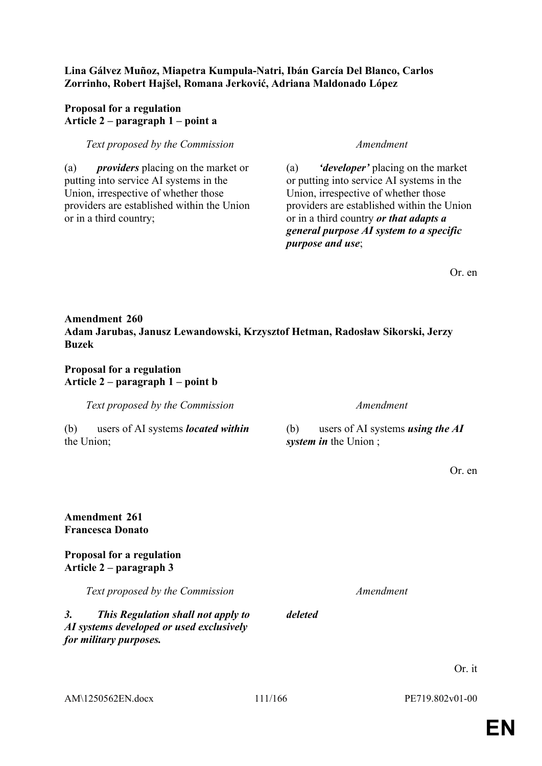### **Lina Gálvez Muñoz, Miapetra Kumpula-Natri, Ibán García Del Blanco, Carlos Zorrinho, Robert Hajšel, Romana Jerković, Adriana Maldonado López**

## **Proposal for a regulation Article 2 – paragraph 1 – point a**

## *Text proposed by the Commission Amendment*

(a) *providers* placing on the market or putting into service AI systems in the Union, irrespective of whether those providers are established within the Union or in a third country;

(a) *'developer'* placing on the market or putting into service AI systems in the Union, irrespective of whether those providers are established within the Union or in a third country *or that adapts a general purpose AI system to a specific purpose and use*;

Or. en

# **Amendment 260 Adam Jarubas, Janusz Lewandowski, Krzysztof Hetman, Radosław Sikorski, Jerzy Buzek**

## **Proposal for a regulation Article 2 – paragraph 1 – point b**

*Text proposed by the Commission Amendment*

(b) users of AI systems *located within* the Union;

(b) users of AI systems *using the AI system in* the Union ;

Or. en

## **Amendment 261 Francesca Donato**

## **Proposal for a regulation Article 2 – paragraph 3**

*Text proposed by the Commission Amendment*

*3. This Regulation shall not apply to AI systems developed or used exclusively for military purposes.*

AM\1250562EN.docx 111/166 PE719.802v01-00

*deleted*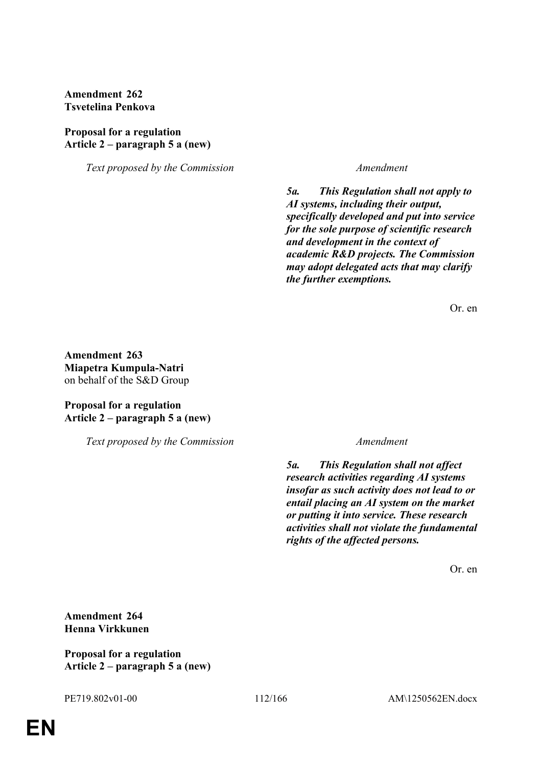**Amendment 262 Tsvetelina Penkova**

### **Proposal for a regulation Article 2 – paragraph 5 a (new)**

*Text proposed by the Commission Amendment*

*5a. This Regulation shall not apply to AI systems, including their output, specifically developed and put into service for the sole purpose of scientific research and development in the context of academic R&D projects. The Commission may adopt delegated acts that may clarify the further exemptions.*

Or. en

**Amendment 263 Miapetra Kumpula-Natri** on behalf of the S&D Group

## **Proposal for a regulation Article 2 – paragraph 5 a (new)**

*Text proposed by the Commission Amendment*

*5a. This Regulation shall not affect research activities regarding AI systems insofar as such activity does not lead to or entail placing an AI system on the market or putting it into service. These research activities shall not violate the fundamental rights of the affected persons.*

Or. en

**Amendment 264 Henna Virkkunen**

**Proposal for a regulation Article 2 – paragraph 5 a (new)**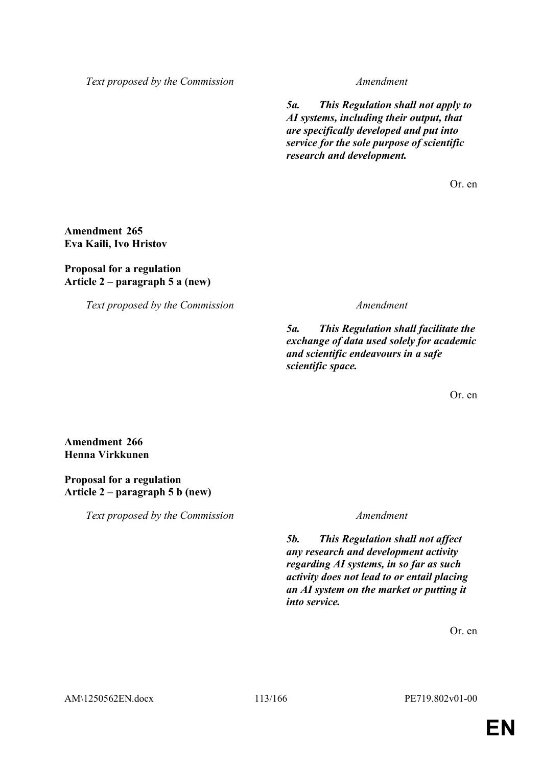*Text proposed by the Commission Amendment*

*5a. This Regulation shall not apply to AI systems, including their output, that are specifically developed and put into service for the sole purpose of scientific research and development.*

Or. en

**Amendment 265 Eva Kaili, Ivo Hristov**

### **Proposal for a regulation Article 2 – paragraph 5 a (new)**

*Text proposed by the Commission Amendment*

*5a. This Regulation shall facilitate the exchange of data used solely for academic and scientific endeavours in a safe scientific space.*

Or. en

**Amendment 266 Henna Virkkunen**

## **Proposal for a regulation Article 2 – paragraph 5 b (new)**

*Text proposed by the Commission Amendment*

*5b. This Regulation shall not affect any research and development activity regarding AI systems, in so far as such activity does not lead to or entail placing an AI system on the market or putting it into service.*

Or. en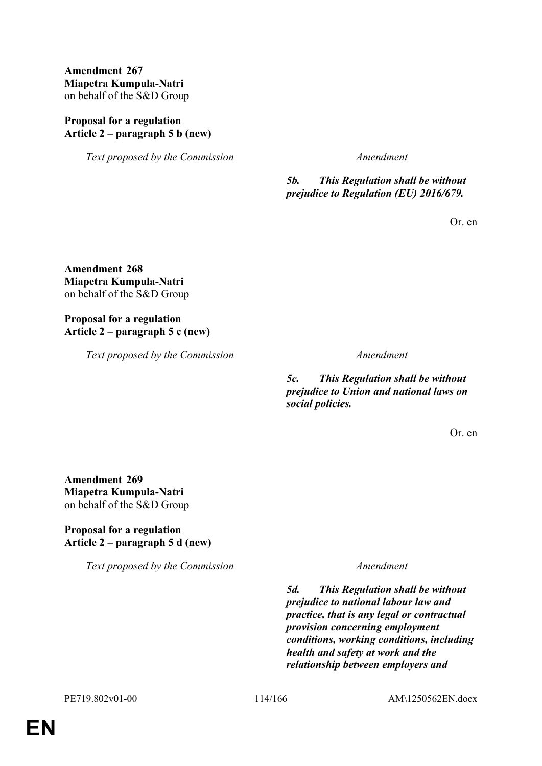## **Amendment 267 Miapetra Kumpula-Natri** on behalf of the S&D Group

## **Proposal for a regulation Article 2 – paragraph 5 b (new)**

*Text proposed by the Commission Amendment*

*5b. This Regulation shall be without prejudice to Regulation (EU) 2016/679.*

Or. en

**Amendment 268 Miapetra Kumpula-Natri** on behalf of the S&D Group

## **Proposal for a regulation Article 2 – paragraph 5 c (new)**

*Text proposed by the Commission Amendment*

*5c. This Regulation shall be without prejudice to Union and national laws on social policies.*

Or. en

**Amendment 269 Miapetra Kumpula-Natri** on behalf of the S&D Group

# **Proposal for a regulation Article 2 – paragraph 5 d (new)**

*Text proposed by the Commission Amendment*

*5d. This Regulation shall be without prejudice to national labour law and practice, that is any legal or contractual provision concerning employment conditions, working conditions, including health and safety at work and the relationship between employers and*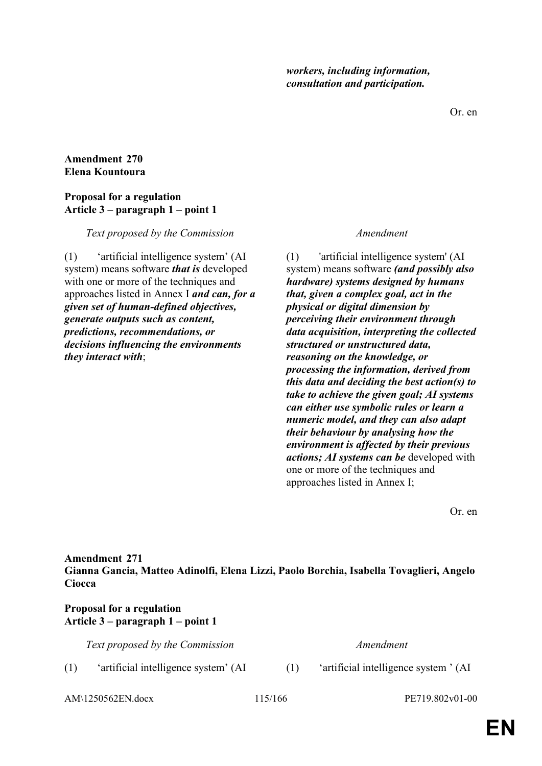Or. en

### **Amendment 270 Elena Kountoura**

## **Proposal for a regulation Article 3 – paragraph 1 – point 1**

### *Text proposed by the Commission Amendment*

(1) 'artificial intelligence system' (AI system) means software *that is* developed with one or more of the techniques and approaches listed in Annex I *and can, for a given set of human-defined objectives, generate outputs such as content, predictions, recommendations, or decisions influencing the environments they interact with*;

(1) 'artificial intelligence system' (AI system) means software *(and possibly also hardware) systems designed by humans that, given a complex goal, act in the physical or digital dimension by perceiving their environment through data acquisition, interpreting the collected structured or unstructured data, reasoning on the knowledge, or processing the information, derived from this data and deciding the best action(s) to take to achieve the given goal; AI systems can either use symbolic rules or learn a numeric model, and they can also adapt their behaviour by analysing how the environment is affected by their previous actions; AI systems can be* developed with one or more of the techniques and approaches listed in Annex I;

Or. en

### **Amendment 271 Gianna Gancia, Matteo Adinolfi, Elena Lizzi, Paolo Borchia, Isabella Tovaglieri, Angelo Ciocca**

## **Proposal for a regulation Article 3 – paragraph 1 – point 1**

*Text proposed by the Commission Amendment*

(1) 'artificial intelligence system' (AI (1) 'artificial intelligence system ' (AI

AM\1250562EN.docx 115/166 PE719.802v01-00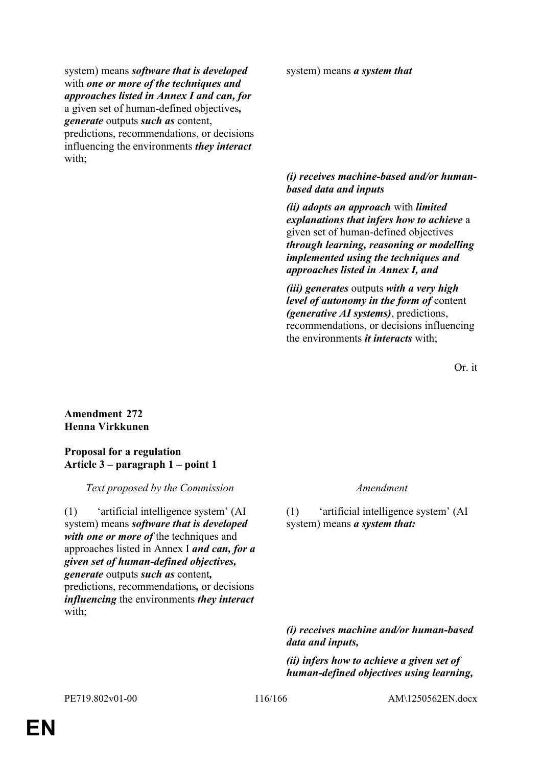system) means *software that is developed* with *one or more of the techniques and approaches listed in Annex I and can, for*  a given set of human-defined objectives*, generate* outputs *such as* content, predictions, recommendations, or decisions influencing the environments *they interact* with;

system) means *a system that*

## *(i) receives machine-based and/or humanbased data and inputs*

*(ii) adopts an approach* with *limited explanations that infers how to achieve* a given set of human-defined objectives *through learning, reasoning or modelling implemented using the techniques and approaches listed in Annex I, and*

*(iii) generates* outputs *with a very high level of autonomy in the form of* content *(generative AI systems)*, predictions, recommendations, or decisions influencing the environments *it interacts* with;

Or. it

## **Amendment 272 Henna Virkkunen**

## **Proposal for a regulation Article 3 – paragraph 1 – point 1**

*Text proposed by the Commission Amendment*

(1) 'artificial intelligence system' (AI system) means *software that is developed with one or more of* the techniques and approaches listed in Annex I *and can, for a given set of human-defined objectives, generate* outputs *such as* content*,* predictions, recommendations*,* or decisions *influencing* the environments *they interact* with;

(1) 'artificial intelligence system' (AI system) means *a system that:*

*(i) receives machine and/or human-based data and inputs,* 

*(ii) infers how to achieve a given set of human-defined objectives using learning,*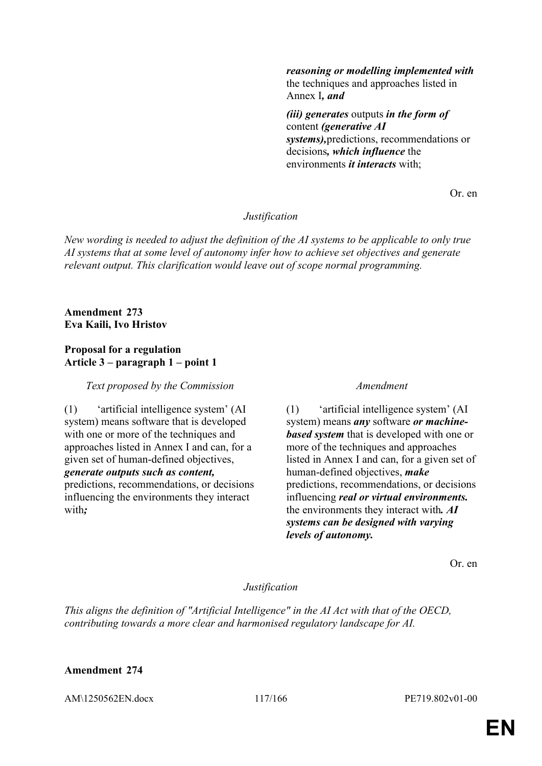*reasoning or modelling implemented with* the techniques and approaches listed in Annex I*, and* 

*(iii) generates* outputs *in the form of* content *(generative AI systems),*predictions, recommendations or decisions*, which influence* the environments *it interacts* with;

Or. en

## *Justification*

*New wording is needed to adjust the definition of the AI systems to be applicable to only true AI systems that at some level of autonomy infer how to achieve set objectives and generate relevant output. This clarification would leave out of scope normal programming.*

### **Amendment 273 Eva Kaili, Ivo Hristov**

### **Proposal for a regulation Article 3 – paragraph 1 – point 1**

*Text proposed by the Commission Amendment*

(1) 'artificial intelligence system' (AI system) means software that is developed with one or more of the techniques and approaches listed in Annex I and can, for a given set of human-defined objectives, *generate outputs such as content,* predictions, recommendations, or decisions influencing the environments they interact with*;*

(1) 'artificial intelligence system' (AI system) means *any* software *or machinebased system* that is developed with one or more of the techniques and approaches listed in Annex I and can, for a given set of human-defined objectives, *make* predictions, recommendations, or decisions influencing *real or virtual environments.* the environments they interact with*. AI systems can be designed with varying levels of autonomy.*

Or. en

### *Justification*

*This aligns the definition of "Artificial Intelligence" in the AI Act with that of the OECD, contributing towards a more clear and harmonised regulatory landscape for AI.*

### **Amendment 274**

AM\1250562EN.docx 117/166 PE719.802v01-00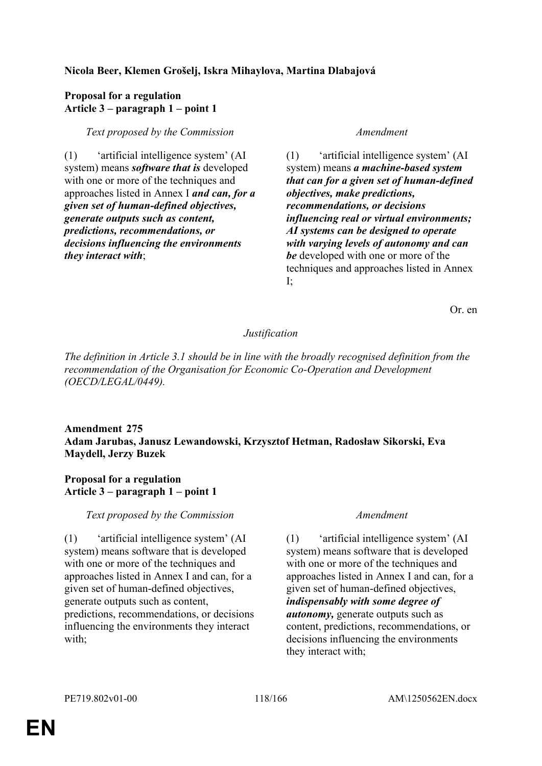# **Nicola Beer, Klemen Grošelj, Iskra Mihaylova, Martina Dlabajová**

### **Proposal for a regulation Article 3 – paragraph 1 – point 1**

*Text proposed by the Commission Amendment*

(1) 'artificial intelligence system' (AI system) means *software that is* developed with one or more of the techniques and approaches listed in Annex I *and can, for a given set of human-defined objectives, generate outputs such as content, predictions, recommendations, or decisions influencing the environments they interact with*;

(1) 'artificial intelligence system' (AI system) means *a machine-based system that can for a given set of human-defined objectives, make predictions, recommendations, or decisions influencing real or virtual environments; AI systems can be designed to operate with varying levels of autonomy and can be* developed with one or more of the techniques and approaches listed in Annex I;

Or. en

# *Justification*

*The definition in Article 3.1 should be in line with the broadly recognised definition from the recommendation of the Organisation for Economic Co-Operation and Development (OECD/LEGAL/0449).*

## **Amendment 275 Adam Jarubas, Janusz Lewandowski, Krzysztof Hetman, Radosław Sikorski, Eva Maydell, Jerzy Buzek**

## **Proposal for a regulation Article 3 – paragraph 1 – point 1**

*Text proposed by the Commission Amendment*

(1) 'artificial intelligence system' (AI system) means software that is developed with one or more of the techniques and approaches listed in Annex I and can, for a given set of human-defined objectives, generate outputs such as content, predictions, recommendations, or decisions influencing the environments they interact with;

(1) 'artificial intelligence system' (AI system) means software that is developed with one or more of the techniques and approaches listed in Annex I and can, for a given set of human-defined objectives, *indispensably with some degree of autonomy,* generate outputs such as content, predictions, recommendations, or decisions influencing the environments they interact with;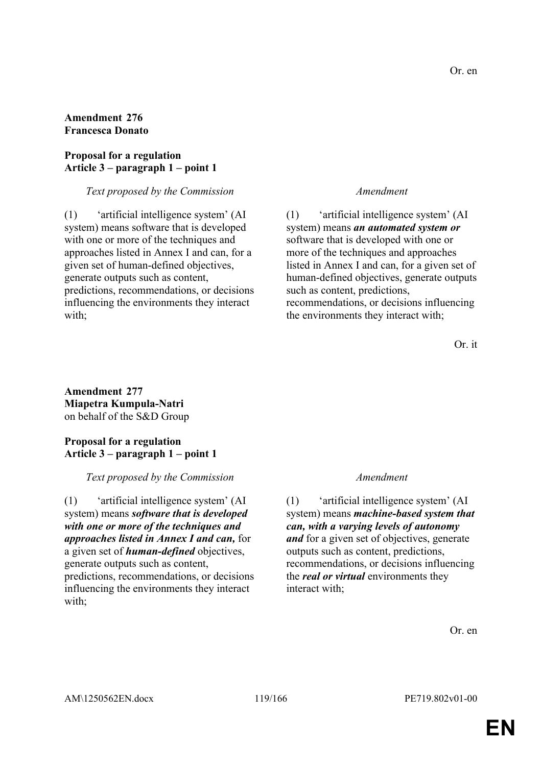## **Amendment 276 Francesca Donato**

## **Proposal for a regulation Article 3 – paragraph 1 – point 1**

### *Text proposed by the Commission Amendment*

(1) 'artificial intelligence system' (AI system) means software that is developed with one or more of the techniques and approaches listed in Annex I and can, for a given set of human-defined objectives, generate outputs such as content, predictions, recommendations, or decisions influencing the environments they interact with;

(1) 'artificial intelligence system' (AI system) means *an automated system or*  software that is developed with one or more of the techniques and approaches listed in Annex I and can, for a given set of human-defined objectives, generate outputs such as content, predictions, recommendations, or decisions influencing the environments they interact with;

Or. it

## **Amendment 277 Miapetra Kumpula-Natri** on behalf of the S&D Group

## **Proposal for a regulation Article 3 – paragraph 1 – point 1**

## *Text proposed by the Commission Amendment*

(1) 'artificial intelligence system' (AI system) means *software that is developed with one or more of the techniques and approaches listed in Annex I and can,* for a given set of *human-defined* objectives, generate outputs such as content, predictions, recommendations, or decisions influencing the environments they interact with;

(1) 'artificial intelligence system' (AI system) means *machine-based system that can, with a varying levels of autonomy and* for a given set of objectives, generate outputs such as content, predictions, recommendations, or decisions influencing the *real or virtual* environments they interact with;

Or. en

Or. en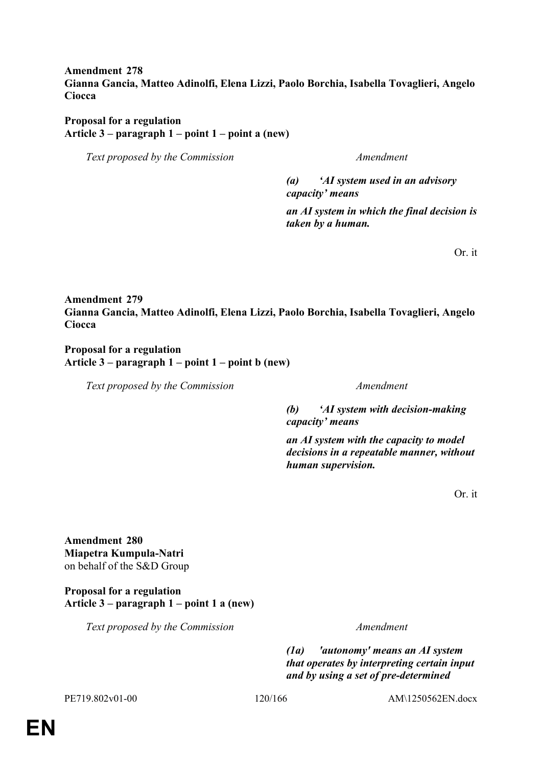## **Amendment 278 Gianna Gancia, Matteo Adinolfi, Elena Lizzi, Paolo Borchia, Isabella Tovaglieri, Angelo Ciocca**

### **Proposal for a regulation Article 3 – paragraph 1 – point 1 – point a (new)**

*Text proposed by the Commission Amendment*

*(a) 'AI system used in an advisory capacity' means*

*an AI system in which the final decision is taken by a human.*

Or. it

# **Amendment 279 Gianna Gancia, Matteo Adinolfi, Elena Lizzi, Paolo Borchia, Isabella Tovaglieri, Angelo Ciocca**

### **Proposal for a regulation Article 3 – paragraph 1 – point 1 – point b (new)**

*Text proposed by the Commission Amendment*

*(b) 'AI system with decision-making capacity' means*

*an AI system with the capacity to model decisions in a repeatable manner, without human supervision.*

Or. it

**Amendment 280 Miapetra Kumpula-Natri** on behalf of the S&D Group

**Proposal for a regulation Article 3 – paragraph 1 – point 1 a (new)**

*Text proposed by the Commission Amendment*

*(1a) 'autonomy' means an AI system that operates by interpreting certain input and by using a set of pre-determined* 

PE719.802v01-00 120/166 AM\1250562EN.docx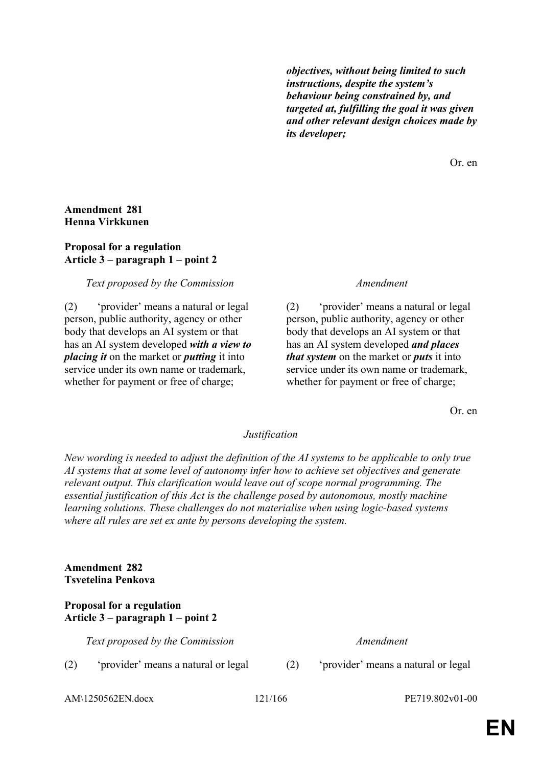*objectives, without being limited to such instructions, despite the system's behaviour being constrained by, and targeted at, fulfilling the goal it was given and other relevant design choices made by its developer;*

Or. en

## **Amendment 281 Henna Virkkunen**

## **Proposal for a regulation Article 3 – paragraph 1 – point 2**

## *Text proposed by the Commission Amendment*

(2) 'provider' means a natural or legal person, public authority, agency or other body that develops an AI system or that has an AI system developed *with a view to placing it* on the market or *putting* it into service under its own name or trademark, whether for payment or free of charge;

(2) 'provider' means a natural or legal person, public authority, agency or other body that develops an AI system or that has an AI system developed *and places that system* on the market or *puts* it into service under its own name or trademark, whether for payment or free of charge;

Or. en

### *Justification*

*New wording is needed to adjust the definition of the AI systems to be applicable to only true AI systems that at some level of autonomy infer how to achieve set objectives and generate relevant output. This clarification would leave out of scope normal programming. The essential justification of this Act is the challenge posed by autonomous, mostly machine learning solutions. These challenges do not materialise when using logic-based systems where all rules are set ex ante by persons developing the system.*

## **Amendment 282 Tsvetelina Penkova**

## **Proposal for a regulation Article 3 – paragraph 1 – point 2**

*Text proposed by the Commission Amendment*

- (2) 'provider' means a natural or legal (2) 'provider' means a natural or legal
- 

AM\1250562EN.docx 121/166 PE719.802v01-00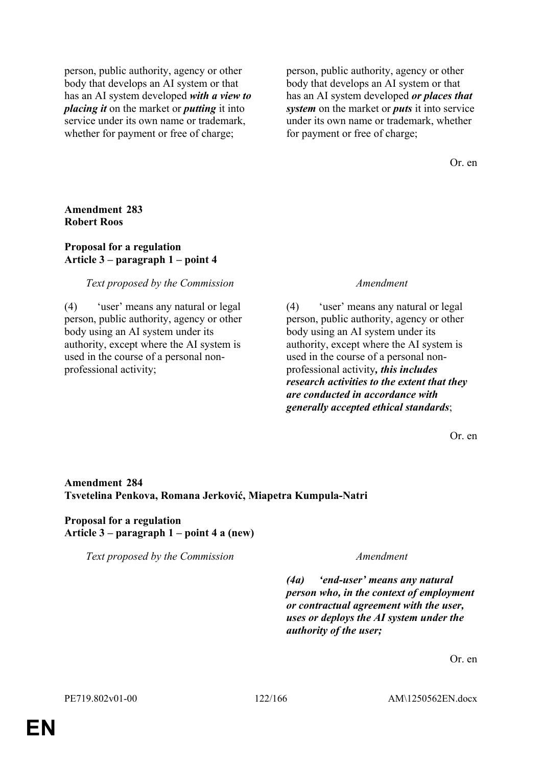person, public authority, agency or other body that develops an AI system or that has an AI system developed *with a view to placing it* on the market or *putting* it into service under its own name or trademark, whether for payment or free of charge;

person, public authority, agency or other body that develops an AI system or that has an AI system developed *or places that system* on the market or *puts* it into service under its own name or trademark, whether for payment or free of charge;

Or. en

**Amendment 283 Robert Roos**

### **Proposal for a regulation Article 3 – paragraph 1 – point 4**

### *Text proposed by the Commission Amendment*

(4) 'user' means any natural or legal person, public authority, agency or other body using an AI system under its authority, except where the AI system is used in the course of a personal nonprofessional activity;

(4) 'user' means any natural or legal person, public authority, agency or other body using an AI system under its authority, except where the AI system is used in the course of a personal nonprofessional activity*, this includes research activities to the extent that they are conducted in accordance with generally accepted ethical standards*;

Or. en

# **Amendment 284 Tsvetelina Penkova, Romana Jerković, Miapetra Kumpula-Natri**

## **Proposal for a regulation Article 3 – paragraph 1 – point 4 a (new)**

*Text proposed by the Commission Amendment*

*(4a) 'end-user' means any natural person who, in the context of employment or contractual agreement with the user, uses or deploys the AI system under the authority of the user;*

Or. en

PE719.802v01-00 122/166 AM\1250562EN.docx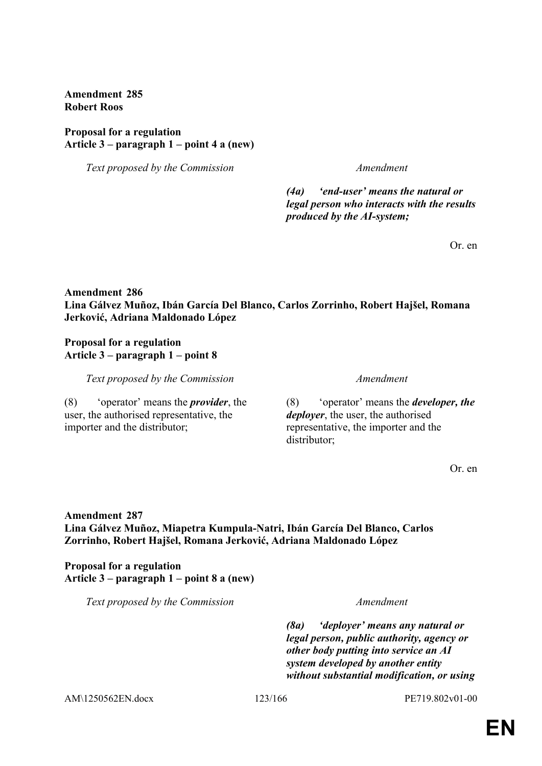**Amendment 285 Robert Roos**

### **Proposal for a regulation Article 3 – paragraph 1 – point 4 a (new)**

*Text proposed by the Commission Amendment*

*(4a) 'end-user' means the natural or legal person who interacts with the results produced by the AI-system;*

Or. en

# **Amendment 286 Lina Gálvez Muñoz, Ibán García Del Blanco, Carlos Zorrinho, Robert Hajšel, Romana Jerković, Adriana Maldonado López**

## **Proposal for a regulation Article 3 – paragraph 1 – point 8**

*Text proposed by the Commission Amendment*

(8) 'operator' means the *provider*, the user, the authorised representative, the importer and the distributor;

(8) 'operator' means the *developer, the deployer*, the user, the authorised representative, the importer and the distributor;

Or. en

# **Amendment 287 Lina Gálvez Muñoz, Miapetra Kumpula-Natri, Ibán García Del Blanco, Carlos Zorrinho, Robert Hajšel, Romana Jerković, Adriana Maldonado López**

**Proposal for a regulation Article 3 – paragraph 1 – point 8 a (new)**

*Text proposed by the Commission Amendment*

*(8a) 'deployer' means any natural or legal person, public authority, agency or other body putting into service an AI system developed by another entity without substantial modification, or using* 

AM\1250562EN.docx 123/166 PE719.802v01-00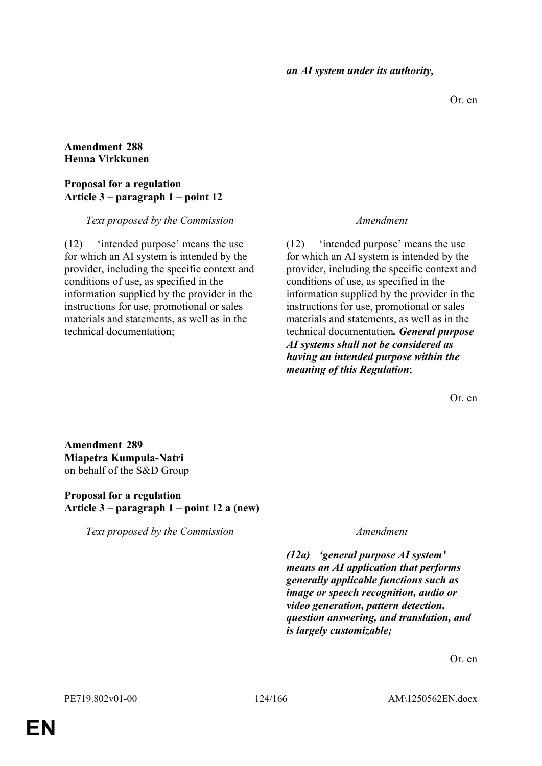Or. en

## **Amendment 288 Henna Virkkunen**

### **Proposal for a regulation Article 3 – paragraph 1 – point 12**

*Text proposed by the Commission Amendment*

(12) 'intended purpose' means the use for which an AI system is intended by the provider, including the specific context and conditions of use, as specified in the information supplied by the provider in the instructions for use, promotional or sales materials and statements, as well as in the technical documentation;

(12) 'intended purpose' means the use for which an AI system is intended by the provider, including the specific context and conditions of use, as specified in the information supplied by the provider in the instructions for use, promotional or sales materials and statements, as well as in the technical documentation*. General purpose AI systems shall not be considered as having an intended purpose within the meaning of this Regulation*;

Or. en

**Amendment 289 Miapetra Kumpula-Natri** on behalf of the S&D Group

### **Proposal for a regulation Article 3 – paragraph 1 – point 12 a (new)**

*Text proposed by the Commission Amendment*

*(12a) 'general purpose AI system' means an AI application that performs generally applicable functions such as image or speech recognition, audio or video generation, pattern detection, question answering, and translation, and is largely customizable;*

Or. en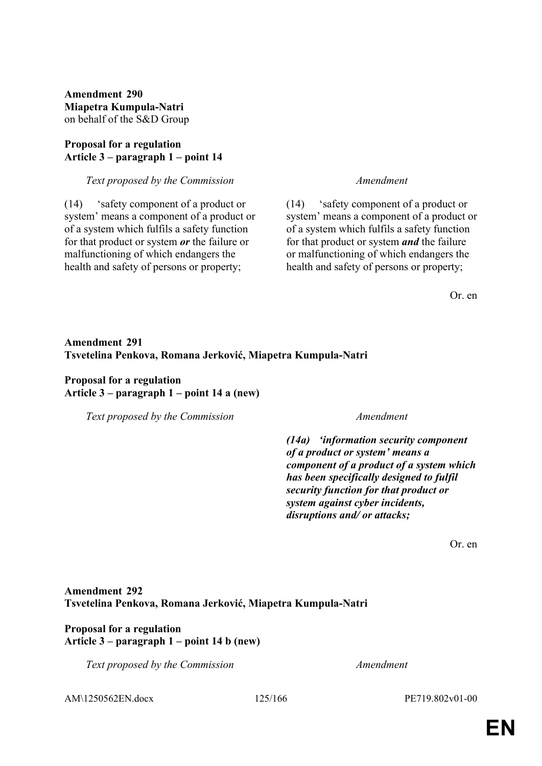**Amendment 290 Miapetra Kumpula-Natri** on behalf of the S&D Group

### **Proposal for a regulation Article 3 – paragraph 1 – point 14**

### *Text proposed by the Commission Amendment*

(14) 'safety component of a product or system' means a component of a product or of a system which fulfils a safety function for that product or system *or* the failure or malfunctioning of which endangers the health and safety of persons or property;

(14) 'safety component of a product or system' means a component of a product or of a system which fulfils a safety function for that product or system *and* the failure or malfunctioning of which endangers the health and safety of persons or property;

Or. en

# **Amendment 291 Tsvetelina Penkova, Romana Jerković, Miapetra Kumpula-Natri**

### **Proposal for a regulation Article 3 – paragraph 1 – point 14 a (new)**

*Text proposed by the Commission Amendment*

*(14a) 'information security component of a product or system' means a component of a product of a system which has been specifically designed to fulfil security function for that product or system against cyber incidents, disruptions and/ or attacks;*

Or. en

## **Amendment 292 Tsvetelina Penkova, Romana Jerković, Miapetra Kumpula-Natri**

## **Proposal for a regulation Article 3 – paragraph 1 – point 14 b (new)**

*Text proposed by the Commission Amendment*

AM\1250562EN.docx 125/166 PE719.802v01-00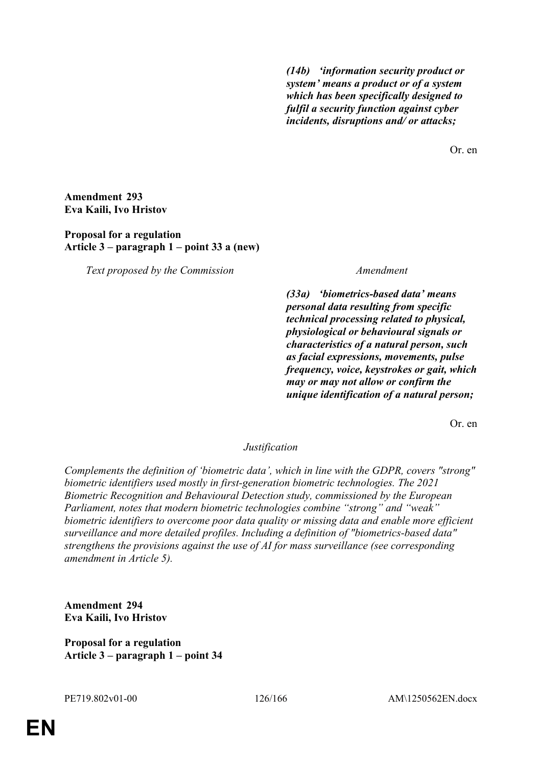*(14b) 'information security product or system' means a product or of a system which has been specifically designed to fulfil a security function against cyber incidents, disruptions and/ or attacks;*

Or. en

**Amendment 293 Eva Kaili, Ivo Hristov**

**Proposal for a regulation Article 3 – paragraph 1 – point 33 a (new)**

*Text proposed by the Commission Amendment*

*(33a) 'biometrics-based data' means personal data resulting from specific technical processing related to physical, physiological or behavioural signals or characteristics of a natural person, such as facial expressions, movements, pulse frequency, voice, keystrokes or gait, which may or may not allow or confirm the unique identification of a natural person;*

Or. en

### *Justification*

*Complements the definition of 'biometric data', which in line with the GDPR, covers "strong" biometric identifiers used mostly in first-generation biometric technologies. The 2021 Biometric Recognition and Behavioural Detection study, commissioned by the European Parliament, notes that modern biometric technologies combine "strong" and "weak" biometric identifiers to overcome poor data quality or missing data and enable more efficient surveillance and more detailed profiles. Including a definition of "biometrics-based data" strengthens the provisions against the use of AI for mass surveillance (see corresponding amendment in Article 5).*

**Amendment 294 Eva Kaili, Ivo Hristov**

**Proposal for a regulation Article 3 – paragraph 1 – point 34**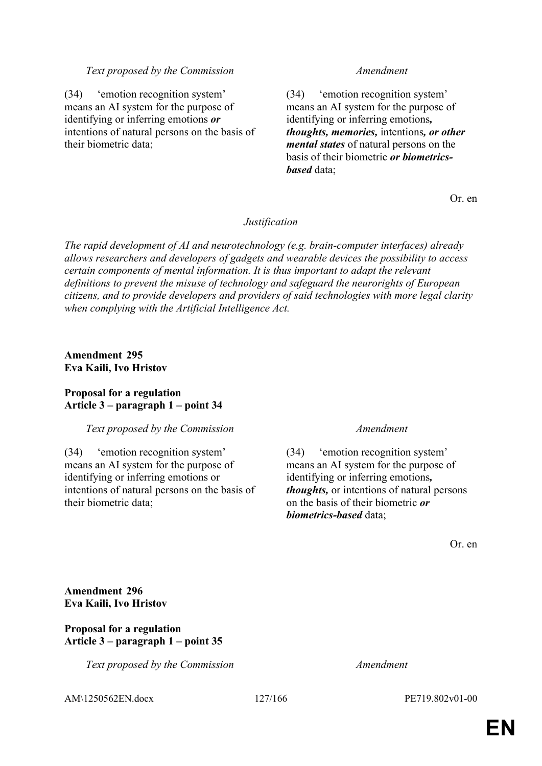### *Text proposed by the Commission Amendment*

(34) 'emotion recognition system' means an AI system for the purpose of identifying or inferring emotions *or* intentions of natural persons on the basis of their biometric data;

(34) 'emotion recognition system' means an AI system for the purpose of identifying or inferring emotions*, thoughts, memories,* intentions*, or other mental states* of natural persons on the basis of their biometric *or biometricsbased* data;

Or. en

### *Justification*

*The rapid development of AI and neurotechnology (e.g. brain-computer interfaces) already allows researchers and developers of gadgets and wearable devices the possibility to access certain components of mental information. It is thus important to adapt the relevant definitions to prevent the misuse of technology and safeguard the neurorights of European citizens, and to provide developers and providers of said technologies with more legal clarity when complying with the Artificial Intelligence Act.*

### **Amendment 295 Eva Kaili, Ivo Hristov**

### **Proposal for a regulation Article 3 – paragraph 1 – point 34**

### *Text proposed by the Commission Amendment*

(34) 'emotion recognition system' means an AI system for the purpose of identifying or inferring emotions or intentions of natural persons on the basis of their biometric data;

(34) 'emotion recognition system' means an AI system for the purpose of identifying or inferring emotions*, thoughts,* or intentions of natural persons on the basis of their biometric *or biometrics-based* data;

Or. en

**Amendment 296 Eva Kaili, Ivo Hristov**

### **Proposal for a regulation Article 3 – paragraph 1 – point 35**

*Text proposed by the Commission Amendment*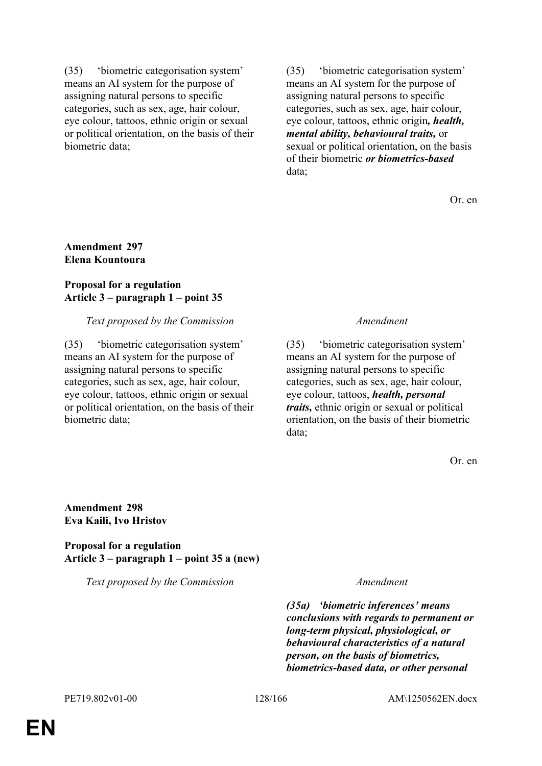(35) 'biometric categorisation system' means an AI system for the purpose of assigning natural persons to specific categories, such as sex, age, hair colour, eye colour, tattoos, ethnic origin or sexual or political orientation, on the basis of their biometric data;

(35) 'biometric categorisation system' means an AI system for the purpose of assigning natural persons to specific categories, such as sex, age, hair colour, eye colour, tattoos, ethnic origin*, health, mental ability, behavioural traits,* or sexual or political orientation, on the basis of their biometric *or biometrics-based* data;

Or. en

## **Amendment 297 Elena Kountoura**

### **Proposal for a regulation Article 3 – paragraph 1 – point 35**

## *Text proposed by the Commission Amendment*

(35) 'biometric categorisation system' means an AI system for the purpose of assigning natural persons to specific categories, such as sex, age, hair colour, eye colour, tattoos, ethnic origin or sexual or political orientation, on the basis of their biometric data;

(35) 'biometric categorisation system' means an AI system for the purpose of assigning natural persons to specific categories, such as sex, age, hair colour, eye colour, tattoos, *health, personal traits,* ethnic origin or sexual or political orientation, on the basis of their biometric data;

Or. en

**Amendment 298 Eva Kaili, Ivo Hristov**

**Proposal for a regulation Article 3 – paragraph 1 – point 35 a (new)**

*Text proposed by the Commission Amendment*

*(35a) 'biometric inferences' means conclusions with regards to permanent or long-term physical, physiological, or behavioural characteristics of a natural person, on the basis of biometrics, biometrics-based data, or other personal*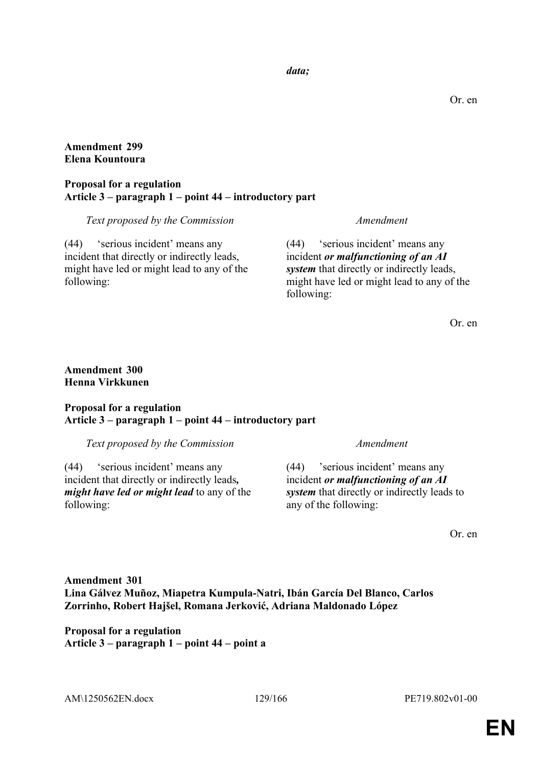### *data;*

Or. en

## **Amendment 299 Elena Kountoura**

### **Proposal for a regulation Article 3 – paragraph 1 – point 44 – introductory part**

*Text proposed by the Commission Amendment*

(44) 'serious incident' means any incident that directly or indirectly leads, might have led or might lead to any of the following:

(44) 'serious incident' means any incident *or malfunctioning of an AI system* that directly or indirectly leads, might have led or might lead to any of the following:

Or. en

## **Amendment 300 Henna Virkkunen**

## **Proposal for a regulation Article 3 – paragraph 1 – point 44 – introductory part**

*Text proposed by the Commission Amendment*

(44) 'serious incident' means any incident that directly or indirectly leads*, might have led or might lead* to any of the following:

(44) 'serious incident' means any incident *or malfunctioning of an AI system* that directly or indirectly leads to any of the following:

Or. en

# **Amendment 301 Lina Gálvez Muñoz, Miapetra Kumpula-Natri, Ibán García Del Blanco, Carlos Zorrinho, Robert Hajšel, Romana Jerković, Adriana Maldonado López**

**Proposal for a regulation Article 3 – paragraph 1 – point 44 – point a**

AM\1250562EN.docx 129/166 PE719.802v01-00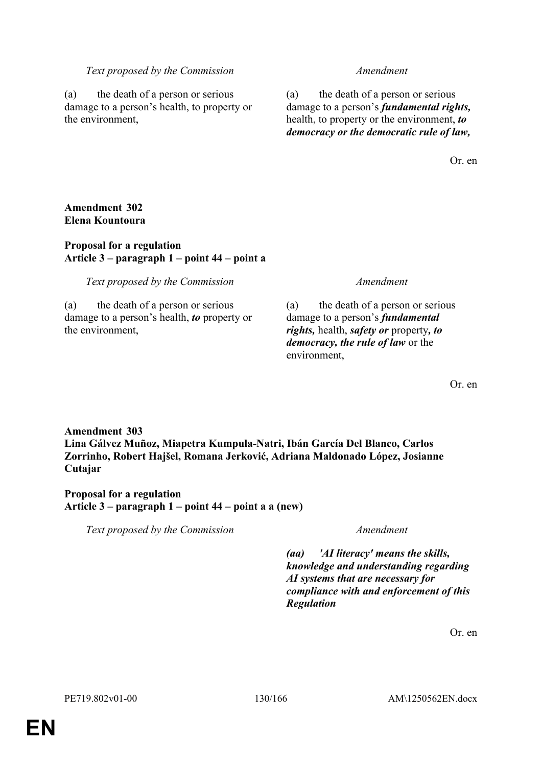### *Text proposed by the Commission Amendment*

(a) the death of a person or serious damage to a person's health, to property or the environment,

(a) the death of a person or serious damage to a person's *fundamental rights,* health, to property or the environment, *to democracy or the democratic rule of law,*

Or. en

### **Amendment 302 Elena Kountoura**

### **Proposal for a regulation Article 3 – paragraph 1 – point 44 – point a**

*Text proposed by the Commission Amendment*

(a) the death of a person or serious damage to a person's health, *to* property or the environment,

(a) the death of a person or serious damage to a person's *fundamental rights,* health, *safety or* property*, to democracy, the rule of law* or the environment,

Or. en

**Amendment 303 Lina Gálvez Muñoz, Miapetra Kumpula-Natri, Ibán García Del Blanco, Carlos Zorrinho, Robert Hajšel, Romana Jerković, Adriana Maldonado López, Josianne Cutajar**

## **Proposal for a regulation Article 3 – paragraph 1 – point 44 – point a a (new)**

*Text proposed by the Commission Amendment*

*(aa) 'AI literacy' means the skills, knowledge and understanding regarding AI systems that are necessary for compliance with and enforcement of this Regulation*

Or. en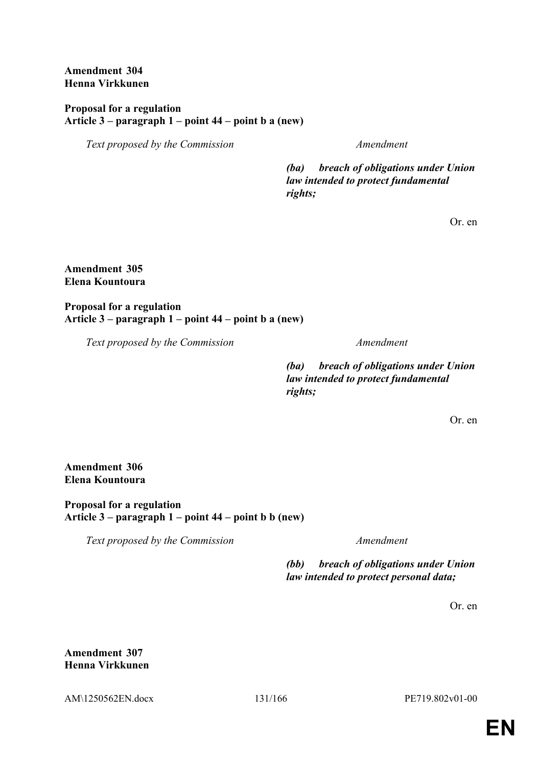**Amendment 304 Henna Virkkunen**

**Proposal for a regulation Article 3 – paragraph 1 – point 44 – point b a (new)**

*Text proposed by the Commission Amendment*

*(ba) breach of obligations under Union law intended to protect fundamental rights;*

Or. en

**Amendment 305 Elena Kountoura**

**Proposal for a regulation Article 3 – paragraph 1 – point 44 – point b a (new)**

*Text proposed by the Commission Amendment*

*(ba) breach of obligations under Union law intended to protect fundamental rights;*

Or. en

**Amendment 306 Elena Kountoura**

**Proposal for a regulation Article 3 – paragraph 1 – point 44 – point b b (new)**

*Text proposed by the Commission Amendment*

*(bb) breach of obligations under Union law intended to protect personal data;*

Or. en

**Amendment 307 Henna Virkkunen**

AM\1250562EN.docx 131/166 PE719.802v01-00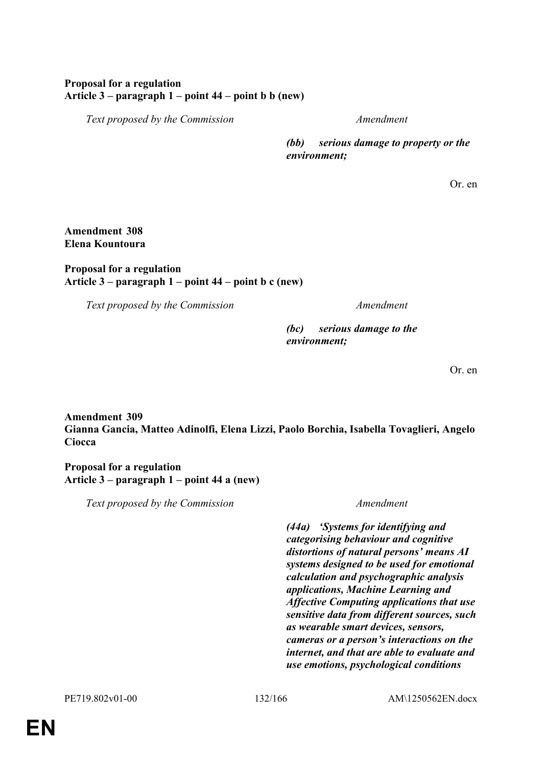## **Proposal for a regulation Article 3 – paragraph 1 – point 44 – point b b (new)**

*Text proposed by the Commission Amendment*

*(bb) serious damage to property or the environment;*

Or. en

### **Amendment 308 Elena Kountoura**

## **Proposal for a regulation Article 3 – paragraph 1 – point 44 – point b c (new)**

*Text proposed by the Commission Amendment*

*(bc) serious damage to the environment;*

Or. en

# **Amendment 309 Gianna Gancia, Matteo Adinolfi, Elena Lizzi, Paolo Borchia, Isabella Tovaglieri, Angelo Ciocca**

**Proposal for a regulation Article 3 – paragraph 1 – point 44 a (new)**

*Text proposed by the Commission Amendment*

*(44a) 'Systems for identifying and categorising behaviour and cognitive distortions of natural persons' means AI systems designed to be used for emotional calculation and psychographic analysis applications, Machine Learning and Affective Computing applications that use sensitive data from different sources, such as wearable smart devices, sensors, cameras or a person's interactions on the internet, and that are able to evaluate and use emotions, psychological conditions*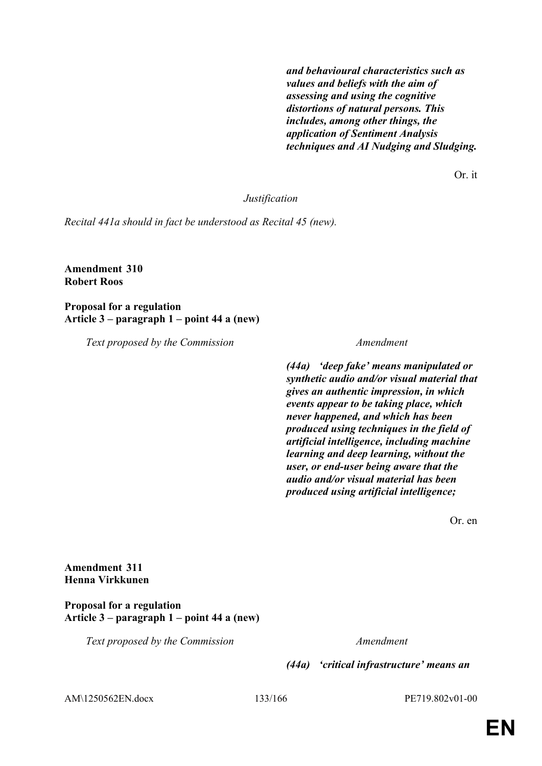*and behavioural characteristics such as values and beliefs with the aim of assessing and using the cognitive distortions of natural persons. This includes, among other things, the application of Sentiment Analysis techniques and AI Nudging and Sludging.*

Or. it

*Justification*

*Recital 441a should in fact be understood as Recital 45 (new).*

**Amendment 310 Robert Roos**

**Proposal for a regulation Article 3 – paragraph 1 – point 44 a (new)**

*Text proposed by the Commission Amendment*

*(44a) 'deep fake' means manipulated or synthetic audio and/or visual material that gives an authentic impression, in which events appear to be taking place, which never happened, and which has been produced using techniques in the field of artificial intelligence, including machine learning and deep learning, without the user, or end-user being aware that the audio and/or visual material has been produced using artificial intelligence;*

Or. en

**Amendment 311 Henna Virkkunen**

**Proposal for a regulation Article 3 – paragraph 1 – point 44 a (new)**

*Text proposed by the Commission Amendment*

*(44a) 'critical infrastructure' means an* 

AM\1250562EN.docx 133/166 PE719.802v01-00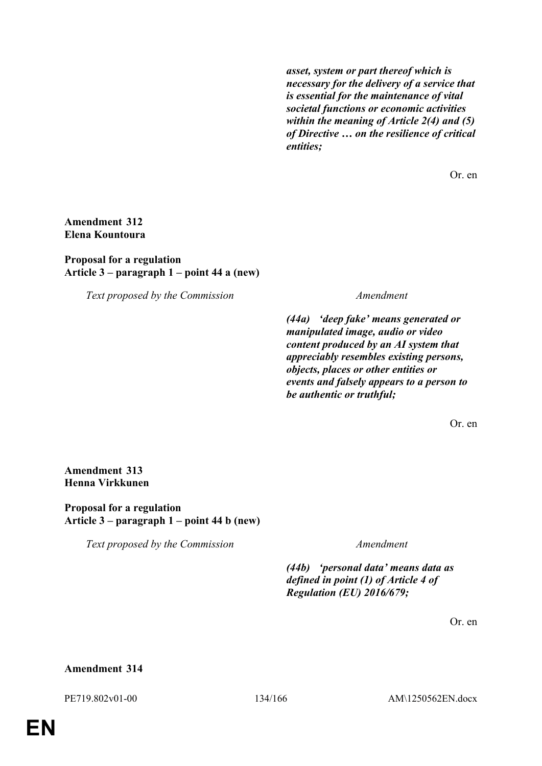*asset, system or part thereof which is necessary for the delivery of a service that is essential for the maintenance of vital societal functions or economic activities within the meaning of Article 2(4) and (5) of Directive … on the resilience of critical entities;*

Or. en

### **Amendment 312 Elena Kountoura**

### **Proposal for a regulation Article 3 – paragraph 1 – point 44 a (new)**

*Text proposed by the Commission Amendment*

*(44a) 'deep fake' means generated or manipulated image, audio or video content produced by an AI system that appreciably resembles existing persons, objects, places or other entities or events and falsely appears to a person to be authentic or truthful;*

Or. en

**Amendment 313 Henna Virkkunen**

**Proposal for a regulation Article 3 – paragraph 1 – point 44 b (new)**

*Text proposed by the Commission Amendment*

*(44b) 'personal data' means data as defined in point (1) of Article 4 of Regulation (EU) 2016/679;*

Or. en

### **Amendment 314**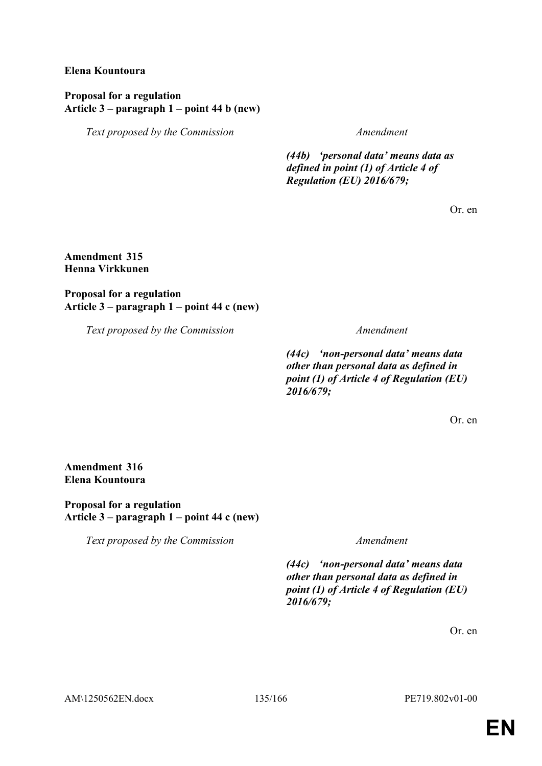### **Elena Kountoura**

### **Proposal for a regulation Article 3 – paragraph 1 – point 44 b (new)**

*Text proposed by the Commission Amendment*

*(44b) 'personal data' means data as defined in point (1) of Article 4 of Regulation (EU) 2016/679;*

Or. en

### **Amendment 315 Henna Virkkunen**

## **Proposal for a regulation Article 3 – paragraph 1 – point 44 c (new)**

*Text proposed by the Commission Amendment*

*(44c) 'non-personal data' means data other than personal data as defined in point (1) of Article 4 of Regulation (EU) 2016/679;*

Or. en

## **Amendment 316 Elena Kountoura**

**Proposal for a regulation Article 3 – paragraph 1 – point 44 c (new)**

*Text proposed by the Commission Amendment*

*(44c) 'non-personal data' means data other than personal data as defined in point (1) of Article 4 of Regulation (EU) 2016/679;*

Or. en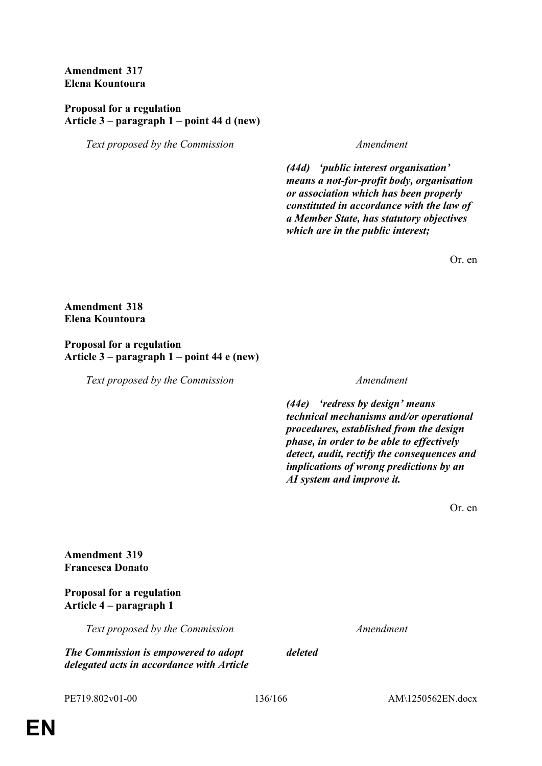**Amendment 317 Elena Kountoura**

## **Proposal for a regulation Article 3 – paragraph 1 – point 44 d (new)**

*Text proposed by the Commission Amendment*

*(44d) 'public interest organisation' means a not-for-profit body, organisation or association which has been properly constituted in accordance with the law of a Member State, has statutory objectives which are in the public interest;*

Or. en

### **Amendment 318 Elena Kountoura**

### **Proposal for a regulation Article 3 – paragraph 1 – point 44 e (new)**

*Text proposed by the Commission Amendment*

*(44e) 'redress by design' means technical mechanisms and/or operational procedures, established from the design phase, in order to be able to effectively detect, audit, rectify the consequences and implications of wrong predictions by an AI system and improve it.*

Or. en

**Amendment 319 Francesca Donato**

## **Proposal for a regulation Article 4 – paragraph 1**

*Text proposed by the Commission Amendment*

*The Commission is empowered to adopt delegated acts in accordance with Article*  *deleted*

PE719.802v01-00 136/166 AM\1250562EN.docx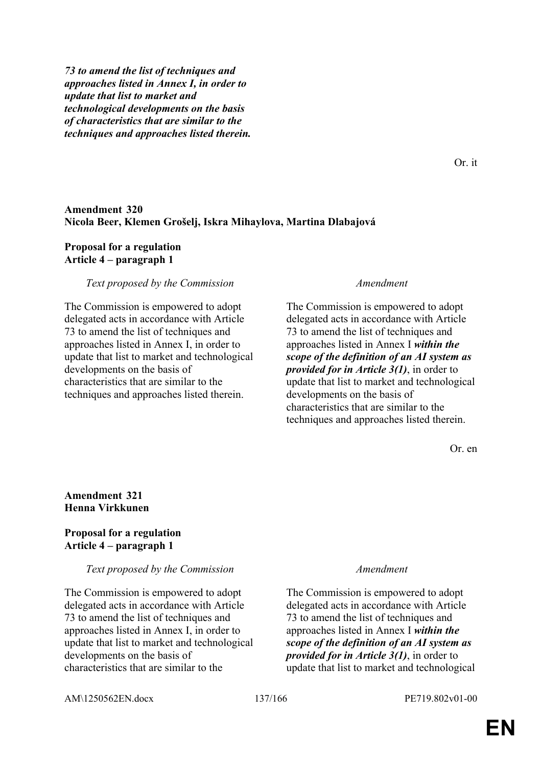*73 to amend the list of techniques and approaches listed in Annex I, in order to update that list to market and technological developments on the basis of characteristics that are similar to the techniques and approaches listed therein.*

**Amendment 320 Nicola Beer, Klemen Grošelj, Iskra Mihaylova, Martina Dlabajová**

### **Proposal for a regulation Article 4 – paragraph 1**

### *Text proposed by the Commission Amendment*

The Commission is empowered to adopt delegated acts in accordance with Article 73 to amend the list of techniques and approaches listed in Annex I, in order to update that list to market and technological developments on the basis of characteristics that are similar to the techniques and approaches listed therein.

The Commission is empowered to adopt delegated acts in accordance with Article 73 to amend the list of techniques and approaches listed in Annex I *within the scope of the definition of an AI system as provided for in Article 3(1)*, in order to update that list to market and technological developments on the basis of characteristics that are similar to the techniques and approaches listed therein.

Or. en

Or. it

### **Amendment 321 Henna Virkkunen**

### **Proposal for a regulation Article 4 – paragraph 1**

### *Text proposed by the Commission Amendment*

The Commission is empowered to adopt delegated acts in accordance with Article 73 to amend the list of techniques and approaches listed in Annex I, in order to update that list to market and technological developments on the basis of characteristics that are similar to the

The Commission is empowered to adopt delegated acts in accordance with Article 73 to amend the list of techniques and approaches listed in Annex I *within the scope of the definition of an AI system as provided for in Article 3(1)*, in order to update that list to market and technological

AM\1250562EN.docx 137/166 PE719.802v01-00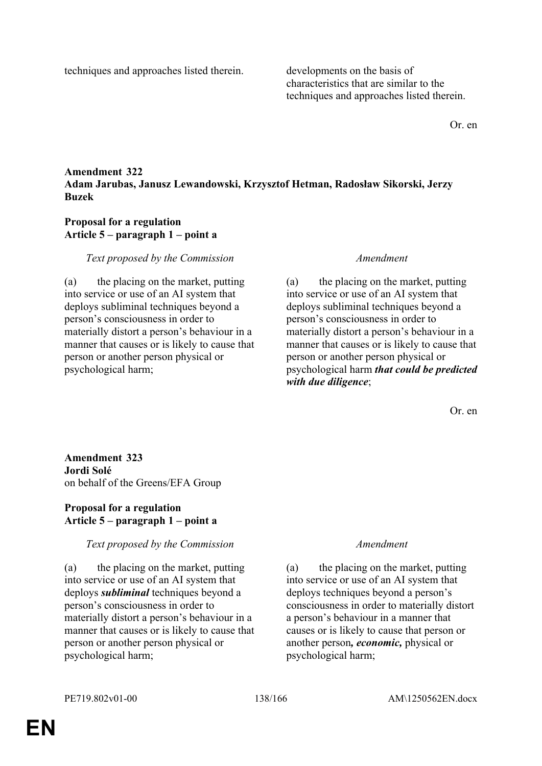techniques and approaches listed therein. developments on the basis of

characteristics that are similar to the techniques and approaches listed therein.

Or. en

# **Amendment 322 Adam Jarubas, Janusz Lewandowski, Krzysztof Hetman, Radosław Sikorski, Jerzy Buzek**

## **Proposal for a regulation Article 5 – paragraph 1 – point a**

## *Text proposed by the Commission Amendment*

(a) the placing on the market, putting into service or use of an AI system that deploys subliminal techniques beyond a person's consciousness in order to materially distort a person's behaviour in a manner that causes or is likely to cause that person or another person physical or psychological harm;

(a) the placing on the market, putting into service or use of an AI system that deploys subliminal techniques beyond a person's consciousness in order to materially distort a person's behaviour in a manner that causes or is likely to cause that person or another person physical or psychological harm *that could be predicted with due diligence*;

Or. en

**Amendment 323 Jordi Solé** on behalf of the Greens/EFA Group

## **Proposal for a regulation Article 5 – paragraph 1 – point a**

# *Text proposed by the Commission Amendment*

(a) the placing on the market, putting into service or use of an AI system that deploys *subliminal* techniques beyond a person's consciousness in order to materially distort a person's behaviour in a manner that causes or is likely to cause that person or another person physical or psychological harm;

(a) the placing on the market, putting into service or use of an AI system that deploys techniques beyond a person's consciousness in order to materially distort a person's behaviour in a manner that causes or is likely to cause that person or another person*, economic,* physical or psychological harm;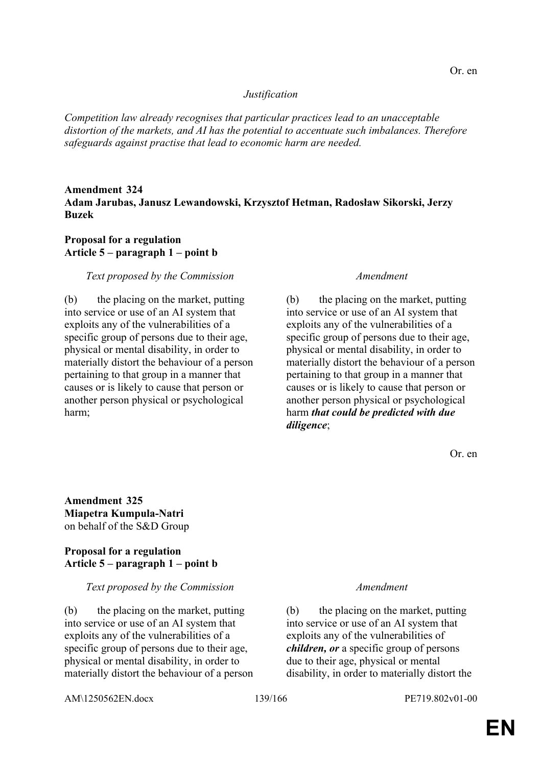### *Justification*

*Competition law already recognises that particular practices lead to an unacceptable distortion of the markets, and AI has the potential to accentuate such imbalances. Therefore safeguards against practise that lead to economic harm are needed.*

## **Amendment 324 Adam Jarubas, Janusz Lewandowski, Krzysztof Hetman, Radosław Sikorski, Jerzy Buzek**

### **Proposal for a regulation Article 5 – paragraph 1 – point b**

### *Text proposed by the Commission Amendment*

(b) the placing on the market, putting into service or use of an AI system that exploits any of the vulnerabilities of a specific group of persons due to their age, physical or mental disability, in order to materially distort the behaviour of a person pertaining to that group in a manner that causes or is likely to cause that person or another person physical or psychological harm;

(b) the placing on the market, putting into service or use of an AI system that exploits any of the vulnerabilities of a specific group of persons due to their age, physical or mental disability, in order to materially distort the behaviour of a person pertaining to that group in a manner that causes or is likely to cause that person or another person physical or psychological harm *that could be predicted with due diligence*;

Or. en

**Amendment 325 Miapetra Kumpula-Natri** on behalf of the S&D Group

## **Proposal for a regulation Article 5 – paragraph 1 – point b**

### *Text proposed by the Commission Amendment*

(b) the placing on the market, putting into service or use of an AI system that exploits any of the vulnerabilities of a specific group of persons due to their age, physical or mental disability, in order to materially distort the behaviour of a person

(b) the placing on the market, putting into service or use of an AI system that exploits any of the vulnerabilities of *children, or* a specific group of persons due to their age, physical or mental disability, in order to materially distort the

AM\1250562EN.docx 139/166 PE719.802v01-00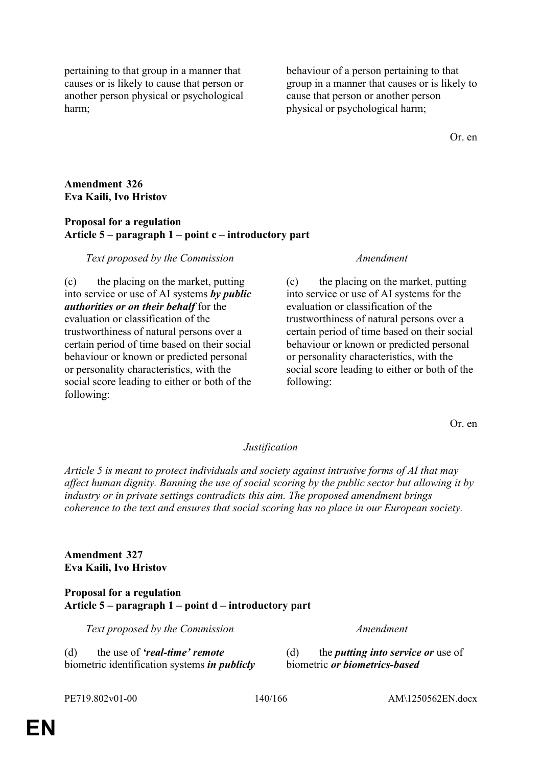pertaining to that group in a manner that causes or is likely to cause that person or another person physical or psychological harm;

behaviour of a person pertaining to that group in a manner that causes or is likely to cause that person or another person physical or psychological harm;

Or. en

## **Amendment 326 Eva Kaili, Ivo Hristov**

### **Proposal for a regulation Article 5 – paragraph 1 – point c – introductory part**

## *Text proposed by the Commission Amendment*

(c) the placing on the market, putting into service or use of AI systems *by public authorities or on their behalf* for the evaluation or classification of the trustworthiness of natural persons over a certain period of time based on their social behaviour or known or predicted personal or personality characteristics, with the social score leading to either or both of the following:

(c) the placing on the market, putting into service or use of AI systems for the evaluation or classification of the trustworthiness of natural persons over a certain period of time based on their social behaviour or known or predicted personal or personality characteristics, with the social score leading to either or both of the following:

Or. en

### *Justification*

*Article 5 is meant to protect individuals and society against intrusive forms of AI that may affect human dignity. Banning the use of social scoring by the public sector but allowing it by industry or in private settings contradicts this aim. The proposed amendment brings coherence to the text and ensures that social scoring has no place in our European society.*

**Amendment 327 Eva Kaili, Ivo Hristov**

### **Proposal for a regulation Article 5 – paragraph 1 – point d – introductory part**

*Text proposed by the Commission Amendment*

(d) the use of *'real-time' remote* biometric identification systems *in publicly*  (d) the *putting into service or* use of biometric *or biometrics-based*

PE719.802v01-00 140/166 AM\1250562EN.docx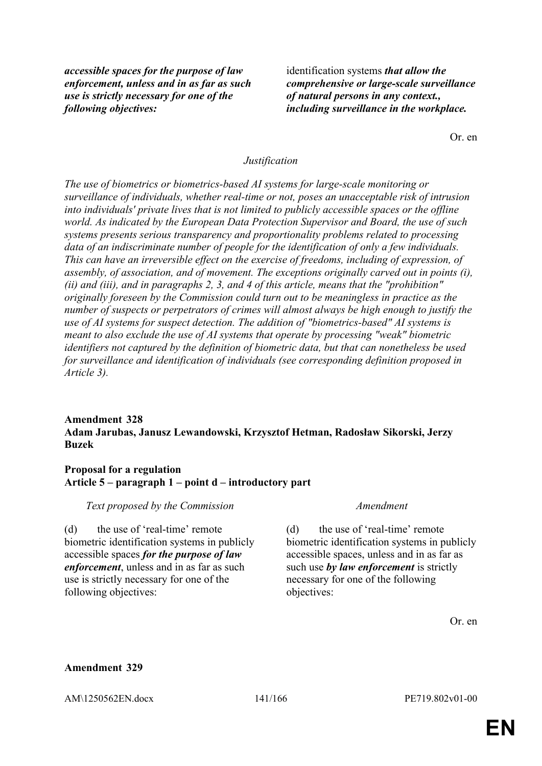*accessible spaces for the purpose of law enforcement, unless and in as far as such use is strictly necessary for one of the following objectives:*

identification systems *that allow the comprehensive or large-scale surveillance of natural persons in any context., including surveillance in the workplace.*

Or. en

### *Justification*

*The use of biometrics or biometrics-based AI systems for large-scale monitoring or surveillance of individuals, whether real-time or not, poses an unacceptable risk of intrusion into individuals' private lives that is not limited to publicly accessible spaces or the offline world. As indicated by the European Data Protection Supervisor and Board, the use of such systems presents serious transparency and proportionality problems related to processing data of an indiscriminate number of people for the identification of only a few individuals. This can have an irreversible effect on the exercise of freedoms, including of expression, of assembly, of association, and of movement. The exceptions originally carved out in points (i), (ii) and (iii), and in paragraphs 2, 3, and 4 of this article, means that the "prohibition" originally foreseen by the Commission could turn out to be meaningless in practice as the number of suspects or perpetrators of crimes will almost always be high enough to justify the use of AI systems for suspect detection. The addition of "biometrics-based" AI systems is meant to also exclude the use of AI systems that operate by processing "weak" biometric identifiers not captured by the definition of biometric data, but that can nonetheless be used for surveillance and identification of individuals (see corresponding definition proposed in Article 3).*

# **Amendment 328 Adam Jarubas, Janusz Lewandowski, Krzysztof Hetman, Radosław Sikorski, Jerzy Buzek**

### **Proposal for a regulation Article 5 – paragraph 1 – point d – introductory part**

*Text proposed by the Commission Amendment*

(d) the use of 'real-time' remote biometric identification systems in publicly accessible spaces *for the purpose of law enforcement*, unless and in as far as such use is strictly necessary for one of the following objectives:

(d) the use of 'real-time' remote biometric identification systems in publicly accessible spaces, unless and in as far as such use *by law enforcement* is strictly necessary for one of the following objectives:

Or. en

### **Amendment 329**

AM\1250562EN.docx 141/166 PE719.802v01-00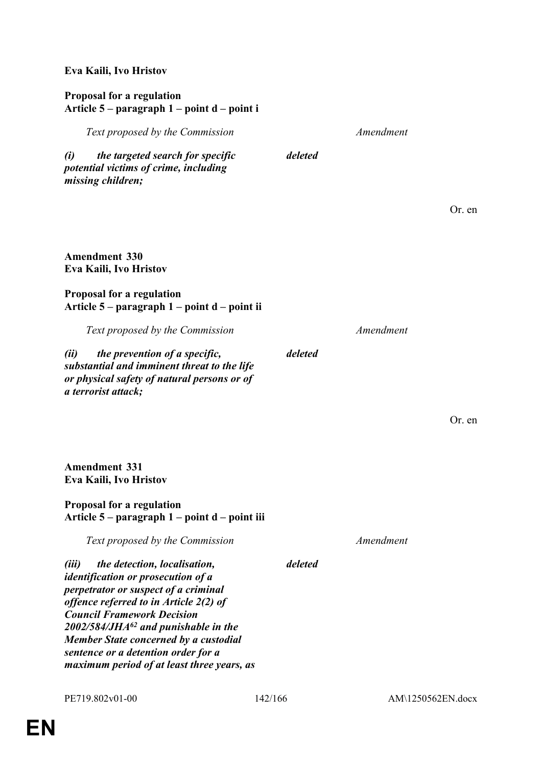# **Eva Kaili, Ivo Hristov**

### **Proposal for a regulation Article 5 – paragraph 1 – point d – point i**

| $P^{\mu}$                                                                                                                                                                                                                                                                                                                                                                                   |         |           |        |
|---------------------------------------------------------------------------------------------------------------------------------------------------------------------------------------------------------------------------------------------------------------------------------------------------------------------------------------------------------------------------------------------|---------|-----------|--------|
| Text proposed by the Commission                                                                                                                                                                                                                                                                                                                                                             |         | Amendment |        |
| the targeted search for specific<br>(i)<br>potential victims of crime, including<br>missing children;                                                                                                                                                                                                                                                                                       | deleted |           |        |
|                                                                                                                                                                                                                                                                                                                                                                                             |         |           | Or. en |
| <b>Amendment 330</b><br>Eva Kaili, Ivo Hristov                                                                                                                                                                                                                                                                                                                                              |         |           |        |
| <b>Proposal for a regulation</b><br>Article 5 – paragraph 1 – point d – point ii                                                                                                                                                                                                                                                                                                            |         |           |        |
| Text proposed by the Commission                                                                                                                                                                                                                                                                                                                                                             |         | Amendment |        |
| the prevention of a specific,<br>(ii)<br>substantial and imminent threat to the life<br>or physical safety of natural persons or of<br>a terrorist attack;                                                                                                                                                                                                                                  | deleted |           |        |
|                                                                                                                                                                                                                                                                                                                                                                                             |         |           | Or. en |
| <b>Amendment 331</b><br>Eva Kaili, Ivo Hristov                                                                                                                                                                                                                                                                                                                                              |         |           |        |
| <b>Proposal for a regulation</b><br>Article 5 – paragraph 1 – point d – point iii                                                                                                                                                                                                                                                                                                           |         |           |        |
| Text proposed by the Commission                                                                                                                                                                                                                                                                                                                                                             |         | Amendment |        |
| (iii)<br>the detection, localisation,<br><i>identification or prosecution of a</i><br>perpetrator or suspect of a criminal<br>offence referred to in Article 2(2) of<br><b>Council Framework Decision</b><br>$2002/584/JHA^{62}$ and punishable in the<br><b>Member State concerned by a custodial</b><br>sentence or a detention order for a<br>maximum period of at least three years, as | deleted |           |        |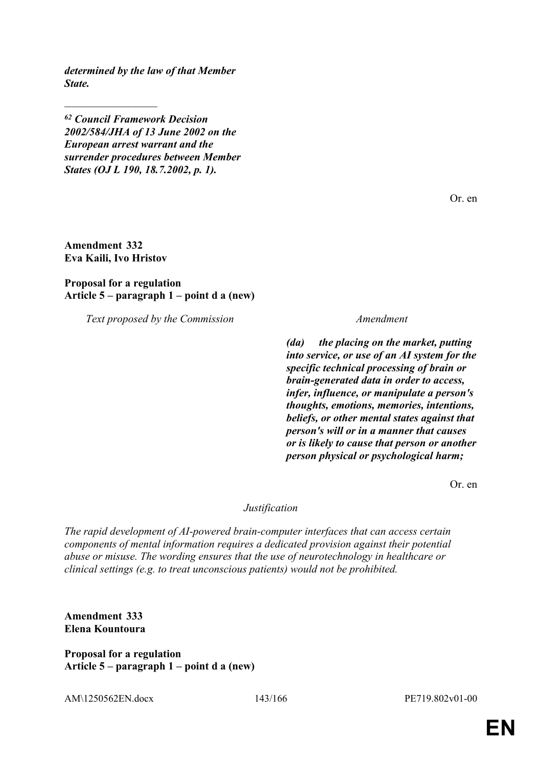*determined by the law of that Member State.*

*<sup>62</sup> Council Framework Decision 2002/584/JHA of 13 June 2002 on the European arrest warrant and the surrender procedures between Member States (OJ L 190, 18.7.2002, p. 1).*

Or. en

**Amendment 332 Eva Kaili, Ivo Hristov**

 $\frac{1}{2}$ 

**Proposal for a regulation Article 5 – paragraph 1 – point d a (new)**

*Text proposed by the Commission Amendment*

*(da) the placing on the market, putting into service, or use of an AI system for the specific technical processing of brain or brain-generated data in order to access, infer, influence, or manipulate a person's thoughts, emotions, memories, intentions, beliefs, or other mental states against that person's will or in a manner that causes or is likely to cause that person or another person physical or psychological harm;*

Or. en

### *Justification*

*The rapid development of AI-powered brain-computer interfaces that can access certain components of mental information requires a dedicated provision against their potential abuse or misuse. The wording ensures that the use of neurotechnology in healthcare or clinical settings (e.g. to treat unconscious patients) would not be prohibited.*

**Amendment 333 Elena Kountoura**

**Proposal for a regulation Article 5 – paragraph 1 – point d a (new)**

AM\1250562EN.docx 143/166 PE719.802v01-00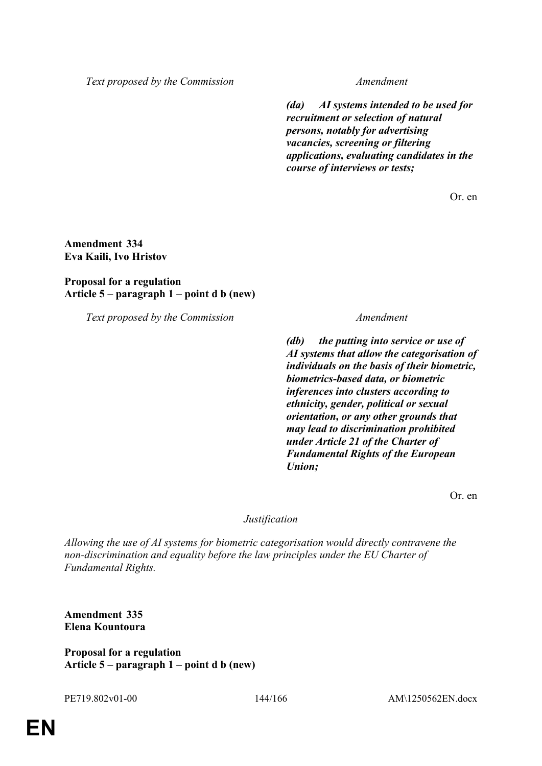*Text proposed by the Commission Amendment*

*(da) AI systems intended to be used for recruitment or selection of natural persons, notably for advertising vacancies, screening or filtering applications, evaluating candidates in the course of interviews or tests;*

Or. en

## **Amendment 334 Eva Kaili, Ivo Hristov**

## **Proposal for a regulation Article 5 – paragraph 1 – point d b (new)**

*Text proposed by the Commission Amendment*

*(db) the putting into service or use of AI systems that allow the categorisation of individuals on the basis of their biometric, biometrics-based data, or biometric inferences into clusters according to ethnicity, gender, political or sexual orientation, or any other grounds that may lead to discrimination prohibited under Article 21 of the Charter of Fundamental Rights of the European Union;*

Or. en

### *Justification*

*Allowing the use of AI systems for biometric categorisation would directly contravene the non-discrimination and equality before the law principles under the EU Charter of Fundamental Rights.*

**Amendment 335 Elena Kountoura**

**Proposal for a regulation Article 5 – paragraph 1 – point d b (new)**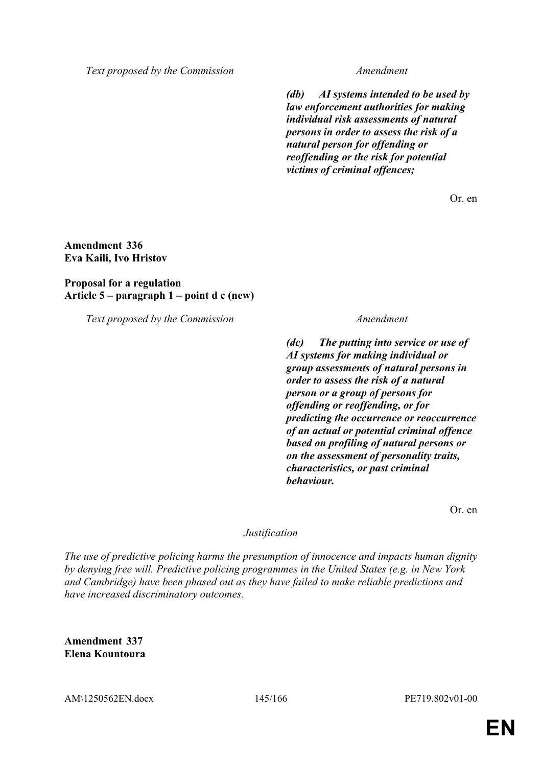*Text proposed by the Commission Amendment*

*(db) AI systems intended to be used by law enforcement authorities for making individual risk assessments of natural persons in order to assess the risk of a natural person for offending or reoffending or the risk for potential victims of criminal offences;*

Or. en

# **Amendment 336 Eva Kaili, Ivo Hristov**

# **Proposal for a regulation Article 5 – paragraph 1 – point d c (new)**

*Text proposed by the Commission Amendment*

*(dc) The putting into service or use of AI systems for making individual or group assessments of natural persons in order to assess the risk of a natural person or a group of persons for offending or reoffending, or for predicting the occurrence or reoccurrence of an actual or potential criminal offence based on profiling of natural persons or on the assessment of personality traits, characteristics, or past criminal behaviour.*

Or. en

### *Justification*

*The use of predictive policing harms the presumption of innocence and impacts human dignity by denying free will. Predictive policing programmes in the United States (e.g. in New York and Cambridge) have been phased out as they have failed to make reliable predictions and have increased discriminatory outcomes.*

**Amendment 337 Elena Kountoura**

AM\1250562EN.docx 145/166 PE719.802v01-00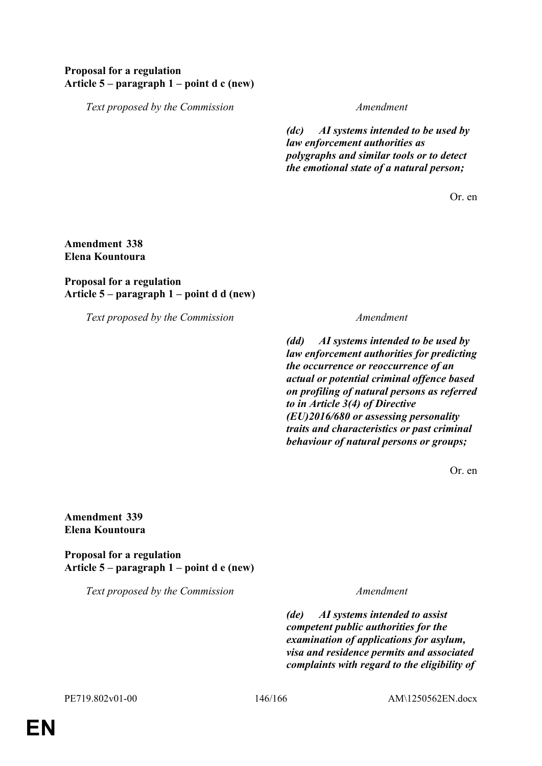# **Proposal for a regulation Article 5 – paragraph 1 – point d c (new)**

*Text proposed by the Commission Amendment*

*(dc) AI systems intended to be used by law enforcement authorities as polygraphs and similar tools or to detect the emotional state of a natural person;*

Or. en

### **Amendment 338 Elena Kountoura**

# **Proposal for a regulation Article 5 – paragraph 1 – point d d (new)**

*Text proposed by the Commission Amendment*

*(dd) AI systems intended to be used by law enforcement authorities for predicting the occurrence or reoccurrence of an actual or potential criminal offence based on profiling of natural persons as referred to in Article 3(4) of Directive (EU)2016/680 or assessing personality traits and characteristics or past criminal behaviour of natural persons or groups;*

Or. en

**Amendment 339 Elena Kountoura**

**Proposal for a regulation Article 5 – paragraph 1 – point d e (new)**

*Text proposed by the Commission Amendment*

*(de) AI systems intended to assist competent public authorities for the examination of applications for asylum, visa and residence permits and associated complaints with regard to the eligibility of*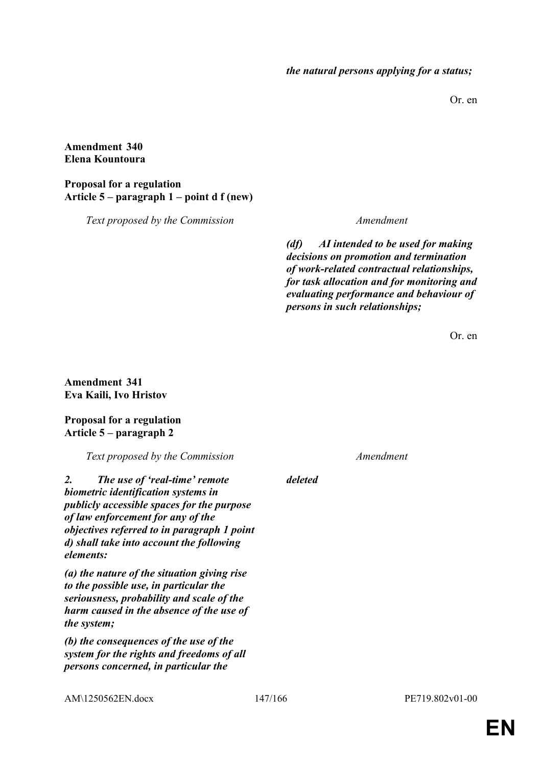Or. en

# **Amendment 340 Elena Kountoura**

# **Proposal for a regulation Article 5 – paragraph 1 – point d f (new)**

*Text proposed by the Commission Amendment*

*(df) AI intended to be used for making decisions on promotion and termination of work-related contractual relationships, for task allocation and for monitoring and evaluating performance and behaviour of persons in such relationships;*

Or. en

# **Amendment 341 Eva Kaili, Ivo Hristov**

# **Proposal for a regulation Article 5 – paragraph 2**

*Text proposed by the Commission Amendment*

*2. The use of 'real-time' remote biometric identification systems in publicly accessible spaces for the purpose of law enforcement for any of the objectives referred to in paragraph 1 point d) shall take into account the following elements:*

*(a) the nature of the situation giving rise to the possible use, in particular the seriousness, probability and scale of the harm caused in the absence of the use of the system;*

*(b) the consequences of the use of the system for the rights and freedoms of all persons concerned, in particular the* 

*deleted*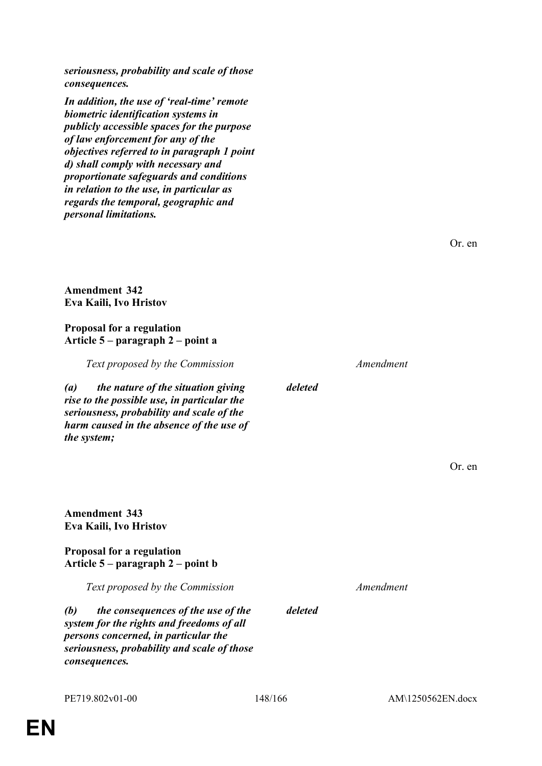*seriousness, probability and scale of those consequences.*

**Amendment 343 Eva Kaili, Ivo Hristov**

**Proposal for a regulation**

**Article 5 – paragraph 2 – point b**

*(b) the consequences of the use of the system for the rights and freedoms of all persons concerned, in particular the* 

*Text proposed by the Commission Amendment*

*(a) the nature of the situation giving rise to the possible use, in particular the seriousness, probability and scale of the harm caused in the absence of the use of the system;*

**Eva Kaili, Ivo Hristov Proposal for a regulation Article 5 – paragraph 2 – point a**

*personal limitations.*

**Amendment 342**

# *consequences. In addition, the use of 'real-time' remote biometric identification systems in publicly accessible spaces for the purpose of law enforcement for any of the objectives referred to in paragraph 1 point d) shall comply with necessary and proportionate safeguards and conditions in relation to the use, in particular as regards the temporal, geographic and*

*seriousness, probability and scale of those* 

PE719.802v01-00 148/166 AM\1250562EN.docx

Or. en

*deleted*

*deleted*

Or. en

*Text proposed by the Commission Amendment*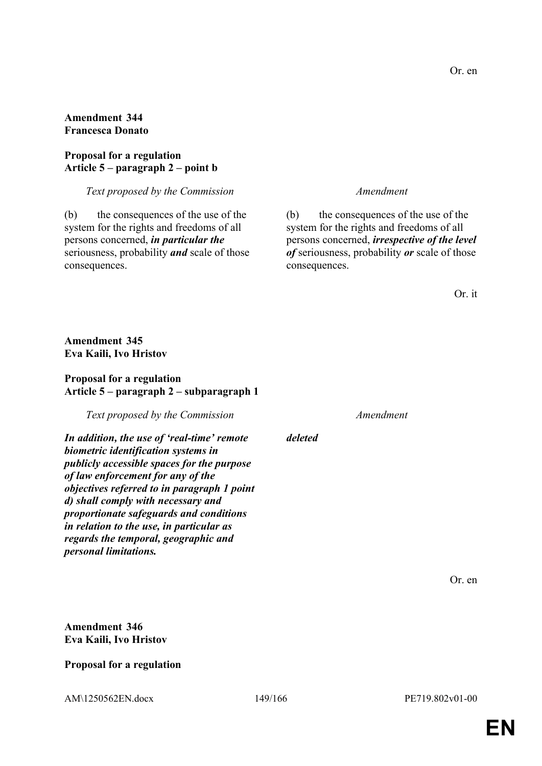# **Amendment 344 Francesca Donato**

# **Proposal for a regulation Article 5 – paragraph 2 – point b**

### *Text proposed by the Commission Amendment*

(b) the consequences of the use of the system for the rights and freedoms of all persons concerned, *in particular the* seriousness, probability *and* scale of those consequences.

(b) the consequences of the use of the system for the rights and freedoms of all persons concerned, *irrespective of the level of* seriousness, probability *or* scale of those consequences.

# **Amendment 345 Eva Kaili, Ivo Hristov**

# **Proposal for a regulation Article 5 – paragraph 2 – subparagraph 1**

*Text proposed by the Commission Amendment*

*In addition, the use of 'real-time' remote biometric identification systems in publicly accessible spaces for the purpose of law enforcement for any of the objectives referred to in paragraph 1 point d) shall comply with necessary and proportionate safeguards and conditions in relation to the use, in particular as regards the temporal, geographic and personal limitations.*

*deleted*

Or. en

**Amendment 346 Eva Kaili, Ivo Hristov**

# **Proposal for a regulation**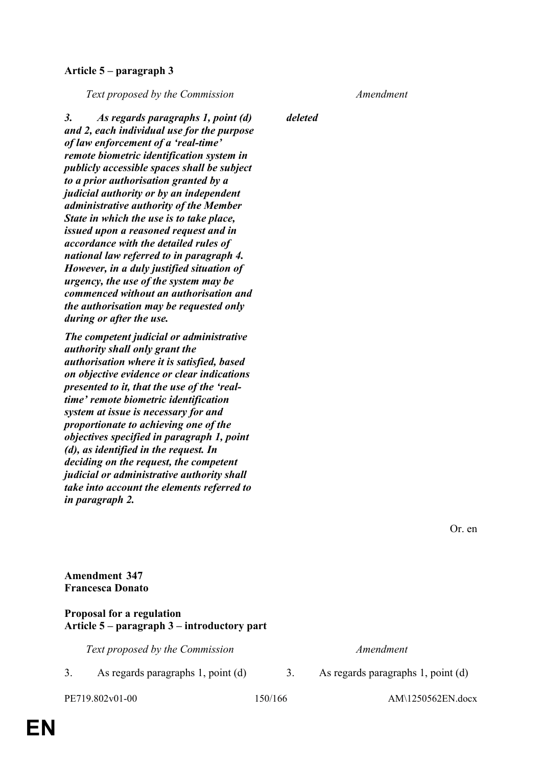# **Article 5 – paragraph 3**

*Text proposed by the Commission Amendment*

*deleted*

*3. As regards paragraphs 1, point (d) and 2, each individual use for the purpose of law enforcement of a 'real-time' remote biometric identification system in publicly accessible spaces shall be subject to a prior authorisation granted by a judicial authority or by an independent administrative authority of the Member State in which the use is to take place, issued upon a reasoned request and in accordance with the detailed rules of national law referred to in paragraph 4. However, in a duly justified situation of urgency, the use of the system may be commenced without an authorisation and the authorisation may be requested only during or after the use.*

*The competent judicial or administrative authority shall only grant the authorisation where it is satisfied, based on objective evidence or clear indications presented to it, that the use of the 'realtime' remote biometric identification system at issue is necessary for and proportionate to achieving one of the objectives specified in paragraph 1, point (d), as identified in the request. In deciding on the request, the competent judicial or administrative authority shall take into account the elements referred to in paragraph 2.*

**Amendment 347 Francesca Donato**

# **Proposal for a regulation Article 5 – paragraph 3 – introductory part**

*Text proposed by the Commission Amendment*

3. As regards paragraphs 1, point (d) 3. As regards paragraphs 1, point (d)

PE719.802v01-00 150/166 AM\1250562EN.docx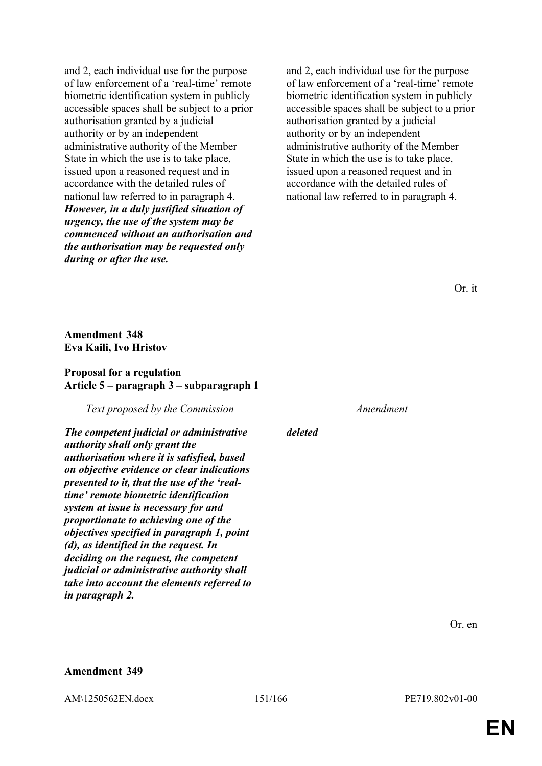and 2, each individual use for the purpose of law enforcement of a 'real-time' remote biometric identification system in publicly accessible spaces shall be subject to a prior authorisation granted by a judicial authority or by an independent administrative authority of the Member State in which the use is to take place, issued upon a reasoned request and in accordance with the detailed rules of national law referred to in paragraph 4. *However, in a duly justified situation of urgency, the use of the system may be commenced without an authorisation and the authorisation may be requested only during or after the use.*

and 2, each individual use for the purpose of law enforcement of a 'real-time' remote biometric identification system in publicly accessible spaces shall be subject to a prior authorisation granted by a judicial authority or by an independent administrative authority of the Member State in which the use is to take place, issued upon a reasoned request and in accordance with the detailed rules of national law referred to in paragraph 4.

Or. it

**Amendment 348 Eva Kaili, Ivo Hristov**

### **Proposal for a regulation Article 5 – paragraph 3 – subparagraph 1**

*Text proposed by the Commission Amendment*

*The competent judicial or administrative authority shall only grant the authorisation where it is satisfied, based on objective evidence or clear indications presented to it, that the use of the 'realtime' remote biometric identification system at issue is necessary for and proportionate to achieving one of the objectives specified in paragraph 1, point (d), as identified in the request. In deciding on the request, the competent judicial or administrative authority shall take into account the elements referred to in paragraph 2.*

*deleted*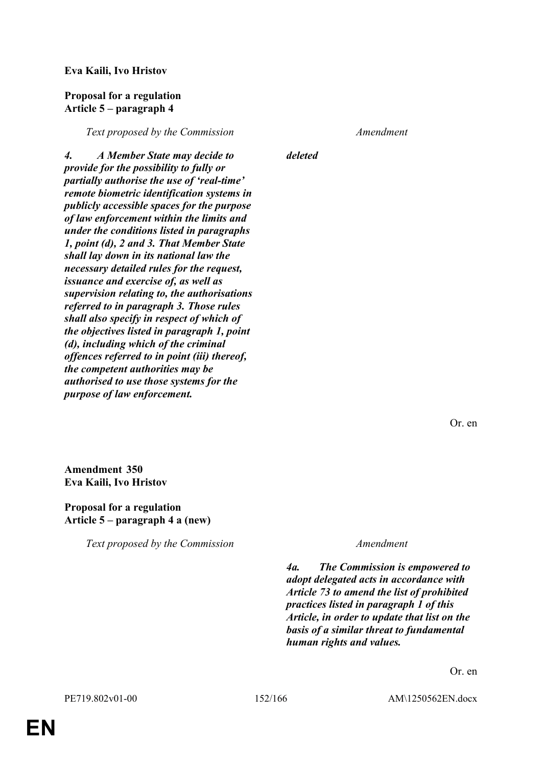# **Eva Kaili, Ivo Hristov**

### **Proposal for a regulation Article 5 – paragraph 4**

*Text proposed by the Commission Amendment*

*4. A Member State may decide to provide for the possibility to fully or partially authorise the use of 'real-time' remote biometric identification systems in publicly accessible spaces for the purpose of law enforcement within the limits and under the conditions listed in paragraphs 1, point (d), 2 and 3. That Member State shall lay down in its national law the necessary detailed rules for the request, issuance and exercise of, as well as supervision relating to, the authorisations referred to in paragraph 3. Those rules shall also specify in respect of which of the objectives listed in paragraph 1, point (d), including which of the criminal offences referred to in point (iii) thereof, the competent authorities may be authorised to use those systems for the purpose of law enforcement.*

*deleted*

Or. en

**Amendment 350 Eva Kaili, Ivo Hristov**

# **Proposal for a regulation Article 5 – paragraph 4 a (new)**

*Text proposed by the Commission Amendment*

*4a. The Commission is empowered to adopt delegated acts in accordance with Article 73 to amend the list of prohibited practices listed in paragraph 1 of this Article, in order to update that list on the basis of a similar threat to fundamental human rights and values.*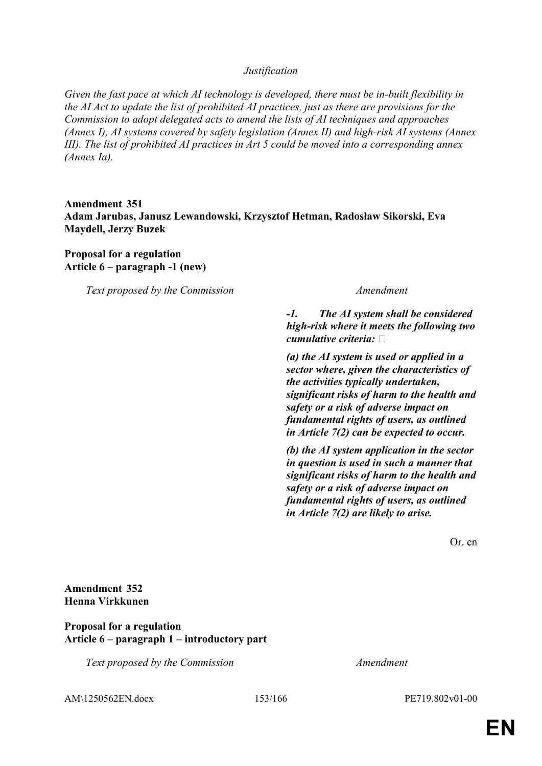### *Justification*

*Given the fast pace at which AI technology is developed, there must be in-built flexibility in the AI Act to update the list of prohibited AI practices, just as there are provisions for the Commission to adopt delegated acts to amend the lists of AI techniques and approaches (Annex I), AI systems covered by safety legislation (Annex II) and high-risk AI systems (Annex III). The list of prohibited AI practices in Art 5 could be moved into a corresponding annex (Annex Ia).*

# **Amendment 351 Adam Jarubas, Janusz Lewandowski, Krzysztof Hetman, Radosław Sikorski, Eva Maydell, Jerzy Buzek**

**Proposal for a regulation Article 6 – paragraph -1 (new)**

*Text proposed by the Commission Amendment*

*-1. The AI system shall be considered high-risk where it meets the following two cumulative criteria:* 

*(a) the AI system is used or applied in a sector where, given the characteristics of the activities typically undertaken, significant risks of harm to the health and safety or a risk of adverse impact on fundamental rights of users, as outlined in Article 7(2) can be expected to occur.*

*(b) the AI system application in the sector in question is used in such a manner that significant risks of harm to the health and safety or a risk of adverse impact on fundamental rights of users, as outlined in Article 7(2) are likely to arise.*

Or. en

# **Amendment 352 Henna Virkkunen**

### **Proposal for a regulation Article 6 – paragraph 1 – introductory part**

*Text proposed by the Commission Amendment*

AM\1250562EN.docx 153/166 PE719.802v01-00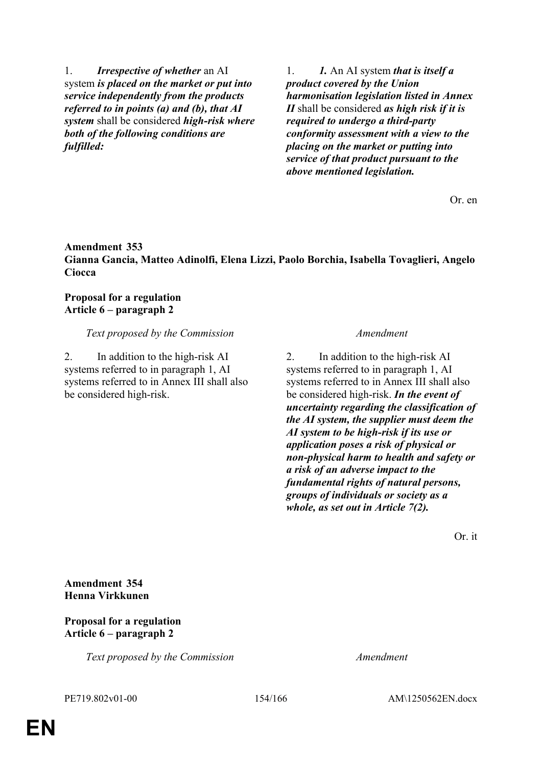1. *Irrespective of whether* an AI system *is placed on the market or put into service independently from the products referred to in points (a) and (b), that AI system* shall be considered *high-risk where both of the following conditions are fulfilled:*

1. *1.* An AI system *that is itself a product covered by the Union harmonisation legislation listed in Annex II* shall be considered *as high risk if it is required to undergo a third-party conformity assessment with a view to the placing on the market or putting into service of that product pursuant to the above mentioned legislation.*

Or. en

# **Amendment 353 Gianna Gancia, Matteo Adinolfi, Elena Lizzi, Paolo Borchia, Isabella Tovaglieri, Angelo Ciocca**

# **Proposal for a regulation Article 6 – paragraph 2**

# *Text proposed by the Commission Amendment*

2. In addition to the high-risk AI systems referred to in paragraph 1, AI systems referred to in Annex III shall also be considered high-risk.

2. In addition to the high-risk AI systems referred to in paragraph 1, AI systems referred to in Annex III shall also be considered high-risk. *In the event of uncertainty regarding the classification of the AI system, the supplier must deem the AI system to be high-risk if its use or application poses a risk of physical or non-physical harm to health and safety or a risk of an adverse impact to the fundamental rights of natural persons, groups of individuals or society as a whole, as set out in Article 7(2).*

Or. it

**Amendment 354 Henna Virkkunen**

### **Proposal for a regulation Article 6 – paragraph 2**

*Text proposed by the Commission Amendment*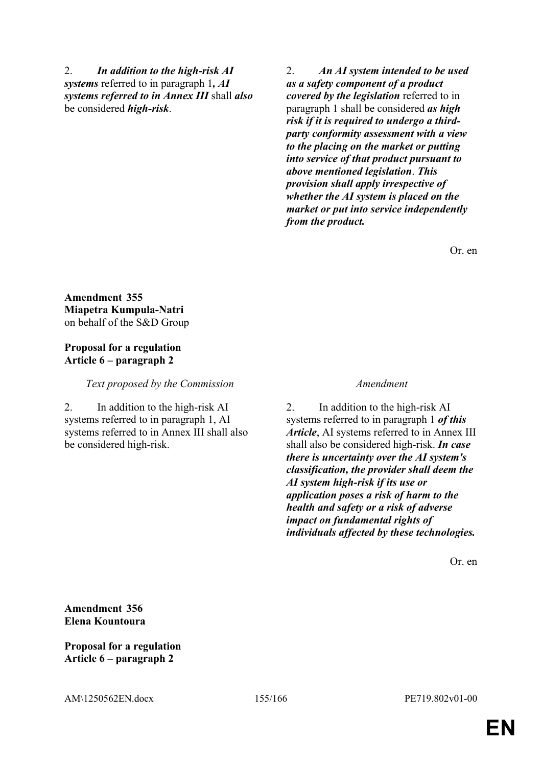2. *In addition to the high-risk AI systems* referred to in paragraph 1*, AI systems referred to in Annex III* shall *also* be considered *high-risk*.

2. *An AI system intended to be used as a safety component of a product covered by the legislation* referred to in paragraph 1 shall be considered *as high risk if it is required to undergo a thirdparty conformity assessment with a view to the placing on the market or putting into service of that product pursuant to above mentioned legislation*. *This provision shall apply irrespective of whether the AI system is placed on the market or put into service independently from the product.*

Or. en

**Amendment 355 Miapetra Kumpula-Natri** on behalf of the S&D Group

### **Proposal for a regulation Article 6 – paragraph 2**

*Text proposed by the Commission Amendment*

2. In addition to the high-risk AI systems referred to in paragraph 1, AI systems referred to in Annex III shall also be considered high-risk.

2. In addition to the high-risk AI systems referred to in paragraph 1 *of this Article*, AI systems referred to in Annex III shall also be considered high-risk. *In case there is uncertainty over the AI system's classification, the provider shall deem the AI system high-risk if its use or application poses a risk of harm to the health and safety or a risk of adverse impact on fundamental rights of individuals affected by these technologies.*

Or. en

**Amendment 356 Elena Kountoura**

**Proposal for a regulation Article 6 – paragraph 2**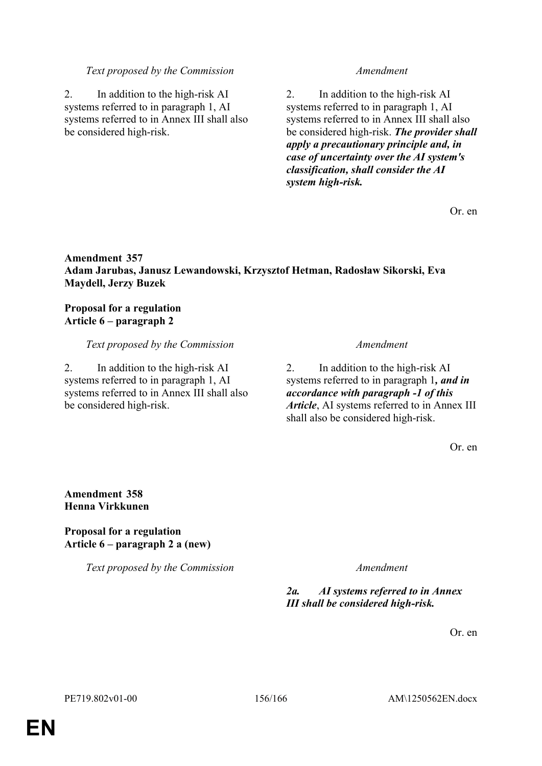### *Text proposed by the Commission Amendment*

2. In addition to the high-risk AI systems referred to in paragraph 1, AI systems referred to in Annex III shall also be considered high-risk.

2. In addition to the high-risk AI systems referred to in paragraph 1, AI systems referred to in Annex III shall also be considered high-risk. *The provider shall apply a precautionary principle and, in case of uncertainty over the AI system's classification, shall consider the AI system high-risk.*

Or. en

# **Amendment 357 Adam Jarubas, Janusz Lewandowski, Krzysztof Hetman, Radosław Sikorski, Eva Maydell, Jerzy Buzek**

# **Proposal for a regulation Article 6 – paragraph 2**

# *Text proposed by the Commission Amendment*

2. In addition to the high-risk AI systems referred to in paragraph 1, AI systems referred to in Annex III shall also be considered high-risk.

2. In addition to the high-risk AI systems referred to in paragraph 1*, and in accordance with paragraph -1 of this Article*, AI systems referred to in Annex III shall also be considered high-risk.

Or. en

# **Amendment 358 Henna Virkkunen**

# **Proposal for a regulation Article 6 – paragraph 2 a (new)**

*Text proposed by the Commission Amendment*

# *2a. AI systems referred to in Annex III shall be considered high-risk.*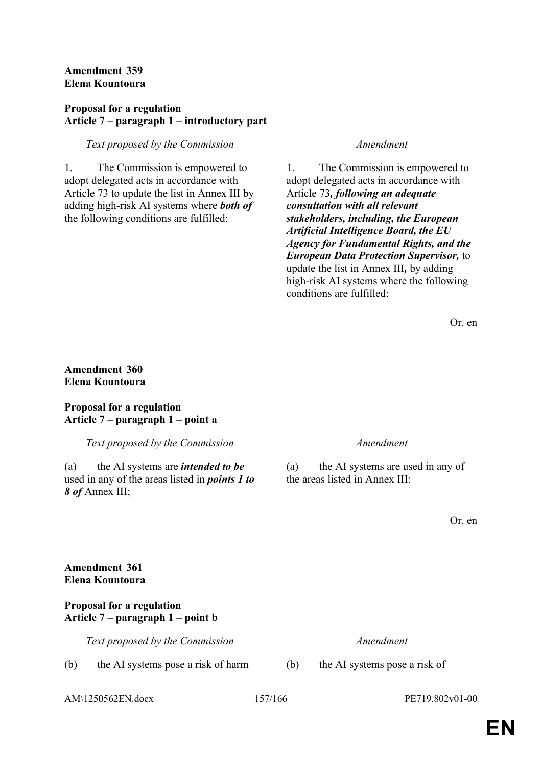# **Amendment 359 Elena Kountoura**

# **Proposal for a regulation Article 7 – paragraph 1 – introductory part**

# *Text proposed by the Commission Amendment*

1. The Commission is empowered to adopt delegated acts in accordance with Article 73 to update the list in Annex III by adding high-risk AI systems where *both of* the following conditions are fulfilled:

1. The Commission is empowered to adopt delegated acts in accordance with Article 73*, following an adequate consultation with all relevant stakeholders, including, the European Artificial Intelligence Board, the EU Agency for Fundamental Rights, and the European Data Protection Supervisor,* to update the list in Annex III*,* by adding high-risk AI systems where the following conditions are fulfilled:

Or. en

# **Amendment 360 Elena Kountoura**

# **Proposal for a regulation Article 7 – paragraph 1 – point a**

*Text proposed by the Commission Amendment*

(a) the AI systems are *intended to be* used in any of the areas listed in *points 1 to 8 of* Annex III;

(a) the AI systems are used in any of the areas listed in Annex III;

Or. en

# **Amendment 361 Elena Kountoura**

# **Proposal for a regulation Article 7 – paragraph 1 – point b**

*Text proposed by the Commission Amendment*

(b) the AI systems pose a risk of harm (b) the AI systems pose a risk of

AM\1250562EN.docx 157/166 PE719.802v01-00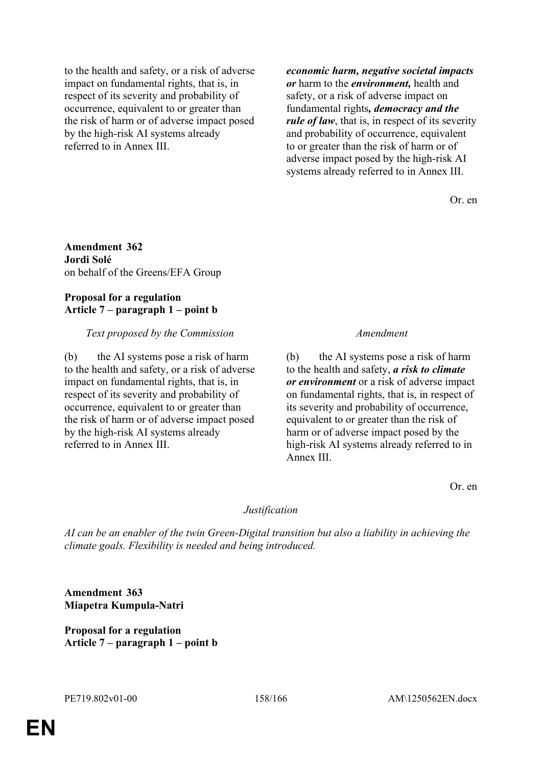to the health and safety, or a risk of adverse impact on fundamental rights, that is, in respect of its severity and probability of occurrence, equivalent to or greater than the risk of harm or of adverse impact posed by the high-risk AI systems already referred to in Annex III.

*economic harm, negative societal impacts or* harm to the *environment,* health and safety, or a risk of adverse impact on fundamental rights*, democracy and the rule of law*, that is, in respect of its severity and probability of occurrence, equivalent to or greater than the risk of harm or of adverse impact posed by the high-risk AI systems already referred to in Annex III.

Or. en

**Amendment 362 Jordi Solé** on behalf of the Greens/EFA Group

# **Proposal for a regulation Article 7 – paragraph 1 – point b**

# *Text proposed by the Commission Amendment*

(b) the AI systems pose a risk of harm to the health and safety, or a risk of adverse impact on fundamental rights, that is, in respect of its severity and probability of occurrence, equivalent to or greater than the risk of harm or of adverse impact posed by the high-risk AI systems already referred to in Annex III.

(b) the AI systems pose a risk of harm to the health and safety, *a risk to climate or environment* or a risk of adverse impact on fundamental rights, that is, in respect of its severity and probability of occurrence, equivalent to or greater than the risk of harm or of adverse impact posed by the high-risk AI systems already referred to in Annex III.

Or. en

### *Justification*

*AI can be an enabler of the twin Green-Digital transition but also a liability in achieving the climate goals. Flexibility is needed and being introduced.*

**Amendment 363 Miapetra Kumpula-Natri**

**Proposal for a regulation Article 7 – paragraph 1 – point b**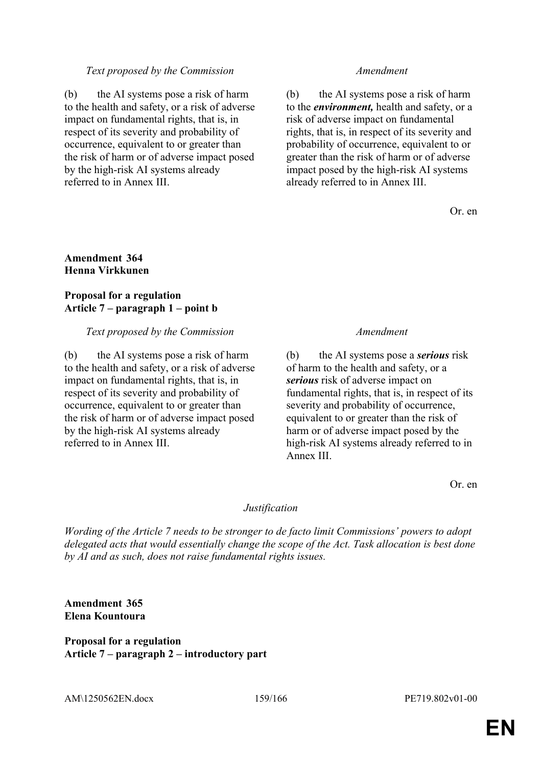### *Text proposed by the Commission Amendment*

(b) the AI systems pose a risk of harm to the health and safety, or a risk of adverse impact on fundamental rights, that is, in respect of its severity and probability of occurrence, equivalent to or greater than the risk of harm or of adverse impact posed by the high-risk AI systems already referred to in Annex III.

(b) the AI systems pose a risk of harm to the *environment,* health and safety, or a risk of adverse impact on fundamental rights, that is, in respect of its severity and probability of occurrence, equivalent to or greater than the risk of harm or of adverse impact posed by the high-risk AI systems already referred to in Annex III.

Or. en

### **Amendment 364 Henna Virkkunen**

### **Proposal for a regulation Article 7 – paragraph 1 – point b**

### *Text proposed by the Commission Amendment*

(b) the AI systems pose a risk of harm to the health and safety, or a risk of adverse impact on fundamental rights, that is, in respect of its severity and probability of occurrence, equivalent to or greater than the risk of harm or of adverse impact posed by the high-risk AI systems already referred to in Annex III.

(b) the AI systems pose a *serious* risk of harm to the health and safety, or a *serious* risk of adverse impact on fundamental rights, that is, in respect of its severity and probability of occurrence, equivalent to or greater than the risk of harm or of adverse impact posed by the high-risk AI systems already referred to in Annex III.

Or. en

### *Justification*

*Wording of the Article 7 needs to be stronger to de facto limit Commissions' powers to adopt delegated acts that would essentially change the scope of the Act. Task allocation is best done by AI and as such, does not raise fundamental rights issues.*

**Amendment 365 Elena Kountoura**

### **Proposal for a regulation Article 7 – paragraph 2 – introductory part**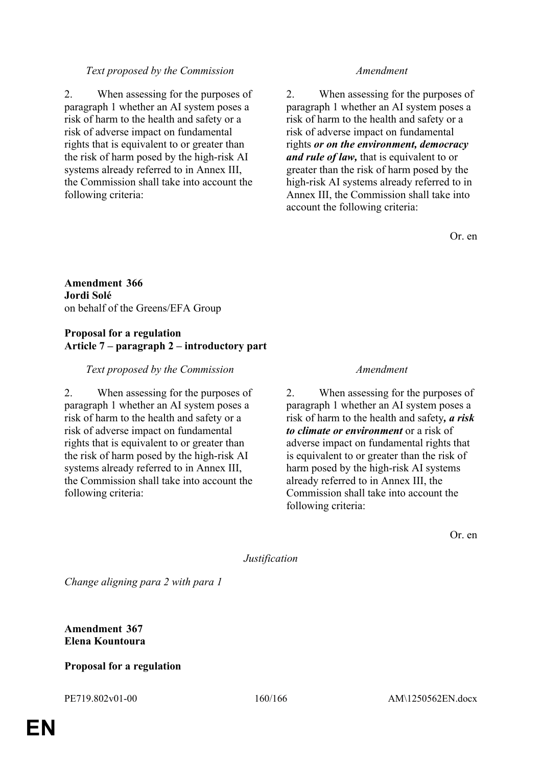# *Text proposed by the Commission Amendment*

2. When assessing for the purposes of paragraph 1 whether an AI system poses a risk of harm to the health and safety or a risk of adverse impact on fundamental rights that is equivalent to or greater than the risk of harm posed by the high-risk AI systems already referred to in Annex III, the Commission shall take into account the following criteria:

2. When assessing for the purposes of paragraph 1 whether an AI system poses a risk of harm to the health and safety or a risk of adverse impact on fundamental rights *or on the environment, democracy and rule of law,* that is equivalent to or greater than the risk of harm posed by the high-risk AI systems already referred to in Annex III, the Commission shall take into account the following criteria:

Or. en

**Amendment 366 Jordi Solé** on behalf of the Greens/EFA Group

### **Proposal for a regulation Article 7 – paragraph 2 – introductory part**

# *Text proposed by the Commission Amendment*

2. When assessing for the purposes of paragraph 1 whether an AI system poses a risk of harm to the health and safety or a risk of adverse impact on fundamental rights that is equivalent to or greater than the risk of harm posed by the high-risk AI systems already referred to in Annex III, the Commission shall take into account the following criteria:

2. When assessing for the purposes of paragraph 1 whether an AI system poses a risk of harm to the health and safety*, a risk to climate or environment* or a risk of adverse impact on fundamental rights that is equivalent to or greater than the risk of harm posed by the high-risk AI systems already referred to in Annex III, the Commission shall take into account the following criteria:

Or. en

*Justification*

*Change aligning para 2 with para 1*

**Amendment 367 Elena Kountoura**

# **Proposal for a regulation**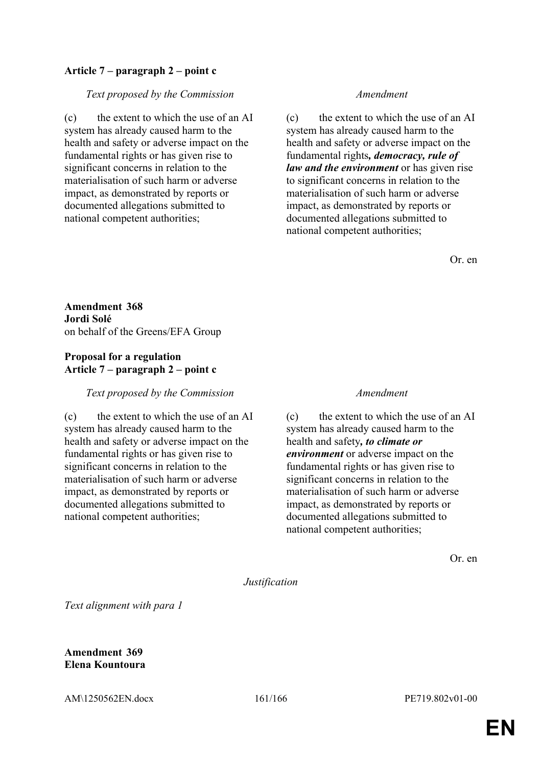# **Article 7 – paragraph 2 – point c**

*Text proposed by the Commission Amendment*

(c) the extent to which the use of an AI system has already caused harm to the health and safety or adverse impact on the fundamental rights or has given rise to significant concerns in relation to the materialisation of such harm or adverse impact, as demonstrated by reports or documented allegations submitted to national competent authorities;

(c) the extent to which the use of an AI system has already caused harm to the health and safety or adverse impact on the fundamental rights*, democracy, rule of law and the environment* or has given rise to significant concerns in relation to the materialisation of such harm or adverse impact, as demonstrated by reports or documented allegations submitted to national competent authorities;

Or. en

**Amendment 368 Jordi Solé** on behalf of the Greens/EFA Group

# **Proposal for a regulation Article 7 – paragraph 2 – point c**

*Text proposed by the Commission Amendment*

(c) the extent to which the use of an AI system has already caused harm to the health and safety or adverse impact on the fundamental rights or has given rise to significant concerns in relation to the materialisation of such harm or adverse impact, as demonstrated by reports or documented allegations submitted to national competent authorities;

(c) the extent to which the use of an AI system has already caused harm to the health and safety*, to climate or environment* or adverse impact on the fundamental rights or has given rise to significant concerns in relation to the materialisation of such harm or adverse impact, as demonstrated by reports or documented allegations submitted to national competent authorities;

Or. en

### *Justification*

*Text alignment with para 1*

**Amendment 369 Elena Kountoura**

AM\1250562EN.docx 161/166 PE719.802v01-00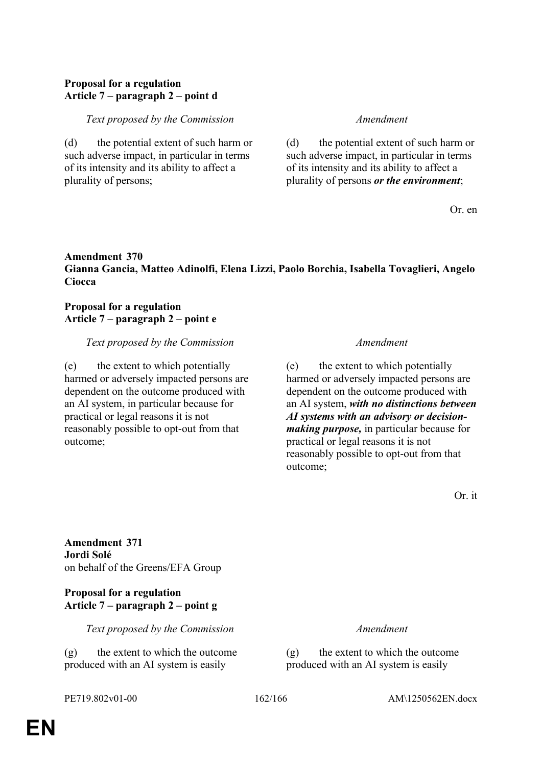# **Proposal for a regulation Article 7 – paragraph 2 – point d**

### *Text proposed by the Commission Amendment*

(d) the potential extent of such harm or such adverse impact, in particular in terms of its intensity and its ability to affect a plurality of persons;

(d) the potential extent of such harm or such adverse impact, in particular in terms of its intensity and its ability to affect a plurality of persons *or the environment*;

Or. en

# **Amendment 370 Gianna Gancia, Matteo Adinolfi, Elena Lizzi, Paolo Borchia, Isabella Tovaglieri, Angelo Ciocca**

### **Proposal for a regulation Article 7 – paragraph 2 – point e**

### *Text proposed by the Commission Amendment*

(e) the extent to which potentially harmed or adversely impacted persons are dependent on the outcome produced with an AI system, in particular because for practical or legal reasons it is not reasonably possible to opt-out from that outcome;

(e) the extent to which potentially harmed or adversely impacted persons are dependent on the outcome produced with an AI system, *with no distinctions between AI systems with an advisory or decisionmaking purpose,* in particular because for practical or legal reasons it is not reasonably possible to opt-out from that outcome;

Or. it

**Amendment 371 Jordi Solé** on behalf of the Greens/EFA Group

# **Proposal for a regulation Article 7 – paragraph 2 – point g**

*Text proposed by the Commission Amendment*

(g) the extent to which the outcome produced with an AI system is easily

(g) the extent to which the outcome produced with an AI system is easily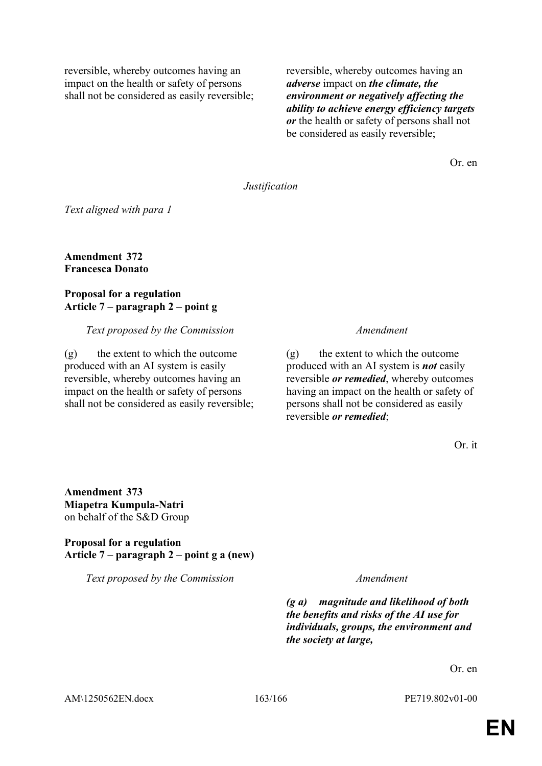reversible, whereby outcomes having an impact on the health or safety of persons shall not be considered as easily reversible; reversible, whereby outcomes having an *adverse* impact on *the climate, the environment or negatively affecting the ability to achieve energy efficiency targets or* the health or safety of persons shall not be considered as easily reversible;

Or. en

### *Justification*

*Text aligned with para 1*

**Amendment 372 Francesca Donato**

### **Proposal for a regulation Article 7 – paragraph 2 – point g**

*Text proposed by the Commission Amendment*

(g) the extent to which the outcome produced with an AI system is easily reversible, whereby outcomes having an impact on the health or safety of persons shall not be considered as easily reversible;

(g) the extent to which the outcome produced with an AI system is *not* easily reversible *or remedied*, whereby outcomes having an impact on the health or safety of persons shall not be considered as easily reversible *or remedied*;

Or. it

**Amendment 373 Miapetra Kumpula-Natri** on behalf of the S&D Group

**Proposal for a regulation Article 7 – paragraph 2 – point g a (new)**

*Text proposed by the Commission Amendment*

*(g a) magnitude and likelihood of both the benefits and risks of the AI use for individuals, groups, the environment and the society at large,*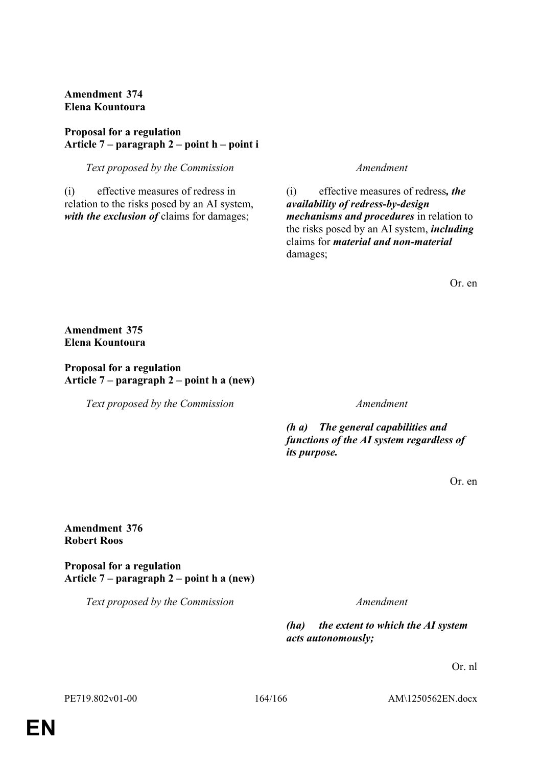**Amendment 374 Elena Kountoura**

# **Proposal for a regulation Article 7 – paragraph 2 – point h – point i**

*Text proposed by the Commission Amendment*

(i) effective measures of redress in relation to the risks posed by an AI system, *with the exclusion of* claims for damages;

(i) effective measures of redress*, the availability of redress-by-design mechanisms and procedures* in relation to the risks posed by an AI system, *including* claims for *material and non-material* damages;

Or. en

**Amendment 375 Elena Kountoura**

# **Proposal for a regulation Article 7 – paragraph 2 – point h a (new)**

*Text proposed by the Commission Amendment*

*(h a) The general capabilities and functions of the AI system regardless of its purpose.*

Or. en

# **Amendment 376 Robert Roos**

**Proposal for a regulation Article 7 – paragraph 2 – point h a (new)**

*Text proposed by the Commission Amendment*

*(ha) the extent to which the AI system acts autonomously;*

Or. nl

PE719.802v01-00 164/166 AM\1250562EN.docx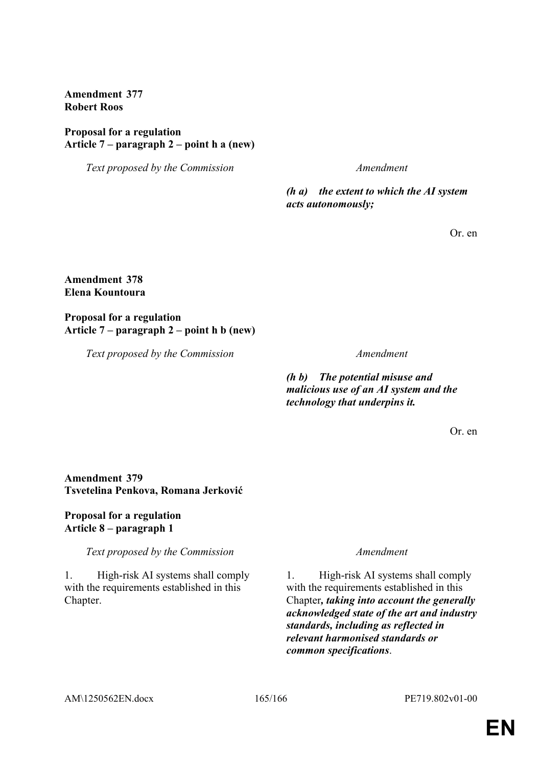**Amendment 377 Robert Roos**

### **Proposal for a regulation Article 7 – paragraph 2 – point h a (new)**

*Text proposed by the Commission Amendment*

*(h a) the extent to which the AI system acts autonomously;*

Or. en

# **Amendment 378 Elena Kountoura**

### **Proposal for a regulation Article 7 – paragraph 2 – point h b (new)**

*Text proposed by the Commission Amendment*

*(h b) The potential misuse and malicious use of an AI system and the technology that underpins it.*

Or. en

# **Amendment 379 Tsvetelina Penkova, Romana Jerković**

# **Proposal for a regulation Article 8 – paragraph 1**

*Text proposed by the Commission Amendment*

1. High-risk AI systems shall comply with the requirements established in this Chapter.

1. High-risk AI systems shall comply with the requirements established in this Chapter*, taking into account the generally acknowledged state of the art and industry standards, including as reflected in relevant harmonised standards or common specifications*.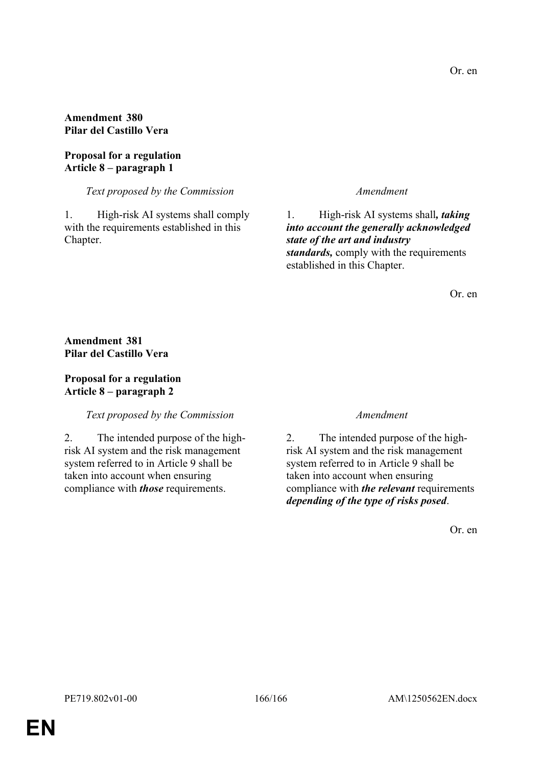# **Amendment 380 Pilar del Castillo Vera**

# **Proposal for a regulation Article 8 – paragraph 1**

# *Text proposed by the Commission Amendment*

1. High-risk AI systems shall comply with the requirements established in this Chapter.

1. High-risk AI systems shall*, taking into account the generally acknowledged state of the art and industry standards,* comply with the requirements established in this Chapter.

Or. en

**Amendment 381 Pilar del Castillo Vera**

# **Proposal for a regulation Article 8 – paragraph 2**

# *Text proposed by the Commission Amendment*

2. The intended purpose of the highrisk AI system and the risk management system referred to in Article 9 shall be taken into account when ensuring compliance with *those* requirements.

2. The intended purpose of the highrisk AI system and the risk management system referred to in Article 9 shall be taken into account when ensuring compliance with *the relevant* requirements *depending of the type of risks posed*.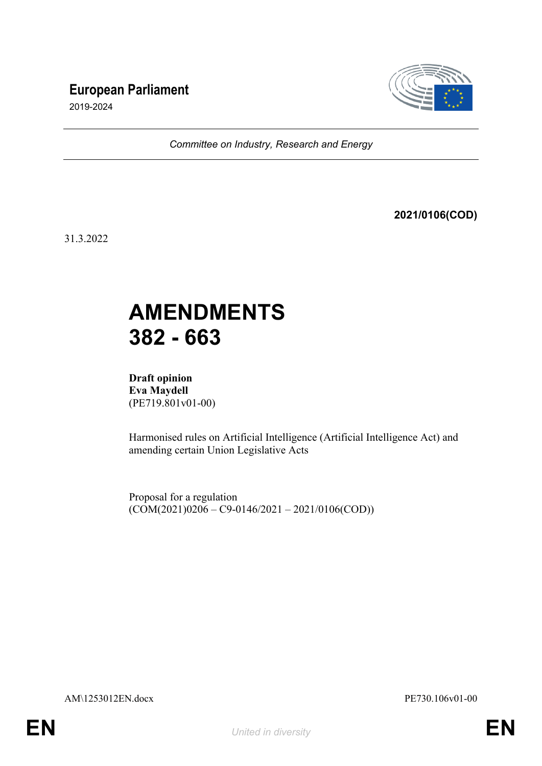# **European Parliament**



2019-2024

*Committee on Industry, Research and Energy*

**2021/0106(COD)**

31.3.2022

# **AMENDMENTS 382 - 663**

**Draft opinion Eva Maydell** (PE719.801v01-00)

Harmonised rules on Artificial Intelligence (Artificial Intelligence Act) and amending certain Union Legislative Acts

Proposal for a regulation  $(COM(2021)0206 - C9 - 0146/2021 - 2021/0106(COD))$ 

AM\1253012EN.docx PE730.106v01-00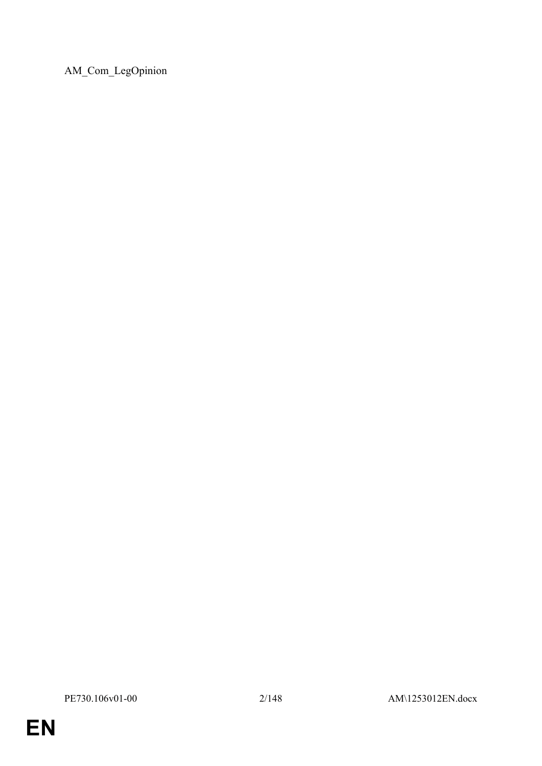AM\_Com\_LegOpinion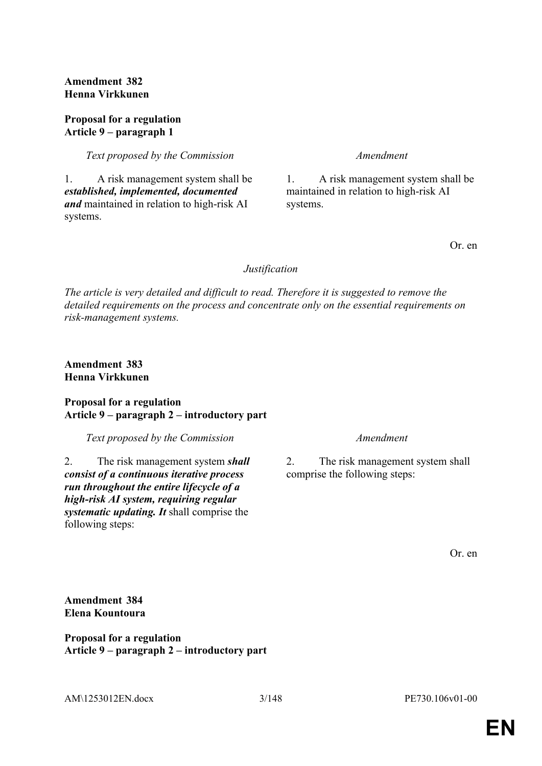**Amendment 382 Henna Virkkunen**

### **Proposal for a regulation Article 9 – paragraph 1**

*Text proposed by the Commission Amendment*

1. A risk management system shall be *established, implemented, documented and* maintained in relation to high-risk AI systems.

1. A risk management system shall be maintained in relation to high-risk AI systems.

Or. en

### *Justification*

*The article is very detailed and difficult to read. Therefore it is suggested to remove the detailed requirements on the process and concentrate only on the essential requirements on risk-management systems.*

**Amendment 383 Henna Virkkunen**

### **Proposal for a regulation Article 9 – paragraph 2 – introductory part**

*Text proposed by the Commission Amendment*

2. The risk management system *shall consist of a continuous iterative process run throughout the entire lifecycle of a high-risk AI system, requiring regular systematic updating. It* shall comprise the following steps:

2. The risk management system shall comprise the following steps:

Or. en

**Amendment 384 Elena Kountoura**

**Proposal for a regulation Article 9 – paragraph 2 – introductory part**

AM\1253012EN.docx 3/148 PE730.106v01-00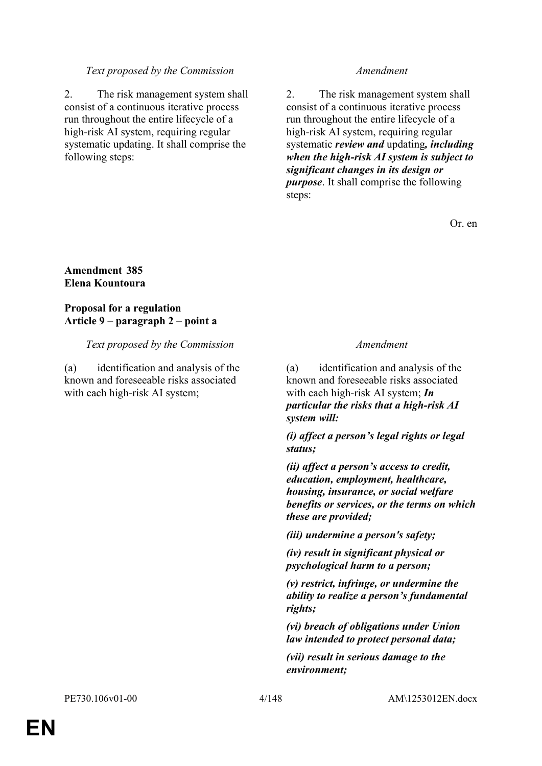### *Text proposed by the Commission Amendment*

2. The risk management system shall consist of a continuous iterative process run throughout the entire lifecycle of a high-risk AI system, requiring regular systematic updating. It shall comprise the following steps:

2. The risk management system shall consist of a continuous iterative process run throughout the entire lifecycle of a high-risk AI system, requiring regular systematic *review and* updating*, including when the high-risk AI system is subject to significant changes in its design or purpose*. It shall comprise the following steps:

Or. en

# **Amendment 385 Elena Kountoura**

# **Proposal for a regulation Article 9 – paragraph 2 – point a**

### *Text proposed by the Commission Amendment*

(a) identification and analysis of the known and foreseeable risks associated with each high-risk AI system;

(a) identification and analysis of the known and foreseeable risks associated with each high-risk AI system; *In particular the risks that a high-risk AI system will:*

*(i) affect a person's legal rights or legal status;*

*(ii) affect a person's access to credit, education, employment, healthcare, housing, insurance, or social welfare benefits or services, or the terms on which these are provided;*

*(iii) undermine a person's safety;*

*(iv) result in significant physical or psychological harm to a person;*

*(v) restrict, infringe, or undermine the ability to realize a person's fundamental rights;*

*(vi) breach of obligations under Union law intended to protect personal data;*

*(vii) result in serious damage to the environment;*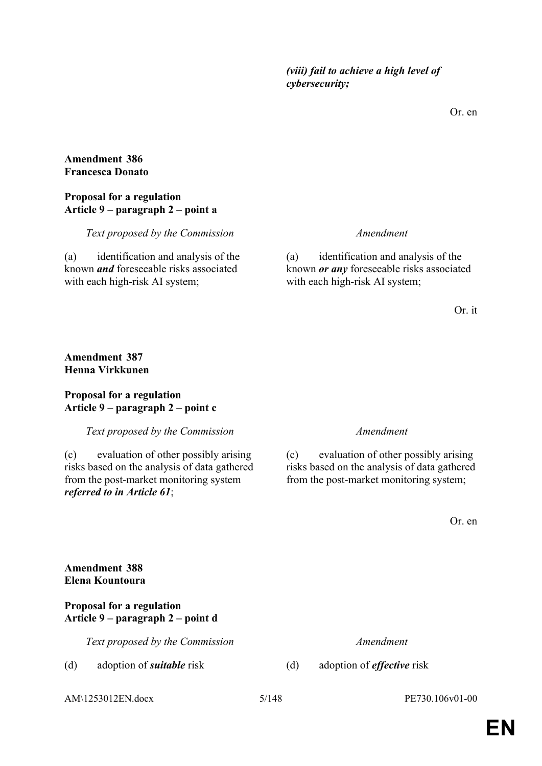Or. en

### **Amendment 386 Francesca Donato**

# **Proposal for a regulation Article 9 – paragraph 2 – point a**

*Text proposed by the Commission Amendment*

(a) identification and analysis of the known *and* foreseeable risks associated with each high-risk AI system;

(a) identification and analysis of the known *or any* foreseeable risks associated with each high-risk AI system;

Or. it

# **Amendment 387 Henna Virkkunen**

# **Proposal for a regulation Article 9 – paragraph 2 – point c**

*Text proposed by the Commission Amendment*

(c) evaluation of other possibly arising risks based on the analysis of data gathered from the post-market monitoring system *referred to in Article 61*;

(c) evaluation of other possibly arising risks based on the analysis of data gathered from the post-market monitoring system;

Or. en

# **Amendment 388 Elena Kountoura**

# **Proposal for a regulation Article 9 – paragraph 2 – point d**

*Text proposed by the Commission Amendment*

(d) adoption of *suitable* risk (d) adoption of *effective* risk

AM\1253012EN.docx 5/148 PE730.106v01-00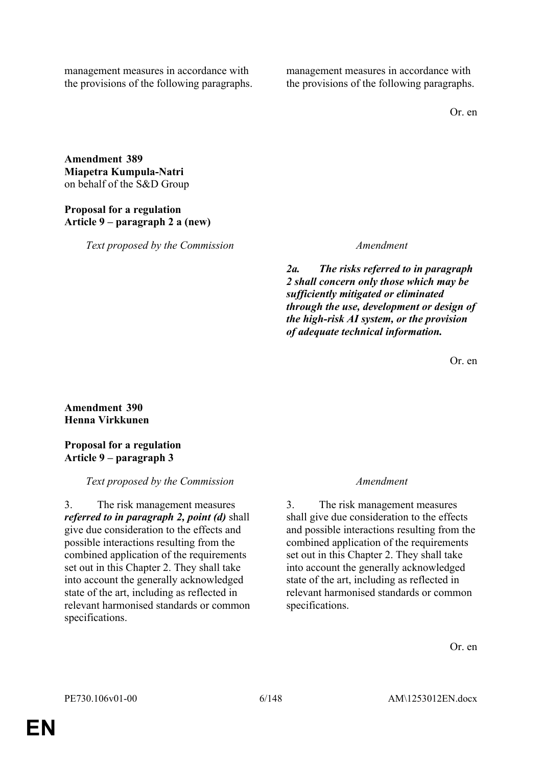management measures in accordance with the provisions of the following paragraphs. management measures in accordance with the provisions of the following paragraphs.

Or. en

**Amendment 389 Miapetra Kumpula-Natri** on behalf of the S&D Group

# **Proposal for a regulation Article 9 – paragraph 2 a (new)**

*Text proposed by the Commission Amendment*

*2a. The risks referred to in paragraph 2 shall concern only those which may be sufficiently mitigated or eliminated through the use, development or design of the high-risk AI system, or the provision of adequate technical information.*

Or. en

# **Amendment 390 Henna Virkkunen**

# **Proposal for a regulation Article 9 – paragraph 3**

# *Text proposed by the Commission Amendment*

3. The risk management measures *referred to in paragraph 2, point (d)* shall give due consideration to the effects and possible interactions resulting from the combined application of the requirements set out in this Chapter 2. They shall take into account the generally acknowledged state of the art, including as reflected in relevant harmonised standards or common specifications.

3. The risk management measures shall give due consideration to the effects and possible interactions resulting from the combined application of the requirements set out in this Chapter 2. They shall take into account the generally acknowledged state of the art, including as reflected in relevant harmonised standards or common specifications.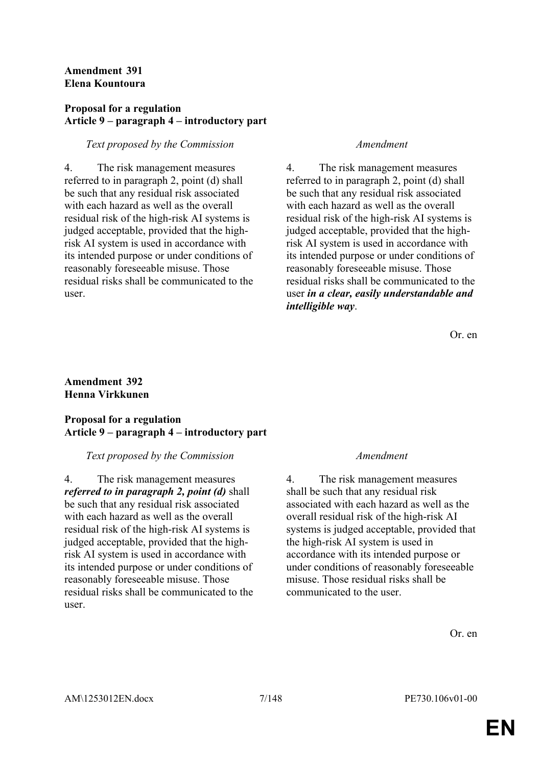# **Amendment 391 Elena Kountoura**

# **Proposal for a regulation Article 9 – paragraph 4 – introductory part**

# *Text proposed by the Commission Amendment*

4. The risk management measures referred to in paragraph 2, point (d) shall be such that any residual risk associated with each hazard as well as the overall residual risk of the high-risk AI systems is judged acceptable, provided that the highrisk AI system is used in accordance with its intended purpose or under conditions of reasonably foreseeable misuse. Those residual risks shall be communicated to the user.

4. The risk management measures referred to in paragraph 2, point (d) shall be such that any residual risk associated with each hazard as well as the overall residual risk of the high-risk AI systems is judged acceptable, provided that the highrisk AI system is used in accordance with its intended purpose or under conditions of reasonably foreseeable misuse. Those residual risks shall be communicated to the user *in a clear, easily understandable and intelligible way*.

Or. en

# **Amendment 392 Henna Virkkunen**

# **Proposal for a regulation Article 9 – paragraph 4 – introductory part**

### *Text proposed by the Commission Amendment*

4. The risk management measures *referred to in paragraph 2, point (d)* shall be such that any residual risk associated with each hazard as well as the overall residual risk of the high-risk AI systems is judged acceptable, provided that the highrisk AI system is used in accordance with its intended purpose or under conditions of reasonably foreseeable misuse. Those residual risks shall be communicated to the user.

4. The risk management measures shall be such that any residual risk associated with each hazard as well as the overall residual risk of the high-risk AI systems is judged acceptable, provided that the high-risk AI system is used in accordance with its intended purpose or under conditions of reasonably foreseeable misuse. Those residual risks shall be communicated to the user.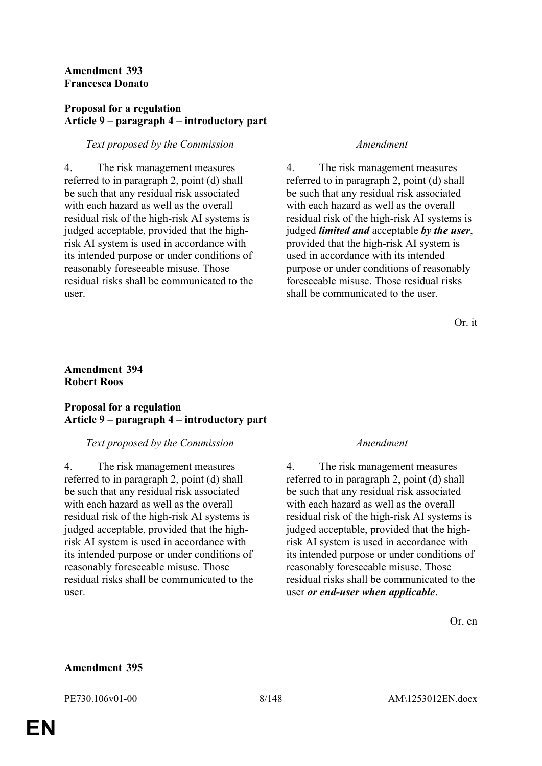### **Amendment 393 Francesca Donato**

### **Proposal for a regulation Article 9 – paragraph 4 – introductory part**

# *Text proposed by the Commission Amendment*

4. The risk management measures referred to in paragraph 2, point (d) shall be such that any residual risk associated with each hazard as well as the overall residual risk of the high-risk AI systems is judged acceptable, provided that the highrisk AI system is used in accordance with its intended purpose or under conditions of reasonably foreseeable misuse. Those residual risks shall be communicated to the user.

4. The risk management measures referred to in paragraph 2, point (d) shall be such that any residual risk associated with each hazard as well as the overall residual risk of the high-risk AI systems is judged *limited and* acceptable *by the user*, provided that the high-risk AI system is used in accordance with its intended purpose or under conditions of reasonably foreseeable misuse. Those residual risks shall be communicated to the user.

Or. it

### **Amendment 394 Robert Roos**

# **Proposal for a regulation Article 9 – paragraph 4 – introductory part**

# *Text proposed by the Commission Amendment*

4. The risk management measures referred to in paragraph 2, point (d) shall be such that any residual risk associated with each hazard as well as the overall residual risk of the high-risk AI systems is judged acceptable, provided that the highrisk AI system is used in accordance with its intended purpose or under conditions of reasonably foreseeable misuse. Those residual risks shall be communicated to the user.

4. The risk management measures referred to in paragraph 2, point (d) shall be such that any residual risk associated with each hazard as well as the overall residual risk of the high-risk AI systems is judged acceptable, provided that the highrisk AI system is used in accordance with its intended purpose or under conditions of reasonably foreseeable misuse. Those residual risks shall be communicated to the user *or end-user when applicable*.

Or. en

### **Amendment 395**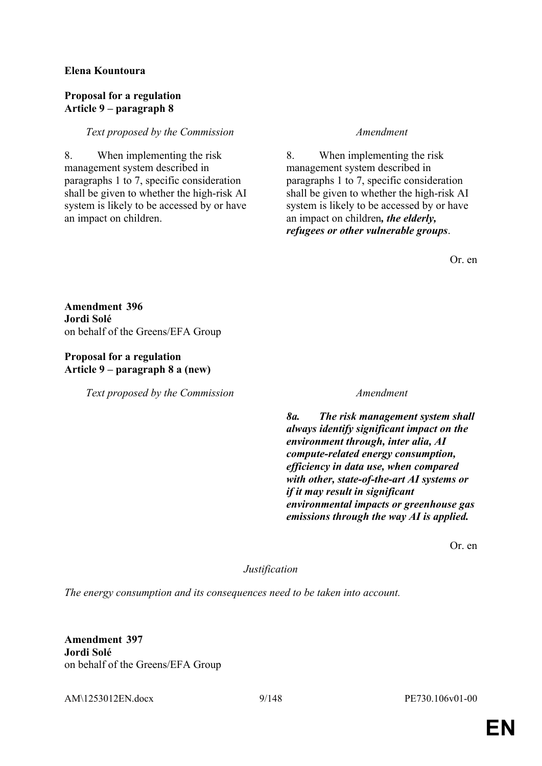# **Elena Kountoura**

### **Proposal for a regulation Article 9 – paragraph 8**

# *Text proposed by the Commission Amendment*

8. When implementing the risk management system described in paragraphs 1 to 7, specific consideration shall be given to whether the high-risk AI system is likely to be accessed by or have an impact on children.

8. When implementing the risk management system described in paragraphs 1 to 7, specific consideration shall be given to whether the high-risk AI system is likely to be accessed by or have an impact on children*, the elderly, refugees or other vulnerable groups*.

Or. en

**Amendment 396 Jordi Solé** on behalf of the Greens/EFA Group

# **Proposal for a regulation Article 9 – paragraph 8 a (new)**

*Text proposed by the Commission Amendment*

*8a. The risk management system shall always identify significant impact on the environment through, inter alia, AI compute-related energy consumption, efficiency in data use, when compared with other, state-of-the-art AI systems or if it may result in significant environmental impacts or greenhouse gas emissions through the way AI is applied.*

Or. en

*Justification*

*The energy consumption and its consequences need to be taken into account.*

**Amendment 397 Jordi Solé** on behalf of the Greens/EFA Group

AM\1253012EN.docx 9/148 PE730.106v01-00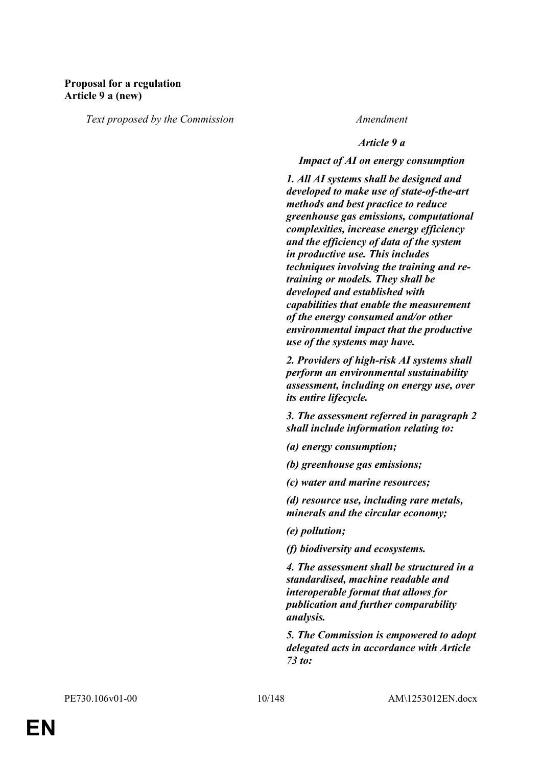# **Proposal for a regulation Article 9 a (new)**

*Text proposed by the Commission Amendment*

### *Article 9 a*

### *Impact of AI on energy consumption*

*1. All AI systems shall be designed and developed to make use of state-of-the-art methods and best practice to reduce greenhouse gas emissions, computational complexities, increase energy efficiency and the efficiency of data of the system in productive use. This includes techniques involving the training and retraining or models. They shall be developed and established with capabilities that enable the measurement of the energy consumed and/or other environmental impact that the productive use of the systems may have.* 

*2. Providers of high-risk AI systems shall perform an environmental sustainability assessment, including on energy use, over its entire lifecycle.*

*3. The assessment referred in paragraph 2 shall include information relating to:* 

*(a) energy consumption;* 

*(b) greenhouse gas emissions;* 

*(c) water and marine resources;* 

*(d) resource use, including rare metals, minerals and the circular economy;* 

*(e) pollution;* 

*(f) biodiversity and ecosystems.* 

*4. The assessment shall be structured in a standardised, machine readable and interoperable format that allows for publication and further comparability analysis.* 

*5. The Commission is empowered to adopt delegated acts in accordance with Article 73 to:*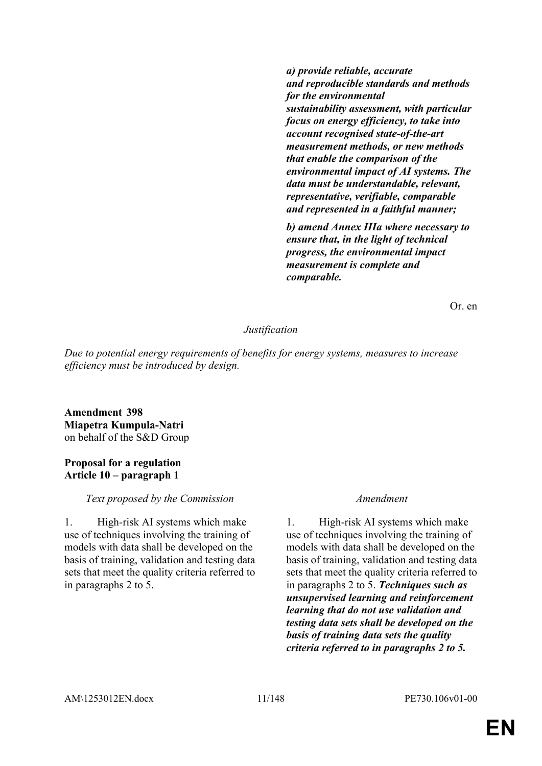*a) provide reliable, accurate and reproducible standards and methods for the environmental sustainability assessment, with particular focus on energy efficiency, to take into account recognised state-of-the-art measurement methods, or new methods that enable the comparison of the environmental impact of AI systems. The data must be understandable, relevant, representative, verifiable, comparable and represented in a faithful manner;* 

*b) amend Annex IIIa where necessary to ensure that, in the light of technical progress, the environmental impact measurement is complete and comparable.*

Or. en

### *Justification*

*Due to potential energy requirements of benefits for energy systems, measures to increase efficiency must be introduced by design.*

**Amendment 398 Miapetra Kumpula-Natri** on behalf of the S&D Group

### **Proposal for a regulation Article 10 – paragraph 1**

### *Text proposed by the Commission Amendment*

1. High-risk AI systems which make use of techniques involving the training of models with data shall be developed on the basis of training, validation and testing data sets that meet the quality criteria referred to in paragraphs 2 to 5.

1. High-risk AI systems which make use of techniques involving the training of models with data shall be developed on the basis of training, validation and testing data sets that meet the quality criteria referred to in paragraphs 2 to 5. *Techniques such as unsupervised learning and reinforcement learning that do not use validation and testing data sets shall be developed on the basis of training data sets the quality criteria referred to in paragraphs 2 to 5.*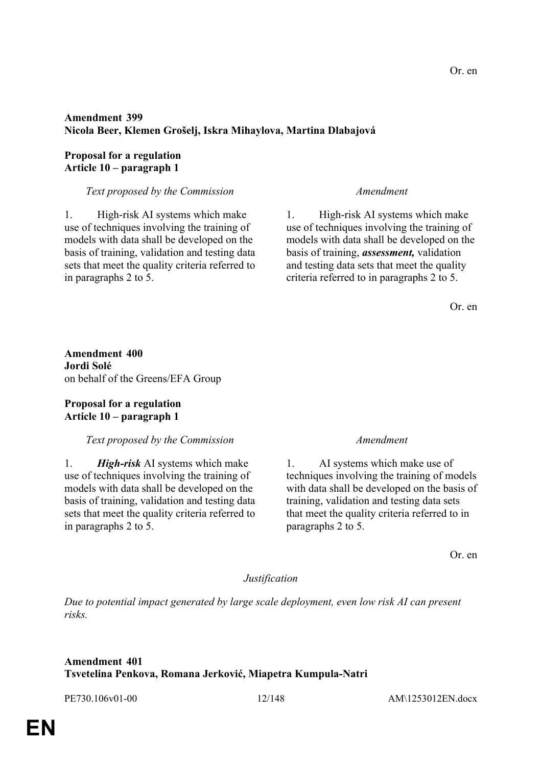# **Amendment 399 Nicola Beer, Klemen Grošelj, Iskra Mihaylova, Martina Dlabajová**

### **Proposal for a regulation Article 10 – paragraph 1**

### *Text proposed by the Commission Amendment*

1. High-risk AI systems which make use of techniques involving the training of models with data shall be developed on the basis of training, validation and testing data sets that meet the quality criteria referred to in paragraphs 2 to 5.

1. High-risk AI systems which make use of techniques involving the training of models with data shall be developed on the basis of training, *assessment,* validation and testing data sets that meet the quality criteria referred to in paragraphs 2 to 5.

Or. en

**Amendment 400 Jordi Solé** on behalf of the Greens/EFA Group

# **Proposal for a regulation Article 10 – paragraph 1**

# *Text proposed by the Commission Amendment*

1. *High-risk* AI systems which make use of techniques involving the training of models with data shall be developed on the basis of training, validation and testing data sets that meet the quality criteria referred to in paragraphs 2 to 5.

1. AI systems which make use of techniques involving the training of models with data shall be developed on the basis of training, validation and testing data sets that meet the quality criteria referred to in paragraphs 2 to 5.

Or. en

### *Justification*

*Due to potential impact generated by large scale deployment, even low risk AI can present risks.*

# **Amendment 401 Tsvetelina Penkova, Romana Jerković, Miapetra Kumpula-Natri**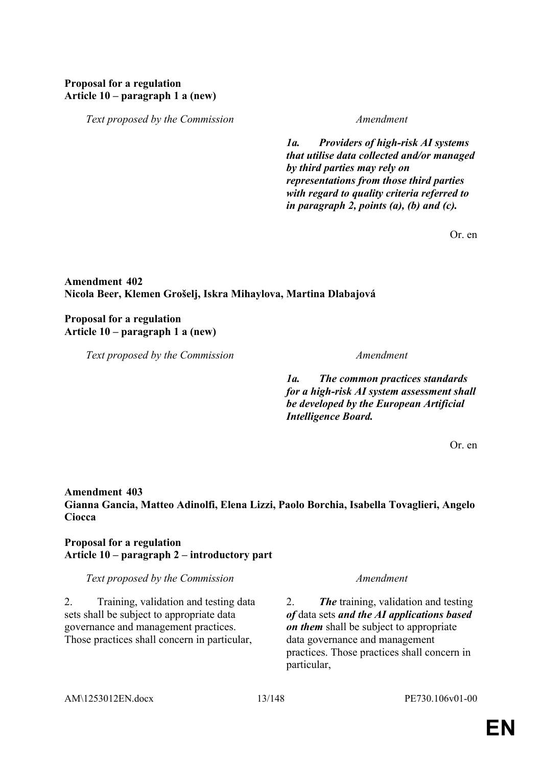# **Proposal for a regulation Article 10 – paragraph 1 a (new)**

*Text proposed by the Commission Amendment*

*1a. Providers of high-risk AI systems that utilise data collected and/or managed by third parties may rely on representations from those third parties with regard to quality criteria referred to in paragraph 2, points (a), (b) and (c).*

Or. en

# **Amendment 402 Nicola Beer, Klemen Grošelj, Iskra Mihaylova, Martina Dlabajová**

# **Proposal for a regulation Article 10 – paragraph 1 a (new)**

*Text proposed by the Commission Amendment*

*1a. The common practices standards for a high-risk AI system assessment shall be developed by the European Artificial Intelligence Board.*

Or. en

# **Amendment 403**

**Gianna Gancia, Matteo Adinolfi, Elena Lizzi, Paolo Borchia, Isabella Tovaglieri, Angelo Ciocca**

# **Proposal for a regulation Article 10 – paragraph 2 – introductory part**

*Text proposed by the Commission Amendment*

2. Training, validation and testing data sets shall be subject to appropriate data governance and management practices. Those practices shall concern in particular,

2. *The* training, validation and testing *of* data sets *and the AI applications based on them* shall be subject to appropriate data governance and management practices. Those practices shall concern in particular,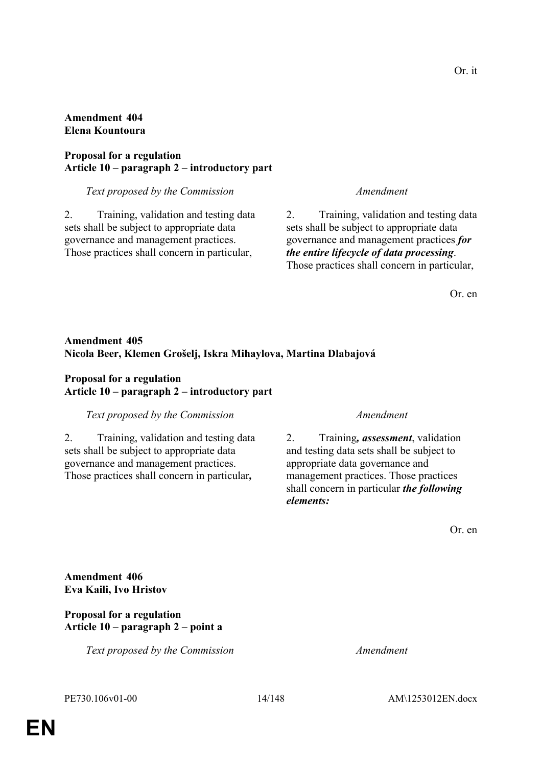# **Amendment 404 Elena Kountoura**

# **Proposal for a regulation Article 10 – paragraph 2 – introductory part**

### *Text proposed by the Commission Amendment*

2. Training, validation and testing data sets shall be subject to appropriate data governance and management practices. Those practices shall concern in particular,

2. Training, validation and testing data sets shall be subject to appropriate data governance and management practices *for the entire lifecycle of data processing*. Those practices shall concern in particular,

Or. en

# **Amendment 405 Nicola Beer, Klemen Grošelj, Iskra Mihaylova, Martina Dlabajová**

# **Proposal for a regulation Article 10 – paragraph 2 – introductory part**

# *Text proposed by the Commission Amendment*

2. Training, validation and testing data sets shall be subject to appropriate data governance and management practices. Those practices shall concern in particular*,*

2. Training*, assessment*, validation and testing data sets shall be subject to appropriate data governance and management practices. Those practices shall concern in particular *the following elements:*

Or. en

**Amendment 406 Eva Kaili, Ivo Hristov**

# **Proposal for a regulation Article 10 – paragraph 2 – point a**

*Text proposed by the Commission Amendment*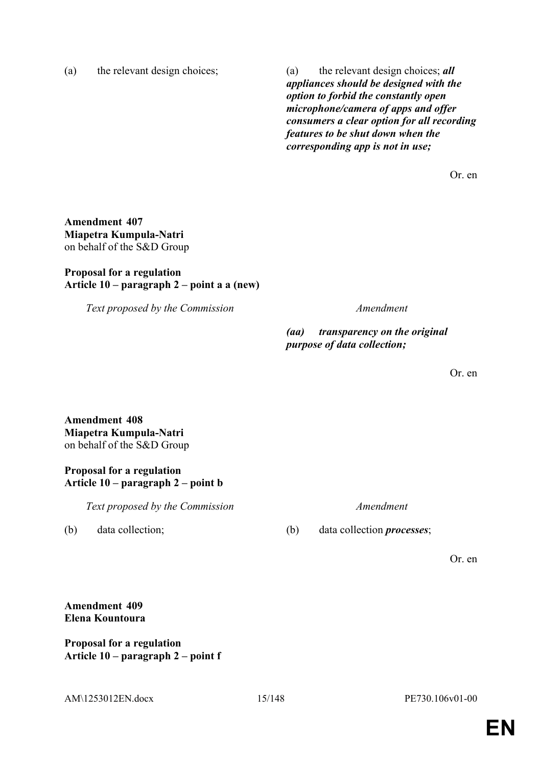(a) the relevant design choices; (a) the relevant design choices; *all appliances should be designed with the option to forbid the constantly open microphone/camera of apps and offer consumers a clear option for all recording features to be shut down when the corresponding app is not in use;*

Or. en

**Amendment 407 Miapetra Kumpula-Natri** on behalf of the S&D Group

## **Proposal for a regulation Article 10 – paragraph 2 – point a a (new)**

*Text proposed by the Commission Amendment*

*(aa) transparency on the original purpose of data collection;*

Or. en

**Amendment 408 Miapetra Kumpula-Natri** on behalf of the S&D Group

## **Proposal for a regulation Article 10 – paragraph 2 – point b**

*Text proposed by the Commission Amendment*

(b) data collection; (b) data collection *processes*;

Or. en

# **Amendment 409 Elena Kountoura**

**Proposal for a regulation Article 10 – paragraph 2 – point f**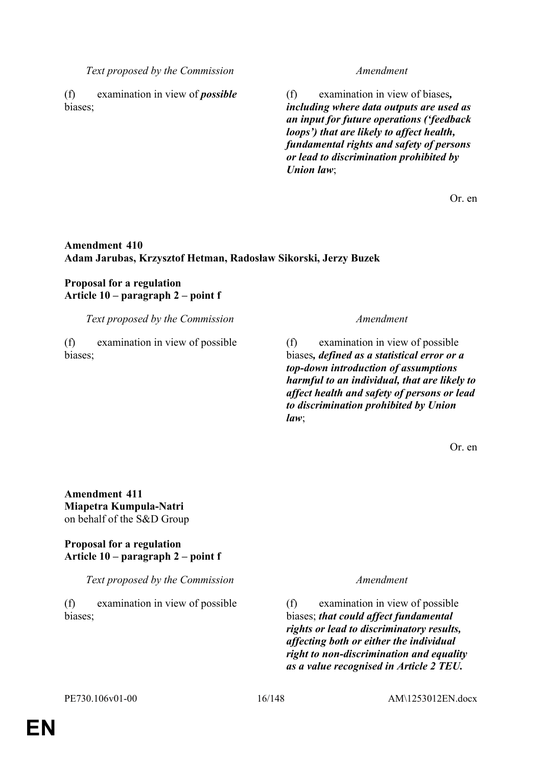*Text proposed by the Commission Amendment*

(f) examination in view of *possible* biases;

(f) examination in view of biases*, including where data outputs are used as an input for future operations ('feedback loops') that are likely to affect health, fundamental rights and safety of persons or lead to discrimination prohibited by Union law*;

Or. en

# **Amendment 410 Adam Jarubas, Krzysztof Hetman, Radosław Sikorski, Jerzy Buzek**

# **Proposal for a regulation Article 10 – paragraph 2 – point f**

*Text proposed by the Commission Amendment*

(f) examination in view of possible biases;

(f) examination in view of possible biases*, defined as a statistical error or a top-down introduction of assumptions harmful to an individual, that are likely to affect health and safety of persons or lead to discrimination prohibited by Union law*;

Or. en

**Amendment 411 Miapetra Kumpula-Natri** on behalf of the S&D Group

## **Proposal for a regulation Article 10 – paragraph 2 – point f**

*Text proposed by the Commission Amendment*

(f) examination in view of possible biases;

(f) examination in view of possible biases; *that could affect fundamental rights or lead to discriminatory results, affecting both or either the individual right to non-discrimination and equality as a value recognised in Article 2 TEU.*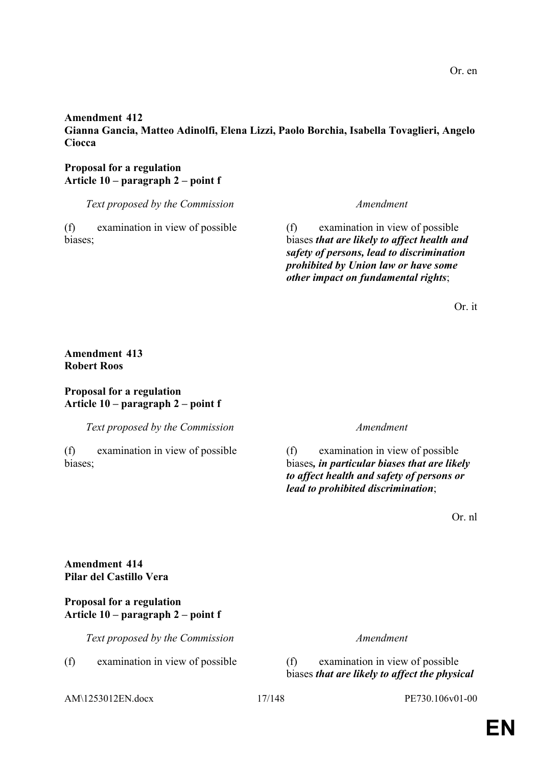## **Amendment 412 Gianna Gancia, Matteo Adinolfi, Elena Lizzi, Paolo Borchia, Isabella Tovaglieri, Angelo Ciocca**

# **Proposal for a regulation Article 10 – paragraph 2 – point f**

*Text proposed by the Commission Amendment*

(f) examination in view of possible biases;

## (f) examination in view of possible biases *that are likely to affect health and safety of persons, lead to discrimination prohibited by Union law or have some other impact on fundamental rights*;

Or. it

# **Amendment 413 Robert Roos**

### **Proposal for a regulation Article 10 – paragraph 2 – point f**

*Text proposed by the Commission Amendment*

(f) examination in view of possible biases;

(f) examination in view of possible biases*, in particular biases that are likely to affect health and safety of persons or lead to prohibited discrimination*;

Or. nl

**Amendment 414 Pilar del Castillo Vera**

## **Proposal for a regulation Article 10 – paragraph 2 – point f**

*Text proposed by the Commission Amendment*

(f) examination in view of possible (f) examination in view of possible

biases *that are likely to affect the physical* 

AM\1253012EN.docx 17/148 PE730.106v01-00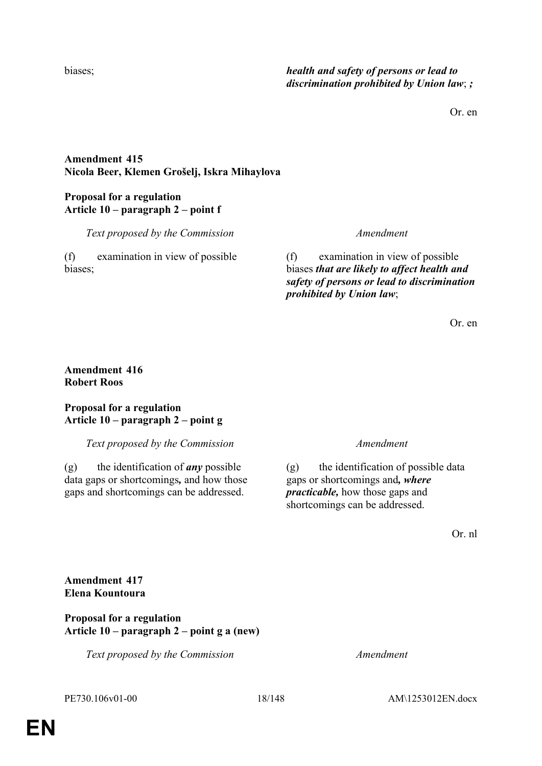## biases; *health and safety of persons or lead to discrimination prohibited by Union law*; *;*

Or. en

# **Amendment 415 Nicola Beer, Klemen Grošelj, Iskra Mihaylova**

# **Proposal for a regulation Article 10 – paragraph 2 – point f**

*Text proposed by the Commission Amendment*

(f) examination in view of possible biases;

(f) examination in view of possible biases *that are likely to affect health and safety of persons or lead to discrimination prohibited by Union law*;

Or. en

# **Amendment 416 Robert Roos**

## **Proposal for a regulation Article 10 – paragraph 2 – point g**

*Text proposed by the Commission Amendment*

(g) the identification of *any* possible data gaps or shortcomings*,* and how those gaps and shortcomings can be addressed.

(g) the identification of possible data gaps or shortcomings and*, where practicable,* how those gaps and shortcomings can be addressed.

Or. nl

**Amendment 417 Elena Kountoura**

**Proposal for a regulation Article 10 – paragraph 2 – point g a (new)**

*Text proposed by the Commission Amendment*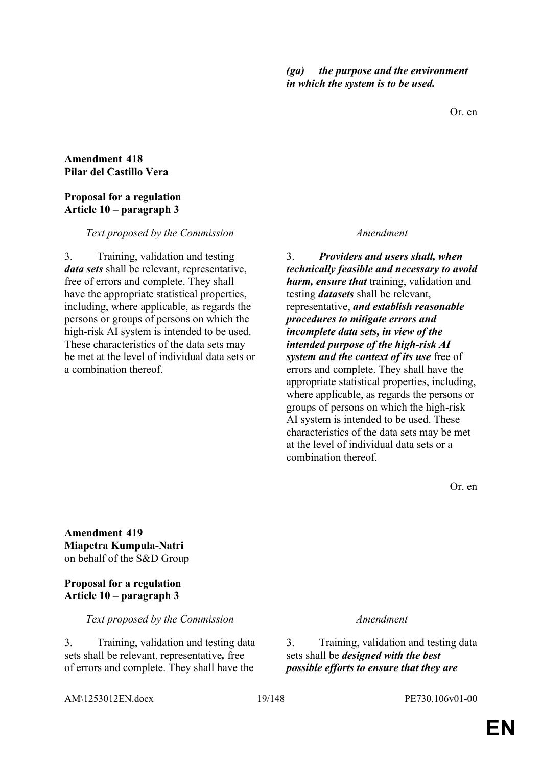Or. en

### **Amendment 418 Pilar del Castillo Vera**

## **Proposal for a regulation Article 10 – paragraph 3**

### *Text proposed by the Commission Amendment*

3. Training, validation and testing *data sets* shall be relevant, representative, free of errors and complete. They shall have the appropriate statistical properties, including, where applicable, as regards the persons or groups of persons on which the high-risk AI system is intended to be used. These characteristics of the data sets may be met at the level of individual data sets or a combination thereof.

3. *Providers and users shall, when technically feasible and necessary to avoid harm, ensure that* training, validation and testing *datasets* shall be relevant, representative, *and establish reasonable procedures to mitigate errors and incomplete data sets, in view of the intended purpose of the high-risk AI system and the context of its use* free of errors and complete. They shall have the appropriate statistical properties, including, where applicable, as regards the persons or groups of persons on which the high-risk AI system is intended to be used. These characteristics of the data sets may be met at the level of individual data sets or a combination thereof.

Or. en

**Amendment 419 Miapetra Kumpula-Natri** on behalf of the S&D Group

**Proposal for a regulation Article 10 – paragraph 3**

*Text proposed by the Commission Amendment*

3. Training, validation and testing data sets shall be relevant, representative*,* free of errors and complete. They shall have the

3. Training, validation and testing data sets shall be *designed with the best possible efforts to ensure that they are*

AM\1253012EN.docx 19/148 PE730.106v01-00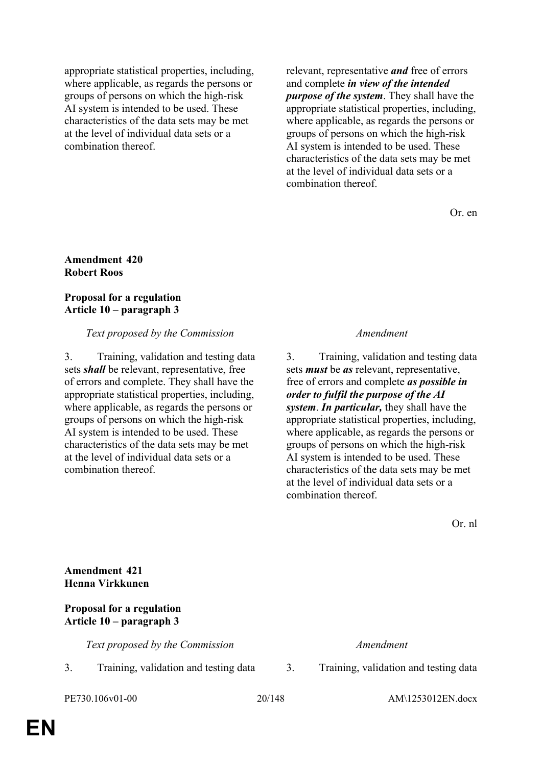appropriate statistical properties, including, where applicable, as regards the persons or groups of persons on which the high-risk AI system is intended to be used. These characteristics of the data sets may be met at the level of individual data sets or a combination thereof.

relevant, representative *and* free of errors and complete *in view of the intended purpose of the system*. They shall have the appropriate statistical properties, including, where applicable, as regards the persons or groups of persons on which the high-risk AI system is intended to be used. These characteristics of the data sets may be met at the level of individual data sets or a combination thereof.

Or. en

### **Amendment 420 Robert Roos**

### **Proposal for a regulation Article 10 – paragraph 3**

## *Text proposed by the Commission Amendment*

3. Training, validation and testing data sets *shall* be relevant, representative, free of errors and complete. They shall have the appropriate statistical properties, including, where applicable, as regards the persons or groups of persons on which the high-risk AI system is intended to be used. These characteristics of the data sets may be met at the level of individual data sets or a combination thereof.

3. Training, validation and testing data sets *must* be *as* relevant, representative, free of errors and complete *as possible in order to fulfil the purpose of the AI system*. *In particular,* they shall have the appropriate statistical properties, including, where applicable, as regards the persons or groups of persons on which the high-risk AI system is intended to be used. These characteristics of the data sets may be met at the level of individual data sets or a combination thereof.

Or. nl

**Amendment 421 Henna Virkkunen**

## **Proposal for a regulation Article 10 – paragraph 3**

*Text proposed by the Commission Amendment*

3. Training, validation and testing data 3. Training, validation and testing data

PE730.106v01-00 20/148 AM\1253012EN.docx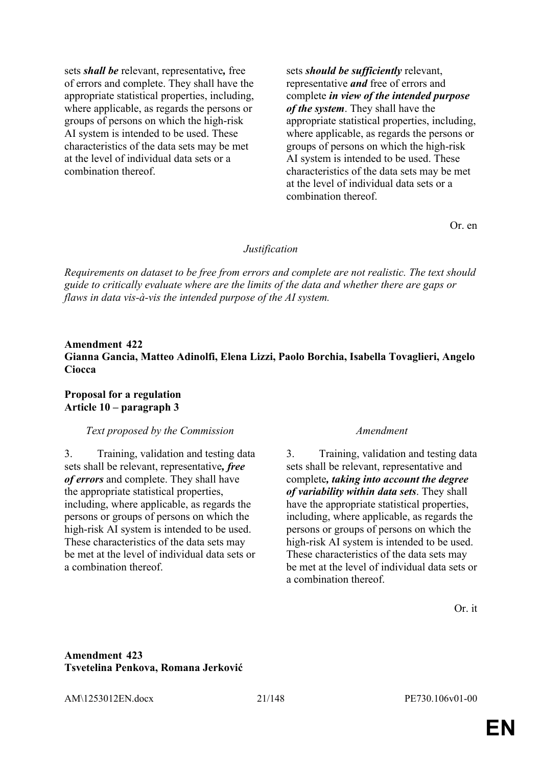sets *shall be* relevant, representative*,* free of errors and complete. They shall have the appropriate statistical properties, including, where applicable, as regards the persons or groups of persons on which the high-risk AI system is intended to be used. These characteristics of the data sets may be met at the level of individual data sets or a combination thereof.

sets *should be sufficiently* relevant, representative *and* free of errors and complete *in view of the intended purpose of the system*. They shall have the appropriate statistical properties, including, where applicable, as regards the persons or groups of persons on which the high-risk AI system is intended to be used. These characteristics of the data sets may be met at the level of individual data sets or a combination thereof.

Or. en

### *Justification*

*Requirements on dataset to be free from errors and complete are not realistic. The text should guide to critically evaluate where are the limits of the data and whether there are gaps or flaws in data vis-à-vis the intended purpose of the AI system.*

# **Amendment 422 Gianna Gancia, Matteo Adinolfi, Elena Lizzi, Paolo Borchia, Isabella Tovaglieri, Angelo Ciocca**

### **Proposal for a regulation Article 10 – paragraph 3**

### *Text proposed by the Commission Amendment*

3. Training, validation and testing data sets shall be relevant, representative*, free of errors* and complete. They shall have the appropriate statistical properties, including, where applicable, as regards the persons or groups of persons on which the high-risk AI system is intended to be used. These characteristics of the data sets may be met at the level of individual data sets or a combination thereof.

3. Training, validation and testing data sets shall be relevant, representative and complete*, taking into account the degree of variability within data sets*. They shall have the appropriate statistical properties. including, where applicable, as regards the persons or groups of persons on which the high-risk AI system is intended to be used. These characteristics of the data sets may be met at the level of individual data sets or a combination thereof.

Or. it

## **Amendment 423 Tsvetelina Penkova, Romana Jerković**

AM\1253012EN.docx 21/148 PE730.106v01-00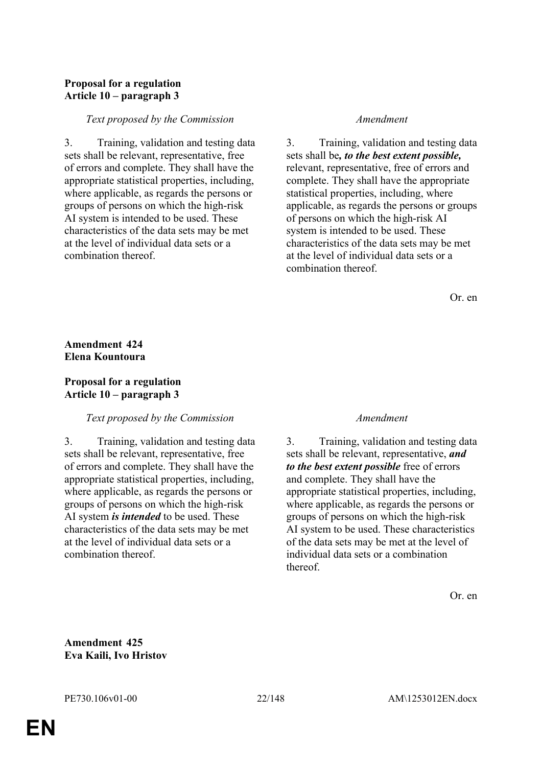# **Proposal for a regulation Article 10 – paragraph 3**

### *Text proposed by the Commission Amendment*

3. Training, validation and testing data sets shall be relevant, representative, free of errors and complete. They shall have the appropriate statistical properties, including, where applicable, as regards the persons or groups of persons on which the high-risk AI system is intended to be used. These characteristics of the data sets may be met at the level of individual data sets or a combination thereof.

3. Training, validation and testing data sets shall be*, to the best extent possible,* relevant, representative, free of errors and complete. They shall have the appropriate statistical properties, including, where applicable, as regards the persons or groups of persons on which the high-risk AI system is intended to be used. These characteristics of the data sets may be met at the level of individual data sets or a combination thereof.

Or. en

# **Amendment 424 Elena Kountoura**

## **Proposal for a regulation Article 10 – paragraph 3**

### *Text proposed by the Commission Amendment*

3. Training, validation and testing data sets shall be relevant, representative, free of errors and complete. They shall have the appropriate statistical properties, including, where applicable, as regards the persons or groups of persons on which the high-risk AI system *is intended* to be used. These characteristics of the data sets may be met at the level of individual data sets or a combination thereof.

3. Training, validation and testing data sets shall be relevant, representative, *and to the best extent possible* free of errors and complete. They shall have the appropriate statistical properties, including, where applicable, as regards the persons or groups of persons on which the high-risk AI system to be used. These characteristics of the data sets may be met at the level of individual data sets or a combination thereof.

Or. en

**Amendment 425 Eva Kaili, Ivo Hristov**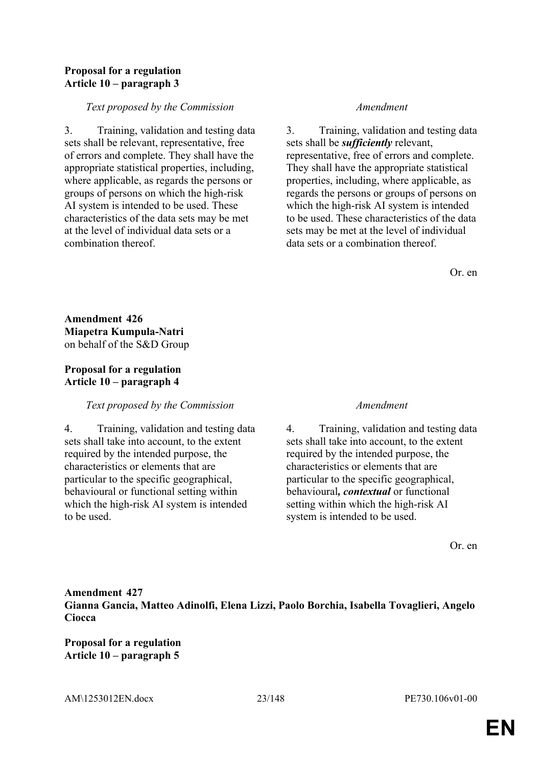## **Proposal for a regulation Article 10 – paragraph 3**

## *Text proposed by the Commission Amendment*

3. Training, validation and testing data sets shall be relevant, representative, free of errors and complete. They shall have the appropriate statistical properties, including, where applicable, as regards the persons or groups of persons on which the high-risk AI system is intended to be used. These characteristics of the data sets may be met at the level of individual data sets or a combination thereof.

3. Training, validation and testing data sets shall be *sufficiently* relevant, representative, free of errors and complete. They shall have the appropriate statistical properties, including, where applicable, as regards the persons or groups of persons on which the high-risk AI system is intended to be used. These characteristics of the data sets may be met at the level of individual data sets or a combination thereof.

Or. en

**Amendment 426 Miapetra Kumpula-Natri** on behalf of the S&D Group

# **Proposal for a regulation Article 10 – paragraph 4**

# *Text proposed by the Commission Amendment*

4. Training, validation and testing data sets shall take into account, to the extent required by the intended purpose, the characteristics or elements that are particular to the specific geographical, behavioural or functional setting within which the high-risk AI system is intended to be used.

4. Training, validation and testing data sets shall take into account, to the extent required by the intended purpose, the characteristics or elements that are particular to the specific geographical, behavioural*, contextual* or functional setting within which the high-risk AI system is intended to be used.

Or. en

**Amendment 427 Gianna Gancia, Matteo Adinolfi, Elena Lizzi, Paolo Borchia, Isabella Tovaglieri, Angelo Ciocca**

**Proposal for a regulation Article 10 – paragraph 5**

AM\1253012EN.docx 23/148 PE730.106v01-00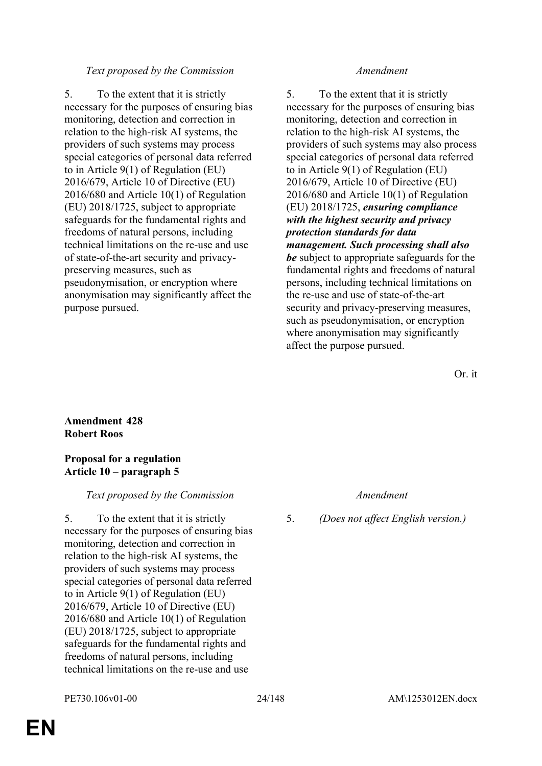# *Text proposed by the Commission Amendment*

5. To the extent that it is strictly necessary for the purposes of ensuring bias monitoring, detection and correction in relation to the high-risk AI systems, the providers of such systems may process special categories of personal data referred to in Article 9(1) of Regulation (EU) 2016/679, Article 10 of Directive (EU) 2016/680 and Article 10(1) of Regulation (EU) 2018/1725, subject to appropriate safeguards for the fundamental rights and freedoms of natural persons, including technical limitations on the re-use and use of state-of-the-art security and privacypreserving measures, such as pseudonymisation, or encryption where anonymisation may significantly affect the purpose pursued.

5. To the extent that it is strictly necessary for the purposes of ensuring bias monitoring, detection and correction in relation to the high-risk AI systems, the providers of such systems may also process special categories of personal data referred to in Article 9(1) of Regulation (EU) 2016/679, Article 10 of Directive (EU) 2016/680 and Article 10(1) of Regulation (EU) 2018/1725, *ensuring compliance with the highest security and privacy protection standards for data management. Such processing shall also be* subject to appropriate safeguards for the fundamental rights and freedoms of natural persons, including technical limitations on the re-use and use of state-of-the-art security and privacy-preserving measures, such as pseudonymisation, or encryption where anonymisation may significantly affect the purpose pursued.

Or. it

## **Amendment 428 Robert Roos**

## **Proposal for a regulation Article 10 – paragraph 5**

# *Text proposed by the Commission Amendment*

5. To the extent that it is strictly necessary for the purposes of ensuring bias monitoring, detection and correction in relation to the high-risk AI systems, the providers of such systems may process special categories of personal data referred to in Article 9(1) of Regulation (EU) 2016/679, Article 10 of Directive (EU) 2016/680 and Article 10(1) of Regulation (EU) 2018/1725, subject to appropriate safeguards for the fundamental rights and freedoms of natural persons, including technical limitations on the re-use and use

5. *(Does not affect English version.)*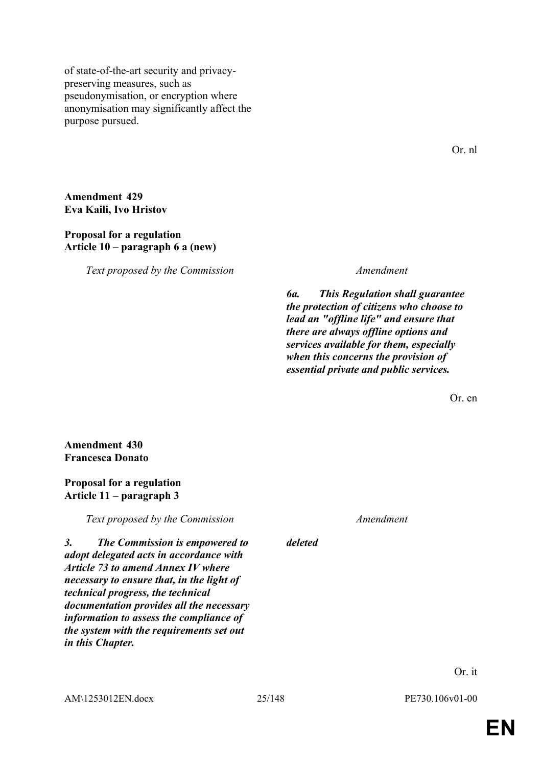of state-of-the-art security and privacypreserving measures, such as pseudonymisation, or encryption where anonymisation may significantly affect the purpose pursued.

Or. nl

### **Amendment 429 Eva Kaili, Ivo Hristov**

### **Proposal for a regulation Article 10 – paragraph 6 a (new)**

*Text proposed by the Commission Amendment*

*6a. This Regulation shall guarantee the protection of citizens who choose to lead an "offline life" and ensure that there are always offline options and services available for them, especially when this concerns the provision of essential private and public services.*

Or. en

**Amendment 430 Francesca Donato**

# **Proposal for a regulation Article 11 – paragraph 3**

*Text proposed by the Commission Amendment*

*3. The Commission is empowered to adopt delegated acts in accordance with Article 73 to amend Annex IV where necessary to ensure that, in the light of technical progress, the technical documentation provides all the necessary information to assess the compliance of the system with the requirements set out in this Chapter.*

AM\1253012EN.docx 25/148 PE730.106v01-00

*deleted*

Or. it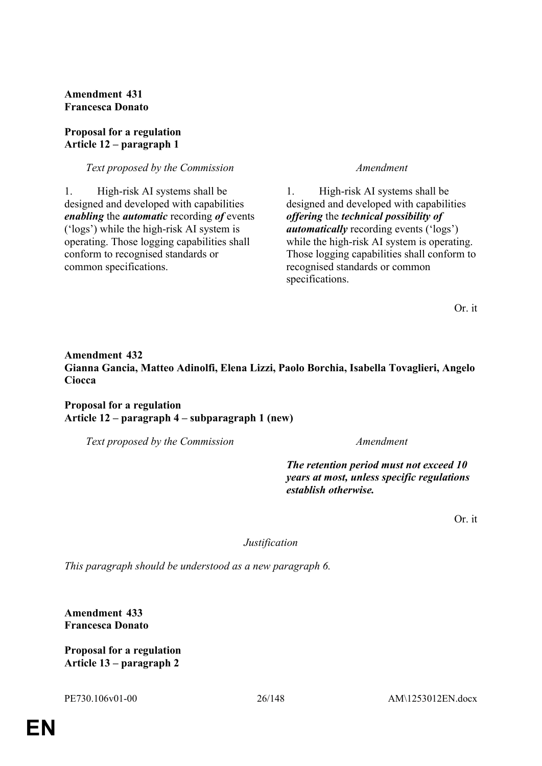**Amendment 431 Francesca Donato**

## **Proposal for a regulation Article 12 – paragraph 1**

*Text proposed by the Commission Amendment*

1. High-risk AI systems shall be designed and developed with capabilities *enabling* the *automatic* recording *of* events ('logs') while the high-risk AI system is operating. Those logging capabilities shall conform to recognised standards or common specifications.

1. High-risk AI systems shall be designed and developed with capabilities *offering* the *technical possibility of automatically* recording events ('logs') while the high-risk AI system is operating. Those logging capabilities shall conform to recognised standards or common specifications.

Or. it

# **Amendment 432 Gianna Gancia, Matteo Adinolfi, Elena Lizzi, Paolo Borchia, Isabella Tovaglieri, Angelo Ciocca**

## **Proposal for a regulation Article 12 – paragraph 4 – subparagraph 1 (new)**

*Text proposed by the Commission Amendment*

*The retention period must not exceed 10 years at most, unless specific regulations establish otherwise.*

Or. it

*Justification*

*This paragraph should be understood as a new paragraph 6.*

**Amendment 433 Francesca Donato**

**Proposal for a regulation Article 13 – paragraph 2**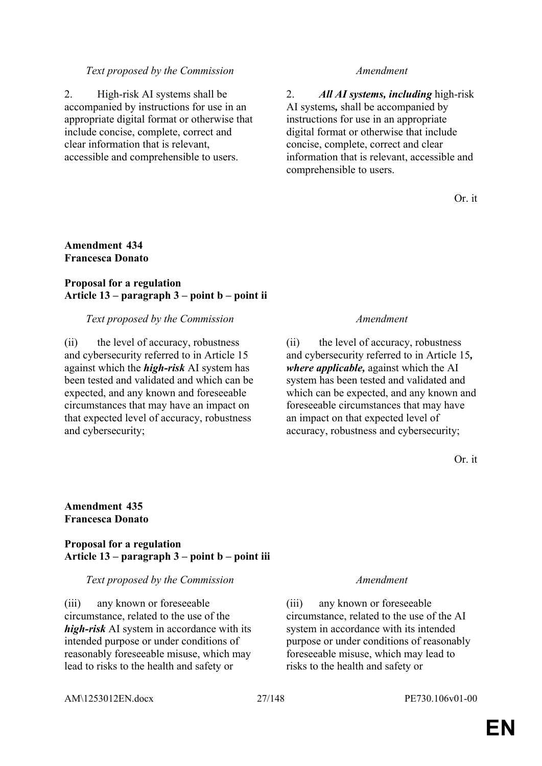### *Text proposed by the Commission Amendment*

2. High-risk AI systems shall be accompanied by instructions for use in an appropriate digital format or otherwise that include concise, complete, correct and clear information that is relevant, accessible and comprehensible to users.

2. *All AI systems, including* high-risk AI systems*,* shall be accompanied by instructions for use in an appropriate digital format or otherwise that include concise, complete, correct and clear information that is relevant, accessible and comprehensible to users.

Or. it

## **Amendment 434 Francesca Donato**

## **Proposal for a regulation Article 13 – paragraph 3 – point b – point ii**

### *Text proposed by the Commission Amendment*

(ii) the level of accuracy, robustness and cybersecurity referred to in Article 15 against which the *high-risk* AI system has been tested and validated and which can be expected, and any known and foreseeable circumstances that may have an impact on that expected level of accuracy, robustness and cybersecurity;

(ii) the level of accuracy, robustness and cybersecurity referred to in Article 15*, where applicable,* against which the AI system has been tested and validated and which can be expected, and any known and foreseeable circumstances that may have an impact on that expected level of accuracy, robustness and cybersecurity;

Or. it

### **Amendment 435 Francesca Donato**

### **Proposal for a regulation Article 13 – paragraph 3 – point b – point iii**

### *Text proposed by the Commission Amendment*

(iii) any known or foreseeable circumstance, related to the use of the *high-risk* AI system in accordance with its intended purpose or under conditions of reasonably foreseeable misuse, which may lead to risks to the health and safety or

(iii) any known or foreseeable circumstance, related to the use of the AI system in accordance with its intended purpose or under conditions of reasonably foreseeable misuse, which may lead to risks to the health and safety or

AM\1253012EN.docx 27/148 PE730.106v01-00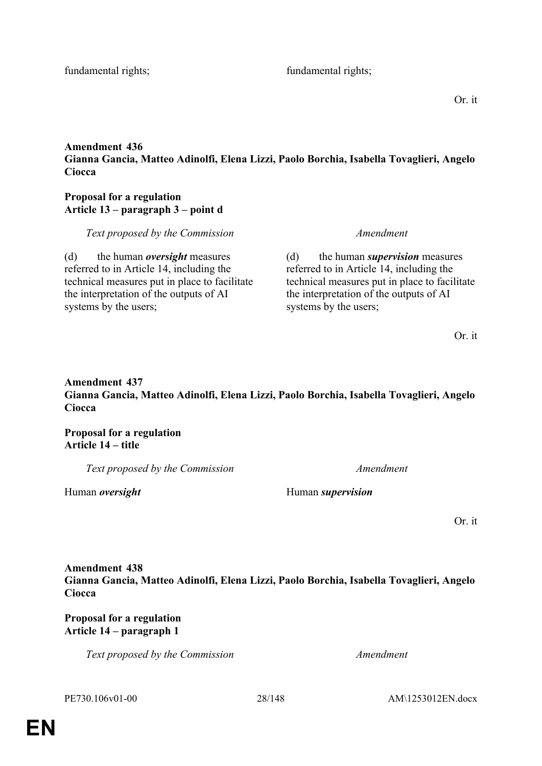fundamental rights; fundamental rights;

Or. it

# **Amendment 436 Gianna Gancia, Matteo Adinolfi, Elena Lizzi, Paolo Borchia, Isabella Tovaglieri, Angelo Ciocca**

# **Proposal for a regulation Article 13 – paragraph 3 – point d**

*Text proposed by the Commission Amendment*

(d) the human *oversight* measures referred to in Article 14, including the technical measures put in place to facilitate the interpretation of the outputs of AI systems by the users;

(d) the human *supervision* measures referred to in Article 14, including the technical measures put in place to facilitate the interpretation of the outputs of AI systems by the users;

Or. it

# **Amendment 437 Gianna Gancia, Matteo Adinolfi, Elena Lizzi, Paolo Borchia, Isabella Tovaglieri, Angelo Ciocca**

**Proposal for a regulation Article 14 – title**

*Text proposed by the Commission Amendment*

Human *oversight* Human *supervision*

Or. it

**Amendment 438 Gianna Gancia, Matteo Adinolfi, Elena Lizzi, Paolo Borchia, Isabella Tovaglieri, Angelo Ciocca**

**Proposal for a regulation Article 14 – paragraph 1**

*Text proposed by the Commission Amendment*

PE730.106v01-00 28/148 AM\1253012EN.docx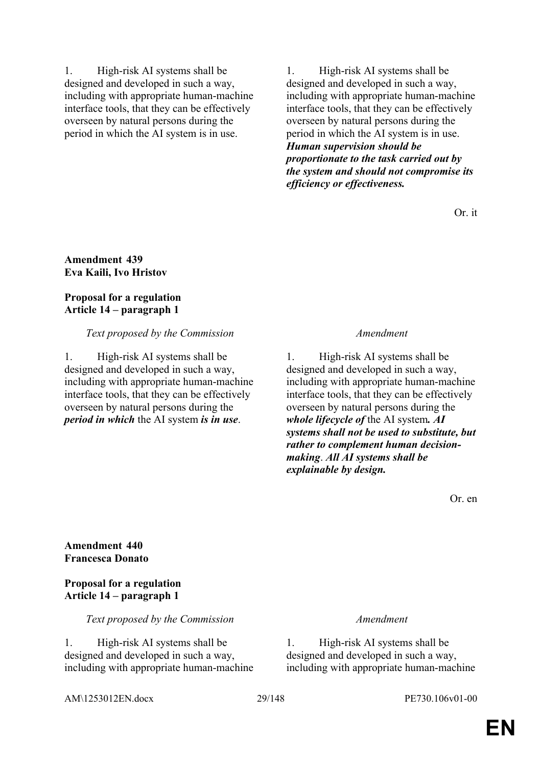1. High-risk AI systems shall be designed and developed in such a way, including with appropriate human-machine interface tools, that they can be effectively overseen by natural persons during the period in which the AI system is in use.

1. High-risk AI systems shall be designed and developed in such a way, including with appropriate human-machine interface tools, that they can be effectively overseen by natural persons during the period in which the AI system is in use. *Human supervision should be proportionate to the task carried out by the system and should not compromise its efficiency or effectiveness.*

Or. it

**Amendment 439 Eva Kaili, Ivo Hristov**

### **Proposal for a regulation Article 14 – paragraph 1**

## *Text proposed by the Commission Amendment*

1. High-risk AI systems shall be designed and developed in such a way, including with appropriate human-machine interface tools, that they can be effectively overseen by natural persons during the *period in which* the AI system *is in use*.

1. High-risk AI systems shall be designed and developed in such a way, including with appropriate human-machine interface tools, that they can be effectively overseen by natural persons during the *whole lifecycle of* the AI system*. AI systems shall not be used to substitute, but rather to complement human decisionmaking*. *All AI systems shall be explainable by design.*

Or. en

**Amendment 440 Francesca Donato**

**Proposal for a regulation Article 14 – paragraph 1**

*Text proposed by the Commission Amendment*

1. High-risk AI systems shall be designed and developed in such a way, including with appropriate human-machine

1. High-risk AI systems shall be designed and developed in such a way, including with appropriate human-machine

AM\1253012EN.docx 29/148 PE730.106v01-00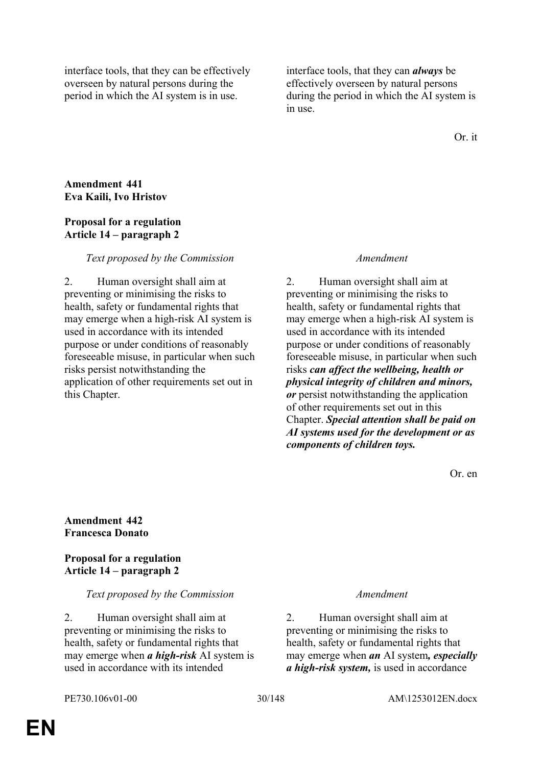interface tools, that they can be effectively overseen by natural persons during the period in which the AI system is in use.

interface tools, that they can *always* be effectively overseen by natural persons during the period in which the AI system is in use.

Or. it

# **Amendment 441 Eva Kaili, Ivo Hristov**

## **Proposal for a regulation Article 14 – paragraph 2**

# *Text proposed by the Commission Amendment*

2. Human oversight shall aim at preventing or minimising the risks to health, safety or fundamental rights that may emerge when a high-risk AI system is used in accordance with its intended purpose or under conditions of reasonably foreseeable misuse, in particular when such risks persist notwithstanding the application of other requirements set out in this Chapter.

2. Human oversight shall aim at preventing or minimising the risks to health, safety or fundamental rights that may emerge when a high-risk AI system is used in accordance with its intended purpose or under conditions of reasonably foreseeable misuse, in particular when such risks *can affect the wellbeing, health or physical integrity of children and minors, or* persist notwithstanding the application of other requirements set out in this Chapter. *Special attention shall be paid on AI systems used for the development or as components of children toys.*

Or. en

**Amendment 442 Francesca Donato**

**Proposal for a regulation Article 14 – paragraph 2**

# *Text proposed by the Commission Amendment*

2. Human oversight shall aim at preventing or minimising the risks to health, safety or fundamental rights that may emerge when *a high-risk* AI system is used in accordance with its intended

2. Human oversight shall aim at preventing or minimising the risks to health, safety or fundamental rights that may emerge when *an* AI system*, especially a high-risk system,* is used in accordance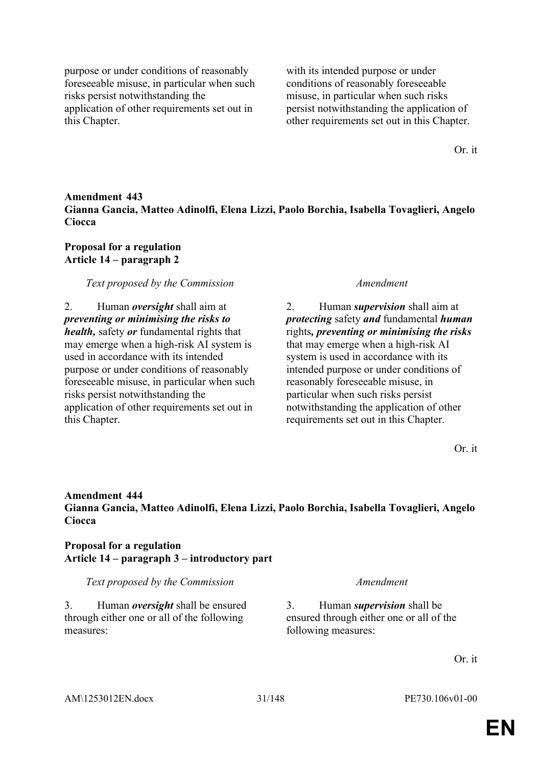purpose or under conditions of reasonably foreseeable misuse, in particular when such risks persist notwithstanding the application of other requirements set out in this Chapter.

with its intended purpose or under conditions of reasonably foreseeable misuse, in particular when such risks persist notwithstanding the application of other requirements set out in this Chapter.

Or. it

# **Amendment 443 Gianna Gancia, Matteo Adinolfi, Elena Lizzi, Paolo Borchia, Isabella Tovaglieri, Angelo Ciocca**

**Proposal for a regulation Article 14 – paragraph 2**

*Text proposed by the Commission Amendment*

2. Human *oversight* shall aim at *preventing or minimising the risks to health,* safety *or* fundamental rights that may emerge when a high-risk AI system is used in accordance with its intended purpose or under conditions of reasonably foreseeable misuse, in particular when such risks persist notwithstanding the application of other requirements set out in this Chapter.

2. Human *supervision* shall aim at *protecting* safety *and* fundamental *human* rights*, preventing or minimising the risks* that may emerge when a high-risk AI system is used in accordance with its intended purpose or under conditions of reasonably foreseeable misuse, in particular when such risks persist notwithstanding the application of other requirements set out in this Chapter.

Or. it

# **Amendment 444 Gianna Gancia, Matteo Adinolfi, Elena Lizzi, Paolo Borchia, Isabella Tovaglieri, Angelo Ciocca**

# **Proposal for a regulation Article 14 – paragraph 3 – introductory part**

*Text proposed by the Commission Amendment*

3. Human *oversight* shall be ensured through either one or all of the following measures:

3. Human *supervision* shall be ensured through either one or all of the following measures:

Or. it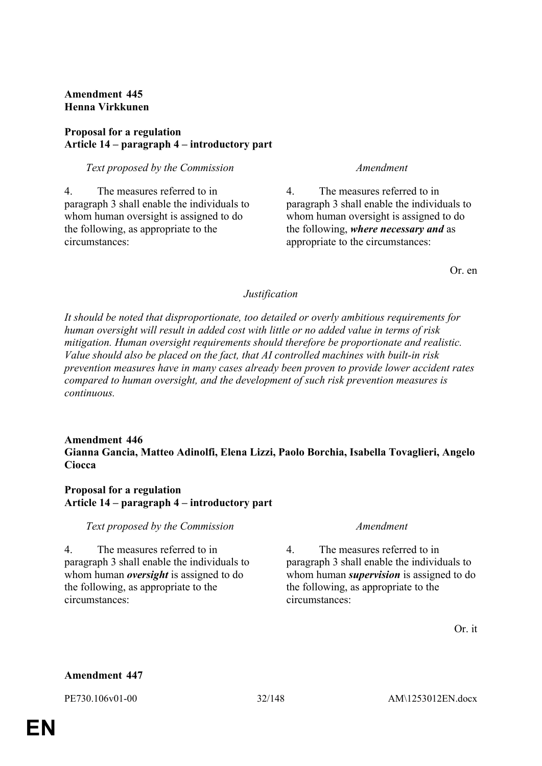# **Amendment 445 Henna Virkkunen**

# **Proposal for a regulation Article 14 – paragraph 4 – introductory part**

*Text proposed by the Commission Amendment*

4. The measures referred to in paragraph 3 shall enable the individuals to whom human oversight is assigned to do the following, as appropriate to the circumstances:

4. The measures referred to in paragraph 3 shall enable the individuals to whom human oversight is assigned to do the following, *where necessary and* as appropriate to the circumstances:

Or. en

# *Justification*

*It should be noted that disproportionate, too detailed or overly ambitious requirements for human oversight will result in added cost with little or no added value in terms of risk mitigation. Human oversight requirements should therefore be proportionate and realistic. Value should also be placed on the fact, that AI controlled machines with built-in risk prevention measures have in many cases already been proven to provide lower accident rates compared to human oversight, and the development of such risk prevention measures is continuous.*

## **Amendment 446 Gianna Gancia, Matteo Adinolfi, Elena Lizzi, Paolo Borchia, Isabella Tovaglieri, Angelo Ciocca**

# **Proposal for a regulation Article 14 – paragraph 4 – introductory part**

# *Text proposed by the Commission Amendment*

4. The measures referred to in paragraph 3 shall enable the individuals to whom human *oversight* is assigned to do the following, as appropriate to the circumstances:

4. The measures referred to in paragraph 3 shall enable the individuals to whom human *supervision* is assigned to do the following, as appropriate to the circumstances:

Or. it

# **Amendment 447**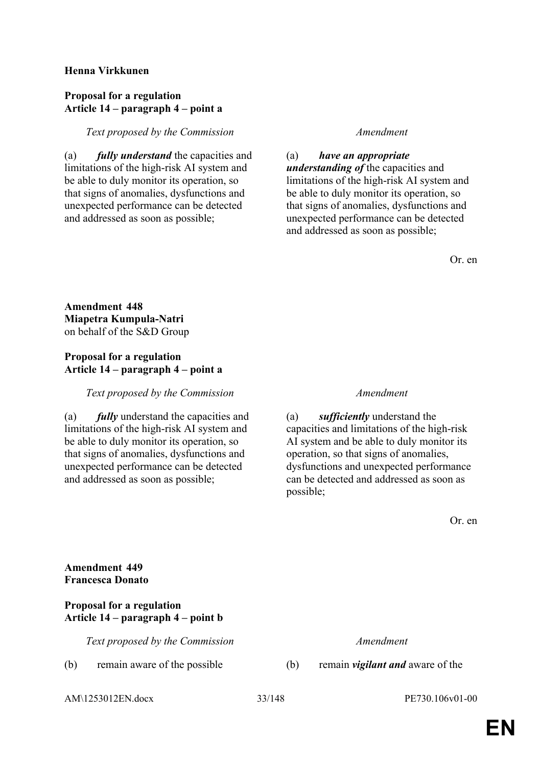## **Henna Virkkunen**

### **Proposal for a regulation Article 14 – paragraph 4 – point a**

## *Text proposed by the Commission Amendment*

(a) *fully understand* the capacities and limitations of the high-risk AI system and be able to duly monitor its operation, so that signs of anomalies, dysfunctions and unexpected performance can be detected and addressed as soon as possible;

(a) *have an appropriate understanding of* the capacities and limitations of the high-risk AI system and be able to duly monitor its operation, so that signs of anomalies, dysfunctions and unexpected performance can be detected and addressed as soon as possible;

Or. en

**Amendment 448 Miapetra Kumpula-Natri** on behalf of the S&D Group

# **Proposal for a regulation Article 14 – paragraph 4 – point a**

*Text proposed by the Commission Amendment*

(a) *fully* understand the capacities and limitations of the high-risk AI system and be able to duly monitor its operation, so that signs of anomalies, dysfunctions and unexpected performance can be detected and addressed as soon as possible;

(a) *sufficiently* understand the capacities and limitations of the high-risk AI system and be able to duly monitor its operation, so that signs of anomalies, dysfunctions and unexpected performance can be detected and addressed as soon as possible;

Or. en

# **Amendment 449 Francesca Donato**

## **Proposal for a regulation Article 14 – paragraph 4 – point b**

*Text proposed by the Commission Amendment*

(b) remain aware of the possible (b) remain *vigilant and* aware of the

AM\1253012EN.docx 33/148 PE730.106v01-00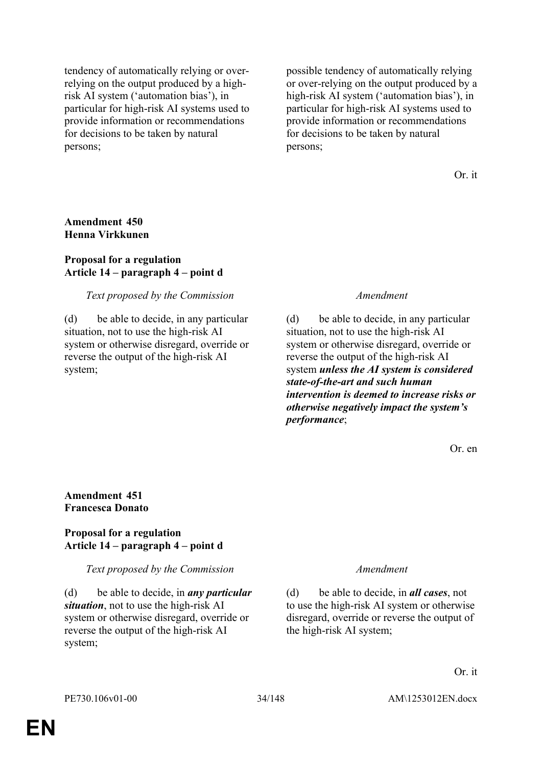tendency of automatically relying or overrelying on the output produced by a highrisk AI system ('automation bias'), in particular for high-risk AI systems used to provide information or recommendations for decisions to be taken by natural persons;

possible tendency of automatically relying or over-relying on the output produced by a high-risk AI system ('automation bias'), in particular for high-risk AI systems used to provide information or recommendations for decisions to be taken by natural persons;

Or. it

### **Amendment 450 Henna Virkkunen**

### **Proposal for a regulation Article 14 – paragraph 4 – point d**

### *Text proposed by the Commission Amendment*

(d) be able to decide, in any particular situation, not to use the high-risk AI system or otherwise disregard, override or reverse the output of the high-risk AI system;

(d) be able to decide, in any particular situation, not to use the high-risk AI system or otherwise disregard, override or reverse the output of the high-risk AI system *unless the AI system is considered state-of-the-art and such human intervention is deemed to increase risks or otherwise negatively impact the system's performance*;

Or. en

### **Amendment 451 Francesca Donato**

### **Proposal for a regulation Article 14 – paragraph 4 – point d**

### *Text proposed by the Commission Amendment*

(d) be able to decide, in *any particular situation*, not to use the high-risk AI system or otherwise disregard, override or reverse the output of the high-risk AI system;

(d) be able to decide, in *all cases*, not to use the high-risk AI system or otherwise disregard, override or reverse the output of the high-risk AI system;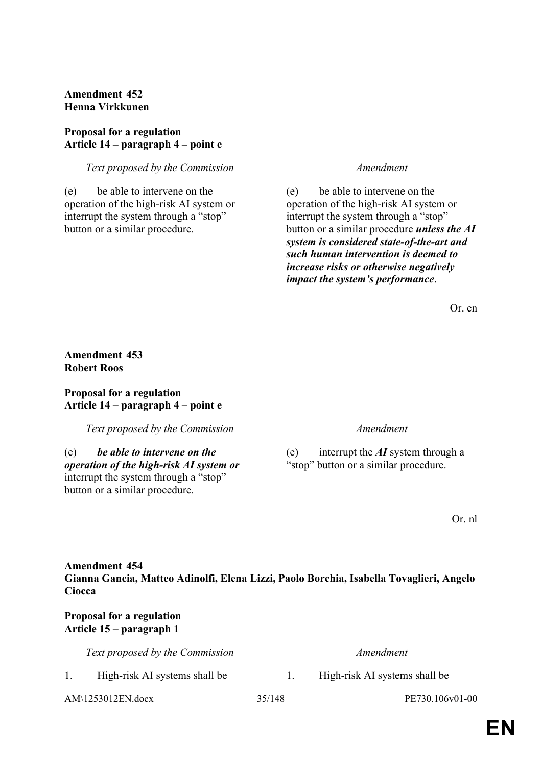# **Amendment 452 Henna Virkkunen**

## **Proposal for a regulation Article 14 – paragraph 4 – point e**

## *Text proposed by the Commission Amendment*

(e) be able to intervene on the operation of the high-risk AI system or interrupt the system through a "stop" button or a similar procedure.

(e) be able to intervene on the operation of the high-risk AI system or interrupt the system through a "stop" button or a similar procedure *unless the AI system is considered state-of-the-art and such human intervention is deemed to increase risks or otherwise negatively impact the system's performance*.

Or. en

# **Amendment 453 Robert Roos**

## **Proposal for a regulation Article 14 – paragraph 4 – point e**

*Text proposed by the Commission Amendment*

(e) *be able to intervene on the operation of the high-risk AI system or* interrupt the system through a "stop" button or a similar procedure.

(e) interrupt the *AI* system through a "stop" button or a similar procedure.

Or. nl

# **Amendment 454 Gianna Gancia, Matteo Adinolfi, Elena Lizzi, Paolo Borchia, Isabella Tovaglieri, Angelo Ciocca**

# **Proposal for a regulation Article 15 – paragraph 1**

| Text proposed by the Commission |        | Amendment                     |
|---------------------------------|--------|-------------------------------|
| High-risk AI systems shall be   |        | High-risk AI systems shall be |
| AM\1253012EN.docx               | 35/148 | PE730.106v01-00               |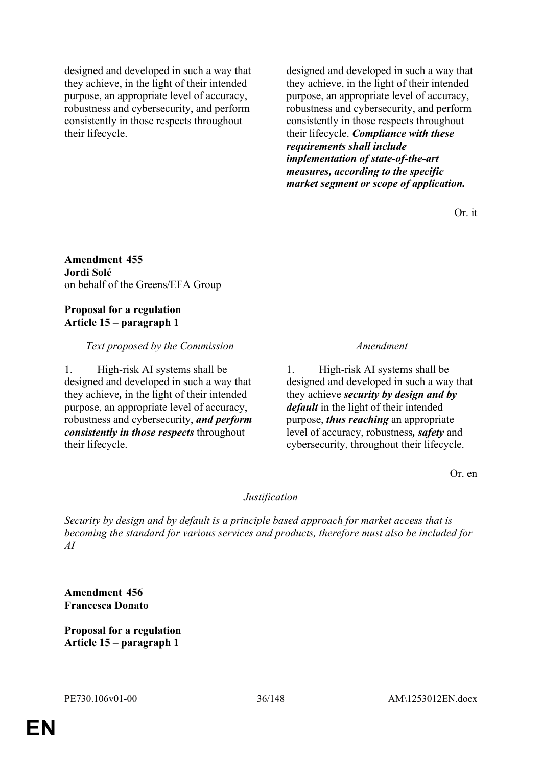designed and developed in such a way that they achieve, in the light of their intended purpose, an appropriate level of accuracy, robustness and cybersecurity, and perform consistently in those respects throughout their lifecycle.

designed and developed in such a way that they achieve, in the light of their intended purpose, an appropriate level of accuracy, robustness and cybersecurity, and perform consistently in those respects throughout their lifecycle. *Compliance with these requirements shall include implementation of state-of-the-art measures, according to the specific market segment or scope of application.*

Or. it

### **Amendment 455 Jordi Solé** on behalf of the Greens/EFA Group

## **Proposal for a regulation Article 15 – paragraph 1**

# *Text proposed by the Commission Amendment*

1. High-risk AI systems shall be designed and developed in such a way that they achieve*,* in the light of their intended purpose, an appropriate level of accuracy, robustness and cybersecurity, *and perform consistently in those respects* throughout their lifecycle.

1. High-risk AI systems shall be designed and developed in such a way that they achieve *security by design and by default* in the light of their intended purpose, *thus reaching* an appropriate level of accuracy, robustness*, safety* and cybersecurity, throughout their lifecycle.

Or. en

# *Justification*

*Security by design and by default is a principle based approach for market access that is becoming the standard for various services and products, therefore must also be included for AI*

**Amendment 456 Francesca Donato**

**Proposal for a regulation Article 15 – paragraph 1**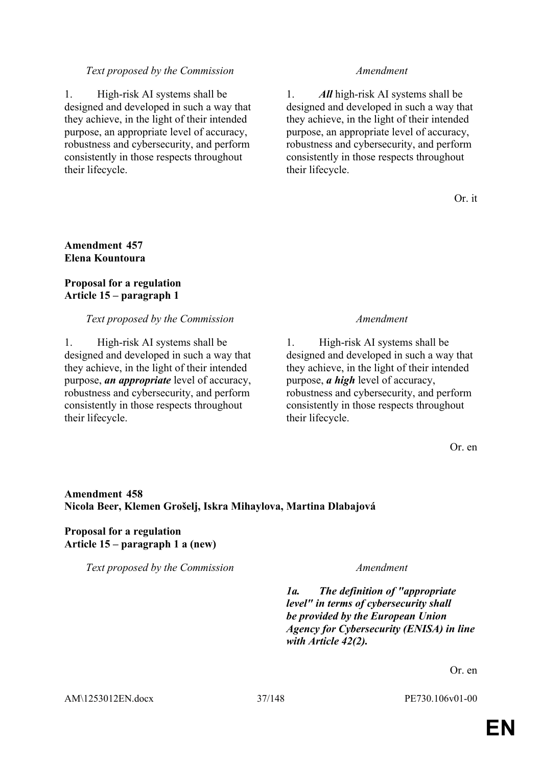### *Text proposed by the Commission Amendment*

1. High-risk AI systems shall be designed and developed in such a way that they achieve, in the light of their intended purpose, an appropriate level of accuracy, robustness and cybersecurity, and perform consistently in those respects throughout their lifecycle.

1. *All* high-risk AI systems shall be designed and developed in such a way that they achieve, in the light of their intended purpose, an appropriate level of accuracy, robustness and cybersecurity, and perform consistently in those respects throughout their lifecycle.

Or. it

## **Amendment 457 Elena Kountoura**

## **Proposal for a regulation Article 15 – paragraph 1**

### *Text proposed by the Commission Amendment*

1. High-risk AI systems shall be designed and developed in such a way that they achieve, in the light of their intended purpose, *an appropriate* level of accuracy, robustness and cybersecurity, and perform consistently in those respects throughout their lifecycle.

1. High-risk AI systems shall be designed and developed in such a way that they achieve, in the light of their intended purpose, *a high* level of accuracy, robustness and cybersecurity, and perform consistently in those respects throughout their lifecycle.

Or. en

# **Amendment 458 Nicola Beer, Klemen Grošelj, Iskra Mihaylova, Martina Dlabajová**

# **Proposal for a regulation Article 15 – paragraph 1 a (new)**

*Text proposed by the Commission Amendment*

*1a. The definition of "appropriate level" in terms of cybersecurity shall be provided by the European Union Agency for Cybersecurity (ENISA) in line with Article 42(2).*

Or. en

AM\1253012EN.docx 37/148 PE730.106v01-00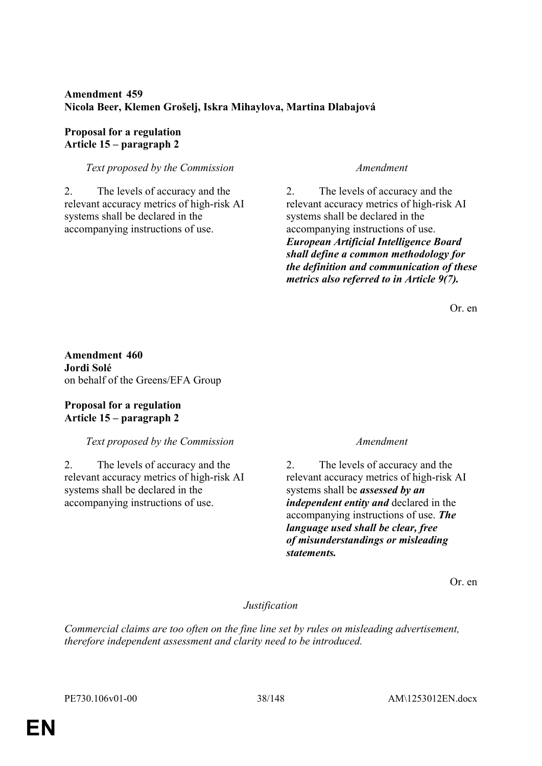# **Amendment 459 Nicola Beer, Klemen Grošelj, Iskra Mihaylova, Martina Dlabajová**

# **Proposal for a regulation Article 15 – paragraph 2**

# *Text proposed by the Commission Amendment*

2. The levels of accuracy and the relevant accuracy metrics of high-risk AI systems shall be declared in the accompanying instructions of use.

2. The levels of accuracy and the relevant accuracy metrics of high-risk AI systems shall be declared in the accompanying instructions of use. *European Artificial Intelligence Board shall define a common methodology for the definition and communication of these metrics also referred to in Article 9(7).*

Or. en

**Amendment 460 Jordi Solé** on behalf of the Greens/EFA Group

# **Proposal for a regulation Article 15 – paragraph 2**

# *Text proposed by the Commission Amendment*

2. The levels of accuracy and the relevant accuracy metrics of high-risk AI systems shall be declared in the accompanying instructions of use.

2. The levels of accuracy and the relevant accuracy metrics of high-risk AI systems shall be *assessed by an independent entity and* declared in the accompanying instructions of use. *The language used shall be clear, free of misunderstandings or misleading statements.*

Or. en

# *Justification*

*Commercial claims are too often on the fine line set by rules on misleading advertisement, therefore independent assessment and clarity need to be introduced.*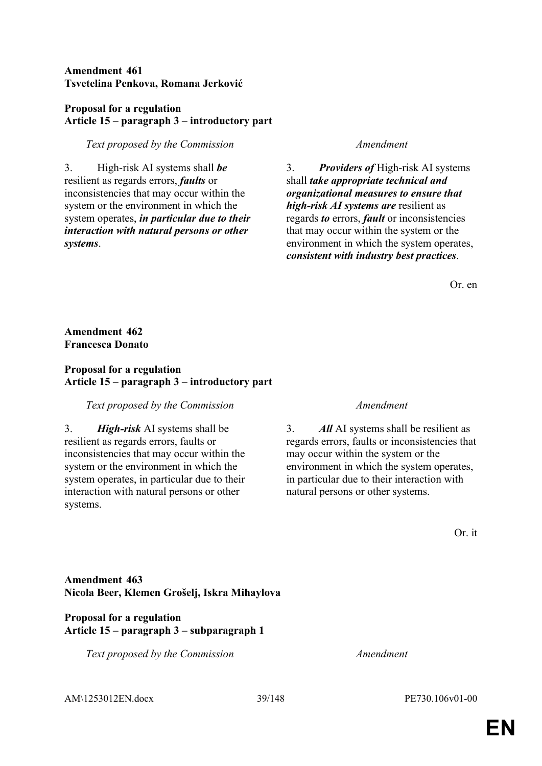# **Amendment 461 Tsvetelina Penkova, Romana Jerković**

# **Proposal for a regulation Article 15 – paragraph 3 – introductory part**

# *Text proposed by the Commission Amendment*

3. High-risk AI systems shall *be* resilient as regards errors, *faults* or inconsistencies that may occur within the system or the environment in which the system operates, *in particular due to their interaction with natural persons or other systems*.

3. *Providers of* High-risk AI systems shall *take appropriate technical and organizational measures to ensure that high-risk AI systems are* resilient as regards *to* errors, *fault* or inconsistencies that may occur within the system or the environment in which the system operates, *consistent with industry best practices*.

Or. en

# **Amendment 462 Francesca Donato**

# **Proposal for a regulation Article 15 – paragraph 3 – introductory part**

### *Text proposed by the Commission Amendment*

3. *High-risk* AI systems shall be resilient as regards errors, faults or inconsistencies that may occur within the system or the environment in which the system operates, in particular due to their interaction with natural persons or other systems.

3. *All* AI systems shall be resilient as regards errors, faults or inconsistencies that may occur within the system or the environment in which the system operates, in particular due to their interaction with natural persons or other systems.

Or. it

# **Amendment 463 Nicola Beer, Klemen Grošelj, Iskra Mihaylova**

## **Proposal for a regulation Article 15 – paragraph 3 – subparagraph 1**

*Text proposed by the Commission Amendment*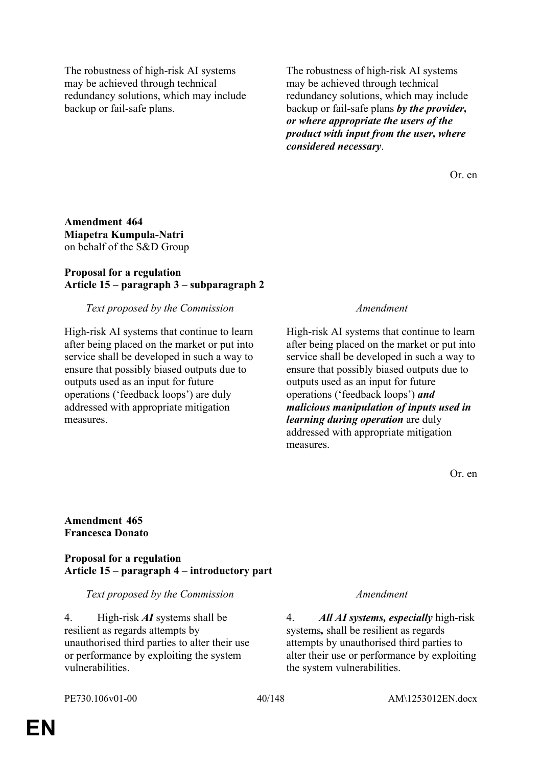The robustness of high-risk AI systems may be achieved through technical redundancy solutions, which may include backup or fail-safe plans.

The robustness of high-risk AI systems may be achieved through technical redundancy solutions, which may include backup or fail-safe plans *by the provider, or where appropriate the users of the product with input from the user, where considered necessary*.

Or. en

**Amendment 464 Miapetra Kumpula-Natri** on behalf of the S&D Group

## **Proposal for a regulation Article 15 – paragraph 3 – subparagraph 2**

### *Text proposed by the Commission Amendment*

High-risk AI systems that continue to learn after being placed on the market or put into service shall be developed in such a way to ensure that possibly biased outputs due to outputs used as an input for future operations ('feedback loops') are duly addressed with appropriate mitigation measures.

High-risk AI systems that continue to learn after being placed on the market or put into service shall be developed in such a way to ensure that possibly biased outputs due to outputs used as an input for future operations ('feedback loops') *and malicious manipulation of inputs used in learning during operation* are duly addressed with appropriate mitigation measures.

Or. en

**Amendment 465 Francesca Donato**

**Proposal for a regulation Article 15 – paragraph 4 – introductory part**

### *Text proposed by the Commission Amendment*

4. High-risk *AI* systems shall be resilient as regards attempts by unauthorised third parties to alter their use or performance by exploiting the system vulnerabilities.

4. *All AI systems, especially* high-risk systems*,* shall be resilient as regards attempts by unauthorised third parties to alter their use or performance by exploiting the system vulnerabilities.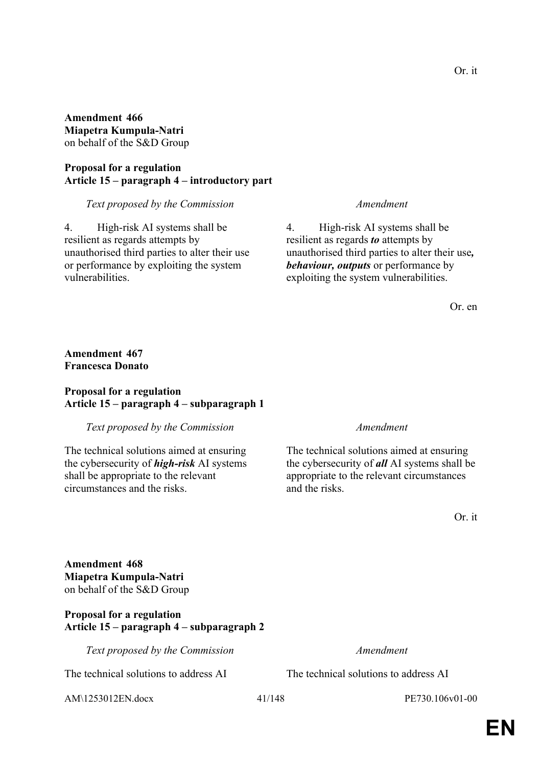**Amendment 466 Miapetra Kumpula-Natri** on behalf of the S&D Group

**Proposal for a regulation Article 15 – paragraph 4 – introductory part**

*Text proposed by the Commission Amendment*

4. High-risk AI systems shall be resilient as regards attempts by unauthorised third parties to alter their use or performance by exploiting the system vulnerabilities.

4. High-risk AI systems shall be resilient as regards *to* attempts by unauthorised third parties to alter their use*, behaviour, outputs* or performance by exploiting the system vulnerabilities.

Or. en

# **Amendment 467 Francesca Donato**

### **Proposal for a regulation Article 15 – paragraph 4 – subparagraph 1**

*Text proposed by the Commission Amendment*

The technical solutions aimed at ensuring the cybersecurity of *high-risk* AI systems shall be appropriate to the relevant circumstances and the risks.

The technical solutions aimed at ensuring the cybersecurity of *all* AI systems shall be appropriate to the relevant circumstances and the risks.

Or. it

**Amendment 468 Miapetra Kumpula-Natri** on behalf of the S&D Group

# **Proposal for a regulation Article 15 – paragraph 4 – subparagraph 2**

*Text proposed by the Commission Amendment*

The technical solutions to address AI The technical solutions to address AI

AM\1253012EN.docx 41/148 PE730.106v01-00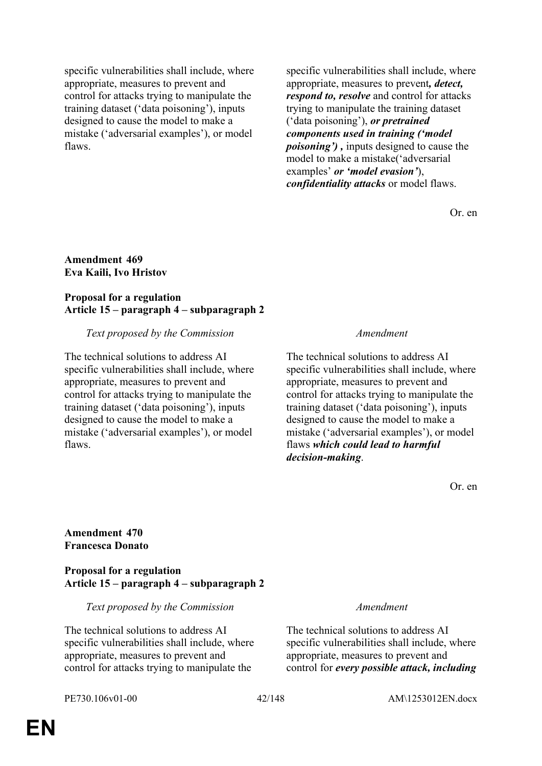specific vulnerabilities shall include, where appropriate, measures to prevent and control for attacks trying to manipulate the training dataset ('data poisoning'), inputs designed to cause the model to make a mistake ('adversarial examples'), or model flaws.

specific vulnerabilities shall include, where appropriate, measures to prevent*, detect, respond to, resolve* and control for attacks trying to manipulate the training dataset ('data poisoning'), *or pretrained components used in training ('model poisoning') ,* inputs designed to cause the model to make a mistake('adversarial examples' *or 'model evasion'*), *confidentiality attacks* or model flaws.

Or. en

### **Amendment 469 Eva Kaili, Ivo Hristov**

# **Proposal for a regulation Article 15 – paragraph 4 – subparagraph 2**

# *Text proposed by the Commission Amendment*

The technical solutions to address AI specific vulnerabilities shall include, where appropriate, measures to prevent and control for attacks trying to manipulate the training dataset ('data poisoning'), inputs designed to cause the model to make a mistake ('adversarial examples'), or model flaws.

The technical solutions to address AI specific vulnerabilities shall include, where appropriate, measures to prevent and control for attacks trying to manipulate the training dataset ('data poisoning'), inputs designed to cause the model to make a mistake ('adversarial examples'), or model flaws *which could lead to harmful decision-making*.

Or. en

# **Amendment 470 Francesca Donato**

### **Proposal for a regulation Article 15 – paragraph 4 – subparagraph 2**

### *Text proposed by the Commission Amendment*

The technical solutions to address AI specific vulnerabilities shall include, where appropriate, measures to prevent and control for attacks trying to manipulate the

The technical solutions to address AI specific vulnerabilities shall include, where appropriate, measures to prevent and control for *every possible attack, including*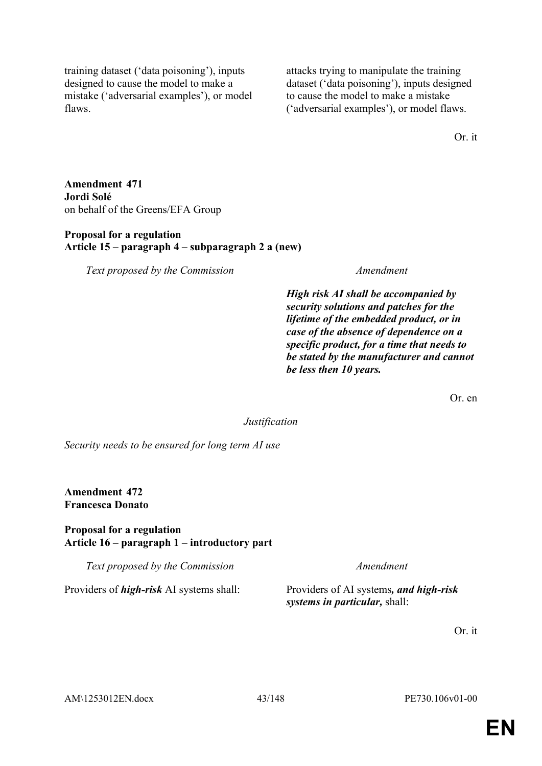training dataset ('data poisoning'), inputs designed to cause the model to make a mistake ('adversarial examples'), or model flaws.

attacks trying to manipulate the training dataset ('data poisoning'), inputs designed to cause the model to make a mistake ('adversarial examples'), or model flaws.

Or. it

**Amendment 471 Jordi Solé** on behalf of the Greens/EFA Group

### **Proposal for a regulation Article 15 – paragraph 4 – subparagraph 2 a (new)**

*Text proposed by the Commission Amendment*

*High risk AI shall be accompanied by security solutions and patches for the lifetime of the embedded product, or in case of the absence of dependence on a specific product, for a time that needs to be stated by the manufacturer and cannot be less then 10 years.*

Or. en

*Justification*

*Security needs to be ensured for long term AI use*

**Amendment 472 Francesca Donato**

### **Proposal for a regulation Article 16 – paragraph 1 – introductory part**

*Text proposed by the Commission Amendment*

Providers of *high-risk* AI systems shall: Providers of AI systems*, and high-risk* 

*systems in particular,* shall:

Or. it

AM\1253012EN.docx 43/148 PE730.106v01-00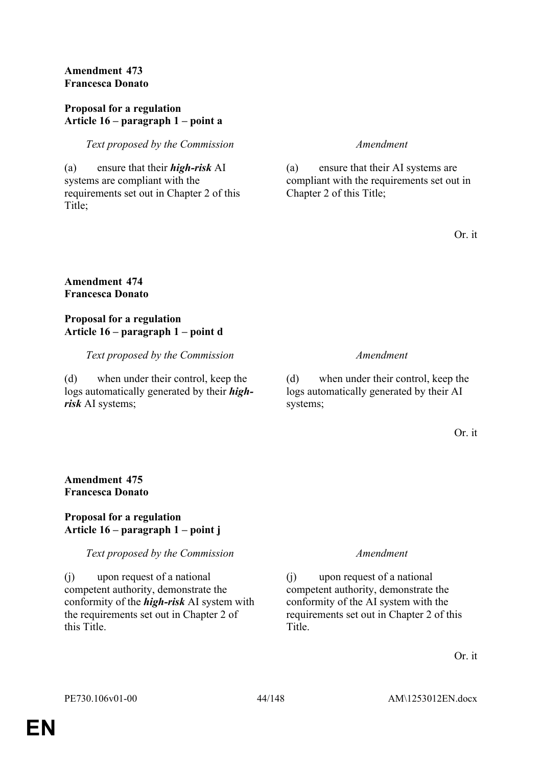# **Amendment 473 Francesca Donato**

## **Proposal for a regulation Article 16 – paragraph 1 – point a**

*Text proposed by the Commission Amendment*

(a) ensure that their *high-risk* AI systems are compliant with the requirements set out in Chapter 2 of this Title;

(a) ensure that their AI systems are compliant with the requirements set out in Chapter 2 of this Title;

Or. it

# **Amendment 474 Francesca Donato**

# **Proposal for a regulation Article 16 – paragraph 1 – point d**

*Text proposed by the Commission Amendment*

(d) when under their control, keep the logs automatically generated by their *highrisk* AI systems;

(d) when under their control, keep the logs automatically generated by their AI systems;

Or. it

# **Amendment 475 Francesca Donato**

# **Proposal for a regulation Article 16 – paragraph 1 – point j**

*Text proposed by the Commission Amendment*

(j) upon request of a national competent authority, demonstrate the conformity of the *high-risk* AI system with the requirements set out in Chapter 2 of this Title.

(j) upon request of a national competent authority, demonstrate the conformity of the AI system with the requirements set out in Chapter 2 of this Title.

Or. it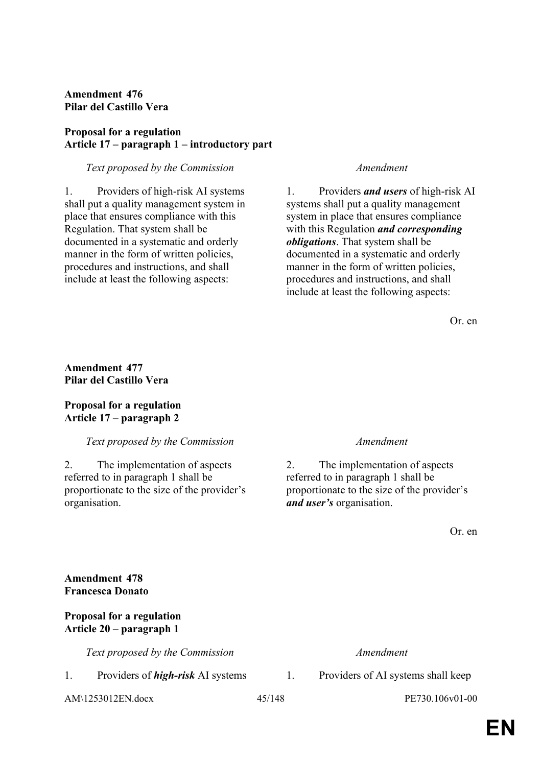**Amendment 476 Pilar del Castillo Vera**

# **Proposal for a regulation Article 17 – paragraph 1 – introductory part**

### *Text proposed by the Commission Amendment*

1. Providers of high-risk AI systems shall put a quality management system in place that ensures compliance with this Regulation. That system shall be documented in a systematic and orderly manner in the form of written policies, procedures and instructions, and shall include at least the following aspects:

1. Providers *and users* of high-risk AI systems shall put a quality management system in place that ensures compliance with this Regulation *and corresponding obligations*. That system shall be documented in a systematic and orderly manner in the form of written policies, procedures and instructions, and shall include at least the following aspects:

Or. en

**Amendment 477 Pilar del Castillo Vera**

# **Proposal for a regulation Article 17 – paragraph 2**

# *Text proposed by the Commission Amendment*

2. The implementation of aspects referred to in paragraph 1 shall be proportionate to the size of the provider's organisation.

2. The implementation of aspects referred to in paragraph 1 shall be proportionate to the size of the provider's *and user's* organisation.

Or. en

| <b>Amendment 478</b>                                         |                                          |        |                                    |  |  |
|--------------------------------------------------------------|------------------------------------------|--------|------------------------------------|--|--|
| <b>Francesca Donato</b>                                      |                                          |        |                                    |  |  |
| <b>Proposal for a regulation</b><br>Article 20 – paragraph 1 |                                          |        |                                    |  |  |
|                                                              | Text proposed by the Commission          |        | Amendment                          |  |  |
| 1.                                                           | Providers of <i>high-risk</i> AI systems | 1.     | Providers of AI systems shall keep |  |  |
| $AM\1253012EN.docx$                                          |                                          | 45/148 | PE730.106v01-00                    |  |  |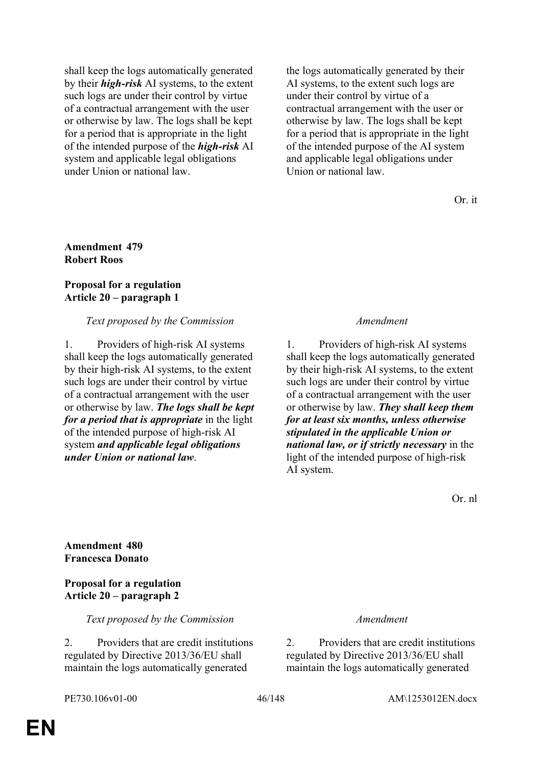shall keep the logs automatically generated by their *high-risk* AI systems, to the extent such logs are under their control by virtue of a contractual arrangement with the user or otherwise by law. The logs shall be kept for a period that is appropriate in the light of the intended purpose of the *high-risk* AI system and applicable legal obligations under Union or national law.

the logs automatically generated by their AI systems, to the extent such logs are under their control by virtue of a contractual arrangement with the user or otherwise by law. The logs shall be kept for a period that is appropriate in the light of the intended purpose of the AI system and applicable legal obligations under Union or national law

Or. it

# **Amendment 479 Robert Roos**

## **Proposal for a regulation Article 20 – paragraph 1**

# *Text proposed by the Commission Amendment*

1. Providers of high-risk AI systems shall keep the logs automatically generated by their high-risk AI systems, to the extent such logs are under their control by virtue of a contractual arrangement with the user or otherwise by law. *The logs shall be kept for a period that is appropriate* in the light of the intended purpose of high-risk AI system *and applicable legal obligations under Union or national law*.

1. Providers of high-risk AI systems shall keep the logs automatically generated by their high-risk AI systems, to the extent such logs are under their control by virtue of a contractual arrangement with the user or otherwise by law. *They shall keep them for at least six months, unless otherwise stipulated in the applicable Union or national law, or if strictly necessary* in the light of the intended purpose of high-risk AI system.

Or. nl

**Amendment 480 Francesca Donato**

**Proposal for a regulation Article 20 – paragraph 2**

*Text proposed by the Commission Amendment*

2. Providers that are credit institutions regulated by Directive 2013/36/EU shall maintain the logs automatically generated

2. Providers that are credit institutions regulated by Directive 2013/36/EU shall maintain the logs automatically generated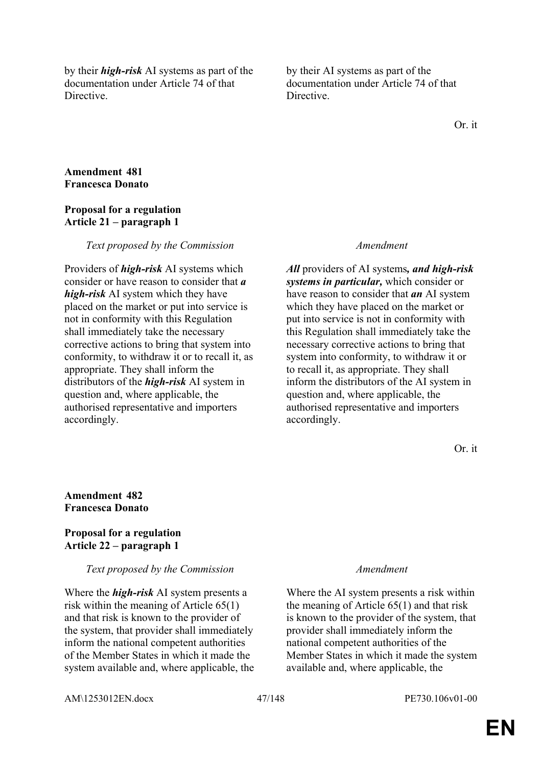by their *high-risk* AI systems as part of the documentation under Article 74 of that **Directive** 

by their AI systems as part of the documentation under Article 74 of that **Directive** 

Or. it

## **Amendment 481 Francesca Donato**

### **Proposal for a regulation Article 21 – paragraph 1**

### *Text proposed by the Commission Amendment*

Providers of *high-risk* AI systems which consider or have reason to consider that *a high-risk* AI system which they have placed on the market or put into service is not in conformity with this Regulation shall immediately take the necessary corrective actions to bring that system into conformity, to withdraw it or to recall it, as appropriate. They shall inform the distributors of the *high-risk* AI system in question and, where applicable, the authorised representative and importers accordingly.

*All* providers of AI systems*, and high-risk systems in particular,* which consider or have reason to consider that *an* AI system which they have placed on the market or put into service is not in conformity with this Regulation shall immediately take the necessary corrective actions to bring that system into conformity, to withdraw it or to recall it, as appropriate. They shall inform the distributors of the AI system in question and, where applicable, the authorised representative and importers accordingly.

Or. it

### **Amendment 482 Francesca Donato**

### **Proposal for a regulation Article 22 – paragraph 1**

### *Text proposed by the Commission Amendment*

Where the *high-risk* AI system presents a risk within the meaning of Article 65(1) and that risk is known to the provider of the system, that provider shall immediately inform the national competent authorities of the Member States in which it made the system available and, where applicable, the

Where the AI system presents a risk within the meaning of Article 65(1) and that risk is known to the provider of the system, that provider shall immediately inform the national competent authorities of the Member States in which it made the system available and, where applicable, the

AM\1253012EN.docx 47/148 PE730.106v01-00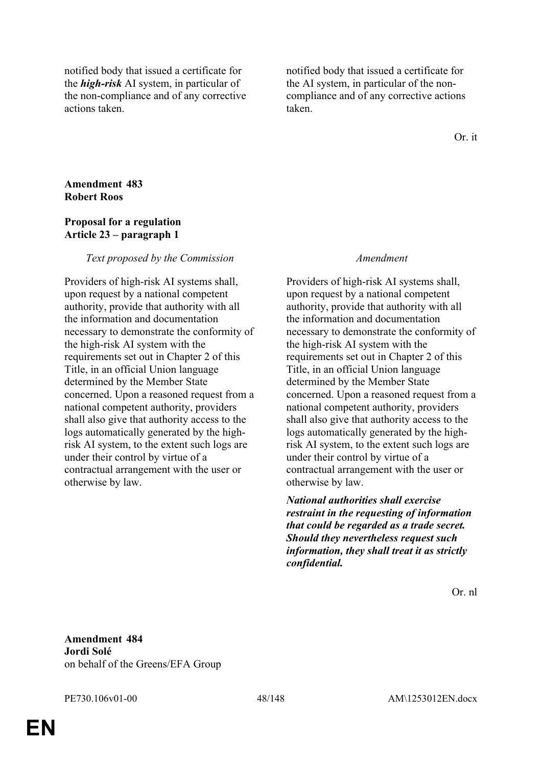notified body that issued a certificate for the *high-risk* AI system, in particular of the non-compliance and of any corrective actions taken.

notified body that issued a certificate for the AI system, in particular of the noncompliance and of any corrective actions taken.

Or. it

## **Amendment 483 Robert Roos**

## **Proposal for a regulation Article 23 – paragraph 1**

## *Text proposed by the Commission Amendment*

Providers of high-risk AI systems shall, upon request by a national competent authority, provide that authority with all the information and documentation necessary to demonstrate the conformity of the high-risk AI system with the requirements set out in Chapter 2 of this Title, in an official Union language determined by the Member State concerned. Upon a reasoned request from a national competent authority, providers shall also give that authority access to the logs automatically generated by the highrisk AI system, to the extent such logs are under their control by virtue of a contractual arrangement with the user or otherwise by law.

Providers of high-risk AI systems shall, upon request by a national competent authority, provide that authority with all the information and documentation necessary to demonstrate the conformity of the high-risk AI system with the requirements set out in Chapter 2 of this Title, in an official Union language determined by the Member State concerned. Upon a reasoned request from a national competent authority, providers shall also give that authority access to the logs automatically generated by the highrisk AI system, to the extent such logs are under their control by virtue of a contractual arrangement with the user or otherwise by law.

*National authorities shall exercise restraint in the requesting of information that could be regarded as a trade secret. Should they nevertheless request such information, they shall treat it as strictly confidential.*

Or. nl

**Amendment 484 Jordi Solé** on behalf of the Greens/EFA Group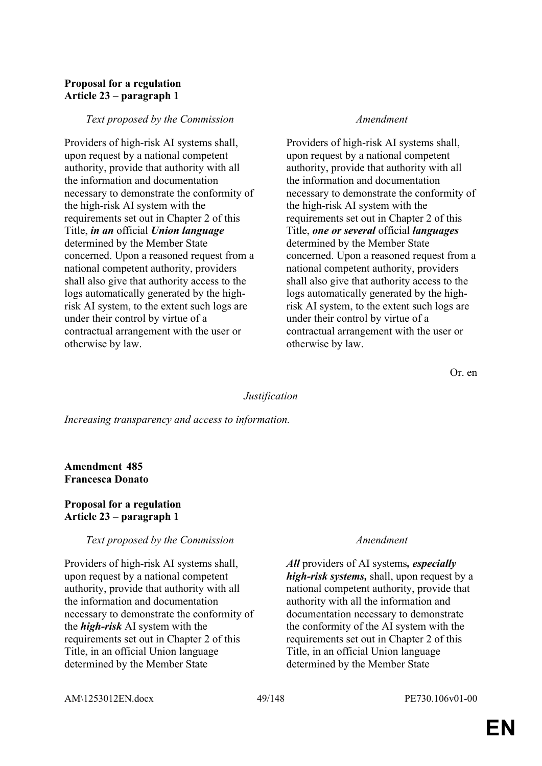# **Proposal for a regulation Article 23 – paragraph 1**

### *Text proposed by the Commission Amendment*

Providers of high-risk AI systems shall, upon request by a national competent authority, provide that authority with all the information and documentation necessary to demonstrate the conformity of the high-risk AI system with the requirements set out in Chapter 2 of this Title, *in an* official *Union language* determined by the Member State concerned. Upon a reasoned request from a national competent authority, providers shall also give that authority access to the logs automatically generated by the highrisk AI system, to the extent such logs are under their control by virtue of a contractual arrangement with the user or otherwise by law.

Providers of high-risk AI systems shall, upon request by a national competent authority, provide that authority with all the information and documentation necessary to demonstrate the conformity of the high-risk AI system with the requirements set out in Chapter 2 of this Title, *one or several* official *languages* determined by the Member State concerned. Upon a reasoned request from a national competent authority, providers shall also give that authority access to the logs automatically generated by the highrisk AI system, to the extent such logs are under their control by virtue of a contractual arrangement with the user or otherwise by law.

Or. en

### *Justification*

*Increasing transparency and access to information.*

# **Amendment 485 Francesca Donato**

### **Proposal for a regulation Article 23 – paragraph 1**

### *Text proposed by the Commission Amendment*

Providers of high-risk AI systems shall, upon request by a national competent authority, provide that authority with all the information and documentation necessary to demonstrate the conformity of the *high-risk* AI system with the requirements set out in Chapter 2 of this Title, in an official Union language determined by the Member State

*All* providers of AI systems*, especially high-risk systems,* shall, upon request by a national competent authority, provide that authority with all the information and documentation necessary to demonstrate the conformity of the AI system with the requirements set out in Chapter 2 of this Title, in an official Union language determined by the Member State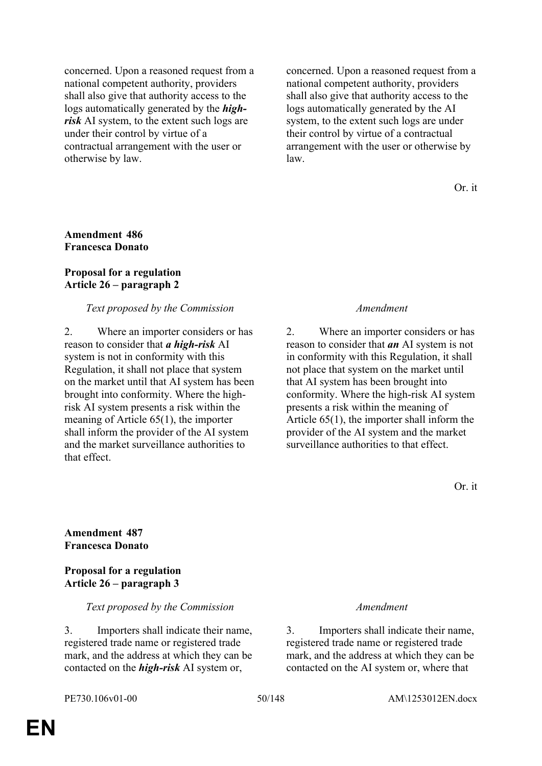concerned. Upon a reasoned request from a national competent authority, providers shall also give that authority access to the logs automatically generated by the *highrisk* AI system, to the extent such logs are under their control by virtue of a contractual arrangement with the user or otherwise by law.

concerned. Upon a reasoned request from a national competent authority, providers shall also give that authority access to the logs automatically generated by the AI system, to the extent such logs are under their control by virtue of a contractual arrangement with the user or otherwise by law.

Or. it

### **Amendment 486 Francesca Donato**

### **Proposal for a regulation Article 26 – paragraph 2**

### *Text proposed by the Commission Amendment*

2. Where an importer considers or has reason to consider that *a high-risk* AI system is not in conformity with this Regulation, it shall not place that system on the market until that AI system has been brought into conformity. Where the highrisk AI system presents a risk within the meaning of Article 65(1), the importer shall inform the provider of the AI system and the market surveillance authorities to that effect.

2. Where an importer considers or has reason to consider that *an* AI system is not in conformity with this Regulation, it shall not place that system on the market until that AI system has been brought into conformity. Where the high-risk AI system presents a risk within the meaning of Article 65(1), the importer shall inform the provider of the AI system and the market surveillance authorities to that effect.

Or. it

## **Amendment 487 Francesca Donato**

## **Proposal for a regulation Article 26 – paragraph 3**

### *Text proposed by the Commission Amendment*

3. Importers shall indicate their name, registered trade name or registered trade mark, and the address at which they can be contacted on the *high-risk* AI system or,

3. Importers shall indicate their name, registered trade name or registered trade mark, and the address at which they can be contacted on the AI system or, where that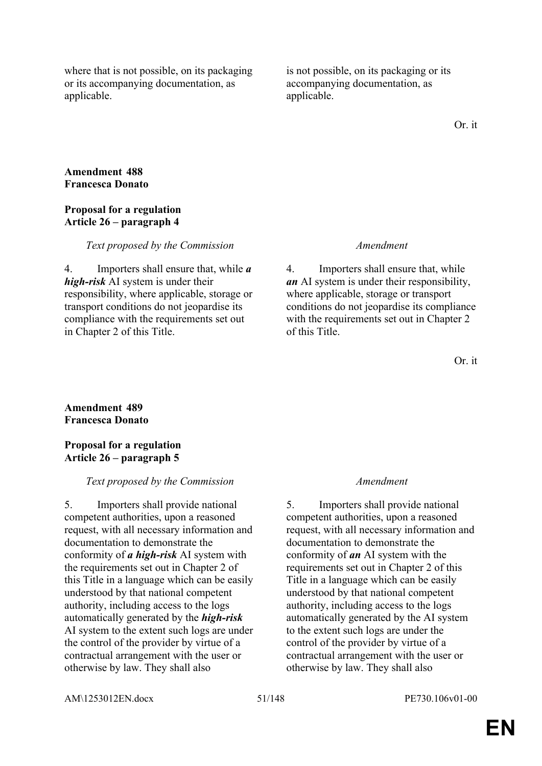where that is not possible, on its packaging or its accompanying documentation, as applicable.

is not possible, on its packaging or its accompanying documentation, as applicable.

Or. it

## **Amendment 488 Francesca Donato**

## **Proposal for a regulation Article 26 – paragraph 4**

#### *Text proposed by the Commission Amendment*

4. Importers shall ensure that, while *a high-risk* AI system is under their responsibility, where applicable, storage or transport conditions do not jeopardise its compliance with the requirements set out in Chapter 2 of this Title.

4. Importers shall ensure that, while *an* AI system is under their responsibility, where applicable, storage or transport conditions do not jeopardise its compliance with the requirements set out in Chapter 2 of this Title.

Or. it

## **Amendment 489 Francesca Donato**

## **Proposal for a regulation Article 26 – paragraph 5**

## *Text proposed by the Commission Amendment*

5. Importers shall provide national competent authorities, upon a reasoned request, with all necessary information and documentation to demonstrate the conformity of *a high-risk* AI system with the requirements set out in Chapter 2 of this Title in a language which can be easily understood by that national competent authority, including access to the logs automatically generated by the *high-risk* AI system to the extent such logs are under the control of the provider by virtue of a contractual arrangement with the user or otherwise by law. They shall also

5. Importers shall provide national competent authorities, upon a reasoned request, with all necessary information and documentation to demonstrate the conformity of *an* AI system with the requirements set out in Chapter 2 of this Title in a language which can be easily understood by that national competent authority, including access to the logs automatically generated by the AI system to the extent such logs are under the control of the provider by virtue of a contractual arrangement with the user or otherwise by law. They shall also

AM\1253012EN.docx 51/148 PE730.106v01-00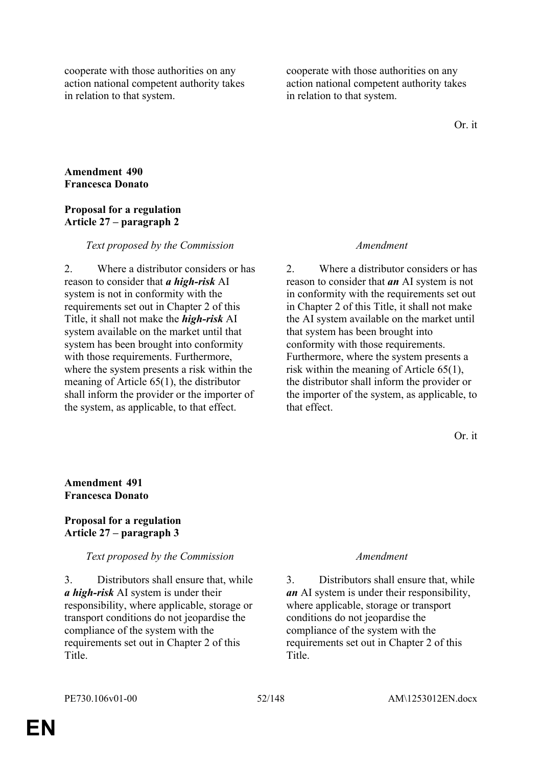cooperate with those authorities on any action national competent authority takes in relation to that system.

cooperate with those authorities on any action national competent authority takes in relation to that system.

Or. it

## **Amendment 490 Francesca Donato**

## **Proposal for a regulation Article 27 – paragraph 2**

## *Text proposed by the Commission Amendment*

2. Where a distributor considers or has reason to consider that *a high-risk* AI system is not in conformity with the requirements set out in Chapter 2 of this Title, it shall not make the *high-risk* AI system available on the market until that system has been brought into conformity with those requirements. Furthermore, where the system presents a risk within the meaning of Article 65(1), the distributor shall inform the provider or the importer of the system, as applicable, to that effect.

2. Where a distributor considers or has reason to consider that *an* AI system is not in conformity with the requirements set out in Chapter 2 of this Title, it shall not make the AI system available on the market until that system has been brought into conformity with those requirements. Furthermore, where the system presents a risk within the meaning of Article 65(1), the distributor shall inform the provider or the importer of the system, as applicable, to that effect.

Or. it

# **Amendment 491 Francesca Donato**

## **Proposal for a regulation Article 27 – paragraph 3**

## *Text proposed by the Commission Amendment*

3. Distributors shall ensure that, while *a high-risk* AI system is under their responsibility, where applicable, storage or transport conditions do not jeopardise the compliance of the system with the requirements set out in Chapter 2 of this Title.

3. Distributors shall ensure that, while *an* AI system is under their responsibility, where applicable, storage or transport conditions do not jeopardise the compliance of the system with the requirements set out in Chapter 2 of this Title.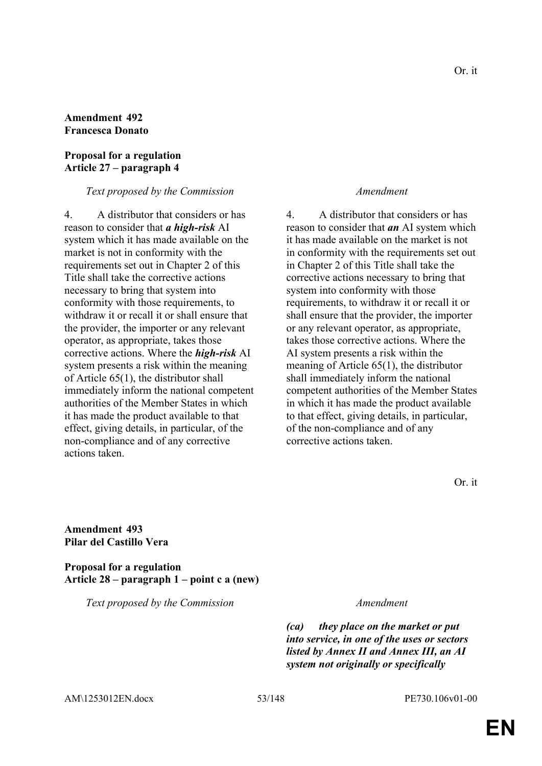## **Amendment 492 Francesca Donato**

## **Proposal for a regulation Article 27 – paragraph 4**

*Text proposed by the Commission Amendment*

4. A distributor that considers or has reason to consider that *a high-risk* AI system which it has made available on the market is not in conformity with the requirements set out in Chapter 2 of this Title shall take the corrective actions necessary to bring that system into conformity with those requirements, to withdraw it or recall it or shall ensure that the provider, the importer or any relevant operator, as appropriate, takes those corrective actions. Where the *high-risk* AI system presents a risk within the meaning of Article 65(1), the distributor shall immediately inform the national competent authorities of the Member States in which it has made the product available to that effect, giving details, in particular, of the non-compliance and of any corrective actions taken.

4. A distributor that considers or has reason to consider that *an* AI system which it has made available on the market is not in conformity with the requirements set out in Chapter 2 of this Title shall take the corrective actions necessary to bring that system into conformity with those requirements, to withdraw it or recall it or shall ensure that the provider, the importer or any relevant operator, as appropriate, takes those corrective actions. Where the AI system presents a risk within the meaning of Article 65(1), the distributor shall immediately inform the national competent authorities of the Member States in which it has made the product available to that effect, giving details, in particular, of the non-compliance and of any corrective actions taken.

Or. it

**Amendment 493 Pilar del Castillo Vera**

**Proposal for a regulation Article 28 – paragraph 1 – point c a (new)**

*Text proposed by the Commission Amendment*

*(ca) they place on the market or put into service, in one of the uses or sectors listed by Annex II and Annex III, an AI system not originally or specifically* 

AM\1253012EN.docx 53/148 PE730.106v01-00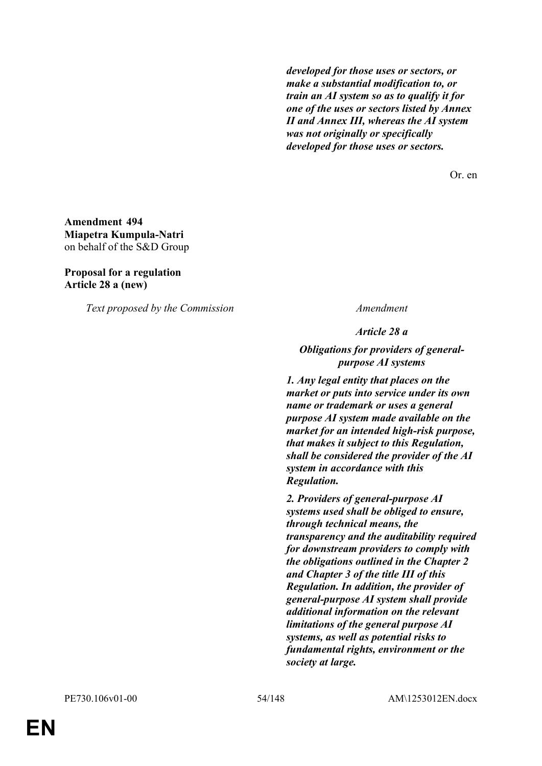*developed for those uses or sectors, or make a substantial modification to, or train an AI system so as to qualify it for one of the uses or sectors listed by Annex II and Annex III, whereas the AI system was not originally or specifically developed for those uses or sectors.*

Or. en

**Amendment 494 Miapetra Kumpula-Natri** on behalf of the S&D Group

**Proposal for a regulation Article 28 a (new)**

*Text proposed by the Commission Amendment*

*Article 28 a*

*Obligations for providers of generalpurpose AI systems*

*1. Any legal entity that places on the market or puts into service under its own name or trademark or uses a general purpose AI system made available on the market for an intended high-risk purpose, that makes it subject to this Regulation, shall be considered the provider of the AI system in accordance with this Regulation.*

*2. Providers of general-purpose AI systems used shall be obliged to ensure, through technical means, the transparency and the auditability required for downstream providers to comply with the obligations outlined in the Chapter 2 and Chapter 3 of the title III of this Regulation. In addition, the provider of general-purpose AI system shall provide additional information on the relevant limitations of the general purpose AI systems, as well as potential risks to fundamental rights, environment or the society at large.*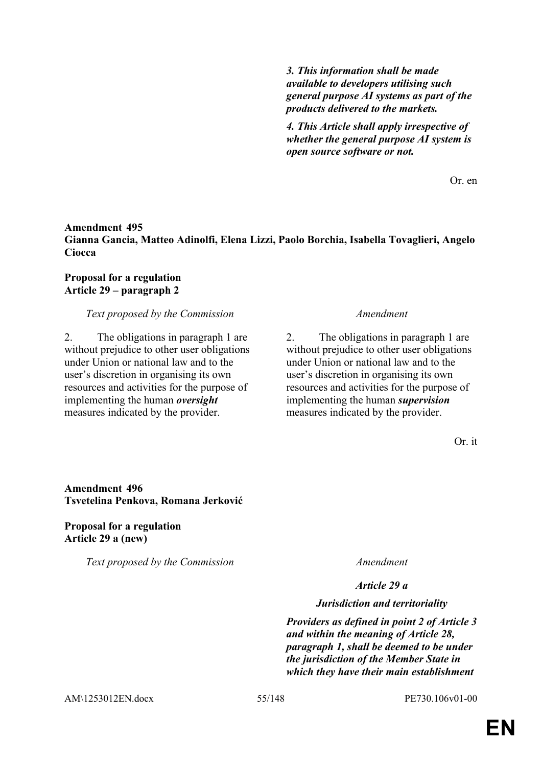*3. This information shall be made available to developers utilising such general purpose AI systems as part of the products delivered to the markets.*

*4. This Article shall apply irrespective of whether the general purpose AI system is open source software or not.*

Or. en

## **Amendment 495 Gianna Gancia, Matteo Adinolfi, Elena Lizzi, Paolo Borchia, Isabella Tovaglieri, Angelo Ciocca**

## **Proposal for a regulation Article 29 – paragraph 2**

## *Text proposed by the Commission Amendment*

2. The obligations in paragraph 1 are without prejudice to other user obligations under Union or national law and to the user's discretion in organising its own resources and activities for the purpose of implementing the human *oversight* measures indicated by the provider.

2. The obligations in paragraph 1 are without prejudice to other user obligations under Union or national law and to the user's discretion in organising its own resources and activities for the purpose of implementing the human *supervision* measures indicated by the provider.

Or. it

# **Amendment 496 Tsvetelina Penkova, Romana Jerković**

**Proposal for a regulation Article 29 a (new)**

*Text proposed by the Commission Amendment*

## *Article 29 a*

#### *Jurisdiction and territoriality*

*Providers as defined in point 2 of Article 3 and within the meaning of Article 28, paragraph 1, shall be deemed to be under the jurisdiction of the Member State in which they have their main establishment* 

AM\1253012EN.docx 55/148 PE730.106v01-00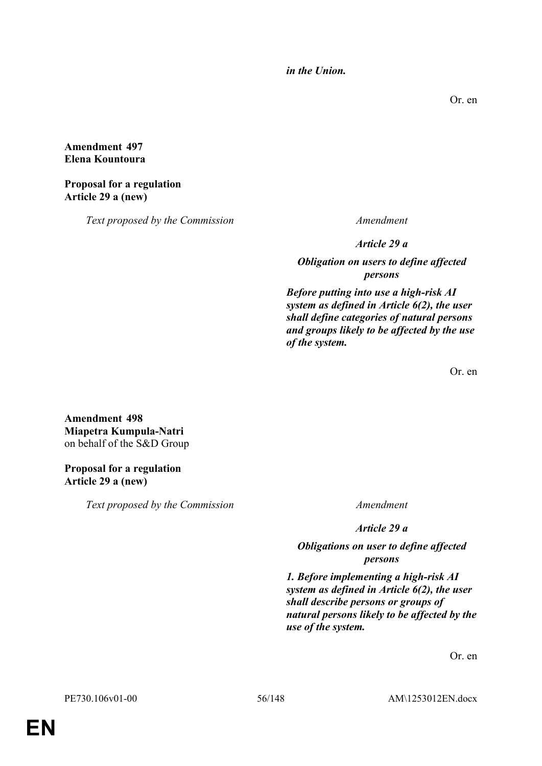*in the Union.*

Or. en

## **Amendment 497 Elena Kountoura**

**Proposal for a regulation Article 29 a (new)**

*Text proposed by the Commission Amendment*

*Article 29 a*

*Obligation on users to define affected persons*

*Before putting into use a high-risk AI system as defined in Article 6(2), the user shall define categories of natural persons and groups likely to be affected by the use of the system.*

Or. en

**Amendment 498 Miapetra Kumpula-Natri** on behalf of the S&D Group

# **Proposal for a regulation Article 29 a (new)**

*Text proposed by the Commission Amendment*

*Article 29 a*

*Obligations on user to define affected persons*

*1. Before implementing a high-risk AI system as defined in Article 6(2), the user shall describe persons or groups of natural persons likely to be affected by the use of the system.*

Or. en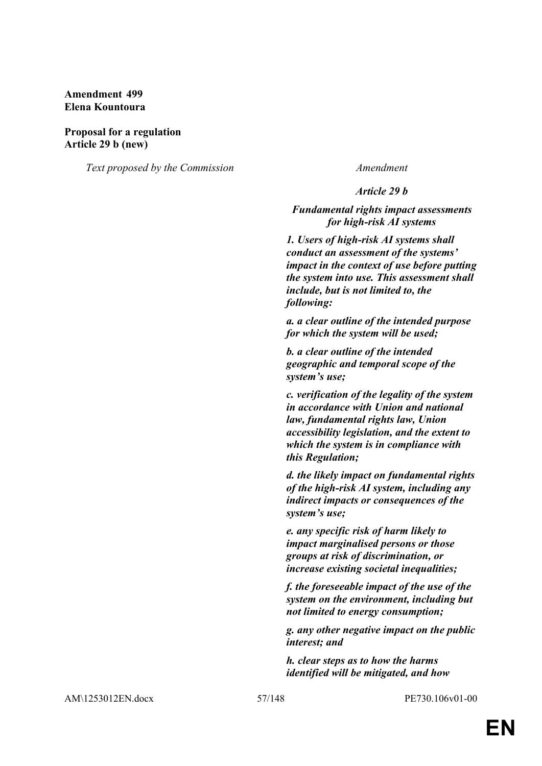## **Amendment 499 Elena Kountoura**

#### **Proposal for a regulation Article 29 b (new)**

*Text proposed by the Commission Amendment*

*Article 29 b*

*Fundamental rights impact assessments for high-risk AI systems*

*1. Users of high-risk AI systems shall conduct an assessment of the systems' impact in the context of use before putting the system into use. This assessment shall include, but is not limited to, the following:* 

*a. a clear outline of the intended purpose for which the system will be used;*

*b. a clear outline of the intended geographic and temporal scope of the system's use;*

*c. verification of the legality of the system in accordance with Union and national law, fundamental rights law, Union accessibility legislation, and the extent to which the system is in compliance with this Regulation;*

*d. the likely impact on fundamental rights of the high-risk AI system, including any indirect impacts or consequences of the system's use;*

*e. any specific risk of harm likely to impact marginalised persons or those groups at risk of discrimination, or increase existing societal inequalities;*

*f. the foreseeable impact of the use of the system on the environment, including but not limited to energy consumption;*

*g. any other negative impact on the public interest; and*

*h. clear steps as to how the harms identified will be mitigated, and how* 

AM\1253012EN.docx 57/148 PE730.106v01-00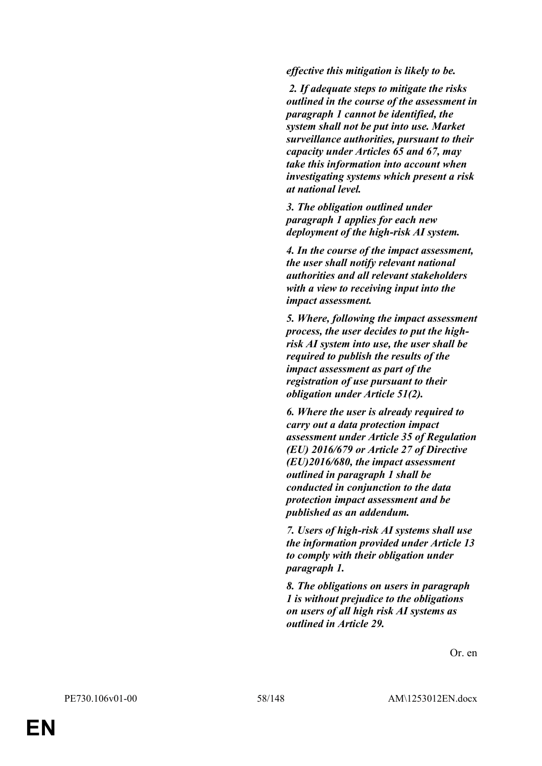*effective this mitigation is likely to be.*

 *2. If adequate steps to mitigate the risks outlined in the course of the assessment in paragraph 1 cannot be identified, the system shall not be put into use. Market surveillance authorities, pursuant to their capacity under Articles 65 and 67, may take this information into account when investigating systems which present a risk at national level.*

*3. The obligation outlined under paragraph 1 applies for each new deployment of the high-risk AI system.*

*4. In the course of the impact assessment, the user shall notify relevant national authorities and all relevant stakeholders with a view to receiving input into the impact assessment.*

*5. Where, following the impact assessment process, the user decides to put the highrisk AI system into use, the user shall be required to publish the results of the impact assessment as part of the registration of use pursuant to their obligation under Article 51(2).*

*6. Where the user is already required to carry out a data protection impact assessment under Article 35 of Regulation (EU) 2016/679 or Article 27 of Directive (EU)2016/680, the impact assessment outlined in paragraph 1 shall be conducted in conjunction to the data protection impact assessment and be published as an addendum.*

*7. Users of high-risk AI systems shall use the information provided under Article 13 to comply with their obligation under paragraph 1.*

*8. The obligations on users in paragraph 1 is without prejudice to the obligations on users of all high risk AI systems as outlined in Article 29.*

Or. en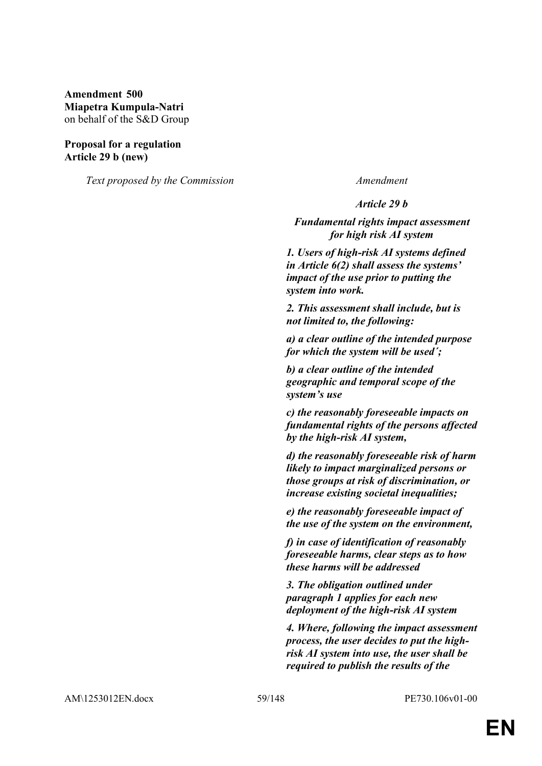**Amendment 500 Miapetra Kumpula-Natri** on behalf of the S&D Group

### **Proposal for a regulation Article 29 b (new)**

*Text proposed by the Commission Amendment*

*Article 29 b*

*Fundamental rights impact assessment for high risk AI system*

*1. Users of high-risk AI systems defined in Article 6(2) shall assess the systems' impact of the use prior to putting the system into work.*

*2. This assessment shall include, but is not limited to, the following:*

*a) a clear outline of the intended purpose for which the system will be used´;*

*b) a clear outline of the intended geographic and temporal scope of the system's use*

*c) the reasonably foreseeable impacts on fundamental rights of the persons affected by the high-risk AI system,*

*d) the reasonably foreseeable risk of harm likely to impact marginalized persons or those groups at risk of discrimination, or increase existing societal inequalities;*

*e) the reasonably foreseeable impact of the use of the system on the environment,*

*f) in case of identification of reasonably foreseeable harms, clear steps as to how these harms will be addressed*

*3. The obligation outlined under paragraph 1 applies for each new deployment of the high-risk AI system*

*4. Where, following the impact assessment process, the user decides to put the highrisk AI system into use, the user shall be required to publish the results of the*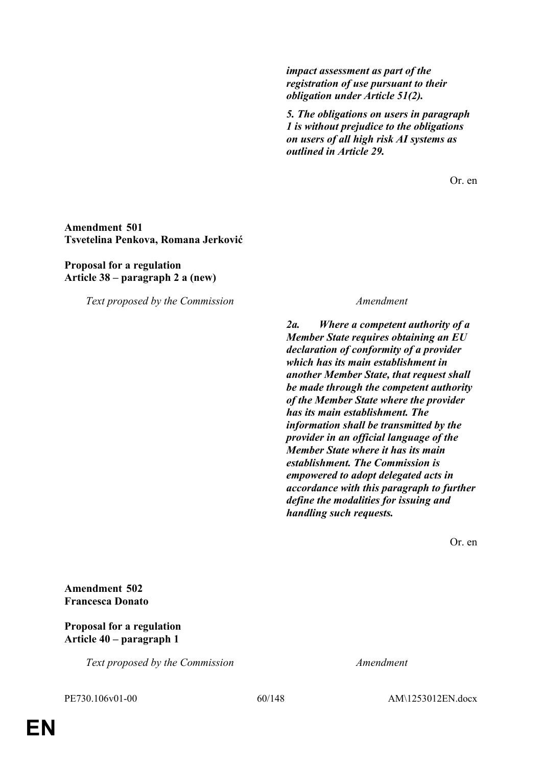*impact assessment as part of the registration of use pursuant to their obligation under Article 51(2).*

*5. The obligations on users in paragraph 1 is without prejudice to the obligations on users of all high risk AI systems as outlined in Article 29.*

Or. en

**Amendment 501 Tsvetelina Penkova, Romana Jerković**

**Proposal for a regulation Article 38 – paragraph 2 a (new)**

*Text proposed by the Commission Amendment*

*2a. Where a competent authority of a Member State requires obtaining an EU declaration of conformity of a provider which has its main establishment in another Member State, that request shall be made through the competent authority of the Member State where the provider has its main establishment. The information shall be transmitted by the provider in an official language of the Member State where it has its main establishment. The Commission is empowered to adopt delegated acts in accordance with this paragraph to further define the modalities for issuing and handling such requests.*

Or. en

## **Amendment 502 Francesca Donato**

## **Proposal for a regulation Article 40 – paragraph 1**

*Text proposed by the Commission Amendment*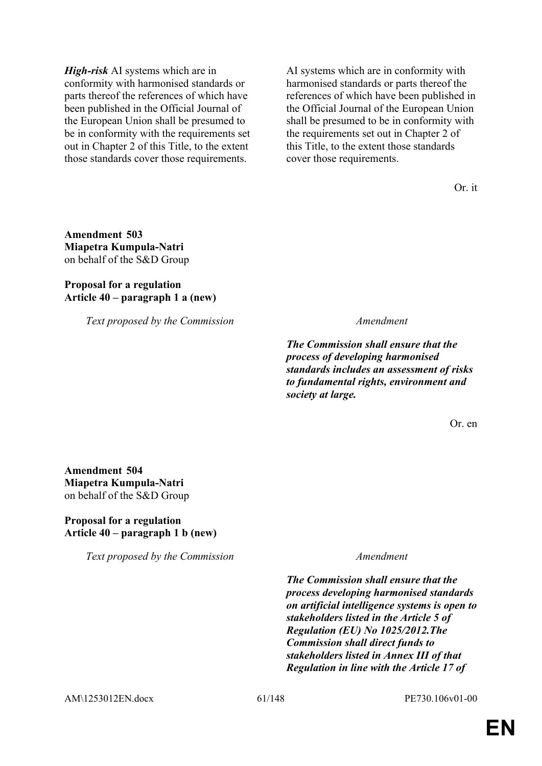*High-risk* AI systems which are in conformity with harmonised standards or parts thereof the references of which have been published in the Official Journal of the European Union shall be presumed to be in conformity with the requirements set out in Chapter 2 of this Title, to the extent those standards cover those requirements.

AI systems which are in conformity with harmonised standards or parts thereof the references of which have been published in the Official Journal of the European Union shall be presumed to be in conformity with the requirements set out in Chapter 2 of this Title, to the extent those standards cover those requirements.

Or. it

**Amendment 503 Miapetra Kumpula-Natri** on behalf of the S&D Group

## **Proposal for a regulation Article 40 – paragraph 1 a (new)**

*Text proposed by the Commission Amendment*

*The Commission shall ensure that the process of developing harmonised standards includes an assessment of risks to fundamental rights, environment and society at large.*

Or. en

**Amendment 504 Miapetra Kumpula-Natri** on behalf of the S&D Group

## **Proposal for a regulation Article 40 – paragraph 1 b (new)**

*Text proposed by the Commission Amendment*

*The Commission shall ensure that the process developing harmonised standards on artificial intelligence systems is open to stakeholders listed in the Article 5 of Regulation (EU) No 1025/2012.The Commission shall direct funds to stakeholders listed in Annex III of that Regulation in line with the Article 17 of* 

AM\1253012EN.docx 61/148 PE730.106v01-00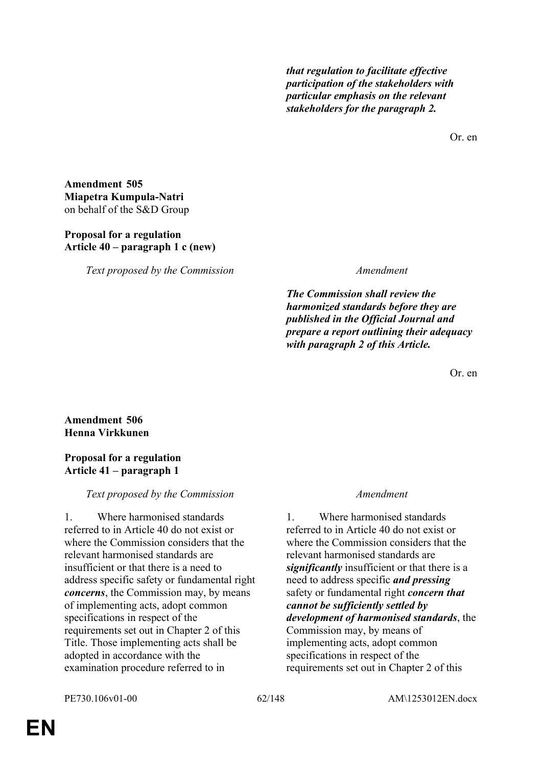*that regulation to facilitate effective participation of the stakeholders with particular emphasis on the relevant stakeholders for the paragraph 2.*

Or. en

**Amendment 505 Miapetra Kumpula-Natri** on behalf of the S&D Group

## **Proposal for a regulation Article 40 – paragraph 1 c (new)**

*Text proposed by the Commission Amendment*

*The Commission shall review the harmonized standards before they are published in the Official Journal and prepare a report outlining their adequacy with paragraph 2 of this Article.*

Or. en

# **Amendment 506 Henna Virkkunen**

## **Proposal for a regulation Article 41 – paragraph 1**

# *Text proposed by the Commission Amendment*

1. Where harmonised standards referred to in Article 40 do not exist or where the Commission considers that the relevant harmonised standards are insufficient or that there is a need to address specific safety or fundamental right *concerns*, the Commission may, by means of implementing acts, adopt common specifications in respect of the requirements set out in Chapter 2 of this Title. Those implementing acts shall be adopted in accordance with the examination procedure referred to in

1. Where harmonised standards referred to in Article 40 do not exist or where the Commission considers that the relevant harmonised standards are *significantly* insufficient or that there is a need to address specific *and pressing* safety or fundamental right *concern that cannot be sufficiently settled by development of harmonised standards*, the Commission may, by means of implementing acts, adopt common specifications in respect of the requirements set out in Chapter 2 of this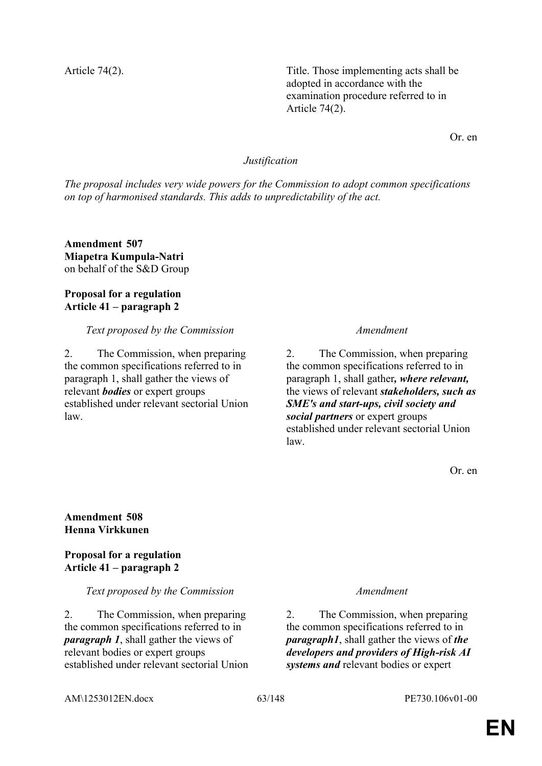Article 74(2). Title. Those implementing acts shall be adopted in accordance with the examination procedure referred to in Article 74(2).

Or. en

## *Justification*

*The proposal includes very wide powers for the Commission to adopt common specifications on top of harmonised standards. This adds to unpredictability of the act.*

**Amendment 507 Miapetra Kumpula-Natri** on behalf of the S&D Group

## **Proposal for a regulation Article 41 – paragraph 2**

*Text proposed by the Commission Amendment*

2. The Commission, when preparing the common specifications referred to in paragraph 1, shall gather the views of relevant *bodies* or expert groups established under relevant sectorial Union law.

2. The Commission, when preparing the common specifications referred to in paragraph 1, shall gather*, where relevant,* the views of relevant *stakeholders, such as SME's and start-ups, civil society and social partners* or expert groups established under relevant sectorial Union law.

Or. en

## **Amendment 508 Henna Virkkunen**

**Proposal for a regulation Article 41 – paragraph 2**

## *Text proposed by the Commission Amendment*

2. The Commission, when preparing the common specifications referred to in *paragraph 1*, shall gather the views of relevant bodies or expert groups established under relevant sectorial Union

2. The Commission, when preparing the common specifications referred to in *paragraph1*, shall gather the views of *the developers and providers of High-risk AI systems and* relevant bodies or expert

AM\1253012EN.docx 63/148 PE730.106v01-00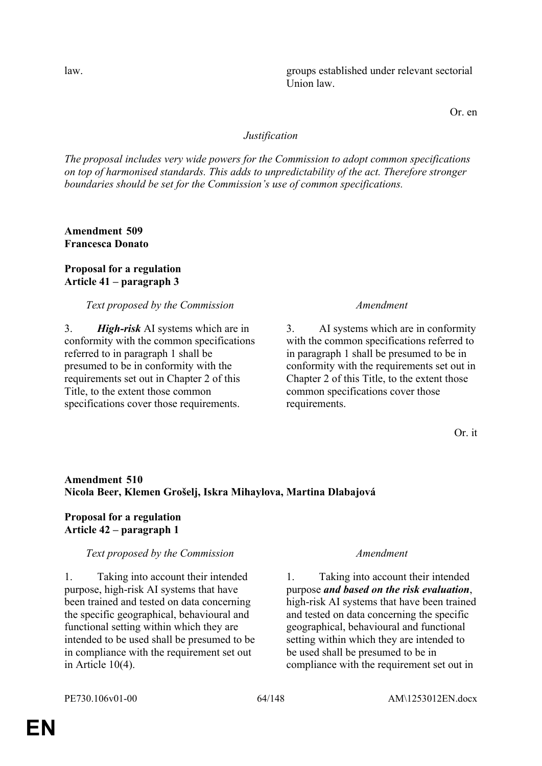law. groups established under relevant sectorial Union law.

Or. en

## *Justification*

*The proposal includes very wide powers for the Commission to adopt common specifications on top of harmonised standards. This adds to unpredictability of the act. Therefore stronger boundaries should be set for the Commission's use of common specifications.*

**Amendment 509 Francesca Donato**

## **Proposal for a regulation Article 41 – paragraph 3**

## *Text proposed by the Commission Amendment*

3. *High-risk* AI systems which are in conformity with the common specifications referred to in paragraph 1 shall be presumed to be in conformity with the requirements set out in Chapter 2 of this Title, to the extent those common specifications cover those requirements.

3. AI systems which are in conformity with the common specifications referred to in paragraph 1 shall be presumed to be in conformity with the requirements set out in Chapter 2 of this Title, to the extent those common specifications cover those requirements.

Or. it

# **Amendment 510 Nicola Beer, Klemen Grošelj, Iskra Mihaylova, Martina Dlabajová**

## **Proposal for a regulation Article 42 – paragraph 1**

## *Text proposed by the Commission Amendment*

1. Taking into account their intended purpose, high-risk AI systems that have been trained and tested on data concerning the specific geographical, behavioural and functional setting within which they are intended to be used shall be presumed to be in compliance with the requirement set out in Article 10(4).

1. Taking into account their intended purpose *and based on the risk evaluation*, high-risk AI systems that have been trained and tested on data concerning the specific geographical, behavioural and functional setting within which they are intended to be used shall be presumed to be in compliance with the requirement set out in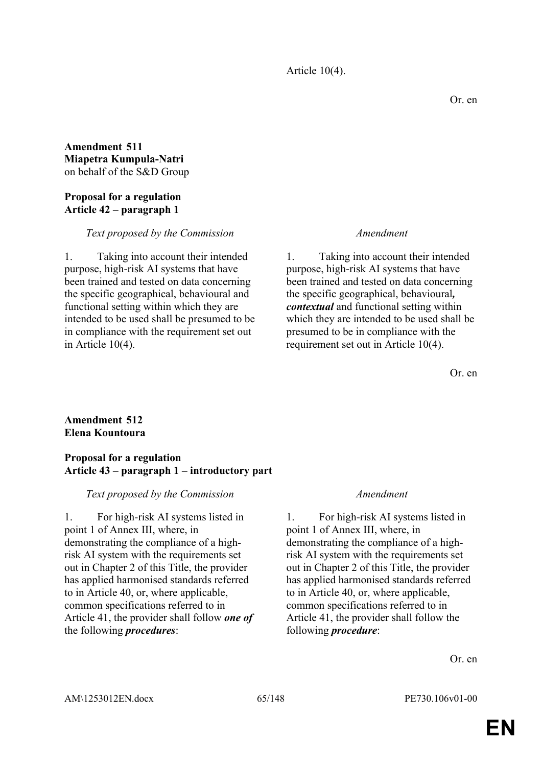Article 10(4).

## **Amendment 511 Miapetra Kumpula-Natri** on behalf of the S&D Group

## **Proposal for a regulation Article 42 – paragraph 1**

## *Text proposed by the Commission Amendment*

1. Taking into account their intended purpose, high-risk AI systems that have been trained and tested on data concerning the specific geographical, behavioural and functional setting within which they are intended to be used shall be presumed to be in compliance with the requirement set out in Article 10(4).

1. Taking into account their intended purpose, high-risk AI systems that have been trained and tested on data concerning the specific geographical, behavioural*, contextual* and functional setting within which they are intended to be used shall be presumed to be in compliance with the requirement set out in Article 10(4).

Or. en

## **Amendment 512 Elena Kountoura**

## **Proposal for a regulation Article 43 – paragraph 1 – introductory part**

## *Text proposed by the Commission Amendment*

1. For high-risk AI systems listed in point 1 of Annex III, where, in demonstrating the compliance of a highrisk AI system with the requirements set out in Chapter 2 of this Title, the provider has applied harmonised standards referred to in Article 40, or, where applicable, common specifications referred to in Article 41, the provider shall follow *one of* the following *procedures*:

1. For high-risk AI systems listed in point 1 of Annex III, where, in demonstrating the compliance of a highrisk AI system with the requirements set out in Chapter 2 of this Title, the provider has applied harmonised standards referred to in Article 40, or, where applicable, common specifications referred to in Article 41, the provider shall follow the following *procedure*:

Or. en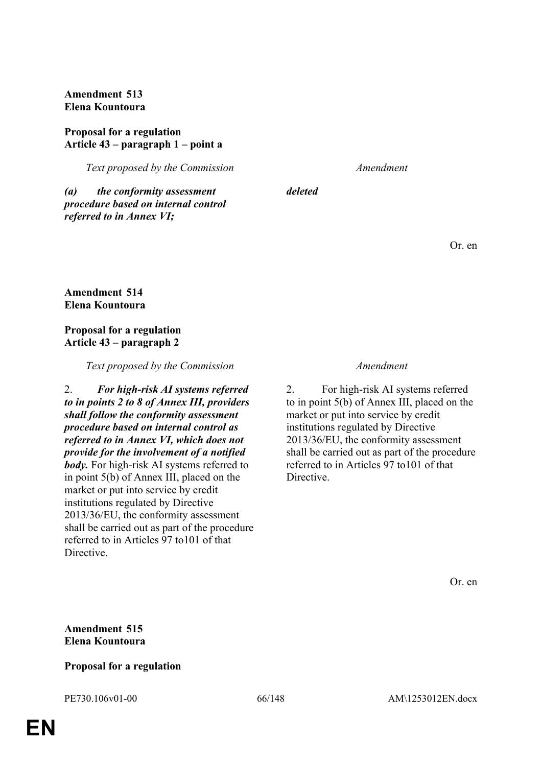**Amendment 513 Elena Kountoura**

## **Proposal for a regulation Article 43 – paragraph 1 – point a**

*Text proposed by the Commission Amendment*

*(a) the conformity assessment procedure based on internal control referred to in Annex VI;*

*deleted*

Or. en

**Amendment 514 Elena Kountoura**

## **Proposal for a regulation Article 43 – paragraph 2**

## *Text proposed by the Commission Amendment*

2. *For high-risk AI systems referred to in points 2 to 8 of Annex III, providers shall follow the conformity assessment procedure based on internal control as referred to in Annex VI, which does not provide for the involvement of a notified body.* For high-risk AI systems referred to in point 5(b) of Annex III, placed on the market or put into service by credit institutions regulated by Directive 2013/36/EU, the conformity assessment shall be carried out as part of the procedure referred to in Articles 97 to101 of that **Directive** 

2. For high-risk AI systems referred to in point 5(b) of Annex III, placed on the market or put into service by credit institutions regulated by Directive 2013/36/EU, the conformity assessment shall be carried out as part of the procedure referred to in Articles 97 to101 of that **Directive** 

Or. en

## **Amendment 515 Elena Kountoura**

## **Proposal for a regulation**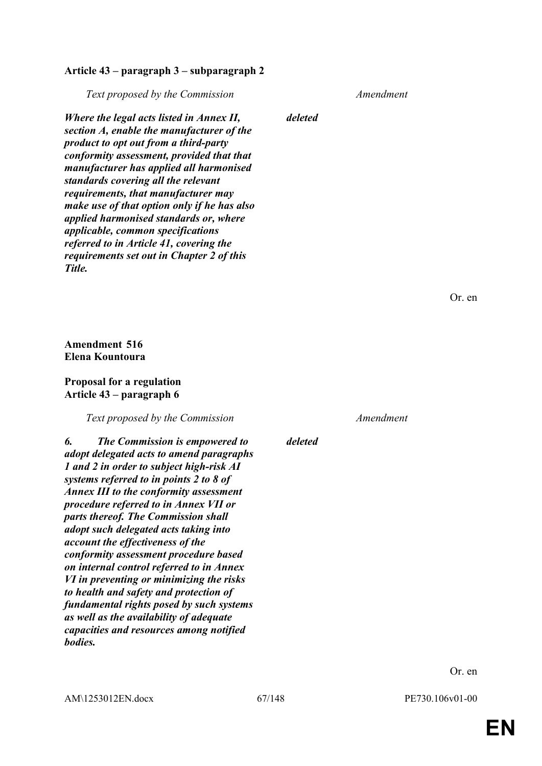#### **Article 43 – paragraph 3 – subparagraph 2**

*Text proposed by the Commission Amendment*

*Where the legal acts listed in Annex II, section A, enable the manufacturer of the product to opt out from a third-party conformity assessment, provided that that manufacturer has applied all harmonised standards covering all the relevant requirements, that manufacturer may make use of that option only if he has also applied harmonised standards or, where applicable, common specifications referred to in Article 41, covering the requirements set out in Chapter 2 of this Title.*

*deleted*

*deleted*

Or. en

**Amendment 516 Elena Kountoura**

## **Proposal for a regulation Article 43 – paragraph 6**

*Text proposed by the Commission Amendment*

*6. The Commission is empowered to adopt delegated acts to amend paragraphs 1 and 2 in order to subject high-risk AI systems referred to in points 2 to 8 of Annex III to the conformity assessment procedure referred to in Annex VII or parts thereof. The Commission shall adopt such delegated acts taking into account the effectiveness of the conformity assessment procedure based on internal control referred to in Annex VI in preventing or minimizing the risks to health and safety and protection of fundamental rights posed by such systems as well as the availability of adequate capacities and resources among notified bodies.*

Or. en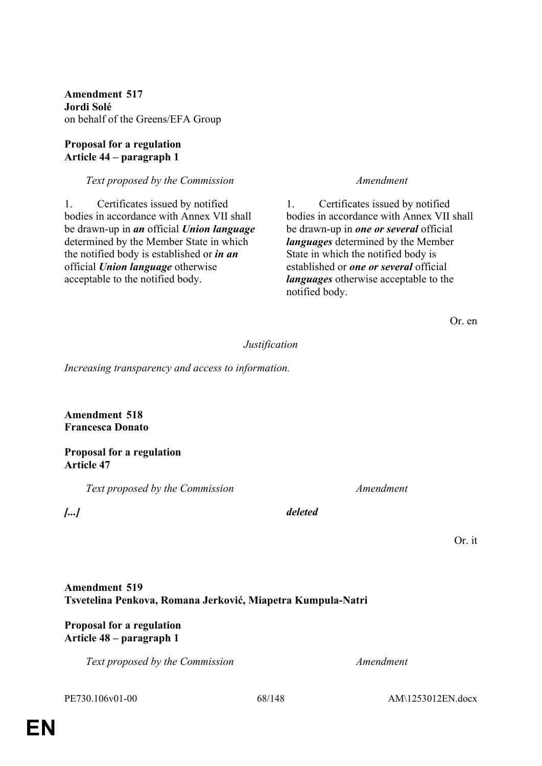**Amendment 517 Jordi Solé** on behalf of the Greens/EFA Group

## **Proposal for a regulation Article 44 – paragraph 1**

## *Text proposed by the Commission Amendment*

1. Certificates issued by notified bodies in accordance with Annex VII shall be drawn-up in *an* official *Union language* determined by the Member State in which the notified body is established or *in an* official *Union language* otherwise acceptable to the notified body.

1. Certificates issued by notified bodies in accordance with Annex VII shall be drawn-up in *one or several* official *languages* determined by the Member State in which the notified body is established or *one or several* official *languages* otherwise acceptable to the notified body.

Or. en

## *Justification*

*Increasing transparency and access to information.*

**Amendment 518 Francesca Donato**

#### **Proposal for a regulation Article 47**

*Text proposed by the Commission Amendment*

*[...] deleted*

Or. it

## **Amendment 519 Tsvetelina Penkova, Romana Jerković, Miapetra Kumpula-Natri**

## **Proposal for a regulation Article 48 – paragraph 1**

*Text proposed by the Commission Amendment*

PE730.106v01-00 68/148 AM\1253012EN.docx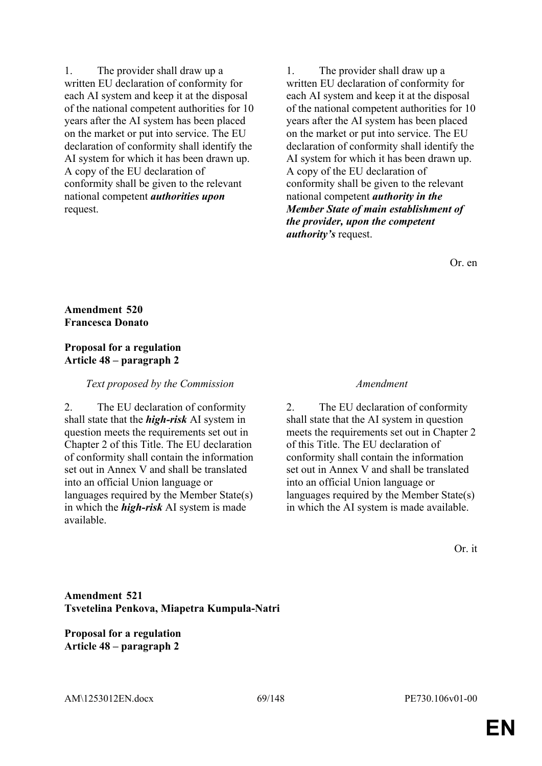1. The provider shall draw up a written EU declaration of conformity for each AI system and keep it at the disposal of the national competent authorities for 10 years after the AI system has been placed on the market or put into service. The EU declaration of conformity shall identify the AI system for which it has been drawn up. A copy of the EU declaration of conformity shall be given to the relevant national competent *authorities upon* request.

1. The provider shall draw up a written EU declaration of conformity for each AI system and keep it at the disposal of the national competent authorities for 10 years after the AI system has been placed on the market or put into service. The EU declaration of conformity shall identify the AI system for which it has been drawn up. A copy of the EU declaration of conformity shall be given to the relevant national competent *authority in the Member State of main establishment of the provider, upon the competent authority's* request.

Or. en

## **Amendment 520 Francesca Donato**

## **Proposal for a regulation Article 48 – paragraph 2**

## *Text proposed by the Commission Amendment*

2. The EU declaration of conformity shall state that the *high-risk* AI system in question meets the requirements set out in Chapter 2 of this Title. The EU declaration of conformity shall contain the information set out in Annex V and shall be translated into an official Union language or languages required by the Member State(s) in which the *high-risk* AI system is made available.

2. The EU declaration of conformity shall state that the AI system in question meets the requirements set out in Chapter 2 of this Title. The EU declaration of conformity shall contain the information set out in Annex V and shall be translated into an official Union language or languages required by the Member State(s) in which the AI system is made available.

Or. it

# **Amendment 521 Tsvetelina Penkova, Miapetra Kumpula-Natri**

**Proposal for a regulation Article 48 – paragraph 2**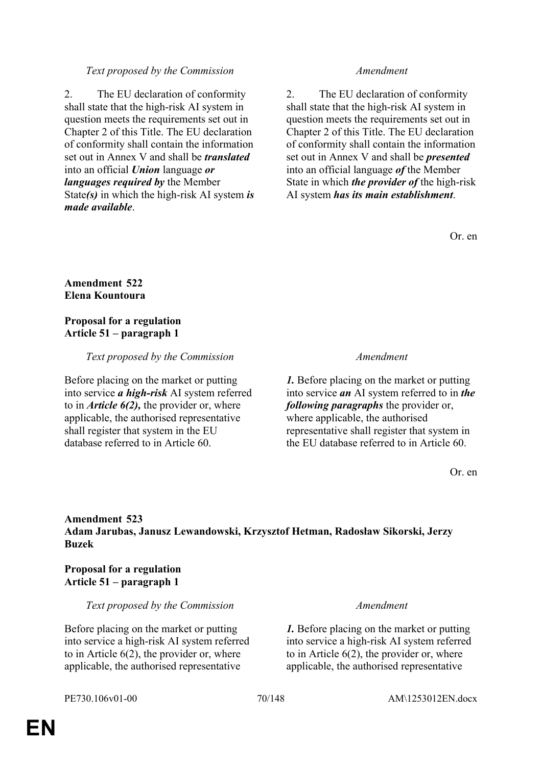## *Text proposed by the Commission Amendment*

2. The EU declaration of conformity shall state that the high-risk AI system in question meets the requirements set out in Chapter 2 of this Title. The EU declaration of conformity shall contain the information set out in Annex V and shall be *translated* into an official *Union* language *or languages required by* the Member State*(s)* in which the high-risk AI system *is made available*.

2. The EU declaration of conformity shall state that the high-risk AI system in question meets the requirements set out in Chapter 2 of this Title. The EU declaration of conformity shall contain the information set out in Annex V and shall be *presented* into an official language *of* the Member State in which *the provider of* the high-risk AI system *has its main establishment*.

Or. en

## **Amendment 522 Elena Kountoura**

## **Proposal for a regulation Article 51 – paragraph 1**

*Text proposed by the Commission Amendment*

Before placing on the market or putting into service *a high-risk* AI system referred to in *Article 6(2),* the provider or, where applicable, the authorised representative shall register that system in the EU database referred to in Article 60.

*1.* Before placing on the market or putting into service *an* AI system referred to in *the following paragraphs* the provider or, where applicable, the authorised representative shall register that system in the EU database referred to in Article 60.

Or. en

## **Amendment 523 Adam Jarubas, Janusz Lewandowski, Krzysztof Hetman, Radosław Sikorski, Jerzy Buzek**

## **Proposal for a regulation Article 51 – paragraph 1**

*Text proposed by the Commission Amendment*

Before placing on the market or putting into service a high-risk AI system referred to in Article  $6(2)$ , the provider or, where applicable, the authorised representative

*1.* Before placing on the market or putting into service a high-risk AI system referred to in Article  $6(2)$ , the provider or, where applicable, the authorised representative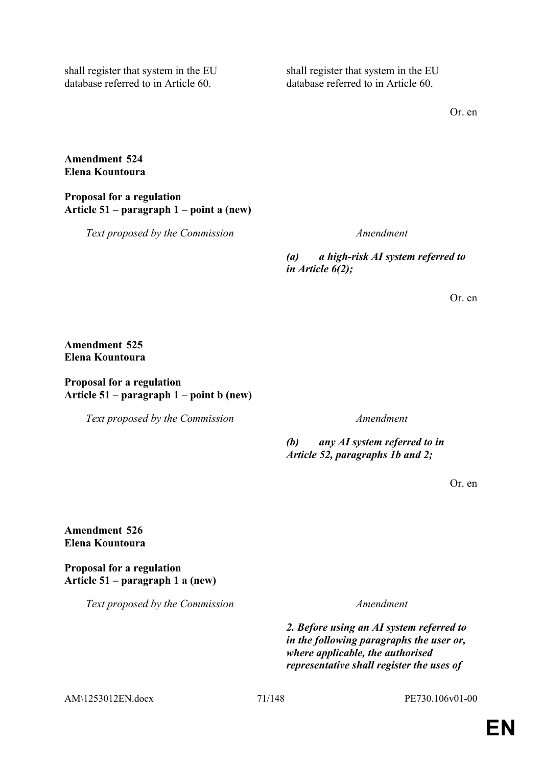shall register that system in the EU database referred to in Article 60.

shall register that system in the EU database referred to in Article 60.

Or. en

## **Amendment 524 Elena Kountoura**

**Proposal for a regulation Article 51 – paragraph 1 – point a (new)**

*Text proposed by the Commission Amendment*

*(a) a high-risk AI system referred to in Article 6(2);*

Or. en

# **Amendment 525 Elena Kountoura**

## **Proposal for a regulation Article 51 – paragraph 1 – point b (new)**

*Text proposed by the Commission Amendment*

*(b) any AI system referred to in Article 52, paragraphs 1b and 2;*

Or. en

## **Amendment 526 Elena Kountoura**

**Proposal for a regulation Article 51 – paragraph 1 a (new)**

*Text proposed by the Commission Amendment*

*2. Before using an AI system referred to in the following paragraphs the user or, where applicable, the authorised representative shall register the uses of* 

AM\1253012EN.docx 71/148 PE730.106v01-00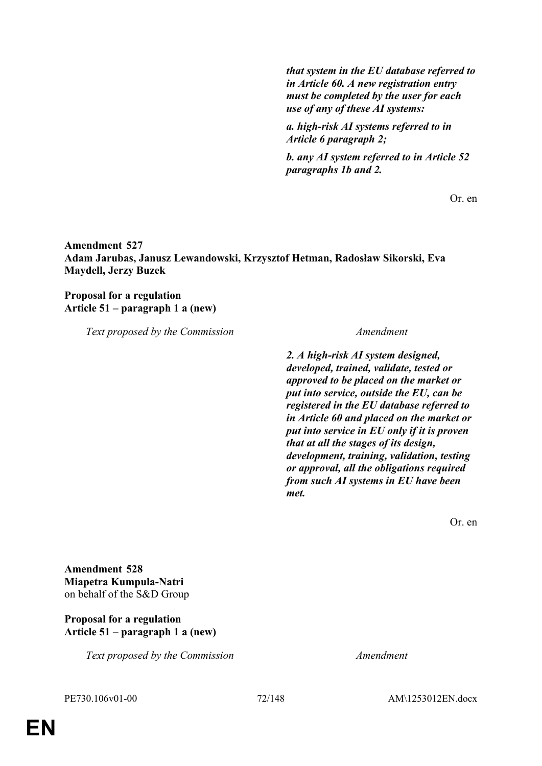*that system in the EU database referred to in Article 60. A new registration entry must be completed by the user for each use of any of these AI systems:*

*a. high-risk AI systems referred to in Article 6 paragraph 2;*

*b. any AI system referred to in Article 52 paragraphs 1b and 2.*

Or. en

**Amendment 527 Adam Jarubas, Janusz Lewandowski, Krzysztof Hetman, Radosław Sikorski, Eva Maydell, Jerzy Buzek**

## **Proposal for a regulation Article 51 – paragraph 1 a (new)**

*Text proposed by the Commission Amendment*

*2. A high-risk AI system designed, developed, trained, validate, tested or approved to be placed on the market or put into service, outside the EU, can be registered in the EU database referred to in Article 60 and placed on the market or put into service in EU only if it is proven that at all the stages of its design, development, training, validation, testing or approval, all the obligations required from such AI systems in EU have been met.*

Or. en

**Amendment 528 Miapetra Kumpula-Natri** on behalf of the S&D Group

## **Proposal for a regulation Article 51 – paragraph 1 a (new)**

*Text proposed by the Commission Amendment*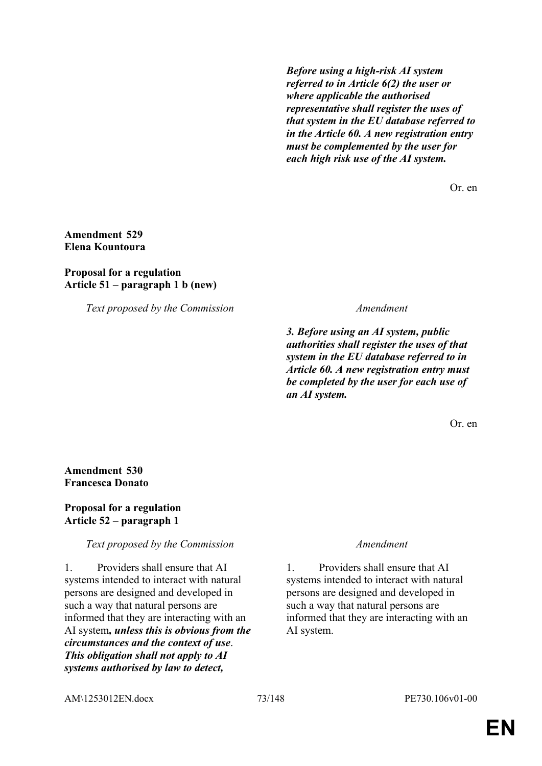*Before using a high-risk AI system referred to in Article 6(2) the user or where applicable the authorised representative shall register the uses of that system in the EU database referred to in the Article 60. A new registration entry must be complemented by the user for each high risk use of the AI system.*

Or. en

## **Amendment 529 Elena Kountoura**

## **Proposal for a regulation Article 51 – paragraph 1 b (new)**

*Text proposed by the Commission Amendment*

*3. Before using an AI system, public authorities shall register the uses of that system in the EU database referred to in Article 60. A new registration entry must be completed by the user for each use of an AI system.*

Or. en

## **Amendment 530 Francesca Donato**

## **Proposal for a regulation Article 52 – paragraph 1**

## *Text proposed by the Commission Amendment*

1. Providers shall ensure that AI systems intended to interact with natural persons are designed and developed in such a way that natural persons are informed that they are interacting with an AI system*, unless this is obvious from the circumstances and the context of use*. *This obligation shall not apply to AI systems authorised by law to detect,* 

1. Providers shall ensure that AI systems intended to interact with natural persons are designed and developed in such a way that natural persons are informed that they are interacting with an AI system.

AM\1253012EN.docx 73/148 PE730.106v01-00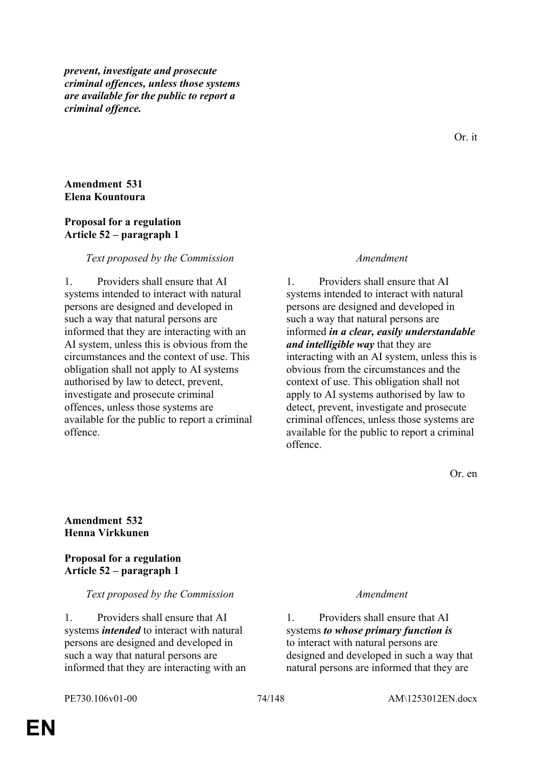*prevent, investigate and prosecute criminal offences, unless those systems are available for the public to report a criminal offence.*

## **Amendment 531 Elena Kountoura**

#### **Proposal for a regulation Article 52 – paragraph 1**

#### *Text proposed by the Commission Amendment*

1. Providers shall ensure that AI systems intended to interact with natural persons are designed and developed in such a way that natural persons are informed that they are interacting with an AI system, unless this is obvious from the circumstances and the context of use. This obligation shall not apply to AI systems authorised by law to detect, prevent, investigate and prosecute criminal offences, unless those systems are available for the public to report a criminal offence.

1. Providers shall ensure that AI systems intended to interact with natural persons are designed and developed in such a way that natural persons are informed *in a clear, easily understandable and intelligible way* that they are interacting with an AI system, unless this is obvious from the circumstances and the context of use. This obligation shall not apply to AI systems authorised by law to detect, prevent, investigate and prosecute criminal offences, unless those systems are available for the public to report a criminal offence.

Or. en

#### **Amendment 532 Henna Virkkunen**

**Proposal for a regulation Article 52 – paragraph 1**

#### *Text proposed by the Commission Amendment*

1. Providers shall ensure that AI systems *intended* to interact with natural persons are designed and developed in such a way that natural persons are informed that they are interacting with an

1. Providers shall ensure that AI systems *to whose primary function is* to interact with natural persons are designed and developed in such a way that natural persons are informed that they are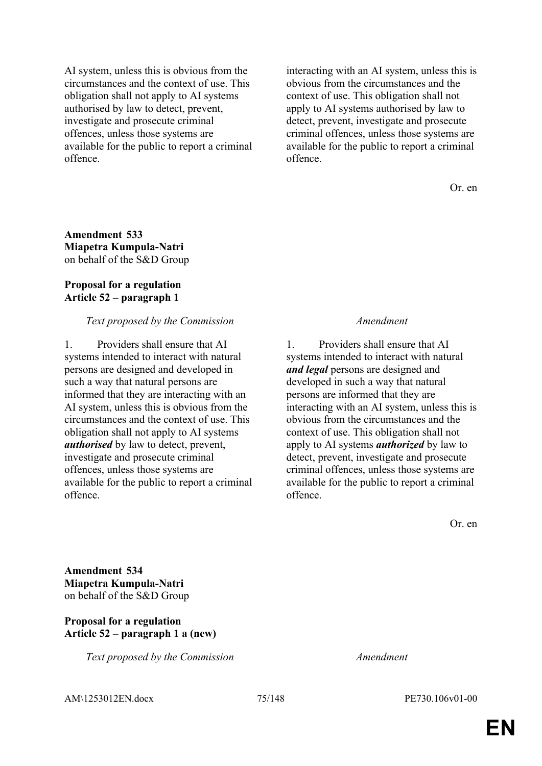AI system, unless this is obvious from the circumstances and the context of use. This obligation shall not apply to AI systems authorised by law to detect, prevent, investigate and prosecute criminal offences, unless those systems are available for the public to report a criminal offence.

interacting with an AI system, unless this is obvious from the circumstances and the context of use. This obligation shall not apply to AI systems authorised by law to detect, prevent, investigate and prosecute criminal offences, unless those systems are available for the public to report a criminal offence.

Or. en

**Amendment 533 Miapetra Kumpula-Natri** on behalf of the S&D Group

## **Proposal for a regulation Article 52 – paragraph 1**

## *Text proposed by the Commission Amendment*

1. Providers shall ensure that AI systems intended to interact with natural persons are designed and developed in such a way that natural persons are informed that they are interacting with an AI system, unless this is obvious from the circumstances and the context of use. This obligation shall not apply to AI systems *authorised* by law to detect, prevent, investigate and prosecute criminal offences, unless those systems are available for the public to report a criminal offence.

1. Providers shall ensure that AI systems intended to interact with natural *and legal* persons are designed and developed in such a way that natural persons are informed that they are interacting with an AI system, unless this is obvious from the circumstances and the context of use. This obligation shall not apply to AI systems *authorized* by law to detect, prevent, investigate and prosecute criminal offences, unless those systems are available for the public to report a criminal offence.

Or. en

**Amendment 534 Miapetra Kumpula-Natri** on behalf of the S&D Group

## **Proposal for a regulation Article 52 – paragraph 1 a (new)**

*Text proposed by the Commission Amendment*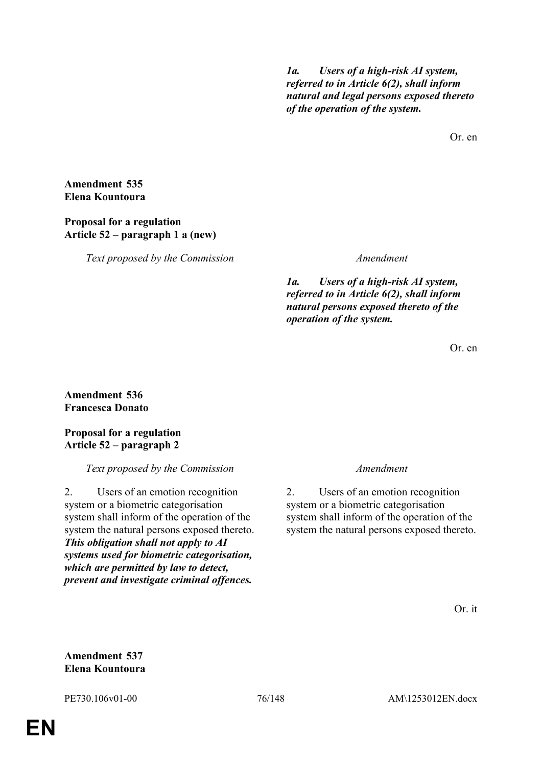*1a. Users of a high-risk AI system, referred to in Article 6(2), shall inform natural and legal persons exposed thereto of the operation of the system.*

Or. en

**Amendment 535 Elena Kountoura**

## **Proposal for a regulation Article 52 – paragraph 1 a (new)**

*Text proposed by the Commission Amendment*

*1a. Users of a high-risk AI system, referred to in Article 6(2), shall inform natural persons exposed thereto of the operation of the system.*

Or. en

# **Amendment 536 Francesca Donato**

## **Proposal for a regulation Article 52 – paragraph 2**

# *Text proposed by the Commission Amendment*

2. Users of an emotion recognition system or a biometric categorisation system shall inform of the operation of the system the natural persons exposed thereto. *This obligation shall not apply to AI systems used for biometric categorisation, which are permitted by law to detect, prevent and investigate criminal offences.*

2. Users of an emotion recognition system or a biometric categorisation system shall inform of the operation of the system the natural persons exposed thereto.

Or. it

**Amendment 537 Elena Kountoura**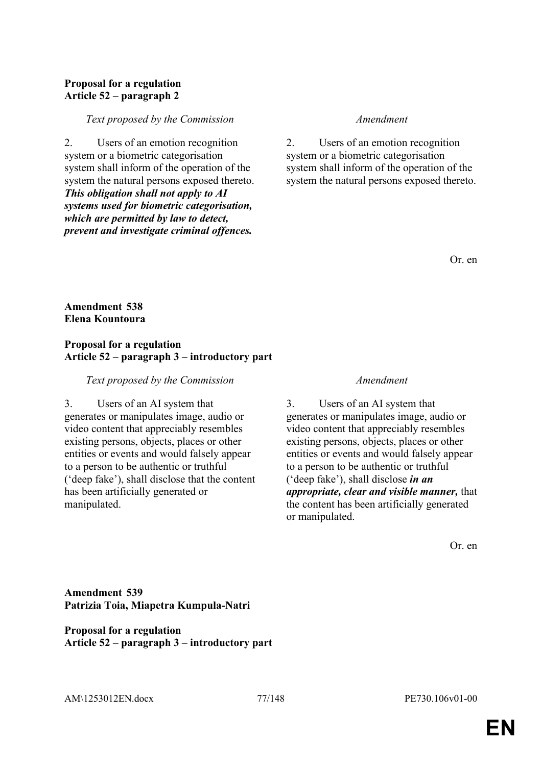# **Proposal for a regulation Article 52 – paragraph 2**

#### *Text proposed by the Commission Amendment*

2. Users of an emotion recognition system or a biometric categorisation system shall inform of the operation of the system the natural persons exposed thereto. *This obligation shall not apply to AI systems used for biometric categorisation, which are permitted by law to detect, prevent and investigate criminal offences.*

2. Users of an emotion recognition system or a biometric categorisation system shall inform of the operation of the system the natural persons exposed thereto.

Or. en

## **Amendment 538 Elena Kountoura**

## **Proposal for a regulation Article 52 – paragraph 3 – introductory part**

#### *Text proposed by the Commission Amendment*

3. Users of an AI system that generates or manipulates image, audio or video content that appreciably resembles existing persons, objects, places or other entities or events and would falsely appear to a person to be authentic or truthful ('deep fake'), shall disclose that the content has been artificially generated or manipulated.

3. Users of an AI system that generates or manipulates image, audio or video content that appreciably resembles existing persons, objects, places or other entities or events and would falsely appear to a person to be authentic or truthful ('deep fake'), shall disclose *in an appropriate, clear and visible manner,* that the content has been artificially generated or manipulated.

Or. en

**Amendment 539 Patrizia Toia, Miapetra Kumpula-Natri**

## **Proposal for a regulation Article 52 – paragraph 3 – introductory part**

AM\1253012EN.docx 77/148 PE730.106v01-00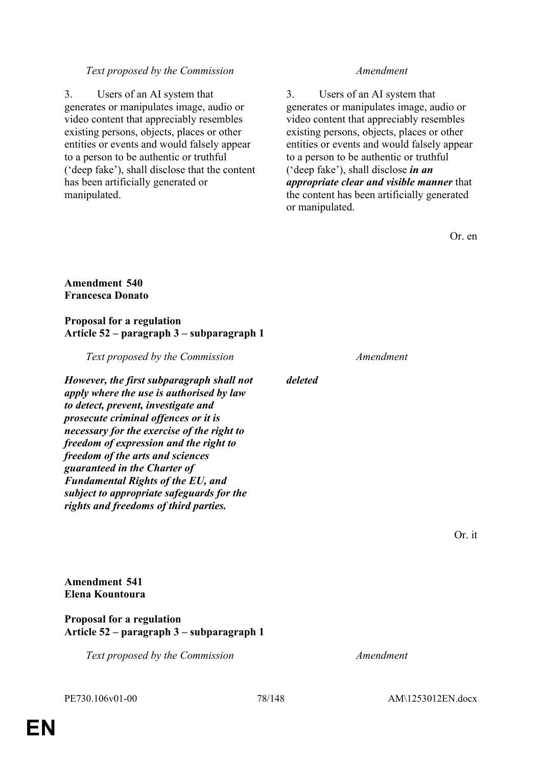## *Text proposed by the Commission Amendment*

3. Users of an AI system that generates or manipulates image, audio or video content that appreciably resembles existing persons, objects, places or other entities or events and would falsely appear to a person to be authentic or truthful ('deep fake'), shall disclose that the content has been artificially generated or manipulated.

3. Users of an AI system that generates or manipulates image, audio or video content that appreciably resembles existing persons, objects, places or other entities or events and would falsely appear to a person to be authentic or truthful ('deep fake'), shall disclose *in an appropriate clear and visible manner* that the content has been artificially generated or manipulated.

Or. en

## **Amendment 540 Francesca Donato**

## **Proposal for a regulation Article 52 – paragraph 3 – subparagraph 1**

*Text proposed by the Commission Amendment However, the first subparagraph shall not apply where the use is authorised by law to detect, prevent, investigate and prosecute criminal offences or it is necessary for the exercise of the right to freedom of expression and the right to freedom of the arts and sciences guaranteed in the Charter of Fundamental Rights of the EU, and subject to appropriate safeguards for the rights and freedoms of third parties. deleted*

Or. it

**Amendment 541 Elena Kountoura**

## **Proposal for a regulation Article 52 – paragraph 3 – subparagraph 1**

*Text proposed by the Commission Amendment*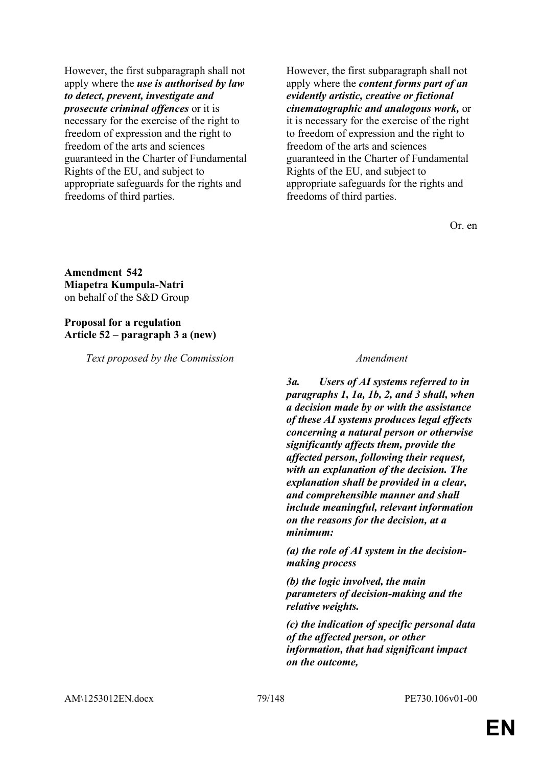However, the first subparagraph shall not apply where the *use is authorised by law to detect, prevent, investigate and prosecute criminal offences* or it is necessary for the exercise of the right to freedom of expression and the right to freedom of the arts and sciences guaranteed in the Charter of Fundamental Rights of the EU, and subject to appropriate safeguards for the rights and freedoms of third parties.

However, the first subparagraph shall not apply where the *content forms part of an evidently artistic, creative or fictional cinematographic and analogous work,* or it is necessary for the exercise of the right to freedom of expression and the right to freedom of the arts and sciences guaranteed in the Charter of Fundamental Rights of the EU, and subject to appropriate safeguards for the rights and freedoms of third parties.

Or. en

**Amendment 542 Miapetra Kumpula-Natri** on behalf of the S&D Group

**Proposal for a regulation Article 52 – paragraph 3 a (new)**

*Text proposed by the Commission Amendment*

*3a. Users of AI systems referred to in paragraphs 1, 1a, 1b, 2, and 3 shall, when a decision made by or with the assistance of these AI systems produces legal effects concerning a natural person or otherwise significantly affects them, provide the affected person, following their request, with an explanation of the decision. The explanation shall be provided in a clear, and comprehensible manner and shall include meaningful, relevant information on the reasons for the decision, at a minimum:*

*(a) the role of AI system in the decisionmaking process*

*(b) the logic involved, the main parameters of decision-making and the relative weights.*

*(c) the indication of specific personal data of the affected person, or other information, that had significant impact on the outcome,*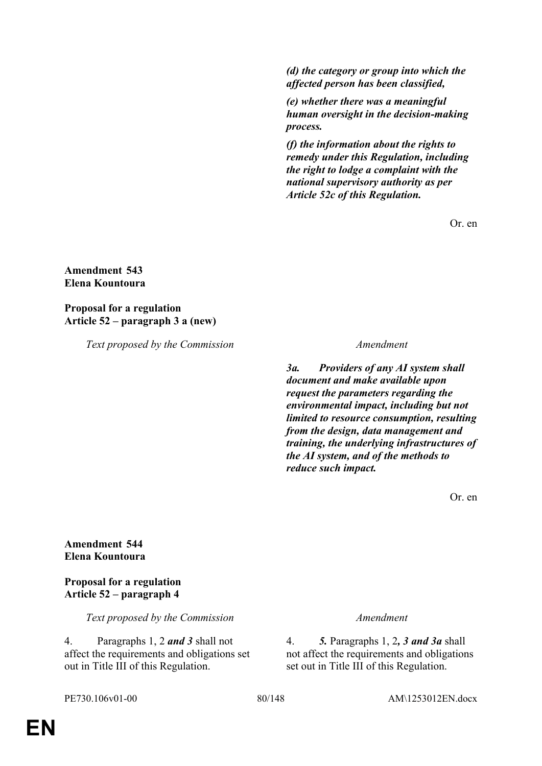*(d) the category or group into which the affected person has been classified,*

*(e) whether there was a meaningful human oversight in the decision-making process.*

*(f) the information about the rights to remedy under this Regulation, including the right to lodge a complaint with the national supervisory authority as per Article 52c of this Regulation.*

Or. en

## **Amendment 543 Elena Kountoura**

**Proposal for a regulation Article 52 – paragraph 3 a (new)**

*Text proposed by the Commission Amendment*

*3a. Providers of any AI system shall document and make available upon request the parameters regarding the environmental impact, including but not limited to resource consumption, resulting from the design, data management and training, the underlying infrastructures of the AI system, and of the methods to reduce such impact.*

Or. en

**Amendment 544 Elena Kountoura**

**Proposal for a regulation Article 52 – paragraph 4**

*Text proposed by the Commission Amendment*

4. Paragraphs 1, 2 *and 3* shall not affect the requirements and obligations set out in Title III of this Regulation.

4. *5.* Paragraphs 1, 2*, 3 and 3a* shall not affect the requirements and obligations set out in Title III of this Regulation.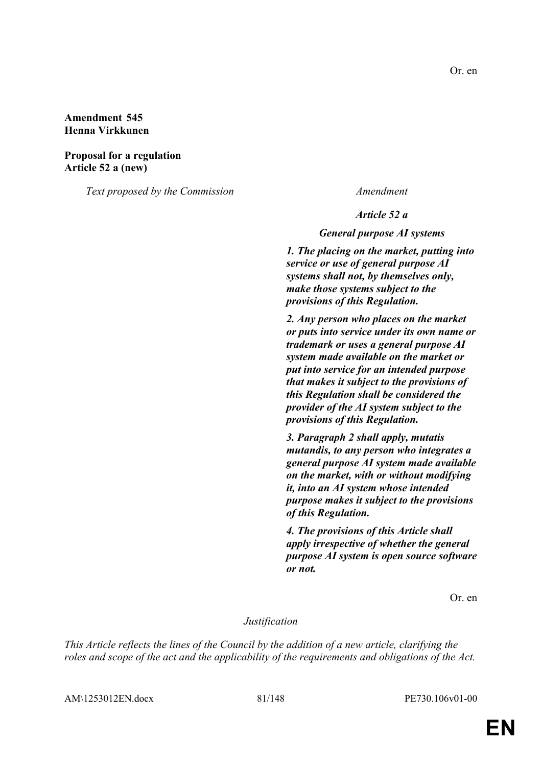## **Amendment 545 Henna Virkkunen**

**Proposal for a regulation Article 52 a (new)**

*Text proposed by the Commission Amendment*

*Article 52 a*

*General purpose AI systems*

*1. The placing on the market, putting into service or use of general purpose AI systems shall not, by themselves only, make those systems subject to the provisions of this Regulation.*

*2. Any person who places on the market or puts into service under its own name or trademark or uses a general purpose AI system made available on the market or put into service for an intended purpose that makes it subject to the provisions of this Regulation shall be considered the provider of the AI system subject to the provisions of this Regulation.*

*3. Paragraph 2 shall apply, mutatis mutandis, to any person who integrates a general purpose AI system made available on the market, with or without modifying it, into an AI system whose intended purpose makes it subject to the provisions of this Regulation.*

*4. The provisions of this Article shall apply irrespective of whether the general purpose AI system is open source software or not.*

Or. en

## *Justification*

*This Article reflects the lines of the Council by the addition of a new article, clarifying the roles and scope of the act and the applicability of the requirements and obligations of the Act.*

AM\1253012EN.docx 81/148 PE730.106v01-00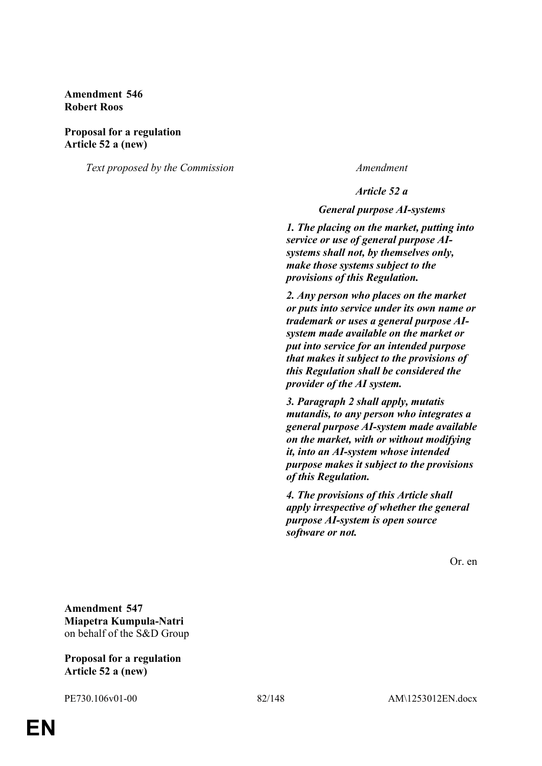**Amendment 546 Robert Roos**

#### **Proposal for a regulation Article 52 a (new)**

*Text proposed by the Commission Amendment*

*Article 52 a*

*General purpose AI-systems*

*1. The placing on the market, putting into service or use of general purpose AIsystems shall not, by themselves only, make those systems subject to the provisions of this Regulation.*

*2. Any person who places on the market or puts into service under its own name or trademark or uses a general purpose AIsystem made available on the market or put into service for an intended purpose that makes it subject to the provisions of this Regulation shall be considered the provider of the AI system.*

*3. Paragraph 2 shall apply, mutatis mutandis, to any person who integrates a general purpose AI-system made available on the market, with or without modifying it, into an AI-system whose intended purpose makes it subject to the provisions of this Regulation.*

*4. The provisions of this Article shall apply irrespective of whether the general purpose AI-system is open source software or not.*

Or. en

**Amendment 547 Miapetra Kumpula-Natri** on behalf of the S&D Group

#### **Proposal for a regulation Article 52 a (new)**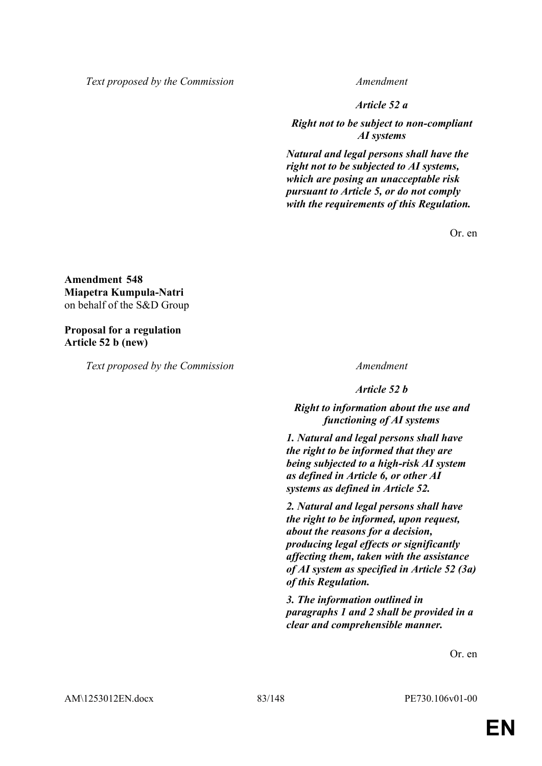*Text proposed by the Commission Amendment*

*Article 52 a*

*Right not to be subject to non-compliant AI systems*

*Natural and legal persons shall have the right not to be subjected to AI systems, which are posing an unacceptable risk pursuant to Article 5, or do not comply with the requirements of this Regulation.*

Or. en

**Amendment 548 Miapetra Kumpula-Natri** on behalf of the S&D Group

**Proposal for a regulation Article 52 b (new)**

*Text proposed by the Commission Amendment*

*Article 52 b*

*Right to information about the use and functioning of AI systems*

*1. Natural and legal persons shall have the right to be informed that they are being subjected to a high-risk AI system as defined in Article 6, or other AI systems as defined in Article 52.*

*2. Natural and legal persons shall have the right to be informed, upon request, about the reasons for a decision, producing legal effects or significantly affecting them, taken with the assistance of AI system as specified in Article 52 (3a) of this Regulation.*

*3. The information outlined in paragraphs 1 and 2 shall be provided in a clear and comprehensible manner.*

Or. en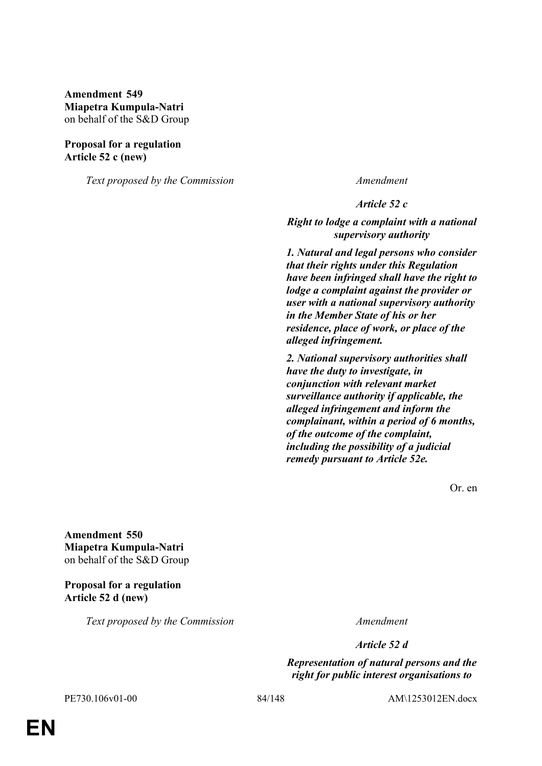**Amendment 549 Miapetra Kumpula-Natri** on behalf of the S&D Group

### **Proposal for a regulation Article 52 c (new)**

*Text proposed by the Commission Amendment*

*Article 52 c*

*Right to lodge a complaint with a national supervisory authority*

*1. Natural and legal persons who consider that their rights under this Regulation have been infringed shall have the right to lodge a complaint against the provider or user with a national supervisory authority in the Member State of his or her residence, place of work, or place of the alleged infringement.*

*2. National supervisory authorities shall have the duty to investigate, in conjunction with relevant market surveillance authority if applicable, the alleged infringement and inform the complainant, within a period of 6 months, of the outcome of the complaint, including the possibility of a judicial remedy pursuant to Article 52e.*

Or. en

**Amendment 550 Miapetra Kumpula-Natri** on behalf of the S&D Group

**Proposal for a regulation Article 52 d (new)**

*Text proposed by the Commission Amendment*

*Article 52 d*

*Representation of natural persons and the right for public interest organisations to* 

PE730.106v01-00 84/148 AM\1253012EN.docx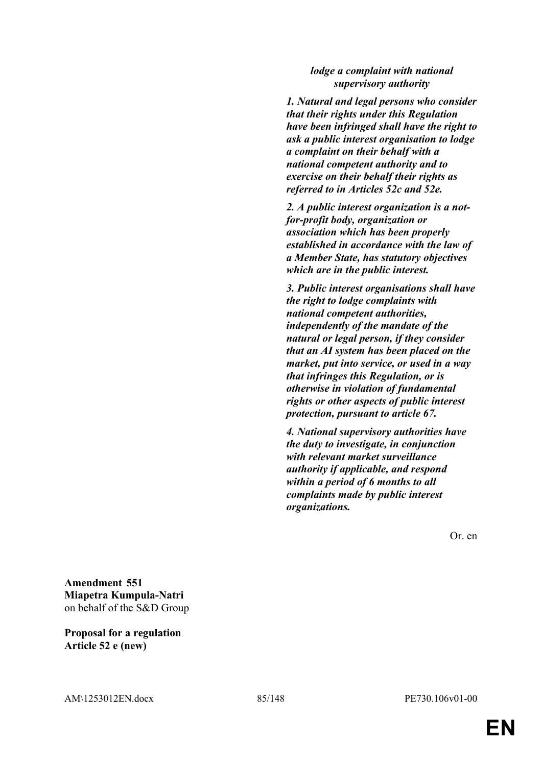## *lodge a complaint with national supervisory authority*

*1. Natural and legal persons who consider that their rights under this Regulation have been infringed shall have the right to ask a public interest organisation to lodge a complaint on their behalf with a national competent authority and to exercise on their behalf their rights as referred to in Articles 52c and 52e.*

*2. A public interest organization is a notfor-profit body, organization or association which has been properly established in accordance with the law of a Member State, has statutory objectives which are in the public interest.*

*3. Public interest organisations shall have the right to lodge complaints with national competent authorities, independently of the mandate of the natural or legal person, if they consider that an AI system has been placed on the market, put into service, or used in a way that infringes this Regulation, or is otherwise in violation of fundamental rights or other aspects of public interest protection, pursuant to article 67.*

*4. National supervisory authorities have the duty to investigate, in conjunction with relevant market surveillance authority if applicable, and respond within a period of 6 months to all complaints made by public interest organizations.*

Or. en

**Amendment 551 Miapetra Kumpula-Natri** on behalf of the S&D Group

**Proposal for a regulation Article 52 e (new)**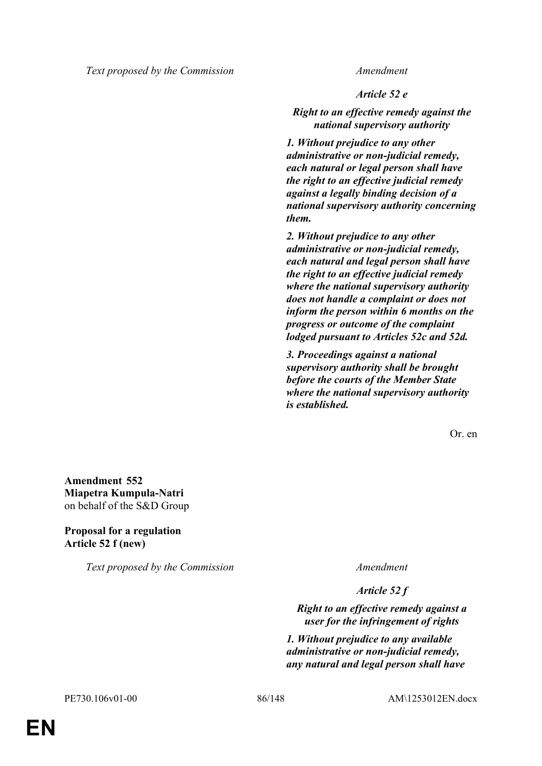*Text proposed by the Commission Amendment*

*Article 52 e*

*Right to an effective remedy against the national supervisory authority*

*1. Without prejudice to any other administrative or non-judicial remedy, each natural or legal person shall have the right to an effective judicial remedy against a legally binding decision of a national supervisory authority concerning them.*

*2. Without prejudice to any other administrative or non-judicial remedy, each natural and legal person shall have the right to an effective judicial remedy where the national supervisory authority does not handle a complaint or does not inform the person within 6 months on the progress or outcome of the complaint lodged pursuant to Articles 52c and 52d.*

*3. Proceedings against a national supervisory authority shall be brought before the courts of the Member State where the national supervisory authority is established.*

Or. en

**Amendment 552 Miapetra Kumpula-Natri** on behalf of the S&D Group

**Proposal for a regulation Article 52 f (new)**

*Text proposed by the Commission Amendment*

*Article 52 f*

*Right to an effective remedy against a user for the infringement of rights*

*1. Without prejudice to any available administrative or non-judicial remedy, any natural and legal person shall have*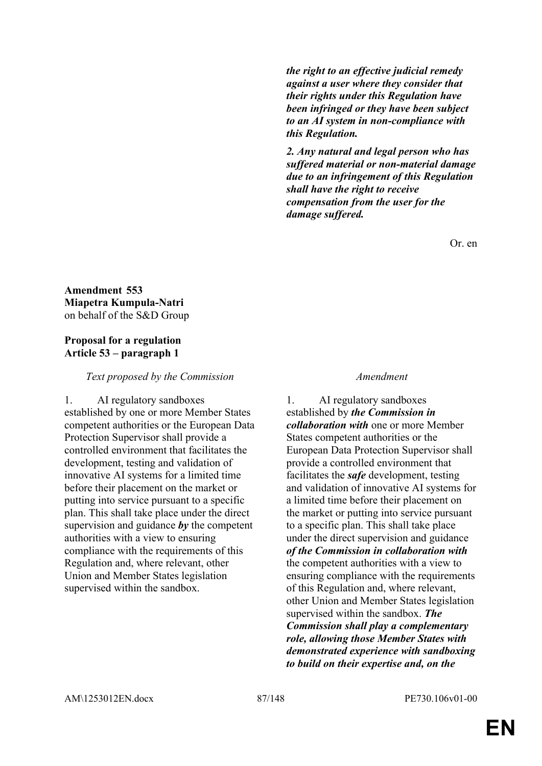*the right to an effective judicial remedy against a user where they consider that their rights under this Regulation have been infringed or they have been subject to an AI system in non-compliance with this Regulation.*

*2. Any natural and legal person who has suffered material or non-material damage due to an infringement of this Regulation shall have the right to receive compensation from the user for the damage suffered.*

Or. en

**Amendment 553 Miapetra Kumpula-Natri** on behalf of the S&D Group

## **Proposal for a regulation Article 53 – paragraph 1**

*Text proposed by the Commission Amendment*

1. AI regulatory sandboxes established by one or more Member States competent authorities or the European Data Protection Supervisor shall provide a controlled environment that facilitates the development, testing and validation of innovative AI systems for a limited time before their placement on the market or putting into service pursuant to a specific plan. This shall take place under the direct supervision and guidance *by* the competent authorities with a view to ensuring compliance with the requirements of this Regulation and, where relevant, other Union and Member States legislation supervised within the sandbox.

1. AI regulatory sandboxes established by *the Commission in collaboration with* one or more Member States competent authorities or the European Data Protection Supervisor shall provide a controlled environment that facilitates the *safe* development, testing and validation of innovative AI systems for a limited time before their placement on the market or putting into service pursuant to a specific plan. This shall take place under the direct supervision and guidance *of the Commission in collaboration with* the competent authorities with a view to ensuring compliance with the requirements of this Regulation and, where relevant, other Union and Member States legislation supervised within the sandbox. *The Commission shall play a complementary role, allowing those Member States with demonstrated experience with sandboxing to build on their expertise and, on the*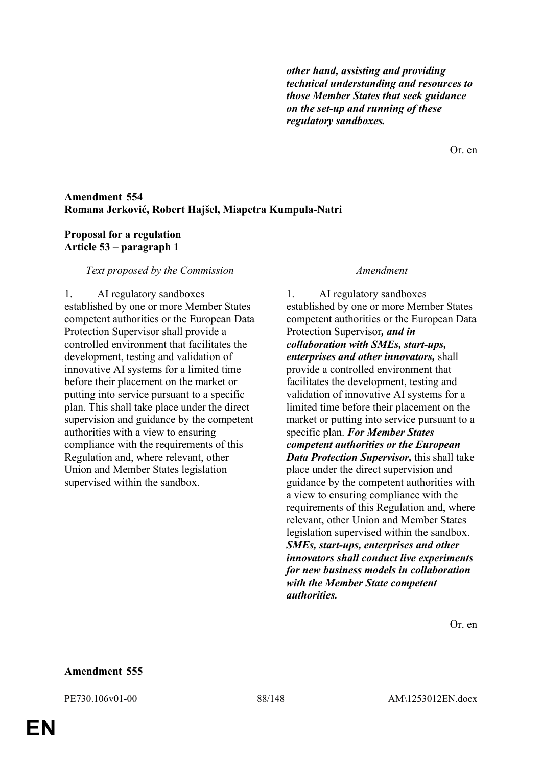*other hand, assisting and providing technical understanding and resources to those Member States that seek guidance on the set-up and running of these regulatory sandboxes.*

Or. en

## **Amendment 554 Romana Jerković, Robert Hajšel, Miapetra Kumpula-Natri**

## **Proposal for a regulation Article 53 – paragraph 1**

### *Text proposed by the Commission Amendment*

1. AI regulatory sandboxes established by one or more Member States competent authorities or the European Data Protection Supervisor shall provide a controlled environment that facilitates the development, testing and validation of innovative AI systems for a limited time before their placement on the market or putting into service pursuant to a specific plan. This shall take place under the direct supervision and guidance by the competent authorities with a view to ensuring compliance with the requirements of this Regulation and, where relevant, other Union and Member States legislation supervised within the sandbox.

1. AI regulatory sandboxes established by one or more Member States competent authorities or the European Data Protection Supervisor*, and in collaboration with SMEs, start-ups, enterprises and other innovators,* shall provide a controlled environment that facilitates the development, testing and validation of innovative AI systems for a limited time before their placement on the market or putting into service pursuant to a specific plan. *For Member States competent authorities or the European Data Protection Supervisor,* this shall take place under the direct supervision and guidance by the competent authorities with a view to ensuring compliance with the requirements of this Regulation and, where relevant, other Union and Member States legislation supervised within the sandbox. *SMEs, start-ups, enterprises and other innovators shall conduct live experiments for new business models in collaboration with the Member State competent authorities.*

Or. en

### **Amendment 555**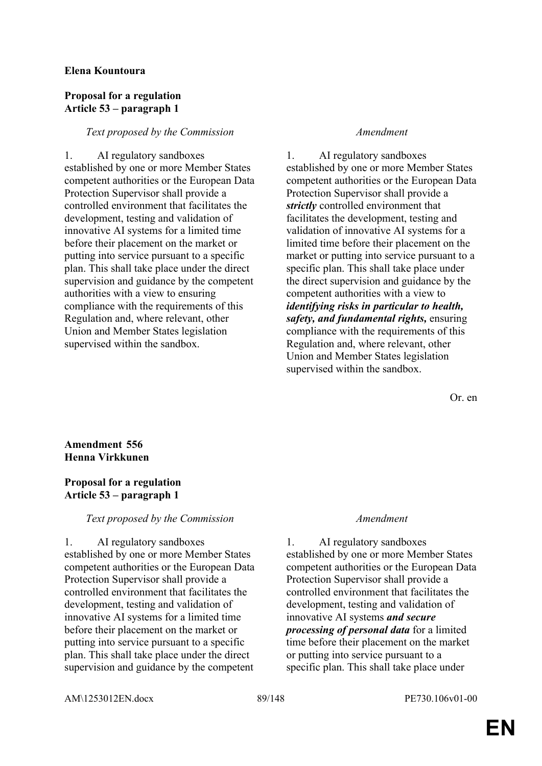## **Elena Kountoura**

## **Proposal for a regulation Article 53 – paragraph 1**

## *Text proposed by the Commission Amendment*

1. AI regulatory sandboxes established by one or more Member States competent authorities or the European Data Protection Supervisor shall provide a controlled environment that facilitates the development, testing and validation of innovative AI systems for a limited time before their placement on the market or putting into service pursuant to a specific plan. This shall take place under the direct supervision and guidance by the competent authorities with a view to ensuring compliance with the requirements of this Regulation and, where relevant, other Union and Member States legislation supervised within the sandbox.

1. AI regulatory sandboxes established by one or more Member States competent authorities or the European Data Protection Supervisor shall provide a *strictly* controlled environment that facilitates the development, testing and validation of innovative AI systems for a limited time before their placement on the market or putting into service pursuant to a specific plan. This shall take place under the direct supervision and guidance by the competent authorities with a view to *identifying risks in particular to health, safety, and fundamental rights,* ensuring compliance with the requirements of this Regulation and, where relevant, other Union and Member States legislation supervised within the sandbox.

Or. en

# **Amendment 556 Henna Virkkunen**

# **Proposal for a regulation Article 53 – paragraph 1**

# *Text proposed by the Commission Amendment*

1. AI regulatory sandboxes established by one or more Member States competent authorities or the European Data Protection Supervisor shall provide a controlled environment that facilitates the development, testing and validation of innovative AI systems for a limited time before their placement on the market or putting into service pursuant to a specific plan. This shall take place under the direct supervision and guidance by the competent

1. AI regulatory sandboxes established by one or more Member States competent authorities or the European Data Protection Supervisor shall provide a controlled environment that facilitates the development, testing and validation of innovative AI systems *and secure processing of personal data* for a limited time before their placement on the market or putting into service pursuant to a specific plan. This shall take place under

AM\1253012EN.docx 89/148 PE730.106v01-00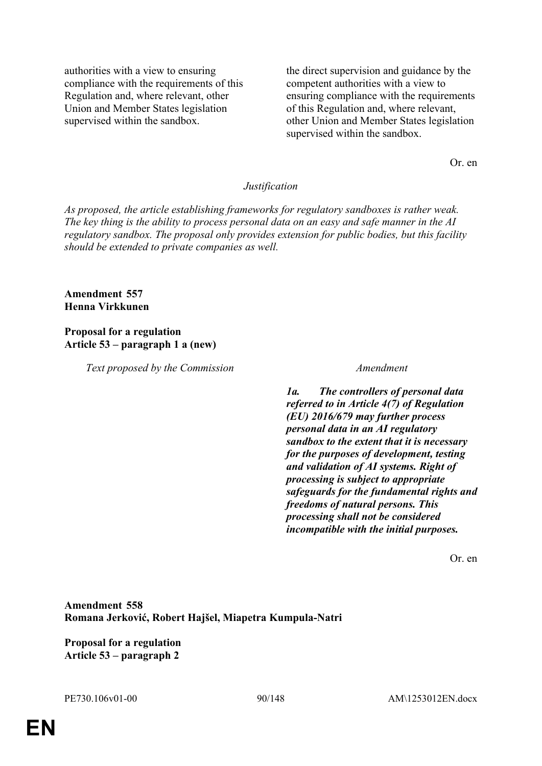authorities with a view to ensuring compliance with the requirements of this Regulation and, where relevant, other Union and Member States legislation supervised within the sandbox.

the direct supervision and guidance by the competent authorities with a view to ensuring compliance with the requirements of this Regulation and, where relevant, other Union and Member States legislation supervised within the sandbox.

Or. en

### *Justification*

*As proposed, the article establishing frameworks for regulatory sandboxes is rather weak. The key thing is the ability to process personal data on an easy and safe manner in the AI regulatory sandbox. The proposal only provides extension for public bodies, but this facility should be extended to private companies as well.*

## **Amendment 557 Henna Virkkunen**

### **Proposal for a regulation Article 53 – paragraph 1 a (new)**

*Text proposed by the Commission Amendment*

*1a. The controllers of personal data referred to in Article 4(7) of Regulation (EU) 2016/679 may further process personal data in an AI regulatory sandbox to the extent that it is necessary for the purposes of development, testing and validation of AI systems. Right of processing is subject to appropriate safeguards for the fundamental rights and freedoms of natural persons. This processing shall not be considered incompatible with the initial purposes.*

Or. en

**Amendment 558 Romana Jerković, Robert Hajšel, Miapetra Kumpula-Natri**

**Proposal for a regulation Article 53 – paragraph 2**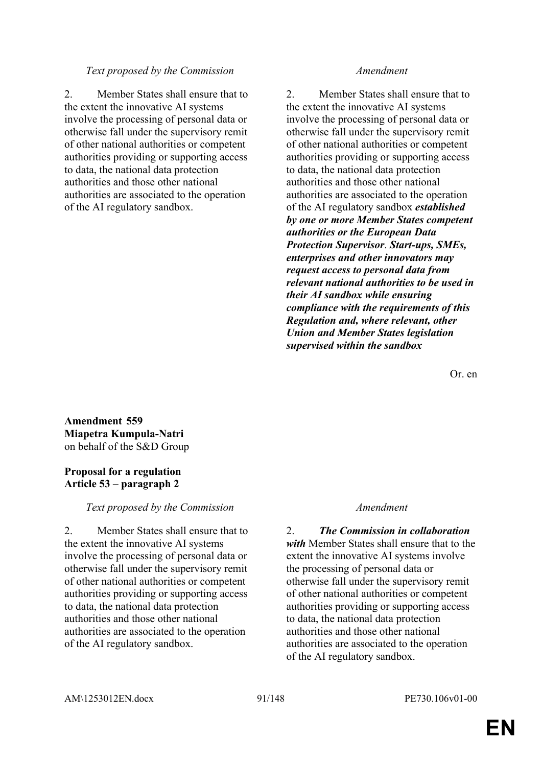### *Text proposed by the Commission Amendment*

2. Member States shall ensure that to the extent the innovative AI systems involve the processing of personal data or otherwise fall under the supervisory remit of other national authorities or competent authorities providing or supporting access to data, the national data protection authorities and those other national authorities are associated to the operation of the AI regulatory sandbox.

2. Member States shall ensure that to the extent the innovative AI systems involve the processing of personal data or otherwise fall under the supervisory remit of other national authorities or competent authorities providing or supporting access to data, the national data protection authorities and those other national authorities are associated to the operation of the AI regulatory sandbox *established by one or more Member States competent authorities or the European Data Protection Supervisor*. *Start-ups, SMEs, enterprises and other innovators may request access to personal data from relevant national authorities to be used in their AI sandbox while ensuring compliance with the requirements of this Regulation and, where relevant, other Union and Member States legislation supervised within the sandbox*

Or. en

**Amendment 559 Miapetra Kumpula-Natri** on behalf of the S&D Group

## **Proposal for a regulation Article 53 – paragraph 2**

*Text proposed by the Commission Amendment*

2. Member States shall ensure that to the extent the innovative AI systems involve the processing of personal data or otherwise fall under the supervisory remit of other national authorities or competent authorities providing or supporting access to data, the national data protection authorities and those other national authorities are associated to the operation of the AI regulatory sandbox.

2. *The Commission in collaboration with* Member States shall ensure that to the extent the innovative AI systems involve the processing of personal data or otherwise fall under the supervisory remit of other national authorities or competent authorities providing or supporting access to data, the national data protection authorities and those other national authorities are associated to the operation of the AI regulatory sandbox.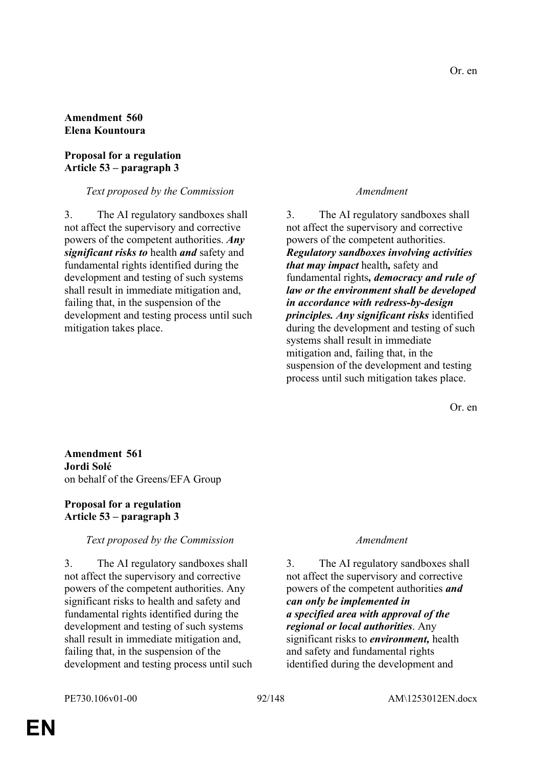## **Amendment 560 Elena Kountoura**

## **Proposal for a regulation Article 53 – paragraph 3**

# *Text proposed by the Commission Amendment*

3. The AI regulatory sandboxes shall not affect the supervisory and corrective powers of the competent authorities. *Any significant risks to* health *and* safety and fundamental rights identified during the development and testing of such systems shall result in immediate mitigation and, failing that, in the suspension of the development and testing process until such mitigation takes place.

3. The AI regulatory sandboxes shall not affect the supervisory and corrective powers of the competent authorities. *Regulatory sandboxes involving activities that may impact* health*,* safety and fundamental rights*, democracy and rule of law or the environment shall be developed in accordance with redress-by-design principles. Any significant risks* identified during the development and testing of such systems shall result in immediate mitigation and, failing that, in the suspension of the development and testing process until such mitigation takes place.

Or. en

**Amendment 561 Jordi Solé** on behalf of the Greens/EFA Group

## **Proposal for a regulation Article 53 – paragraph 3**

# *Text proposed by the Commission Amendment*

3. The AI regulatory sandboxes shall not affect the supervisory and corrective powers of the competent authorities. Any significant risks to health and safety and fundamental rights identified during the development and testing of such systems shall result in immediate mitigation and, failing that, in the suspension of the development and testing process until such

3. The AI regulatory sandboxes shall not affect the supervisory and corrective powers of the competent authorities *and can only be implemented in a specified area with approval of the regional or local authorities*. Any significant risks to *environment,* health and safety and fundamental rights identified during the development and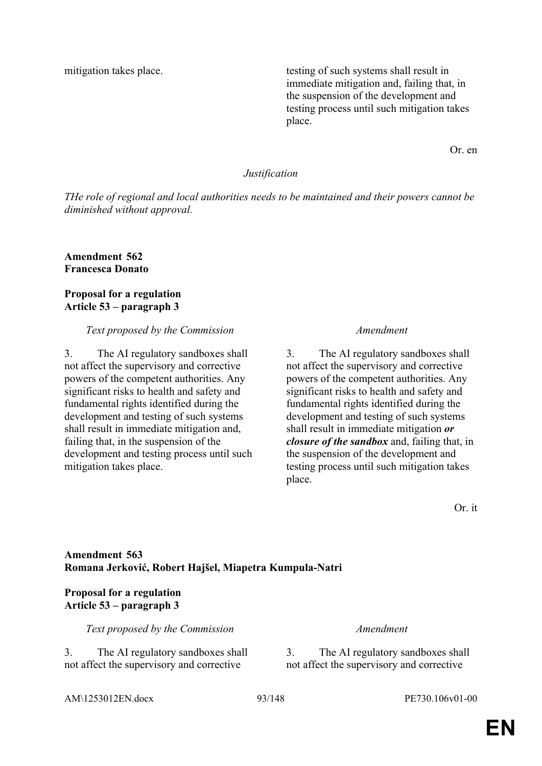mitigation takes place. the testing of such systems shall result in immediate mitigation and, failing that, in the suspension of the development and testing process until such mitigation takes place.

Or. en

### *Justification*

*THe role of regional and local authorities needs to be maintained and their powers cannot be diminished without approval.*

**Amendment 562 Francesca Donato**

## **Proposal for a regulation Article 53 – paragraph 3**

### *Text proposed by the Commission Amendment*

3. The AI regulatory sandboxes shall not affect the supervisory and corrective powers of the competent authorities. Any significant risks to health and safety and fundamental rights identified during the development and testing of such systems shall result in immediate mitigation and, failing that, in the suspension of the development and testing process until such mitigation takes place.

3. The AI regulatory sandboxes shall not affect the supervisory and corrective powers of the competent authorities. Any significant risks to health and safety and fundamental rights identified during the development and testing of such systems shall result in immediate mitigation *or closure of the sandbox* and, failing that, in the suspension of the development and testing process until such mitigation takes place.

Or. it

## **Amendment 563 Romana Jerković, Robert Hajšel, Miapetra Kumpula-Natri**

## **Proposal for a regulation Article 53 – paragraph 3**

*Text proposed by the Commission Amendment*

3. The AI regulatory sandboxes shall not affect the supervisory and corrective

3. The AI regulatory sandboxes shall not affect the supervisory and corrective

AM\1253012EN.docx 93/148 PE730.106v01-00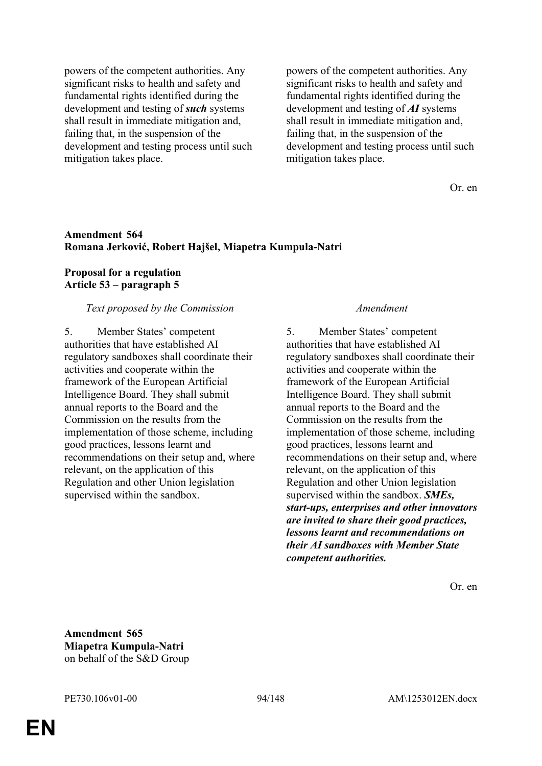powers of the competent authorities. Any significant risks to health and safety and fundamental rights identified during the development and testing of *such* systems shall result in immediate mitigation and, failing that, in the suspension of the development and testing process until such mitigation takes place.

powers of the competent authorities. Any significant risks to health and safety and fundamental rights identified during the development and testing of *AI* systems shall result in immediate mitigation and, failing that, in the suspension of the development and testing process until such mitigation takes place.

Or. en

### **Amendment 564 Romana Jerković, Robert Hajšel, Miapetra Kumpula-Natri**

## **Proposal for a regulation Article 53 – paragraph 5**

### *Text proposed by the Commission Amendment*

5. Member States' competent authorities that have established AI regulatory sandboxes shall coordinate their activities and cooperate within the framework of the European Artificial Intelligence Board. They shall submit annual reports to the Board and the Commission on the results from the implementation of those scheme, including good practices, lessons learnt and recommendations on their setup and, where relevant, on the application of this Regulation and other Union legislation supervised within the sandbox.

5. Member States' competent authorities that have established AI regulatory sandboxes shall coordinate their activities and cooperate within the framework of the European Artificial Intelligence Board. They shall submit annual reports to the Board and the Commission on the results from the implementation of those scheme, including good practices, lessons learnt and recommendations on their setup and, where relevant, on the application of this Regulation and other Union legislation supervised within the sandbox. *SMEs, start-ups, enterprises and other innovators are invited to share their good practices, lessons learnt and recommendations on their AI sandboxes with Member State competent authorities.*

Or. en

**Amendment 565 Miapetra Kumpula-Natri** on behalf of the S&D Group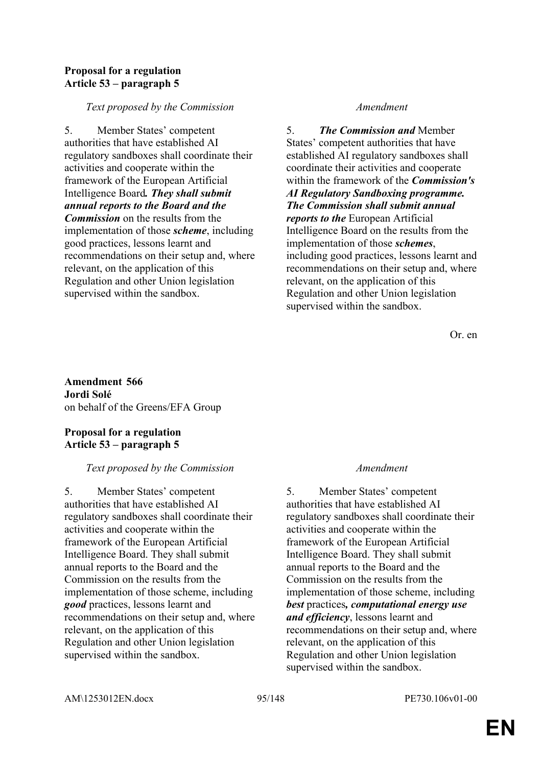## **Proposal for a regulation Article 53 – paragraph 5**

## *Text proposed by the Commission Amendment*

5. Member States' competent authorities that have established AI regulatory sandboxes shall coordinate their activities and cooperate within the framework of the European Artificial Intelligence Board*. They shall submit annual reports to the Board and the Commission* on the results from the implementation of those *scheme*, including good practices, lessons learnt and recommendations on their setup and, where relevant, on the application of this Regulation and other Union legislation supervised within the sandbox.

5. *The Commission and* Member States' competent authorities that have established AI regulatory sandboxes shall coordinate their activities and cooperate within the framework of the *Commission's AI Regulatory Sandboxing programme. The Commission shall submit annual reports to the* European Artificial Intelligence Board on the results from the implementation of those *schemes*, including good practices, lessons learnt and recommendations on their setup and, where relevant, on the application of this Regulation and other Union legislation supervised within the sandbox.

Or. en

**Amendment 566 Jordi Solé** on behalf of the Greens/EFA Group

# **Proposal for a regulation Article 53 – paragraph 5**

# *Text proposed by the Commission Amendment*

5. Member States' competent authorities that have established AI regulatory sandboxes shall coordinate their activities and cooperate within the framework of the European Artificial Intelligence Board. They shall submit annual reports to the Board and the Commission on the results from the implementation of those scheme, including *good* practices, lessons learnt and recommendations on their setup and, where relevant, on the application of this Regulation and other Union legislation supervised within the sandbox.

5. Member States' competent authorities that have established AI regulatory sandboxes shall coordinate their activities and cooperate within the framework of the European Artificial Intelligence Board. They shall submit annual reports to the Board and the Commission on the results from the implementation of those scheme, including *best* practices*, computational energy use and efficiency*, lessons learnt and recommendations on their setup and, where relevant, on the application of this Regulation and other Union legislation supervised within the sandbox.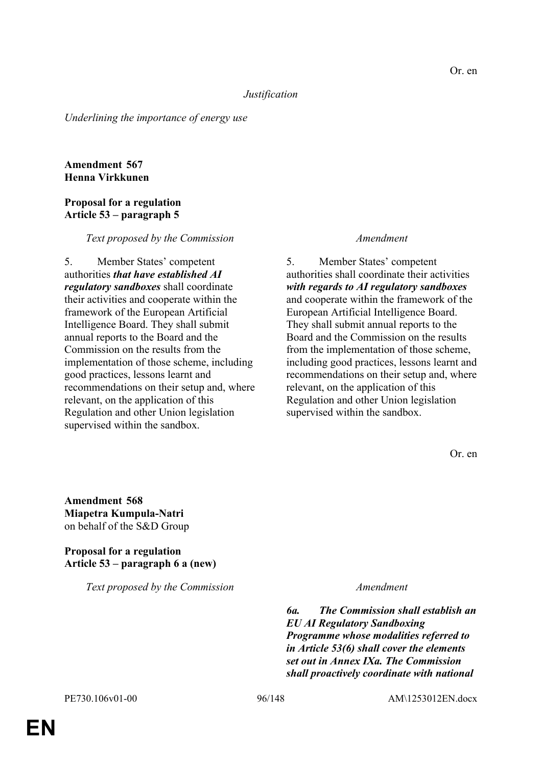### *Justification*

*Underlining the importance of energy use*

## **Amendment 567 Henna Virkkunen**

## **Proposal for a regulation Article 53 – paragraph 5**

### *Text proposed by the Commission Amendment*

5. Member States' competent authorities *that have established AI regulatory sandboxes* shall coordinate their activities and cooperate within the framework of the European Artificial Intelligence Board. They shall submit annual reports to the Board and the Commission on the results from the implementation of those scheme, including good practices, lessons learnt and recommendations on their setup and, where relevant, on the application of this Regulation and other Union legislation supervised within the sandbox.

5. Member States' competent authorities shall coordinate their activities *with regards to AI regulatory sandboxes* and cooperate within the framework of the European Artificial Intelligence Board. They shall submit annual reports to the Board and the Commission on the results from the implementation of those scheme, including good practices, lessons learnt and recommendations on their setup and, where relevant, on the application of this Regulation and other Union legislation supervised within the sandbox.

Or. en

**Amendment 568 Miapetra Kumpula-Natri** on behalf of the S&D Group

## **Proposal for a regulation Article 53 – paragraph 6 a (new)**

*Text proposed by the Commission Amendment*

*6a. The Commission shall establish an EU AI Regulatory Sandboxing Programme whose modalities referred to in Article 53(6) shall cover the elements set out in Annex IXa. The Commission shall proactively coordinate with national*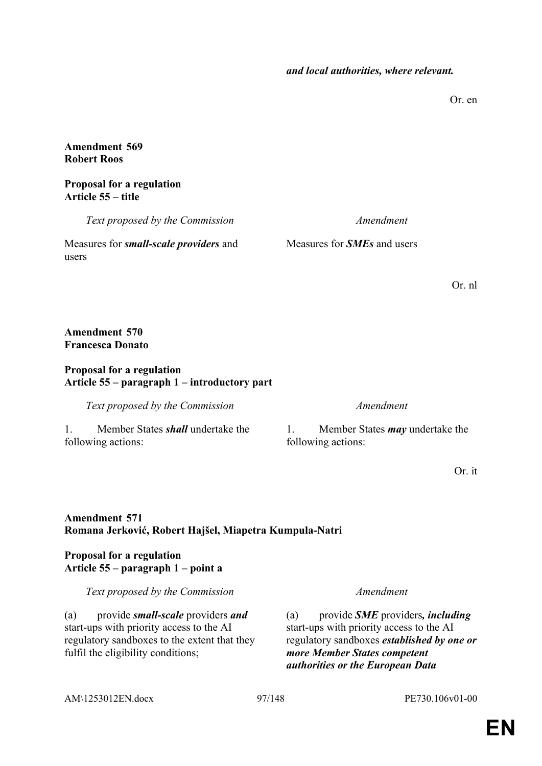Or. en

## **Amendment 569 Robert Roos**

## **Proposal for a regulation Article 55 – title**

*Text proposed by the Commission Amendment*

Measures for *small-scale providers* and users

Measures for *SMEs* and users

Or. nl

## **Amendment 570 Francesca Donato**

# **Proposal for a regulation Article 55 – paragraph 1 – introductory part**

*Text proposed by the Commission Amendment*

1. Member States *shall* undertake the following actions:

1. Member States *may* undertake the following actions:

Or. it

# **Amendment 571 Romana Jerković, Robert Hajšel, Miapetra Kumpula-Natri**

## **Proposal for a regulation Article 55 – paragraph 1 – point a**

*Text proposed by the Commission Amendment*

(a) provide *small-scale* providers *and* start-ups with priority access to the AI regulatory sandboxes to the extent that they fulfil the eligibility conditions;

(a) provide *SME* providers*, including* start-ups with priority access to the AI regulatory sandboxes *established by one or more Member States competent authorities or the European Data* 

AM\1253012EN.docx 97/148 PE730.106v01-00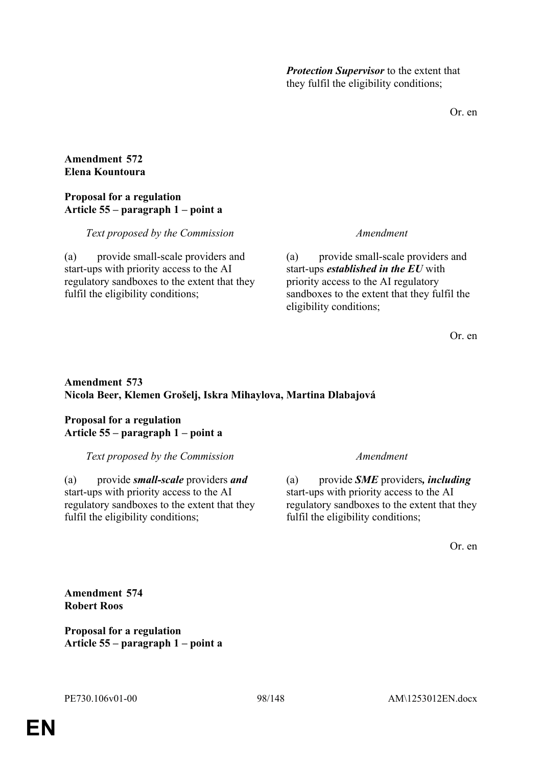*Protection Supervisor* to the extent that they fulfil the eligibility conditions;

Or. en

## **Amendment 572 Elena Kountoura**

# **Proposal for a regulation Article 55 – paragraph 1 – point a**

# *Text proposed by the Commission Amendment*

(a) provide small-scale providers and start-ups with priority access to the AI regulatory sandboxes to the extent that they fulfil the eligibility conditions;

(a) provide small-scale providers and start-ups *established in the EU* with priority access to the AI regulatory sandboxes to the extent that they fulfil the eligibility conditions;

Or. en

# **Amendment 573 Nicola Beer, Klemen Grošelj, Iskra Mihaylova, Martina Dlabajová**

# **Proposal for a regulation Article 55 – paragraph 1 – point a**

*Text proposed by the Commission Amendment*

(a) provide *small-scale* providers *and* start-ups with priority access to the AI regulatory sandboxes to the extent that they fulfil the eligibility conditions;

(a) provide *SME* providers*, including* start-ups with priority access to the AI regulatory sandboxes to the extent that they fulfil the eligibility conditions;

Or. en

**Amendment 574 Robert Roos**

**Proposal for a regulation Article 55 – paragraph 1 – point a**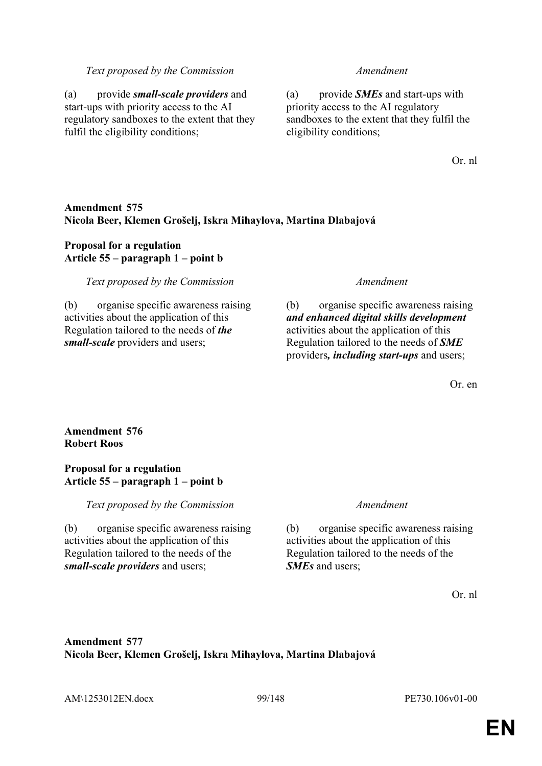### *Text proposed by the Commission Amendment*

(a) provide *small-scale providers* and start-ups with priority access to the AI regulatory sandboxes to the extent that they fulfil the eligibility conditions;

(a) provide *SMEs* and start-ups with priority access to the AI regulatory sandboxes to the extent that they fulfil the eligibility conditions;

Or. nl

## **Amendment 575 Nicola Beer, Klemen Grošelj, Iskra Mihaylova, Martina Dlabajová**

# **Proposal for a regulation Article 55 – paragraph 1 – point b**

### *Text proposed by the Commission Amendment*

(b) organise specific awareness raising activities about the application of this Regulation tailored to the needs of *the small-scale* providers and users;

(b) organise specific awareness raising *and enhanced digital skills development* activities about the application of this Regulation tailored to the needs of *SME* providers*, including start-ups* and users;

Or. en

# **Amendment 576 Robert Roos**

### **Proposal for a regulation Article 55 – paragraph 1 – point b**

*Text proposed by the Commission Amendment*

(b) organise specific awareness raising activities about the application of this Regulation tailored to the needs of the *small-scale providers* and users;

(b) organise specific awareness raising activities about the application of this Regulation tailored to the needs of the *SMEs* and users;

Or. nl

# **Amendment 577 Nicola Beer, Klemen Grošelj, Iskra Mihaylova, Martina Dlabajová**

AM\1253012EN.docx 99/148 PE730.106v01-00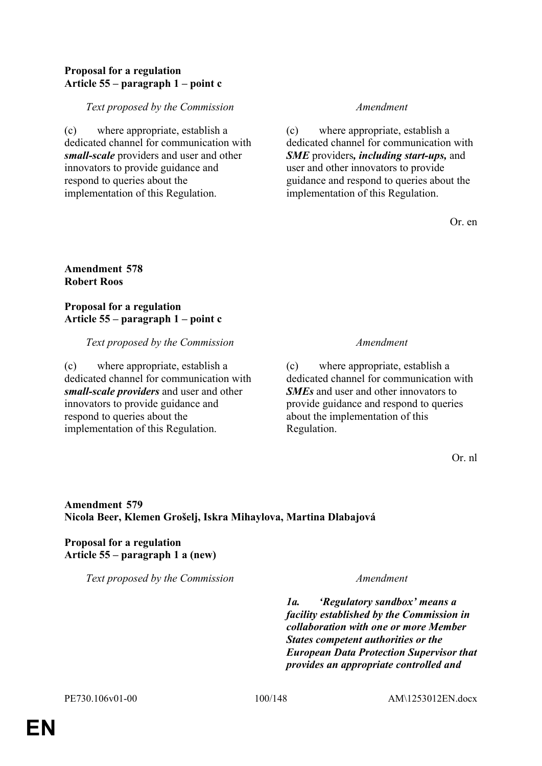## **Proposal for a regulation Article 55 – paragraph 1 – point c**

## *Text proposed by the Commission Amendment*

(c) where appropriate, establish a dedicated channel for communication with *small-scale* providers and user and other innovators to provide guidance and respond to queries about the implementation of this Regulation.

(c) where appropriate, establish a dedicated channel for communication with *SME* providers*, including start-ups,* and user and other innovators to provide guidance and respond to queries about the implementation of this Regulation.

Or. en

## **Amendment 578 Robert Roos**

**Proposal for a regulation Article 55 – paragraph 1 – point c**

### *Text proposed by the Commission Amendment*

(c) where appropriate, establish a dedicated channel for communication with *small-scale providers* and user and other innovators to provide guidance and respond to queries about the implementation of this Regulation.

(c) where appropriate, establish a dedicated channel for communication with *SMEs* and user and other innovators to provide guidance and respond to queries about the implementation of this Regulation.

Or. nl

# **Amendment 579 Nicola Beer, Klemen Grošelj, Iskra Mihaylova, Martina Dlabajová**

# **Proposal for a regulation Article 55 – paragraph 1 a (new)**

*Text proposed by the Commission Amendment*

*1a. 'Regulatory sandbox' means a facility established by the Commission in collaboration with one or more Member States competent authorities or the European Data Protection Supervisor that provides an appropriate controlled and*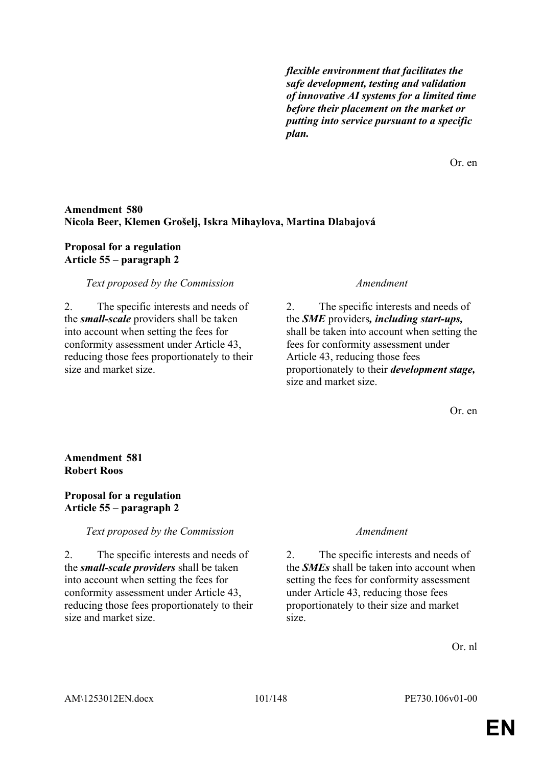*flexible environment that facilitates the safe development, testing and validation of innovative AI systems for a limited time before their placement on the market or putting into service pursuant to a specific plan.*

Or. en

## **Amendment 580 Nicola Beer, Klemen Grošelj, Iskra Mihaylova, Martina Dlabajová**

## **Proposal for a regulation Article 55 – paragraph 2**

## *Text proposed by the Commission Amendment*

2. The specific interests and needs of the *small-scale* providers shall be taken into account when setting the fees for conformity assessment under Article 43, reducing those fees proportionately to their size and market size.

2. The specific interests and needs of the *SME* providers*, including start-ups,* shall be taken into account when setting the fees for conformity assessment under Article 43, reducing those fees proportionately to their *development stage,* size and market size.

Or. en

# **Amendment 581 Robert Roos**

## **Proposal for a regulation Article 55 – paragraph 2**

*Text proposed by the Commission Amendment*

2. The specific interests and needs of the *small-scale providers* shall be taken into account when setting the fees for conformity assessment under Article 43, reducing those fees proportionately to their size and market size.

2. The specific interests and needs of the *SMEs* shall be taken into account when setting the fees for conformity assessment under Article 43, reducing those fees proportionately to their size and market size.

Or. nl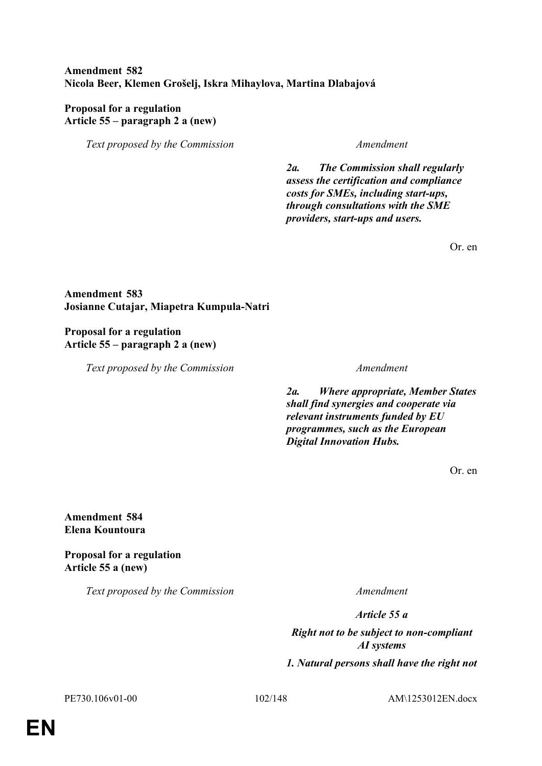# **Amendment 582 Nicola Beer, Klemen Grošelj, Iskra Mihaylova, Martina Dlabajová**

## **Proposal for a regulation Article 55 – paragraph 2 a (new)**

*Text proposed by the Commission Amendment*

*2a. The Commission shall regularly assess the certification and compliance costs for SMEs, including start-ups, through consultations with the SME providers, start-ups and users.*

Or. en

# **Amendment 583 Josianne Cutajar, Miapetra Kumpula-Natri**

## **Proposal for a regulation Article 55 – paragraph 2 a (new)**

*Text proposed by the Commission Amendment*

*2a. Where appropriate, Member States shall find synergies and cooperate via relevant instruments funded by EU programmes, such as the European Digital Innovation Hubs.*

Or. en

**Amendment 584 Elena Kountoura**

**Proposal for a regulation Article 55 a (new)**

*Text proposed by the Commission Amendment*

*Article 55 a*

*Right not to be subject to non-compliant AI systems 1. Natural persons shall have the right not* 

PE730.106v01-00 102/148 AM\1253012EN.docx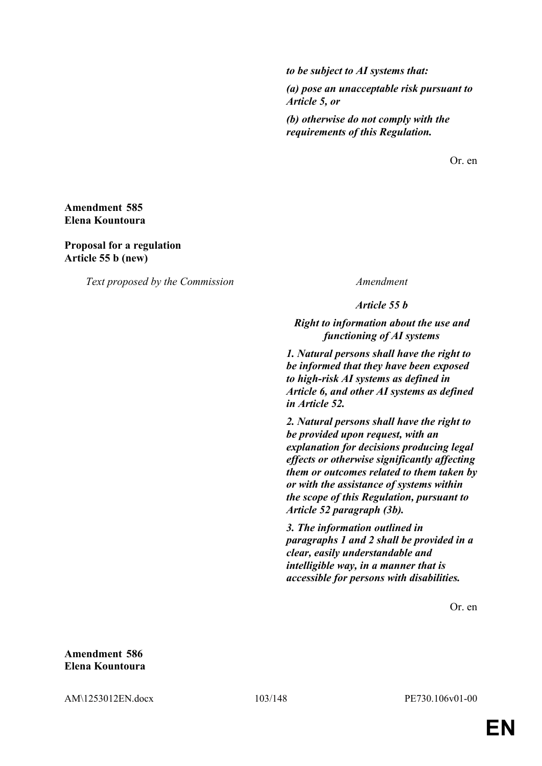*to be subject to AI systems that:* 

*(a) pose an unacceptable risk pursuant to Article 5, or*

*(b) otherwise do not comply with the requirements of this Regulation.*

Or. en

### **Amendment 585 Elena Kountoura**

**Proposal for a regulation Article 55 b (new)**

*Text proposed by the Commission Amendment*

*Article 55 b*

*Right to information about the use and functioning of AI systems*

*1. Natural persons shall have the right to be informed that they have been exposed to high-risk AI systems as defined in Article 6, and other AI systems as defined in Article 52.*

*2. Natural persons shall have the right to be provided upon request, with an explanation for decisions producing legal effects or otherwise significantly affecting them or outcomes related to them taken by or with the assistance of systems within the scope of this Regulation, pursuant to Article 52 paragraph (3b).*

*3. The information outlined in paragraphs 1 and 2 shall be provided in a clear, easily understandable and intelligible way, in a manner that is accessible for persons with disabilities.*

Or. en

**Amendment 586 Elena Kountoura**

AM\1253012EN.docx 103/148 PE730.106v01-00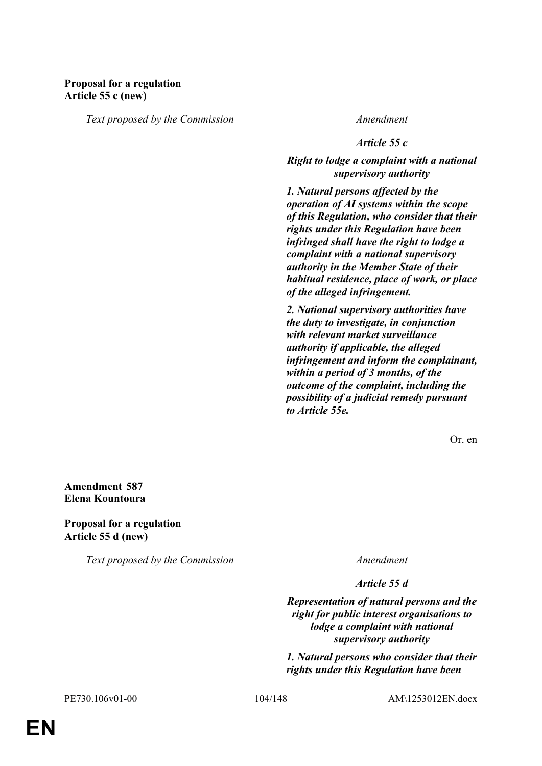# **Proposal for a regulation Article 55 c (new)**

*Text proposed by the Commission Amendment*

*Article 55 c*

*Right to lodge a complaint with a national supervisory authority*

*1. Natural persons affected by the operation of AI systems within the scope of this Regulation, who consider that their rights under this Regulation have been infringed shall have the right to lodge a complaint with a national supervisory authority in the Member State of their habitual residence, place of work, or place of the alleged infringement.*

*2. National supervisory authorities have the duty to investigate, in conjunction with relevant market surveillance authority if applicable, the alleged infringement and inform the complainant, within a period of 3 months, of the outcome of the complaint, including the possibility of a judicial remedy pursuant to Article 55e.*

Or. en

**Amendment 587 Elena Kountoura**

**Proposal for a regulation Article 55 d (new)**

*Text proposed by the Commission Amendment*

*Article 55 d*

*Representation of natural persons and the right for public interest organisations to lodge a complaint with national supervisory authority*

*1. Natural persons who consider that their rights under this Regulation have been* 

PE730.106v01-00 104/148 AM\1253012EN.docx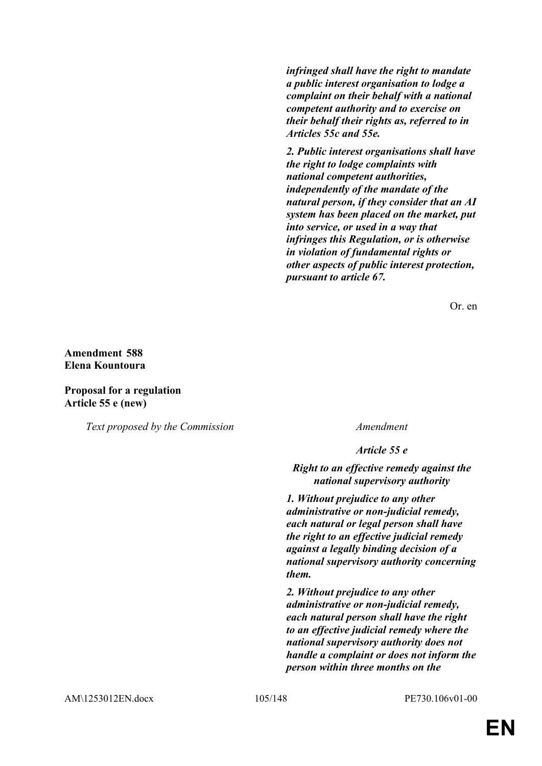*infringed shall have the right to mandate a public interest organisation to lodge a complaint on their behalf with a national competent authority and to exercise on their behalf their rights as, referred to in Articles 55c and 55e.*

*2. Public interest organisations shall have the right to lodge complaints with national competent authorities, independently of the mandate of the natural person, if they consider that an AI system has been placed on the market, put into service, or used in a way that infringes this Regulation, or is otherwise in violation of fundamental rights or other aspects of public interest protection, pursuant to article 67.*

Or. en

## **Amendment 588 Elena Kountoura**

### **Proposal for a regulation Article 55 e (new)**

*Text proposed by the Commission Amendment*

*Article 55 e*

*Right to an effective remedy against the national supervisory authority*

*1. Without prejudice to any other administrative or non-judicial remedy, each natural or legal person shall have the right to an effective judicial remedy against a legally binding decision of a national supervisory authority concerning them.*

*2. Without prejudice to any other administrative or non-judicial remedy, each natural person shall have the right to an effective judicial remedy where the national supervisory authority does not handle a complaint or does not inform the person within three months on the*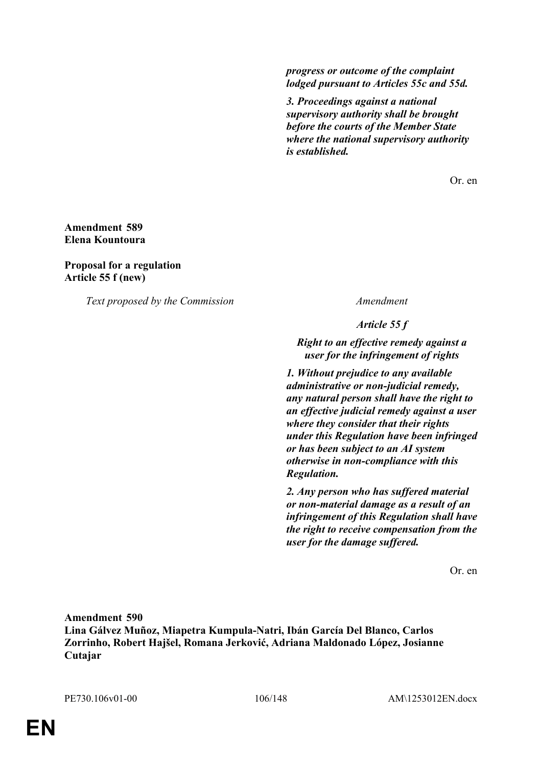*progress or outcome of the complaint lodged pursuant to Articles 55c and 55d.*

*3. Proceedings against a national supervisory authority shall be brought before the courts of the Member State where the national supervisory authority is established.*

Or. en

**Amendment 589 Elena Kountoura**

**Proposal for a regulation Article 55 f (new)**

*Text proposed by the Commission Amendment*

*Article 55 f*

*Right to an effective remedy against a user for the infringement of rights*

*1. Without prejudice to any available administrative or non-judicial remedy, any natural person shall have the right to an effective judicial remedy against a user where they consider that their rights under this Regulation have been infringed or has been subject to an AI system otherwise in non-compliance with this Regulation.*

*2. Any person who has suffered material or non-material damage as a result of an infringement of this Regulation shall have the right to receive compensation from the user for the damage suffered.*

Or. en

**Amendment 590 Lina Gálvez Muñoz, Miapetra Kumpula-Natri, Ibán García Del Blanco, Carlos Zorrinho, Robert Hajšel, Romana Jerković, Adriana Maldonado López, Josianne Cutajar**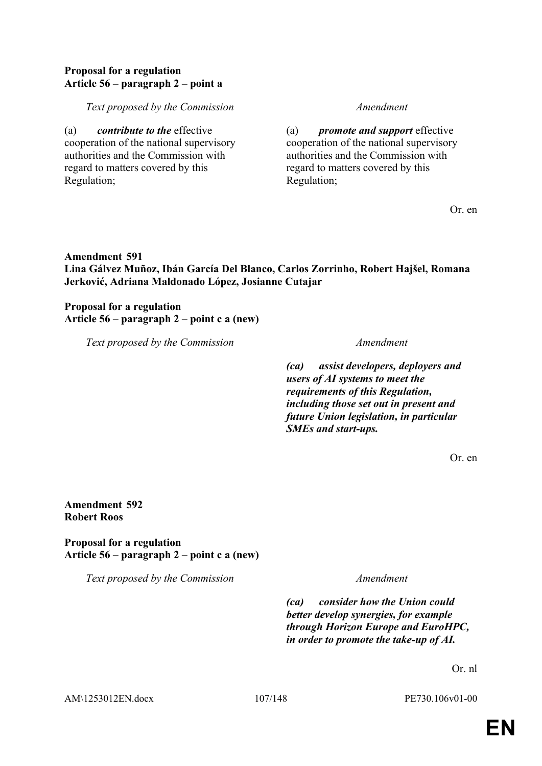## **Proposal for a regulation Article 56 – paragraph 2 – point a**

## *Text proposed by the Commission Amendment*

(a) *contribute to the* effective cooperation of the national supervisory authorities and the Commission with regard to matters covered by this Regulation;

(a) *promote and support* effective cooperation of the national supervisory authorities and the Commission with regard to matters covered by this Regulation;

Or. en

# **Amendment 591 Lina Gálvez Muñoz, Ibán García Del Blanco, Carlos Zorrinho, Robert Hajšel, Romana Jerković, Adriana Maldonado López, Josianne Cutajar**

**Proposal for a regulation Article 56 – paragraph 2 – point c a (new)**

*Text proposed by the Commission Amendment*

*(ca) assist developers, deployers and users of AI systems to meet the requirements of this Regulation, including those set out in present and future Union legislation, in particular SMEs and start-ups.*

Or. en

## **Amendment 592 Robert Roos**

**Proposal for a regulation Article 56 – paragraph 2 – point c a (new)**

*Text proposed by the Commission Amendment*

*(ca) consider how the Union could better develop synergies, for example through Horizon Europe and EuroHPC, in order to promote the take-up of AI.*

Or. nl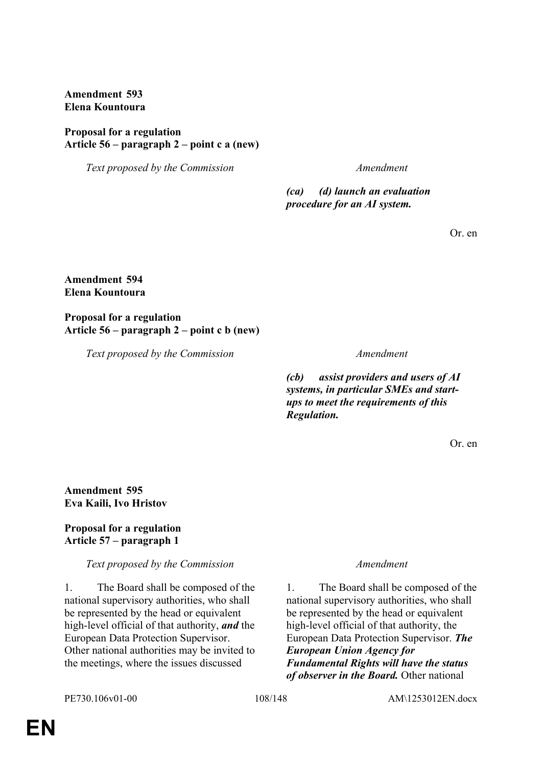**Amendment 593 Elena Kountoura**

## **Proposal for a regulation Article 56 – paragraph 2 – point c a (new)**

*Text proposed by the Commission Amendment*

*(ca) (d) launch an evaluation procedure for an AI system.*

Or. en

## **Amendment 594 Elena Kountoura**

### **Proposal for a regulation Article 56 – paragraph 2 – point c b (new)**

*Text proposed by the Commission Amendment*

*(cb) assist providers and users of AI systems, in particular SMEs and startups to meet the requirements of this Regulation.*

Or. en

**Amendment 595 Eva Kaili, Ivo Hristov**

# **Proposal for a regulation Article 57 – paragraph 1**

# *Text proposed by the Commission Amendment*

1. The Board shall be composed of the national supervisory authorities, who shall be represented by the head or equivalent high-level official of that authority, *and* the European Data Protection Supervisor. Other national authorities may be invited to the meetings, where the issues discussed

1. The Board shall be composed of the national supervisory authorities, who shall be represented by the head or equivalent high-level official of that authority, the European Data Protection Supervisor. *The European Union Agency for Fundamental Rights will have the status of observer in the Board.* Other national

PE730.106v01-00 108/148 AM\1253012EN.docx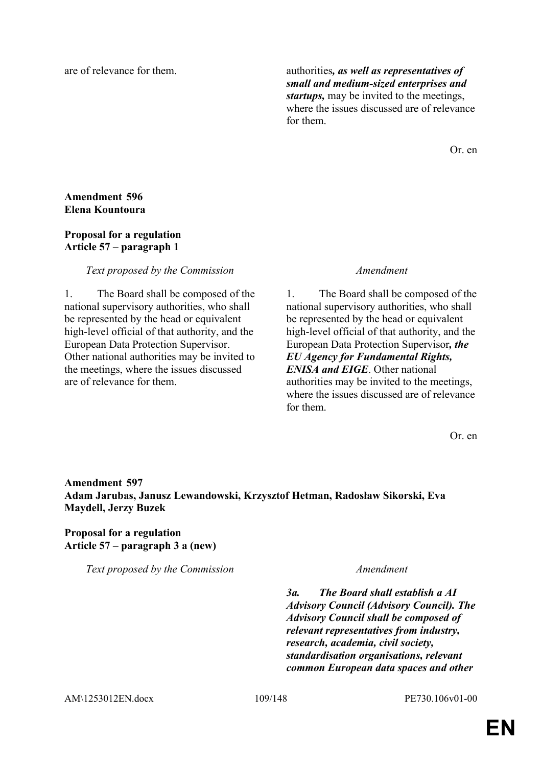are of relevance for them. authorities*, as well as representatives of small and medium-sized enterprises and startups,* may be invited to the meetings, where the issues discussed are of relevance for them.

Or. en

## **Amendment 596 Elena Kountoura**

### **Proposal for a regulation Article 57 – paragraph 1**

### *Text proposed by the Commission Amendment*

1. The Board shall be composed of the national supervisory authorities, who shall be represented by the head or equivalent high-level official of that authority, and the European Data Protection Supervisor. Other national authorities may be invited to the meetings, where the issues discussed are of relevance for them.

1. The Board shall be composed of the national supervisory authorities, who shall be represented by the head or equivalent high-level official of that authority, and the European Data Protection Supervisor*, the EU Agency for Fundamental Rights, ENISA and EIGE*. Other national authorities may be invited to the meetings, where the issues discussed are of relevance for them.

Or. en

# **Amendment 597 Adam Jarubas, Janusz Lewandowski, Krzysztof Hetman, Radosław Sikorski, Eva Maydell, Jerzy Buzek**

# **Proposal for a regulation Article 57 – paragraph 3 a (new)**

*Text proposed by the Commission Amendment*

*3a. The Board shall establish a AI Advisory Council (Advisory Council). The Advisory Council shall be composed of relevant representatives from industry, research, academia, civil society, standardisation organisations, relevant common European data spaces and other*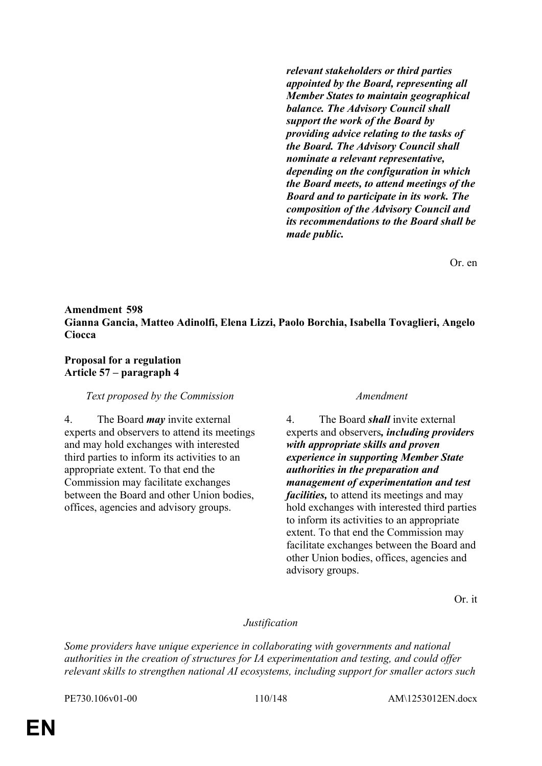*relevant stakeholders or third parties appointed by the Board, representing all Member States to maintain geographical balance. The Advisory Council shall support the work of the Board by providing advice relating to the tasks of the Board. The Advisory Council shall nominate a relevant representative, depending on the configuration in which the Board meets, to attend meetings of the Board and to participate in its work. The composition of the Advisory Council and its recommendations to the Board shall be made public.*

Or. en

## **Amendment 598 Gianna Gancia, Matteo Adinolfi, Elena Lizzi, Paolo Borchia, Isabella Tovaglieri, Angelo Ciocca**

### **Proposal for a regulation Article 57 – paragraph 4**

### *Text proposed by the Commission Amendment*

4. The Board *may* invite external experts and observers to attend its meetings and may hold exchanges with interested third parties to inform its activities to an appropriate extent. To that end the Commission may facilitate exchanges between the Board and other Union bodies, offices, agencies and advisory groups.

4. The Board *shall* invite external experts and observers*, including providers with appropriate skills and proven experience in supporting Member State authorities in the preparation and management of experimentation and test facilities,* to attend its meetings and may hold exchanges with interested third parties to inform its activities to an appropriate extent. To that end the Commission may facilitate exchanges between the Board and other Union bodies, offices, agencies and advisory groups.

Or. it

### *Justification*

*Some providers have unique experience in collaborating with governments and national authorities in the creation of structures for IA experimentation and testing, and could offer relevant skills to strengthen national AI ecosystems, including support for smaller actors such* 

PE730.106v01-00 110/148 AM\1253012EN.docx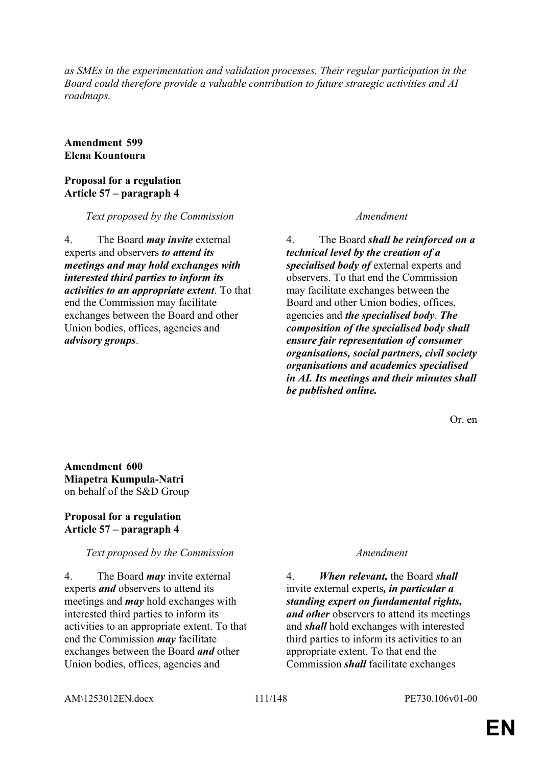*as SMEs in the experimentation and validation processes. Their regular participation in the Board could therefore provide a valuable contribution to future strategic activities and AI roadmaps.*

**Amendment 599 Elena Kountoura**

### **Proposal for a regulation Article 57 – paragraph 4**

*Text proposed by the Commission Amendment*

4. The Board *may invite* external experts and observers *to attend its meetings and may hold exchanges with interested third parties to inform its activities to an appropriate extent*. To that end the Commission may facilitate exchanges between the Board and other Union bodies, offices, agencies and *advisory groups*.

4. The Board *shall be reinforced on a technical level by the creation of a specialised body of* external experts and observers. To that end the Commission may facilitate exchanges between the Board and other Union bodies, offices, agencies and *the specialised body*. *The composition of the specialised body shall ensure fair representation of consumer organisations, social partners, civil society organisations and academics specialised in AI. Its meetings and their minutes shall be published online.*

Or. en

**Amendment 600 Miapetra Kumpula-Natri** on behalf of the S&D Group

## **Proposal for a regulation Article 57 – paragraph 4**

### *Text proposed by the Commission Amendment*

4. The Board *may* invite external experts *and* observers to attend its meetings and *may* hold exchanges with interested third parties to inform its activities to an appropriate extent. To that end the Commission *may* facilitate exchanges between the Board *and* other Union bodies, offices, agencies and

4. *When relevant,* the Board *shall* invite external experts*, in particular a standing expert on fundamental rights, and other* observers to attend its meetings and *shall* hold exchanges with interested third parties to inform its activities to an appropriate extent. To that end the Commission *shall* facilitate exchanges

AM\1253012EN.docx 111/148 PE730.106v01-00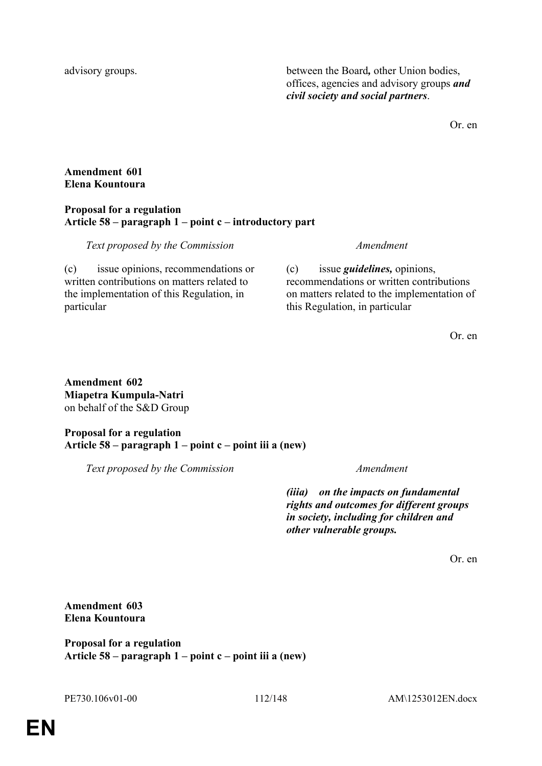advisory groups. between the Board*,* other Union bodies, offices, agencies and advisory groups *and civil society and social partners*.

Or. en

## **Amendment 601 Elena Kountoura**

## **Proposal for a regulation Article 58 – paragraph 1 – point c – introductory part**

## *Text proposed by the Commission Amendment*

(c) issue opinions, recommendations or written contributions on matters related to the implementation of this Regulation, in particular

(c) issue *guidelines,* opinions, recommendations or written contributions on matters related to the implementation of this Regulation, in particular

Or. en

**Amendment 602 Miapetra Kumpula-Natri** on behalf of the S&D Group

# **Proposal for a regulation Article 58 – paragraph 1 – point c – point iii a (new)**

*Text proposed by the Commission Amendment*

*(iiia) on the impacts on fundamental rights and outcomes for different groups in society, including for children and other vulnerable groups.*

Or. en

# **Amendment 603 Elena Kountoura**

**Proposal for a regulation Article 58 – paragraph 1 – point c – point iii a (new)**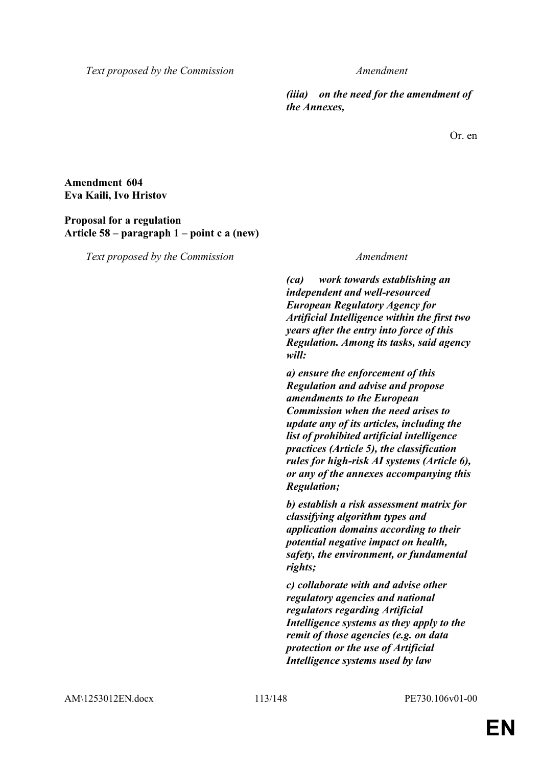*Text proposed by the Commission Amendment*

*(iiia) on the need for the amendment of the Annexes,*

Or. en

# **Amendment 604 Eva Kaili, Ivo Hristov**

## **Proposal for a regulation Article 58 – paragraph 1 – point c a (new)**

*Text proposed by the Commission Amendment*

*(ca) work towards establishing an independent and well-resourced European Regulatory Agency for Artificial Intelligence within the first two years after the entry into force of this Regulation. Among its tasks, said agency will:*

*a) ensure the enforcement of this Regulation and advise and propose amendments to the European Commission when the need arises to update any of its articles, including the list of prohibited artificial intelligence practices (Article 5), the classification rules for high-risk AI systems (Article 6), or any of the annexes accompanying this Regulation;*

*b) establish a risk assessment matrix for classifying algorithm types and application domains according to their potential negative impact on health, safety, the environment, or fundamental rights;*

*c) collaborate with and advise other regulatory agencies and national regulators regarding Artificial Intelligence systems as they apply to the remit of those agencies (e.g. on data protection or the use of Artificial Intelligence systems used by law*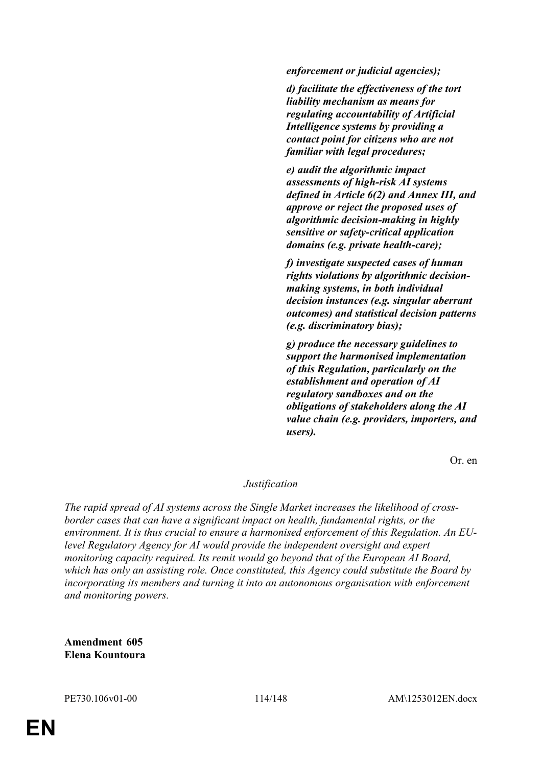*enforcement or judicial agencies);*

*d) facilitate the effectiveness of the tort liability mechanism as means for regulating accountability of Artificial Intelligence systems by providing a contact point for citizens who are not familiar with legal procedures;*

*e) audit the algorithmic impact assessments of high-risk AI systems defined in Article 6(2) and Annex III, and approve or reject the proposed uses of algorithmic decision-making in highly sensitive or safety-critical application domains (e.g. private health-care);*

*f) investigate suspected cases of human rights violations by algorithmic decisionmaking systems, in both individual decision instances (e.g. singular aberrant outcomes) and statistical decision patterns (e.g. discriminatory bias);*

*g) produce the necessary guidelines to support the harmonised implementation of this Regulation, particularly on the establishment and operation of AI regulatory sandboxes and on the obligations of stakeholders along the AI value chain (e.g. providers, importers, and users).*

Or. en

### *Justification*

*The rapid spread of AI systems across the Single Market increases the likelihood of crossborder cases that can have a significant impact on health, fundamental rights, or the environment. It is thus crucial to ensure a harmonised enforcement of this Regulation. An EUlevel Regulatory Agency for AI would provide the independent oversight and expert monitoring capacity required. Its remit would go beyond that of the European AI Board, which has only an assisting role. Once constituted, this Agency could substitute the Board by incorporating its members and turning it into an autonomous organisation with enforcement and monitoring powers.*

**Amendment 605 Elena Kountoura**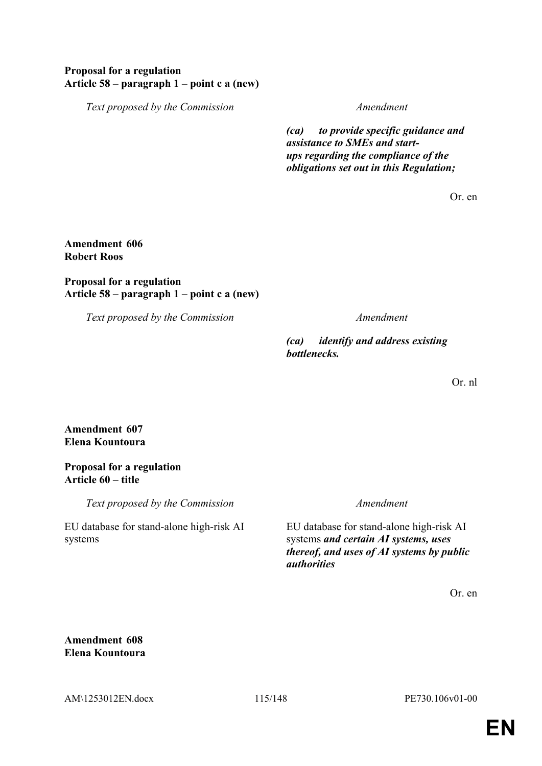## **Proposal for a regulation Article 58 – paragraph 1 – point c a (new)**

*Text proposed by the Commission Amendment*

*(ca) to provide specific guidance and assistance to SMEs and startups regarding the compliance of the obligations set out in this Regulation;*

Or. en

## **Amendment 606 Robert Roos**

## **Proposal for a regulation Article 58 – paragraph 1 – point c a (new)**

*Text proposed by the Commission Amendment*

*(ca) identify and address existing bottlenecks.*

Or. nl

**Amendment 607 Elena Kountoura**

### **Proposal for a regulation Article 60 – title**

*Text proposed by the Commission Amendment*

EU database for stand-alone high-risk AI systems

EU database for stand-alone high-risk AI systems *and certain AI systems, uses thereof, and uses of AI systems by public authorities*

Or. en

**Amendment 608 Elena Kountoura**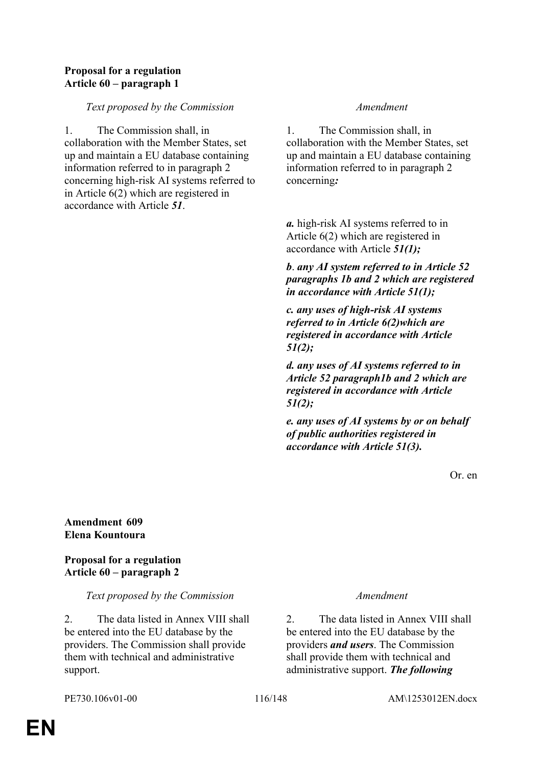## **Proposal for a regulation Article 60 – paragraph 1**

## *Text proposed by the Commission Amendment*

1. The Commission shall, in collaboration with the Member States, set up and maintain a EU database containing information referred to in paragraph 2 concerning high-risk AI systems referred to in Article 6(2) which are registered in accordance with Article *51*.

1. The Commission shall, in collaboration with the Member States, set up and maintain a EU database containing information referred to in paragraph 2 concerning*:*

*a.* high-risk AI systems referred to in Article 6(2) which are registered in accordance with Article *51(1);*

*b*. *any AI system referred to in Article 52 paragraphs 1b and 2 which are registered in accordance with Article 51(1);*

*c. any uses of high-risk AI systems referred to in Article 6(2)which are registered in accordance with Article 51(2);*

*d. any uses of AI systems referred to in Article 52 paragraph1b and 2 which are registered in accordance with Article 51(2);*

*e. any uses of AI systems by or on behalf of public authorities registered in accordance with Article 51(3).*

Or. en

### **Amendment 609 Elena Kountoura**

**Proposal for a regulation Article 60 – paragraph 2**

### *Text proposed by the Commission Amendment*

2. The data listed in Annex VIII shall be entered into the EU database by the providers. The Commission shall provide them with technical and administrative support.

2. The data listed in Annex VIII shall be entered into the EU database by the providers *and users*. The Commission shall provide them with technical and administrative support. *The following*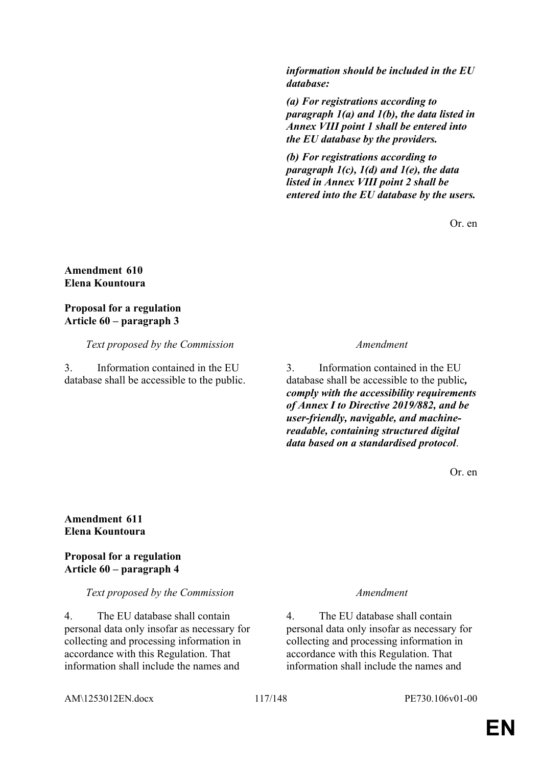*information should be included in the EU database:*

*(a) For registrations according to paragraph 1(a) and 1(b), the data listed in Annex VIII point 1 shall be entered into the EU database by the providers.*

*(b) For registrations according to paragraph 1(c), 1(d) and 1(e), the data listed in Annex VIII point 2 shall be entered into the EU database by the users.*

Or. en

### **Amendment 610 Elena Kountoura**

# **Proposal for a regulation Article 60 – paragraph 3**

# *Text proposed by the Commission Amendment*

3. Information contained in the EU database shall be accessible to the public.

3. Information contained in the EU database shall be accessible to the public*, comply with the accessibility requirements of Annex I to Directive 2019/882, and be user-friendly, navigable, and machinereadable, containing structured digital data based on a standardised protocol*.

Or. en

## **Amendment 611 Elena Kountoura**

# **Proposal for a regulation Article 60 – paragraph 4**

# *Text proposed by the Commission Amendment*

4. The EU database shall contain personal data only insofar as necessary for collecting and processing information in accordance with this Regulation. That information shall include the names and

4. The EU database shall contain personal data only insofar as necessary for collecting and processing information in accordance with this Regulation. That information shall include the names and

AM\1253012EN.docx 117/148 PE730.106v01-00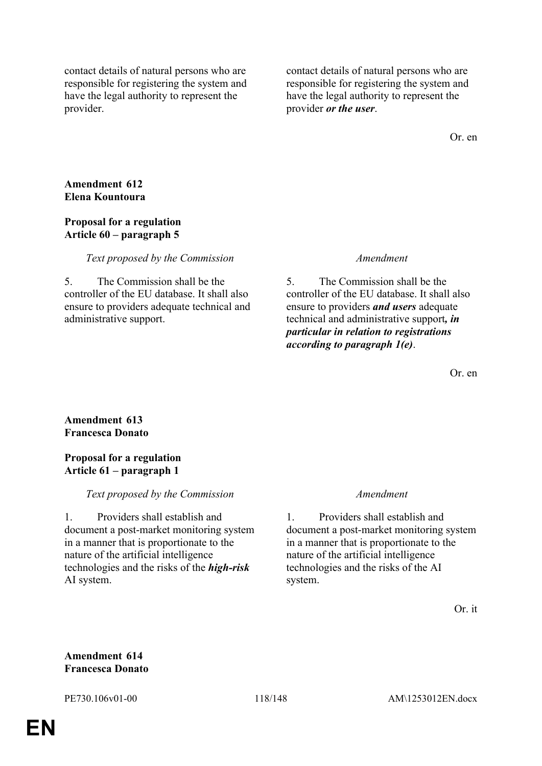contact details of natural persons who are responsible for registering the system and have the legal authority to represent the provider.

contact details of natural persons who are responsible for registering the system and have the legal authority to represent the provider *or the user*.

Or. en

## **Amendment 612 Elena Kountoura**

### **Proposal for a regulation Article 60 – paragraph 5**

### *Text proposed by the Commission Amendment*

5. The Commission shall be the controller of the EU database. It shall also ensure to providers adequate technical and administrative support.

5. The Commission shall be the controller of the EU database. It shall also ensure to providers *and users* adequate technical and administrative support*, in particular in relation to registrations according to paragraph 1(e)*.

Or. en

# **Amendment 613 Francesca Donato**

## **Proposal for a regulation Article 61 – paragraph 1**

# *Text proposed by the Commission Amendment*

1. Providers shall establish and document a post-market monitoring system in a manner that is proportionate to the nature of the artificial intelligence technologies and the risks of the *high-risk* AI system.

1. Providers shall establish and document a post-market monitoring system in a manner that is proportionate to the nature of the artificial intelligence technologies and the risks of the AI system.

Or. it

## **Amendment 614 Francesca Donato**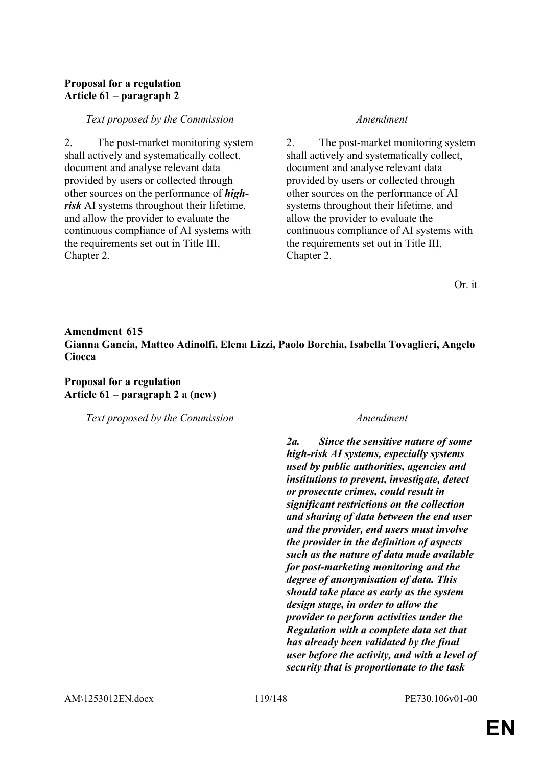# **Proposal for a regulation Article 61 – paragraph 2**

### *Text proposed by the Commission Amendment*

2. The post-market monitoring system shall actively and systematically collect, document and analyse relevant data provided by users or collected through other sources on the performance of *highrisk* AI systems throughout their lifetime, and allow the provider to evaluate the continuous compliance of AI systems with the requirements set out in Title III, Chapter 2.

2. The post-market monitoring system shall actively and systematically collect, document and analyse relevant data provided by users or collected through other sources on the performance of AI systems throughout their lifetime, and allow the provider to evaluate the continuous compliance of AI systems with the requirements set out in Title III, Chapter 2.

Or. it

# **Amendment 615 Gianna Gancia, Matteo Adinolfi, Elena Lizzi, Paolo Borchia, Isabella Tovaglieri, Angelo Ciocca**

**Proposal for a regulation Article 61 – paragraph 2 a (new)**

*Text proposed by the Commission Amendment*

*2a. Since the sensitive nature of some high-risk AI systems, especially systems used by public authorities, agencies and institutions to prevent, investigate, detect or prosecute crimes, could result in significant restrictions on the collection and sharing of data between the end user and the provider, end users must involve the provider in the definition of aspects such as the nature of data made available for post-marketing monitoring and the degree of anonymisation of data. This should take place as early as the system design stage, in order to allow the provider to perform activities under the Regulation with a complete data set that has already been validated by the final user before the activity, and with a level of security that is proportionate to the task*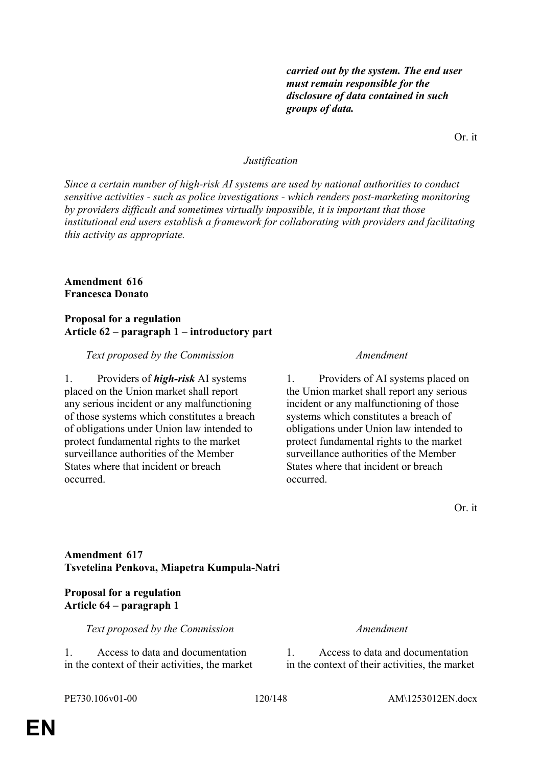*carried out by the system. The end user must remain responsible for the disclosure of data contained in such groups of data.*

Or. it

### *Justification*

*Since a certain number of high-risk AI systems are used by national authorities to conduct sensitive activities - such as police investigations - which renders post-marketing monitoring by providers difficult and sometimes virtually impossible, it is important that those institutional end users establish a framework for collaborating with providers and facilitating this activity as appropriate.*

### **Amendment 616 Francesca Donato**

### **Proposal for a regulation Article 62 – paragraph 1 – introductory part**

### *Text proposed by the Commission Amendment*

1. Providers of *high-risk* AI systems placed on the Union market shall report any serious incident or any malfunctioning of those systems which constitutes a breach of obligations under Union law intended to protect fundamental rights to the market surveillance authorities of the Member States where that incident or breach occurred.

1. Providers of AI systems placed on the Union market shall report any serious incident or any malfunctioning of those systems which constitutes a breach of obligations under Union law intended to protect fundamental rights to the market surveillance authorities of the Member States where that incident or breach occurred.

Or. it

### **Amendment 617 Tsvetelina Penkova, Miapetra Kumpula-Natri**

### **Proposal for a regulation Article 64 – paragraph 1**

*Text proposed by the Commission Amendment*

1. Access to data and documentation in the context of their activities, the market

1. Access to data and documentation in the context of their activities, the market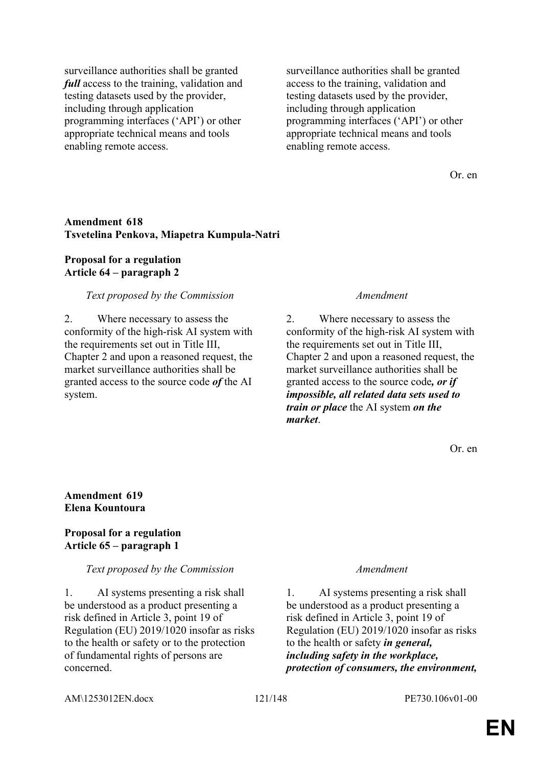surveillance authorities shall be granted *full* access to the training, validation and testing datasets used by the provider, including through application programming interfaces ('API') or other appropriate technical means and tools enabling remote access.

surveillance authorities shall be granted access to the training, validation and testing datasets used by the provider, including through application programming interfaces ('API') or other appropriate technical means and tools enabling remote access.

Or. en

### **Amendment 618 Tsvetelina Penkova, Miapetra Kumpula-Natri**

### **Proposal for a regulation Article 64 – paragraph 2**

### *Text proposed by the Commission Amendment*

2. Where necessary to assess the conformity of the high-risk AI system with the requirements set out in Title III, Chapter 2 and upon a reasoned request, the market surveillance authorities shall be granted access to the source code *of* the AI system.

2. Where necessary to assess the conformity of the high-risk AI system with the requirements set out in Title III, Chapter 2 and upon a reasoned request, the market surveillance authorities shall be granted access to the source code*, or if impossible, all related data sets used to train or place* the AI system *on the market*.

Or. en

### **Amendment 619 Elena Kountoura**

### **Proposal for a regulation Article 65 – paragraph 1**

### *Text proposed by the Commission Amendment*

1. AI systems presenting a risk shall be understood as a product presenting a risk defined in Article 3, point 19 of Regulation (EU) 2019/1020 insofar as risks to the health or safety or to the protection of fundamental rights of persons are concerned.

1. AI systems presenting a risk shall be understood as a product presenting a risk defined in Article 3, point 19 of Regulation (EU) 2019/1020 insofar as risks to the health or safety *in general, including safety in the workplace, protection of consumers, the environment,*

AM\1253012EN.docx 121/148 PE730.106v01-00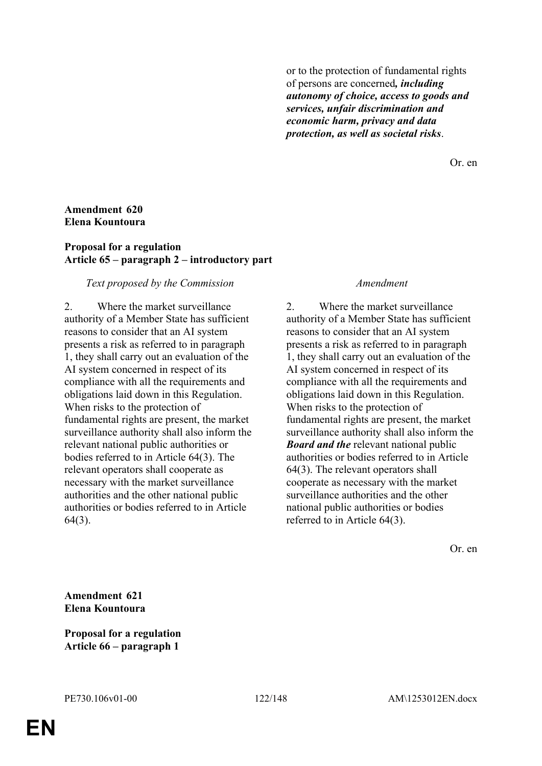or to the protection of fundamental rights of persons are concerned*, including autonomy of choice, access to goods and services, unfair discrimination and economic harm, privacy and data protection, as well as societal risks*.

Or. en

## **Amendment 620 Elena Kountoura**

## **Proposal for a regulation Article 65 – paragraph 2 – introductory part**

### *Text proposed by the Commission Amendment*

2. Where the market surveillance authority of a Member State has sufficient reasons to consider that an AI system presents a risk as referred to in paragraph 1, they shall carry out an evaluation of the AI system concerned in respect of its compliance with all the requirements and obligations laid down in this Regulation. When risks to the protection of fundamental rights are present, the market surveillance authority shall also inform the relevant national public authorities or bodies referred to in Article 64(3). The relevant operators shall cooperate as necessary with the market surveillance authorities and the other national public authorities or bodies referred to in Article 64(3).

2. Where the market surveillance authority of a Member State has sufficient reasons to consider that an AI system presents a risk as referred to in paragraph 1, they shall carry out an evaluation of the AI system concerned in respect of its compliance with all the requirements and obligations laid down in this Regulation. When risks to the protection of fundamental rights are present, the market surveillance authority shall also inform the *Board and the* relevant national public authorities or bodies referred to in Article 64(3). The relevant operators shall cooperate as necessary with the market surveillance authorities and the other national public authorities or bodies referred to in Article 64(3).

Or. en

**Amendment 621 Elena Kountoura**

**Proposal for a regulation Article 66 – paragraph 1**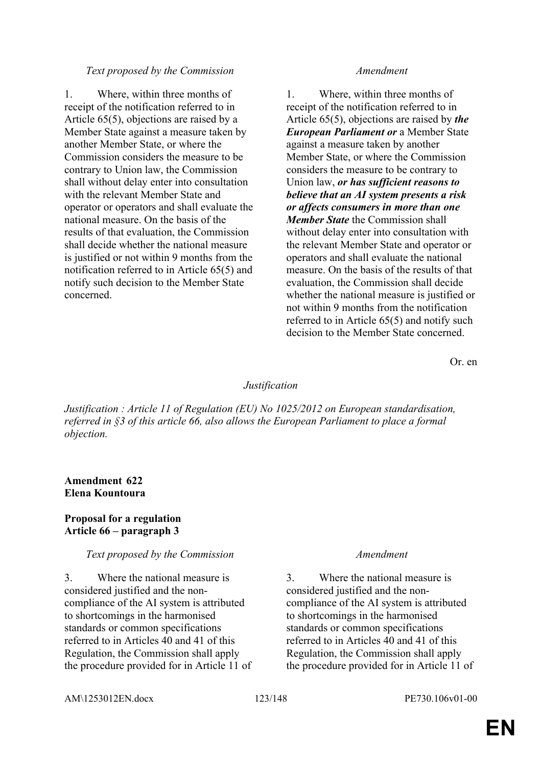### *Text proposed by the Commission Amendment*

1. Where, within three months of receipt of the notification referred to in Article 65(5), objections are raised by a Member State against a measure taken by another Member State, or where the Commission considers the measure to be contrary to Union law, the Commission shall without delay enter into consultation with the relevant Member State and operator or operators and shall evaluate the national measure. On the basis of the results of that evaluation, the Commission shall decide whether the national measure is justified or not within 9 months from the notification referred to in Article 65(5) and notify such decision to the Member State concerned.

1. Where, within three months of receipt of the notification referred to in Article 65(5), objections are raised by *the European Parliament or* a Member State against a measure taken by another Member State, or where the Commission considers the measure to be contrary to Union law, *or has sufficient reasons to believe that an AI system presents a risk or affects consumers in more than one Member State* the Commission shall without delay enter into consultation with the relevant Member State and operator or operators and shall evaluate the national measure. On the basis of the results of that evaluation, the Commission shall decide whether the national measure is justified or not within 9 months from the notification referred to in Article 65(5) and notify such decision to the Member State concerned.

Or. en

### *Justification*

*Justification : Article 11 of Regulation (EU) No 1025/2012 on European standardisation, referred in §3 of this article 66, also allows the European Parliament to place a formal objection.*

## **Amendment 622 Elena Kountoura**

### **Proposal for a regulation Article 66 – paragraph 3**

### *Text proposed by the Commission Amendment*

3. Where the national measure is considered justified and the noncompliance of the AI system is attributed to shortcomings in the harmonised standards or common specifications referred to in Articles 40 and 41 of this Regulation, the Commission shall apply the procedure provided for in Article 11 of

3. Where the national measure is considered justified and the noncompliance of the AI system is attributed to shortcomings in the harmonised standards or common specifications referred to in Articles 40 and 41 of this Regulation, the Commission shall apply the procedure provided for in Article 11 of

AM\1253012EN.docx 123/148 PE730.106v01-00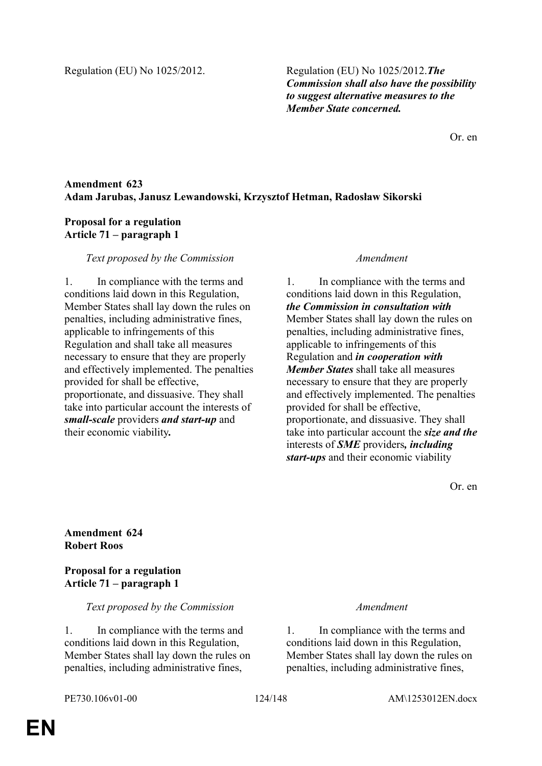Regulation (EU) No 1025/2012. Regulation (EU) No 1025/2012.*The Commission shall also have the possibility to suggest alternative measures to the Member State concerned.* 

Or. en

# **Amendment 623 Adam Jarubas, Janusz Lewandowski, Krzysztof Hetman, Radosław Sikorski**

## **Proposal for a regulation Article 71 – paragraph 1**

## *Text proposed by the Commission Amendment*

1. In compliance with the terms and conditions laid down in this Regulation, Member States shall lay down the rules on penalties, including administrative fines, applicable to infringements of this Regulation and shall take all measures necessary to ensure that they are properly and effectively implemented. The penalties provided for shall be effective, proportionate, and dissuasive. They shall take into particular account the interests of *small-scale* providers *and start-up* and their economic viability*.*

1. In compliance with the terms and conditions laid down in this Regulation, *the Commission in consultation with* Member States shall lay down the rules on penalties, including administrative fines, applicable to infringements of this Regulation and *in cooperation with Member States* shall take all measures necessary to ensure that they are properly and effectively implemented. The penalties provided for shall be effective, proportionate, and dissuasive. They shall take into particular account the *size and the* interests of *SME* providers*, including start-ups* and their economic viability

Or. en

## **Amendment 624 Robert Roos**

## **Proposal for a regulation Article 71 – paragraph 1**

### *Text proposed by the Commission Amendment*

1. In compliance with the terms and conditions laid down in this Regulation, Member States shall lay down the rules on penalties, including administrative fines,

1. In compliance with the terms and conditions laid down in this Regulation, Member States shall lay down the rules on penalties, including administrative fines,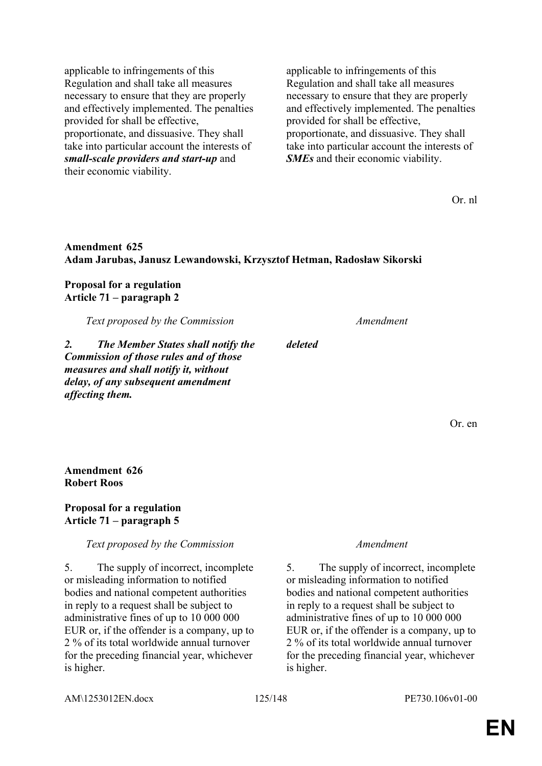applicable to infringements of this Regulation and shall take all measures necessary to ensure that they are properly and effectively implemented. The penalties provided for shall be effective, proportionate, and dissuasive. They shall take into particular account the interests of *small-scale providers and start-up* and their economic viability.

applicable to infringements of this Regulation and shall take all measures necessary to ensure that they are properly and effectively implemented. The penalties provided for shall be effective, proportionate, and dissuasive. They shall take into particular account the interests of *SMEs* and their economic viability.

Or. nl

## **Amendment 625 Adam Jarubas, Janusz Lewandowski, Krzysztof Hetman, Radosław Sikorski**

*deleted*

### **Proposal for a regulation Article 71 – paragraph 2**

*Text proposed by the Commission Amendment*

*2. The Member States shall notify the Commission of those rules and of those measures and shall notify it, without delay, of any subsequent amendment affecting them.*

Or. en

**Amendment 626 Robert Roos**

### **Proposal for a regulation Article 71 – paragraph 5**

*Text proposed by the Commission Amendment*

5. The supply of incorrect, incomplete or misleading information to notified bodies and national competent authorities in reply to a request shall be subject to administrative fines of up to 10 000 000 EUR or, if the offender is a company, up to 2 % of its total worldwide annual turnover for the preceding financial year, whichever is higher.

5. The supply of incorrect, incomplete or misleading information to notified bodies and national competent authorities in reply to a request shall be subject to administrative fines of up to 10 000 000 EUR or, if the offender is a company, up to 2 % of its total worldwide annual turnover for the preceding financial year, whichever is higher.

AM\1253012EN.docx 125/148 PE730.106v01-00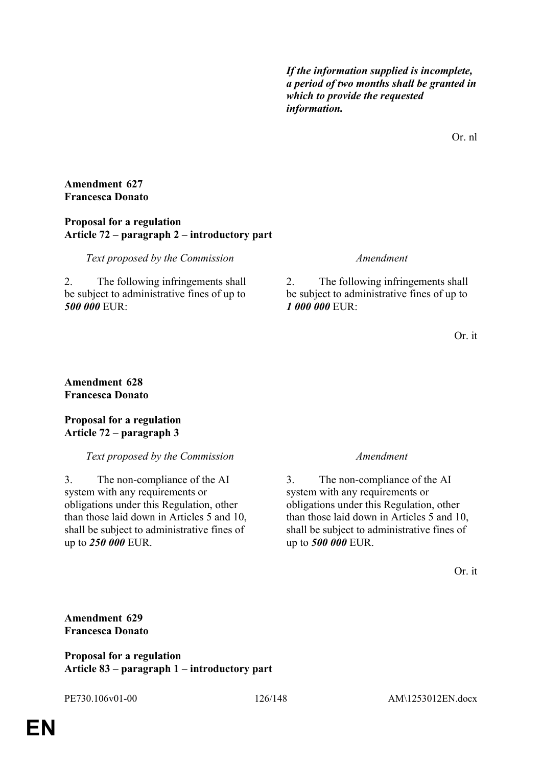*If the information supplied is incomplete, a period of two months shall be granted in which to provide the requested information.*

Or. nl

## **Amendment 627 Francesca Donato**

### **Proposal for a regulation Article 72 – paragraph 2 – introductory part**

*Text proposed by the Commission Amendment*

2. The following infringements shall be subject to administrative fines of up to *500 000* EUR:

2. The following infringements shall be subject to administrative fines of up to *1 000 000* EUR:

Or. it

### **Amendment 628 Francesca Donato**

## **Proposal for a regulation Article 72 – paragraph 3**

# *Text proposed by the Commission Amendment*

3. The non-compliance of the AI system with any requirements or obligations under this Regulation, other than those laid down in Articles 5 and 10, shall be subject to administrative fines of up to *250 000* EUR.

3. The non-compliance of the AI system with any requirements or obligations under this Regulation, other than those laid down in Articles 5 and 10, shall be subject to administrative fines of up to *500 000* EUR.

Or. it

**Amendment 629 Francesca Donato**

**Proposal for a regulation Article 83 – paragraph 1 – introductory part**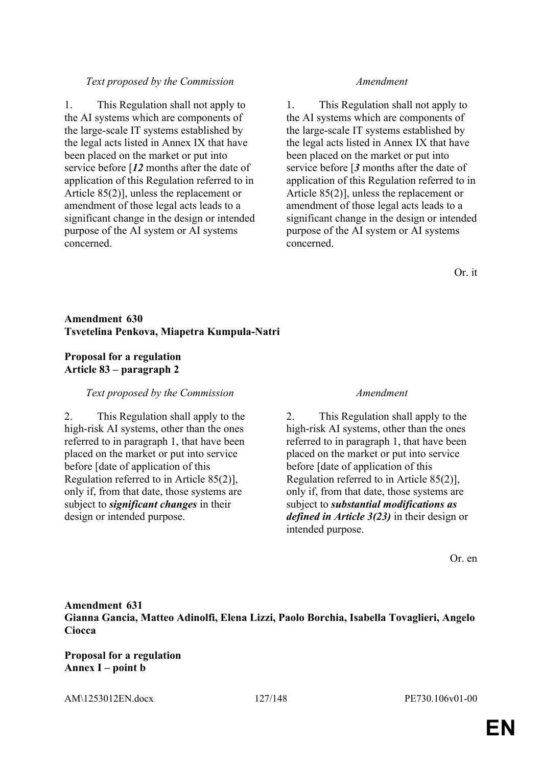## *Text proposed by the Commission Amendment*

1. This Regulation shall not apply to the AI systems which are components of the large-scale IT systems established by the legal acts listed in Annex IX that have been placed on the market or put into service before [*12* months after the date of application of this Regulation referred to in Article 85(2)], unless the replacement or amendment of those legal acts leads to a significant change in the design or intended purpose of the AI system or AI systems concerned.

1. This Regulation shall not apply to the AI systems which are components of the large-scale IT systems established by the legal acts listed in Annex IX that have been placed on the market or put into service before [*3* months after the date of application of this Regulation referred to in Article 85(2)], unless the replacement or amendment of those legal acts leads to a significant change in the design or intended purpose of the AI system or AI systems concerned.

Or. it

# **Amendment 630 Tsvetelina Penkova, Miapetra Kumpula-Natri**

# **Proposal for a regulation Article 83 – paragraph 2**

### *Text proposed by the Commission Amendment*

2. This Regulation shall apply to the high-risk AI systems, other than the ones referred to in paragraph 1, that have been placed on the market or put into service before [date of application of this Regulation referred to in Article 85(2)], only if, from that date, those systems are subject to *significant changes* in their design or intended purpose.

2. This Regulation shall apply to the high-risk AI systems, other than the ones referred to in paragraph 1, that have been placed on the market or put into service before [date of application of this Regulation referred to in Article 85(2)], only if, from that date, those systems are subject to *substantial modifications as defined in Article 3(23)* in their design or intended purpose.

Or. en

# **Amendment 631 Gianna Gancia, Matteo Adinolfi, Elena Lizzi, Paolo Borchia, Isabella Tovaglieri, Angelo Ciocca**

**Proposal for a regulation Annex I – point b**

AM\1253012EN.docx 127/148 PE730.106v01-00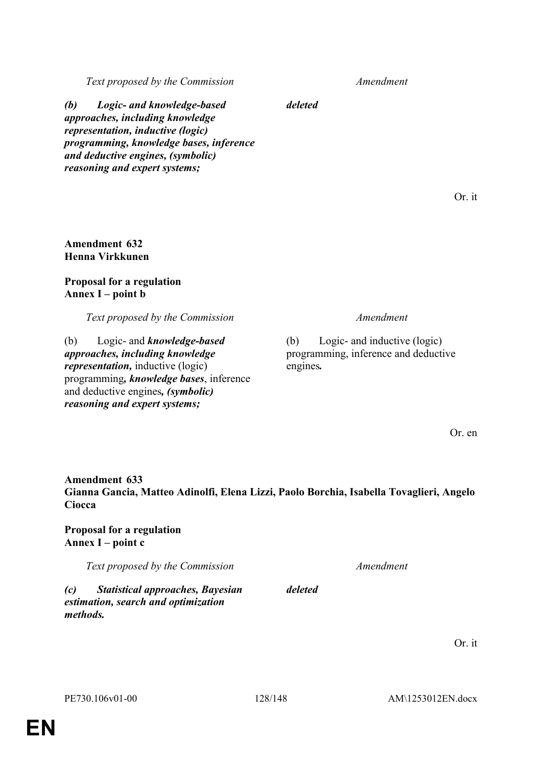**EN**

*Text proposed by the Commission Amendment*

*(b) Logic- and knowledge-based approaches, including knowledge representation, inductive (logic) programming, knowledge bases, inference and deductive engines, (symbolic) reasoning and expert systems;*

## **Amendment 632 Henna Virkkunen**

# **Proposal for a regulation Annex I – point b**

*Text proposed by the Commission Amendment*

(b) Logic- and *knowledge-based approaches, including knowledge representation,* inductive (logic) programming*, knowledge bases*, inference and deductive engines*, (symbolic) reasoning and expert systems;*

(b) Logic- and inductive (logic) programming, inference and deductive engines*.*

Or. en

**Amendment 633 Gianna Gancia, Matteo Adinolfi, Elena Lizzi, Paolo Borchia, Isabella Tovaglieri, Angelo Ciocca**

**Proposal for a regulation Annex I – point c**

*Text proposed by the Commission Amendment*

*(c) Statistical approaches, Bayesian estimation, search and optimization methods.*

Or. it

*deleted*

Or. it

*deleted*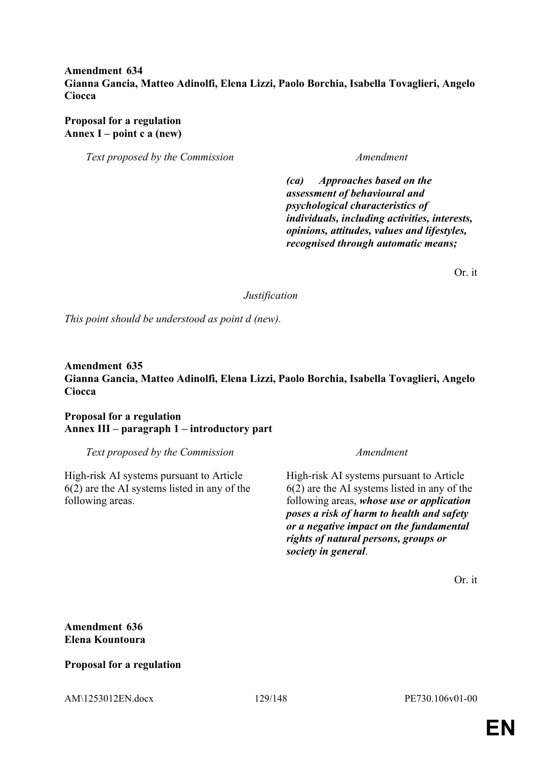## **Amendment 634 Gianna Gancia, Matteo Adinolfi, Elena Lizzi, Paolo Borchia, Isabella Tovaglieri, Angelo Ciocca**

**Proposal for a regulation Annex I – point c a (new)**

*Text proposed by the Commission Amendment*

*(ca) Approaches based on the assessment of behavioural and psychological characteristics of individuals, including activities, interests, opinions, attitudes, values and lifestyles, recognised through automatic means;*

Or. it

*Justification*

*This point should be understood as point d (new).*

## **Amendment 635 Gianna Gancia, Matteo Adinolfi, Elena Lizzi, Paolo Borchia, Isabella Tovaglieri, Angelo Ciocca**

**Proposal for a regulation Annex III – paragraph 1 – introductory part**

*Text proposed by the Commission Amendment*

High-risk AI systems pursuant to Article 6(2) are the AI systems listed in any of the following areas.

High-risk AI systems pursuant to Article 6(2) are the AI systems listed in any of the following areas, *whose use or application poses a risk of harm to health and safety or a negative impact on the fundamental rights of natural persons, groups or society in general*.

Or. it

**Amendment 636 Elena Kountoura**

## **Proposal for a regulation**

AM\1253012EN.docx 129/148 PE730.106v01-00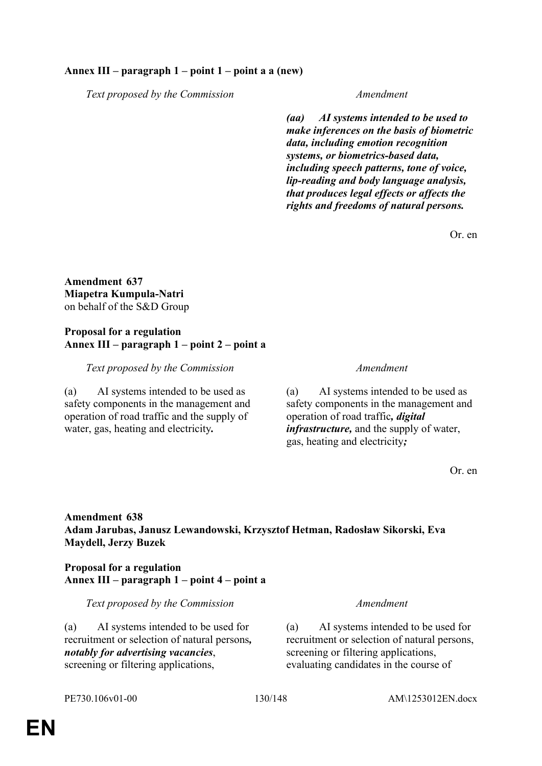## **Annex III – paragraph 1 – point 1 – point a a (new)**

*Text proposed by the Commission Amendment*

*(aa) AI systems intended to be used to make inferences on the basis of biometric data, including emotion recognition systems, or biometrics-based data, including speech patterns, tone of voice, lip-reading and body language analysis, that produces legal effects or affects the rights and freedoms of natural persons.*

Or. en

**Amendment 637 Miapetra Kumpula-Natri** on behalf of the S&D Group

### **Proposal for a regulation Annex III – paragraph 1 – point 2 – point a**

### *Text proposed by the Commission Amendment*

(a) AI systems intended to be used as safety components in the management and operation of road traffic and the supply of water, gas, heating and electricity*.*

(a) AI systems intended to be used as safety components in the management and operation of road traffic*, digital infrastructure,* and the supply of water, gas, heating and electricity*;*

Or. en

## **Amendment 638 Adam Jarubas, Janusz Lewandowski, Krzysztof Hetman, Radosław Sikorski, Eva Maydell, Jerzy Buzek**

## **Proposal for a regulation Annex III – paragraph 1 – point 4 – point a**

*Text proposed by the Commission Amendment*

(a) AI systems intended to be used for recruitment or selection of natural persons*, notably for advertising vacancies*, screening or filtering applications,

(a) AI systems intended to be used for recruitment or selection of natural persons, screening or filtering applications. evaluating candidates in the course of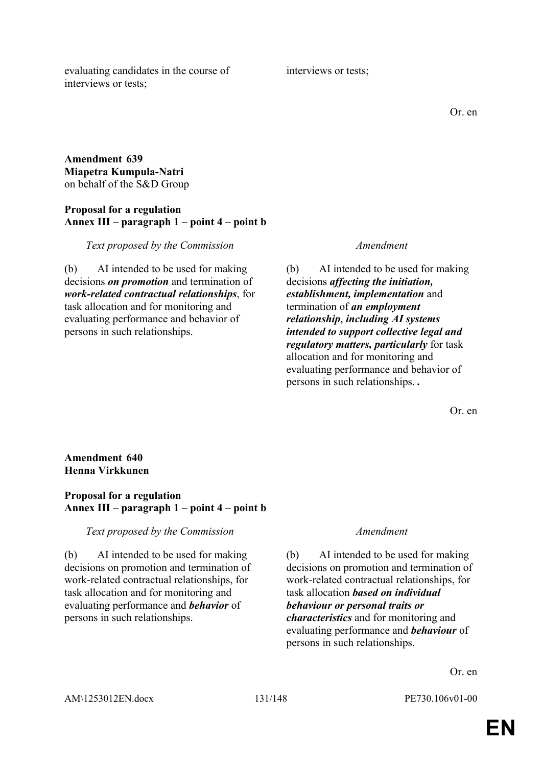evaluating candidates in the course of interviews or tests;

### **Amendment 639 Miapetra Kumpula-Natri** on behalf of the S&D Group

## **Proposal for a regulation Annex III – paragraph 1 – point 4 – point b**

*Text proposed by the Commission Amendment*

(b) AI intended to be used for making decisions *on promotion* and termination of *work-related contractual relationships*, for task allocation and for monitoring and evaluating performance and behavior of persons in such relationships.

(b) AI intended to be used for making decisions *affecting the initiation, establishment, implementation* and termination of *an employment relationship*, *including AI systems intended to support collective legal and regulatory matters, particularly* for task allocation and for monitoring and evaluating performance and behavior of persons in such relationships. *.*

Or. en

### **Amendment 640 Henna Virkkunen**

## **Proposal for a regulation Annex III – paragraph 1 – point 4 – point b**

### *Text proposed by the Commission Amendment*

(b) AI intended to be used for making decisions on promotion and termination of work-related contractual relationships, for task allocation and for monitoring and evaluating performance and *behavior* of persons in such relationships.

(b) AI intended to be used for making decisions on promotion and termination of work-related contractual relationships, for task allocation *based on individual behaviour or personal traits or characteristics* and for monitoring and evaluating performance and *behaviour* of persons in such relationships.

Or. en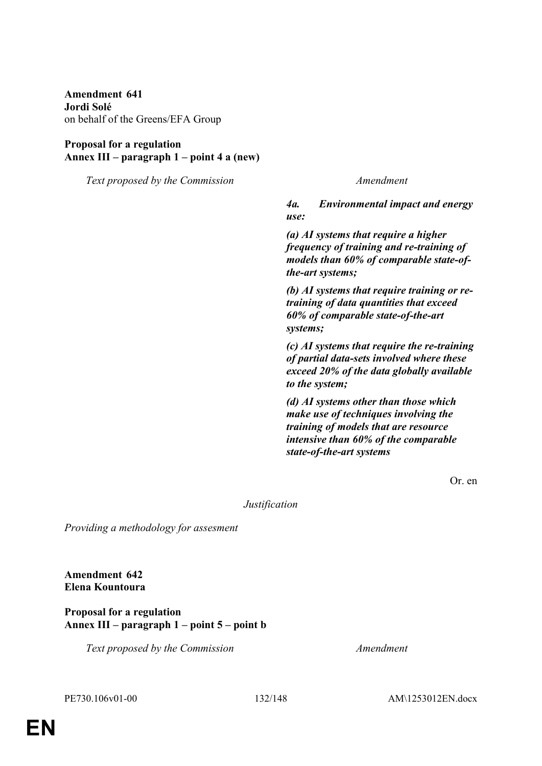**Amendment 641 Jordi Solé** on behalf of the Greens/EFA Group

## **Proposal for a regulation Annex III – paragraph 1 – point 4 a (new)**

*Text proposed by the Commission Amendment*

*4a. Environmental impact and energy use:* 

*(a) AI systems that require a higher frequency of training and re-training of models than 60% of comparable state-ofthe-art systems;* 

*(b) AI systems that require training or retraining of data quantities that exceed 60% of comparable state-of-the-art systems;* 

*(c) AI systems that require the re-training of partial data-sets involved where these exceed 20% of the data globally available to the system;* 

*(d) AI systems other than those which make use of techniques involving the training of models that are resource intensive than 60% of the comparable state-of-the-art systems* 

Or. en

*Justification*

*Providing a methodology for assesment*

**Amendment 642 Elena Kountoura**

**Proposal for a regulation Annex III – paragraph 1 – point 5 – point b**

*Text proposed by the Commission Amendment*

PE730.106v01-00 132/148 AM\1253012EN.docx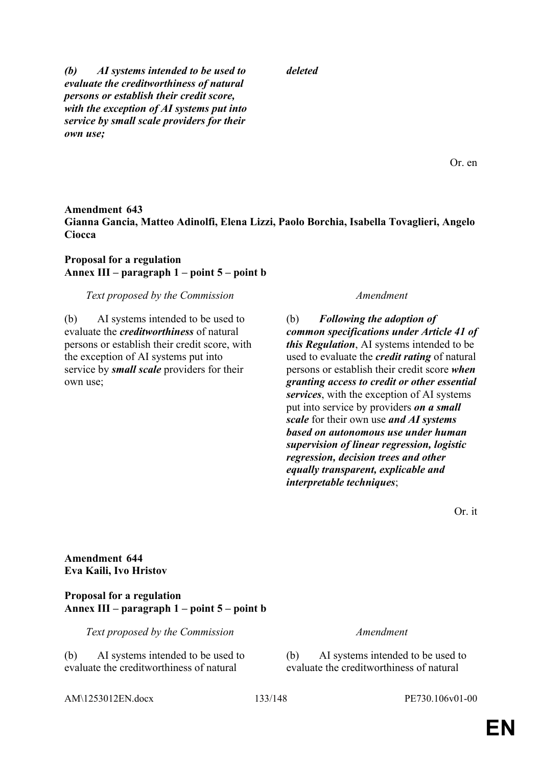*(b) AI systems intended to be used to evaluate the creditworthiness of natural persons or establish their credit score, with the exception of AI systems put into service by small scale providers for their own use;*

Or. en

# **Amendment 643 Gianna Gancia, Matteo Adinolfi, Elena Lizzi, Paolo Borchia, Isabella Tovaglieri, Angelo Ciocca**

*deleted*

## **Proposal for a regulation Annex III – paragraph 1 – point 5 – point b**

### *Text proposed by the Commission Amendment*

(b) AI systems intended to be used to evaluate the *creditworthiness* of natural persons or establish their credit score, with the exception of AI systems put into service by *small scale* providers for their own use;

(b) *Following the adoption of common specifications under Article 41 of this Regulation*, AI systems intended to be used to evaluate the *credit rating* of natural persons or establish their credit score *when granting access to credit or other essential services*, with the exception of AI systems put into service by providers *on a small scale* for their own use *and AI systems based on autonomous use under human supervision of linear regression, logistic regression, decision trees and other equally transparent, explicable and interpretable techniques*;

Or. it

**Amendment 644 Eva Kaili, Ivo Hristov**

### **Proposal for a regulation Annex III – paragraph 1 – point 5 – point b**

*Text proposed by the Commission Amendment*

(b) AI systems intended to be used to evaluate the creditworthiness of natural

(b) AI systems intended to be used to evaluate the creditworthiness of natural

AM\1253012EN.docx 133/148 PE730.106v01-00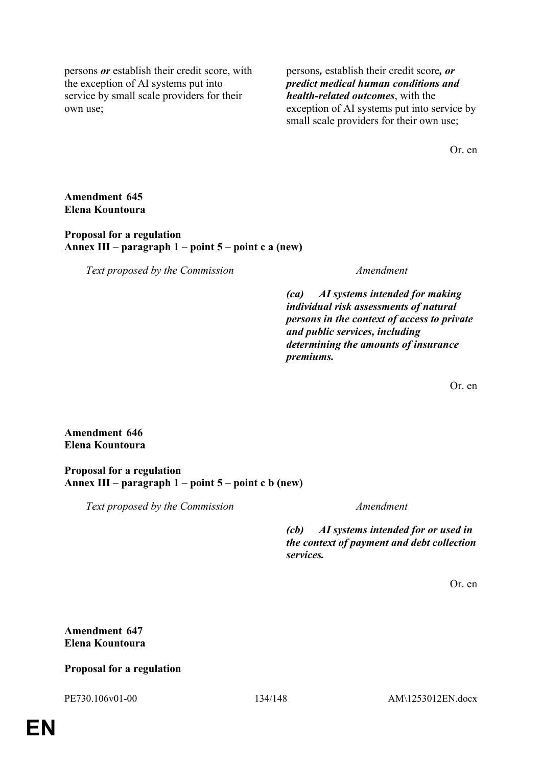persons *or* establish their credit score, with the exception of AI systems put into service by small scale providers for their own use;

persons*,* establish their credit score*, or predict medical human conditions and health-related outcomes*, with the exception of AI systems put into service by small scale providers for their own use;

Or. en

**Amendment 645 Elena Kountoura**

**Proposal for a regulation Annex III – paragraph 1 – point 5 – point c a (new)**

*Text proposed by the Commission Amendment*

*(ca) AI systems intended for making individual risk assessments of natural persons in the context of access to private and public services, including determining the amounts of insurance premiums.*

Or. en

**Amendment 646 Elena Kountoura**

**Proposal for a regulation Annex III – paragraph 1 – point 5 – point c b (new)**

*Text proposed by the Commission Amendment*

*(cb) AI systems intended for or used in the context of payment and debt collection services.*

Or. en

**Amendment 647 Elena Kountoura**

## **Proposal for a regulation**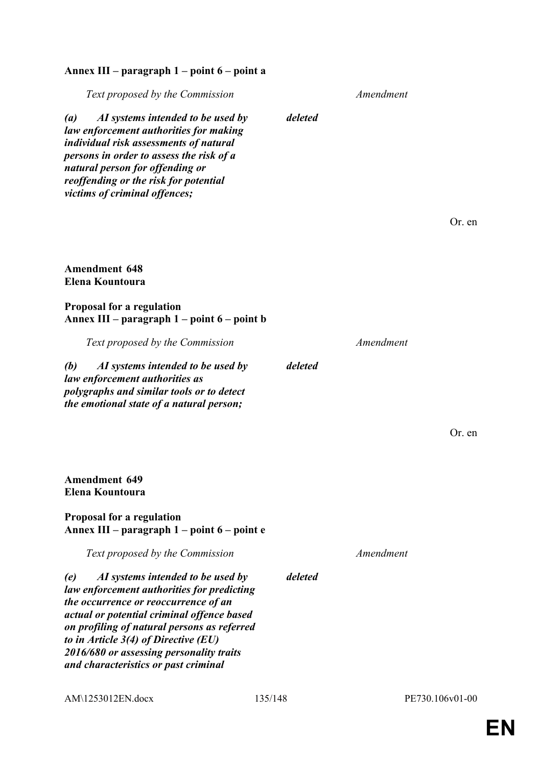# **Annex III – paragraph 1 – point 6 – point a**

| Text proposed by the Commission                                                                                                                                                                                                                                                                                                                           |         | Amendment |                 |
|-----------------------------------------------------------------------------------------------------------------------------------------------------------------------------------------------------------------------------------------------------------------------------------------------------------------------------------------------------------|---------|-----------|-----------------|
| AI systems intended to be used by<br>$\left(a\right)$<br>law enforcement authorities for making<br>individual risk assessments of natural<br>persons in order to assess the risk of a<br>natural person for offending or<br>reoffending or the risk for potential<br>victims of criminal offences;                                                        | deleted |           |                 |
|                                                                                                                                                                                                                                                                                                                                                           |         |           | Or. en          |
|                                                                                                                                                                                                                                                                                                                                                           |         |           |                 |
| <b>Amendment 648</b><br>Elena Kountoura                                                                                                                                                                                                                                                                                                                   |         |           |                 |
| <b>Proposal for a regulation</b><br>Annex III – paragraph 1 – point 6 – point b                                                                                                                                                                                                                                                                           |         |           |                 |
| Text proposed by the Commission                                                                                                                                                                                                                                                                                                                           |         | Amendment |                 |
| AI systems intended to be used by<br>(b)<br>law enforcement authorities as<br>polygraphs and similar tools or to detect<br>the emotional state of a natural person;                                                                                                                                                                                       | deleted |           |                 |
|                                                                                                                                                                                                                                                                                                                                                           |         |           | Or. en          |
| <b>Amendment 649</b><br>Elena Kountoura                                                                                                                                                                                                                                                                                                                   |         |           |                 |
| <b>Proposal for a regulation</b><br>Annex III – paragraph 1 – point 6 – point e                                                                                                                                                                                                                                                                           |         |           |                 |
| Text proposed by the Commission                                                                                                                                                                                                                                                                                                                           |         | Amendment |                 |
| (e)<br>AI systems intended to be used by<br>law enforcement authorities for predicting<br>the occurrence or reoccurrence of an<br>actual or potential criminal offence based<br>on profiling of natural persons as referred<br>to in Article $3(4)$ of Directive (EU)<br>2016/680 or assessing personality traits<br>and characteristics or past criminal | deleted |           |                 |
| AM\1253012EN.docx                                                                                                                                                                                                                                                                                                                                         | 135/148 |           | PE730.106v01-00 |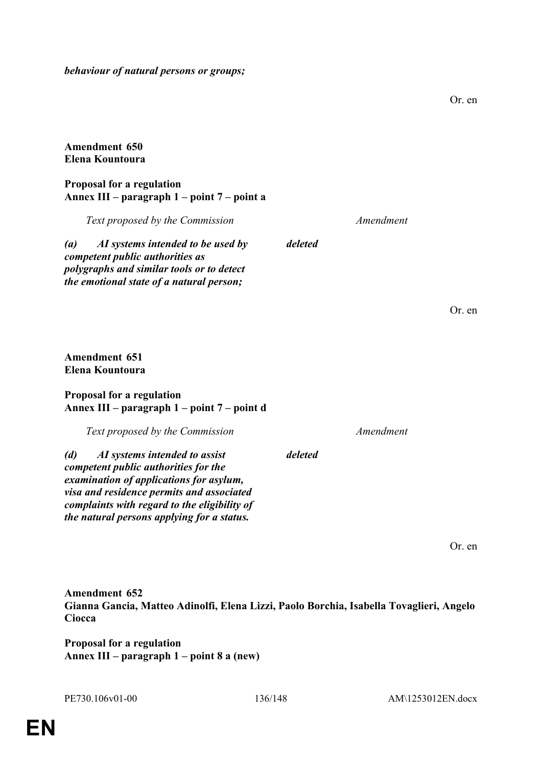*behaviour of natural persons or groups;*

## **Amendment 650 Elena Kountoura**

## **Proposal for a regulation Annex III – paragraph 1 – point 7 – point a**

| Text proposed by the Commission                                                                                                                                                    | Amendment |        |
|------------------------------------------------------------------------------------------------------------------------------------------------------------------------------------|-----------|--------|
| AI systems intended to be used by<br>$\left( a\right)$<br>competent public authorities as<br>polygraphs and similar tools or to detect<br>the emotional state of a natural person; | deleted   |        |
|                                                                                                                                                                                    |           | Or. en |
| <b>Amendment 651</b><br>Elena Kountoura                                                                                                                                            |           |        |
| <b>Proposal for a regulation</b><br>Annex III – paragraph 1 – point 7 – point d                                                                                                    |           |        |
| Text proposed by the Commission                                                                                                                                                    | Amendment |        |
| AI systems intended to assist<br>(d)                                                                                                                                               | deleted   |        |

*competent public authorities for the examination of applications for asylum, visa and residence permits and associated complaints with regard to the eligibility of the natural persons applying for a status.*

Or. en

Or. en

**Amendment 652 Gianna Gancia, Matteo Adinolfi, Elena Lizzi, Paolo Borchia, Isabella Tovaglieri, Angelo Ciocca**

**Proposal for a regulation Annex III – paragraph 1 – point 8 a (new)**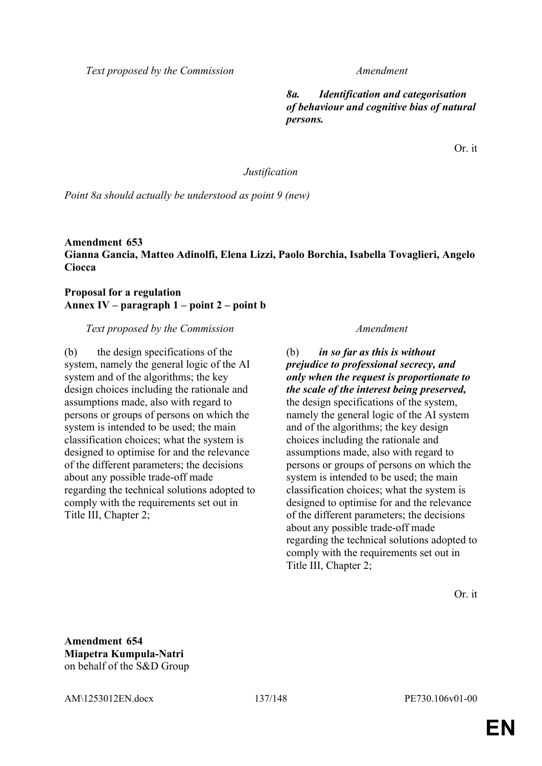*Text proposed by the Commission Amendment*

*8a. Identification and categorisation of behaviour and cognitive bias of natural persons.*

Or. it

*Justification*

*Point 8a should actually be understood as point 9 (new)*

**Amendment 653 Gianna Gancia, Matteo Adinolfi, Elena Lizzi, Paolo Borchia, Isabella Tovaglieri, Angelo Ciocca**

**Proposal for a regulation Annex IV – paragraph 1 – point 2 – point b**

*Text proposed by the Commission Amendment*

(b) the design specifications of the system, namely the general logic of the AI system and of the algorithms; the key design choices including the rationale and assumptions made, also with regard to persons or groups of persons on which the system is intended to be used; the main classification choices; what the system is designed to optimise for and the relevance of the different parameters; the decisions about any possible trade-off made regarding the technical solutions adopted to comply with the requirements set out in Title III, Chapter 2;

(b) *in so far as this is without prejudice to professional secrecy, and only when the request is proportionate to the scale of the interest being preserved,* the design specifications of the system, namely the general logic of the AI system and of the algorithms; the key design choices including the rationale and assumptions made, also with regard to persons or groups of persons on which the system is intended to be used; the main classification choices; what the system is designed to optimise for and the relevance of the different parameters; the decisions about any possible trade-off made regarding the technical solutions adopted to comply with the requirements set out in Title III, Chapter 2;

Or. it

**Amendment 654 Miapetra Kumpula-Natri** on behalf of the S&D Group

AM\1253012EN.docx 137/148 PE730.106v01-00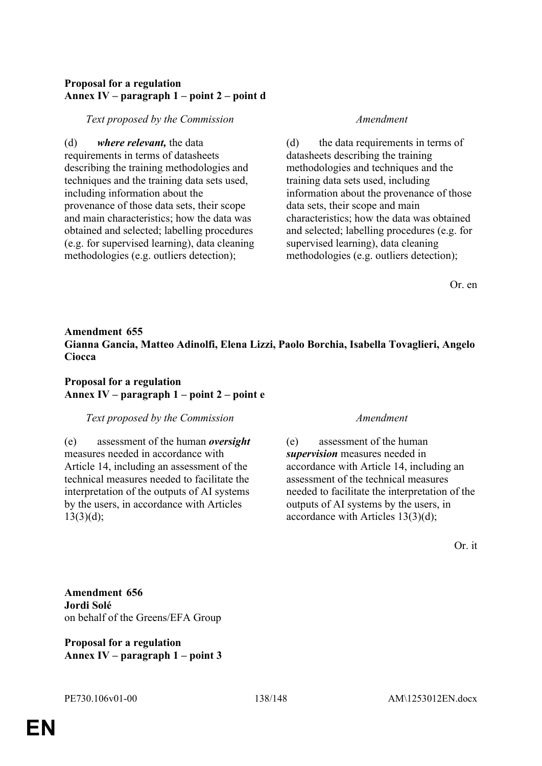# **Proposal for a regulation Annex IV – paragraph 1 – point 2 – point d**

*Text proposed by the Commission Amendment*

(d) *where relevant,* the data requirements in terms of datasheets describing the training methodologies and techniques and the training data sets used, including information about the provenance of those data sets, their scope and main characteristics; how the data was obtained and selected; labelling procedures (e.g. for supervised learning), data cleaning methodologies (e.g. outliers detection);

(d) the data requirements in terms of datasheets describing the training methodologies and techniques and the training data sets used, including information about the provenance of those data sets, their scope and main characteristics; how the data was obtained and selected; labelling procedures (e.g. for supervised learning), data cleaning methodologies (e.g. outliers detection);

Or. en

# **Amendment 655 Gianna Gancia, Matteo Adinolfi, Elena Lizzi, Paolo Borchia, Isabella Tovaglieri, Angelo Ciocca**

# **Proposal for a regulation Annex IV – paragraph 1 – point 2 – point e**

## *Text proposed by the Commission Amendment*

(e) assessment of the human *oversight* measures needed in accordance with Article 14, including an assessment of the technical measures needed to facilitate the interpretation of the outputs of AI systems by the users, in accordance with Articles  $13(3)(d)$ ;

(e) assessment of the human *supervision* measures needed in accordance with Article 14, including an assessment of the technical measures needed to facilitate the interpretation of the outputs of AI systems by the users, in accordance with Articles 13(3)(d);

Or. it

**Amendment 656 Jordi Solé** on behalf of the Greens/EFA Group

**Proposal for a regulation Annex IV – paragraph 1 – point 3**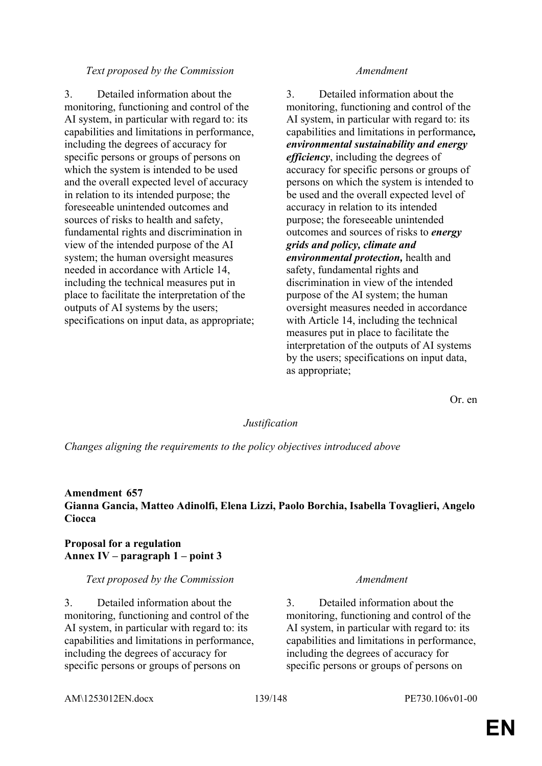### *Text proposed by the Commission Amendment*

3. Detailed information about the monitoring, functioning and control of the AI system, in particular with regard to: its capabilities and limitations in performance, including the degrees of accuracy for specific persons or groups of persons on which the system is intended to be used and the overall expected level of accuracy in relation to its intended purpose; the foreseeable unintended outcomes and sources of risks to health and safety, fundamental rights and discrimination in view of the intended purpose of the AI system; the human oversight measures needed in accordance with Article 14, including the technical measures put in place to facilitate the interpretation of the outputs of AI systems by the users; specifications on input data, as appropriate;

3. Detailed information about the monitoring, functioning and control of the AI system, in particular with regard to: its capabilities and limitations in performance*, environmental sustainability and energy efficiency*, including the degrees of accuracy for specific persons or groups of persons on which the system is intended to be used and the overall expected level of accuracy in relation to its intended purpose; the foreseeable unintended outcomes and sources of risks to *energy grids and policy, climate and environmental protection,* health and safety, fundamental rights and discrimination in view of the intended purpose of the AI system; the human oversight measures needed in accordance with Article 14, including the technical measures put in place to facilitate the interpretation of the outputs of AI systems by the users; specifications on input data, as appropriate;

Or. en

### *Justification*

*Changes aligning the requirements to the policy objectives introduced above*

## **Amendment 657 Gianna Gancia, Matteo Adinolfi, Elena Lizzi, Paolo Borchia, Isabella Tovaglieri, Angelo Ciocca**

### **Proposal for a regulation Annex IV – paragraph 1 – point 3**

### *Text proposed by the Commission Amendment*

3. Detailed information about the monitoring, functioning and control of the AI system, in particular with regard to: its capabilities and limitations in performance, including the degrees of accuracy for specific persons or groups of persons on

3. Detailed information about the monitoring, functioning and control of the AI system, in particular with regard to: its capabilities and limitations in performance, including the degrees of accuracy for specific persons or groups of persons on

AM\1253012EN.docx 139/148 PE730.106v01-00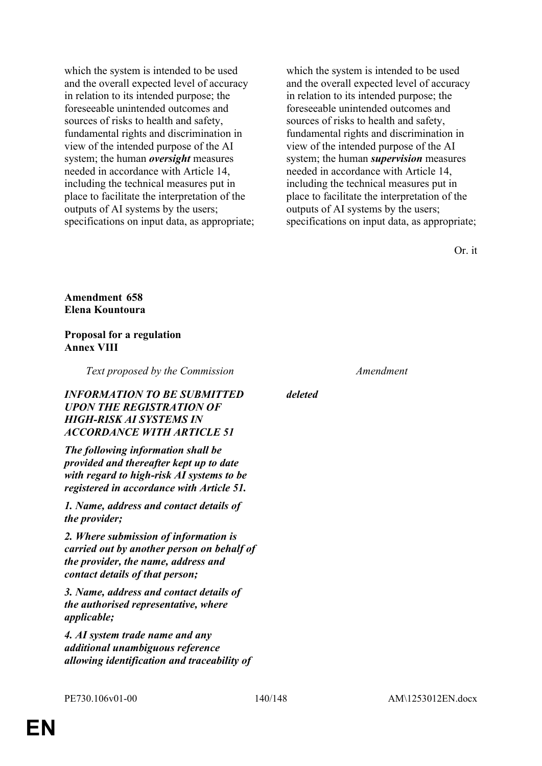which the system is intended to be used and the overall expected level of accuracy in relation to its intended purpose; the foreseeable unintended outcomes and sources of risks to health and safety, fundamental rights and discrimination in view of the intended purpose of the AI system; the human *oversight* measures needed in accordance with Article 14, including the technical measures put in place to facilitate the interpretation of the outputs of AI systems by the users; specifications on input data, as appropriate;

which the system is intended to be used and the overall expected level of accuracy in relation to its intended purpose; the foreseeable unintended outcomes and sources of risks to health and safety, fundamental rights and discrimination in view of the intended purpose of the AI system; the human *supervision* measures needed in accordance with Article 14, including the technical measures put in place to facilitate the interpretation of the outputs of AI systems by the users; specifications on input data, as appropriate;

Or. it

**Amendment 658 Elena Kountoura**

## **Proposal for a regulation Annex VIII**

*Text proposed by the Commission Amendment*

*INFORMATION TO BE SUBMITTED UPON THE REGISTRATION OF HIGH-RISK AI SYSTEMS IN ACCORDANCE WITH ARTICLE 51*

*The following information shall be provided and thereafter kept up to date with regard to high-risk AI systems to be registered in accordance with Article 51.*

*1. Name, address and contact details of the provider;*

*2. Where submission of information is carried out by another person on behalf of the provider, the name, address and contact details of that person;*

*3. Name, address and contact details of the authorised representative, where applicable;*

*4. AI system trade name and any additional unambiguous reference allowing identification and traceability of* 

*deleted*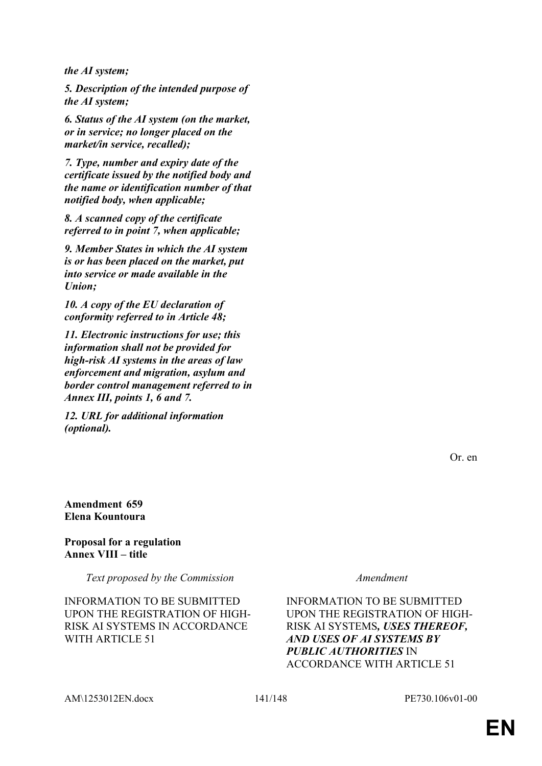*the AI system;*

*5. Description of the intended purpose of the AI system;*

*6. Status of the AI system (on the market, or in service; no longer placed on the market/in service, recalled);*

*7. Type, number and expiry date of the certificate issued by the notified body and the name or identification number of that notified body, when applicable;*

*8. A scanned copy of the certificate referred to in point 7, when applicable;*

*9. Member States in which the AI system is or has been placed on the market, put into service or made available in the Union;*

*10. A copy of the EU declaration of conformity referred to in Article 48;*

*11. Electronic instructions for use; this information shall not be provided for high-risk AI systems in the areas of law enforcement and migration, asylum and border control management referred to in Annex III, points 1, 6 and 7.*

*12. URL for additional information (optional).*

Or. en

**Amendment 659 Elena Kountoura**

**Proposal for a regulation Annex VIII – title**

*Text proposed by the Commission Amendment*

INFORMATION TO BE SUBMITTED UPON THE REGISTRATION OF HIGH-RISK AI SYSTEMS IN ACCORDANCE WITH ARTICLE 51

INFORMATION TO BE SUBMITTED UPON THE REGISTRATION OF HIGH-RISK AI SYSTEMS*, USES THEREOF, AND USES OF AI SYSTEMS BY PUBLIC AUTHORITIES* IN ACCORDANCE WITH ARTICLE 51

AM\1253012EN.docx 141/148 PE730.106v01-00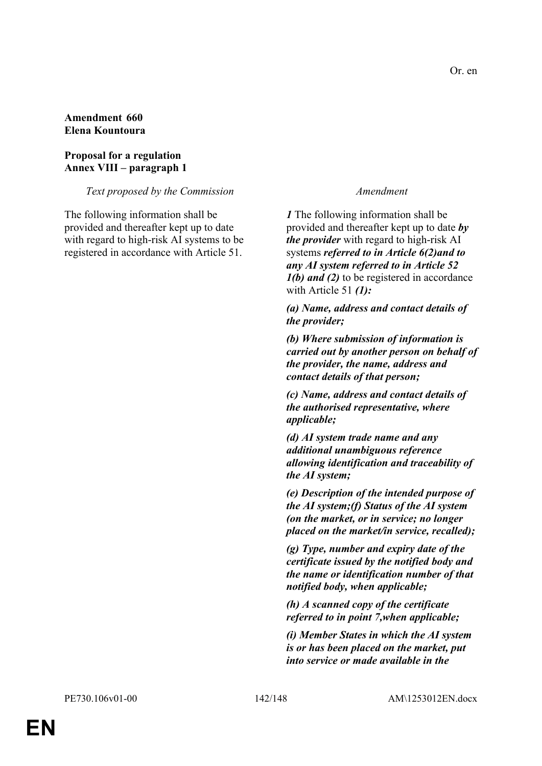### **Amendment 660 Elena Kountoura**

## **Proposal for a regulation Annex VIII – paragraph 1**

### *Text proposed by the Commission Amendment*

The following information shall be provided and thereafter kept up to date with regard to high-risk AI systems to be registered in accordance with Article 51.

*1* The following information shall be provided and thereafter kept up to date *by the provider* with regard to high-risk AI systems *referred to in Article 6(2)and to any AI system referred to in Article 52 1(b) and (2)* to be registered in accordance with Article 51 *(1):*

*(a) Name, address and contact details of the provider;*

*(b) Where submission of information is carried out by another person on behalf of the provider, the name, address and contact details of that person;*

*(c) Name, address and contact details of the authorised representative, where applicable;*

*(d) AI system trade name and any additional unambiguous reference allowing identification and traceability of the AI system;*

*(e) Description of the intended purpose of the AI system;(f) Status of the AI system (on the market, or in service; no longer placed on the market/in service, recalled);*

*(g) Type, number and expiry date of the certificate issued by the notified body and the name or identification number of that notified body, when applicable;*

*(h) A scanned copy of the certificate referred to in point 7,when applicable;*

*(i) Member States in which the AI system is or has been placed on the market, put into service or made available in the*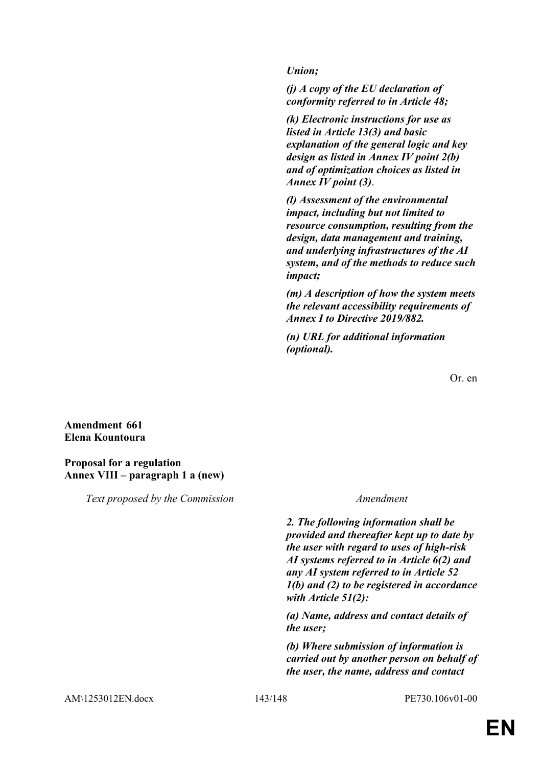*Union;*

*(j) A copy of the EU declaration of conformity referred to in Article 48;*

*(k) Electronic instructions for use as listed in Article 13(3) and basic explanation of the general logic and key design as listed in Annex IV point 2(b) and of optimization choices as listed in Annex IV point (3)*.

*(l) Assessment of the environmental impact, including but not limited to resource consumption, resulting from the design, data management and training, and underlying infrastructures of the AI system, and of the methods to reduce such impact;*

*(m) A description of how the system meets the relevant accessibility requirements of Annex I to Directive 2019/882.*

*(n) URL for additional information (optional).*

Or. en

## **Amendment 661 Elena Kountoura**

### **Proposal for a regulation Annex VIII – paragraph 1 a (new)**

*Text proposed by the Commission Amendment*

*2. The following information shall be provided and thereafter kept up to date by the user with regard to uses of high-risk AI systems referred to in Article 6(2) and any AI system referred to in Article 52 1(b) and (2) to be registered in accordance with Article 51(2):*

*(a) Name, address and contact details of the user;*

*(b) Where submission of information is carried out by another person on behalf of the user, the name, address and contact*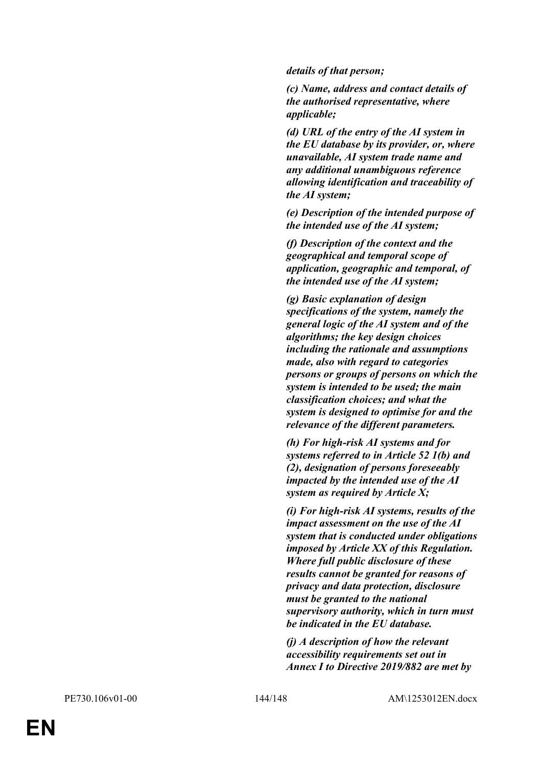*details of that person;*

*(c) Name, address and contact details of the authorised representative, where applicable;*

*(d) URL of the entry of the AI system in the EU database by its provider, or, where unavailable, AI system trade name and any additional unambiguous reference allowing identification and traceability of the AI system;*

*(e) Description of the intended purpose of the intended use of the AI system;*

*(f) Description of the context and the geographical and temporal scope of application, geographic and temporal, of the intended use of the AI system;*

*(g) Basic explanation of design specifications of the system, namely the general logic of the AI system and of the algorithms; the key design choices including the rationale and assumptions made, also with regard to categories persons or groups of persons on which the system is intended to be used; the main classification choices; and what the system is designed to optimise for and the relevance of the different parameters.*

*(h) For high-risk AI systems and for systems referred to in Article 52 1(b) and (2), designation of persons foreseeably impacted by the intended use of the AI system as required by Article X;*

*(i) For high-risk AI systems, results of the impact assessment on the use of the AI system that is conducted under obligations imposed by Article XX of this Regulation. Where full public disclosure of these results cannot be granted for reasons of privacy and data protection, disclosure must be granted to the national supervisory authority, which in turn must be indicated in the EU database.*

*(j) A description of how the relevant accessibility requirements set out in Annex I to Directive 2019/882 are met by*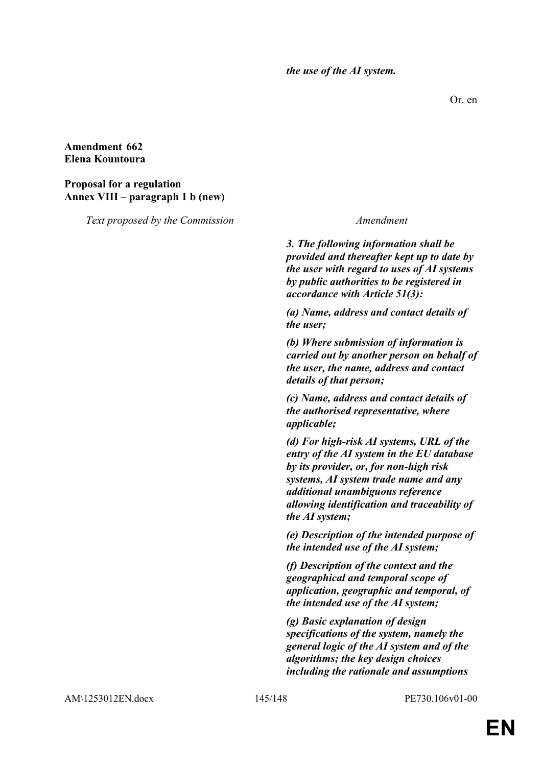*the use of the AI system.*

Or. en

### **Amendment 662 Elena Kountoura**

## **Proposal for a regulation Annex VIII – paragraph 1 b (new)**

*Text proposed by the Commission Amendment*

*3. The following information shall be provided and thereafter kept up to date by the user with regard to uses of AI systems by public authorities to be registered in accordance with Article 51(3):*

*(a) Name, address and contact details of the user;*

*(b) Where submission of information is carried out by another person on behalf of the user, the name, address and contact details of that person;*

*(c) Name, address and contact details of the authorised representative, where applicable;*

*(d) For high-risk AI systems, URL of the entry of the AI system in the EU database by its provider, or, for non-high risk systems, AI system trade name and any additional unambiguous reference allowing identification and traceability of the AI system;*

*(e) Description of the intended purpose of the intended use of the AI system;*

*(f) Description of the context and the geographical and temporal scope of application, geographic and temporal, of the intended use of the AI system;*

*(g) Basic explanation of design specifications of the system, namely the general logic of the AI system and of the algorithms; the key design choices including the rationale and assumptions* 

AM\1253012EN.docx 145/148 PE730.106v01-00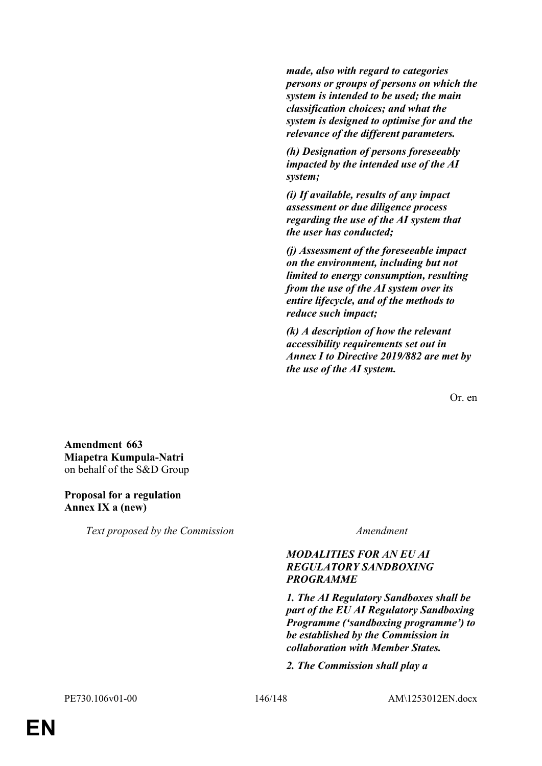*made, also with regard to categories persons or groups of persons on which the system is intended to be used; the main classification choices; and what the system is designed to optimise for and the relevance of the different parameters.*

*(h) Designation of persons foreseeably impacted by the intended use of the AI system;*

*(i) If available, results of any impact assessment or due diligence process regarding the use of the AI system that the user has conducted;*

*(j) Assessment of the foreseeable impact on the environment, including but not limited to energy consumption, resulting from the use of the AI system over its entire lifecycle, and of the methods to reduce such impact;*

*(k) A description of how the relevant accessibility requirements set out in Annex I to Directive 2019/882 are met by the use of the AI system.*

Or. en

**Amendment 663 Miapetra Kumpula-Natri** on behalf of the S&D Group

### **Proposal for a regulation Annex IX a (new)**

*Text proposed by the Commission Amendment*

## *MODALITIES FOR AN EU AI REGULATORY SANDBOXING PROGRAMME*

*1. The AI Regulatory Sandboxes shall be part of the EU AI Regulatory Sandboxing Programme ('sandboxing programme') to be established by the Commission in collaboration with Member States.*

*2. The Commission shall play a*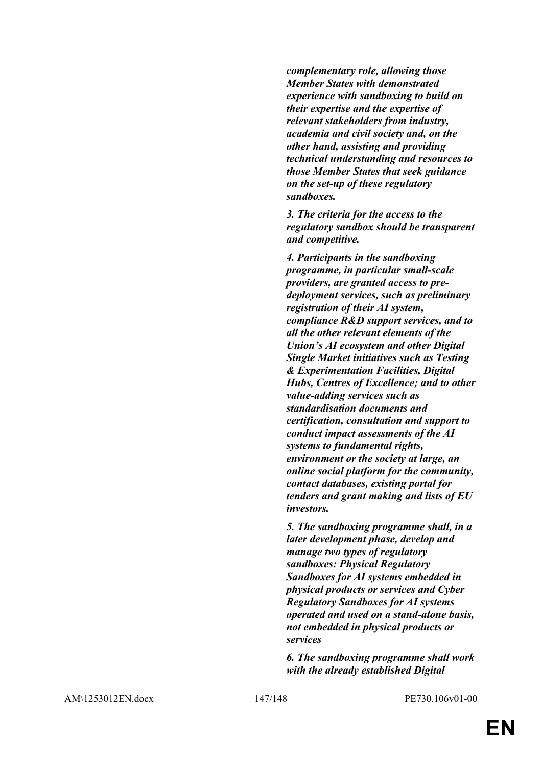*complementary role, allowing those Member States with demonstrated experience with sandboxing to build on their expertise and the expertise of relevant stakeholders from industry, academia and civil society and, on the other hand, assisting and providing technical understanding and resources to those Member States that seek guidance on the set-up of these regulatory sandboxes.*

*3. The criteria for the access to the regulatory sandbox should be transparent and competitive.*

*4. Participants in the sandboxing programme, in particular small-scale providers, are granted access to predeployment services, such as preliminary registration of their AI system, compliance R&D support services, and to all the other relevant elements of the Union's AI ecosystem and other Digital Single Market initiatives such as Testing & Experimentation Facilities, Digital Hubs, Centres of Excellence; and to other value-adding services such as standardisation documents and certification, consultation and support to conduct impact assessments of the AI systems to fundamental rights, environment or the society at large, an online social platform for the community, contact databases, existing portal for tenders and grant making and lists of EU investors.*

*5. The sandboxing programme shall, in a later development phase, develop and manage two types of regulatory sandboxes: Physical Regulatory Sandboxes for AI systems embedded in physical products or services and Cyber Regulatory Sandboxes for AI systems operated and used on a stand-alone basis, not embedded in physical products or services*

*6. The sandboxing programme shall work with the already established Digital*